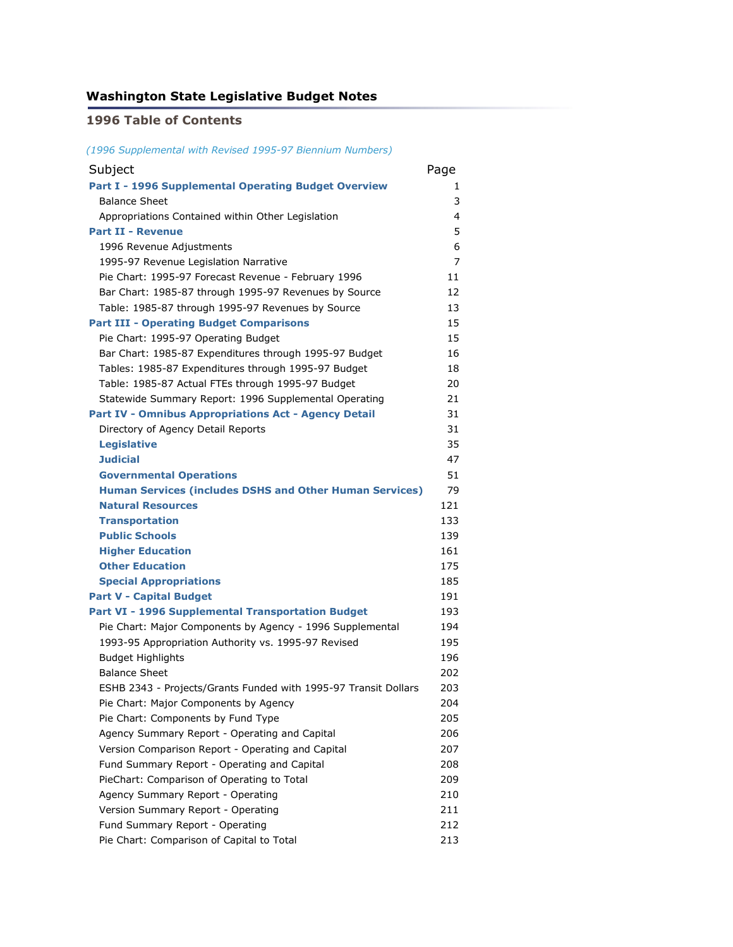### **Washington State Legislative Budget Notes**

### **1996 Table of Contents**

*(1996 Supplemental with Revised 1995-97 Biennium Numbers)*

| Subject                                                         | Page |
|-----------------------------------------------------------------|------|
| Part I - 1996 Supplemental Operating Budget Overview            | 1    |
| <b>Balance Sheet</b>                                            | 3    |
| Appropriations Contained within Other Legislation               | 4    |
| <b>Part II - Revenue</b>                                        | 5    |
| 1996 Revenue Adjustments                                        | 6    |
| 1995-97 Revenue Legislation Narrative                           | 7    |
| Pie Chart: 1995-97 Forecast Revenue - February 1996             | 11   |
| Bar Chart: 1985-87 through 1995-97 Revenues by Source           | 12   |
| Table: 1985-87 through 1995-97 Revenues by Source               | 13   |
| <b>Part III - Operating Budget Comparisons</b>                  | 15   |
| Pie Chart: 1995-97 Operating Budget                             | 15   |
| Bar Chart: 1985-87 Expenditures through 1995-97 Budget          | 16   |
| Tables: 1985-87 Expenditures through 1995-97 Budget             | 18   |
| Table: 1985-87 Actual FTEs through 1995-97 Budget               | 20   |
| Statewide Summary Report: 1996 Supplemental Operating           | 21   |
| <b>Part IV - Omnibus Appropriations Act - Agency Detail</b>     | 31   |
| Directory of Agency Detail Reports                              | 31   |
| <b>Legislative</b>                                              | 35   |
| <b>Judicial</b>                                                 | 47   |
| <b>Governmental Operations</b>                                  | 51   |
| <b>Human Services (includes DSHS and Other Human Services)</b>  | 79   |
| <b>Natural Resources</b>                                        | 121  |
| <b>Transportation</b>                                           | 133  |
| <b>Public Schools</b>                                           | 139  |
| <b>Higher Education</b>                                         | 161  |
| <b>Other Education</b>                                          | 175  |
| <b>Special Appropriations</b>                                   | 185  |
| <b>Part V - Capital Budget</b>                                  | 191  |
| Part VI - 1996 Supplemental Transportation Budget               | 193  |
| Pie Chart: Major Components by Agency - 1996 Supplemental       | 194  |
| 1993-95 Appropriation Authority vs. 1995-97 Revised             | 195  |
| <b>Budget Highlights</b>                                        | 196  |
| <b>Balance Sheet</b>                                            | 202  |
| ESHB 2343 - Projects/Grants Funded with 1995-97 Transit Dollars | 203  |
| Pie Chart: Major Components by Agency                           | 204  |
| Pie Chart: Components by Fund Type                              | 205  |
| Agency Summary Report - Operating and Capital                   | 206  |
| Version Comparison Report - Operating and Capital               | 207  |
| Fund Summary Report - Operating and Capital                     | 208  |
| PieChart: Comparison of Operating to Total                      | 209  |
| Agency Summary Report - Operating                               | 210  |
| Version Summary Report - Operating                              | 211  |
| Fund Summary Report - Operating                                 | 212  |
| Pie Chart: Comparison of Capital to Total                       | 213  |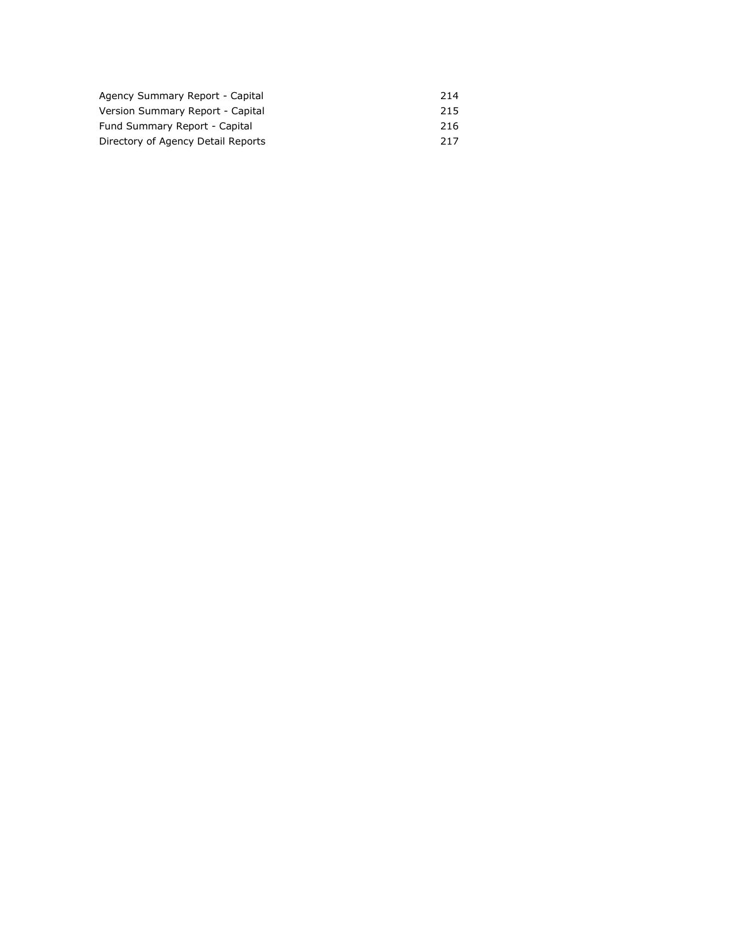| Agency Summary Report - Capital    | 214 |
|------------------------------------|-----|
| Version Summary Report - Capital   | 215 |
| Fund Summary Report - Capital      | 216 |
| Directory of Agency Detail Reports | 217 |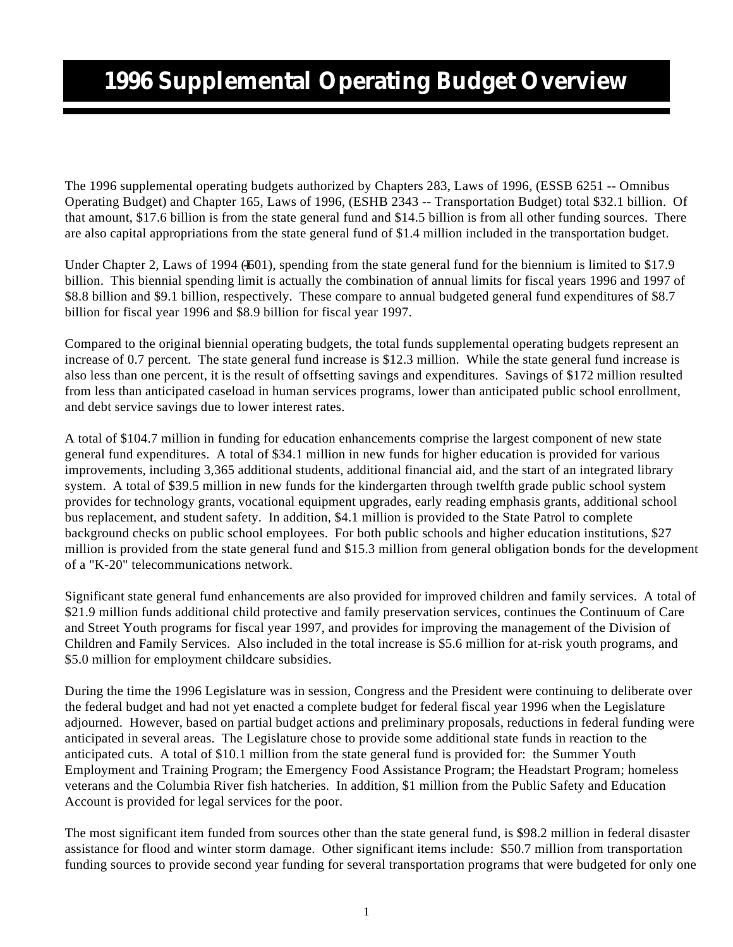# **1996 Supplemental Operating Budget Overview**

The 1996 supplemental operating budgets authorized by Chapters 283, Laws of 1996, (ESSB 6251 -- Omnibus Operating Budget) and Chapter 165, Laws of 1996, (ESHB 2343 -- Transportation Budget) total \$32.1 billion. Of that amount, \$17.6 billion is from the state general fund and \$14.5 billion is from all other funding sources. There are also capital appropriations from the state general fund of \$1.4 million included in the transportation budget.

Under Chapter 2, Laws of 1994 ( $4601$ ), spending from the state general fund for the biennium is limited to \$17.9 billion. This biennial spending limit is actually the combination of annual limits for fiscal years 1996 and 1997 of \$8.8 billion and \$9.1 billion, respectively. These compare to annual budgeted general fund expenditures of \$8.7 billion for fiscal year 1996 and \$8.9 billion for fiscal year 1997.

Compared to the original biennial operating budgets, the total funds supplemental operating budgets represent an increase of 0.7 percent. The state general fund increase is \$12.3 million. While the state general fund increase is also less than one percent, it is the result of offsetting savings and expenditures. Savings of \$172 million resulted from less than anticipated caseload in human services programs, lower than anticipated public school enrollment, and debt service savings due to lower interest rates.

A total of \$104.7 million in funding for education enhancements comprise the largest component of new state general fund expenditures. A total of \$34.1 million in new funds for higher education is provided for various improvements, including 3,365 additional students, additional financial aid, and the start of an integrated library system. A total of \$39.5 million in new funds for the kindergarten through twelfth grade public school system provides for technology grants, vocational equipment upgrades, early reading emphasis grants, additional school bus replacement, and student safety. In addition, \$4.1 million is provided to the State Patrol to complete background checks on public school employees. For both public schools and higher education institutions, \$27 million is provided from the state general fund and \$15.3 million from general obligation bonds for the development of a "K-20" telecommunications network.

Significant state general fund enhancements are also provided for improved children and family services. A total of \$21.9 million funds additional child protective and family preservation services, continues the Continuum of Care and Street Youth programs for fiscal year 1997, and provides for improving the management of the Division of Children and Family Services. Also included in the total increase is \$5.6 million for at-risk youth programs, and \$5.0 million for employment childcare subsidies.

During the time the 1996 Legislature was in session, Congress and the President were continuing to deliberate over the federal budget and had not yet enacted a complete budget for federal fiscal year 1996 when the Legislature adjourned. However, based on partial budget actions and preliminary proposals, reductions in federal funding were anticipated in several areas. The Legislature chose to provide some additional state funds in reaction to the anticipated cuts. A total of \$10.1 million from the state general fund is provided for: the Summer Youth Employment and Training Program; the Emergency Food Assistance Program; the Headstart Program; homeless veterans and the Columbia River fish hatcheries. In addition, \$1 million from the Public Safety and Education Account is provided for legal services for the poor.

The most significant item funded from sources other than the state general fund, is \$98.2 million in federal disaster assistance for flood and winter storm damage. Other significant items include: \$50.7 million from transportation funding sources to provide second year funding for several transportation programs that were budgeted for only one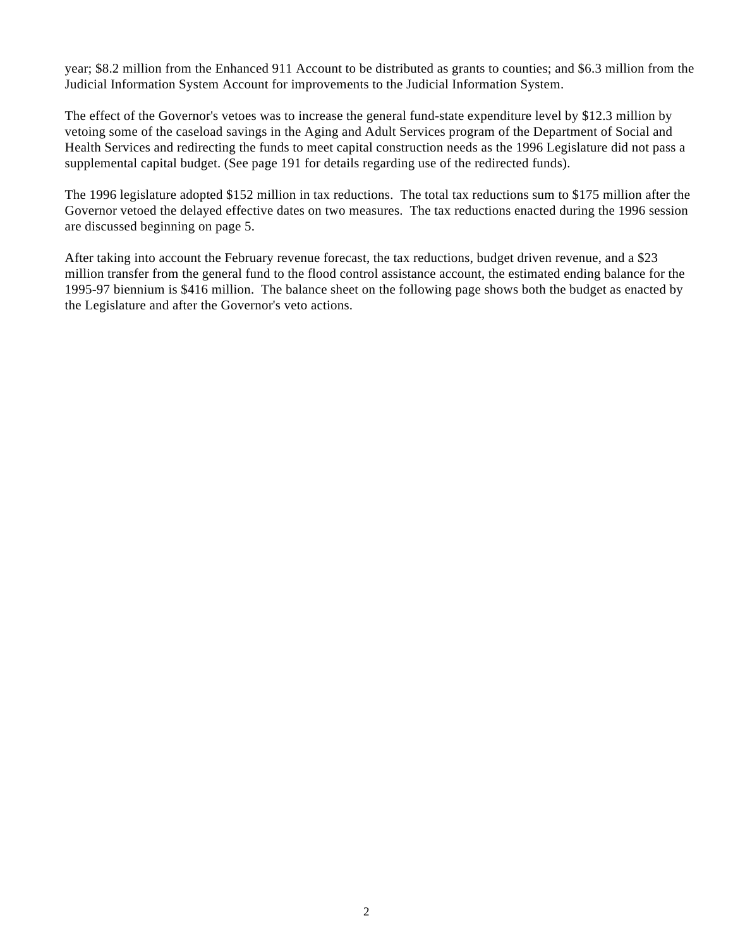year; \$8.2 million from the Enhanced 911 Account to be distributed as grants to counties; and \$6.3 million from the Judicial Information System Account for improvements to the Judicial Information System.

The effect of the Governor's vetoes was to increase the general fund-state expenditure level by \$12.3 million by vetoing some of the caseload savings in the Aging and Adult Services program of the Department of Social and Health Services and redirecting the funds to meet capital construction needs as the 1996 Legislature did not pass a supplemental capital budget. (See page 191 for details regarding use of the redirected funds).

The 1996 legislature adopted \$152 million in tax reductions. The total tax reductions sum to \$175 million after the Governor vetoed the delayed effective dates on two measures. The tax reductions enacted during the 1996 session are discussed beginning on page 5.

After taking into account the February revenue forecast, the tax reductions, budget driven revenue, and a \$23 million transfer from the general fund to the flood control assistance account, the estimated ending balance for the 1995-97 biennium is \$416 million. The balance sheet on the following page shows both the budget as enacted by the Legislature and after the Governor's veto actions.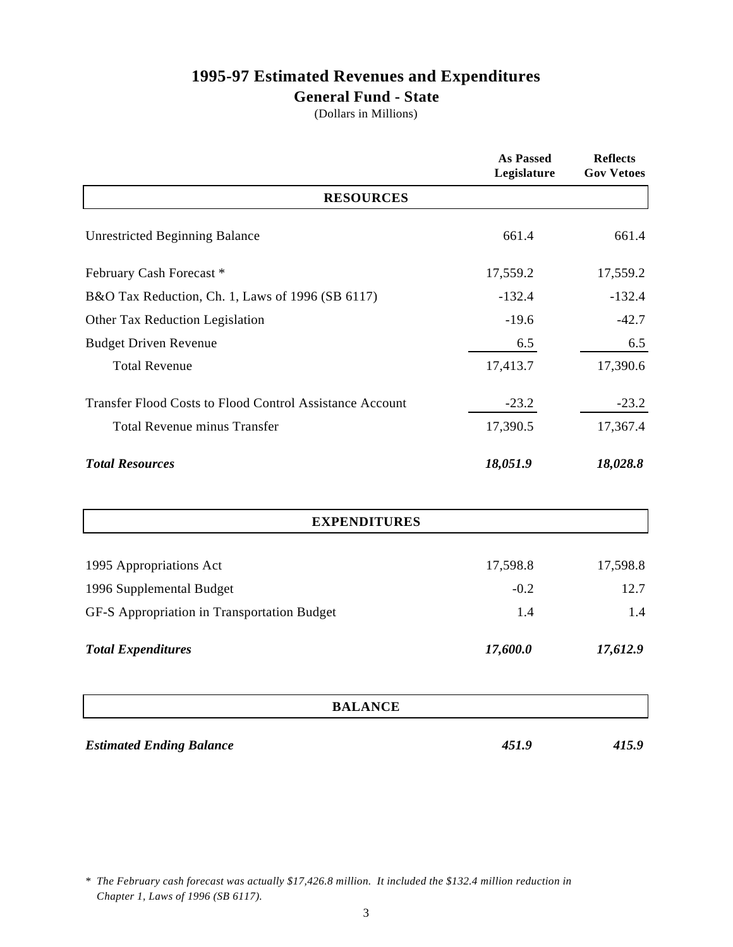# **1995-97 Estimated Revenues and Expenditures**

### **General Fund - State**

(Dollars in Millions)

|                                                                 | <b>As Passed</b><br>Legislature | <b>Reflects</b><br><b>Gov Vetoes</b> |
|-----------------------------------------------------------------|---------------------------------|--------------------------------------|
| <b>RESOURCES</b>                                                |                                 |                                      |
| <b>Unrestricted Beginning Balance</b>                           | 661.4                           | 661.4                                |
| February Cash Forecast*                                         | 17,559.2                        | 17,559.2                             |
| B&O Tax Reduction, Ch. 1, Laws of 1996 (SB 6117)                | $-132.4$                        | $-132.4$                             |
| Other Tax Reduction Legislation                                 | $-19.6$                         | $-42.7$                              |
| <b>Budget Driven Revenue</b>                                    | 6.5                             | 6.5                                  |
| <b>Total Revenue</b>                                            | 17,413.7                        | 17,390.6                             |
| <b>Transfer Flood Costs to Flood Control Assistance Account</b> | $-23.2$                         | $-23.2$                              |
| <b>Total Revenue minus Transfer</b>                             | 17,390.5                        | 17,367.4                             |
| <b>Total Resources</b>                                          | 18,051.9                        | 18,028.8                             |
| <b>EXPENDITURES</b>                                             |                                 |                                      |
| 1995 Appropriations Act                                         | 17,598.8                        | 17,598.8                             |
| 1996 Supplemental Budget                                        | $-0.2$                          | 12.7                                 |
| GF-S Appropriation in Transportation Budget                     | 1.4                             | 1.4                                  |
| <b>Total Expenditures</b>                                       | 17,600.0                        | 17,612.9                             |
| <b>BALANCE</b>                                                  |                                 |                                      |

*Estimated Ending Balance 451.9 415.9*

*<sup>\*</sup> The February cash forecast was actually \$17,426.8 million. It included the \$132.4 million reduction in Chapter 1, Laws of 1996 (SB 6117).*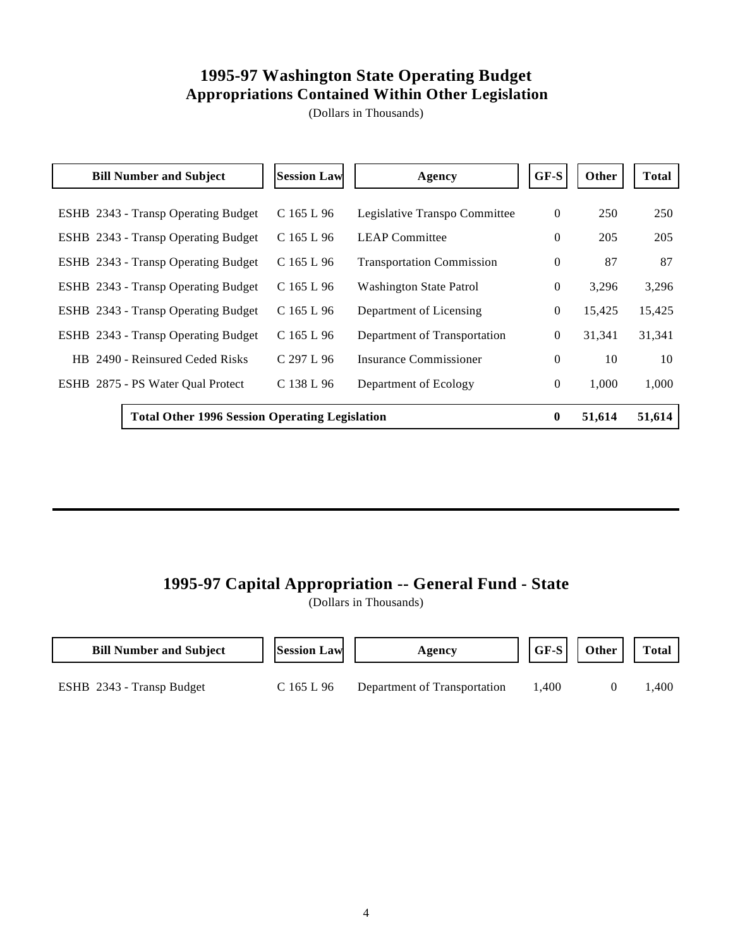### **1995-97 Washington State Operating Budget Appropriations Contained Within Other Legislation**

(Dollars in Thousands)

| <b>Bill Number and Subject</b>                        | <b>Session Law</b> | Agency                           | GF-S         | Other  | Total  |
|-------------------------------------------------------|--------------------|----------------------------------|--------------|--------|--------|
| ESHB 2343 - Transp Operating Budget                   | $C$ 165 L 96       | Legislative Transpo Committee    | $\mathbf{0}$ | 250    | 250    |
| ESHB 2343 - Transp Operating Budget                   | $C$ 165 L 96       | <b>LEAP Committee</b>            | $\Omega$     | 205    | 205    |
| ESHB 2343 - Transp Operating Budget                   | $C$ 165 L 96       | <b>Transportation Commission</b> | $\mathbf{0}$ | 87     | 87     |
| ESHB 2343 - Transp Operating Budget                   | $C$ 165 L 96       | <b>Washington State Patrol</b>   | $\mathbf{0}$ | 3,296  | 3,296  |
| ESHB 2343 - Transp Operating Budget                   | $C$ 165 L 96       | Department of Licensing          | $\theta$     | 15,425 | 15,425 |
| ESHB 2343 - Transp Operating Budget                   | $C$ 165 L 96       | Department of Transportation     | $\theta$     | 31,341 | 31,341 |
| HB 2490 - Reinsured Ceded Risks                       | C 297 L 96         | Insurance Commissioner           | $\Omega$     | 10     | 10     |
| ESHB 2875 - PS Water Qual Protect                     | C 138 L 96         | Department of Ecology            | $\mathbf{0}$ | 1.000  | 1,000  |
| <b>Total Other 1996 Session Operating Legislation</b> |                    |                                  | $\mathbf{0}$ | 51,614 | 51,614 |

### **1995-97 Capital Appropriation -- General Fund - State**

| <b>Bill Number and Subject</b> | <b>Session Law</b> | Agency                       | GF-S  | Other | <b>Total</b> |
|--------------------------------|--------------------|------------------------------|-------|-------|--------------|
| ESHB 2343 - Transp Budget      | C 165 L 96         | Department of Transportation | l.400 |       | l.400        |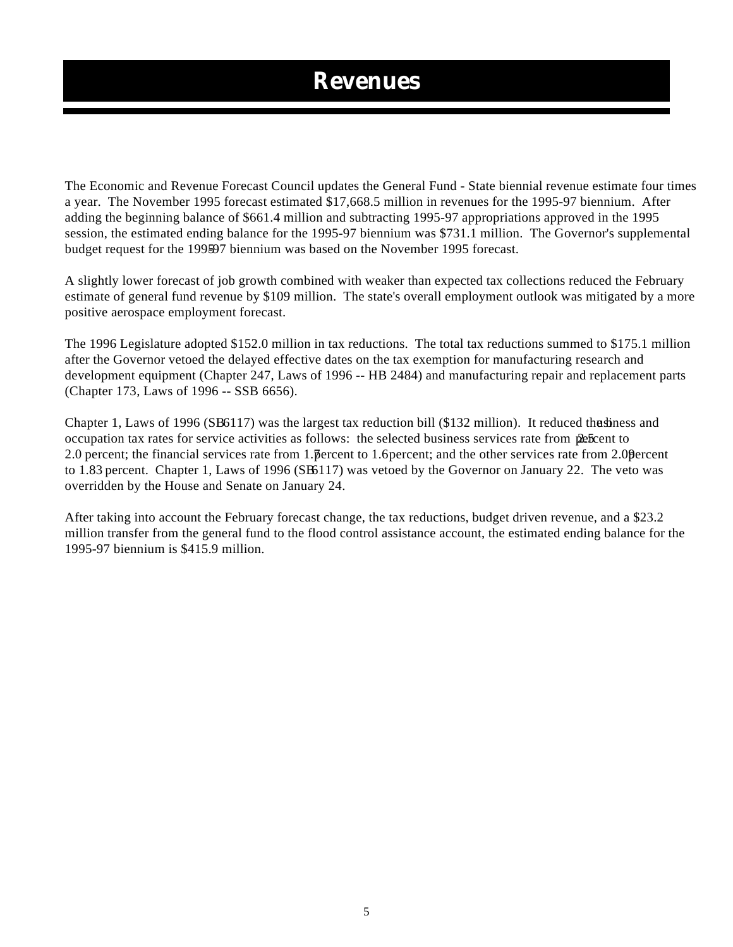# **Revenues**

The Economic and Revenue Forecast Council updates the General Fund - State biennial revenue estimate four times a year. The November 1995 forecast estimated \$17,668.5 million in revenues for the 1995-97 biennium. After adding the beginning balance of \$661.4 million and subtracting 1995-97 appropriations approved in the 1995 session, the estimated ending balance for the 1995-97 biennium was \$731.1 million. The Governor's supplemental budget request for the 199597 biennium was based on the November 1995 forecast.

A slightly lower forecast of job growth combined with weaker than expected tax collections reduced the February estimate of general fund revenue by \$109 million. The state's overall employment outlook was mitigated by a more positive aerospace employment forecast.

The 1996 Legislature adopted \$152.0 million in tax reductions. The total tax reductions summed to \$175.1 million after the Governor vetoed the delayed effective dates on the tax exemption for manufacturing research and development equipment (Chapter 247, Laws of 1996 -- HB 2484) and manufacturing repair and replacement parts (Chapter 173, Laws of 1996 -- SSB 6656).

Chapter 1, Laws of 1996 (SB6117) was the largest tax reduction bill (\$132 million). It reduced the b usiness and occupation tax rates for service activities as follows: the selected business services rate from  $\mathbf{\hat{z}}$  percent to 2.0 percent; the financial services rate from 1. percent to 1.6 percent; and the other services rate from 2.0 percent to 1.83 percent. Chapter 1, Laws of 1996 (SB 6117) was vetoed by the Governor on January 22. The veto was overridden by the House and Senate on January 24.

After taking into account the February forecast change, the tax reductions, budget driven revenue, and a \$23.2 million transfer from the general fund to the flood control assistance account, the estimated ending balance for the 1995-97 biennium is \$415.9 million.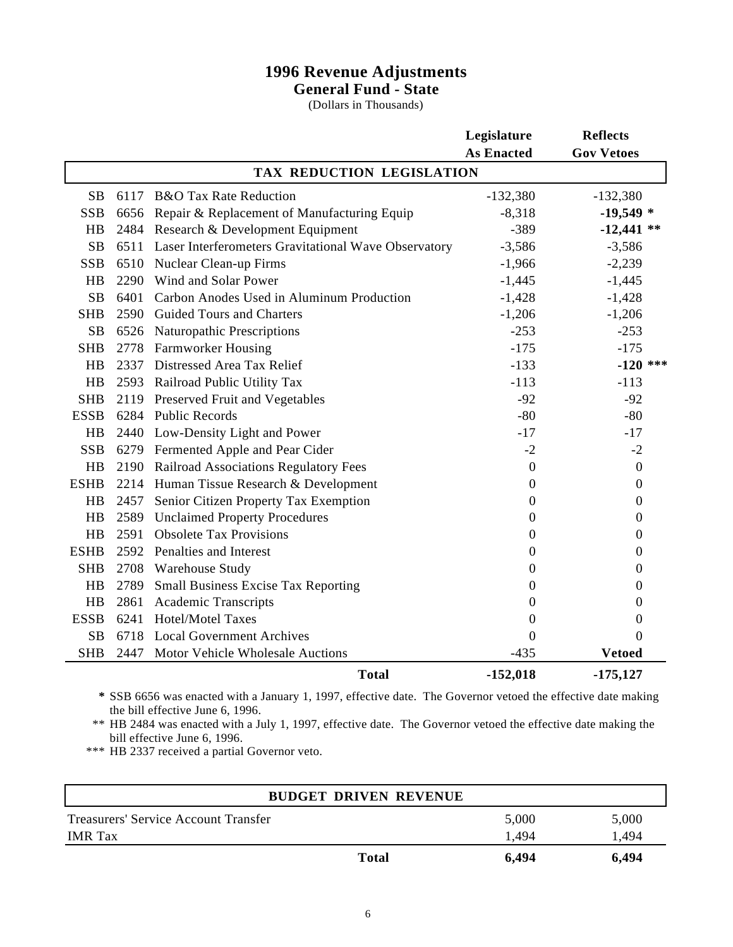### **1996 Revenue Adjustments General Fund - State**

(Dollars in Thousands)

|                           |      |                                                      | Legislature       | <b>Reflects</b>   |  |  |
|---------------------------|------|------------------------------------------------------|-------------------|-------------------|--|--|
|                           |      |                                                      | <b>As Enacted</b> | <b>Gov Vetoes</b> |  |  |
| TAX REDUCTION LEGISLATION |      |                                                      |                   |                   |  |  |
| <b>SB</b>                 | 6117 | <b>B&amp;O</b> Tax Rate Reduction                    | $-132,380$        | $-132,380$        |  |  |
| <b>SSB</b>                | 6656 | Repair & Replacement of Manufacturing Equip          | $-8,318$          | $-19,549*$        |  |  |
| HB                        | 2484 | Research & Development Equipment                     | $-389$            | $-12,441$ **      |  |  |
| <b>SB</b>                 | 6511 | Laser Interferometers Gravitational Wave Observatory | $-3,586$          | $-3,586$          |  |  |
| <b>SSB</b>                | 6510 | Nuclear Clean-up Firms                               | $-1,966$          | $-2,239$          |  |  |
| HB                        | 2290 | Wind and Solar Power                                 | $-1,445$          | $-1,445$          |  |  |
| <b>SB</b>                 | 6401 | Carbon Anodes Used in Aluminum Production            | $-1,428$          | $-1,428$          |  |  |
| <b>SHB</b>                | 2590 | <b>Guided Tours and Charters</b>                     | $-1,206$          | $-1,206$          |  |  |
| <b>SB</b>                 | 6526 | <b>Naturopathic Prescriptions</b>                    | $-253$            | $-253$            |  |  |
| <b>SHB</b>                | 2778 | <b>Farmworker Housing</b>                            | $-175$            | $-175$            |  |  |
| HB                        | 2337 | Distressed Area Tax Relief                           | $-133$            | $-120$ ***        |  |  |
| HB                        | 2593 | Railroad Public Utility Tax                          | $-113$            | $-113$            |  |  |
| <b>SHB</b>                | 2119 | <b>Preserved Fruit and Vegetables</b>                | $-92$             | $-92$             |  |  |
| <b>ESSB</b>               | 6284 | <b>Public Records</b>                                | $-80$             | $-80$             |  |  |
| HB                        | 2440 | Low-Density Light and Power                          | $-17$             | $-17$             |  |  |
| <b>SSB</b>                |      | 6279 Fermented Apple and Pear Cider                  | $-2$              | $-2$              |  |  |
| HB                        | 2190 | Railroad Associations Regulatory Fees                | $\boldsymbol{0}$  | $\boldsymbol{0}$  |  |  |
| <b>ESHB</b>               | 2214 | Human Tissue Research & Development                  | $\boldsymbol{0}$  | $\boldsymbol{0}$  |  |  |
| HB                        | 2457 | Senior Citizen Property Tax Exemption                | $\theta$          | $\mathbf{0}$      |  |  |
| HB                        | 2589 | <b>Unclaimed Property Procedures</b>                 | $\boldsymbol{0}$  | $\boldsymbol{0}$  |  |  |
| HB                        | 2591 | <b>Obsolete Tax Provisions</b>                       | $\theta$          | $\boldsymbol{0}$  |  |  |
| <b>ESHB</b>               | 2592 | Penalties and Interest                               | $\theta$          | $\overline{0}$    |  |  |
| <b>SHB</b>                | 2708 | <b>Warehouse Study</b>                               | $\theta$          | $\boldsymbol{0}$  |  |  |
| HB                        | 2789 | <b>Small Business Excise Tax Reporting</b>           | $\mathbf{0}$      | $\boldsymbol{0}$  |  |  |
| HB                        | 2861 | <b>Academic Transcripts</b>                          | $\theta$          | $\boldsymbol{0}$  |  |  |
| <b>ESSB</b>               | 6241 | <b>Hotel/Motel Taxes</b>                             | $\boldsymbol{0}$  | $\boldsymbol{0}$  |  |  |
| <b>SB</b>                 | 6718 | <b>Local Government Archives</b>                     | $\mathbf{0}$      | $\theta$          |  |  |
| <b>SHB</b>                | 2447 | Motor Vehicle Wholesale Auctions                     | $-435$            | <b>Vetoed</b>     |  |  |
|                           |      | <b>Total</b>                                         | $-152,018$        | $-175,127$        |  |  |

**\*** SSB 6656 was enacted with a January 1, 1997, effective date. The Governor vetoed the effective date making the bill effective June 6, 1996.

\*\* HB 2484 was enacted with a July 1, 1997, effective date. The Governor vetoed the effective date making the bill effective June 6, 1996.

\*\*\* HB 2337 received a partial Governor veto.

|                                      | <b>BUDGET DRIVEN REVENUE</b> |       |       |
|--------------------------------------|------------------------------|-------|-------|
| Treasurers' Service Account Transfer |                              | 5,000 | 5,000 |
| <b>IMR</b> Tax                       |                              | 1.494 | 1,494 |
|                                      | <b>Total</b>                 | 6,494 | 6,494 |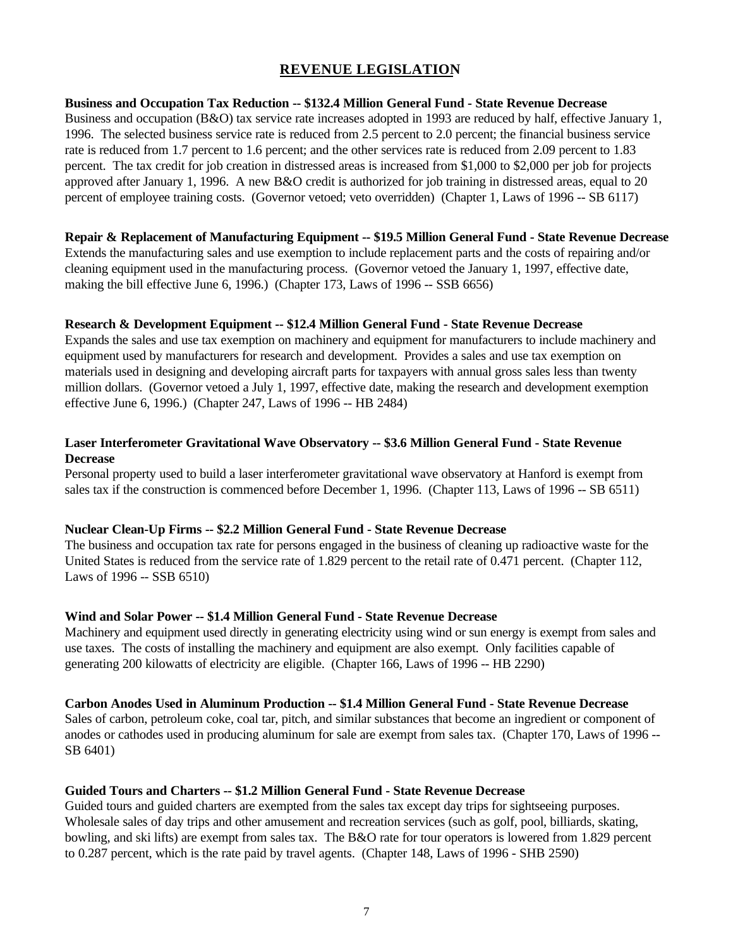### **REVENUE LEGISLATION**

#### **Business and Occupation Tax Reduction -- \$132.4 Million General Fund - State Revenue Decrease**

Business and occupation (B&O) tax service rate increases adopted in 1993 are reduced by half, effective January 1, 1996. The selected business service rate is reduced from 2.5 percent to 2.0 percent; the financial business service rate is reduced from 1.7 percent to 1.6 percent; and the other services rate is reduced from 2.09 percent to 1.83 percent. The tax credit for job creation in distressed areas is increased from \$1,000 to \$2,000 per job for projects approved after January 1, 1996. A new B&O credit is authorized for job training in distressed areas, equal to 20 percent of employee training costs. (Governor vetoed; veto overridden) (Chapter 1, Laws of 1996 -- SB 6117)

#### **Repair & Replacement of Manufacturing Equipment -- \$19.5 Million General Fund - State Revenue Decrease**

Extends the manufacturing sales and use exemption to include replacement parts and the costs of repairing and/or cleaning equipment used in the manufacturing process. (Governor vetoed the January 1, 1997, effective date, making the bill effective June 6, 1996.) (Chapter 173, Laws of 1996 -- SSB 6656)

#### **Research & Development Equipment -- \$12.4 Million General Fund - State Revenue Decrease**

Expands the sales and use tax exemption on machinery and equipment for manufacturers to include machinery and equipment used by manufacturers for research and development. Provides a sales and use tax exemption on materials used in designing and developing aircraft parts for taxpayers with annual gross sales less than twenty million dollars. (Governor vetoed a July 1, 1997, effective date, making the research and development exemption effective June 6, 1996.) (Chapter 247, Laws of 1996 -- HB 2484)

#### **Laser Interferometer Gravitational Wave Observatory -- \$3.6 Million General Fund - State Revenue Decrease**

Personal property used to build a laser interferometer gravitational wave observatory at Hanford is exempt from sales tax if the construction is commenced before December 1, 1996. (Chapter 113, Laws of 1996 -- SB 6511)

#### **Nuclear Clean-Up Firms -- \$2.2 Million General Fund - State Revenue Decrease**

The business and occupation tax rate for persons engaged in the business of cleaning up radioactive waste for the United States is reduced from the service rate of 1.829 percent to the retail rate of 0.471 percent. (Chapter 112, Laws of 1996 -- SSB 6510)

#### **Wind and Solar Power -- \$1.4 Million General Fund - State Revenue Decrease**

Machinery and equipment used directly in generating electricity using wind or sun energy is exempt from sales and use taxes. The costs of installing the machinery and equipment are also exempt. Only facilities capable of generating 200 kilowatts of electricity are eligible. (Chapter 166, Laws of 1996 -- HB 2290)

#### **Carbon Anodes Used in Aluminum Production -- \$1.4 Million General Fund - State Revenue Decrease**

Sales of carbon, petroleum coke, coal tar, pitch, and similar substances that become an ingredient or component of anodes or cathodes used in producing aluminum for sale are exempt from sales tax. (Chapter 170, Laws of 1996 -- SB 6401)

#### **Guided Tours and Charters -- \$1.2 Million General Fund - State Revenue Decrease**

Guided tours and guided charters are exempted from the sales tax except day trips for sightseeing purposes. Wholesale sales of day trips and other amusement and recreation services (such as golf, pool, billiards, skating, bowling, and ski lifts) are exempt from sales tax. The B&O rate for tour operators is lowered from 1.829 percent to 0.287 percent, which is the rate paid by travel agents. (Chapter 148, Laws of 1996 - SHB 2590)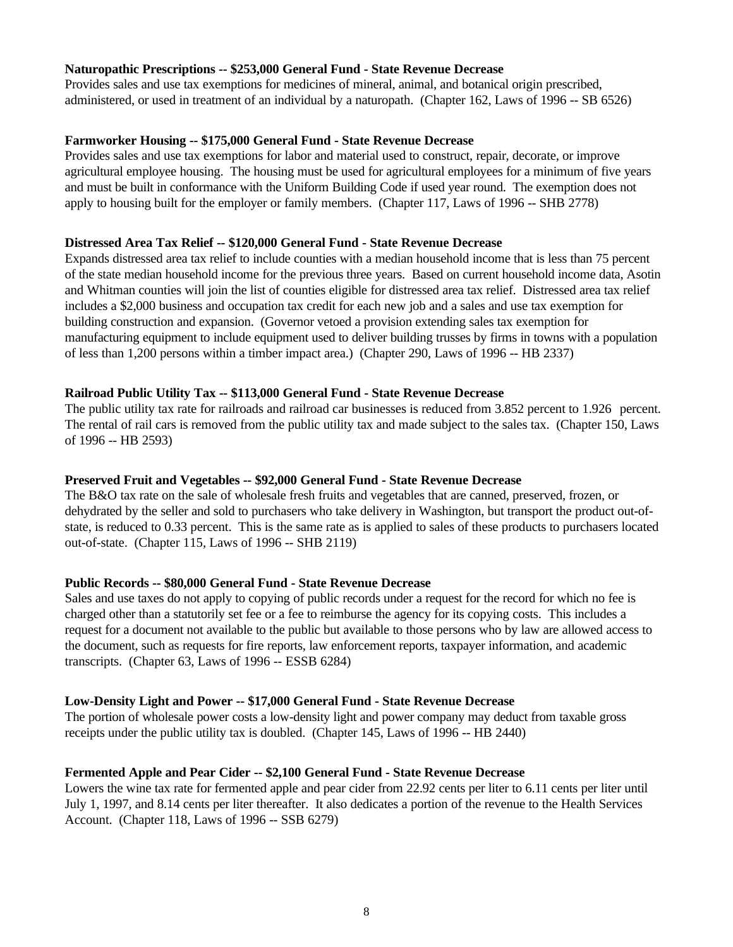#### **Naturopathic Prescriptions -- \$253,000 General Fund - State Revenue Decrease**

Provides sales and use tax exemptions for medicines of mineral, animal, and botanical origin prescribed, administered, or used in treatment of an individual by a naturopath. (Chapter 162, Laws of 1996 -- SB 6526)

#### **Farmworker Housing -- \$175,000 General Fund - State Revenue Decrease**

Provides sales and use tax exemptions for labor and material used to construct, repair, decorate, or improve agricultural employee housing. The housing must be used for agricultural employees for a minimum of five years and must be built in conformance with the Uniform Building Code if used year round. The exemption does not apply to housing built for the employer or family members. (Chapter 117, Laws of 1996 -- SHB 2778)

#### **Distressed Area Tax Relief -- \$120,000 General Fund - State Revenue Decrease**

Expands distressed area tax relief to include counties with a median household income that is less than 75 percent of the state median household income for the previous three years. Based on current household income data, Asotin and Whitman counties will join the list of counties eligible for distressed area tax relief. Distressed area tax relief includes a \$2,000 business and occupation tax credit for each new job and a sales and use tax exemption for building construction and expansion. (Governor vetoed a provision extending sales tax exemption for manufacturing equipment to include equipment used to deliver building trusses by firms in towns with a population of less than 1,200 persons within a timber impact area.) (Chapter 290, Laws of 1996 -- HB 2337)

#### **Railroad Public Utility Tax -- \$113,000 General Fund - State Revenue Decrease**

The public utility tax rate for railroads and railroad car businesses is reduced from 3.852 percent to 1.926 percent. The rental of rail cars is removed from the public utility tax and made subject to the sales tax. (Chapter 150, Laws of 1996 -- HB 2593)

#### **Preserved Fruit and Vegetables -- \$92,000 General Fund - State Revenue Decrease**

The B&O tax rate on the sale of wholesale fresh fruits and vegetables that are canned, preserved, frozen, or dehydrated by the seller and sold to purchasers who take delivery in Washington, but transport the product out-ofstate, is reduced to 0.33 percent. This is the same rate as is applied to sales of these products to purchasers located out-of-state. (Chapter 115, Laws of 1996 -- SHB 2119)

#### **Public Records -- \$80,000 General Fund - State Revenue Decrease**

Sales and use taxes do not apply to copying of public records under a request for the record for which no fee is charged other than a statutorily set fee or a fee to reimburse the agency for its copying costs. This includes a request for a document not available to the public but available to those persons who by law are allowed access to the document, such as requests for fire reports, law enforcement reports, taxpayer information, and academic transcripts. (Chapter 63, Laws of 1996 -- ESSB 6284)

#### **Low-Density Light and Power -- \$17,000 General Fund - State Revenue Decrease**

The portion of wholesale power costs a low-density light and power company may deduct from taxable gross receipts under the public utility tax is doubled. (Chapter 145, Laws of 1996 -- HB 2440)

#### **Fermented Apple and Pear Cider -- \$2,100 General Fund - State Revenue Decrease**

Lowers the wine tax rate for fermented apple and pear cider from 22.92 cents per liter to 6.11 cents per liter until July 1, 1997, and 8.14 cents per liter thereafter. It also dedicates a portion of the revenue to the Health Services Account. (Chapter 118, Laws of 1996 -- SSB 6279)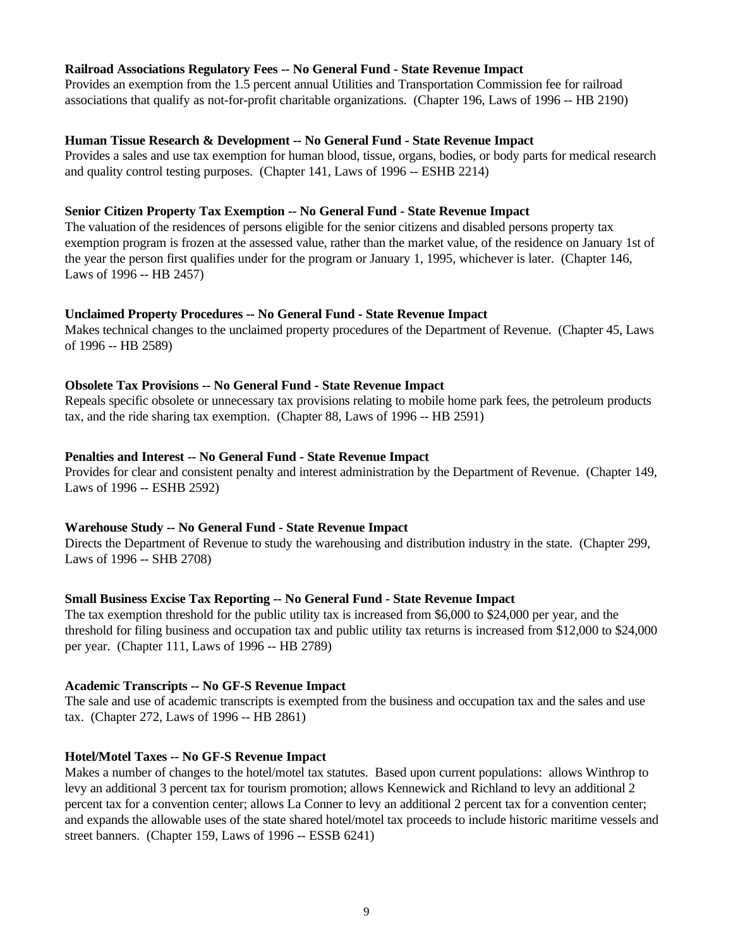#### **Railroad Associations Regulatory Fees -- No General Fund - State Revenue Impact**

Provides an exemption from the 1.5 percent annual Utilities and Transportation Commission fee for railroad associations that qualify as not-for-profit charitable organizations. (Chapter 196, Laws of 1996 -- HB 2190)

#### **Human Tissue Research & Development -- No General Fund - State Revenue Impact**

Provides a sales and use tax exemption for human blood, tissue, organs, bodies, or body parts for medical research and quality control testing purposes. (Chapter 141, Laws of 1996 -- ESHB 2214)

#### **Senior Citizen Property Tax Exemption -- No General Fund - State Revenue Impact**

The valuation of the residences of persons eligible for the senior citizens and disabled persons property tax exemption program is frozen at the assessed value, rather than the market value, of the residence on January 1st of the year the person first qualifies under for the program or January 1, 1995, whichever is later. (Chapter 146, Laws of 1996 -- HB 2457)

#### **Unclaimed Property Procedures -- No General Fund - State Revenue Impact**

Makes technical changes to the unclaimed property procedures of the Department of Revenue. (Chapter 45, Laws of 1996 -- HB 2589)

#### **Obsolete Tax Provisions -- No General Fund - State Revenue Impact**

Repeals specific obsolete or unnecessary tax provisions relating to mobile home park fees, the petroleum products tax, and the ride sharing tax exemption. (Chapter 88, Laws of 1996 -- HB 2591)

#### **Penalties and Interest -- No General Fund - State Revenue Impact**

Provides for clear and consistent penalty and interest administration by the Department of Revenue. (Chapter 149, Laws of 1996 -- ESHB 2592)

#### **Warehouse Study -- No General Fund - State Revenue Impact**

Directs the Department of Revenue to study the warehousing and distribution industry in the state. (Chapter 299, Laws of 1996 -- SHB 2708)

#### **Small Business Excise Tax Reporting -- No General Fund - State Revenue Impact**

The tax exemption threshold for the public utility tax is increased from \$6,000 to \$24,000 per year, and the threshold for filing business and occupation tax and public utility tax returns is increased from \$12,000 to \$24,000 per year. (Chapter 111, Laws of 1996 -- HB 2789)

#### **Academic Transcripts -- No GF-S Revenue Impact**

The sale and use of academic transcripts is exempted from the business and occupation tax and the sales and use tax. (Chapter 272, Laws of 1996 -- HB 2861)

#### **Hotel/Motel Taxes -- No GF-S Revenue Impact**

Makes a number of changes to the hotel/motel tax statutes. Based upon current populations: allows Winthrop to levy an additional 3 percent tax for tourism promotion; allows Kennewick and Richland to levy an additional 2 percent tax for a convention center; allows La Conner to levy an additional 2 percent tax for a convention center; and expands the allowable uses of the state shared hotel/motel tax proceeds to include historic maritime vessels and street banners. (Chapter 159, Laws of 1996 -- ESSB 6241)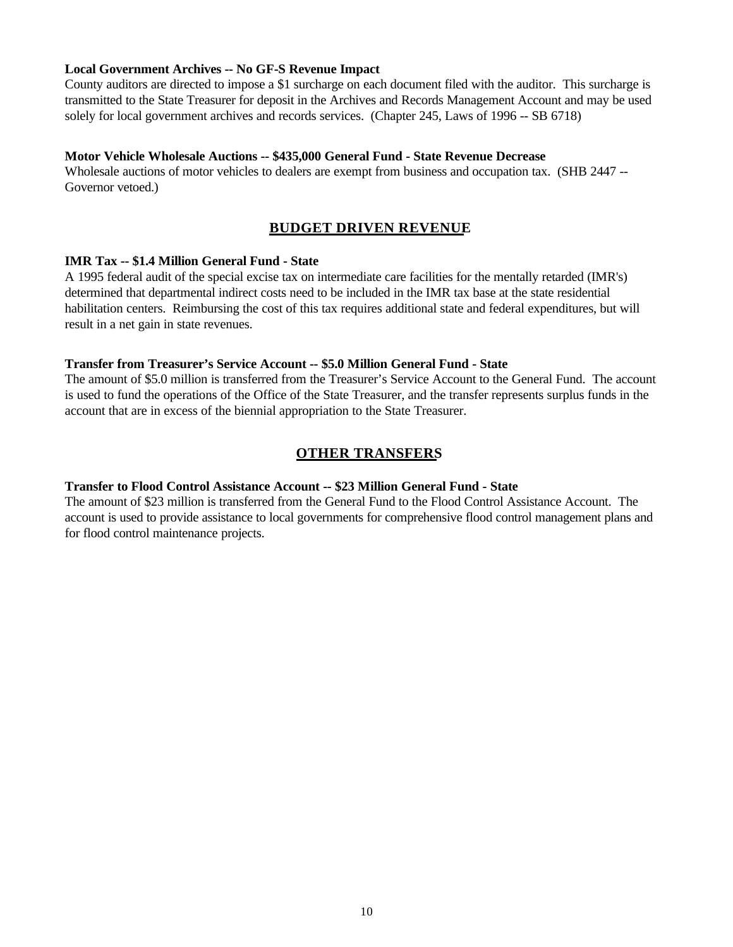#### **Local Government Archives -- No GF-S Revenue Impact**

County auditors are directed to impose a \$1 surcharge on each document filed with the auditor. This surcharge is transmitted to the State Treasurer for deposit in the Archives and Records Management Account and may be used solely for local government archives and records services. (Chapter 245, Laws of 1996 -- SB 6718)

#### **Motor Vehicle Wholesale Auctions -- \$435,000 General Fund - State Revenue Decrease**

Wholesale auctions of motor vehicles to dealers are exempt from business and occupation tax. (SHB 2447 -- Governor vetoed.)

### **BUDGET DRIVEN REVENUE**

#### **IMR Tax -- \$1.4 Million General Fund - State**

A 1995 federal audit of the special excise tax on intermediate care facilities for the mentally retarded (IMR's) determined that departmental indirect costs need to be included in the IMR tax base at the state residential habilitation centers. Reimbursing the cost of this tax requires additional state and federal expenditures, but will result in a net gain in state revenues.

#### **Transfer from Treasurer's Service Account -- \$5.0 Million General Fund - State**

The amount of \$5.0 million is transferred from the Treasurer's Service Account to the General Fund. The account is used to fund the operations of the Office of the State Treasurer, and the transfer represents surplus funds in the account that are in excess of the biennial appropriation to the State Treasurer.

### **OTHER TRANSFERS**

#### **Transfer to Flood Control Assistance Account -- \$23 Million General Fund - State**

The amount of \$23 million is transferred from the General Fund to the Flood Control Assistance Account. The account is used to provide assistance to local governments for comprehensive flood control management plans and for flood control maintenance projects.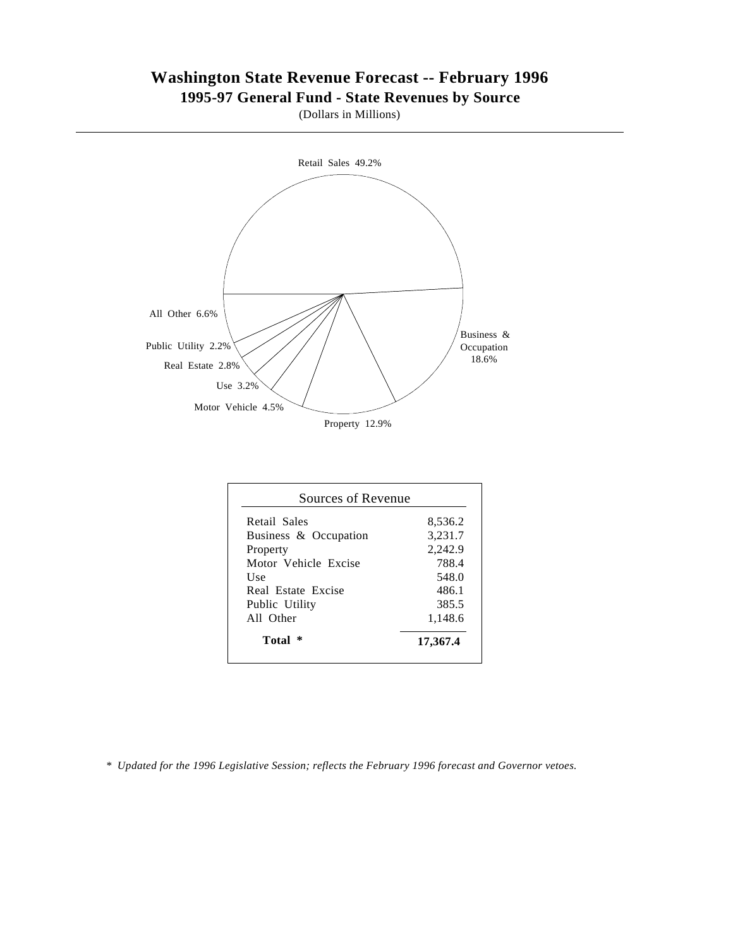### **Washington State Revenue Forecast -- February 1996 1995-97 General Fund - State Revenues by Source**

(Dollars in Millions)



| 486.1<br>385.5<br>1,148.6 |
|---------------------------|
|                           |
| 2,242.9<br>788.4<br>548.0 |
|                           |
|                           |
|                           |
|                           |
| 3,231.7                   |
| 8,536.2                   |
|                           |

 *\* Updated for the 1996 Legislative Session; reflects the February 1996 forecast and Governor vetoes.*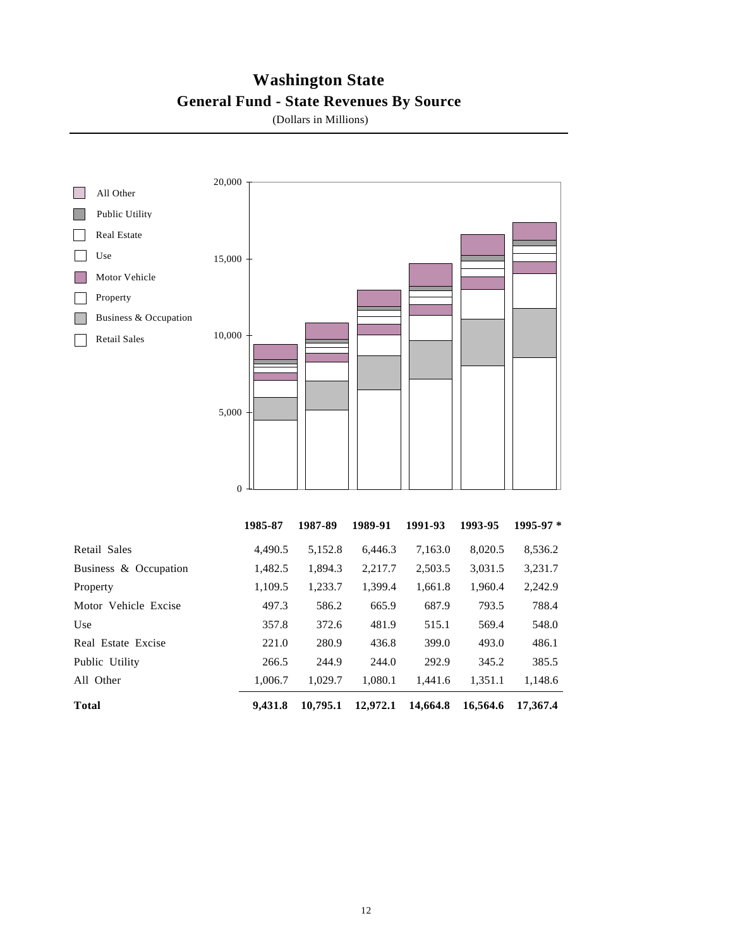### **Washington State General Fund - State Revenues By Source**

(Dollars in Millions)

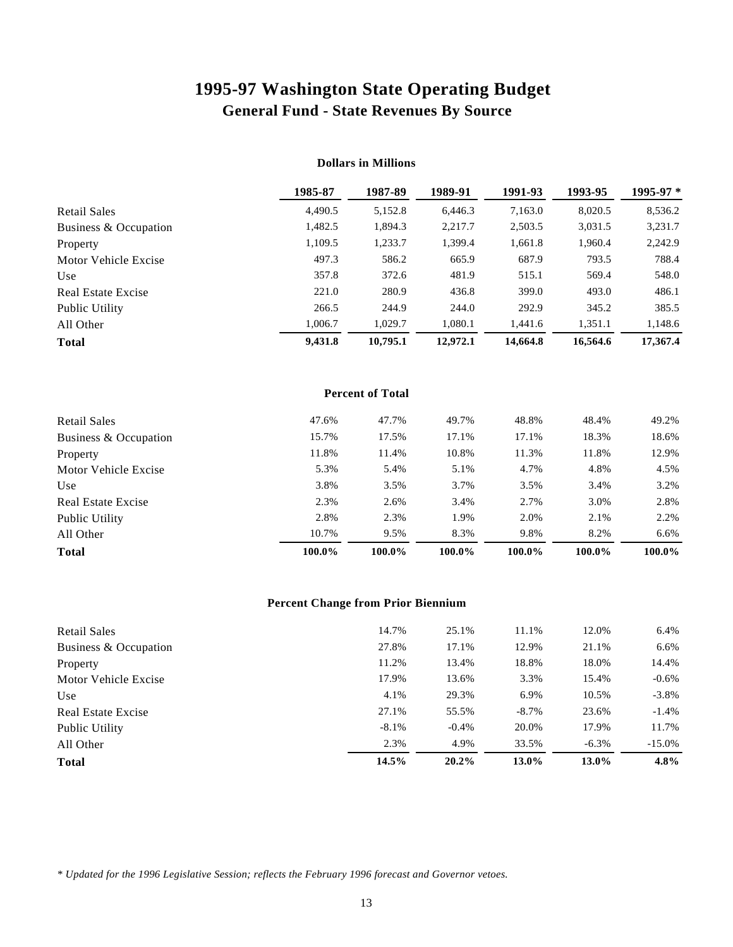# **1995-97 Washington State Operating Budget General Fund - State Revenues By Source**

|                           | 1985-87 | 1987-89  | 1989-91  | 1991-93  | 1993-95  | 1995-97 * |
|---------------------------|---------|----------|----------|----------|----------|-----------|
| <b>Retail Sales</b>       | 4,490.5 | 5,152.8  | 6.446.3  | 7,163.0  | 8,020.5  | 8,536.2   |
| Business & Occupation     | 1,482.5 | 1.894.3  | 2,217.7  | 2,503.5  | 3.031.5  | 3,231.7   |
| Property                  | 1.109.5 | 1,233.7  | 1,399.4  | 1,661.8  | 1,960.4  | 2,242.9   |
| Motor Vehicle Excise      | 497.3   | 586.2    | 665.9    | 687.9    | 793.5    | 788.4     |
| Use                       | 357.8   | 372.6    | 481.9    | 515.1    | 569.4    | 548.0     |
| <b>Real Estate Excise</b> | 221.0   | 280.9    | 436.8    | 399.0    | 493.0    | 486.1     |
| Public Utility            | 266.5   | 244.9    | 244.0    | 292.9    | 345.2    | 385.5     |
| All Other                 | 1,006.7 | 1,029.7  | 1,080.1  | 1,441.6  | 1,351.1  | 1,148.6   |
| <b>Total</b>              | 9,431.8 | 10,795.1 | 12,972.1 | 14,664.8 | 16,564.6 | 17,367.4  |

#### **Dollars in Millions**

| <b>Percent of Total</b> |        |        |        |        |        |        |
|-------------------------|--------|--------|--------|--------|--------|--------|
| <b>Retail Sales</b>     | 47.6%  | 47.7%  | 49.7%  | 48.8%  | 48.4%  | 49.2%  |
| Business & Occupation   | 15.7%  | 17.5%  | 17.1%  | 17.1%  | 18.3%  | 18.6%  |
| Property                | 11.8%  | 11.4%  | 10.8%  | 11.3%  | 11.8%  | 12.9%  |
| Motor Vehicle Excise    | 5.3%   | 5.4%   | 5.1%   | 4.7%   | 4.8%   | 4.5%   |
| Use                     | 3.8%   | 3.5%   | 3.7%   | 3.5%   | 3.4%   | 3.2%   |
| Real Estate Excise      | 2.3%   | 2.6%   | 3.4%   | 2.7%   | 3.0%   | 2.8%   |
| Public Utility          | 2.8%   | 2.3%   | 1.9%   | 2.0%   | 2.1%   | 2.2%   |
| All Other               | 10.7%  | 9.5%   | 8.3%   | 9.8%   | 8.2%   | 6.6%   |
| <b>Total</b>            | 100.0% | 100.0% | 100.0% | 100.0% | 100.0% | 100.0% |

#### **Percent Change from Prior Biennium**

| <b>Retail Sales</b>   | 14.7%    | 25.1%   | 11.1%    | 12.0%    | 6.4%      |
|-----------------------|----------|---------|----------|----------|-----------|
| Business & Occupation | 27.8%    | 17.1%   | 12.9%    | 21.1%    | 6.6%      |
| Property              | 11.2%    | 13.4%   | 18.8%    | 18.0%    | 14.4%     |
| Motor Vehicle Excise  | 17.9%    | 13.6%   | 3.3%     | 15.4%    | $-0.6\%$  |
| Use                   | 4.1%     | 29.3%   | 6.9%     | 10.5%    | $-3.8\%$  |
| Real Estate Excise    | 27.1%    | 55.5%   | $-8.7\%$ | 23.6%    | $-1.4\%$  |
| Public Utility        | $-8.1\%$ | $-0.4%$ | 20.0%    | 17.9%    | 11.7%     |
| All Other             | 2.3%     | 4.9%    | 33.5%    | $-6.3\%$ | $-15.0\%$ |
| <b>Total</b>          | 14.5%    | 20.2%   | 13.0%    | 13.0%    | $4.8\%$   |

*\* Updated for the 1996 Legislative Session; reflects the February 1996 forecast and Governor vetoes.*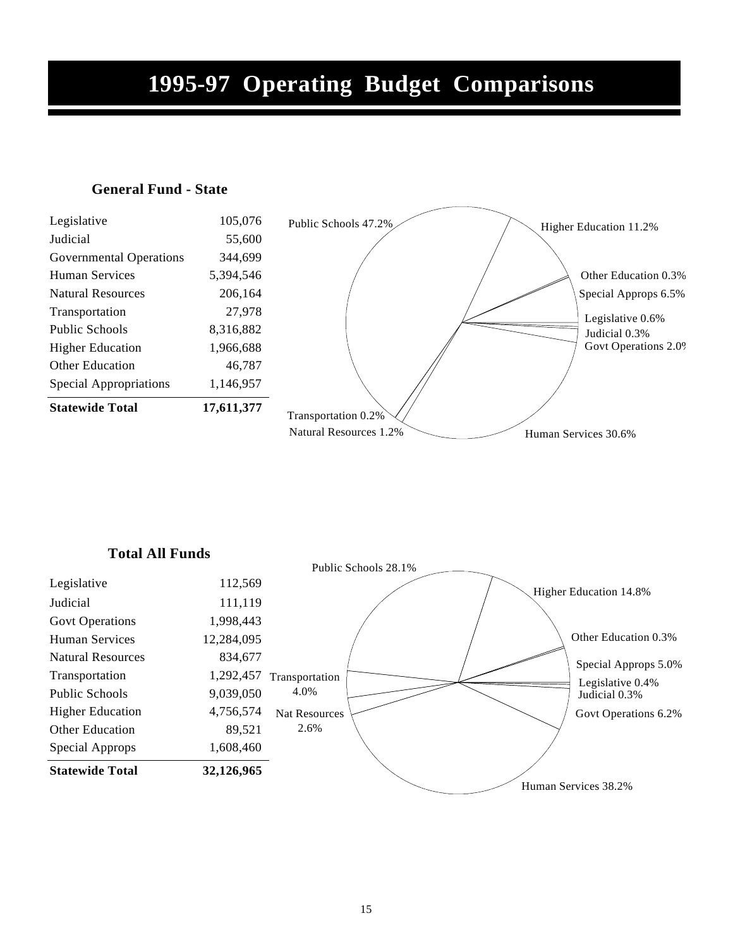# **1995-97 Operating Budget Comparisons**

### **General Fund - State**

| <b>Statewide Total</b>         | 17,611,377 |
|--------------------------------|------------|
| Special Appropriations         | 1,146,957  |
| Other Education                | 46.787     |
| <b>Higher Education</b>        | 1,966,688  |
| Public Schools                 | 8,316,882  |
| Transportation                 | 27.978     |
| <b>Natural Resources</b>       | 206.164    |
| Human Services                 | 5,394,546  |
| <b>Governmental Operations</b> | 344.699    |
| <b>Judicial</b>                | 55,600     |
| Legislative                    | 105,076    |



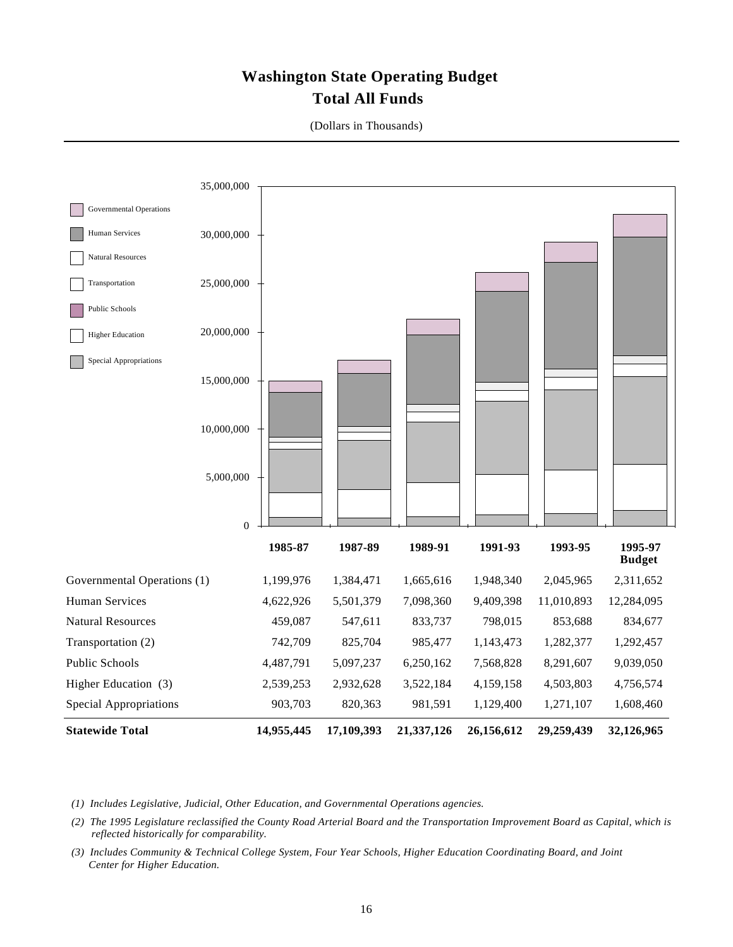## **Washington State Operating Budget Total All Funds**

| 35,000,000                            |                  |            |            |            |            |                          |
|---------------------------------------|------------------|------------|------------|------------|------------|--------------------------|
| Governmental Operations               |                  |            |            |            |            |                          |
| Human Services<br>30,000,000          |                  |            |            |            |            |                          |
| <b>Natural Resources</b>              |                  |            |            |            |            |                          |
| 25,000,000<br>Transportation          |                  |            |            |            |            |                          |
| Public Schools                        |                  |            |            |            |            |                          |
| 20,000,000<br><b>Higher Education</b> |                  |            |            |            |            |                          |
| Special Appropriations                |                  |            |            |            |            |                          |
| 15,000,000                            |                  |            |            |            |            |                          |
| 10,000,000                            |                  |            |            |            |            |                          |
| 5,000,000                             |                  |            |            |            |            |                          |
|                                       | $\boldsymbol{0}$ |            |            |            |            |                          |
|                                       | 1985-87          | 1987-89    | 1989-91    | 1991-93    | 1993-95    | 1995-97<br><b>Budget</b> |
| Governmental Operations (1)           | 1,199,976        | 1,384,471  | 1,665,616  | 1,948,340  | 2,045,965  | 2,311,652                |
| <b>Human Services</b>                 | 4,622,926        | 5,501,379  | 7,098,360  | 9,409,398  | 11,010,893 | 12,284,095               |
| <b>Natural Resources</b>              | 459,087          | 547,611    | 833,737    | 798,015    | 853,688    | 834,677                  |
| Transportation (2)                    | 742,709          | 825,704    | 985,477    | 1,143,473  | 1,282,377  | 1,292,457                |
| Public Schools                        | 4,487,791        | 5,097,237  | 6,250,162  | 7,568,828  | 8,291,607  | 9,039,050                |
| Higher Education (3)                  | 2,539,253        | 2,932,628  | 3,522,184  | 4,159,158  | 4,503,803  | 4,756,574                |
| <b>Special Appropriations</b>         | 903,703          | 820,363    | 981,591    | 1,129,400  | 1,271,107  | 1,608,460                |
| <b>Statewide Total</b>                | 14,955,445       | 17,109,393 | 21,337,126 | 26,156,612 | 29,259,439 | 32,126,965               |

(Dollars in Thousands)

 *(1) Includes Legislative, Judicial, Other Education, and Governmental Operations agencies.*

 *(2) The 1995 Legislature reclassified the County Road Arterial Board and the Transportation Improvement Board as Capital, which is reflected historically for comparability.*

 *(3) Includes Community & Technical College System, Four Year Schools, Higher Education Coordinating Board, and Joint Center for Higher Education.*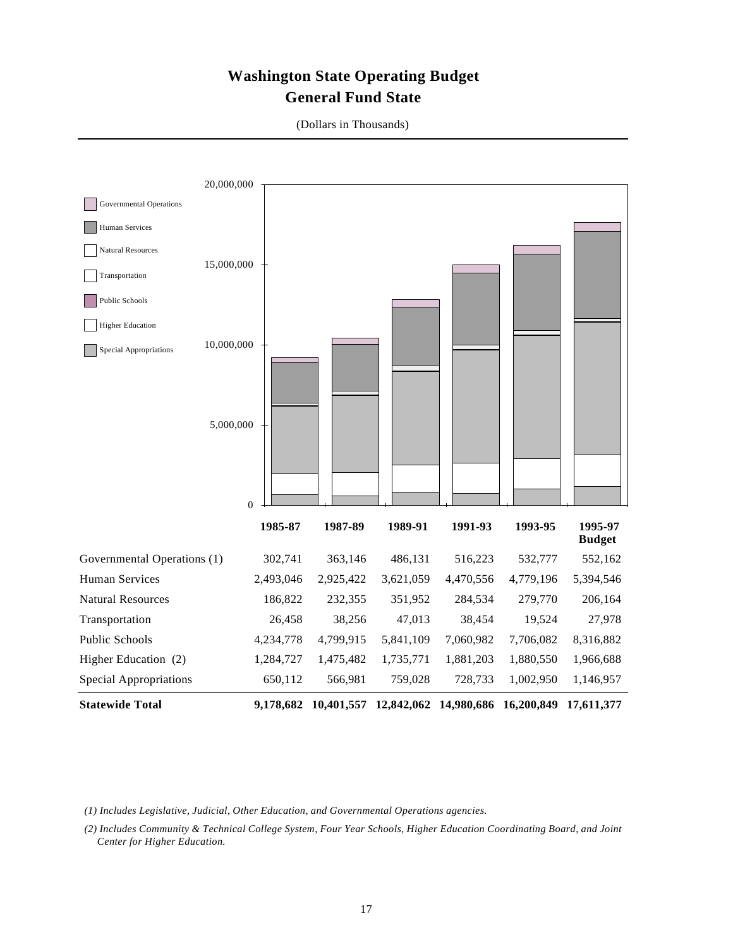## **Washington State Operating Budget General Fund State**

| 20,000,000                           |                             |           |           |                                                                  |           |               |
|--------------------------------------|-----------------------------|-----------|-----------|------------------------------------------------------------------|-----------|---------------|
| <b>Governmental Operations</b>       |                             |           |           |                                                                  |           |               |
| Human Services                       |                             |           |           |                                                                  |           |               |
| Natural Resources                    |                             |           |           |                                                                  |           |               |
| 15,000,000<br>Transportation         |                             |           |           |                                                                  |           |               |
| Public Schools                       |                             |           |           |                                                                  |           |               |
| <b>Higher Education</b>              |                             |           |           |                                                                  |           |               |
| 10,000,000<br>Special Appropriations |                             |           |           |                                                                  |           |               |
| 5,000,000                            | $\boldsymbol{0}$<br>1985-87 | 1987-89   | 1989-91   | 1991-93                                                          | 1993-95   | 1995-97       |
|                                      |                             |           |           |                                                                  |           | <b>Budget</b> |
| Governmental Operations (1)          | 302,741                     | 363,146   | 486,131   | 516,223                                                          | 532,777   | 552,162       |
| Human Services                       | 2,493,046                   | 2,925,422 | 3,621,059 | 4,470,556                                                        | 4,779,196 | 5,394,546     |
| <b>Natural Resources</b>             | 186,822                     | 232,355   | 351,952   | 284,534                                                          | 279,770   | 206,164       |
| Transportation                       | 26,458                      | 38,256    | 47,013    | 38,454                                                           | 19,524    | 27,978        |
| Public Schools                       | 4,234,778                   | 4,799,915 | 5,841,109 | 7,060,982                                                        | 7,706,082 | 8,316,882     |
| Higher Education (2)                 | 1,284,727                   | 1,475,482 | 1,735,771 | 1,881,203                                                        | 1,880,550 | 1,966,688     |
| <b>Special Appropriations</b>        | 650,112                     | 566,981   | 759,028   | 728,733                                                          | 1,002,950 | 1,146,957     |
| <b>Statewide Total</b>               |                             |           |           | 9,178,682 10,401,557 12,842,062 14,980,686 16,200,849 17,611,377 |           |               |

(Dollars in Thousands)

 *(1) Includes Legislative, Judicial, Other Education, and Governmental Operations agencies.*

 *(2) Includes Community & Technical College System, Four Year Schools, Higher Education Coordinating Board, and Joint Center for Higher Education.*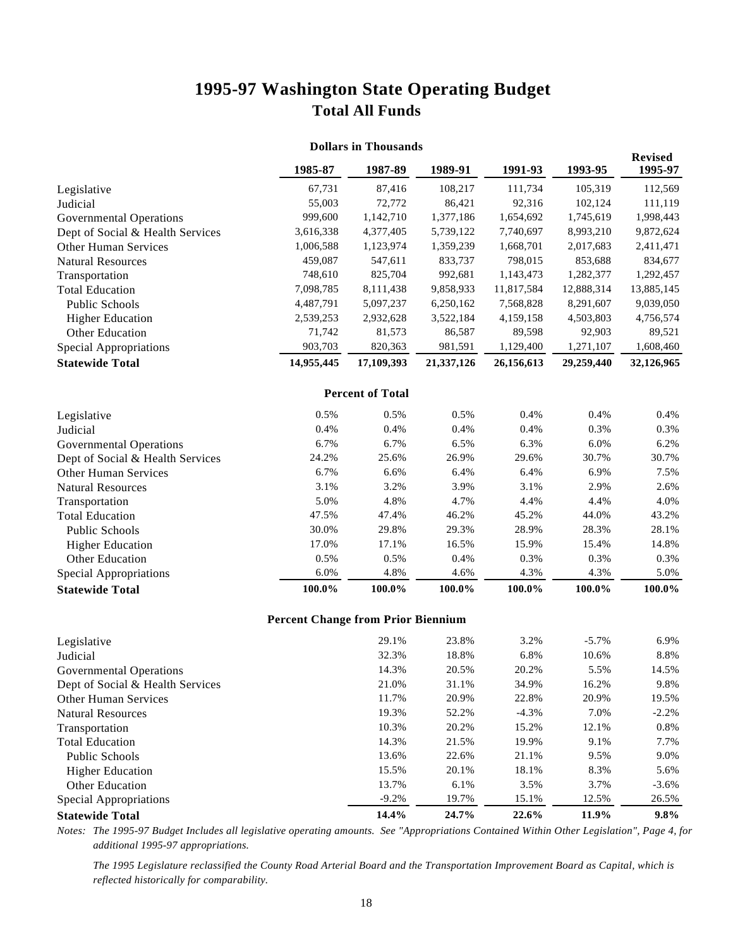## **1995-97 Washington State Operating Budget Total All Funds**

| <b>Dollars in Thousands</b> |            |                         |            |            |                           |
|-----------------------------|------------|-------------------------|------------|------------|---------------------------|
| 1985-87                     | 1987-89    | 1989-91                 | 1991-93    | 1993-95    | <b>Revised</b><br>1995-97 |
| 67,731                      | 87,416     | 108,217                 | 111,734    | 105,319    | 112,569                   |
| 55,003                      | 72,772     | 86,421                  | 92,316     | 102,124    | 111,119                   |
| 999,600                     | 1,142,710  | 1,377,186               | 1,654,692  | 1,745,619  | 1,998,443                 |
| 3,616,338                   | 4,377,405  | 5,739,122               | 7,740,697  | 8,993,210  | 9,872,624                 |
| 1,006,588                   | 1,123,974  | 1,359,239               | 1,668,701  | 2,017,683  | 2,411,471                 |
| 459,087                     | 547,611    | 833,737                 | 798,015    | 853,688    | 834,677                   |
| 748,610                     | 825,704    | 992,681                 | 1,143,473  | 1,282,377  | 1,292,457                 |
| 7,098,785                   | 8,111,438  | 9,858,933               | 11,817,584 | 12,888,314 | 13,885,145                |
| 4,487,791                   | 5,097,237  | 6,250,162               | 7,568,828  | 8,291,607  | 9,039,050                 |
| 2,539,253                   | 2,932,628  | 3,522,184               | 4,159,158  | 4,503,803  | 4,756,574                 |
| 71,742                      | 81,573     | 86,587                  | 89,598     | 92,903     | 89,521                    |
| 903,703                     | 820,363    | 981,591                 | 1,129,400  | 1,271,107  | 1,608,460                 |
| 14,955,445                  | 17,109,393 | 21,337,126              | 26,156,613 | 29,259,440 | 32,126,965                |
|                             |            |                         |            |            |                           |
| 0.5%                        | 0.5%       | 0.5%                    | 0.4%       | 0.4%       | 0.4%                      |
| 0.4%                        | 0.4%       | 0.4%                    | 0.4%       | 0.3%       | 0.3%                      |
| 6.7%                        | 6.7%       | 6.5%                    | 6.3%       | 6.0%       | 6.2%                      |
| 24.2%                       | 25.6%      | 26.9%                   | 29.6%      | 30.7%      | 30.7%                     |
| 6.7%                        | 6.6%       | 6.4%                    | 6.4%       | 6.9%       | 7.5%                      |
| 3.1%                        | 3.2%       | 3.9%                    | 3.1%       | 2.9%       | 2.6%                      |
| 5.0%                        | 4.8%       | 4.7%                    | 4.4%       | 4.4%       | 4.0%                      |
| 47.5%                       | 47.4%      | 46.2%                   | 45.2%      | 44.0%      | 43.2%                     |
| 30.0%                       | 29.8%      | 29.3%                   | 28.9%      | 28.3%      | 28.1%                     |
| 17.0%                       | 17.1%      | 16.5%                   | 15.9%      | 15.4%      | 14.8%                     |
| 0.5%                        | 0.5%       | 0.4%                    | 0.3%       | 0.3%       | 0.3%                      |
| 6.0%                        | 4.8%       | 4.6%                    | 4.3%       | 4.3%       | 5.0%                      |
| 100.0%                      | $100.0\%$  | 100.0%                  | 100.0%     | $100.0\%$  | $100.0\%$                 |
|                             |            | <b>Percent of Total</b> |            |            |                           |

#### **Percent Change from Prior Biennium**

| Legislative                      | 29.1%   | 23.8% | 3.2%    | $-5.7\%$ | 6.9%     |
|----------------------------------|---------|-------|---------|----------|----------|
| Judicial                         | 32.3%   | 18.8% | 6.8%    | 10.6%    | 8.8%     |
| Governmental Operations          | 14.3%   | 20.5% | 20.2%   | 5.5%     | 14.5%    |
| Dept of Social & Health Services | 21.0%   | 31.1% | 34.9%   | 16.2%    | 9.8%     |
| <b>Other Human Services</b>      | 11.7%   | 20.9% | 22.8%   | 20.9%    | 19.5%    |
| <b>Natural Resources</b>         | 19.3%   | 52.2% | $-4.3%$ | 7.0%     | $-2.2%$  |
| Transportation                   | 10.3%   | 20.2% | 15.2%   | 12.1%    | 0.8%     |
| <b>Total Education</b>           | 14.3%   | 21.5% | 19.9%   | 9.1%     | 7.7%     |
| Public Schools                   | 13.6%   | 22.6% | 21.1%   | 9.5%     | 9.0%     |
| <b>Higher Education</b>          | 15.5%   | 20.1% | 18.1%   | 8.3%     | 5.6%     |
| Other Education                  | 13.7%   | 6.1%  | 3.5%    | 3.7%     | $-3.6\%$ |
| Special Appropriations           | $-9.2%$ | 19.7% | 15.1%   | 12.5%    | 26.5%    |
| <b>Statewide Total</b>           | 14.4%   | 24.7% | 22.6%   | 11.9%    | 9.8%     |

*Notes: The 1995-97 Budget Includes all legislative operating amounts. See "Appropriations Contained Within Other Legislation", Page 4, for additional 1995-97 appropriations.*

*The 1995 Legislature reclassified the County Road Arterial Board and the Transportation Improvement Board as Capital, which is reflected historically for comparability.*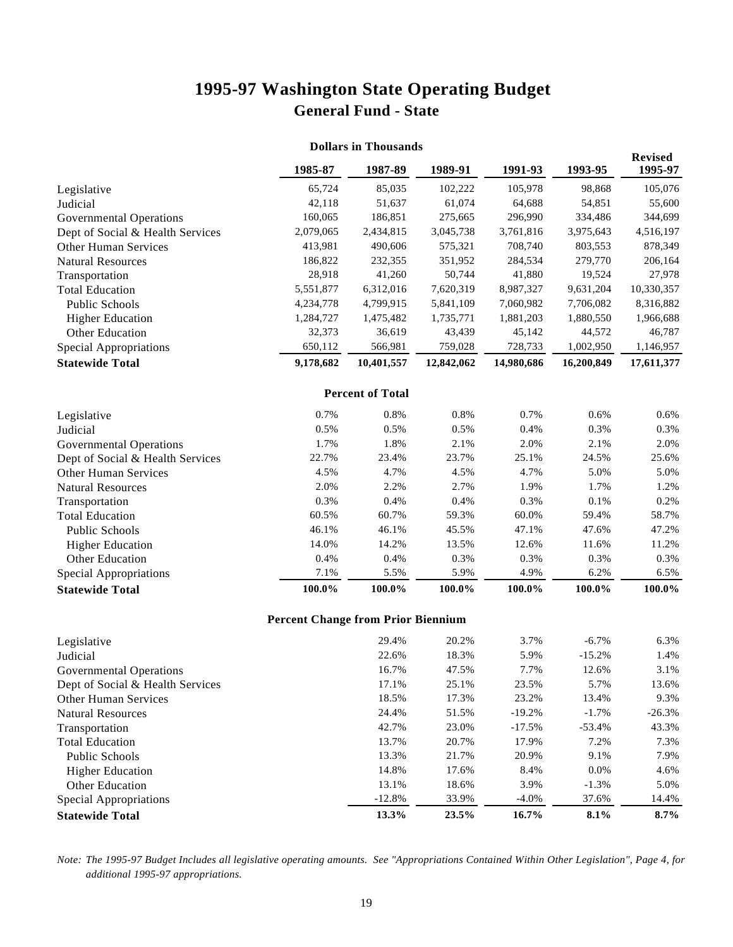# **1995-97 Washington State Operating Budget General Fund - State**

| <b>Dollars in Thousands</b>      |           |                         |            |            |            |                           |
|----------------------------------|-----------|-------------------------|------------|------------|------------|---------------------------|
|                                  | 1985-87   | 1987-89                 | 1989-91    | 1991-93    | 1993-95    | <b>Revised</b><br>1995-97 |
| Legislative                      | 65,724    | 85,035                  | 102,222    | 105,978    | 98,868     | 105,076                   |
| Judicial                         | 42,118    | 51,637                  | 61,074     | 64,688     | 54,851     | 55,600                    |
| <b>Governmental Operations</b>   | 160,065   | 186,851                 | 275,665    | 296,990    | 334,486    | 344,699                   |
| Dept of Social & Health Services | 2,079,065 | 2,434,815               | 3,045,738  | 3,761,816  | 3,975,643  | 4,516,197                 |
| <b>Other Human Services</b>      | 413,981   | 490,606                 | 575,321    | 708,740    | 803,553    | 878,349                   |
| <b>Natural Resources</b>         | 186,822   | 232,355                 | 351,952    | 284,534    | 279,770    | 206,164                   |
| Transportation                   | 28,918    | 41,260                  | 50,744     | 41,880     | 19,524     | 27,978                    |
| <b>Total Education</b>           | 5,551,877 | 6,312,016               | 7,620,319  | 8,987,327  | 9,631,204  | 10,330,357                |
| <b>Public Schools</b>            | 4,234,778 | 4,799,915               | 5,841,109  | 7,060,982  | 7,706,082  | 8,316,882                 |
| <b>Higher Education</b>          | 1,284,727 | 1,475,482               | 1,735,771  | 1,881,203  | 1,880,550  | 1,966,688                 |
| Other Education                  | 32,373    | 36,619                  | 43,439     | 45,142     | 44,572     | 46,787                    |
| <b>Special Appropriations</b>    | 650,112   | 566,981                 | 759,028    | 728,733    | 1,002,950  | 1,146,957                 |
| <b>Statewide Total</b>           | 9,178,682 | 10,401,557              | 12,842,062 | 14,980,686 | 16,200,849 | 17,611,377                |
|                                  |           | <b>Percent of Total</b> |            |            |            |                           |
| Legislative                      | 0.7%      | 0.8%                    | 0.8%       | 0.7%       | 0.6%       | 0.6%                      |
| Judicial                         | 0.5%      | 0.5%                    | 0.5%       | 0.4%       | 0.3%       | 0.3%                      |
| <b>Governmental Operations</b>   | 1.7%      | 1.8%                    | 2.1%       | 2.0%       | 2.1%       | 2.0%                      |
| Dept of Social & Health Services | 22.7%     | 23.4%                   | 23.7%      | 25.1%      | 24.5%      | 25.6%                     |
| <b>Other Human Services</b>      | 4.5%      | 4.7%                    | 4.5%       | 4.7%       | 5.0%       | 5.0%                      |
| <b>Natural Resources</b>         | 2.0%      | 2.2%                    | 2.7%       | 1.9%       | 1.7%       | 1.2%                      |
| Transportation                   | 0.3%      | 0.4%                    | 0.4%       | 0.3%       | 0.1%       | 0.2%                      |
| <b>Total Education</b>           | 60.5%     | 60.7%                   | 59.3%      | 60.0%      | 59.4%      | 58.7%                     |
| <b>Public Schools</b>            | 46.1%     | 46.1%                   | 45.5%      | 47.1%      | 47.6%      | 47.2%                     |
| <b>Higher Education</b>          | 14.0%     | 14.2%                   | 13.5%      | 12.6%      | 11.6%      | 11.2%                     |
| Other Education                  | 0.4%      | 0.4%                    | 0.3%       | 0.3%       | 0.3%       | 0.3%                      |
| <b>Special Appropriations</b>    | 7.1%      | 5.5%                    | 5.9%       | 4.9%       | 6.2%       | 6.5%                      |
| <b>Statewide Total</b>           | 100.0%    | 100.0%                  | 100.0%     | 100.0%     | 100.0%     | 100.0%                    |

#### **Percent Change from Prior Biennium**

| Legislative                      | 29.4%    | 20.2% | 3.7%     | $-6.7\%$ | 6.3%     |
|----------------------------------|----------|-------|----------|----------|----------|
| Judicial                         | 22.6%    | 18.3% | 5.9%     | $-15.2%$ | 1.4%     |
| Governmental Operations          | 16.7%    | 47.5% | 7.7%     | 12.6%    | 3.1%     |
| Dept of Social & Health Services | 17.1%    | 25.1% | 23.5%    | 5.7%     | 13.6%    |
| <b>Other Human Services</b>      | 18.5%    | 17.3% | 23.2%    | 13.4%    | 9.3%     |
| <b>Natural Resources</b>         | 24.4%    | 51.5% | $-19.2%$ | $-1.7\%$ | $-26.3%$ |
| Transportation                   | 42.7%    | 23.0% | $-17.5%$ | $-53.4%$ | 43.3%    |
| <b>Total Education</b>           | 13.7%    | 20.7% | 17.9%    | 7.2%     | 7.3%     |
| Public Schools                   | 13.3%    | 21.7% | 20.9%    | 9.1%     | 7.9%     |
| <b>Higher Education</b>          | 14.8%    | 17.6% | 8.4%     | $0.0\%$  | 4.6%     |
| <b>Other Education</b>           | 13.1%    | 18.6% | 3.9%     | $-1.3\%$ | 5.0%     |
| Special Appropriations           | $-12.8%$ | 33.9% | $-4.0\%$ | 37.6%    | 14.4%    |
| <b>Statewide Total</b>           | 13.3%    | 23.5% | 16.7%    | 8.1%     | $8.7\%$  |

*Note: The 1995-97 Budget Includes all legislative operating amounts. See "Appropriations Contained Within Other Legislation", Page 4, for additional 1995-97 appropriations.*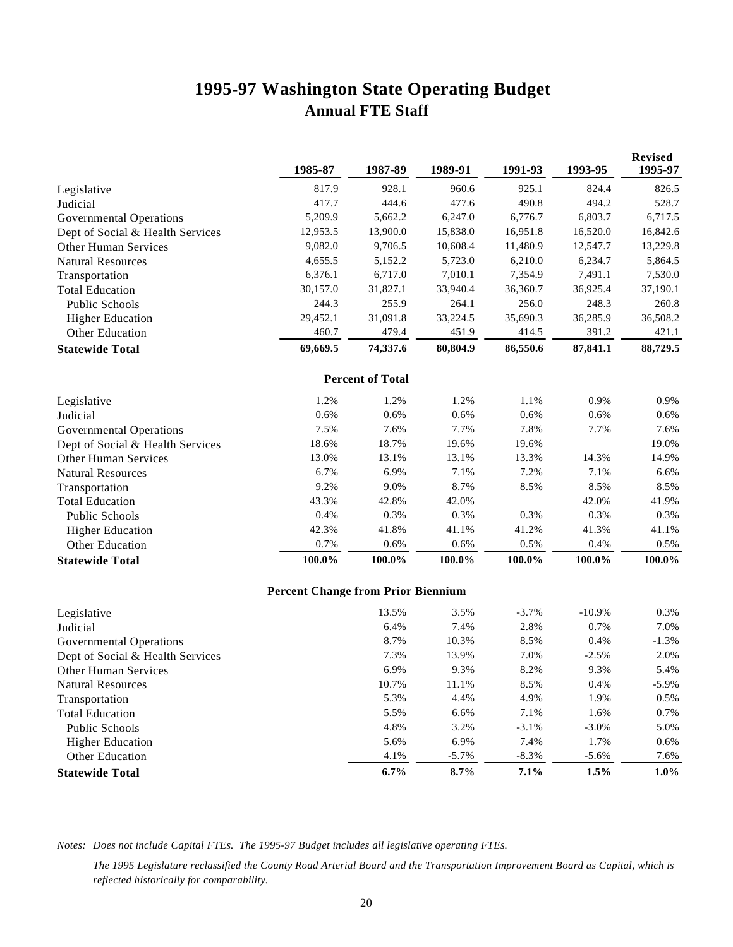# **1995-97 Washington State Operating Budget Annual FTE Staff**

|                                  | 1985-87                                   | 1987-89                 | 1989-91  | 1991-93  | 1993-95  | <b>Revised</b><br>1995-97 |
|----------------------------------|-------------------------------------------|-------------------------|----------|----------|----------|---------------------------|
| Legislative                      | 817.9                                     | 928.1                   | 960.6    | 925.1    | 824.4    | 826.5                     |
| Judicial                         | 417.7                                     | 444.6                   | 477.6    | 490.8    | 494.2    | 528.7                     |
| <b>Governmental Operations</b>   | 5,209.9                                   | 5,662.2                 | 6,247.0  | 6,776.7  | 6,803.7  | 6,717.5                   |
| Dept of Social & Health Services | 12,953.5                                  | 13,900.0                | 15,838.0 | 16,951.8 | 16,520.0 | 16,842.6                  |
| Other Human Services             | 9,082.0                                   | 9,706.5                 | 10,608.4 | 11,480.9 | 12,547.7 | 13,229.8                  |
| <b>Natural Resources</b>         | 4,655.5                                   | 5,152.2                 | 5,723.0  | 6,210.0  | 6,234.7  | 5,864.5                   |
| Transportation                   | 6,376.1                                   | 6,717.0                 | 7,010.1  | 7,354.9  | 7,491.1  | 7,530.0                   |
| <b>Total Education</b>           | 30,157.0                                  | 31,827.1                | 33,940.4 | 36,360.7 | 36,925.4 | 37,190.1                  |
| Public Schools                   | 244.3                                     | 255.9                   | 264.1    | 256.0    | 248.3    | 260.8                     |
| <b>Higher Education</b>          | 29,452.1                                  | 31,091.8                | 33,224.5 | 35,690.3 | 36,285.9 | 36,508.2                  |
| Other Education                  | 460.7                                     | 479.4                   | 451.9    | 414.5    | 391.2    | 421.1                     |
| <b>Statewide Total</b>           | 69,669.5                                  | 74,337.6                | 80,804.9 | 86,550.6 | 87,841.1 | 88,729.5                  |
|                                  |                                           | <b>Percent of Total</b> |          |          |          |                           |
| Legislative                      | 1.2%                                      | 1.2%                    | 1.2%     | 1.1%     | 0.9%     | 0.9%                      |
| Judicial                         | 0.6%                                      | 0.6%                    | 0.6%     | 0.6%     | 0.6%     | 0.6%                      |
| <b>Governmental Operations</b>   | 7.5%                                      | 7.6%                    | 7.7%     | 7.8%     | 7.7%     | 7.6%                      |
| Dept of Social & Health Services | 18.6%                                     | 18.7%                   | 19.6%    | 19.6%    |          | 19.0%                     |
| Other Human Services             | 13.0%                                     | 13.1%                   | 13.1%    | 13.3%    | 14.3%    | 14.9%                     |
| <b>Natural Resources</b>         | 6.7%                                      | 6.9%                    | 7.1%     | 7.2%     | 7.1%     | 6.6%                      |
| Transportation                   | 9.2%                                      | 9.0%                    | 8.7%     | 8.5%     | 8.5%     | 8.5%                      |
| <b>Total Education</b>           | 43.3%                                     | 42.8%                   | 42.0%    |          | 42.0%    | 41.9%                     |
| Public Schools                   | 0.4%                                      | 0.3%                    | 0.3%     | 0.3%     | 0.3%     | 0.3%                      |
| <b>Higher Education</b>          | 42.3%                                     | 41.8%                   | 41.1%    | 41.2%    | 41.3%    | 41.1%                     |
| Other Education                  | 0.7%                                      | 0.6%                    | 0.6%     | 0.5%     | 0.4%     | 0.5%                      |
| <b>Statewide Total</b>           | 100.0%                                    | 100.0%                  | 100.0%   | 100.0%   | 100.0%   | 100.0%                    |
|                                  | <b>Percent Change from Prior Biennium</b> |                         |          |          |          |                           |
| Legislative                      |                                           | 13.5%                   | 3.5%     | $-3.7%$  | $-10.9%$ | 0.3%                      |
| Judicial                         |                                           | 6.4%                    | 7.4%     | 2.8%     | 0.7%     | 7.0%                      |
| <b>Governmental Operations</b>   |                                           | 8.7%                    | 10.3%    | 8.5%     | 0.4%     | $-1.3%$                   |
| Dept of Social & Health Services |                                           | 7.3%                    | 13.9%    | 7.0%     | $-2.5%$  | 2.0%                      |
| <b>Other Human Services</b>      |                                           | 6.9%                    | 9.3%     | 8.2%     | 9.3%     | 5.4%                      |
| <b>Natural Resources</b>         |                                           | 10.7%                   | 11.1%    | 8.5%     | 0.4%     | $-5.9%$                   |
| Transportation                   |                                           | 5.3%                    | 4.4%     | 4.9%     | 1.9%     | $0.5\%$                   |
| <b>Total Education</b>           |                                           | 5.5%                    | 6.6%     | 7.1%     | 1.6%     | 0.7%                      |
| Public Schools                   |                                           | 4.8%                    | 3.2%     | $-3.1%$  | $-3.0%$  | 5.0%                      |
| <b>Higher Education</b>          |                                           | 5.6%                    | 6.9%     | 7.4%     | 1.7%     | 0.6%                      |
| Other Education                  |                                           | 4.1%                    | $-5.7%$  | $-8.3%$  | $-5.6%$  | 7.6%                      |
| <b>Statewide Total</b>           |                                           | 6.7%                    | 8.7%     | 7.1%     | 1.5%     | $1.0\%$                   |

*Notes: Does not include Capital FTEs. The 1995-97 Budget includes all legislative operating FTEs.*

*The 1995 Legislature reclassified the County Road Arterial Board and the Transportation Improvement Board as Capital, which is reflected historically for comparability.*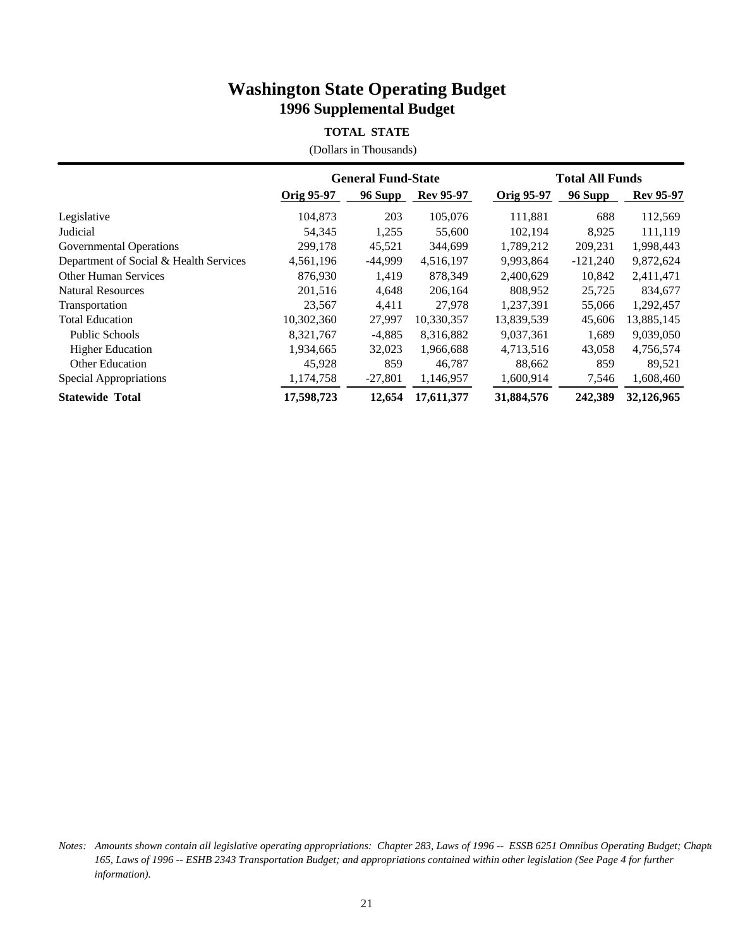#### **TOTAL STATE**

(Dollars in Thousands)

|                                        |                   | <b>General Fund-State</b> |                  |                   | <b>Total All Funds</b> |                  |
|----------------------------------------|-------------------|---------------------------|------------------|-------------------|------------------------|------------------|
|                                        | <b>Orig 95-97</b> | 96 Supp                   | <b>Rev 95-97</b> | <b>Orig 95-97</b> | 96 Supp                | <b>Rev 95-97</b> |
| Legislative                            | 104,873           | 203                       | 105,076          | 111,881           | 688                    | 112,569          |
| Judicial                               | 54,345            | 1,255                     | 55,600           | 102,194           | 8.925                  | 111,119          |
| Governmental Operations                | 299,178           | 45,521                    | 344,699          | 1,789,212         | 209,231                | 1,998,443        |
| Department of Social & Health Services | 4,561,196         | $-44,999$                 | 4,516,197        | 9,993,864         | $-121,240$             | 9,872,624        |
| <b>Other Human Services</b>            | 876,930           | 1.419                     | 878,349          | 2,400,629         | 10,842                 | 2,411,471        |
| <b>Natural Resources</b>               | 201,516           | 4,648                     | 206.164          | 808,952           | 25,725                 | 834,677          |
| Transportation                         | 23,567            | 4,411                     | 27,978           | 1,237,391         | 55,066                 | 1,292,457        |
| <b>Total Education</b>                 | 10,302,360        | 27.997                    | 10,330,357       | 13,839,539        | 45,606                 | 13,885,145       |
| <b>Public Schools</b>                  | 8,321,767         | $-4,885$                  | 8,316,882        | 9,037,361         | 1,689                  | 9,039,050        |
| <b>Higher Education</b>                | 1,934,665         | 32,023                    | 1,966,688        | 4,713,516         | 43,058                 | 4,756,574        |
| <b>Other Education</b>                 | 45,928            | 859                       | 46,787           | 88,662            | 859                    | 89,521           |
| Special Appropriations                 | 1,174,758         | $-27,801$                 | 1,146,957        | 1,600,914         | 7,546                  | 1,608,460        |
| <b>Statewide Total</b>                 | 17,598,723        | 12,654                    | 17,611,377       | 31,884,576        | 242,389                | 32,126,965       |

*Notes: Amounts shown contain all legislative operating appropriations: Chapter 283, Laws of 1996 -- ESSB 6251 Omnibus Operating Budget; Chapte 165, Laws of 1996 -- ESHB 2343 Transportation Budget; and appropriations contained within other legislation (See Page 4 for further information).*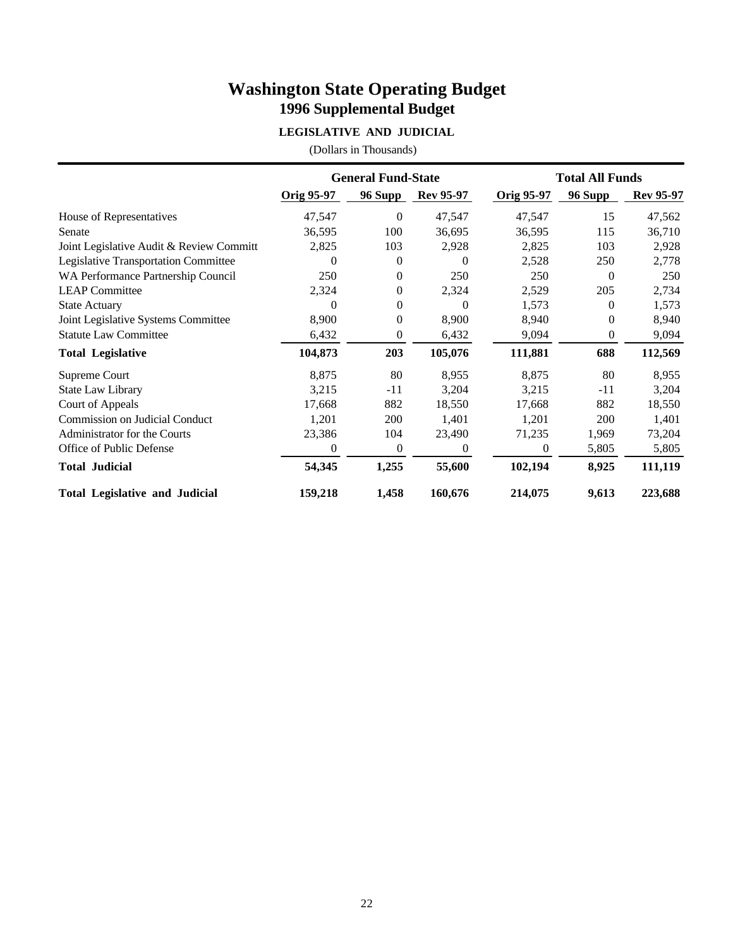### **LEGISLATIVE AND JUDICIAL**

|                                          |                   | <b>General Fund-State</b> |                  |                   | <b>Total All Funds</b> |                  |
|------------------------------------------|-------------------|---------------------------|------------------|-------------------|------------------------|------------------|
|                                          | <b>Orig 95-97</b> | 96 Supp                   | <b>Rev 95-97</b> | <b>Orig 95-97</b> | 96 Supp                | <b>Rev 95-97</b> |
| House of Representatives                 | 47,547            | $\overline{0}$            | 47,547           | 47,547            | 15                     | 47,562           |
| Senate                                   | 36,595            | 100                       | 36,695           | 36,595            | 115                    | 36,710           |
| Joint Legislative Audit & Review Committ | 2,825             | 103                       | 2,928            | 2,825             | 103                    | 2,928            |
| Legislative Transportation Committee     | 0                 | $\Omega$                  | $\Omega$         | 2,528             | 250                    | 2,778            |
| WA Performance Partnership Council       | 250               | $\overline{0}$            | 250              | 250               | $\Omega$               | 250              |
| <b>LEAP Committee</b>                    | 2,324             | $\overline{0}$            | 2,324            | 2,529             | 205                    | 2,734            |
| <b>State Actuary</b>                     | 0                 | $\Omega$                  | $\Omega$         | 1,573             | $\Omega$               | 1,573            |
| Joint Legislative Systems Committee      | 8,900             | $\overline{0}$            | 8,900            | 8,940             | 0                      | 8,940            |
| <b>Statute Law Committee</b>             | 6,432             | 0                         | 6,432            | 9,094             | 0                      | 9,094            |
| <b>Total Legislative</b>                 | 104,873           | 203                       | 105,076          | 111,881           | 688                    | 112,569          |
| Supreme Court                            | 8,875             | 80                        | 8,955            | 8,875             | 80                     | 8,955            |
| <b>State Law Library</b>                 | 3,215             | $-11$                     | 3,204            | 3,215             | $-11$                  | 3,204            |
| Court of Appeals                         | 17,668            | 882                       | 18,550           | 17,668            | 882                    | 18,550           |
| Commission on Judicial Conduct           | 1,201             | 200                       | 1,401            | 1,201             | 200                    | 1,401            |
| Administrator for the Courts             | 23,386            | 104                       | 23,490           | 71,235            | 1,969                  | 73,204           |
| Office of Public Defense                 | $\overline{0}$    | $\boldsymbol{0}$          | $\mathbf{0}$     | $\theta$          | 5,805                  | 5,805            |
| <b>Total Judicial</b>                    | 54,345            | 1,255                     | 55,600           | 102,194           | 8,925                  | 111,119          |
| <b>Total Legislative and Judicial</b>    | 159,218           | 1,458                     | 160,676          | 214,075           | 9,613                  | 223,688          |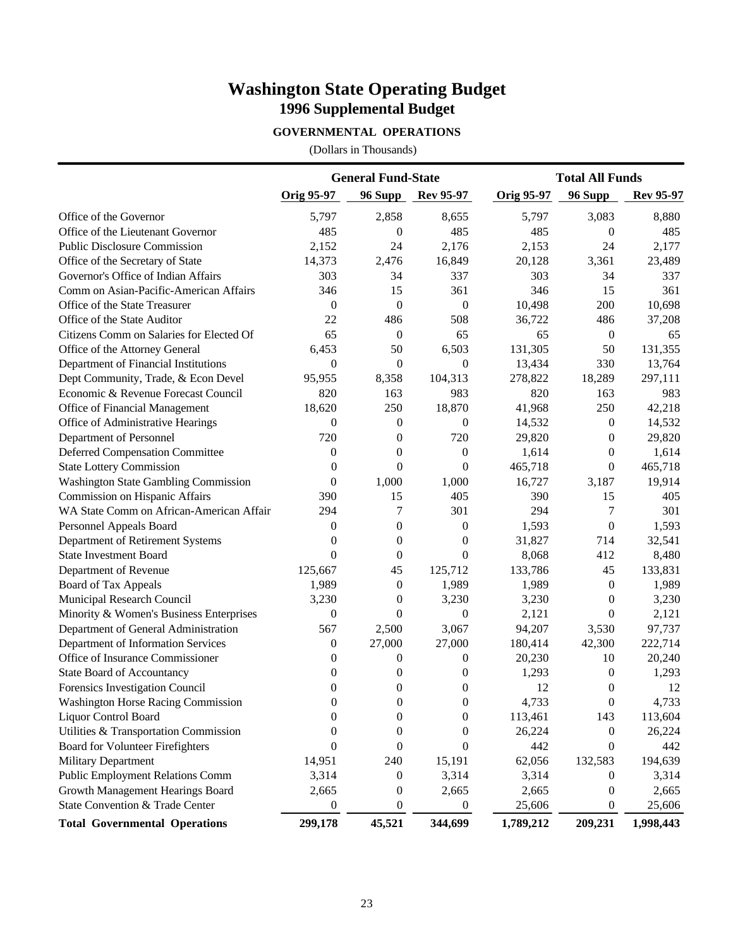### **GOVERNMENTAL OPERATIONS**

|                                          |                  | <b>General Fund-State</b> |                  |                   | <b>Total All Funds</b> |                  |  |
|------------------------------------------|------------------|---------------------------|------------------|-------------------|------------------------|------------------|--|
|                                          | Orig 95-97       | 96 Supp                   | <b>Rev 95-97</b> | <b>Orig 95-97</b> | 96 Supp                | <b>Rev 95-97</b> |  |
| Office of the Governor                   | 5,797            | 2,858                     | 8,655            | 5,797             | 3,083                  | 8,880            |  |
| Office of the Lieutenant Governor        | 485              | $\theta$                  | 485              | 485               | $\Omega$               | 485              |  |
| <b>Public Disclosure Commission</b>      | 2,152            | 24                        | 2,176            | 2,153             | 24                     | 2,177            |  |
| Office of the Secretary of State         | 14,373           | 2,476                     | 16,849           | 20,128            | 3,361                  | 23,489           |  |
| Governor's Office of Indian Affairs      | 303              | 34                        | 337              | 303               | 34                     | 337              |  |
| Comm on Asian-Pacific-American Affairs   | 346              | 15                        | 361              | 346               | 15                     | 361              |  |
| Office of the State Treasurer            | $\mathbf{0}$     | $\overline{0}$            | $\boldsymbol{0}$ | 10,498            | 200                    | 10,698           |  |
| Office of the State Auditor              | 22               | 486                       | 508              | 36,722            | 486                    | 37,208           |  |
| Citizens Comm on Salaries for Elected Of | 65               | $\theta$                  | 65               | 65                | $\mathbf{0}$           | 65               |  |
| Office of the Attorney General           | 6,453            | 50                        | 6,503            | 131,305           | 50                     | 131,355          |  |
| Department of Financial Institutions     | $\theta$         | $\overline{0}$            | $\boldsymbol{0}$ | 13,434            | 330                    | 13,764           |  |
| Dept Community, Trade, & Econ Devel      | 95,955           | 8,358                     | 104,313          | 278,822           | 18,289                 | 297,111          |  |
| Economic & Revenue Forecast Council      | 820              | 163                       | 983              | 820               | 163                    | 983              |  |
| Office of Financial Management           | 18,620           | 250                       | 18,870           | 41,968            | 250                    | 42,218           |  |
| Office of Administrative Hearings        | $\theta$         | 0                         | $\boldsymbol{0}$ | 14,532            | $\boldsymbol{0}$       | 14,532           |  |
| Department of Personnel                  | 720              | 0                         | 720              | 29,820            | $\overline{0}$         | 29,820           |  |
| <b>Deferred Compensation Committee</b>   | $\boldsymbol{0}$ | 0                         | $\boldsymbol{0}$ | 1,614             | $\overline{0}$         | 1,614            |  |
| <b>State Lottery Commission</b>          | $\boldsymbol{0}$ | $\overline{0}$            | $\boldsymbol{0}$ | 465,718           | $\overline{0}$         | 465,718          |  |
| Washington State Gambling Commission     | $\overline{0}$   | 1,000                     | 1,000            | 16,727            | 3,187                  | 19,914           |  |
| Commission on Hispanic Affairs           | 390              | 15                        | 405              | 390               | 15                     | 405              |  |
| WA State Comm on African-American Affair | 294              | 7                         | 301              | 294               | 7                      | 301              |  |
| Personnel Appeals Board                  | $\theta$         | $\theta$                  | $\boldsymbol{0}$ | 1,593             | $\theta$               | 1,593            |  |
| Department of Retirement Systems         | $\Omega$         | $\Omega$                  | $\boldsymbol{0}$ | 31,827            | 714                    | 32,541           |  |
| <b>State Investment Board</b>            | $\Omega$         | $\overline{0}$            | $\overline{0}$   | 8,068             | 412                    | 8,480            |  |
| Department of Revenue                    | 125,667          | 45                        | 125,712          | 133,786           | 45                     | 133,831          |  |
| Board of Tax Appeals                     | 1,989            | $\mathbf{0}$              | 1,989            | 1,989             | $\theta$               | 1,989            |  |
| Municipal Research Council               | 3,230            | $\theta$                  | 3,230            | 3,230             | $\theta$               | 3,230            |  |
| Minority & Women's Business Enterprises  | $\theta$         | $\overline{0}$            | $\boldsymbol{0}$ | 2,121             | $\theta$               | 2,121            |  |
| Department of General Administration     | 567              | 2,500                     | 3,067            | 94,207            | 3,530                  | 97,737           |  |
| Department of Information Services       | $\theta$         | 27,000                    | 27,000           | 180,414           | 42,300                 | 222,714          |  |
| Office of Insurance Commissioner         | 0                | $\theta$                  | $\boldsymbol{0}$ | 20,230            | 10                     | 20,240           |  |
| <b>State Board of Accountancy</b>        | 0                | 0                         | $\theta$         | 1,293             | $\overline{0}$         | 1,293            |  |
| Forensics Investigation Council          | 0                | 0                         | $\boldsymbol{0}$ | 12                | $\theta$               | 12               |  |
| Washington Horse Racing Commission       | $\boldsymbol{0}$ | $\boldsymbol{0}$          | $\boldsymbol{0}$ | 4,733             | $\boldsymbol{0}$       | 4,733            |  |
| <b>Liquor Control Board</b>              | $\boldsymbol{0}$ | $\boldsymbol{0}$          | $\boldsymbol{0}$ | 113,461           | 143                    | 113,604          |  |
| Utilities & Transportation Commission    | $\boldsymbol{0}$ | $\boldsymbol{0}$          | $\boldsymbol{0}$ | 26,224            | $\boldsymbol{0}$       | 26,224           |  |
| <b>Board for Volunteer Firefighters</b>  | $\theta$         | $\overline{0}$            | $\boldsymbol{0}$ | 442               | $\theta$               | 442              |  |
| <b>Military Department</b>               | 14,951           | 240                       | 15,191           | 62,056            | 132,583                | 194,639          |  |
| <b>Public Employment Relations Comm</b>  | 3,314            | 0                         | 3,314            | 3,314             | $\boldsymbol{0}$       | 3,314            |  |
| Growth Management Hearings Board         | 2,665            | 0                         | 2,665            | 2,665             | $\boldsymbol{0}$       | 2,665            |  |
| State Convention & Trade Center          | $\boldsymbol{0}$ | 0                         | $\boldsymbol{0}$ | 25,606            | $\boldsymbol{0}$       | 25,606           |  |
| <b>Total Governmental Operations</b>     | 299,178          | 45,521                    | 344,699          | 1,789,212         | 209,231                | 1,998,443        |  |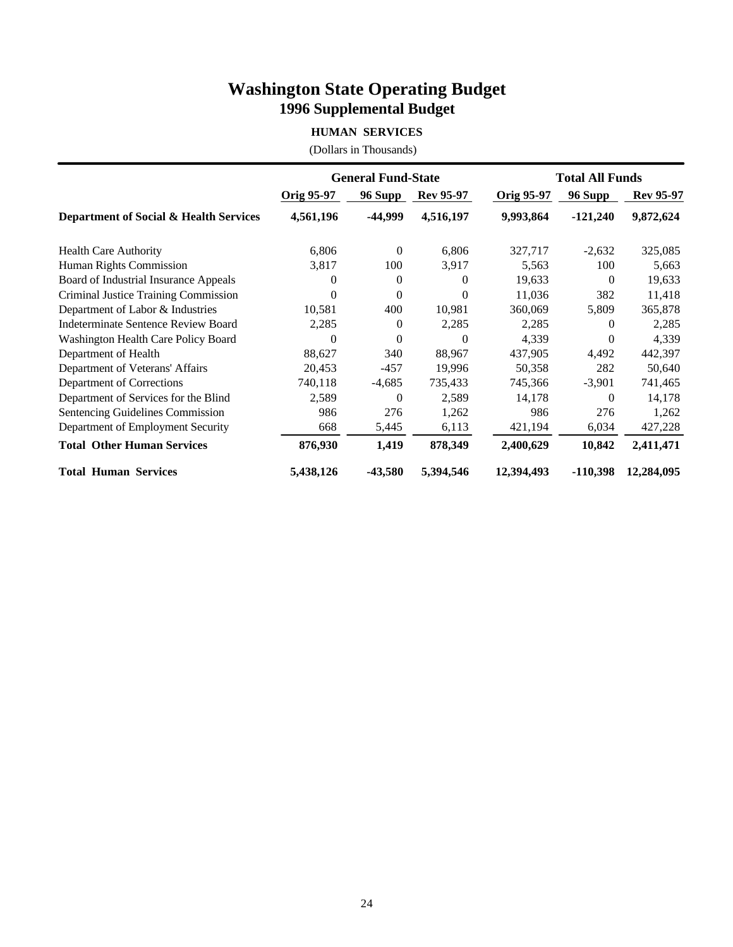### **HUMAN SERVICES**

|                                        |                   | <b>General Fund-State</b> |                  |                   | <b>Total All Funds</b> |                  |
|----------------------------------------|-------------------|---------------------------|------------------|-------------------|------------------------|------------------|
|                                        | <b>Orig 95-97</b> | <b>96 Supp</b>            | <b>Rev 95-97</b> | <b>Orig 95-97</b> | 96 Supp                | <b>Rev 95-97</b> |
| Department of Social & Health Services | 4,561,196         | -44,999                   | 4,516,197        | 9,993,864         | $-121,240$             | 9,872,624        |
| <b>Health Care Authority</b>           | 6,806             | $\overline{0}$            | 6,806            | 327,717           | $-2,632$               | 325,085          |
| Human Rights Commission                | 3,817             | 100                       | 3,917            | 5,563             | 100                    | 5,663            |
| Board of Industrial Insurance Appeals  | $\Omega$          | $\theta$                  | $\Omega$         | 19,633            | $\theta$               | 19,633           |
| Criminal Justice Training Commission   | $\Omega$          | $\theta$                  | $\theta$         | 11,036            | 382                    | 11,418           |
| Department of Labor & Industries       | 10,581            | 400                       | 10,981           | 360,069           | 5,809                  | 365,878          |
| Indeterminate Sentence Review Board    | 2,285             | $\Omega$                  | 2,285            | 2,285             | 0                      | 2,285            |
| Washington Health Care Policy Board    | $\Omega$          | $\mathbf{0}$              | $\Omega$         | 4,339             | 0                      | 4,339            |
| Department of Health                   | 88,627            | 340                       | 88,967           | 437,905           | 4,492                  | 442,397          |
| Department of Veterans' Affairs        | 20,453            | $-457$                    | 19,996           | 50,358            | 282                    | 50,640           |
| Department of Corrections              | 740,118           | $-4,685$                  | 735,433          | 745,366           | $-3,901$               | 741,465          |
| Department of Services for the Blind   | 2,589             | $\theta$                  | 2,589            | 14,178            | $\Omega$               | 14,178           |
| Sentencing Guidelines Commission       | 986               | 276                       | 1,262            | 986               | 276                    | 1,262            |
| Department of Employment Security      | 668               | 5,445                     | 6,113            | 421,194           | 6,034                  | 427,228          |
| <b>Total Other Human Services</b>      | 876,930           | 1,419                     | 878,349          | 2,400,629         | 10,842                 | 2,411,471        |
| <b>Total Human Services</b>            | 5,438,126         | $-43,580$                 | 5,394,546        | 12,394,493        | $-110,398$             | 12,284,095       |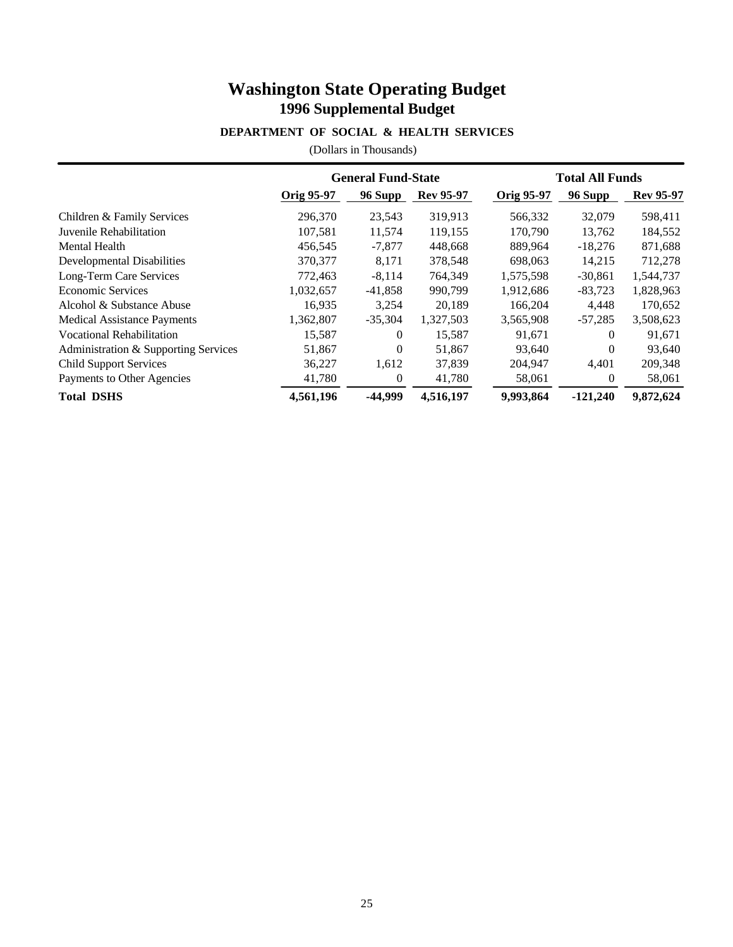### **DEPARTMENT OF SOCIAL & HEALTH SERVICES**

|                                      |            | <b>General Fund-State</b> |                  |            | <b>Total All Funds</b> |                  |  |  |
|--------------------------------------|------------|---------------------------|------------------|------------|------------------------|------------------|--|--|
|                                      | Orig 95-97 | 96 Supp                   | <b>Rev 95-97</b> | Orig 95-97 | 96 Supp                | <b>Rev 95-97</b> |  |  |
| Children & Family Services           | 296,370    | 23,543                    | 319,913          | 566,332    | 32,079                 | 598,411          |  |  |
| Juvenile Rehabilitation              | 107.581    | 11,574                    | 119.155          | 170,790    | 13.762                 | 184,552          |  |  |
| Mental Health                        | 456,545    | $-7,877$                  | 448,668          | 889,964    | $-18,276$              | 871,688          |  |  |
| <b>Developmental Disabilities</b>    | 370,377    | 8,171                     | 378,548          | 698,063    | 14.215                 | 712,278          |  |  |
| Long-Term Care Services              | 772.463    | $-8.114$                  | 764,349          | 1,575,598  | $-30,861$              | 1,544,737        |  |  |
| <b>Economic Services</b>             | 1,032,657  | $-41,858$                 | 990,799          | 1,912,686  | $-83,723$              | 1,828,963        |  |  |
| Alcohol & Substance Abuse            | 16,935     | 3,254                     | 20.189           | 166,204    | 4,448                  | 170,652          |  |  |
| <b>Medical Assistance Payments</b>   | 1,362,807  | $-35,304$                 | 1,327,503        | 3,565,908  | $-57,285$              | 3,508,623        |  |  |
| <b>Vocational Rehabilitation</b>     | 15,587     | $\theta$                  | 15,587           | 91,671     | 0                      | 91,671           |  |  |
| Administration & Supporting Services | 51,867     | $\mathbf{0}$              | 51,867           | 93,640     | $\theta$               | 93,640           |  |  |
| <b>Child Support Services</b>        | 36,227     | 1,612                     | 37,839           | 204,947    | 4,401                  | 209,348          |  |  |
| Payments to Other Agencies           | 41,780     | 0                         | 41,780           | 58,061     | 0                      | 58,061           |  |  |
| <b>Total DSHS</b>                    | 4,561,196  | -44,999                   | 4,516,197        | 9,993,864  | $-121,240$             | 9,872,624        |  |  |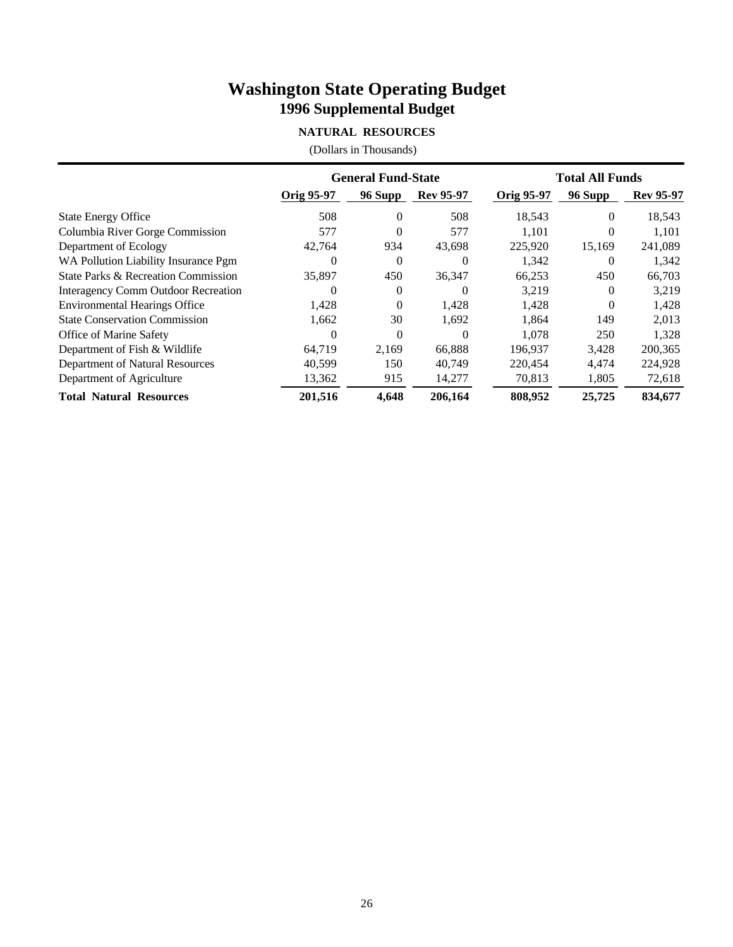### **NATURAL RESOURCES**

|                                      | <b>General Fund-State</b> |          |                  | <b>Total All Funds</b> |          |                  |
|--------------------------------------|---------------------------|----------|------------------|------------------------|----------|------------------|
|                                      | Orig 95-97                | 96 Supp  | <b>Rev 95-97</b> | Orig 95-97             | 96 Supp  | <b>Rev 95-97</b> |
| <b>State Energy Office</b>           | 508                       | $\Omega$ | 508              | 18,543                 | $\Omega$ | 18,543           |
| Columbia River Gorge Commission      | 577                       | $\Omega$ | 577              | 1.101                  | $\Omega$ | 1,101            |
| Department of Ecology                | 42.764                    | 934      | 43,698           | 225,920                | 15,169   | 241,089          |
| WA Pollution Liability Insurance Pgm |                           | $\Omega$ | $\Omega$         | 1,342                  | $\Omega$ | 1,342            |
| State Parks & Recreation Commission  | 35,897                    | 450      | 36,347           | 66,253                 | 450      | 66,703           |
| Interagency Comm Outdoor Recreation  | $^{(1)}$                  | $\Omega$ | $\Omega$         | 3,219                  | $\Omega$ | 3,219            |
| <b>Environmental Hearings Office</b> | 1,428                     | $\Omega$ | 1,428            | 1,428                  | $\Omega$ | 1,428            |
| <b>State Conservation Commission</b> | 1,662                     | 30       | 1,692            | 1,864                  | 149      | 2,013            |
| Office of Marine Safety              | $\Omega$                  | $\Omega$ | $\Omega$         | 1.078                  | 250      | 1,328            |
| Department of Fish & Wildlife        | 64,719                    | 2.169    | 66,888           | 196.937                | 3,428    | 200,365          |
| Department of Natural Resources      | 40,599                    | 150      | 40,749           | 220,454                | 4.474    | 224,928          |
| Department of Agriculture            | 13,362                    | 915      | 14,277           | 70,813                 | 1,805    | 72,618           |
| <b>Total Natural Resources</b>       | 201,516                   | 4.648    | 206,164          | 808,952                | 25,725   | 834,677          |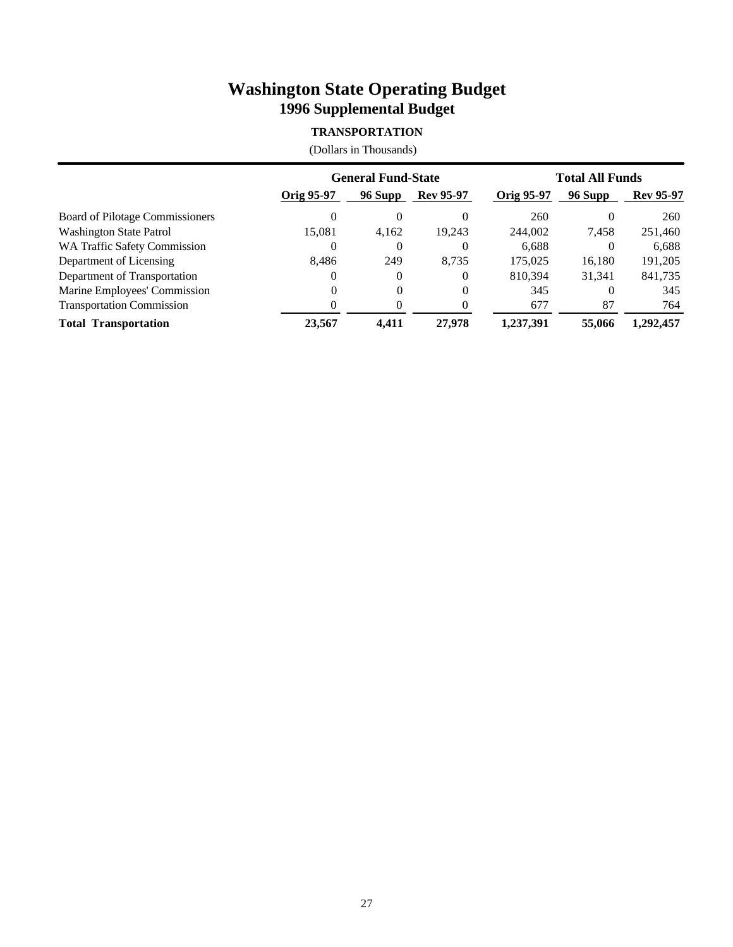### **TRANSPORTATION**

|                                     | <b>General Fund-State</b> |          |                  | <b>Total All Funds</b> |          |                  |
|-------------------------------------|---------------------------|----------|------------------|------------------------|----------|------------------|
|                                     | Orig 95-97                | 96 Supp  | <b>Rev 95-97</b> | Orig 95-97             | 96 Supp  | <b>Rev 95-97</b> |
| Board of Pilotage Commissioners     | $\Omega$                  | 0        | $\theta$         | 260                    | $\theta$ | 260              |
| <b>Washington State Patrol</b>      | 15.081                    | 4,162    | 19.243           | 244,002                | 7,458    | 251,460          |
| <b>WA Traffic Safety Commission</b> | $\Omega$                  | 0        | 0                | 6,688                  | $\Omega$ | 6,688            |
| Department of Licensing             | 8,486                     | 249      | 8.735            | 175,025                | 16,180   | 191,205          |
| Department of Transportation        | $^{(1)}$                  | $\Omega$ | $\Omega$         | 810.394                | 31,341   | 841,735          |
| Marine Employees' Commission        |                           | $\Omega$ | $\theta$         | 345                    | $\Omega$ | 345              |
| <b>Transportation Commission</b>    |                           |          | $\theta$         | 677                    | 87       | 764              |
| <b>Total Transportation</b>         | 23.567                    | 4.411    | 27,978           | 1.237.391              | 55,066   | 1.292.457        |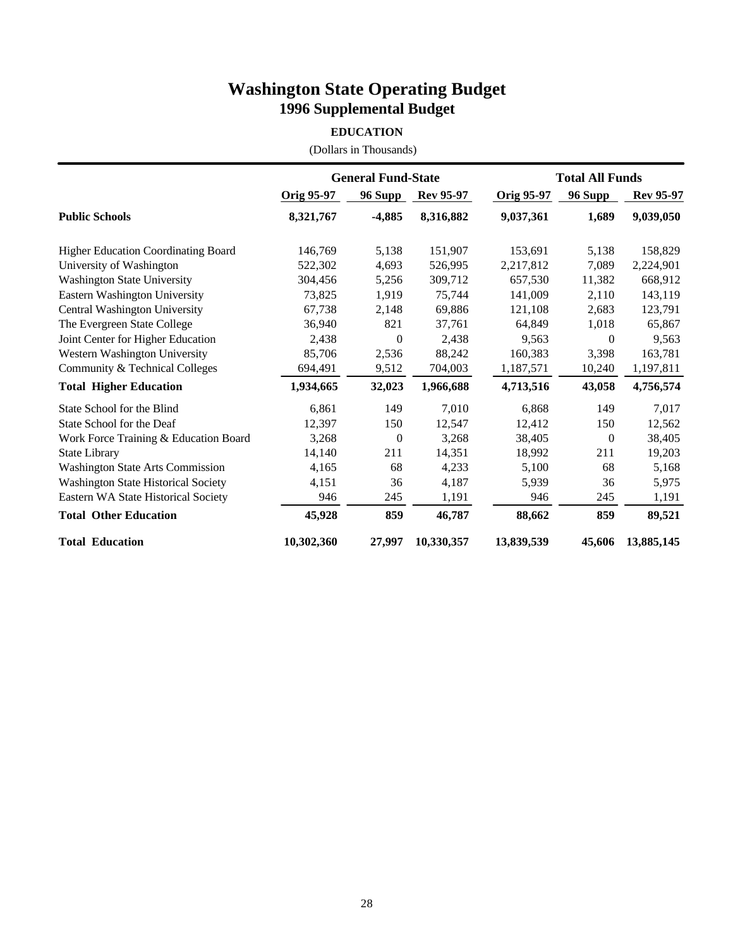#### **EDUCATION**

|                                            | <b>General Fund-State</b> |                |                  | <b>Total All Funds</b> |          |                  |
|--------------------------------------------|---------------------------|----------------|------------------|------------------------|----------|------------------|
|                                            | Orig 95-97                | 96 Supp        | <b>Rev 95-97</b> | Orig 95-97             | 96 Supp  | <b>Rev 95-97</b> |
| <b>Public Schools</b>                      | 8,321,767                 | $-4,885$       | 8,316,882        | 9,037,361              | 1,689    | 9,039,050        |
| Higher Education Coordinating Board        | 146,769                   | 5,138          | 151,907          | 153,691                | 5,138    | 158,829          |
| University of Washington                   | 522,302                   | 4,693          | 526,995          | 2,217,812              | 7,089    | 2,224,901        |
| <b>Washington State University</b>         | 304,456                   | 5,256          | 309,712          | 657,530                | 11,382   | 668,912          |
| Eastern Washington University              | 73,825                    | 1,919          | 75,744           | 141,009                | 2,110    | 143,119          |
| Central Washington University              | 67,738                    | 2,148          | 69,886           | 121,108                | 2,683    | 123,791          |
| The Evergreen State College                | 36,940                    | 821            | 37,761           | 64,849                 | 1,018    | 65,867           |
| Joint Center for Higher Education          | 2,438                     | $\overline{0}$ | 2,438            | 9,563                  | $\theta$ | 9,563            |
| Western Washington University              | 85,706                    | 2,536          | 88,242           | 160,383                | 3,398    | 163,781          |
| Community & Technical Colleges             | 694,491                   | 9,512          | 704,003          | 1,187,571              | 10,240   | 1,197,811        |
| <b>Total Higher Education</b>              | 1,934,665                 | 32,023         | 1,966,688        | 4,713,516              | 43,058   | 4,756,574        |
| State School for the Blind                 | 6.861                     | 149            | 7.010            | 6.868                  | 149      | 7.017            |
| State School for the Deaf                  | 12.397                    | 150            | 12,547           | 12,412                 | 150      | 12,562           |
| Work Force Training & Education Board      | 3,268                     | $\overline{0}$ | 3,268            | 38,405                 | $\theta$ | 38,405           |
| <b>State Library</b>                       | 14,140                    | 211            | 14,351           | 18,992                 | 211      | 19,203           |
| <b>Washington State Arts Commission</b>    | 4,165                     | 68             | 4,233            | 5,100                  | 68       | 5,168            |
| <b>Washington State Historical Society</b> | 4,151                     | 36             | 4,187            | 5,939                  | 36       | 5,975            |
| Eastern WA State Historical Society        | 946                       | 245            | 1,191            | 946                    | 245      | 1,191            |
| <b>Total Other Education</b>               | 45,928                    | 859            | 46,787           | 88,662                 | 859      | 89,521           |
| <b>Total Education</b>                     | 10,302,360                | 27,997         | 10,330,357       | 13,839,539             | 45,606   | 13,885,145       |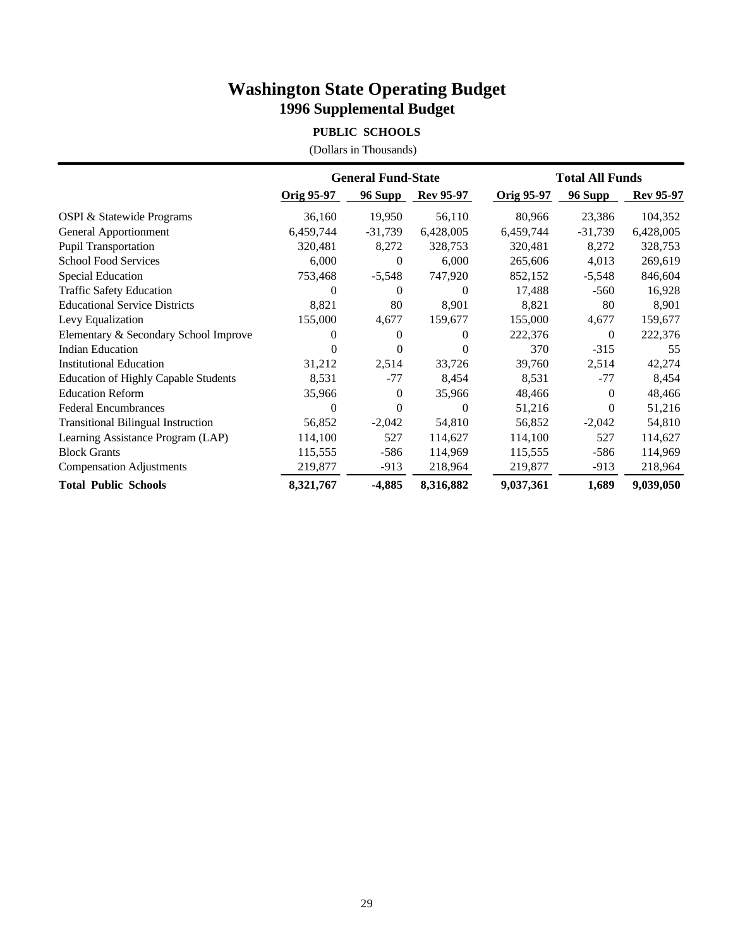### **PUBLIC SCHOOLS**

|                                             | <b>General Fund-State</b> |           |                  | <b>Total All Funds</b> |           |                  |
|---------------------------------------------|---------------------------|-----------|------------------|------------------------|-----------|------------------|
|                                             | Orig 95-97                | 96 Supp   | <b>Rev 95-97</b> | <b>Orig 95-97</b>      | 96 Supp   | <b>Rev 95-97</b> |
| OSPI & Statewide Programs                   | 36,160                    | 19,950    | 56,110           | 80,966                 | 23,386    | 104,352          |
| General Apportionment                       | 6,459,744                 | $-31,739$ | 6,428,005        | 6,459,744              | $-31,739$ | 6,428,005        |
| Pupil Transportation                        | 320,481                   | 8,272     | 328,753          | 320,481                | 8,272     | 328,753          |
| <b>School Food Services</b>                 | 6,000                     | 0         | 6,000            | 265,606                | 4,013     | 269,619          |
| <b>Special Education</b>                    | 753,468                   | $-5,548$  | 747,920          | 852,152                | $-5,548$  | 846,604          |
| <b>Traffic Safety Education</b>             | $\Omega$                  | $\Omega$  | $\Omega$         | 17,488                 | $-560$    | 16,928           |
| <b>Educational Service Districts</b>        | 8,821                     | 80        | 8,901            | 8,821                  | 80        | 8,901            |
| Levy Equalization                           | 155,000                   | 4,677     | 159,677          | 155,000                | 4,677     | 159,677          |
| Elementary & Secondary School Improve       | 0                         | $\Omega$  | $\Omega$         | 222,376                | $\theta$  | 222,376          |
| <b>Indian Education</b>                     |                           | 0         | $\theta$         | 370                    | $-315$    | 55               |
| <b>Institutional Education</b>              | 31,212                    | 2,514     | 33,726           | 39,760                 | 2,514     | 42,274           |
| <b>Education of Highly Capable Students</b> | 8,531                     | $-77$     | 8,454            | 8,531                  | $-77$     | 8,454            |
| <b>Education Reform</b>                     | 35,966                    | $\theta$  | 35,966           | 48,466                 | $\Omega$  | 48,466           |
| <b>Federal Encumbrances</b>                 | $\theta$                  | $\theta$  | $\theta$         | 51,216                 | 0         | 51,216           |
| <b>Transitional Bilingual Instruction</b>   | 56,852                    | $-2,042$  | 54,810           | 56,852                 | $-2,042$  | 54,810           |
| Learning Assistance Program (LAP)           | 114,100                   | 527       | 114,627          | 114,100                | 527       | 114,627          |
| <b>Block Grants</b>                         | 115,555                   | $-586$    | 114,969          | 115,555                | -586      | 114,969          |
| <b>Compensation Adjustments</b>             | 219,877                   | $-913$    | 218,964          | 219,877                | $-913$    | 218,964          |
| <b>Total Public Schools</b>                 | 8,321,767                 | $-4,885$  | 8,316,882        | 9,037,361              | 1,689     | 9,039,050        |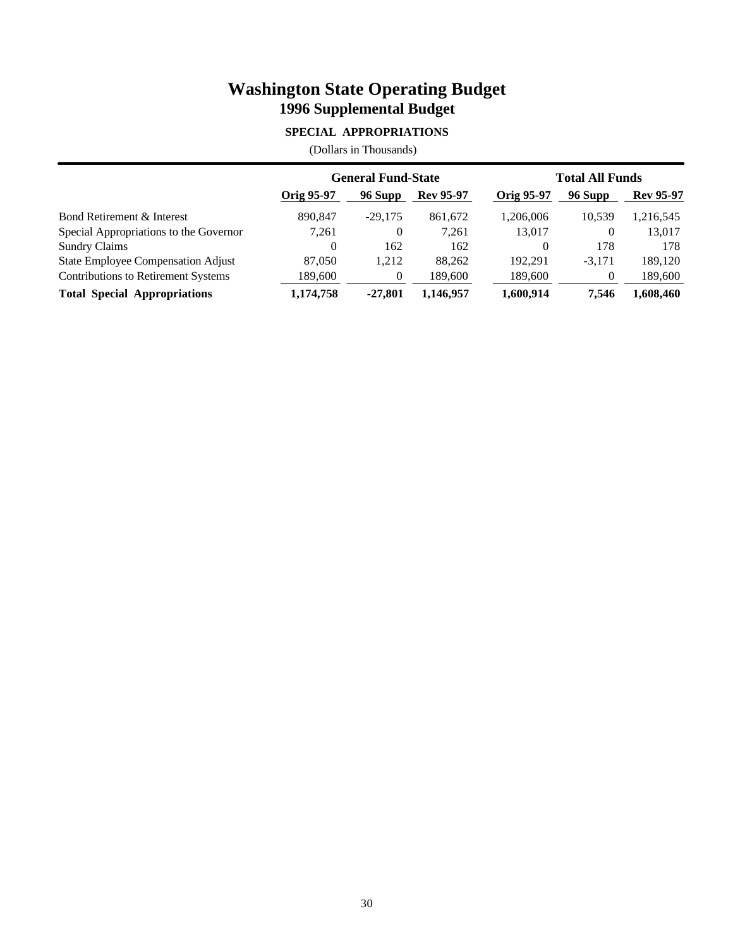### **SPECIAL APPROPRIATIONS**

|                                            | <b>General Fund-State</b> |                |                  | <b>Total All Funds</b> |          |                  |
|--------------------------------------------|---------------------------|----------------|------------------|------------------------|----------|------------------|
|                                            | Orig 95-97                | 96 Supp        | <b>Rev 95-97</b> | <b>Orig 95-97</b>      | 96 Supp  | <b>Rev 95-97</b> |
| Bond Retirement & Interest                 | 890,847                   | $-29.175$      | 861.672          | 1.206.006              | 10.539   | 1,216,545        |
| Special Appropriations to the Governor     | 7.261                     | 0              | 7.261            | 13,017                 | 0        | 13,017           |
| <b>Sundry Claims</b>                       | $\Omega$                  | 162            | 162              | $\Omega$               | 178      | 178              |
| State Employee Compensation Adjust         | 87,050                    | 1,212          | 88.262           | 192.291                | $-3,171$ | 189,120          |
| <b>Contributions to Retirement Systems</b> | 189,600                   | $\overline{0}$ | 189.600          | 189,600                | 0        | 189,600          |
| <b>Total Special Appropriations</b>        | 1,174,758                 | $-27.801$      | 1,146,957        | 1,600,914              | 7.546    | 1,608,460        |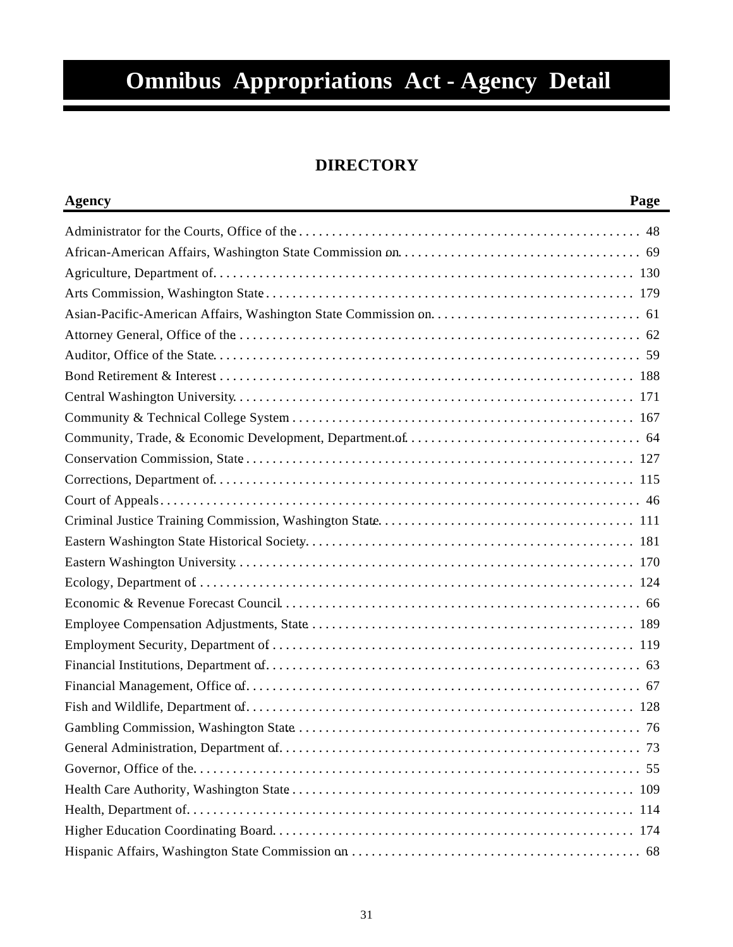# **Omnibus Appropriations Act - Agency Detail**

# **DIRECTORY**

| <b>Agency</b> | Page |
|---------------|------|
|               |      |
|               |      |
|               |      |
|               |      |
|               |      |
|               |      |
|               |      |
|               |      |
|               |      |
|               |      |
|               |      |
|               |      |
|               |      |
|               |      |
|               |      |
|               |      |
|               |      |
|               |      |
|               |      |
|               |      |
|               |      |
|               |      |
|               |      |
|               |      |
|               |      |
|               |      |
|               |      |
|               |      |
|               |      |
|               |      |
|               |      |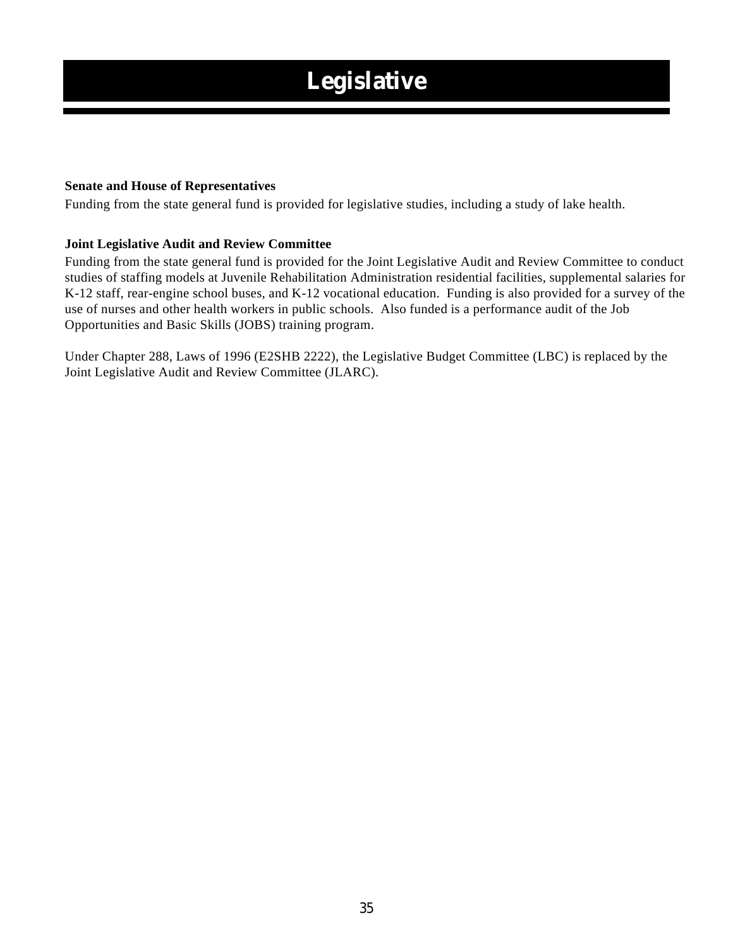# **Legislative**

#### **Senate and House of Representatives**

Funding from the state general fund is provided for legislative studies, including a study of lake health.

#### **Joint Legislative Audit and Review Committee**

Funding from the state general fund is provided for the Joint Legislative Audit and Review Committee to conduct studies of staffing models at Juvenile Rehabilitation Administration residential facilities, supplemental salaries for K-12 staff, rear-engine school buses, and K-12 vocational education. Funding is also provided for a survey of the use of nurses and other health workers in public schools. Also funded is a performance audit of the Job Opportunities and Basic Skills (JOBS) training program.

Under Chapter 288, Laws of 1996 (E2SHB 2222), the Legislative Budget Committee (LBC) is replaced by the Joint Legislative Audit and Review Committee (JLARC).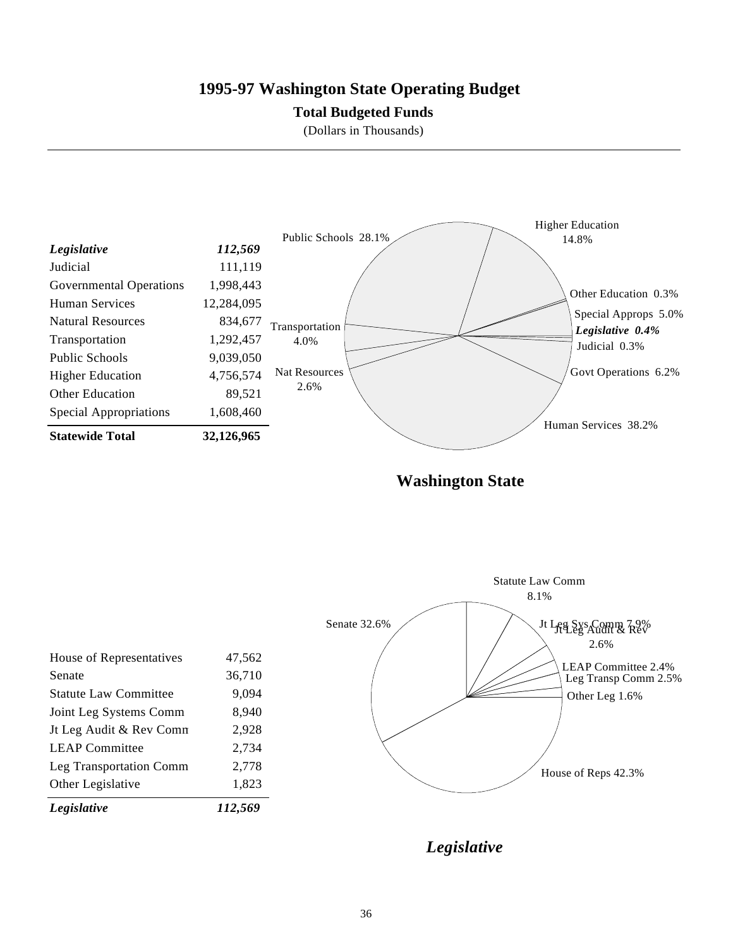### **1995-97 Washington State Operating Budget**

### **Total Budgeted Funds**

(Dollars in Thousands)



**Washington State**

| Legislative                  | 112,569 |              |                             |
|------------------------------|---------|--------------|-----------------------------|
| Other Legislative            | 1,823   |              |                             |
| Leg Transportation Comm      | 2,778   |              | House of Reps 42.3%         |
| <b>LEAP Committee</b>        | 2,734   |              |                             |
| Jt Leg Audit & Rev Comn      | 2,928   |              |                             |
| Joint Leg Systems Comm       | 8,940   |              |                             |
| <b>Statute Law Committee</b> | 9,094   |              | Other Leg 1.6%              |
| Senate                       | 36,710  |              | Leg Transp Comm 2.5%        |
| House of Representatives     | 47,562  |              | 2.6%<br>LEAP Committee 2.4% |
|                              |         | Senate 32.6% | Jt Les Sys Comm 79%         |
|                              |         |              | 8.1%                        |
|                              |         |              | <b>Statute Law Comm</b>     |

*Legislative*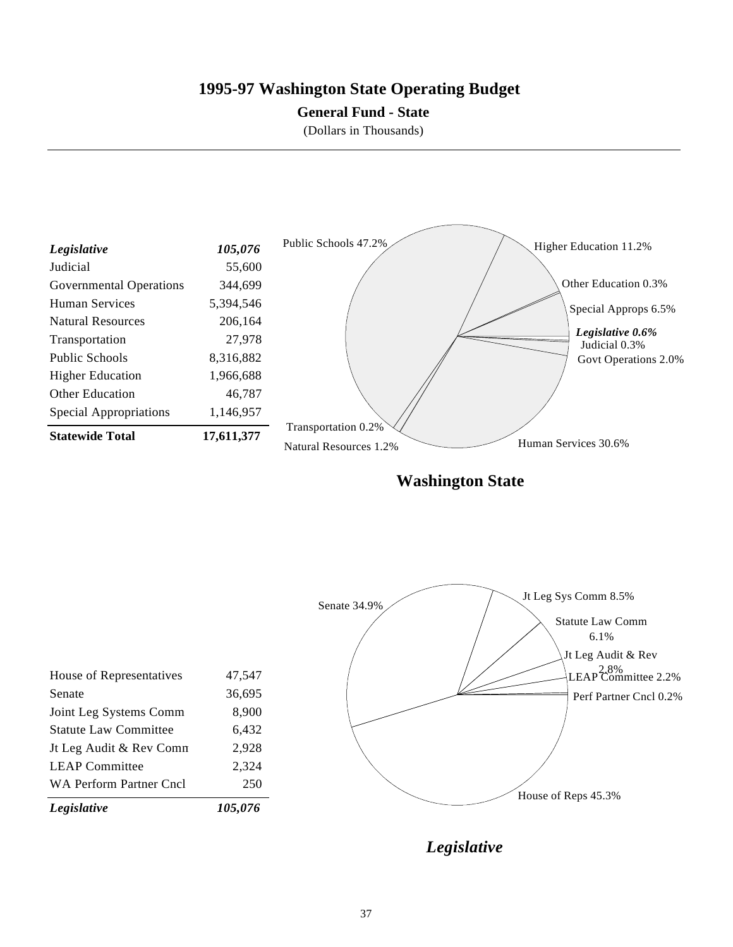## **1995-97 Washington State Operating Budget**

### **General Fund - State**

(Dollars in Thousands)



**Washington State**

| Legislative                  | 105,076 |              |                                                      |
|------------------------------|---------|--------------|------------------------------------------------------|
| WA Perform Partner Cncl      | 250     |              | House of Reps 45.3%                                  |
| <b>LEAP Committee</b>        | 2,324   |              |                                                      |
| Jt Leg Audit & Rev Comn      | 2,928   |              |                                                      |
| <b>Statute Law Committee</b> | 6,432   |              |                                                      |
| Joint Leg Systems Comm       | 8,900   |              |                                                      |
| Senate                       | 36,695  |              |                                                      |
| House of Representatives     | 47,547  |              | LEAP <sup>2.8%</sup> <sub>LEAP</sub> <sup>2.8%</sup> |
|                              |         |              | Jt Leg Audit & Rev                                   |
|                              |         |              | <b>Statute Law Comm</b>                              |
|                              |         | Senate 34.9% | Jt Leg Sys Comm 8.5%                                 |
|                              |         |              |                                                      |

*Legislative*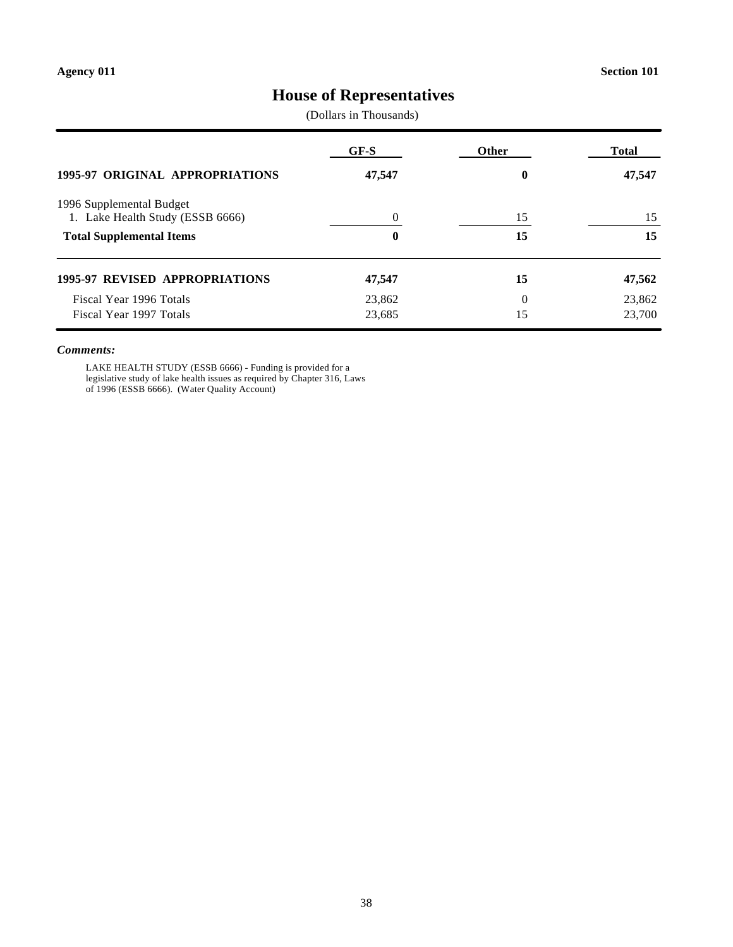# **House of Representatives**

(Dollars in Thousands)

|                                                              | GF-S     | Other | <b>Total</b> |
|--------------------------------------------------------------|----------|-------|--------------|
| <b>1995-97 ORIGINAL APPROPRIATIONS</b>                       | 47,547   | 0     | 47,547       |
| 1996 Supplemental Budget<br>1. Lake Health Study (ESSB 6666) | $\Omega$ | 15    | 15           |
| <b>Total Supplemental Items</b>                              | 0        | 15    | 15           |
| <b>1995-97 REVISED APPROPRIATIONS</b>                        | 47,547   | 15    | 47,562       |
| Fiscal Year 1996 Totals                                      | 23,862   | 0     | 23,862       |
| Fiscal Year 1997 Totals                                      | 23,685   | 15    | 23,700       |

#### *Comments:*

LAKE HEALTH STUDY (ESSB 6666) - Funding is provided for a legislative study of lake health issues as required by Chapter 316, Laws of 1996 (ESSB 6666). (Water Quality Account)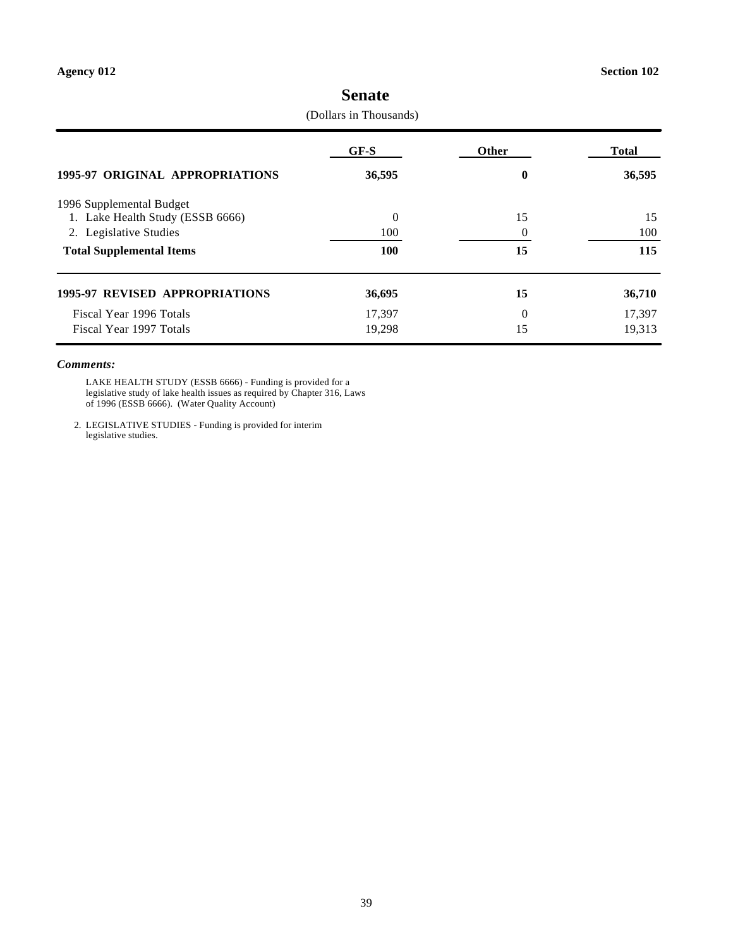|                                       | (Dollars in Thousands) |          |              |
|---------------------------------------|------------------------|----------|--------------|
|                                       | $GF-S$                 | Other    | <b>Total</b> |
| 1995-97 ORIGINAL APPROPRIATIONS       | 36,595                 | $\bf{0}$ | 36,595       |
| 1996 Supplemental Budget              |                        |          |              |
| 1. Lake Health Study (ESSB 6666)      | $\theta$               | 15       | 15           |
| 2. Legislative Studies                | 100                    | $\Omega$ | 100          |
| <b>Total Supplemental Items</b>       | <b>100</b>             | 15       | 115          |
| <b>1995-97 REVISED APPROPRIATIONS</b> | 36,695                 | 15       | 36,710       |
| Fiscal Year 1996 Totals               | 17,397                 | $\Omega$ | 17,397       |
| Fiscal Year 1997 Totals               | 19,298                 | 15       | 19,313       |

# **Senate**

(Dollars in Thousands)

### *Comments:*

LAKE HEALTH STUDY (ESSB 6666) - Funding is provided for a legislative study of lake health issues as required by Chapter 316, Laws of 1996 (ESSB 6666). (Water Quality Account)

2. LEGISLATIVE STUDIES - Funding is provided for interim legislative studies.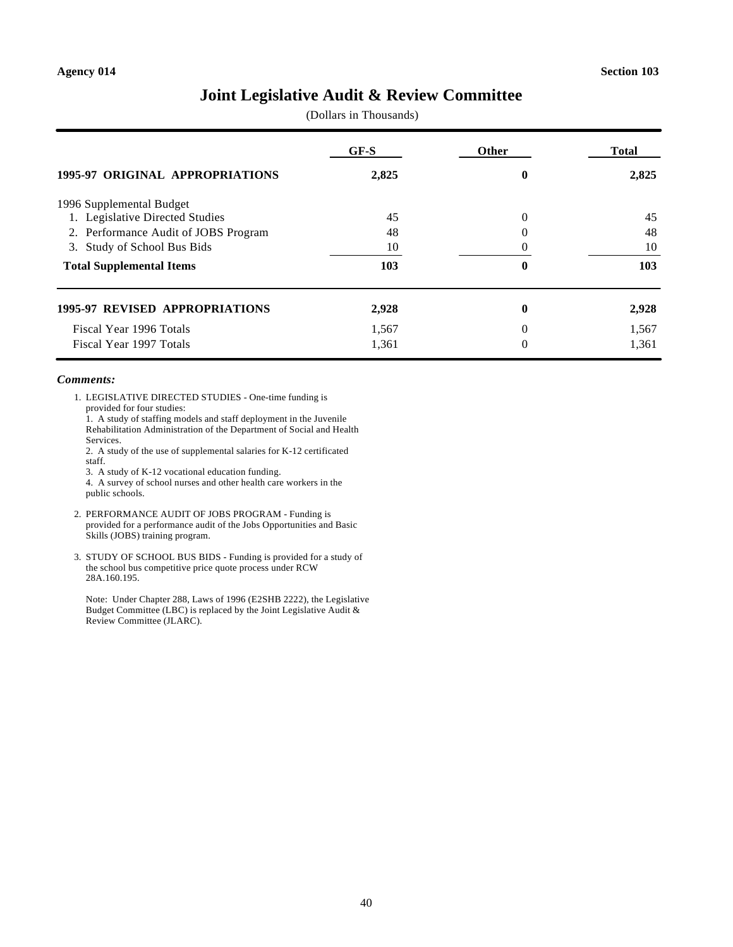### **Joint Legislative Audit & Review Committee**

(Dollars in Thousands)

|                                        | $GF-S$ | Other | <b>Total</b> |
|----------------------------------------|--------|-------|--------------|
| <b>1995-97 ORIGINAL APPROPRIATIONS</b> | 2,825  | 0     | 2,825        |
| 1996 Supplemental Budget               |        |       |              |
| 1. Legislative Directed Studies        | 45     | 0     | 45           |
| 2. Performance Audit of JOBS Program   | 48     |       | 48           |
| Study of School Bus Bids<br>3.         | 10     |       | 10           |
| <b>Total Supplemental Items</b>        | 103    | 0     | 103          |
| <b>1995-97 REVISED APPROPRIATIONS</b>  | 2,928  | 0     | 2,928        |
| Fiscal Year 1996 Totals                | 1,567  | 0     | 1,567        |
| Fiscal Year 1997 Totals                | 1,361  | 0     | 1,361        |

#### *Comments:*

1. LEGISLATIVE DIRECTED STUDIES - One-time funding is provided for four studies:

1. A study of staffing models and staff deployment in the Juvenile Rehabilitation Administration of the Department of Social and Health Services.

2. A study of the use of supplemental salaries for K-12 certificated staff.

3. A study of K-12 vocational education funding.

- 4. A survey of school nurses and other health care workers in the public schools.
- 2. PERFORMANCE AUDIT OF JOBS PROGRAM Funding is provided for a performance audit of the Jobs Opportunities and Basic Skills (JOBS) training program.
- 3. STUDY OF SCHOOL BUS BIDS Funding is provided for a study of the school bus competitive price quote process under RCW 28A.160.195.

Note: Under Chapter 288, Laws of 1996 (E2SHB 2222), the Legislative Budget Committee (LBC) is replaced by the Joint Legislative Audit & Review Committee (JLARC).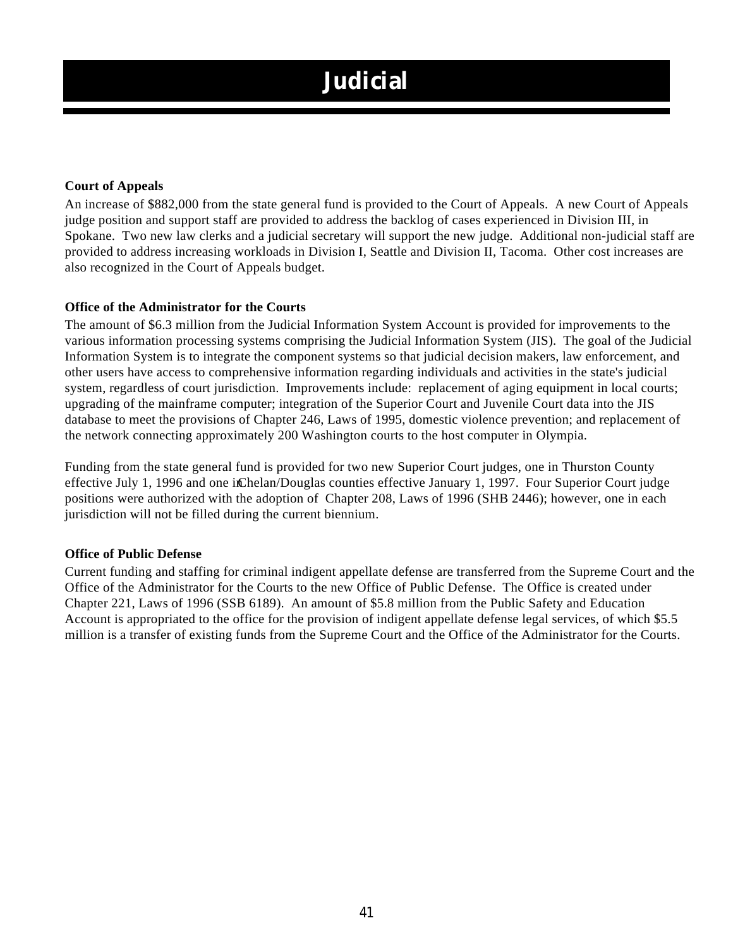# **Judicial**

### **Court of Appeals**

An increase of \$882,000 from the state general fund is provided to the Court of Appeals. A new Court of Appeals judge position and support staff are provided to address the backlog of cases experienced in Division III, in Spokane. Two new law clerks and a judicial secretary will support the new judge. Additional non-judicial staff are provided to address increasing workloads in Division I, Seattle and Division II, Tacoma. Other cost increases are also recognized in the Court of Appeals budget.

### **Office of the Administrator for the Courts**

The amount of \$6.3 million from the Judicial Information System Account is provided for improvements to the various information processing systems comprising the Judicial Information System (JIS). The goal of the Judicial Information System is to integrate the component systems so that judicial decision makers, law enforcement, and other users have access to comprehensive information regarding individuals and activities in the state's judicial system, regardless of court jurisdiction. Improvements include: replacement of aging equipment in local courts; upgrading of the mainframe computer; integration of the Superior Court and Juvenile Court data into the JIS database to meet the provisions of Chapter 246, Laws of 1995, domestic violence prevention; and replacement of the network connecting approximately 200 Washington courts to the host computer in Olympia.

Funding from the state general fund is provided for two new Superior Court judges, one in Thurston County effective July 1, 1996 and one in Chelan/Douglas counties effective January 1, 1997. Four Superior Court judge positions were authorized with the adoption of Chapter 208, Laws of 1996 (SHB 2446); however, one in each jurisdiction will not be filled during the current biennium.

### **Office of Public Defense**

Current funding and staffing for criminal indigent appellate defense are transferred from the Supreme Court and the Office of the Administrator for the Courts to the new Office of Public Defense. The Office is created under Chapter 221, Laws of 1996 (SSB 6189). An amount of \$5.8 million from the Public Safety and Education Account is appropriated to the office for the provision of indigent appellate defense legal services, of which \$5.5 million is a transfer of existing funds from the Supreme Court and the Office of the Administrator for the Courts.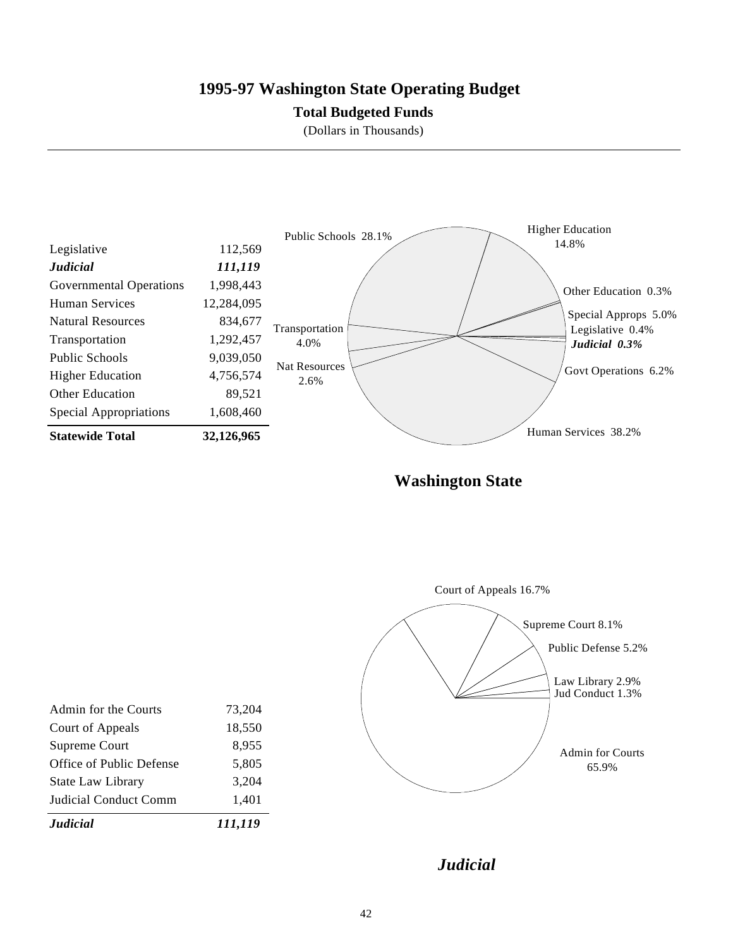### **1995-97 Washington State Operating Budget**

### **Total Budgeted Funds**

(Dollars in Thousands)



**Washington State**



| 1,401  |
|--------|
| 3,204  |
| 5,805  |
| 8,955  |
| 18,550 |
| 73,204 |
|        |
|        |

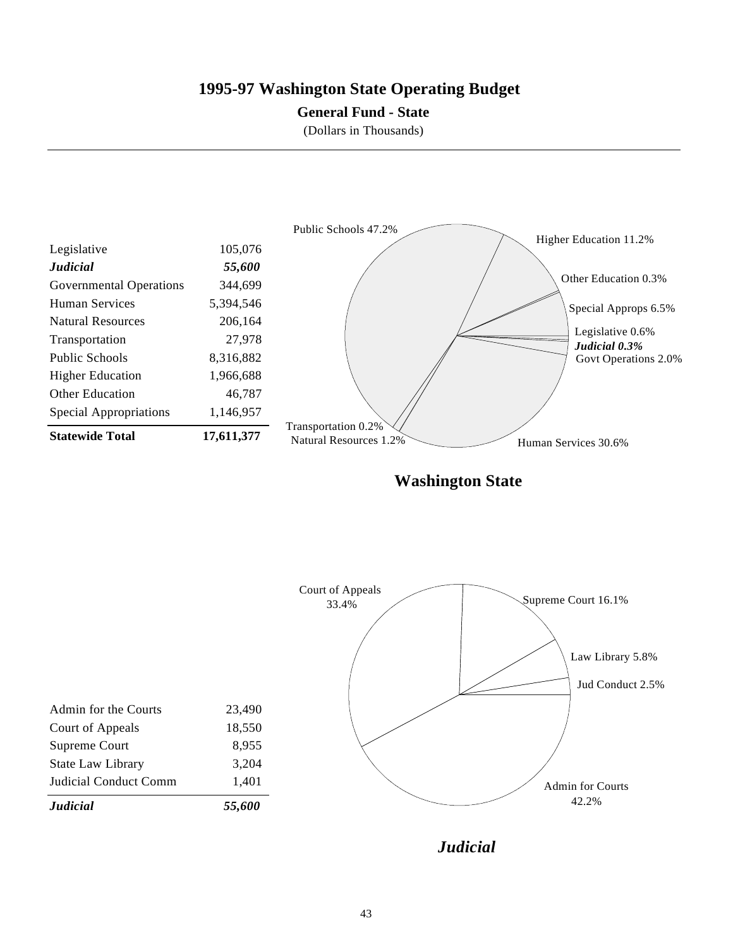### **1995-97 Washington State Operating Budget**

### **General Fund - State**

(Dollars in Thousands)



**Washington State**



*Judicial*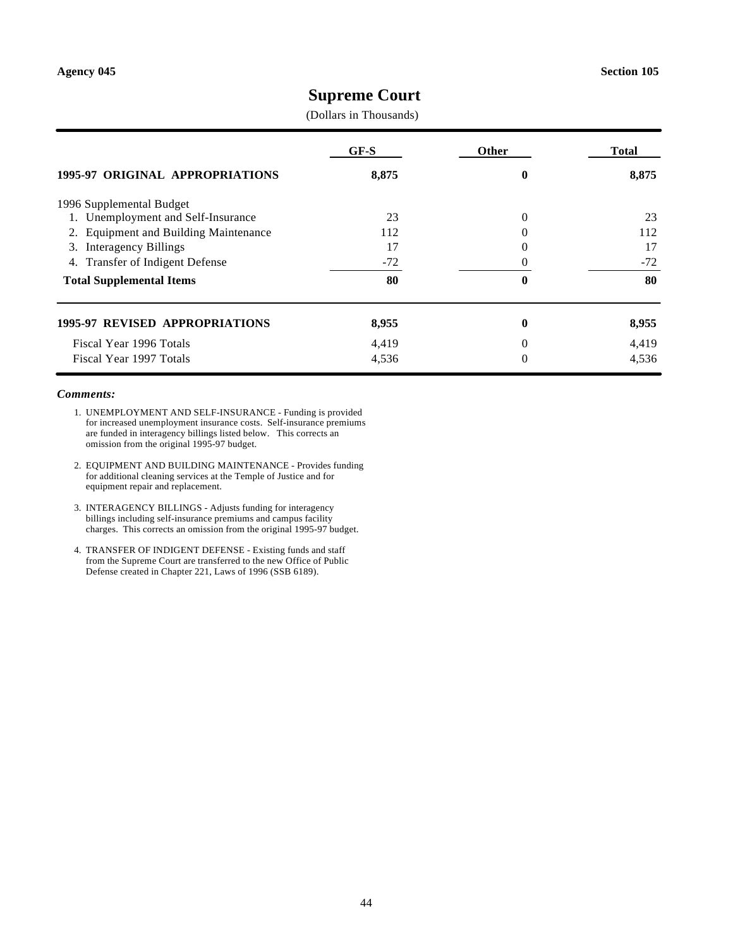### **Supreme Court**

(Dollars in Thousands)

|                                                 | $GF-S$ | Other | Total |
|-------------------------------------------------|--------|-------|-------|
| 1995-97 ORIGINAL APPROPRIATIONS                 | 8,875  | 0     | 8,875 |
| 1996 Supplemental Budget                        |        |       |       |
| 1. Unemployment and Self-Insurance              | 23     | 0     | 23    |
| <b>Equipment and Building Maintenance</b><br>2. | 112    |       | 112   |
| <b>Interagency Billings</b><br>3.               | 17     |       | 17    |
| <b>Transfer of Indigent Defense</b><br>4.       | $-72$  |       | $-72$ |
| <b>Total Supplemental Items</b>                 | 80     | 0     | 80    |
| <b>1995-97 REVISED APPROPRIATIONS</b>           | 8,955  | 0     | 8,955 |
| Fiscal Year 1996 Totals                         | 4,419  | 0     | 4,419 |
| Fiscal Year 1997 Totals                         | 4,536  | 0     | 4,536 |

#### *Comments:*

- 1. UNEMPLOYMENT AND SELF-INSURANCE Funding is provided for increased unemployment insurance costs. Self-insurance premiums are funded in interagency billings listed below. This corrects an omission from the original 1995-97 budget.
- 2. EQUIPMENT AND BUILDING MAINTENANCE Provides funding for additional cleaning services at the Temple of Justice and for equipment repair and replacement.
- 3. INTERAGENCY BILLINGS Adjusts funding for interagency billings including self-insurance premiums and campus facility charges. This corrects an omission from the original 1995-97 budget.
- 4. TRANSFER OF INDIGENT DEFENSE Existing funds and staff from the Supreme Court are transferred to the new Office of Public Defense created in Chapter 221, Laws of 1996 (SSB 6189).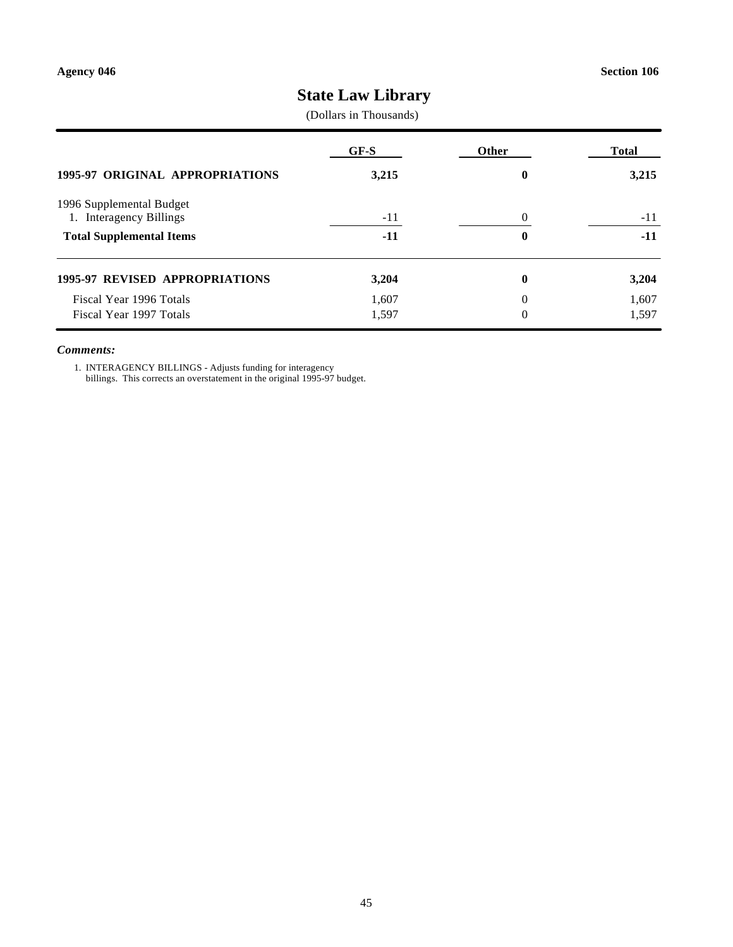# **State Law Library**

(Dollars in Thousands)

|                                                     | GF-S  | Other    | <b>Total</b> |
|-----------------------------------------------------|-------|----------|--------------|
| <b>1995-97 ORIGINAL APPROPRIATIONS</b>              | 3,215 | 0        | 3,215        |
| 1996 Supplemental Budget<br>1. Interagency Billings | $-11$ | 0        | $-11$        |
| <b>Total Supplemental Items</b>                     | -11   | 0        | $-11$        |
| <b>1995-97 REVISED APPROPRIATIONS</b>               | 3,204 | 0        | 3,204        |
| Fiscal Year 1996 Totals                             | 1,607 | $\theta$ | 1,607        |
| Fiscal Year 1997 Totals                             | 1,597 | 0        | 1,597        |

#### *Comments:*

1. INTERAGENCY BILLINGS - Adjusts funding for interagency billings. This corrects an overstatement in the original 1995-97 budget.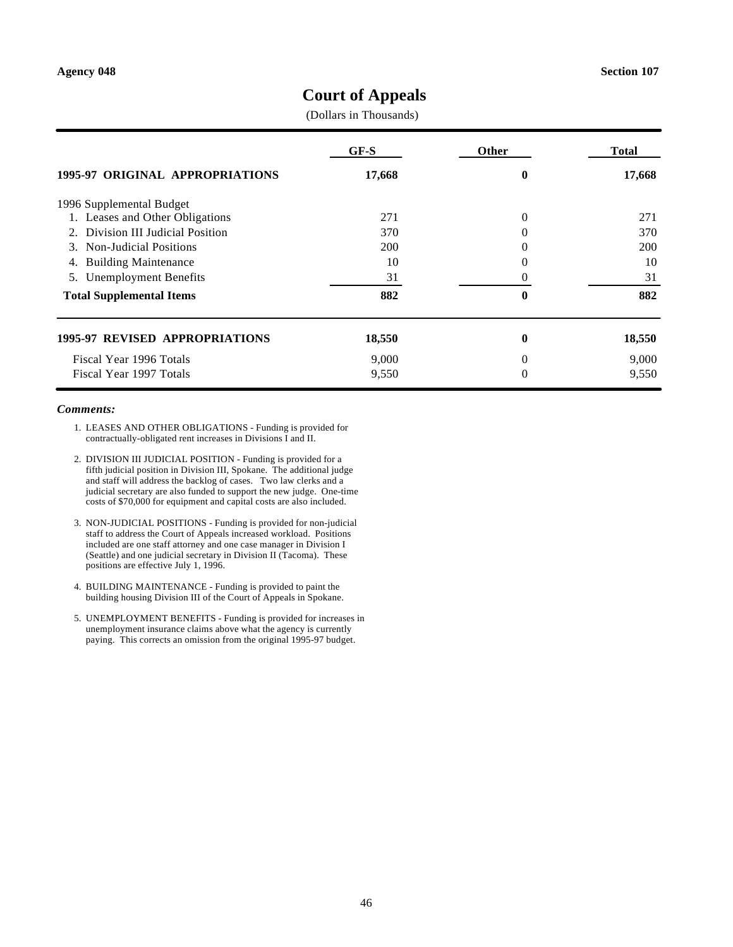### **Court of Appeals**

(Dollars in Thousands)

|                                     | GF-S       | <b>Other</b> | Total      |
|-------------------------------------|------------|--------------|------------|
| 1995-97 ORIGINAL APPROPRIATIONS     | 17,668     | 0            | 17,668     |
| 1996 Supplemental Budget            |            |              |            |
| 1. Leases and Other Obligations     | 271        | 0            | 271        |
| 2. Division III Judicial Position   | 370        | 0            | 370        |
| <b>Non-Judicial Positions</b><br>3. | <b>200</b> | $\Omega$     | <b>200</b> |
| <b>Building Maintenance</b><br>4.   | 10         | 0            | 10         |
| 5. Unemployment Benefits            | 31         |              | 31         |
| <b>Total Supplemental Items</b>     | 882        | 0            | 882        |
| 1995-97 REVISED APPROPRIATIONS      | 18,550     | 0            | 18,550     |
| Fiscal Year 1996 Totals             | 9,000      | 0            | 9,000      |
| Fiscal Year 1997 Totals             | 9,550      | 0            | 9,550      |

#### *Comments:*

- 1. LEASES AND OTHER OBLIGATIONS Funding is provided for contractually-obligated rent increases in Divisions I and II.
- 2. DIVISION III JUDICIAL POSITION Funding is provided for a fifth judicial position in Division III, Spokane. The additional judge and staff will address the backlog of cases. Two law clerks and a judicial secretary are also funded to support the new judge. One-time costs of \$70,000 for equipment and capital costs are also included.
- 3. NON-JUDICIAL POSITIONS Funding is provided for non-judicial staff to address the Court of Appeals increased workload. Positions included are one staff attorney and one case manager in Division I (Seattle) and one judicial secretary in Division II (Tacoma). These positions are effective July 1, 1996.
- 4. BUILDING MAINTENANCE Funding is provided to paint the building housing Division III of the Court of Appeals in Spokane.
- 5. UNEMPLOYMENT BENEFITS Funding is provided for increases in unemployment insurance claims above what the agency is currently paying. This corrects an omission from the original 1995-97 budget.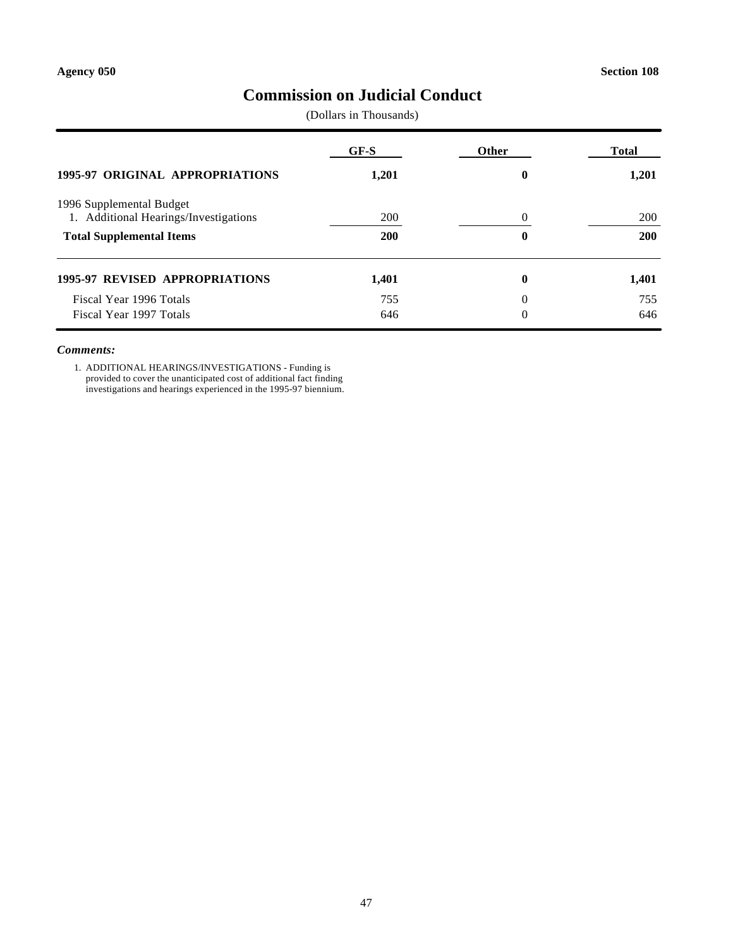### **Commission on Judicial Conduct**

(Dollars in Thousands)

|                                                                   | GF-S       | <b>Other</b>     | <b>Total</b> |
|-------------------------------------------------------------------|------------|------------------|--------------|
| <b>1995-97 ORIGINAL APPROPRIATIONS</b>                            | 1,201      | $\boldsymbol{0}$ | 1,201        |
| 1996 Supplemental Budget<br>1. Additional Hearings/Investigations | 200        | 0                | 200          |
| <b>Total Supplemental Items</b>                                   | <b>200</b> | 0                | <b>200</b>   |
| <b>1995-97 REVISED APPROPRIATIONS</b>                             | 1,401      | $\boldsymbol{0}$ | 1,401        |
| Fiscal Year 1996 Totals                                           | 755        | 0                | 755          |
| Fiscal Year 1997 Totals                                           | 646        | 0                | 646          |

#### *Comments:*

1. ADDITIONAL HEARINGS/INVESTIGATIONS - Funding is provided to cover the unanticipated cost of additional fact finding investigations and hearings experienced in the 1995-97 biennium.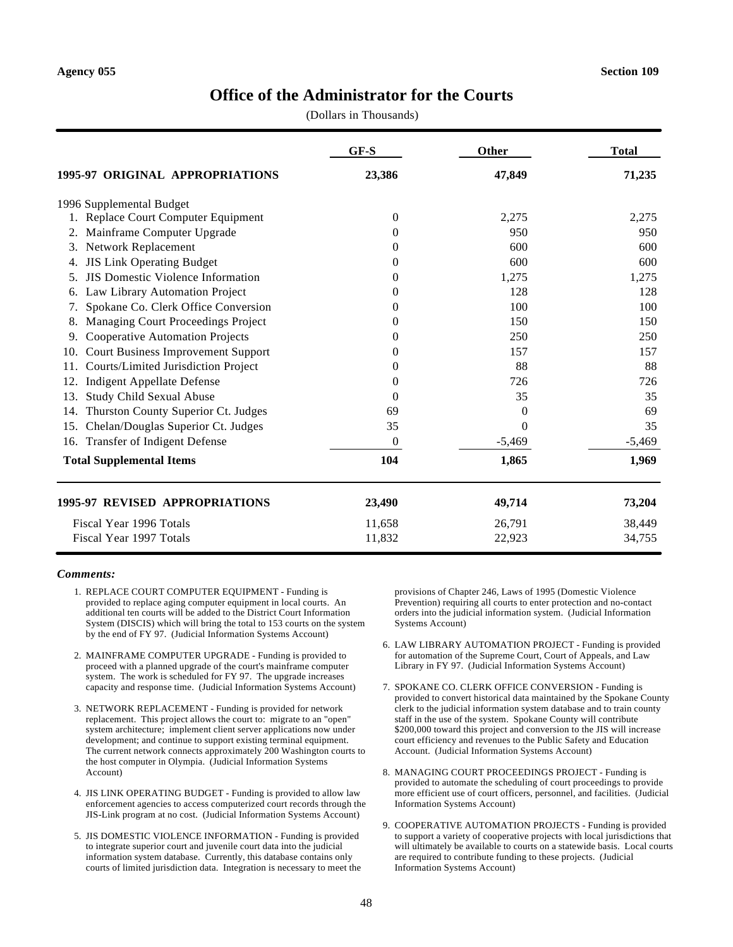### **Office of the Administrator for the Courts**

(Dollars in Thousands)

|                                                  | GF-S     | Other    | <b>Total</b> |
|--------------------------------------------------|----------|----------|--------------|
| <b>1995-97 ORIGINAL APPROPRIATIONS</b>           | 23,386   | 47,849   | 71,235       |
| 1996 Supplemental Budget                         |          |          |              |
| Replace Court Computer Equipment                 | 0        | 2,275    | 2,275        |
| Mainframe Computer Upgrade                       | 0        | 950      | 950          |
| Network Replacement<br>3.                        | $\Omega$ | 600      | 600          |
| <b>JIS Link Operating Budget</b><br>4.           | $\Omega$ | 600      | 600          |
| <b>JIS Domestic Violence Information</b><br>5.   | $_{0}$   | 1,275    | 1,275        |
| Law Library Automation Project<br>6.             | $\Omega$ | 128      | 128          |
| Spokane Co. Clerk Office Conversion<br>7.        | $\Omega$ | 100      | 100          |
| Managing Court Proceedings Project               | $\Omega$ | 150      | 150          |
| <b>Cooperative Automation Projects</b><br>9.     | $\Omega$ | 250      | 250          |
| <b>Court Business Improvement Support</b><br>10. | $\Omega$ | 157      | 157          |
| Courts/Limited Jurisdiction Project<br>11.       | $\Omega$ | 88       | 88           |
| <b>Indigent Appellate Defense</b><br>12.         | $\Omega$ | 726      | 726          |
| <b>Study Child Sexual Abuse</b><br>13.           | $\Omega$ | 35       | 35           |
| Thurston County Superior Ct. Judges<br>14.       | 69       | $\Omega$ | 69           |
| 15. Chelan/Douglas Superior Ct. Judges           | 35       | $\Omega$ | 35           |
| Transfer of Indigent Defense<br>16.              | $\Omega$ | $-5,469$ | $-5,469$     |
| <b>Total Supplemental Items</b>                  | 104      | 1,865    | 1,969        |
| <b>1995-97 REVISED APPROPRIATIONS</b>            | 23,490   | 49,714   | 73,204       |
| Fiscal Year 1996 Totals                          | 11,658   | 26,791   | 38,449       |
| Fiscal Year 1997 Totals                          | 11,832   | 22,923   | 34,755       |

#### *Comments:*

- 1. REPLACE COURT COMPUTER EQUIPMENT Funding is provided to replace aging computer equipment in local courts. An additional ten courts will be added to the District Court Information System (DISCIS) which will bring the total to 153 courts on the system by the end of FY 97. (Judicial Information Systems Account)
- 2. MAINFRAME COMPUTER UPGRADE Funding is provided to proceed with a planned upgrade of the court's mainframe computer system. The work is scheduled for FY 97. The upgrade increases capacity and response time. (Judicial Information Systems Account)
- 3. NETWORK REPLACEMENT Funding is provided for network replacement. This project allows the court to: migrate to an "open" system architecture; implement client server applications now under development; and continue to support existing terminal equipment. The current network connects approximately 200 Washington courts to the host computer in Olympia. (Judicial Information Systems Account)
- 4. JIS LINK OPERATING BUDGET Funding is provided to allow law enforcement agencies to access computerized court records through the JIS-Link program at no cost. (Judicial Information Systems Account)
- 5. JIS DOMESTIC VIOLENCE INFORMATION Funding is provided to integrate superior court and juvenile court data into the judicial information system database. Currently, this database contains only courts of limited jurisdiction data. Integration is necessary to meet the

provisions of Chapter 246, Laws of 1995 (Domestic Violence Prevention) requiring all courts to enter protection and no-contact orders into the judicial information system. (Judicial Information Systems Account)

- 6. LAW LIBRARY AUTOMATION PROJECT Funding is provided for automation of the Supreme Court, Court of Appeals, and Law Library in FY 97. (Judicial Information Systems Account)
- 7. SPOKANE CO. CLERK OFFICE CONVERSION Funding is provided to convert historical data maintained by the Spokane County clerk to the judicial information system database and to train county staff in the use of the system. Spokane County will contribute \$200,000 toward this project and conversion to the JIS will increase court efficiency and revenues to the Public Safety and Education Account. (Judicial Information Systems Account)
- 8. MANAGING COURT PROCEEDINGS PROJECT Funding is provided to automate the scheduling of court proceedings to provide more efficient use of court officers, personnel, and facilities. (Judicial Information Systems Account)
- 9. COOPERATIVE AUTOMATION PROJECTS Funding is provided to support a variety of cooperative projects with local jurisdictions that will ultimately be available to courts on a statewide basis. Local courts are required to contribute funding to these projects. (Judicial Information Systems Account)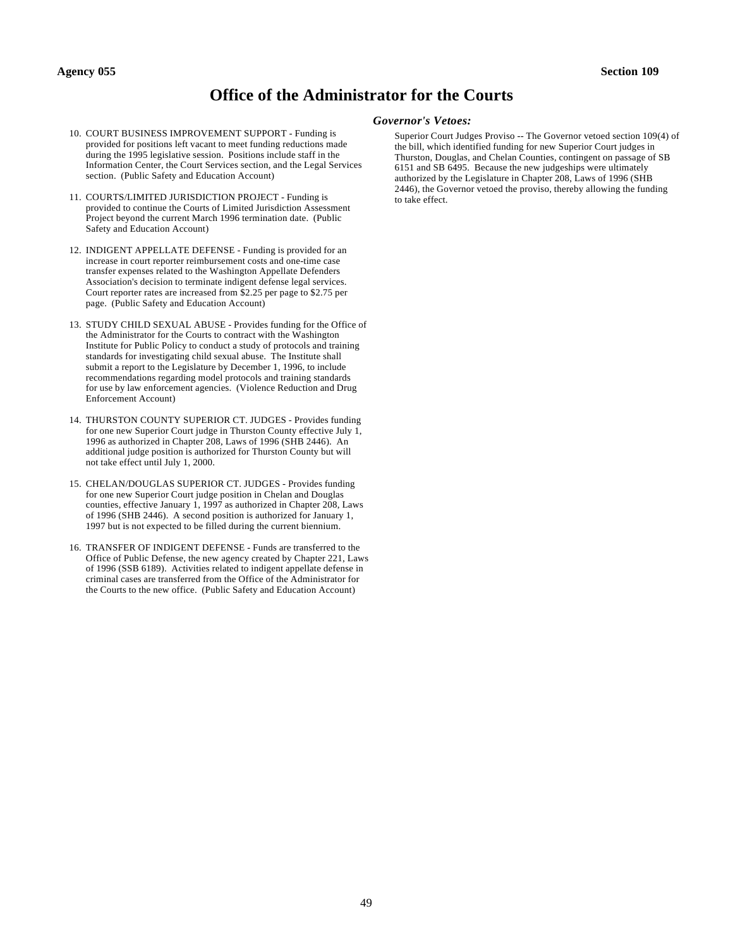### **Office of the Administrator for the Courts**

- 10. COURT BUSINESS IMPROVEMENT SUPPORT Funding is provided for positions left vacant to meet funding reductions made during the 1995 legislative session. Positions include staff in the Information Center, the Court Services section, and the Legal Services section. (Public Safety and Education Account)
- 11. COURTS/LIMITED JURISDICTION PROJECT Funding is provided to continue the Courts of Limited Jurisdiction Assessment Project beyond the current March 1996 termination date. (Public Safety and Education Account)
- 12. INDIGENT APPELLATE DEFENSE Funding is provided for an increase in court reporter reimbursement costs and one-time case transfer expenses related to the Washington Appellate Defenders Association's decision to terminate indigent defense legal services. Court reporter rates are increased from \$2.25 per page to \$2.75 per page. (Public Safety and Education Account)
- 13. STUDY CHILD SEXUAL ABUSE Provides funding for the Office of the Administrator for the Courts to contract with the Washington Institute for Public Policy to conduct a study of protocols and training standards for investigating child sexual abuse. The Institute shall submit a report to the Legislature by December 1, 1996, to include recommendations regarding model protocols and training standards for use by law enforcement agencies. (Violence Reduction and Drug Enforcement Account)
- 14. THURSTON COUNTY SUPERIOR CT. JUDGES Provides funding for one new Superior Court judge in Thurston County effective July 1, 1996 as authorized in Chapter 208, Laws of 1996 (SHB 2446). An additional judge position is authorized for Thurston County but will not take effect until July 1, 2000.
- 15. CHELAN/DOUGLAS SUPERIOR CT. JUDGES Provides funding for one new Superior Court judge position in Chelan and Douglas counties, effective January 1, 1997 as authorized in Chapter 208, Laws of 1996 (SHB 2446). A second position is authorized for January 1, 1997 but is not expected to be filled during the current biennium.
- 16. TRANSFER OF INDIGENT DEFENSE Funds are transferred to the Office of Public Defense, the new agency created by Chapter 221, Laws of 1996 (SSB 6189). Activities related to indigent appellate defense in criminal cases are transferred from the Office of the Administrator for the Courts to the new office. (Public Safety and Education Account)

#### *Governor's Vetoes:*

Superior Court Judges Proviso -- The Governor vetoed section 109(4) of the bill, which identified funding for new Superior Court judges in Thurston, Douglas, and Chelan Counties, contingent on passage of SB 6151 and SB 6495. Because the new judgeships were ultimately authorized by the Legislature in Chapter 208, Laws of 1996 (SHB 2446), the Governor vetoed the proviso, thereby allowing the funding to take effect.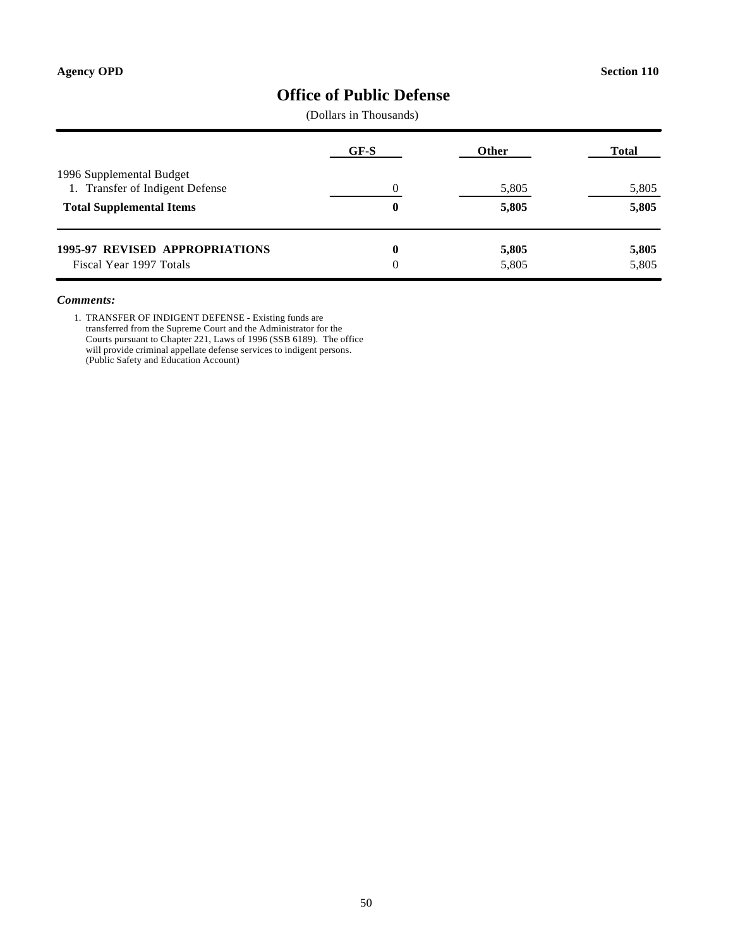### **Office of Public Defense**

(Dollars in Thousands)

|                                                             | GF-S          | <b>Other</b>   | <b>Total</b>   |
|-------------------------------------------------------------|---------------|----------------|----------------|
| 1996 Supplemental Budget<br>1. Transfer of Indigent Defense |               | 5,805          | 5,805          |
| <b>Total Supplemental Items</b>                             | 0             | 5,805          | 5,805          |
| 1995-97 REVISED APPROPRIATIONS<br>Fiscal Year 1997 Totals   | 0<br>$\Omega$ | 5,805<br>5,805 | 5,805<br>5,805 |

#### *Comments:*

1. TRANSFER OF INDIGENT DEFENSE - Existing funds are transferred from the Supreme Court and the Administrator for the Courts pursuant to Chapter 221, Laws of 1996 (SSB 6189). The office will provide criminal appellate defense services to indigent persons. (Public Safety and Education Account)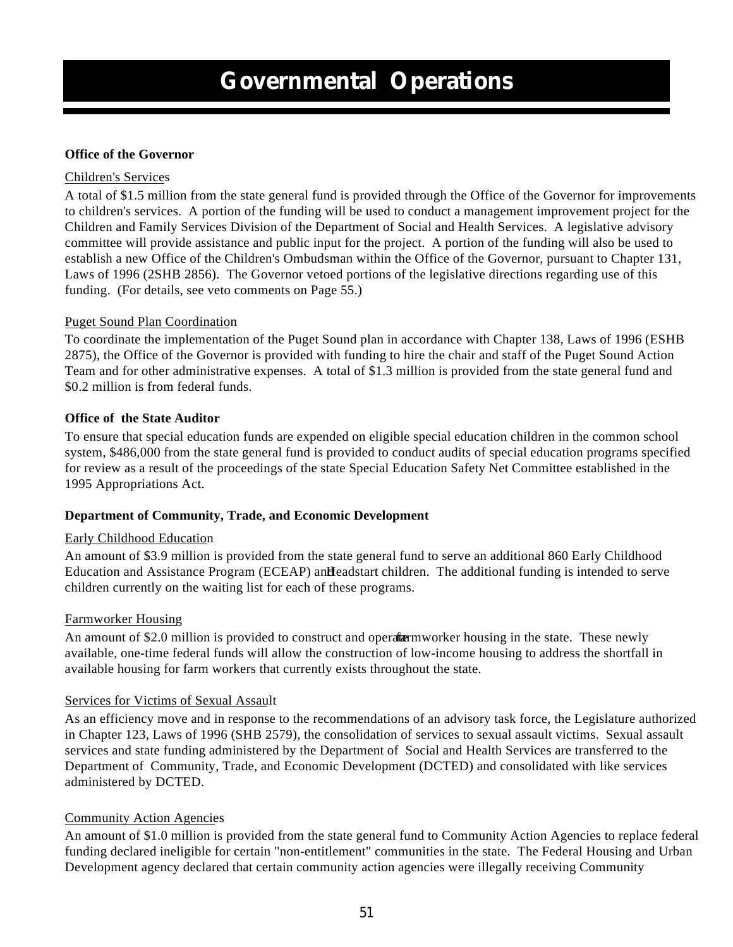### **Office of the Governor**

### Children's Services

A total of \$1.5 million from the state general fund is provided through the Office of the Governor for improvements to children's services. A portion of the funding will be used to conduct a management improvement project for the Children and Family Services Division of the Department of Social and Health Services. A legislative advisory committee will provide assistance and public input for the project. A portion of the funding will also be used to establish a new Office of the Children's Ombudsman within the Office of the Governor, pursuant to Chapter 131, Laws of 1996 (2SHB 2856). The Governor vetoed portions of the legislative directions regarding use of this funding. (For details, see veto comments on Page 55.)

### Puget Sound Plan Coordination

To coordinate the implementation of the Puget Sound plan in accordance with Chapter 138, Laws of 1996 (ESHB 2875), the Office of the Governor is provided with funding to hire the chair and staff of the Puget Sound Action Team and for other administrative expenses. A total of \$1.3 million is provided from the state general fund and \$0.2 million is from federal funds.

### **Office of the State Auditor**

To ensure that special education funds are expended on eligible special education children in the common school system, \$486,000 from the state general fund is provided to conduct audits of special education programs specified for review as a result of the proceedings of the state Special Education Safety Net Committee established in the 1995 Appropriations Act.

### **Department of Community, Trade, and Economic Development**

### Early Childhood Education

An amount of \$3.9 million is provided from the state general fund to serve an additional 860 Early Childhood Education and Assistance Program (ECEAP) and Headstart children. The additional funding is intended to serve children currently on the waiting list for each of these programs.

### Farmworker Housing

An amount of \$2.0 million is provided to construct and operate amount farmworker housing in the state. These newly available, one-time federal funds will allow the construction of low-income housing to address the shortfall in available housing for farm workers that currently exists throughout the state.

### Services for Victims of Sexual Assault

As an efficiency move and in response to the recommendations of an advisory task force, the Legislature authorized in Chapter 123, Laws of 1996 (SHB 2579), the consolidation of services to sexual assault victims. Sexual assault services and state funding administered by the Department of Social and Health Services are transferred to the Department of Community, Trade, and Economic Development (DCTED) and consolidated with like services administered by DCTED.

### Community Action Agencies

An amount of \$1.0 million is provided from the state general fund to Community Action Agencies to replace federal funding declared ineligible for certain "non-entitlement" communities in the state. The Federal Housing and Urban Development agency declared that certain community action agencies were illegally receiving Community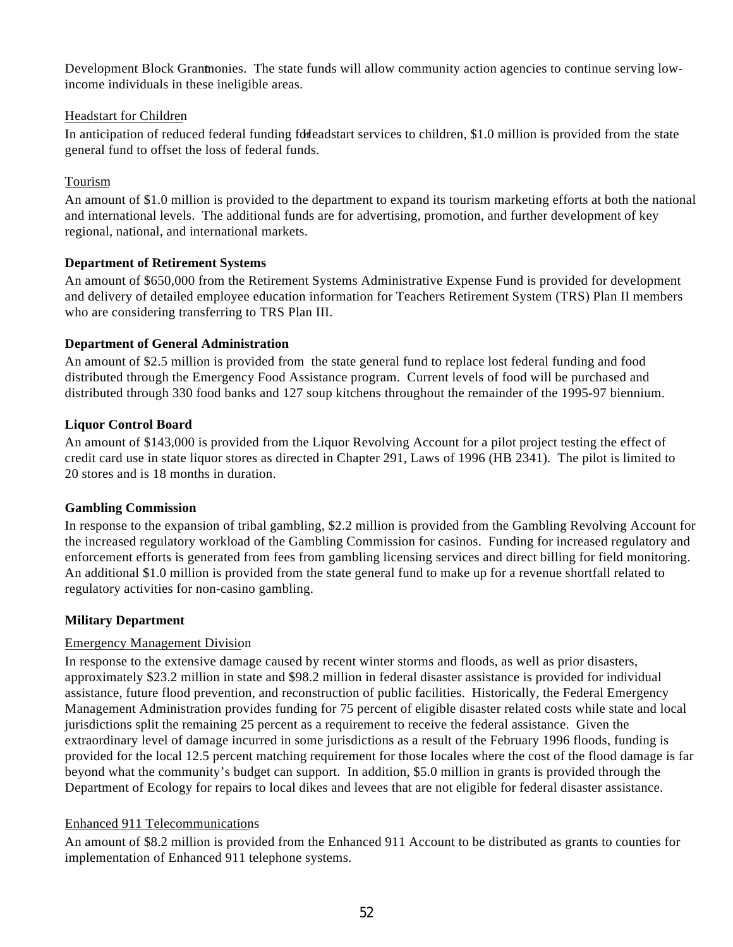Development Block Grantmonies. The state funds will allow community action agencies to continue serving lowincome individuals in these ineligible areas.

### Headstart for Children

In anticipation of reduced federal funding for Headstart services to children, \$1.0 million is provided from the state general fund to offset the loss of federal funds.

### Tourism

An amount of \$1.0 million is provided to the department to expand its tourism marketing efforts at both the national and international levels. The additional funds are for advertising, promotion, and further development of key regional, national, and international markets.

### **Department of Retirement Systems**

An amount of \$650,000 from the Retirement Systems Administrative Expense Fund is provided for development and delivery of detailed employee education information for Teachers Retirement System (TRS) Plan II members who are considering transferring to TRS Plan III.

### **Department of General Administration**

An amount of \$2.5 million is provided from the state general fund to replace lost federal funding and food distributed through the Emergency Food Assistance program. Current levels of food will be purchased and distributed through 330 food banks and 127 soup kitchens throughout the remainder of the 1995-97 biennium.

### **Liquor Control Board**

An amount of \$143,000 is provided from the Liquor Revolving Account for a pilot project testing the effect of credit card use in state liquor stores as directed in Chapter 291, Laws of 1996 (HB 2341). The pilot is limited to 20 stores and is 18 months in duration.

### **Gambling Commission**

In response to the expansion of tribal gambling, \$2.2 million is provided from the Gambling Revolving Account for the increased regulatory workload of the Gambling Commission for casinos. Funding for increased regulatory and enforcement efforts is generated from fees from gambling licensing services and direct billing for field monitoring. An additional \$1.0 million is provided from the state general fund to make up for a revenue shortfall related to regulatory activities for non-casino gambling.

### **Military Department**

### Emergency Management Division

In response to the extensive damage caused by recent winter storms and floods, as well as prior disasters, approximately \$23.2 million in state and \$98.2 million in federal disaster assistance is provided for individual assistance, future flood prevention, and reconstruction of public facilities. Historically, the Federal Emergency Management Administration provides funding for 75 percent of eligible disaster related costs while state and local jurisdictions split the remaining 25 percent as a requirement to receive the federal assistance. Given the extraordinary level of damage incurred in some jurisdictions as a result of the February 1996 floods, funding is provided for the local 12.5 percent matching requirement for those locales where the cost of the flood damage is far beyond what the community's budget can support. In addition, \$5.0 million in grants is provided through the Department of Ecology for repairs to local dikes and levees that are not eligible for federal disaster assistance.

### Enhanced 911 Telecommunications

An amount of \$8.2 million is provided from the Enhanced 911 Account to be distributed as grants to counties for implementation of Enhanced 911 telephone systems.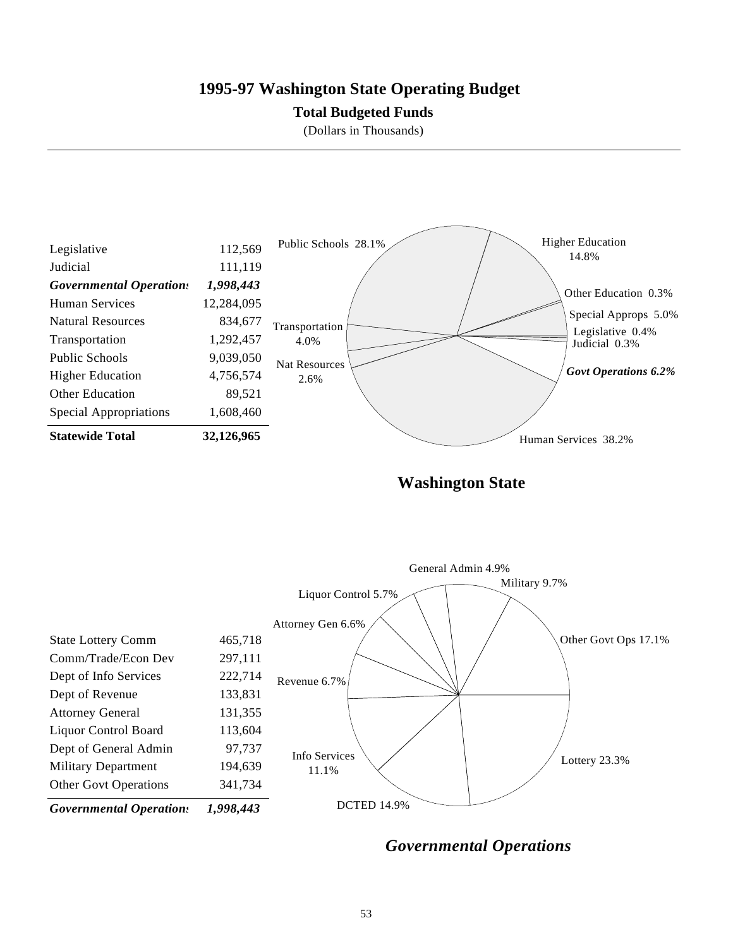### **1995-97 Washington State Operating Budget**

### **Total Budgeted Funds**

(Dollars in Thousands)



**Washington State**



*Governmental Operations*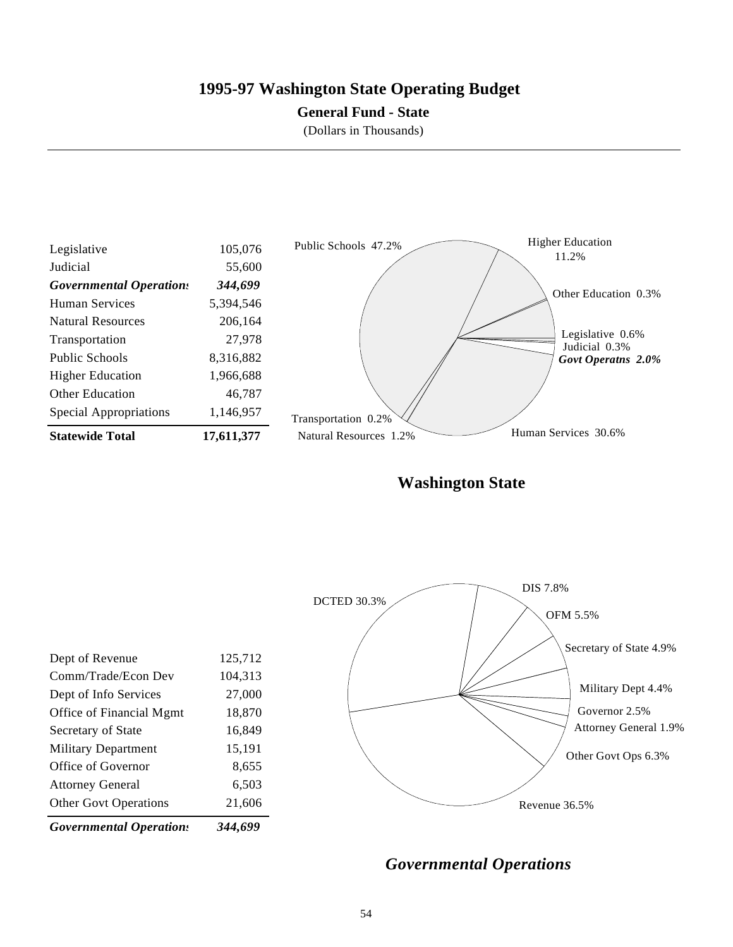### **1995-97 Washington State Operating Budget**

### **General Fund - State**

(Dollars in Thousands)



**Washington State**

| <b>Governmental Operations</b> | 344,699 |                    |          |
|--------------------------------|---------|--------------------|----------|
| <b>Other Govt Operations</b>   | 21,606  |                    |          |
| <b>Attorney General</b>        | 6,503   |                    |          |
| Office of Governor             | 8,655   |                    |          |
| <b>Military Department</b>     | 15,191  |                    |          |
| Secretary of State             | 16,849  |                    |          |
| Office of Financial Mgmt       | 18,870  |                    |          |
| Dept of Info Services          | 27,000  |                    |          |
| Comm/Trade/Econ Dev            | 104,313 |                    |          |
| Dept of Revenue                | 125,712 |                    |          |
|                                |         |                    |          |
|                                |         |                    |          |
|                                |         | <b>DCTED 30.3%</b> | DIS 7.8% |
|                                |         |                    |          |

*Governmental Operations*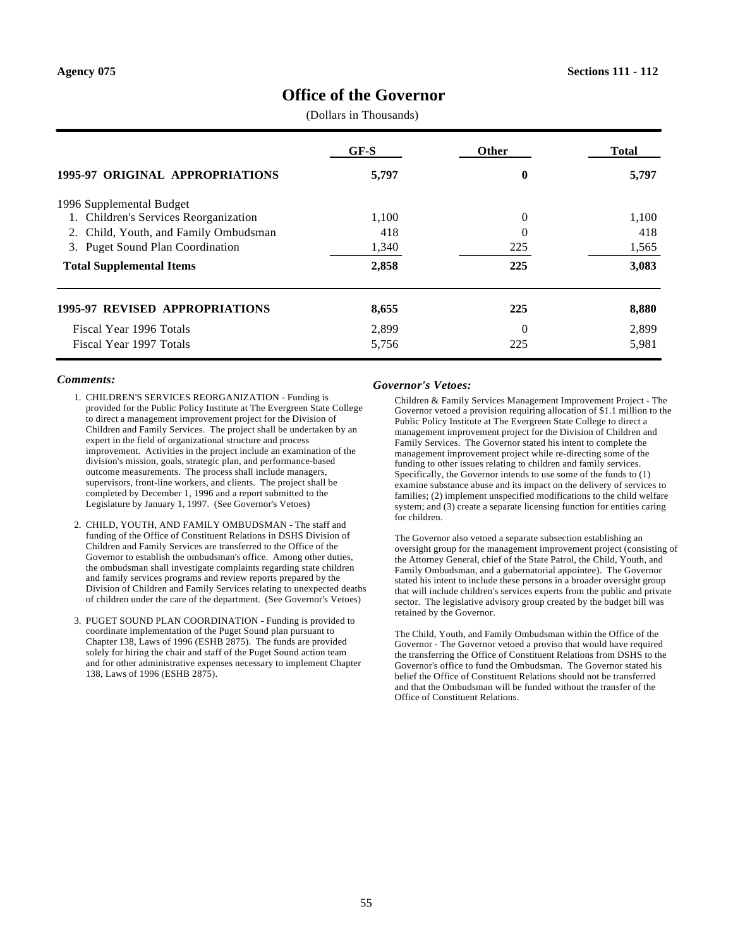### **Office of the Governor**

(Dollars in Thousands)

| <b>1995-97 ORIGINAL APPROPRIATIONS</b>     | $GF-S$ | Other    | <b>Total</b> |
|--------------------------------------------|--------|----------|--------------|
|                                            | 5,797  | 0        | 5,797        |
| 1996 Supplemental Budget                   |        |          |              |
| 1. Children's Services Reorganization      | 1,100  | 0        | 1,100        |
| 2. Child, Youth, and Family Ombudsman      | 418    | 0        | 418          |
| <b>Puget Sound Plan Coordination</b><br>3. | 1,340  | 225      | 1,565        |
| <b>Total Supplemental Items</b>            | 2,858  | 225      | 3,083        |
| <b>1995-97 REVISED APPROPRIATIONS</b>      | 8,655  | 225      | 8,880        |
| Fiscal Year 1996 Totals                    | 2,899  | $\theta$ | 2,899        |
| Fiscal Year 1997 Totals                    | 5,756  | 225      | 5,981        |

#### *Comments:*

- 1. CHILDREN'S SERVICES REORGANIZATION Funding is provided for the Public Policy Institute at The Evergreen State College to direct a management improvement project for the Division of Children and Family Services. The project shall be undertaken by an expert in the field of organizational structure and process improvement. Activities in the project include an examination of the division's mission, goals, strategic plan, and performance-based outcome measurements. The process shall include managers, supervisors, front-line workers, and clients. The project shall be completed by December 1, 1996 and a report submitted to the Legislature by January 1, 1997. (See Governor's Vetoes)
- 2. CHILD, YOUTH, AND FAMILY OMBUDSMAN The staff and funding of the Office of Constituent Relations in DSHS Division of Children and Family Services are transferred to the Office of the Governor to establish the ombudsman's office. Among other duties, the ombudsman shall investigate complaints regarding state children and family services programs and review reports prepared by the Division of Children and Family Services relating to unexpected deaths of children under the care of the department. (See Governor's Vetoes)
- 3. PUGET SOUND PLAN COORDINATION Funding is provided to coordinate implementation of the Puget Sound plan pursuant to Chapter 138, Laws of 1996 (ESHB 2875). The funds are provided solely for hiring the chair and staff of the Puget Sound action team and for other administrative expenses necessary to implement Chapter 138, Laws of 1996 (ESHB 2875).

#### *Governor's Vetoes:*

Children & Family Services Management Improvement Project - The Governor vetoed a provision requiring allocation of \$1.1 million to the Public Policy Institute at The Evergreen State College to direct a management improvement project for the Division of Children and Family Services. The Governor stated his intent to complete the management improvement project while re-directing some of the funding to other issues relating to children and family services. Specifically, the Governor intends to use some of the funds to (1) examine substance abuse and its impact on the delivery of services to families; (2) implement unspecified modifications to the child welfare system; and (3) create a separate licensing function for entities caring for children.

The Governor also vetoed a separate subsection establishing an oversight group for the management improvement project (consisting of the Attorney General, chief of the State Patrol, the Child, Youth, and Family Ombudsman, and a gubernatorial appointee). The Governor stated his intent to include these persons in a broader oversight group that will include children's services experts from the public and private sector. The legislative advisory group created by the budget bill was retained by the Governor.

The Child, Youth, and Family Ombudsman within the Office of the Governor - The Governor vetoed a proviso that would have required the transferring the Office of Constituent Relations from DSHS to the Governor's office to fund the Ombudsman. The Governor stated his belief the Office of Constituent Relations should not be transferred and that the Ombudsman will be funded without the transfer of the Office of Constituent Relations.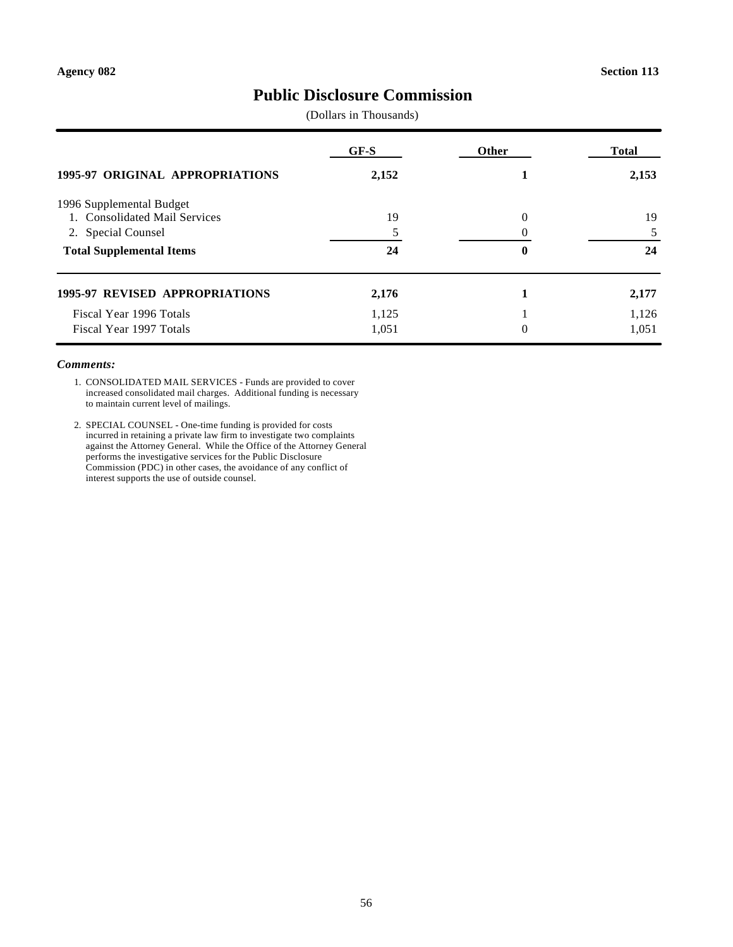### **Public Disclosure Commission**

(Dollars in Thousands)

|                                        | GF-S  | <b>Other</b> | <b>Total</b> |
|----------------------------------------|-------|--------------|--------------|
| <b>1995-97 ORIGINAL APPROPRIATIONS</b> | 2,152 |              | 2,153        |
| 1996 Supplemental Budget               |       |              |              |
| 1. Consolidated Mail Services          | 19    | $\Omega$     | 19           |
| 2. Special Counsel                     |       |              |              |
| <b>Total Supplemental Items</b>        | 24    | 0            | 24           |
| <b>1995-97 REVISED APPROPRIATIONS</b>  | 2,176 |              | 2,177        |
| Fiscal Year 1996 Totals                | 1,125 |              | 1,126        |
| Fiscal Year 1997 Totals                | 1,051 | $\theta$     | 1.051        |

### *Comments:*

1. CONSOLIDATED MAIL SERVICES - Funds are provided to cover increased consolidated mail charges. Additional funding is necessary to maintain current level of mailings.

2. SPECIAL COUNSEL - One-time funding is provided for costs incurred in retaining a private law firm to investigate two complaints against the Attorney General. While the Office of the Attorney General performs the investigative services for the Public Disclosure Commission (PDC) in other cases, the avoidance of any conflict of interest supports the use of outside counsel.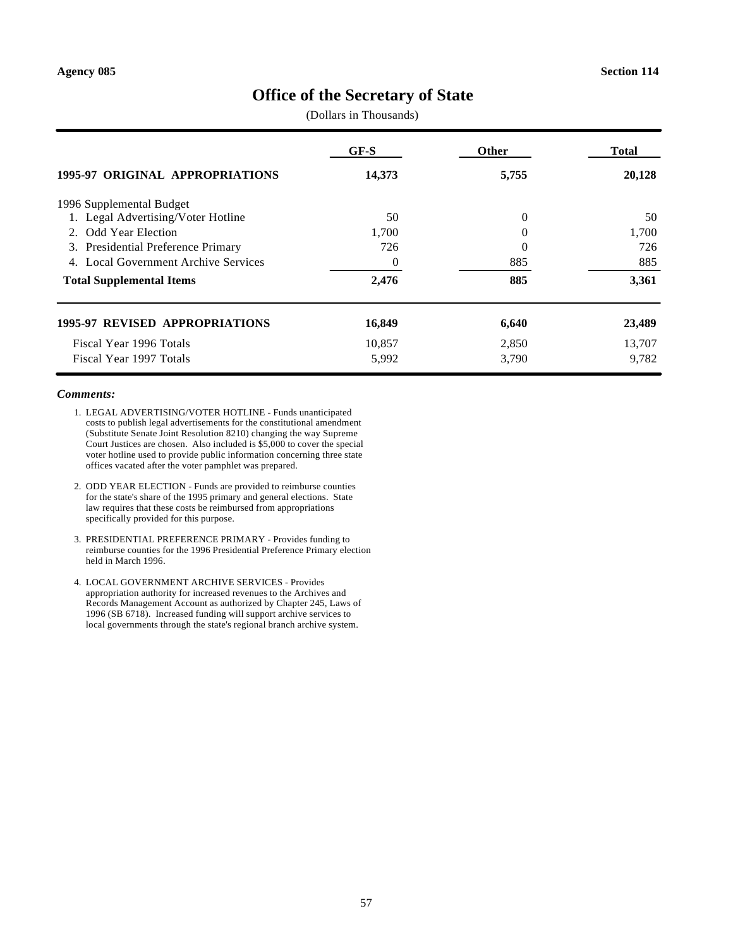### **Office of the Secretary of State**

(Dollars in Thousands)

| <b>1995-97 ORIGINAL APPROPRIATIONS</b>  | GF-S     | Other          | Total  |
|-----------------------------------------|----------|----------------|--------|
|                                         | 14,373   | 5,755          | 20,128 |
| 1996 Supplemental Budget                |          |                |        |
| 1. Legal Advertising/Voter Hotline      | 50       | $\overline{0}$ | 50     |
| 2. Odd Year Election                    | 1,700    | 0              | 1,700  |
| Presidential Preference Primary<br>3.   | 726      | 0              | 726    |
| Local Government Archive Services<br>4. | $\theta$ | 885            | 885    |
| <b>Total Supplemental Items</b>         | 2,476    | 885            | 3,361  |
| <b>1995-97 REVISED APPROPRIATIONS</b>   | 16,849   | 6,640          | 23,489 |
| Fiscal Year 1996 Totals                 | 10,857   | 2,850          | 13,707 |
| Fiscal Year 1997 Totals                 | 5,992    | 3,790          | 9,782  |

#### *Comments:*

- 1. LEGAL ADVERTISING/VOTER HOTLINE Funds unanticipated costs to publish legal advertisements for the constitutional amendment (Substitute Senate Joint Resolution 8210) changing the way Supreme Court Justices are chosen. Also included is \$5,000 to cover the special voter hotline used to provide public information concerning three state offices vacated after the voter pamphlet was prepared.
- 2. ODD YEAR ELECTION Funds are provided to reimburse counties for the state's share of the 1995 primary and general elections. State law requires that these costs be reimbursed from appropriations specifically provided for this purpose.
- 3. PRESIDENTIAL PREFERENCE PRIMARY Provides funding to reimburse counties for the 1996 Presidential Preference Primary election held in March 1996.
- 4. LOCAL GOVERNMENT ARCHIVE SERVICES Provides appropriation authority for increased revenues to the Archives and Records Management Account as authorized by Chapter 245, Laws of 1996 (SB 6718). Increased funding will support archive services to local governments through the state's regional branch archive system.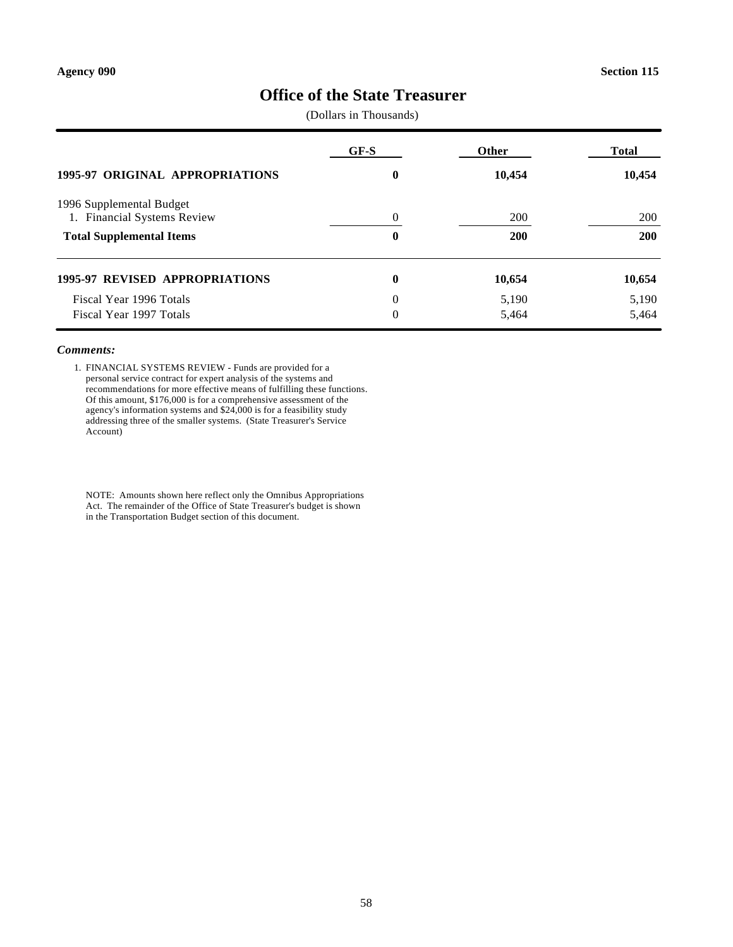### **Office of the State Treasurer**

(Dollars in Thousands)

|                                                         | GF-S     | Other      | <b>Total</b> |
|---------------------------------------------------------|----------|------------|--------------|
| <b>1995-97 ORIGINAL APPROPRIATIONS</b>                  | 0        | 10,454     | 10,454       |
| 1996 Supplemental Budget<br>1. Financial Systems Review | $\Omega$ | 200        | 200          |
| <b>Total Supplemental Items</b>                         | 0        | <b>200</b> | 200          |
| <b>1995-97 REVISED APPROPRIATIONS</b>                   | $\bf{0}$ | 10,654     | 10,654       |
| Fiscal Year 1996 Totals                                 | $\theta$ | 5,190      | 5,190        |
| Fiscal Year 1997 Totals                                 | $\Omega$ | 5,464      | 5,464        |

#### *Comments:*

1. FINANCIAL SYSTEMS REVIEW - Funds are provided for a personal service contract for expert analysis of the systems and recommendations for more effective means of fulfilling these functions. Of this amount, \$176,000 is for a comprehensive assessment of the agency's information systems and \$24,000 is for a feasibility study addressing three of the smaller systems. (State Treasurer's Service Account)

NOTE: Amounts shown here reflect only the Omnibus Appropriations Act. The remainder of the Office of State Treasurer's budget is shown in the Transportation Budget section of this document.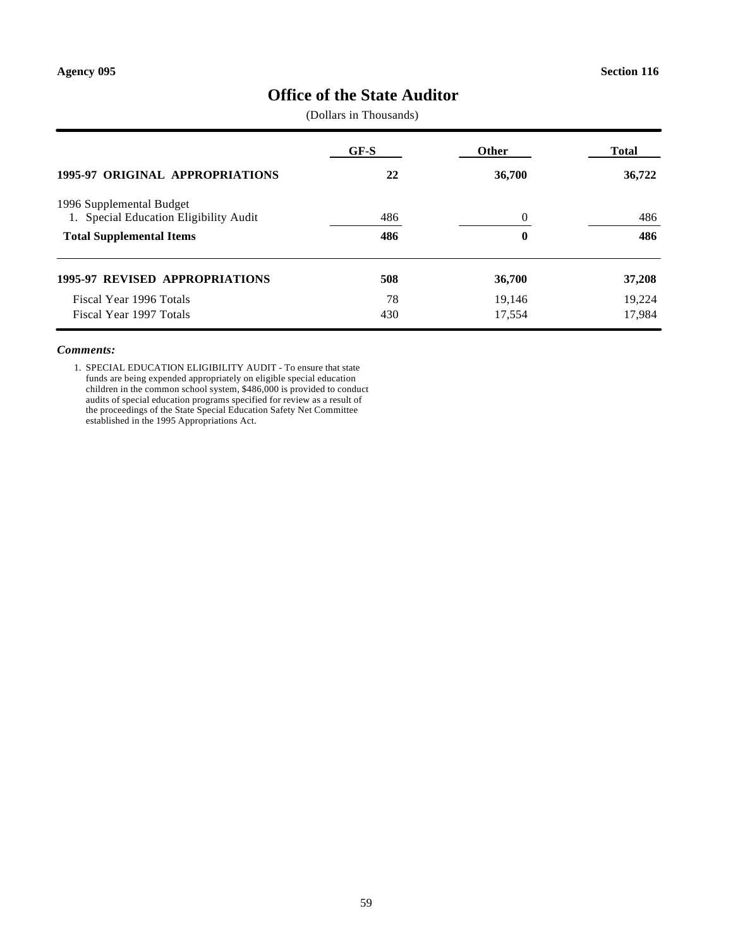## **Office of the State Auditor**

(Dollars in Thousands)

| <b>1995-97 ORIGINAL APPROPRIATIONS</b>                             | $GF-S$ | Other  | Total  |
|--------------------------------------------------------------------|--------|--------|--------|
|                                                                    | 22     | 36,700 | 36,722 |
| 1996 Supplemental Budget<br>1. Special Education Eligibility Audit | 486    | 0      | 486    |
| <b>Total Supplemental Items</b>                                    | 486    | 0      | 486    |
| <b>1995-97 REVISED APPROPRIATIONS</b>                              | 508    | 36,700 | 37,208 |
| Fiscal Year 1996 Totals                                            | 78     | 19,146 | 19,224 |
| Fiscal Year 1997 Totals                                            | 430    | 17,554 | 17,984 |

#### *Comments:*

1. SPECIAL EDUCATION ELIGIBILITY AUDIT - To ensure that state funds are being expended appropriately on eligible special education children in the common school system, \$486,000 is provided to conduct audits of special education programs specified for review as a result of the proceedings of the State Special Education Safety Net Committee established in the 1995 Appropriations Act.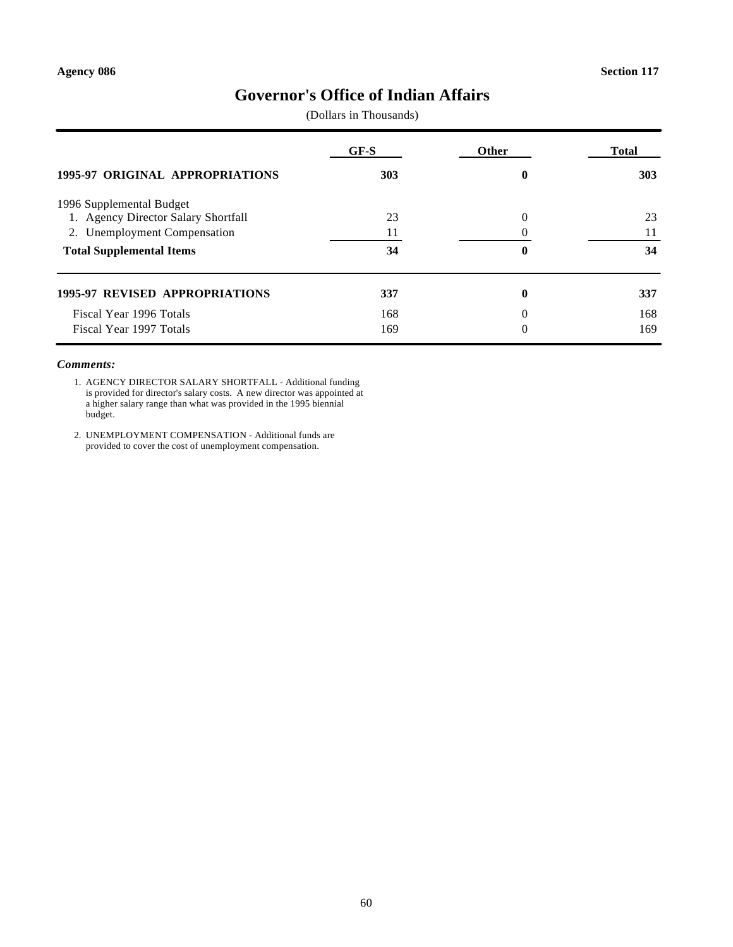## **Governor's Office of Indian Affairs**

(Dollars in Thousands)

| <b>1995-97 ORIGINAL APPROPRIATIONS</b> | $GF-S$ | <b>Other</b> | <b>Total</b> |
|----------------------------------------|--------|--------------|--------------|
|                                        | 303    | 0            | 303          |
| 1996 Supplemental Budget               |        |              |              |
| 1. Agency Director Salary Shortfall    | 23     | $\theta$     | 23           |
| 2. Unemployment Compensation           | 11     |              | 11           |
| <b>Total Supplemental Items</b>        | 34     | 0            | 34           |
| <b>1995-97 REVISED APPROPRIATIONS</b>  | 337    | $\bf{0}$     | 337          |
| Fiscal Year 1996 Totals                | 168    | $\Omega$     | 168          |
| Fiscal Year 1997 Totals                | 169    | $\theta$     | 169          |

### *Comments:*

1. AGENCY DIRECTOR SALARY SHORTFALL - Additional funding is provided for director's salary costs. A new director was appointed at a higher salary range than what was provided in the 1995 biennial budget.

2. UNEMPLOYMENT COMPENSATION - Additional funds are provided to cover the cost of unemployment compensation.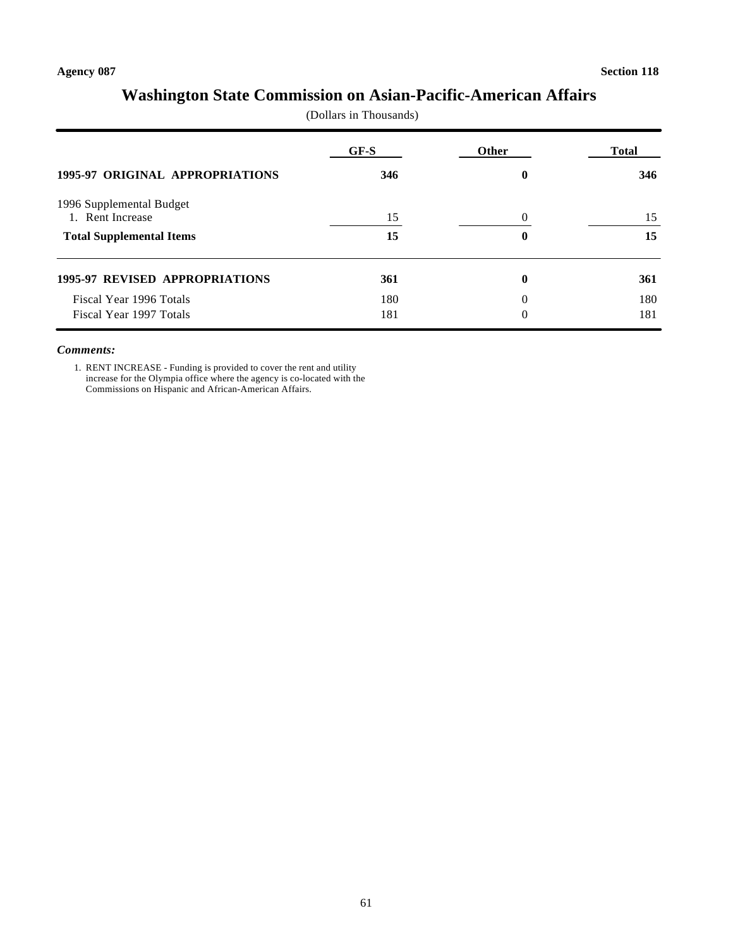## **Washington State Commission on Asian-Pacific-American Affairs**

(Dollars in Thousands)

|                                        | GF-S | Other    | Total |
|----------------------------------------|------|----------|-------|
| <b>1995-97 ORIGINAL APPROPRIATIONS</b> | 346  | 0        | 346   |
| 1996 Supplemental Budget               |      |          |       |
| 1. Rent Increase                       | 15   | $\Omega$ | 15    |
| <b>Total Supplemental Items</b>        | 15   | 0        | 15    |
| <b>1995-97 REVISED APPROPRIATIONS</b>  | 361  | 0        | 361   |
| Fiscal Year 1996 Totals                | 180  | $\theta$ | 180   |
| Fiscal Year 1997 Totals                | 181  | $\theta$ | 181   |

#### *Comments:*

1. RENT INCREASE - Funding is provided to cover the rent and utility increase for the Olympia office where the agency is co-located with the Commissions on Hispanic and African-American Affairs.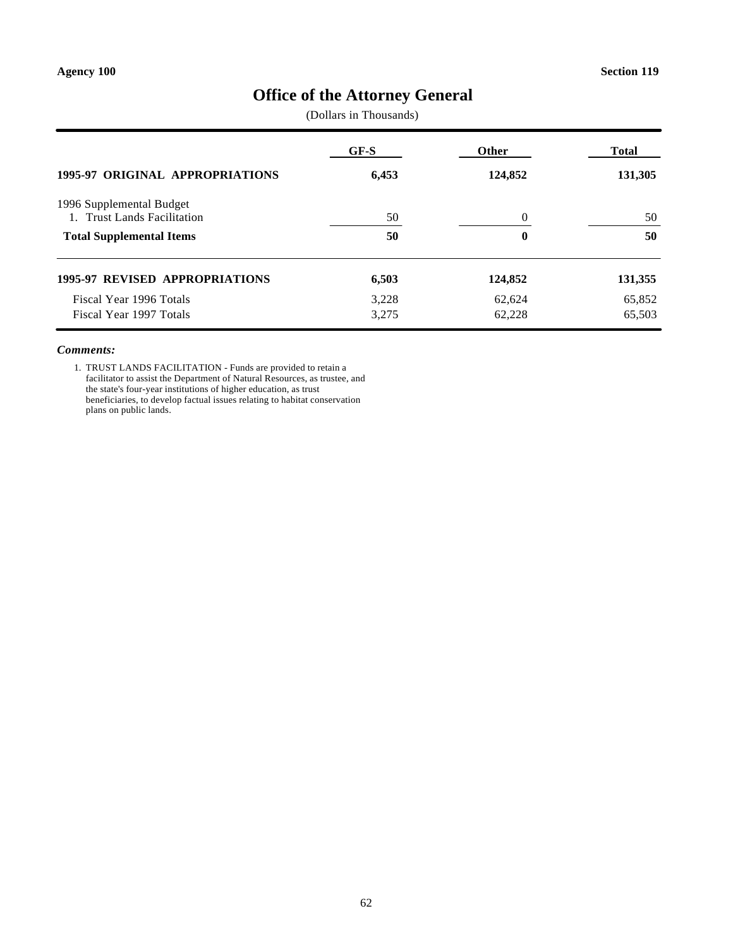# **Office of the Attorney General**

(Dollars in Thousands)

| 1995-97 ORIGINAL APPROPRIATIONS                         | GF-S  | Other    | Total   |
|---------------------------------------------------------|-------|----------|---------|
|                                                         | 6,453 | 124,852  | 131,305 |
| 1996 Supplemental Budget<br>1. Trust Lands Facilitation | 50    | $\Omega$ | 50      |
| <b>Total Supplemental Items</b>                         | 50    | 0        | 50      |
| <b>1995-97 REVISED APPROPRIATIONS</b>                   | 6,503 | 124,852  | 131,355 |
| Fiscal Year 1996 Totals                                 | 3.228 | 62,624   | 65,852  |
| Fiscal Year 1997 Totals                                 | 3,275 | 62,228   | 65,503  |

#### *Comments:*

1. TRUST LANDS FACILITATION - Funds are provided to retain a facilitator to assist the Department of Natural Resources, as trustee, and the state's four-year institutions of higher education, as trust beneficiaries, to develop factual issues relating to habitat conservation plans on public lands.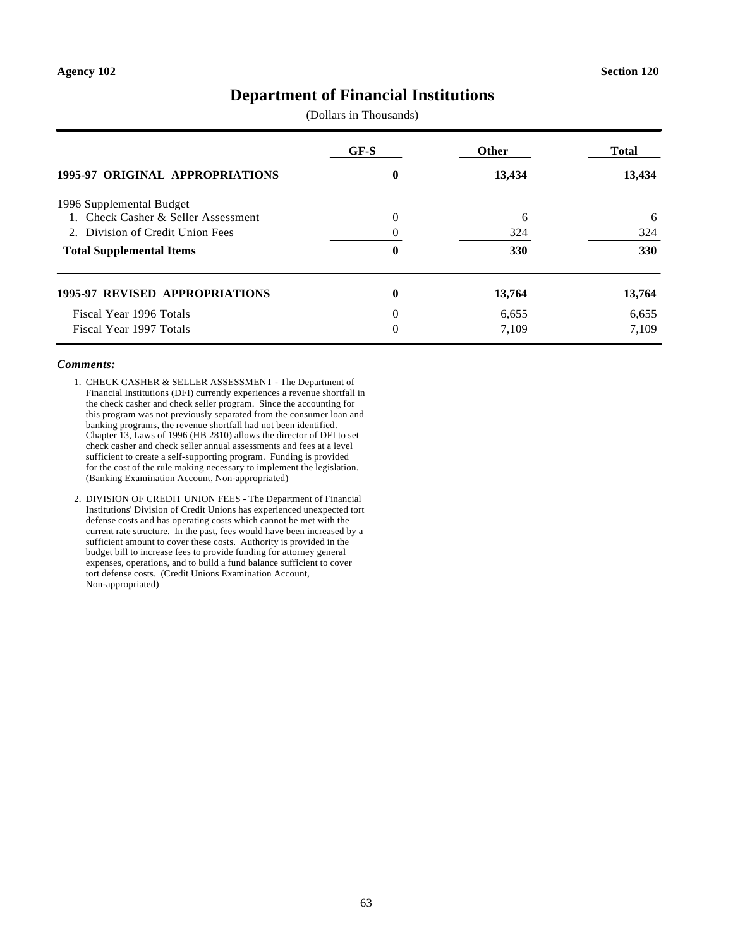### **Department of Financial Institutions**

(Dollars in Thousands)

|                                        | $GF-S$   | Other  | <b>Total</b> |
|----------------------------------------|----------|--------|--------------|
| <b>1995-97 ORIGINAL APPROPRIATIONS</b> | 0        | 13,434 | 13,434       |
| 1996 Supplemental Budget               |          |        |              |
| 1. Check Casher & Seller Assessment    | $\theta$ | 6      | 6            |
| 2. Division of Credit Union Fees       |          | 324    | 324          |
| <b>Total Supplemental Items</b>        | 0        | 330    | 330          |
| <b>1995-97 REVISED APPROPRIATIONS</b>  | $\bf{0}$ | 13,764 | 13,764       |
| Fiscal Year 1996 Totals                | 0        | 6,655  | 6,655        |
| Fiscal Year 1997 Totals                | $\Omega$ | 7,109  | 7,109        |

#### *Comments:*

- 1. CHECK CASHER & SELLER ASSESSMENT The Department of Financial Institutions (DFI) currently experiences a revenue shortfall in the check casher and check seller program. Since the accounting for this program was not previously separated from the consumer loan and banking programs, the revenue shortfall had not been identified. Chapter 13, Laws of 1996 (HB 2810) allows the director of DFI to set check casher and check seller annual assessments and fees at a level sufficient to create a self-supporting program. Funding is provided for the cost of the rule making necessary to implement the legislation. (Banking Examination Account, Non-appropriated)
- 2. DIVISION OF CREDIT UNION FEES The Department of Financial Institutions' Division of Credit Unions has experienced unexpected tort defense costs and has operating costs which cannot be met with the current rate structure. In the past, fees would have been increased by a sufficient amount to cover these costs. Authority is provided in the budget bill to increase fees to provide funding for attorney general expenses, operations, and to build a fund balance sufficient to cover tort defense costs. (Credit Unions Examination Account, Non-appropriated)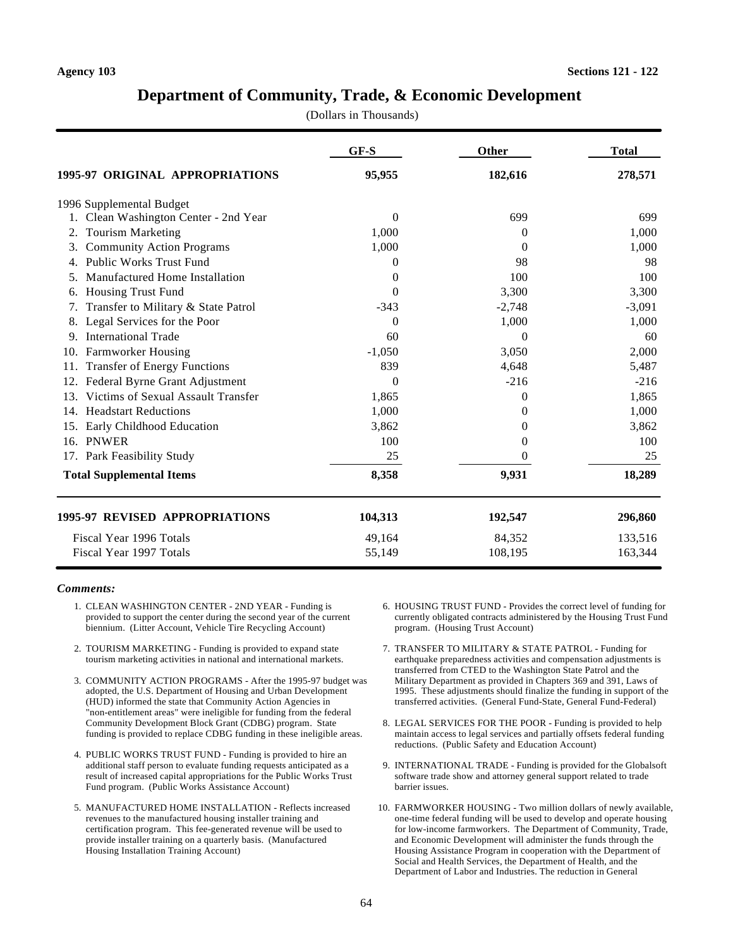### **Department of Community, Trade, & Economic Development**

(Dollars in Thousands)

|                                            | GF-S     | Other    | <b>Total</b> |
|--------------------------------------------|----------|----------|--------------|
| 1995-97 ORIGINAL APPROPRIATIONS            | 95,955   | 182,616  | 278,571      |
| 1996 Supplemental Budget                   |          |          |              |
| Clean Washington Center - 2nd Year         | $\theta$ | 699      | 699          |
| <b>Tourism Marketing</b><br>2.             | 1,000    | $\theta$ | 1,000        |
| <b>Community Action Programs</b><br>3.     | 1,000    | $\Omega$ | 1,000        |
| <b>Public Works Trust Fund</b><br>4.       | 0        | 98       | 98           |
| Manufactured Home Installation             | $\Omega$ | 100      | 100          |
| <b>Housing Trust Fund</b><br>6.            | 0        | 3,300    | 3,300        |
| Transfer to Military & State Patrol<br>7.  | $-343$   | $-2,748$ | $-3,091$     |
| Legal Services for the Poor                | 0        | 1,000    | 1,000        |
| <b>International Trade</b><br>9.           | 60       | 0        | 60           |
| 10. Farmworker Housing                     | $-1,050$ | 3,050    | 2,000        |
| <b>Transfer of Energy Functions</b><br>11. | 839      | 4,648    | 5,487        |
| Federal Byrne Grant Adjustment<br>12.      | $\Omega$ | $-216$   | $-216$       |
| Victims of Sexual Assault Transfer<br>13.  | 1,865    | 0        | 1,865        |
| <b>Headstart Reductions</b><br>14.         | 1,000    | $\theta$ | 1,000        |
| Early Childhood Education<br>15.           | 3,862    | 0        | 3,862        |
| 16. PNWER                                  | 100      | 0        | 100          |
| 17. Park Feasibility Study                 | 25       | 0        | 25           |
| <b>Total Supplemental Items</b>            | 8,358    | 9,931    | 18,289       |
| <b>1995-97 REVISED APPROPRIATIONS</b>      | 104,313  | 192,547  | 296,860      |
| Fiscal Year 1996 Totals                    | 49,164   | 84,352   | 133,516      |
| Fiscal Year 1997 Totals                    | 55,149   | 108,195  | 163,344      |

#### *Comments:*

- 1. CLEAN WASHINGTON CENTER 2ND YEAR Funding is provided to support the center during the second year of the current biennium. (Litter Account, Vehicle Tire Recycling Account)
- 2. TOURISM MARKETING Funding is provided to expand state tourism marketing activities in national and international markets.
- 3. COMMUNITY ACTION PROGRAMS After the 1995-97 budget was adopted, the U.S. Department of Housing and Urban Development (HUD) informed the state that Community Action Agencies in "non-entitlement areas" were ineligible for funding from the federal Community Development Block Grant (CDBG) program. State funding is provided to replace CDBG funding in these ineligible areas.
- 4. PUBLIC WORKS TRUST FUND Funding is provided to hire an additional staff person to evaluate funding requests anticipated as a result of increased capital appropriations for the Public Works Trust Fund program. (Public Works Assistance Account)
- 5. MANUFACTURED HOME INSTALLATION Reflects increased revenues to the manufactured housing installer training and certification program. This fee-generated revenue will be used to provide installer training on a quarterly basis. (Manufactured Housing Installation Training Account)
- 6. HOUSING TRUST FUND Provides the correct level of funding for currently obligated contracts administered by the Housing Trust Fund program. (Housing Trust Account)
- 7. TRANSFER TO MILITARY & STATE PATROL Funding for earthquake preparedness activities and compensation adjustments is transferred from CTED to the Washington State Patrol and the Military Department as provided in Chapters 369 and 391, Laws of 1995. These adjustments should finalize the funding in support of the transferred activities. (General Fund-State, General Fund-Federal)
- 8. LEGAL SERVICES FOR THE POOR Funding is provided to help maintain access to legal services and partially offsets federal funding reductions. (Public Safety and Education Account)
- 9. INTERNATIONAL TRADE Funding is provided for the Globalsoft software trade show and attorney general support related to trade barrier issues.
- 10. FARMWORKER HOUSING Two million dollars of newly available, one-time federal funding will be used to develop and operate housing for low-income farmworkers. The Department of Community, Trade, and Economic Development will administer the funds through the Housing Assistance Program in cooperation with the Department of Social and Health Services, the Department of Health, and the Department of Labor and Industries. The reduction in General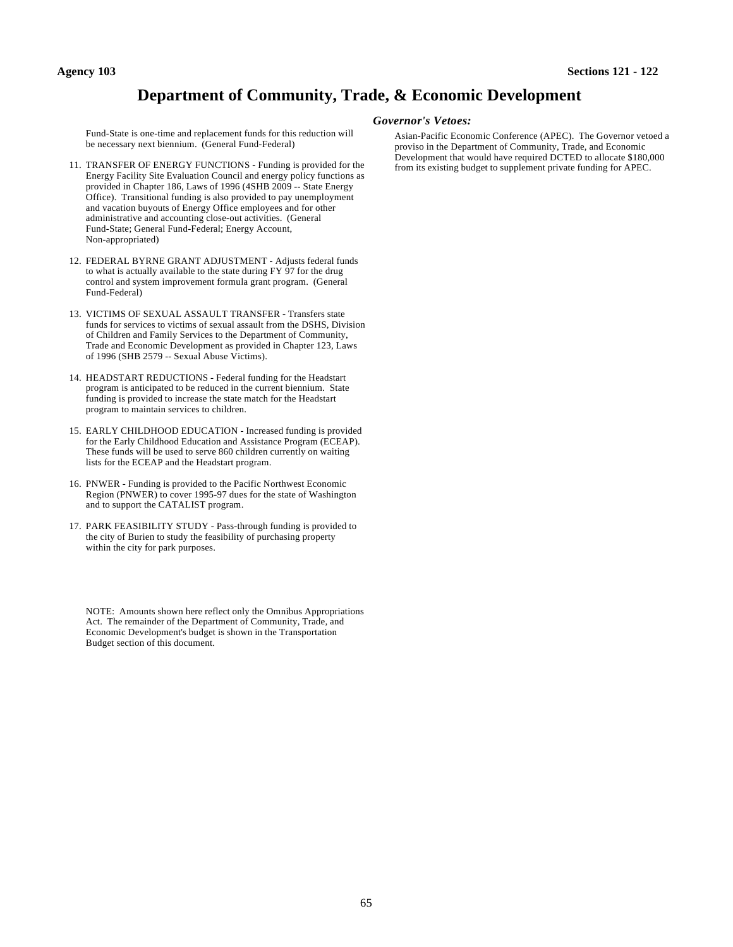### **Department of Community, Trade, & Economic Development**

Fund-State is one-time and replacement funds for this reduction will be necessary next biennium. (General Fund-Federal)

- 11. TRANSFER OF ENERGY FUNCTIONS Funding is provided for the Energy Facility Site Evaluation Council and energy policy functions as provided in Chapter 186, Laws of 1996 (4SHB 2009 -- State Energy Office). Transitional funding is also provided to pay unemployment and vacation buyouts of Energy Office employees and for other administrative and accounting close-out activities. (General Fund-State; General Fund-Federal; Energy Account, Non-appropriated)
- 12. FEDERAL BYRNE GRANT ADJUSTMENT Adjusts federal funds to what is actually available to the state during FY 97 for the drug control and system improvement formula grant program. (General Fund-Federal)
- 13. VICTIMS OF SEXUAL ASSAULT TRANSFER Transfers state funds for services to victims of sexual assault from the DSHS, Division of Children and Family Services to the Department of Community, Trade and Economic Development as provided in Chapter 123, Laws of 1996 (SHB 2579 -- Sexual Abuse Victims).
- 14. HEADSTART REDUCTIONS Federal funding for the Headstart program is anticipated to be reduced in the current biennium. State funding is provided to increase the state match for the Headstart program to maintain services to children.
- 15. EARLY CHILDHOOD EDUCATION Increased funding is provided for the Early Childhood Education and Assistance Program (ECEAP). These funds will be used to serve 860 children currently on waiting lists for the ECEAP and the Headstart program.
- 16. PNWER Funding is provided to the Pacific Northwest Economic Region (PNWER) to cover 1995-97 dues for the state of Washington and to support the CATALIST program.
- 17. PARK FEASIBILITY STUDY Pass-through funding is provided to the city of Burien to study the feasibility of purchasing property within the city for park purposes.

NOTE: Amounts shown here reflect only the Omnibus Appropriations Act. The remainder of the Department of Community, Trade, and Economic Development's budget is shown in the Transportation Budget section of this document.

#### *Governor's Vetoes:*

Asian-Pacific Economic Conference (APEC). The Governor vetoed a proviso in the Department of Community, Trade, and Economic Development that would have required DCTED to allocate \$180,000 from its existing budget to supplement private funding for APEC.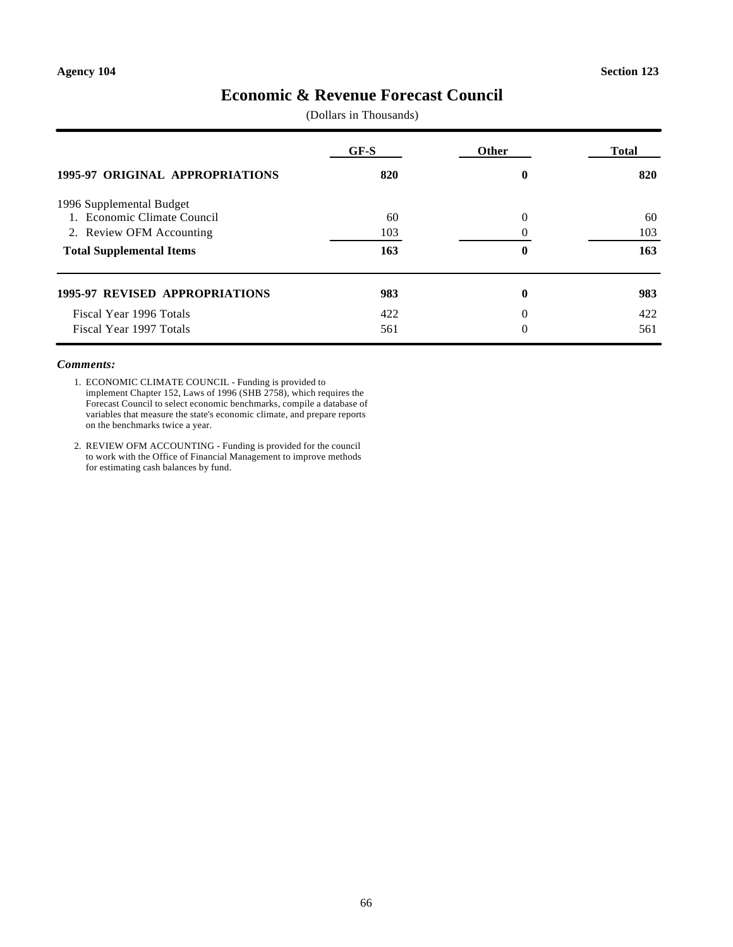### **Economic & Revenue Forecast Council**

(Dollars in Thousands)

|                                        | $GF-S$ | <b>Other</b> | <b>Total</b> |
|----------------------------------------|--------|--------------|--------------|
| <b>1995-97 ORIGINAL APPROPRIATIONS</b> | 820    | 0            | 820          |
| 1996 Supplemental Budget               |        |              |              |
| 1. Economic Climate Council            | 60     | $\Omega$     | 60           |
| 2. Review OFM Accounting               | 103    |              | 103          |
| <b>Total Supplemental Items</b>        | 163    | 0            | 163          |
| <b>1995-97 REVISED APPROPRIATIONS</b>  | 983    | $\bf{0}$     | 983          |
| Fiscal Year 1996 Totals                | 422    | $\Omega$     | 422          |
| Fiscal Year 1997 Totals                | 561    | $\Omega$     | 561          |

### *Comments:*

1. ECONOMIC CLIMATE COUNCIL - Funding is provided to implement Chapter 152, Laws of 1996 (SHB 2758), which requires the Forecast Council to select economic benchmarks, compile a database of variables that measure the state's economic climate, and prepare reports on the benchmarks twice a year.

2. REVIEW OFM ACCOUNTING - Funding is provided for the council to work with the Office of Financial Management to improve methods for estimating cash balances by fund.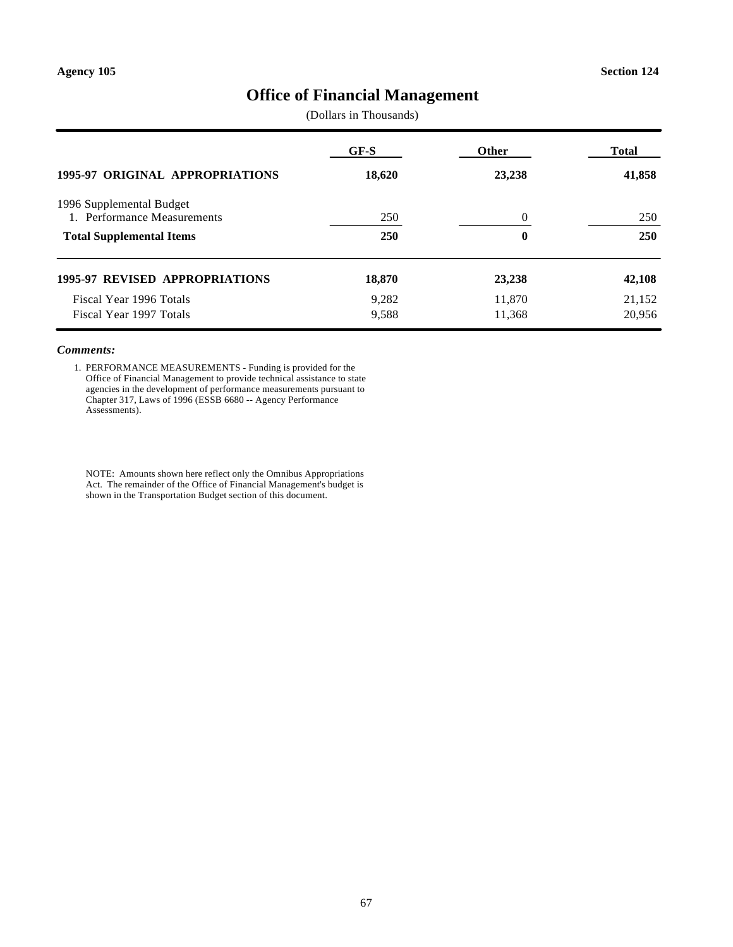## **Office of Financial Management**

(Dollars in Thousands)

| <b>1995-97 ORIGINAL APPROPRIATIONS</b> | GF-S   | <b>Other</b> | Total  |
|----------------------------------------|--------|--------------|--------|
|                                        | 18,620 | 23,238       | 41,858 |
| 1996 Supplemental Budget               |        |              |        |
| 1. Performance Measurements            | 250    | $\Omega$     | 250    |
| <b>Total Supplemental Items</b>        | 250    | 0            | 250    |
| <b>1995-97 REVISED APPROPRIATIONS</b>  | 18,870 | 23,238       | 42,108 |
| Fiscal Year 1996 Totals                | 9,282  | 11,870       | 21,152 |
| Fiscal Year 1997 Totals                | 9,588  | 11,368       | 20,956 |

#### *Comments:*

1. PERFORMANCE MEASUREMENTS - Funding is provided for the Office of Financial Management to provide technical assistance to state agencies in the development of performance measurements pursuant to Chapter 317, Laws of 1996 (ESSB 6680 -- Agency Performance Assessments).

NOTE: Amounts shown here reflect only the Omnibus Appropriations Act. The remainder of the Office of Financial Management's budget is shown in the Transportation Budget section of this document.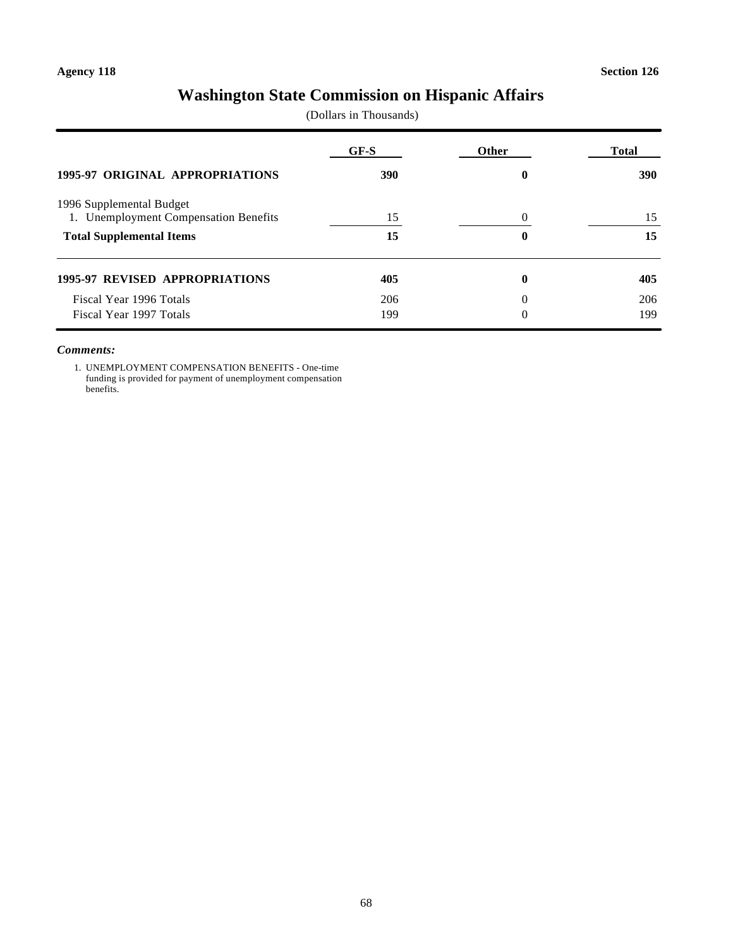# **Washington State Commission on Hispanic Affairs**

(Dollars in Thousands)

| <b>1995-97 ORIGINAL APPROPRIATIONS</b> | GF-S<br><b>390</b> | <b>Other</b><br>0 | <b>Total</b><br><b>390</b> |
|----------------------------------------|--------------------|-------------------|----------------------------|
|                                        |                    |                   |                            |
| <b>Total Supplemental Items</b>        | 15                 | 0                 | 15                         |
| <b>1995-97 REVISED APPROPRIATIONS</b>  | 405                | 0                 | 405                        |
| Fiscal Year 1996 Totals                | 206                | 0                 | 206                        |
| Fiscal Year 1997 Totals                | 199                | $\Omega$          | 199                        |

#### *Comments:*

1. UNEMPLOYMENT COMPENSATION BENEFITS - One-time funding is provided for payment of unemployment compensation benefits.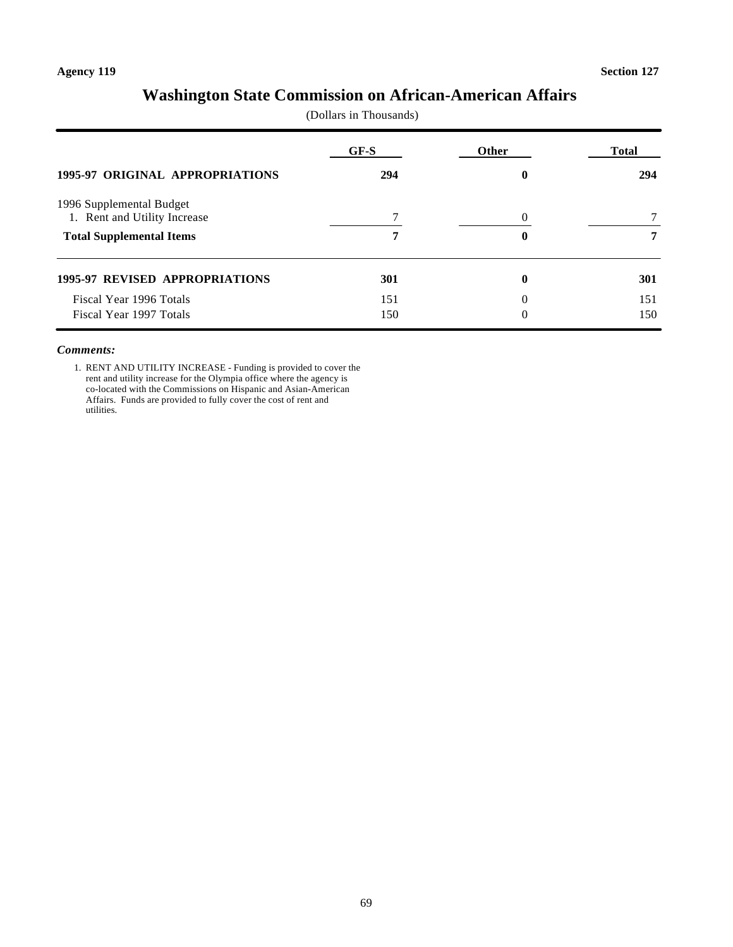## **Washington State Commission on African-American Affairs**

(Dollars in Thousands)

| 1995-97 ORIGINAL APPROPRIATIONS       | GF-S<br>294 | Other<br>0 | Total<br>294 |
|---------------------------------------|-------------|------------|--------------|
|                                       |             |            |              |
| <b>Total Supplemental Items</b>       |             | 0          |              |
| <b>1995-97 REVISED APPROPRIATIONS</b> | 301         | 0          | 301          |
| Fiscal Year 1996 Totals               | 151         | 0          | 151          |
| Fiscal Year 1997 Totals               | 150         | 0          | 150          |

#### *Comments:*

1. RENT AND UTILITY INCREASE - Funding is provided to cover the rent and utility increase for the Olympia office where the agency is co-located with the Commissions on Hispanic and Asian-American Affairs. Funds are provided to fully cover the cost of rent and utilities.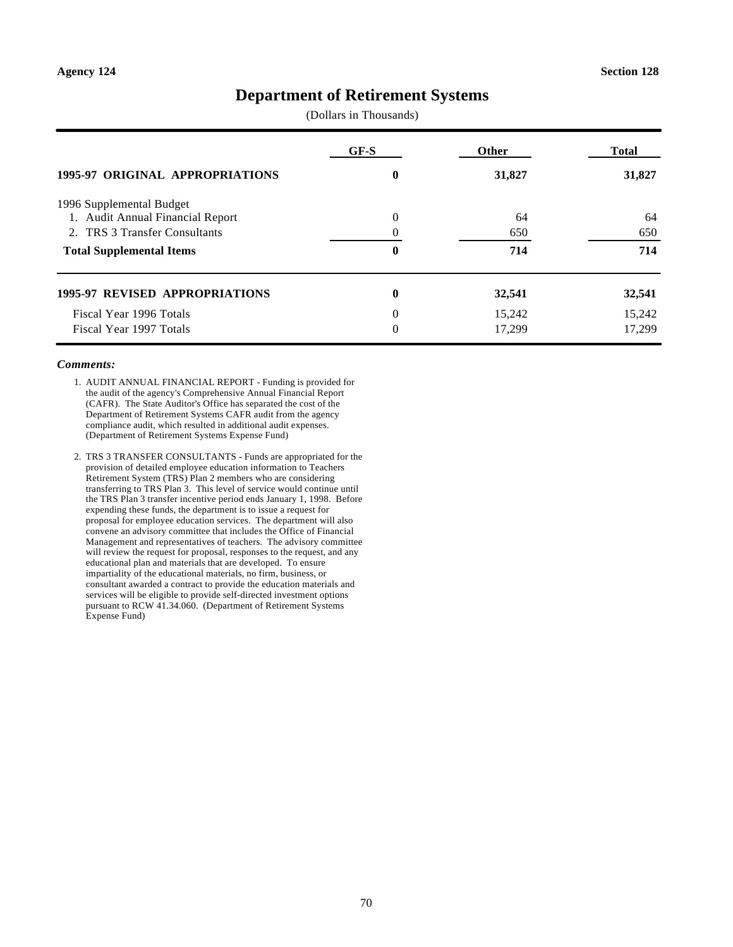### **Department of Retirement Systems**

(Dollars in Thousands)

| <b>1995-97 ORIGINAL APPROPRIATIONS</b> | $GF-S$<br>0  | <b>Other</b><br>31,827 | <b>Total</b><br>31,827 |
|----------------------------------------|--------------|------------------------|------------------------|
|                                        |              |                        |                        |
| 1. Audit Annual Financial Report       | $\Omega$     | 64                     | 64                     |
| 2. TRS 3 Transfer Consultants          |              | 650                    | 650                    |
| <b>Total Supplemental Items</b>        | 0            | 714                    | 714                    |
| <b>1995-97 REVISED APPROPRIATIONS</b>  | $\mathbf{0}$ | 32,541                 | 32,541                 |
| Fiscal Year 1996 Totals                | $\Omega$     | 15,242                 | 15,242                 |
| Fiscal Year 1997 Totals                | $\Omega$     | 17,299                 | 17.299                 |

#### *Comments:*

- 1. AUDIT ANNUAL FINANCIAL REPORT Funding is provided for the audit of the agency's Comprehensive Annual Financial Report (CAFR). The State Auditor's Office has separated the cost of the Department of Retirement Systems CAFR audit from the agency compliance audit, which resulted in additional audit expenses. (Department of Retirement Systems Expense Fund)
- 2. TRS 3 TRANSFER CONSULTANTS Funds are appropriated for the provision of detailed employee education information to Teachers Retirement System (TRS) Plan 2 members who are considering transferring to TRS Plan 3. This level of service would continue until the TRS Plan 3 transfer incentive period ends January 1, 1998. Before expending these funds, the department is to issue a request for proposal for employee education services. The department will also convene an advisory committee that includes the Office of Financial Management and representatives of teachers. The advisory committee will review the request for proposal, responses to the request, and any educational plan and materials that are developed. To ensure impartiality of the educational materials, no firm, business, or consultant awarded a contract to provide the education materials and services will be eligible to provide self-directed investment options pursuant to RCW 41.34.060. (Department of Retirement Systems Expense Fund)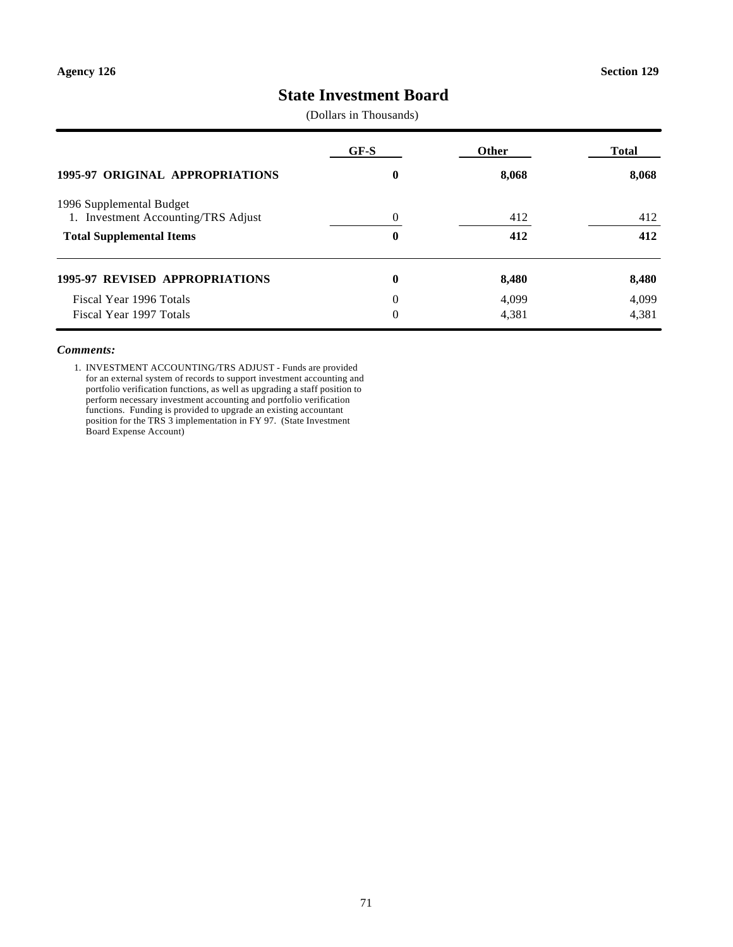### **State Investment Board**

(Dollars in Thousands)

|                                                                 | GF-S     | Other | Total |
|-----------------------------------------------------------------|----------|-------|-------|
| <b>1995-97 ORIGINAL APPROPRIATIONS</b>                          | 0        | 8,068 | 8,068 |
| 1996 Supplemental Budget<br>1. Investment Accounting/TRS Adjust | $\Omega$ | 412   | 412   |
| <b>Total Supplemental Items</b>                                 | $\bf{0}$ | 412   | 412   |
| <b>1995-97 REVISED APPROPRIATIONS</b>                           | $\bf{0}$ | 8,480 | 8,480 |
| Fiscal Year 1996 Totals                                         | $\Omega$ | 4,099 | 4,099 |
| Fiscal Year 1997 Totals                                         | $\Omega$ | 4,381 | 4,381 |

#### *Comments:*

1. INVESTMENT ACCOUNTING/TRS ADJUST - Funds are provided for an external system of records to support investment accounting and portfolio verification functions, as well as upgrading a staff position to perform necessary investment accounting and portfolio verification functions. Funding is provided to upgrade an existing accountant position for the TRS 3 implementation in FY 97. (State Investment Board Expense Account)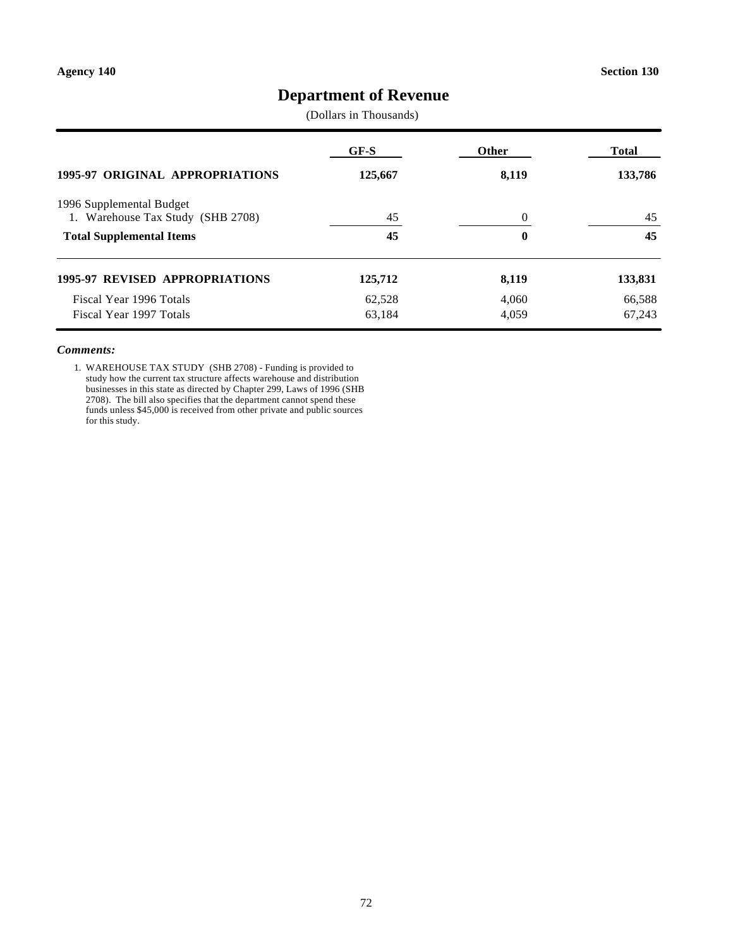# **Department of Revenue**

(Dollars in Thousands)

| 1995-97 ORIGINAL APPROPRIATIONS       | GF-S<br>125,667 | Other<br>8,119   | Total<br>133,786 |
|---------------------------------------|-----------------|------------------|------------------|
|                                       |                 |                  |                  |
| <b>Total Supplemental Items</b>       | 45              | $\boldsymbol{0}$ | 45               |
| <b>1995-97 REVISED APPROPRIATIONS</b> | 125,712         | 8,119            | 133,831          |
| Fiscal Year 1996 Totals               | 62,528          | 4.060            | 66,588           |
| Fiscal Year 1997 Totals               | 63,184          | 4,059            | 67,243           |

#### *Comments:*

1. WAREHOUSE TAX STUDY (SHB 2708) - Funding is provided to study how the current tax structure affects warehouse and distribution businesses in this state as directed by Chapter 299, Laws of 1996 (SHB 2708). The bill also specifies that the department cannot spend these funds unless \$45,000 is received from other private and public sources for this study.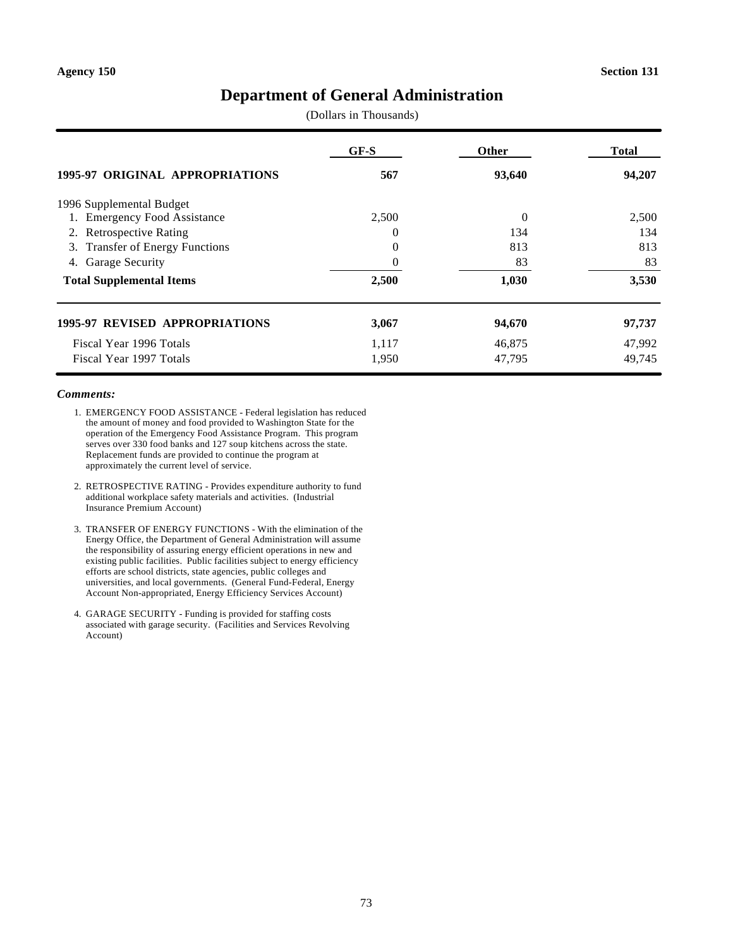# **Department of General Administration**

(Dollars in Thousands)

|                                           | GF-S     | <b>Other</b> | Total  |
|-------------------------------------------|----------|--------------|--------|
| <b>1995-97 ORIGINAL APPROPRIATIONS</b>    | 567      | 93,640       | 94,207 |
| 1996 Supplemental Budget                  |          |              |        |
| <b>Emergency Food Assistance</b><br>1.    | 2,500    | $\Omega$     | 2,500  |
| 2. Retrospective Rating                   | $\Omega$ | 134          | 134    |
| <b>Transfer of Energy Functions</b><br>3. | $\Omega$ | 813          | 813    |
| <b>Garage Security</b><br>4.              | $\Omega$ | 83           | 83     |
| <b>Total Supplemental Items</b>           | 2,500    | 1,030        | 3,530  |
| <b>1995-97 REVISED APPROPRIATIONS</b>     | 3,067    | 94,670       | 97,737 |
| Fiscal Year 1996 Totals                   | 1.117    | 46,875       | 47,992 |
| Fiscal Year 1997 Totals                   | 1,950    | 47.795       | 49,745 |

- 1. EMERGENCY FOOD ASSISTANCE Federal legislation has reduced the amount of money and food provided to Washington State for the operation of the Emergency Food Assistance Program. This program serves over 330 food banks and 127 soup kitchens across the state. Replacement funds are provided to continue the program at approximately the current level of service.
- 2. RETROSPECTIVE RATING Provides expenditure authority to fund additional workplace safety materials and activities. (Industrial Insurance Premium Account)
- 3. TRANSFER OF ENERGY FUNCTIONS With the elimination of the Energy Office, the Department of General Administration will assume the responsibility of assuring energy efficient operations in new and existing public facilities. Public facilities subject to energy efficiency efforts are school districts, state agencies, public colleges and universities, and local governments. (General Fund-Federal, Energy Account Non-appropriated, Energy Efficiency Services Account)
- 4. GARAGE SECURITY Funding is provided for staffing costs associated with garage security. (Facilities and Services Revolving Account)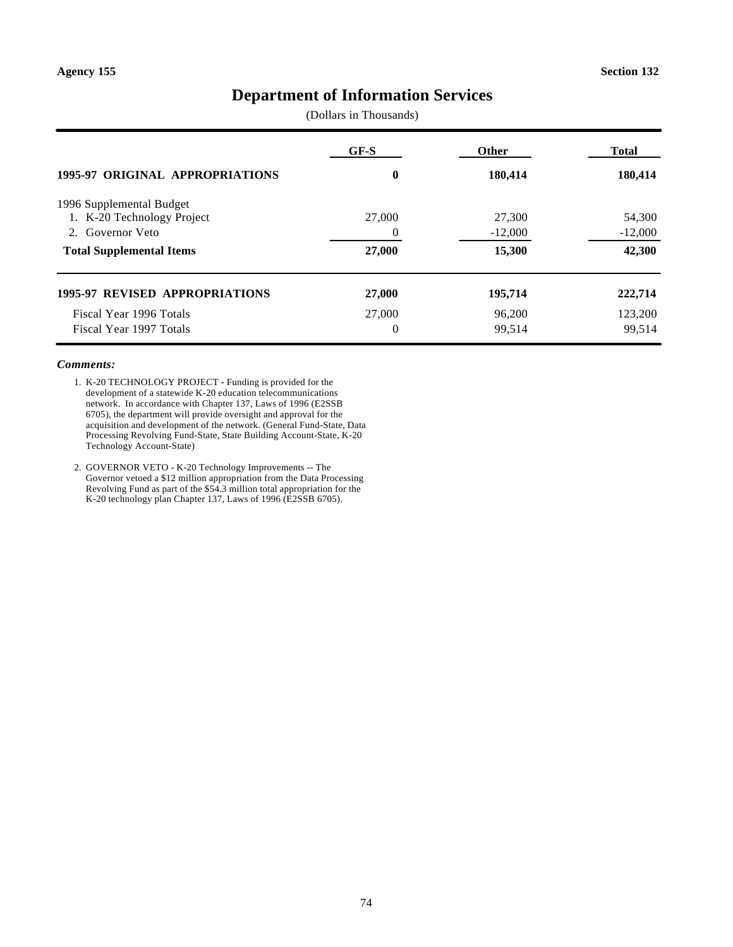# **Department of Information Services**

(Dollars in Thousands)

|                                        | GF-S     | <b>Other</b> | <b>Total</b> |
|----------------------------------------|----------|--------------|--------------|
| <b>1995-97 ORIGINAL APPROPRIATIONS</b> | 0        | 180,414      | 180,414      |
| 1996 Supplemental Budget               |          |              |              |
| 1. K-20 Technology Project             | 27,000   | 27,300       | 54,300       |
| 2. Governor Veto                       | $\Omega$ | $-12,000$    | $-12,000$    |
| <b>Total Supplemental Items</b>        | 27,000   | 15,300       | 42,300       |
| <b>1995-97 REVISED APPROPRIATIONS</b>  | 27,000   | 195,714      | 222,714      |
| Fiscal Year 1996 Totals                | 27,000   | 96,200       | 123,200      |
| Fiscal Year 1997 Totals                | $\Omega$ | 99,514       | 99,514       |

#### *Comments:*

1. K-20 TECHNOLOGY PROJECT - Funding is provided for the development of a statewide K-20 education telecommunications network. In accordance with Chapter 137, Laws of 1996 (E2SSB 6705), the department will provide oversight and approval for the acquisition and development of the network. (General Fund-State, Data Processing Revolving Fund-State, State Building Account-State, K-20 Technology Account-State)

2. GOVERNOR VETO - K-20 Technology Improvements -- The Governor vetoed a \$12 million appropriation from the Data Processing Revolving Fund as part of the \$54.3 million total appropriation for the K-20 technology plan Chapter 137, Laws of 1996 (E2SSB 6705).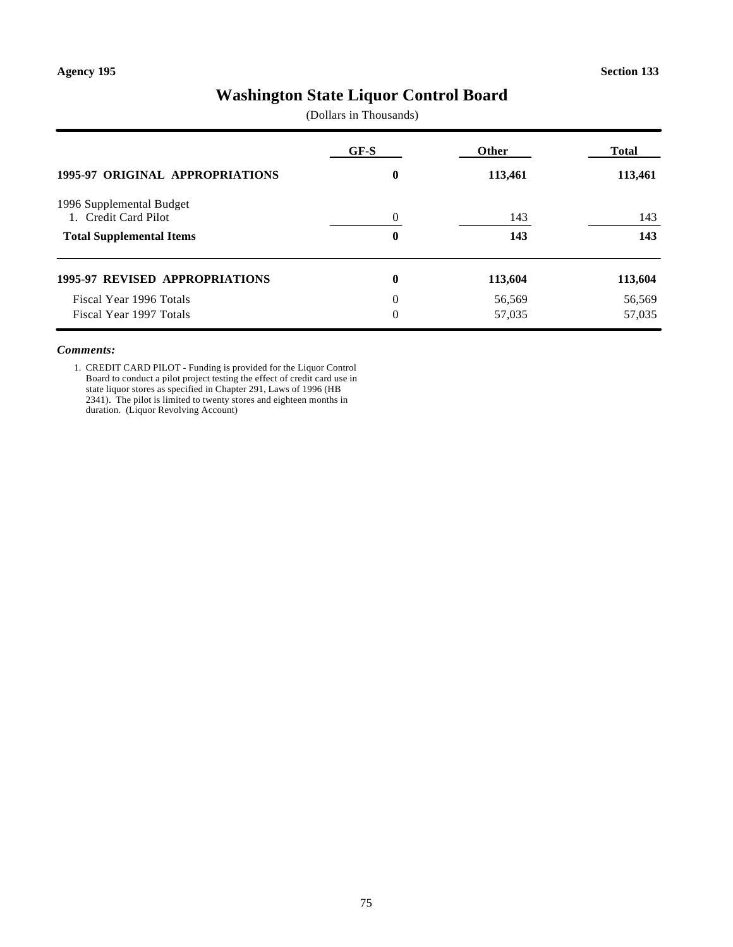# **Washington State Liquor Control Board**

(Dollars in Thousands)

|                                                    | $GF-S$               | Other            | <b>Total</b>     |  |
|----------------------------------------------------|----------------------|------------------|------------------|--|
| <b>1995-97 ORIGINAL APPROPRIATIONS</b>             | 0                    | 113,461          | 113,461          |  |
| 1996 Supplemental Budget<br>1. Credit Card Pilot   | $\Omega$             | 143              | 143              |  |
| <b>Total Supplemental Items</b>                    | 0                    | 143              | 143              |  |
| <b>1995-97 REVISED APPROPRIATIONS</b>              | 0                    | 113,604          | 113,604          |  |
| Fiscal Year 1996 Totals<br>Fiscal Year 1997 Totals | $\Omega$<br>$\Omega$ | 56,569<br>57,035 | 56,569<br>57,035 |  |

#### *Comments:*

1. CREDIT CARD PILOT - Funding is provided for the Liquor Control Board to conduct a pilot project testing the effect of credit card use in state liquor stores as specified in Chapter 291, Laws of 1996 (HB 2341). The pilot is limited to twenty stores and eighteen months in duration. (Liquor Revolving Account)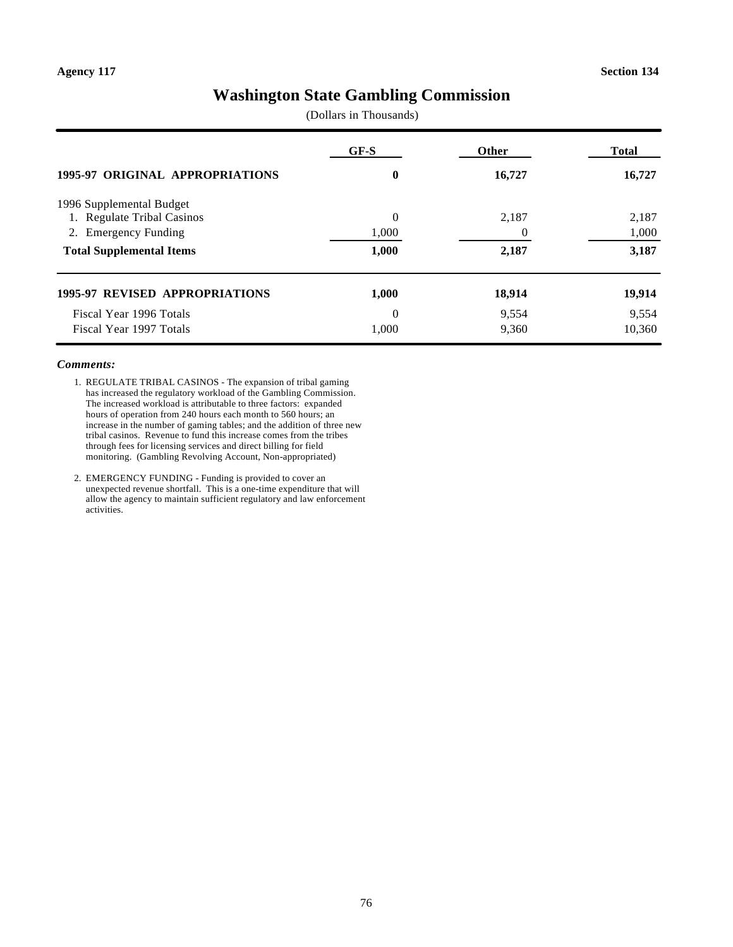# **Washington State Gambling Commission**

(Dollars in Thousands)

|                                        | GF-S     | <b>Other</b> | <b>Total</b> |  |
|----------------------------------------|----------|--------------|--------------|--|
| <b>1995-97 ORIGINAL APPROPRIATIONS</b> | 0        | 16,727       | 16,727       |  |
| 1996 Supplemental Budget               |          |              |              |  |
| 1. Regulate Tribal Casinos             | $\Omega$ | 2,187        | 2,187        |  |
| <b>Emergency Funding</b><br>2.         | 1,000    |              | 1,000        |  |
| <b>Total Supplemental Items</b>        | 1,000    | 2,187        | 3,187        |  |
| 1995-97 REVISED APPROPRIATIONS         | 1,000    | 18,914       | 19,914       |  |
| Fiscal Year 1996 Totals                | $\Omega$ | 9,554        | 9,554        |  |
| Fiscal Year 1997 Totals                | 1.000    | 9,360        | 10,360       |  |

- 1. REGULATE TRIBAL CASINOS The expansion of tribal gaming has increased the regulatory workload of the Gambling Commission. The increased workload is attributable to three factors: expanded hours of operation from 240 hours each month to 560 hours; an increase in the number of gaming tables; and the addition of three new tribal casinos. Revenue to fund this increase comes from the tribes through fees for licensing services and direct billing for field monitoring. (Gambling Revolving Account, Non-appropriated)
- 2. EMERGENCY FUNDING Funding is provided to cover an unexpected revenue shortfall. This is a one-time expenditure that will allow the agency to maintain sufficient regulatory and law enforcement activities.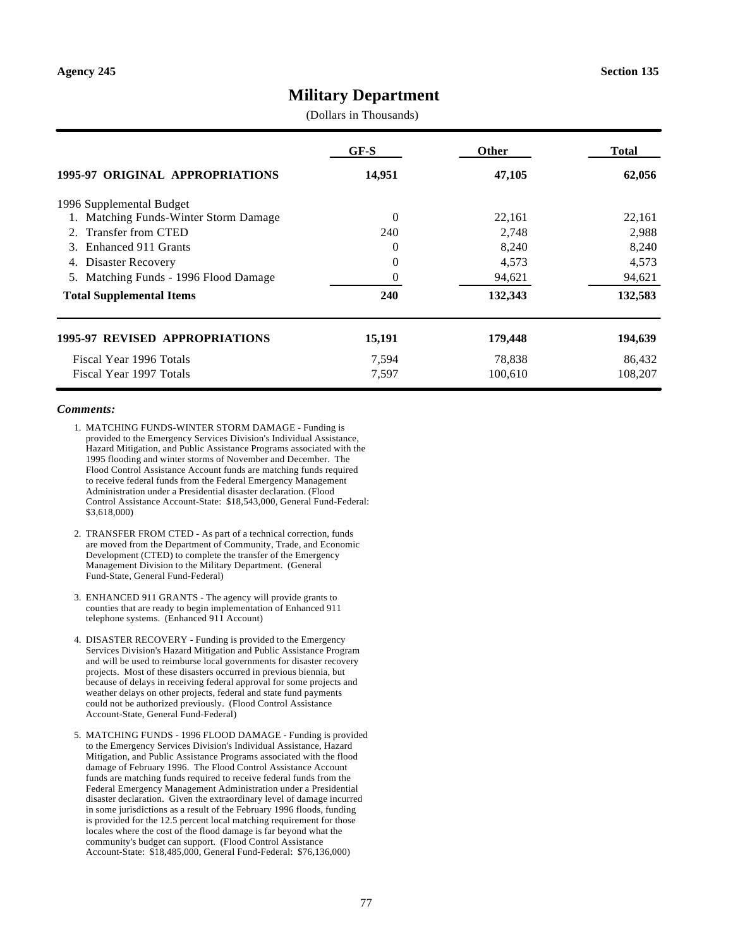# **Military Department**

(Dollars in Thousands)

|                                          | GF-S     | <b>Other</b> | <b>Total</b> |
|------------------------------------------|----------|--------------|--------------|
| 1995-97 ORIGINAL APPROPRIATIONS          | 14,951   | 47,105       | 62,056       |
| 1996 Supplemental Budget                 |          |              |              |
| 1. Matching Funds-Winter Storm Damage    | $\Omega$ | 22,161       | 22,161       |
| Transfer from CTED<br>2.                 | 240      | 2,748        | 2,988        |
| Enhanced 911 Grants<br>3.                | 0        | 8,240        | 8,240        |
| Disaster Recovery<br>4.                  | $\theta$ | 4,573        | 4,573        |
| Matching Funds - 1996 Flood Damage<br>5. | $\Omega$ | 94,621       | 94,621       |
| <b>Total Supplemental Items</b>          | 240      | 132,343      | 132,583      |
| <b>1995-97 REVISED APPROPRIATIONS</b>    | 15,191   | 179,448      | 194,639      |
| Fiscal Year 1996 Totals                  | 7,594    | 78,838       | 86,432       |
| Fiscal Year 1997 Totals                  | 7,597    | 100,610      | 108,207      |

- 1. MATCHING FUNDS-WINTER STORM DAMAGE Funding is provided to the Emergency Services Division's Individual Assistance, Hazard Mitigation, and Public Assistance Programs associated with the 1995 flooding and winter storms of November and December. The Flood Control Assistance Account funds are matching funds required to receive federal funds from the Federal Emergency Management Administration under a Presidential disaster declaration. (Flood Control Assistance Account-State: \$18,543,000, General Fund-Federal: \$3,618,000)
- 2. TRANSFER FROM CTED As part of a technical correction, funds are moved from the Department of Community, Trade, and Economic Development (CTED) to complete the transfer of the Emergency Management Division to the Military Department. (General Fund-State, General Fund-Federal)
- 3. ENHANCED 911 GRANTS The agency will provide grants to counties that are ready to begin implementation of Enhanced 911 telephone systems. (Enhanced 911 Account)
- 4. DISASTER RECOVERY Funding is provided to the Emergency Services Division's Hazard Mitigation and Public Assistance Program and will be used to reimburse local governments for disaster recovery projects. Most of these disasters occurred in previous biennia, but because of delays in receiving federal approval for some projects and weather delays on other projects, federal and state fund payments could not be authorized previously. (Flood Control Assistance Account-State, General Fund-Federal)
- 5. MATCHING FUNDS 1996 FLOOD DAMAGE Funding is provided to the Emergency Services Division's Individual Assistance, Hazard Mitigation, and Public Assistance Programs associated with the flood damage of February 1996. The Flood Control Assistance Account funds are matching funds required to receive federal funds from the Federal Emergency Management Administration under a Presidential disaster declaration. Given the extraordinary level of damage incurred in some jurisdictions as a result of the February 1996 floods, funding is provided for the 12.5 percent local matching requirement for those locales where the cost of the flood damage is far beyond what the community's budget can support. (Flood Control Assistance Account-State: \$18,485,000, General Fund-Federal: \$76,136,000)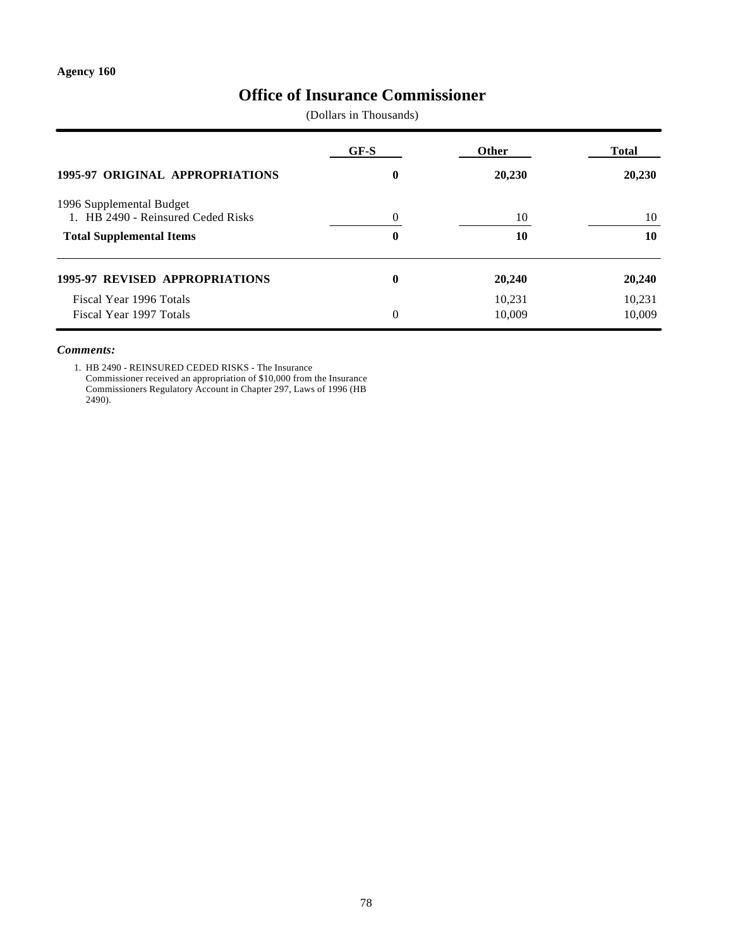# **Office of Insurance Commissioner**

(Dollars in Thousands)

|                                                                | GF-S     | <b>Other</b>     | Total            |  |
|----------------------------------------------------------------|----------|------------------|------------------|--|
| <b>1995-97 ORIGINAL APPROPRIATIONS</b>                         | $\bf{0}$ | 20,230           | 20,230           |  |
| 1996 Supplemental Budget<br>1. HB 2490 - Reinsured Ceded Risks | $\Omega$ | 10               | 10               |  |
| <b>Total Supplemental Items</b>                                | 0        | 10               | 10               |  |
| <b>1995-97 REVISED APPROPRIATIONS</b>                          | $\bf{0}$ | 20,240           | 20,240           |  |
| Fiscal Year 1996 Totals<br>Fiscal Year 1997 Totals             | $\theta$ | 10,231<br>10.009 | 10,231<br>10,009 |  |

#### *Comments:*

1. HB 2490 - REINSURED CEDED RISKS - The Insurance Commissioner received an appropriation of \$10,000 from the Insurance Commissioners Regulatory Account in Chapter 297, Laws of 1996 (HB 2490).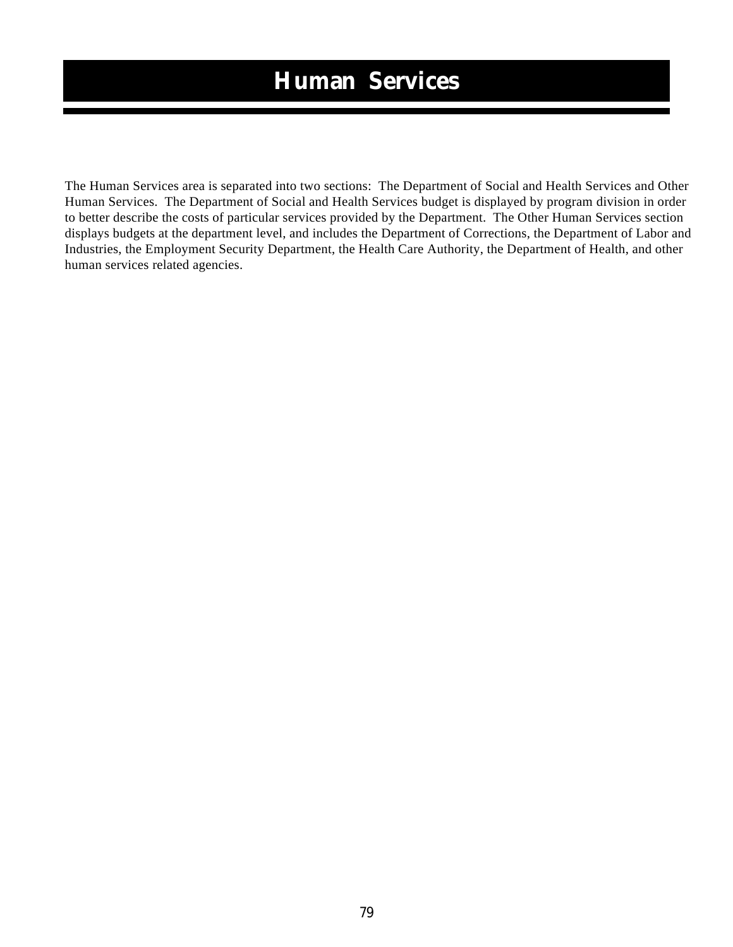# **Human Services**

The Human Services area is separated into two sections: The Department of Social and Health Services and Other Human Services. The Department of Social and Health Services budget is displayed by program division in order to better describe the costs of particular services provided by the Department. The Other Human Services section displays budgets at the department level, and includes the Department of Corrections, the Department of Labor and Industries, the Employment Security Department, the Health Care Authority, the Department of Health, and other human services related agencies.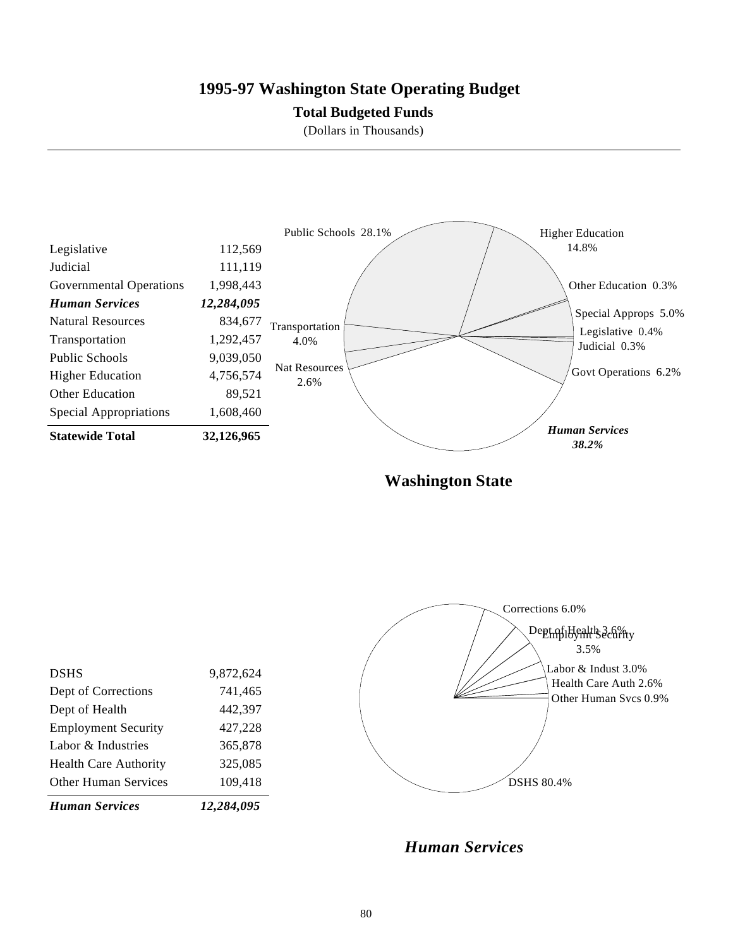# **1995-97 Washington State Operating Budget**

### **Total Budgeted Funds**

(Dollars in Thousands)



**Washington State**

| <b>Human Services</b>        | 12,284,095 |
|------------------------------|------------|
| <b>Other Human Services</b>  | 109,418    |
| <b>Health Care Authority</b> | 325,085    |
| Labor & Industries           | 365,878    |
| <b>Employment Security</b>   | 427,228    |
| Dept of Health               | 442,397    |
| Dept of Corrections          | 741,465    |
| <b>DSHS</b>                  | 9,872,624  |
|                              |            |



Health Care Auth 2.6%

Other Human Svcs 0.9%

Labor & Indust 3.0% 3.5%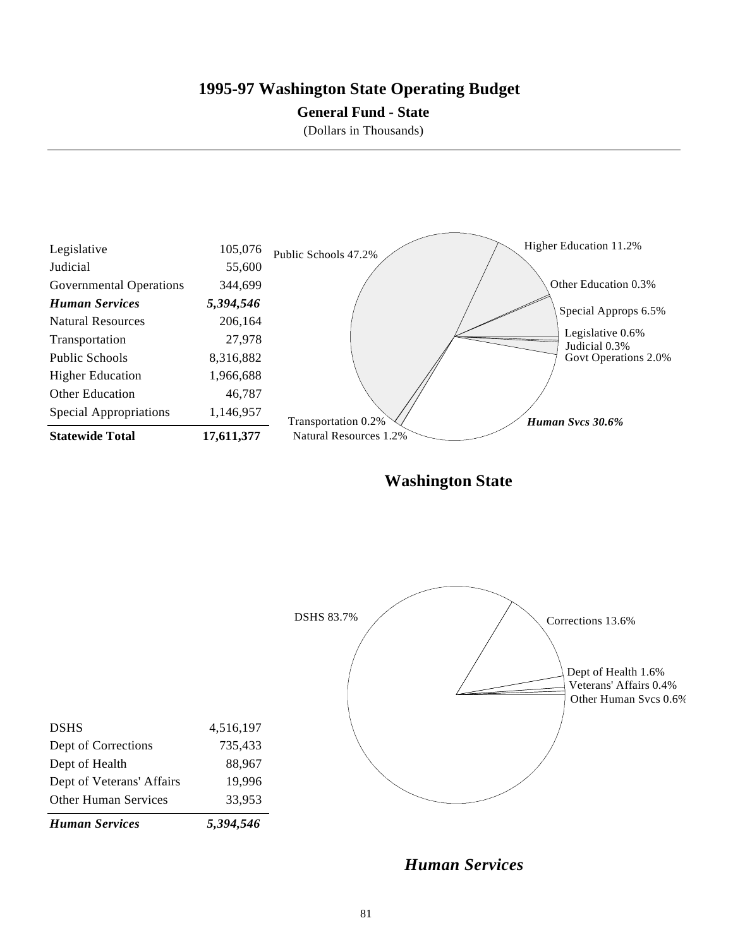# **1995-97 Washington State Operating Budget**

### **General Fund - State**

(Dollars in Thousands)



**Washington State**



*Human Services*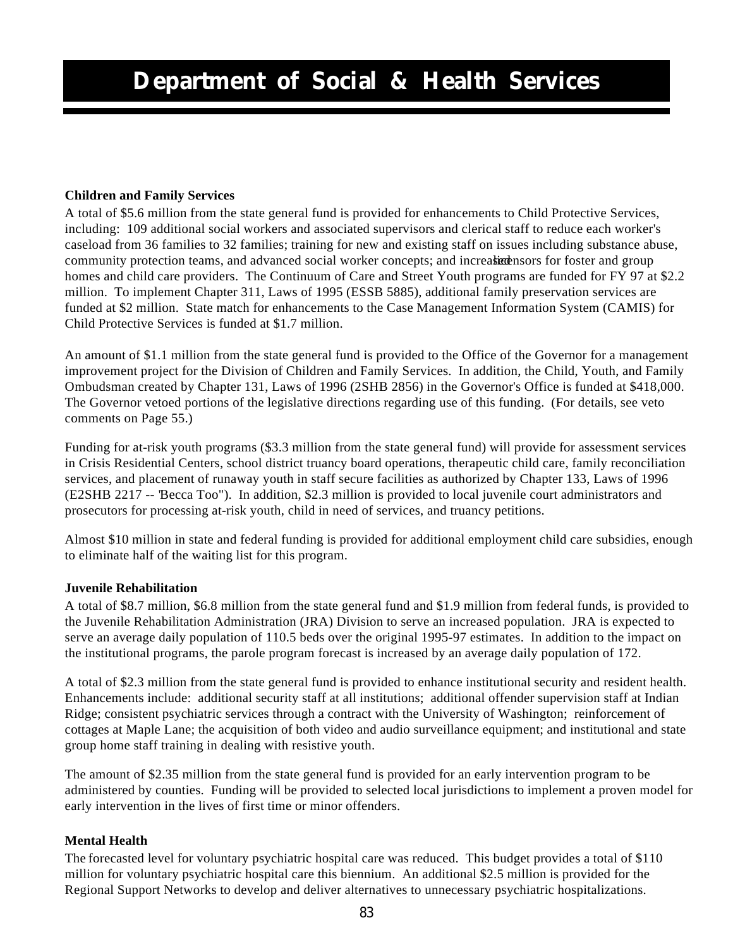# **Children and Family Services**

A total of \$5.6 million from the state general fund is provided for enhancements to Child Protective Services, including: 109 additional social workers and associated supervisors and clerical staff to reduce each worker's caseload from 36 families to 32 families; training for new and existing staff on issues including substance abuse, community protection teams, and advanced social worker concepts; and increased historial stream group homes and child care providers. The Continuum of Care and Street Youth programs are funded for FY 97 at \$2.2 million. To implement Chapter 311, Laws of 1995 (ESSB 5885), additional family preservation services are funded at \$2 million. State match for enhancements to the Case Management Information System (CAMIS) for Child Protective Services is funded at \$1.7 million.

An amount of \$1.1 million from the state general fund is provided to the Office of the Governor for a management improvement project for the Division of Children and Family Services. In addition, the Child, Youth, and Family Ombudsman created by Chapter 131, Laws of 1996 (2SHB 2856) in the Governor's Office is funded at \$418,000. The Governor vetoed portions of the legislative directions regarding use of this funding. (For details, see veto comments on Page 55.)

Funding for at-risk youth programs (\$3.3 million from the state general fund) will provide for assessment services in Crisis Residential Centers, school district truancy board operations, therapeutic child care, family reconciliation services, and placement of runaway youth in staff secure facilities as authorized by Chapter 133, Laws of 1996 (E2SHB 2217 -- "Becca Too"). In addition, \$2.3 million is provided to local juvenile court administrators and prosecutors for processing at-risk youth, child in need of services, and truancy petitions.

Almost \$10 million in state and federal funding is provided for additional employment child care subsidies, enough to eliminate half of the waiting list for this program.

### **Juvenile Rehabilitation**

A total of \$8.7 million, \$6.8 million from the state general fund and \$1.9 million from federal funds, is provided to the Juvenile Rehabilitation Administration (JRA) Division to serve an increased population. JRA is expected to serve an average daily population of 110.5 beds over the original 1995-97 estimates. In addition to the impact on the institutional programs, the parole program forecast is increased by an average daily population of 172.

A total of \$2.3 million from the state general fund is provided to enhance institutional security and resident health. Enhancements include: additional security staff at all institutions; additional offender supervision staff at Indian Ridge; consistent psychiatric services through a contract with the University of Washington; reinforcement of cottages at Maple Lane; the acquisition of both video and audio surveillance equipment; and institutional and state group home staff training in dealing with resistive youth.

The amount of \$2.35 million from the state general fund is provided for an early intervention program to be administered by counties. Funding will be provided to selected local jurisdictions to implement a proven model for early intervention in the lives of first time or minor offenders.

### **Mental Health**

The forecasted level for voluntary psychiatric hospital care was reduced. This budget provides a total of \$110 million for voluntary psychiatric hospital care this biennium. An additional \$2.5 million is provided for the Regional Support Networks to develop and deliver alternatives to unnecessary psychiatric hospitalizations.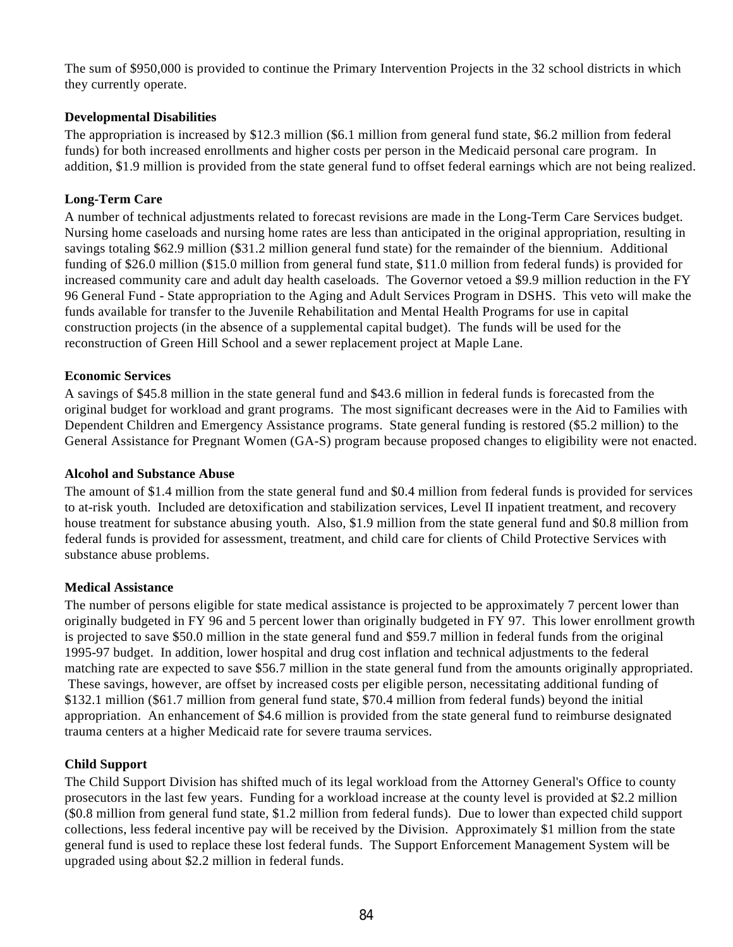The sum of \$950,000 is provided to continue the Primary Intervention Projects in the 32 school districts in which they currently operate.

# **Developmental Disabilities**

The appropriation is increased by \$12.3 million (\$6.1 million from general fund state, \$6.2 million from federal funds) for both increased enrollments and higher costs per person in the Medicaid personal care program. In addition, \$1.9 million is provided from the state general fund to offset federal earnings which are not being realized.

# **Long-Term Care**

A number of technical adjustments related to forecast revisions are made in the Long-Term Care Services budget. Nursing home caseloads and nursing home rates are less than anticipated in the original appropriation, resulting in savings totaling \$62.9 million (\$31.2 million general fund state) for the remainder of the biennium. Additional funding of \$26.0 million (\$15.0 million from general fund state, \$11.0 million from federal funds) is provided for increased community care and adult day health caseloads. The Governor vetoed a \$9.9 million reduction in the FY 96 General Fund - State appropriation to the Aging and Adult Services Program in DSHS. This veto will make the funds available for transfer to the Juvenile Rehabilitation and Mental Health Programs for use in capital construction projects (in the absence of a supplemental capital budget). The funds will be used for the reconstruction of Green Hill School and a sewer replacement project at Maple Lane.

# **Economic Services**

A savings of \$45.8 million in the state general fund and \$43.6 million in federal funds is forecasted from the original budget for workload and grant programs. The most significant decreases were in the Aid to Families with Dependent Children and Emergency Assistance programs. State general funding is restored (\$5.2 million) to the General Assistance for Pregnant Women (GA-S) program because proposed changes to eligibility were not enacted.

### **Alcohol and Substance Abuse**

The amount of \$1.4 million from the state general fund and \$0.4 million from federal funds is provided for services to at-risk youth. Included are detoxification and stabilization services, Level II inpatient treatment, and recovery house treatment for substance abusing youth. Also, \$1.9 million from the state general fund and \$0.8 million from federal funds is provided for assessment, treatment, and child care for clients of Child Protective Services with substance abuse problems.

### **Medical Assistance**

The number of persons eligible for state medical assistance is projected to be approximately 7 percent lower than originally budgeted in FY 96 and 5 percent lower than originally budgeted in FY 97. This lower enrollment growth is projected to save \$50.0 million in the state general fund and \$59.7 million in federal funds from the original 1995-97 budget. In addition, lower hospital and drug cost inflation and technical adjustments to the federal matching rate are expected to save \$56.7 million in the state general fund from the amounts originally appropriated. These savings, however, are offset by increased costs per eligible person, necessitating additional funding of \$132.1 million (\$61.7 million from general fund state, \$70.4 million from federal funds) beyond the initial appropriation. An enhancement of \$4.6 million is provided from the state general fund to reimburse designated trauma centers at a higher Medicaid rate for severe trauma services.

### **Child Support**

The Child Support Division has shifted much of its legal workload from the Attorney General's Office to county prosecutors in the last few years. Funding for a workload increase at the county level is provided at \$2.2 million (\$0.8 million from general fund state, \$1.2 million from federal funds). Due to lower than expected child support collections, less federal incentive pay will be received by the Division. Approximately \$1 million from the state general fund is used to replace these lost federal funds. The Support Enforcement Management System will be upgraded using about \$2.2 million in federal funds.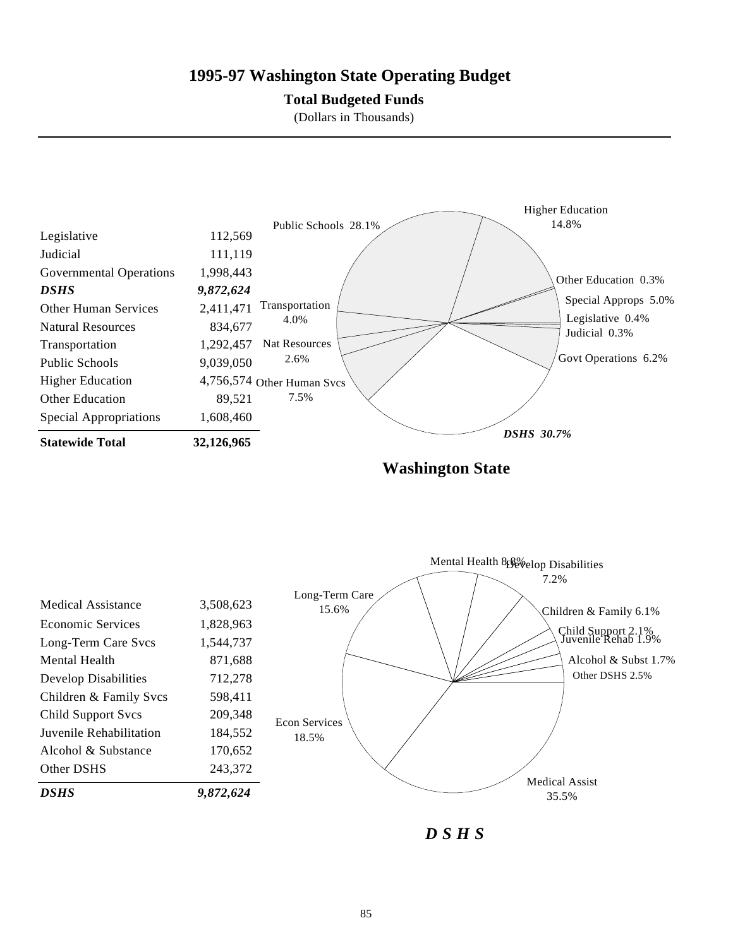# **1995-97 Washington State Operating Budget**

### **Total Budgeted Funds**

(Dollars in Thousands)



**Washington State**



*D S H S*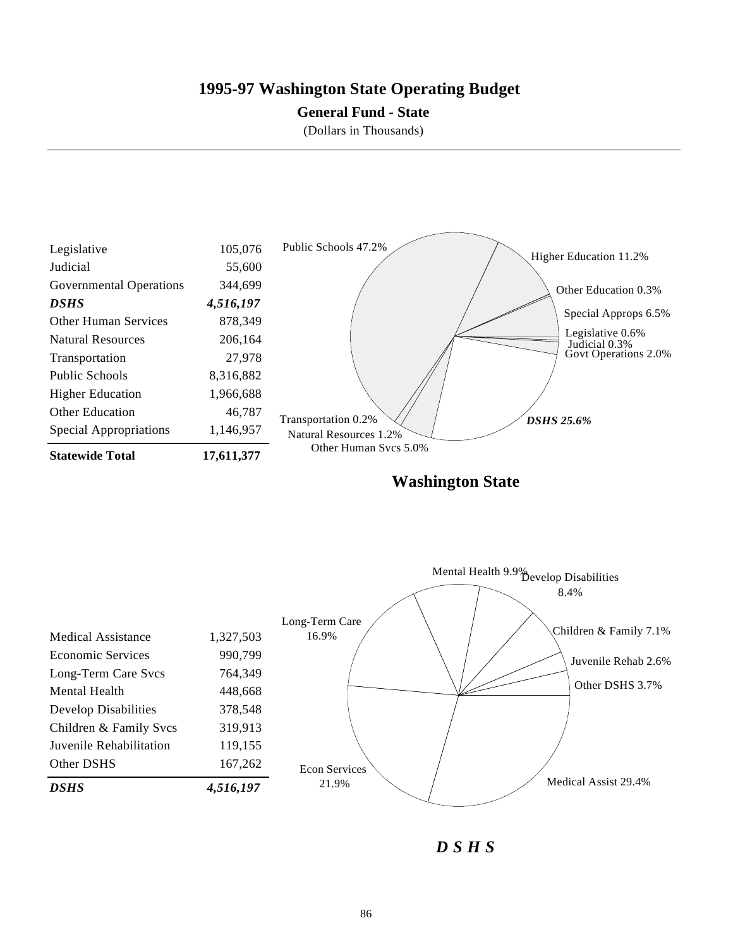# **1995-97 Washington State Operating Budget**

### **General Fund - State**

(Dollars in Thousands)



**Washington State**

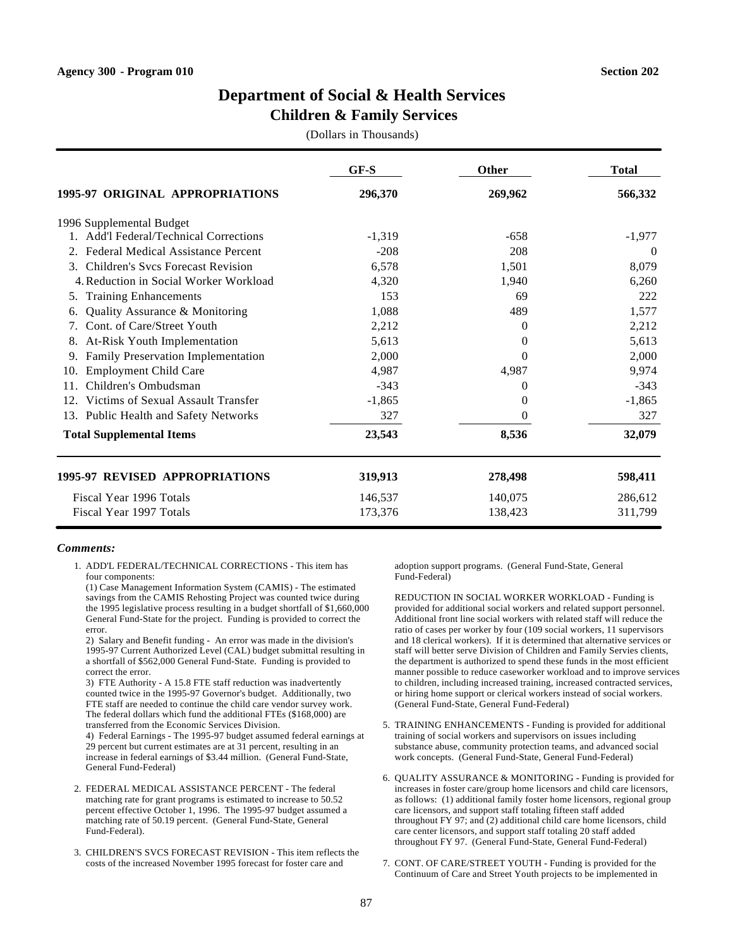### **Children & Family Services**

(Dollars in Thousands)

|                                                           | $GF-S$   | <b>Other</b> | <b>Total</b> |
|-----------------------------------------------------------|----------|--------------|--------------|
| <b>1995-97 ORIGINAL APPROPRIATIONS</b>                    | 296,370  | 269,962      | 566,332      |
| 1996 Supplemental Budget                                  |          |              |              |
| Add'l Federal/Technical Corrections                       | $-1,319$ | $-658$       | $-1,977$     |
| <b>Federal Medical Assistance Percent</b><br>2.           | $-208$   | 208          | $\theta$     |
| <b>Children's Svcs Forecast Revision</b><br>$\mathcal{E}$ | 6,578    | 1,501        | 8,079        |
| 4. Reduction in Social Worker Workload                    | 4,320    | 1,940        | 6,260        |
| <b>Training Enhancements</b><br>5.                        | 153      | 69           | 222          |
| Quality Assurance & Monitoring<br>6.                      | 1,088    | 489          | 1,577        |
| Cont. of Care/Street Youth                                | 2,212    | $\Omega$     | 2,212        |
| At-Risk Youth Implementation<br>8.                        | 5,613    | $\Omega$     | 5,613        |
| Family Preservation Implementation                        | 2,000    | 0            | 2,000        |
| <b>Employment Child Care</b><br>10.                       | 4,987    | 4,987        | 9,974        |
| Children's Ombudsman<br>11.                               | $-343$   | $\Omega$     | $-343$       |
| Victims of Sexual Assault Transfer<br>12.                 | $-1,865$ | $\Omega$     | $-1,865$     |
| 13. Public Health and Safety Networks                     | 327      | $\Omega$     | 327          |
| <b>Total Supplemental Items</b>                           | 23,543   | 8,536        | 32,079       |
| 1995-97 REVISED APPROPRIATIONS                            | 319,913  | 278,498      | 598,411      |
| Fiscal Year 1996 Totals                                   | 146,537  | 140,075      | 286,612      |
| Fiscal Year 1997 Totals                                   | 173,376  | 138,423      | 311,799      |

#### *Comments:*

1. ADD'L FEDERAL/TECHNICAL CORRECTIONS - This item has four components:

(1) Case Management Information System (CAMIS) - The estimated savings from the CAMIS Rehosting Project was counted twice during the 1995 legislative process resulting in a budget shortfall of \$1,660,000 General Fund-State for the project. Funding is provided to correct the error.

2) Salary and Benefit funding - An error was made in the division's 1995-97 Current Authorized Level (CAL) budget submittal resulting in a shortfall of \$562,000 General Fund-State. Funding is provided to correct the error.

3) FTE Authority - A 15.8 FTE staff reduction was inadvertently counted twice in the 1995-97 Governor's budget. Additionally, two FTE staff are needed to continue the child care vendor survey work. The federal dollars which fund the additional FTEs (\$168,000) are transferred from the Economic Services Division.

4) Federal Earnings - The 1995-97 budget assumed federal earnings at 29 percent but current estimates are at 31 percent, resulting in an increase in federal earnings of \$3.44 million. (General Fund-State, General Fund-Federal)

- 2. FEDERAL MEDICAL ASSISTANCE PERCENT The federal matching rate for grant programs is estimated to increase to 50.52 percent effective October 1, 1996. The 1995-97 budget assumed a matching rate of 50.19 percent. (General Fund-State, General Fund-Federal).
- 3. CHILDREN'S SVCS FORECAST REVISION This item reflects the costs of the increased November 1995 forecast for foster care and

adoption support programs. (General Fund-State, General Fund-Federal)

REDUCTION IN SOCIAL WORKER WORKLOAD - Funding is provided for additional social workers and related support personnel. Additional front line social workers with related staff will reduce the ratio of cases per worker by four (109 social workers, 11 supervisors and 18 clerical workers). If it is determined that alternative services or staff will better serve Division of Children and Family Servies clients, the department is authorized to spend these funds in the most efficient manner possible to reduce caseworker workload and to improve services to children, including increased training, increased contracted services, or hiring home support or clerical workers instead of social workers. (General Fund-State, General Fund-Federal)

- 5. TRAINING ENHANCEMENTS Funding is provided for additional training of social workers and supervisors on issues including substance abuse, community protection teams, and advanced social work concepts. (General Fund-State, General Fund-Federal)
- 6. QUALITY ASSURANCE & MONITORING Funding is provided for increases in foster care/group home licensors and child care licensors, as follows: (1) additional family foster home licensors, regional group care licensors, and support staff totaling fifteen staff added throughout FY 97; and (2) additional child care home licensors, child care center licensors, and support staff totaling 20 staff added throughout FY 97. (General Fund-State, General Fund-Federal)
- 7. CONT. OF CARE/STREET YOUTH Funding is provided for the Continuum of Care and Street Youth projects to be implemented in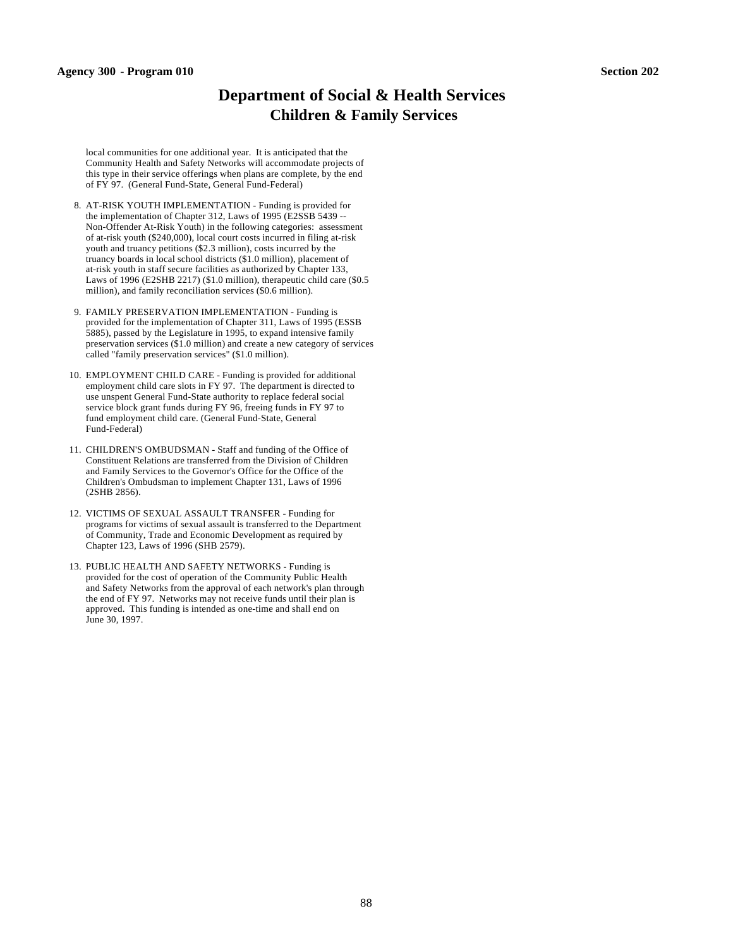#### **Agency 300 - Program 010 Section 202**

# **Department of Social & Health Services Children & Family Services**

local communities for one additional year. It is anticipated that the Community Health and Safety Networks will accommodate projects of this type in their service offerings when plans are complete, by the end of FY 97. (General Fund-State, General Fund-Federal)

- 8. AT-RISK YOUTH IMPLEMENTATION Funding is provided for the implementation of Chapter 312, Laws of 1995 (E2SSB 5439 -- Non-Offender At-Risk Youth) in the following categories: assessment of at-risk youth (\$240,000), local court costs incurred in filing at-risk youth and truancy petitions (\$2.3 million), costs incurred by the truancy boards in local school districts (\$1.0 million), placement of at-risk youth in staff secure facilities as authorized by Chapter 133, Laws of 1996 (E2SHB 2217) (\$1.0 million), therapeutic child care (\$0.5 million), and family reconciliation services (\$0.6 million).
- 9. FAMILY PRESERVATION IMPLEMENTATION Funding is provided for the implementation of Chapter 311, Laws of 1995 (ESSB 5885), passed by the Legislature in 1995, to expand intensive family preservation services (\$1.0 million) and create a new category of services called "family preservation services" (\$1.0 million).
- 10. EMPLOYMENT CHILD CARE Funding is provided for additional employment child care slots in FY 97. The department is directed to use unspent General Fund-State authority to replace federal social service block grant funds during FY 96, freeing funds in FY 97 to fund employment child care. (General Fund-State, General Fund-Federal)
- 11. CHILDREN'S OMBUDSMAN Staff and funding of the Office of Constituent Relations are transferred from the Division of Children and Family Services to the Governor's Office for the Office of the Children's Ombudsman to implement Chapter 131, Laws of 1996 (2SHB 2856).
- 12. VICTIMS OF SEXUAL ASSAULT TRANSFER Funding for programs for victims of sexual assault is transferred to the Department of Community, Trade and Economic Development as required by Chapter 123, Laws of 1996 (SHB 2579).
- 13. PUBLIC HEALTH AND SAFETY NETWORKS Funding is provided for the cost of operation of the Community Public Health and Safety Networks from the approval of each network's plan through the end of FY 97. Networks may not receive funds until their plan is approved. This funding is intended as one-time and shall end on June 30, 1997.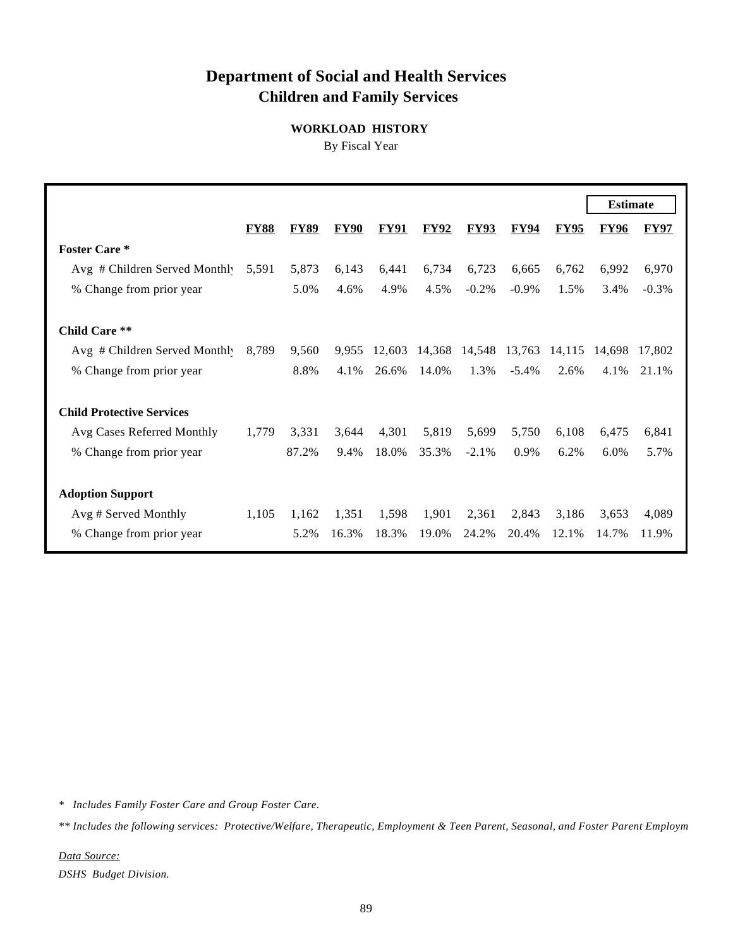# **Department of Social and Health Services Children and Family Services**

**WORKLOAD HISTORY**

By Fiscal Year

|                                  |             |             |             |             |             |             |             |             | <b>Estimate</b> |             |
|----------------------------------|-------------|-------------|-------------|-------------|-------------|-------------|-------------|-------------|-----------------|-------------|
|                                  | <b>FY88</b> | <b>FY89</b> | <b>FY90</b> | <b>FY91</b> | <b>FY92</b> | <b>FY93</b> | <b>FY94</b> | <b>FY95</b> | <b>FY96</b>     | <b>FY97</b> |
| <b>Foster Care *</b>             |             |             |             |             |             |             |             |             |                 |             |
| Avg # Children Served Monthly    | 5,591       | 5,873       | 6,143       | 6,441       | 6,734       | 6,723       | 6,665       | 6,762       | 6,992           | 6,970       |
| % Change from prior year         |             | 5.0%        | 4.6%        | 4.9%        | 4.5%        | $-0.2\%$    | $-0.9\%$    | 1.5%        | 3.4%            | $-0.3\%$    |
| Child Care **                    |             |             |             |             |             |             |             |             |                 |             |
| Avg # Children Served Monthly    | 8,789       | 9,560       | 9,955       | 12,603      | 14,368      | 14,548      | 13,763      | 14,115      | 14.698          | 17.802      |
| % Change from prior year         |             | 8.8%        | 4.1%        | 26.6%       | 14.0%       | 1.3%        | $-5.4\%$    | 2.6%        | 4.1%            | 21.1%       |
| <b>Child Protective Services</b> |             |             |             |             |             |             |             |             |                 |             |
| Avg Cases Referred Monthly       | 1,779       | 3,331       | 3,644       | 4,301       | 5,819       | 5,699       | 5,750       | 6,108       | 6,475           | 6,841       |
| % Change from prior year         |             | 87.2%       | 9.4%        | 18.0%       | 35.3%       | $-2.1\%$    | 0.9%        | 6.2%        | $6.0\%$         | 5.7%        |
| <b>Adoption Support</b>          |             |             |             |             |             |             |             |             |                 |             |
| Avg # Served Monthly             | 1,105       | 1,162       | 1,351       | 1,598       | 1,901       | 2,361       | 2,843       | 3,186       | 3,653           | 4,089       |
| % Change from prior year         |             | 5.2%        | 16.3%       | 18.3%       | 19.0%       | 24.2%       | 20.4%       | 12.1%       | 14.7%           | 11.9%       |

*\* Includes Family Foster Care and Group Foster Care.*

*\*\* Includes the following services: Protective/Welfare, Therapeutic, Employment & Teen Parent, Seasonal, and Foster Parent Employment.*

*Data Source: DSHS Budget Division.*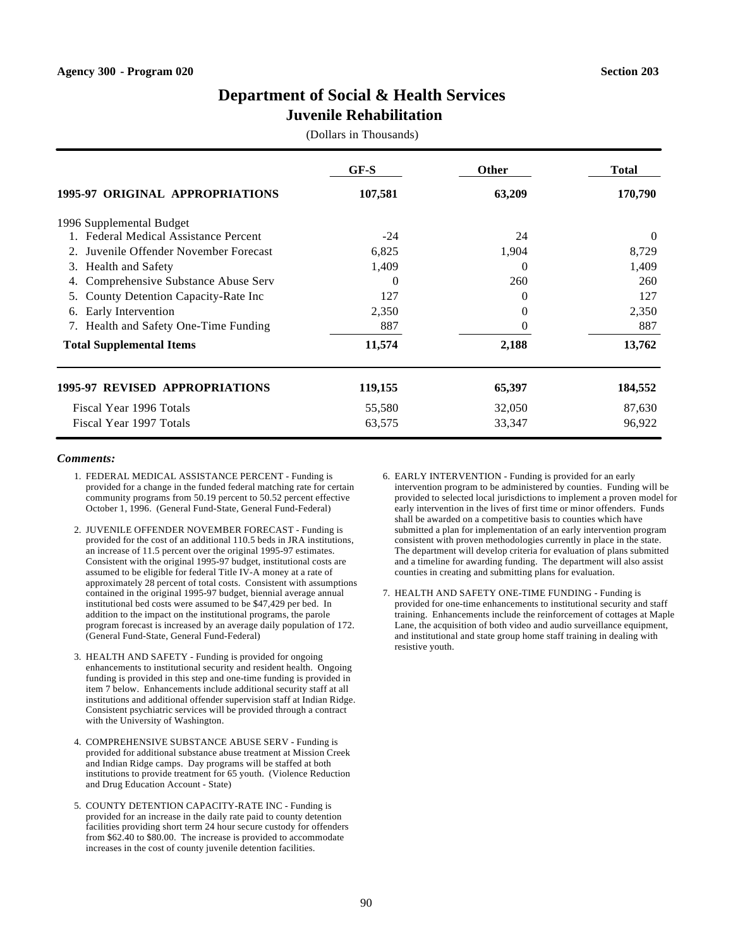# **Juvenile Rehabilitation**

(Dollars in Thousands)

|                                          | $GF-S$   | <b>Other</b> | <b>Total</b> |
|------------------------------------------|----------|--------------|--------------|
| 1995-97 ORIGINAL APPROPRIATIONS          | 107,581  | 63,209       | 170,790      |
| 1996 Supplemental Budget                 |          |              |              |
| 1. Federal Medical Assistance Percent    | $-24$    | 24           | $\Omega$     |
| Juvenile Offender November Forecast      | 6,825    | 1,904        | 8,729        |
| <b>Health and Safety</b><br>3.           | 1,409    | 0            | 1,409        |
| Comprehensive Substance Abuse Serv<br>4. | $\Omega$ | 260          | 260          |
| County Detention Capacity-Rate Inc<br>5. | 127      | 0            | 127          |
| Early Intervention<br>6.                 | 2,350    | 0            | 2,350        |
| Health and Safety One-Time Funding<br>7. | 887      | $\Omega$     | 887          |
| <b>Total Supplemental Items</b>          | 11,574   | 2,188        | 13,762       |
| 1995-97 REVISED APPROPRIATIONS           | 119,155  | 65,397       | 184,552      |
| Fiscal Year 1996 Totals                  | 55,580   | 32,050       | 87,630       |
| Fiscal Year 1997 Totals                  | 63,575   | 33,347       | 96,922       |

- 1. FEDERAL MEDICAL ASSISTANCE PERCENT Funding is provided for a change in the funded federal matching rate for certain community programs from 50.19 percent to 50.52 percent effective October 1, 1996. (General Fund-State, General Fund-Federal)
- 2. JUVENILE OFFENDER NOVEMBER FORECAST Funding is provided for the cost of an additional 110.5 beds in JRA institutions, an increase of 11.5 percent over the original 1995-97 estimates. Consistent with the original 1995-97 budget, institutional costs are assumed to be eligible for federal Title IV-A money at a rate of approximately 28 percent of total costs. Consistent with assumptions contained in the original 1995-97 budget, biennial average annual institutional bed costs were assumed to be \$47,429 per bed. In addition to the impact on the institutional programs, the parole program forecast is increased by an average daily population of 172. (General Fund-State, General Fund-Federal)
- 3. HEALTH AND SAFETY Funding is provided for ongoing enhancements to institutional security and resident health. Ongoing funding is provided in this step and one-time funding is provided in item 7 below. Enhancements include additional security staff at all institutions and additional offender supervision staff at Indian Ridge. Consistent psychiatric services will be provided through a contract with the University of Washington.
- 4. COMPREHENSIVE SUBSTANCE ABUSE SERV Funding is provided for additional substance abuse treatment at Mission Creek and Indian Ridge camps. Day programs will be staffed at both institutions to provide treatment for 65 youth. (Violence Reduction and Drug Education Account - State)
- 5. COUNTY DETENTION CAPACITY-RATE INC Funding is provided for an increase in the daily rate paid to county detention facilities providing short term 24 hour secure custody for offenders from \$62.40 to \$80.00. The increase is provided to accommodate increases in the cost of county juvenile detention facilities.
- 6. EARLY INTERVENTION Funding is provided for an early intervention program to be administered by counties. Funding will be provided to selected local jurisdictions to implement a proven model for early intervention in the lives of first time or minor offenders. Funds shall be awarded on a competitive basis to counties which have submitted a plan for implementation of an early intervention program consistent with proven methodologies currently in place in the state. The department will develop criteria for evaluation of plans submitted and a timeline for awarding funding. The department will also assist counties in creating and submitting plans for evaluation.
- 7. HEALTH AND SAFETY ONE-TIME FUNDING Funding is provided for one-time enhancements to institutional security and staff training. Enhancements include the reinforcement of cottages at Maple Lane, the acquisition of both video and audio surveillance equipment, and institutional and state group home staff training in dealing with resistive youth.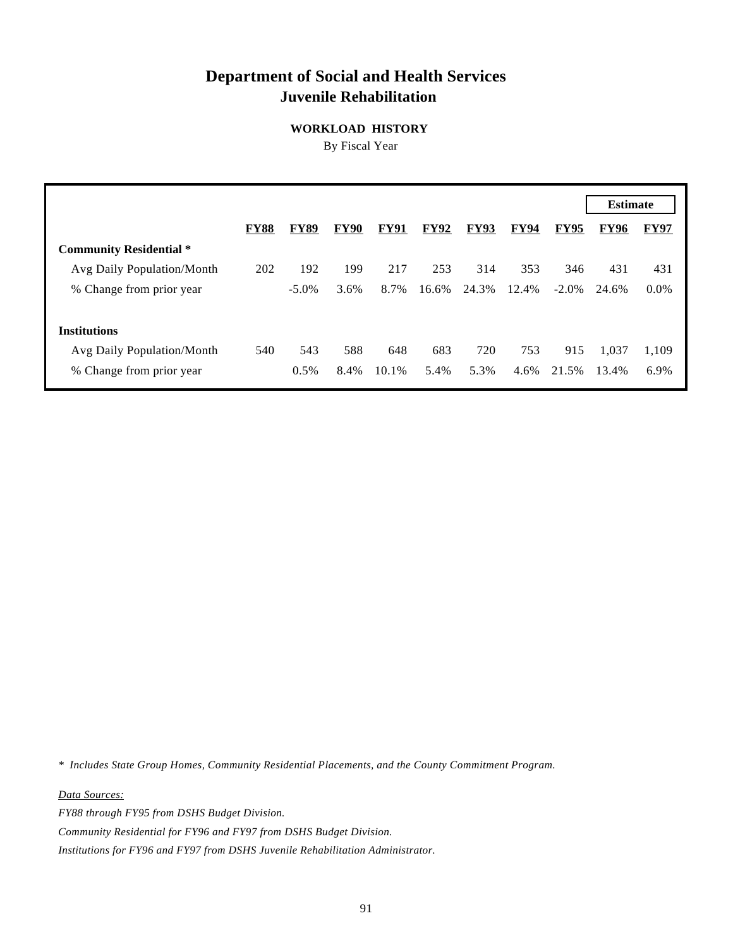# **Department of Social and Health Services Juvenile Rehabilitation**

**WORKLOAD HISTORY**

By Fiscal Year

| <b>FY97</b> |
|-------------|
|             |
| 431         |
| $0.0\%$     |
|             |
|             |
| 1,109       |
| 6.9%        |
|             |

*\* Includes State Group Homes, Community Residential Placements, and the County Commitment Program.*

*Data Sources:*

*FY88 through FY95 from DSHS Budget Division.*

*Community Residential for FY96 and FY97 from DSHS Budget Division.*

*Institutions for FY96 and FY97 from DSHS Juvenile Rehabilitation Administrator.*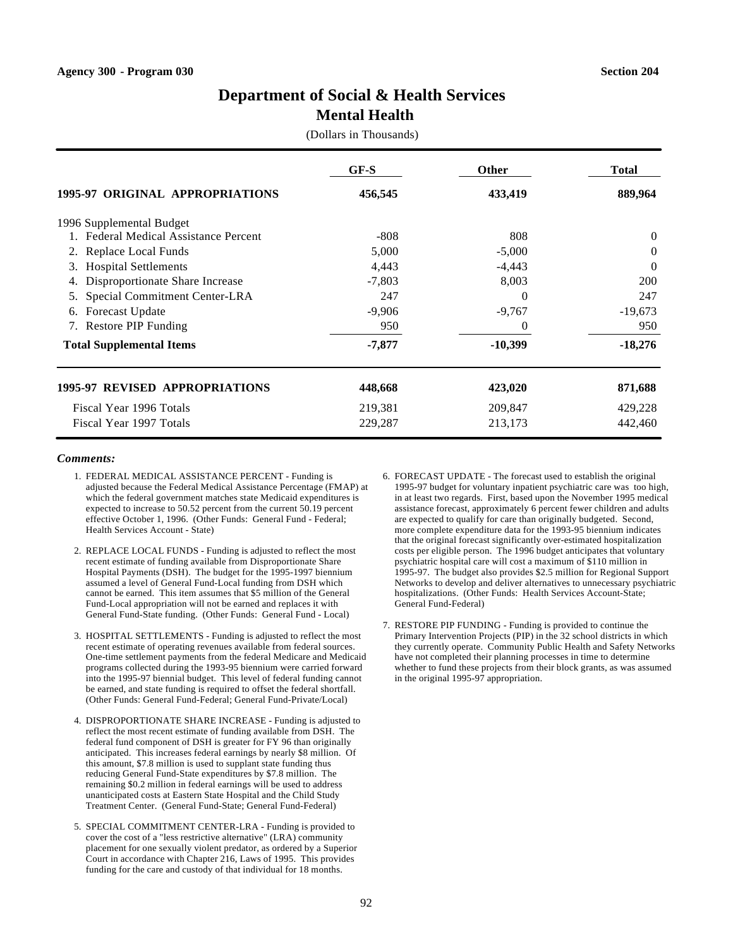# **Mental Health**

(Dollars in Thousands)

|                                       | GF-S     | Other     | <b>Total</b>   |
|---------------------------------------|----------|-----------|----------------|
| 1995-97 ORIGINAL APPROPRIATIONS       | 456,545  | 433,419   | 889,964        |
| 1996 Supplemental Budget              |          |           |                |
| 1. Federal Medical Assistance Percent | $-808$   | 808       | $\overline{0}$ |
| 2. Replace Local Funds                | 5,000    | $-5,000$  | $\Omega$       |
| <b>Hospital Settlements</b><br>3.     | 4,443    | $-4,443$  | $\theta$       |
| Disproportionate Share Increase<br>4. | $-7,803$ | 8,003     | <b>200</b>     |
| Special Commitment Center-LRA<br>5.   | 247      | $\theta$  | 247            |
| <b>Forecast Update</b><br>6.          | $-9,906$ | $-9,767$  | $-19,673$      |
| 7. Restore PIP Funding                | 950      | $\theta$  | 950            |
| <b>Total Supplemental Items</b>       | $-7,877$ | $-10,399$ | $-18,276$      |
| <b>1995-97 REVISED APPROPRIATIONS</b> | 448,668  | 423,020   | 871,688        |
| Fiscal Year 1996 Totals               | 219,381  | 209,847   | 429,228        |
| Fiscal Year 1997 Totals               | 229,287  | 213,173   | 442,460        |

- 1. FEDERAL MEDICAL ASSISTANCE PERCENT Funding is adjusted because the Federal Medical Assistance Percentage (FMAP) at which the federal government matches state Medicaid expenditures is expected to increase to 50.52 percent from the current 50.19 percent effective October 1, 1996. (Other Funds: General Fund - Federal; Health Services Account - State)
- 2. REPLACE LOCAL FUNDS Funding is adjusted to reflect the most recent estimate of funding available from Disproportionate Share Hospital Payments (DSH). The budget for the 1995-1997 biennium assumed a level of General Fund-Local funding from DSH which cannot be earned. This item assumes that \$5 million of the General Fund-Local appropriation will not be earned and replaces it with General Fund-State funding. (Other Funds: General Fund - Local)
- 3. HOSPITAL SETTLEMENTS Funding is adjusted to reflect the most recent estimate of operating revenues available from federal sources. One-time settlement payments from the federal Medicare and Medicaid programs collected during the 1993-95 biennium were carried forward into the 1995-97 biennial budget. This level of federal funding cannot be earned, and state funding is required to offset the federal shortfall. (Other Funds: General Fund-Federal; General Fund-Private/Local)
- 4. DISPROPORTIONATE SHARE INCREASE Funding is adjusted to reflect the most recent estimate of funding available from DSH. The federal fund component of DSH is greater for FY 96 than originally anticipated. This increases federal earnings by nearly \$8 million. Of this amount, \$7.8 million is used to supplant state funding thus reducing General Fund-State expenditures by \$7.8 million. The remaining \$0.2 million in federal earnings will be used to address unanticipated costs at Eastern State Hospital and the Child Study Treatment Center. (General Fund-State; General Fund-Federal)
- 5. SPECIAL COMMITMENT CENTER-LRA Funding is provided to cover the cost of a "less restrictive alternative" (LRA) community placement for one sexually violent predator, as ordered by a Superior Court in accordance with Chapter 216, Laws of 1995. This provides funding for the care and custody of that individual for 18 months.
- 6. FORECAST UPDATE The forecast used to establish the original 1995-97 budget for voluntary inpatient psychiatric care was too high, in at least two regards. First, based upon the November 1995 medical assistance forecast, approximately 6 percent fewer children and adults are expected to qualify for care than originally budgeted. Second, more complete expenditure data for the 1993-95 biennium indicates that the original forecast significantly over-estimated hospitalization costs per eligible person. The 1996 budget anticipates that voluntary psychiatric hospital care will cost a maximum of \$110 million in 1995-97. The budget also provides \$2.5 million for Regional Support Networks to develop and deliver alternatives to unnecessary psychiatric hospitalizations. (Other Funds: Health Services Account-State; General Fund-Federal)
- 7. RESTORE PIP FUNDING Funding is provided to continue the Primary Intervention Projects (PIP) in the 32 school districts in which they currently operate. Community Public Health and Safety Networks have not completed their planning processes in time to determine whether to fund these projects from their block grants, as was assumed in the original 1995-97 appropriation.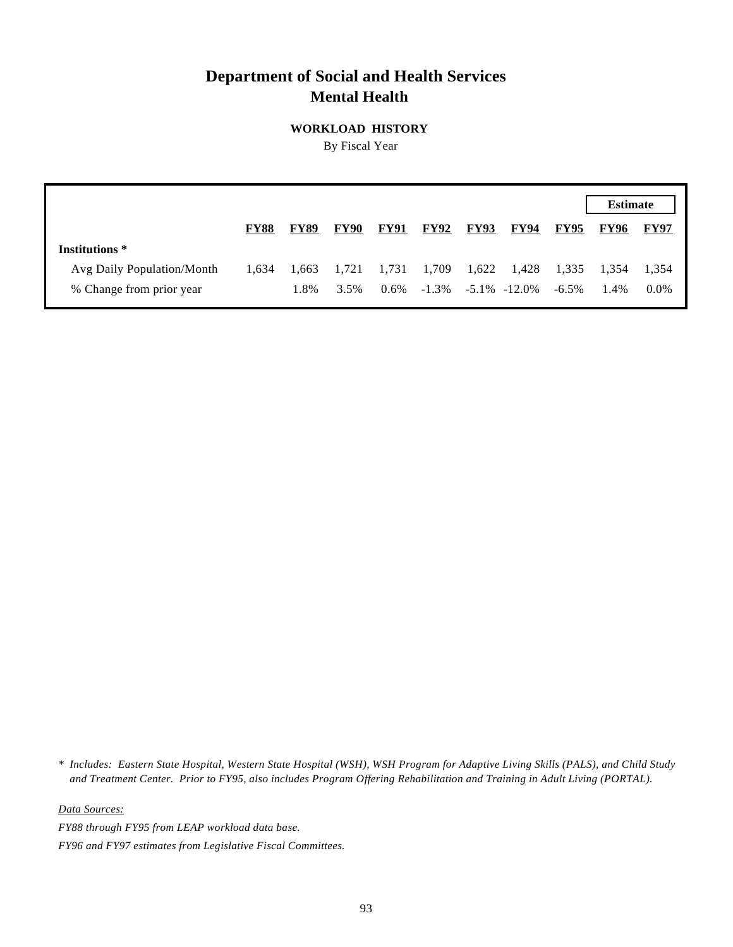# **Department of Social and Health Services Mental Health**

**WORKLOAD HISTORY**

By Fiscal Year

|                            |             |             |             |             |             |                         |             |             | <b>Estimate</b> |             |
|----------------------------|-------------|-------------|-------------|-------------|-------------|-------------------------|-------------|-------------|-----------------|-------------|
|                            | <b>FY88</b> | <b>FY89</b> | <b>FY90</b> | <b>FY91</b> | <b>FY92</b> | <b>FY93</b>             | <b>FY94</b> | <b>FY95</b> | <b>FY96</b>     | <b>FY97</b> |
| Institutions *             |             |             |             |             |             |                         |             |             |                 |             |
| Avg Daily Population/Month | 1,634       | 1.663       | 1,721       | 1,731       | 1,709       | 1,622                   | 1,428       | 1,335       | 1.354           | 1.354       |
| % Change from prior year   |             | 1.8%        | 3.5%        | $0.6\%$     |             | $-1.3\% -5.1\% -12.0\%$ |             | $-6.5\%$    | 1.4%            | $0.0\%$     |

*\* Includes: Eastern State Hospital, Western State Hospital (WSH), WSH Program for Adaptive Living Skills (PALS), and Child Study and Treatment Center. Prior to FY95, also includes Program Offering Rehabilitation and Training in Adult Living (PORTAL).*

*Data Sources:*

*FY88 through FY95 from LEAP workload data base.*

*FY96 and FY97 estimates from Legislative Fiscal Committees.*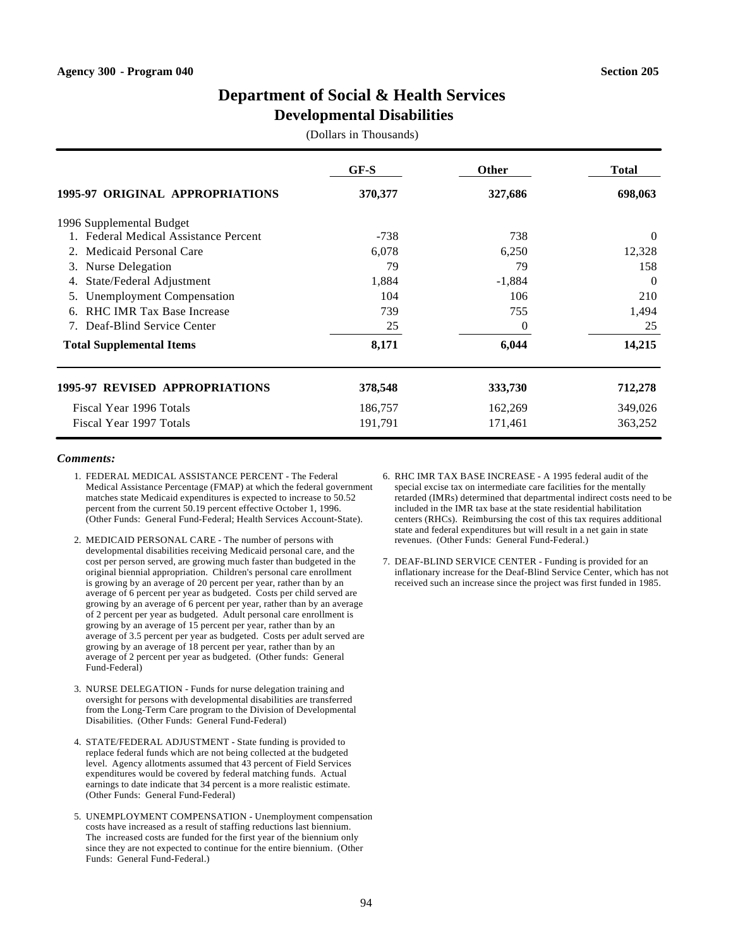### **Developmental Disabilities**

(Dollars in Thousands)

|                                       | GF-S    | Other    | <b>Total</b> |
|---------------------------------------|---------|----------|--------------|
| 1995-97 ORIGINAL APPROPRIATIONS       | 370,377 | 327,686  | 698,063      |
| 1996 Supplemental Budget              |         |          |              |
| 1. Federal Medical Assistance Percent | $-738$  | 738      | $\Omega$     |
| Medicaid Personal Care<br>2.          | 6,078   | 6,250    | 12,328       |
| Nurse Delegation<br>3.                | 79      | 79       | 158          |
| State/Federal Adjustment<br>4.        | 1,884   | $-1,884$ | $\theta$     |
| <b>Unemployment Compensation</b>      | 104     | 106      | 210          |
| RHC IMR Tax Base Increase<br>6.       | 739     | 755      | 1,494        |
| Deaf-Blind Service Center             | 25      | 0        | 25           |
| <b>Total Supplemental Items</b>       | 8,171   | 6,044    | 14,215       |
| <b>1995-97 REVISED APPROPRIATIONS</b> | 378,548 | 333,730  | 712,278      |
| Fiscal Year 1996 Totals               | 186,757 | 162,269  | 349,026      |
| Fiscal Year 1997 Totals               | 191,791 | 171,461  | 363,252      |

- 1. FEDERAL MEDICAL ASSISTANCE PERCENT The Federal Medical Assistance Percentage (FMAP) at which the federal government matches state Medicaid expenditures is expected to increase to 50.52 percent from the current 50.19 percent effective October 1, 1996. (Other Funds: General Fund-Federal; Health Services Account-State).
- 2. MEDICAID PERSONAL CARE The number of persons with developmental disabilities receiving Medicaid personal care, and the cost per person served, are growing much faster than budgeted in the original biennial appropriation. Children's personal care enrollment is growing by an average of 20 percent per year, rather than by an average of 6 percent per year as budgeted. Costs per child served are growing by an average of 6 percent per year, rather than by an average of 2 percent per year as budgeted. Adult personal care enrollment is growing by an average of 15 percent per year, rather than by an average of 3.5 percent per year as budgeted. Costs per adult served are growing by an average of 18 percent per year, rather than by an average of 2 percent per year as budgeted. (Other funds: General Fund-Federal)
- 3. NURSE DELEGATION Funds for nurse delegation training and oversight for persons with developmental disabilities are transferred from the Long-Term Care program to the Division of Developmental Disabilities. (Other Funds: General Fund-Federal)
- 4. STATE/FEDERAL ADJUSTMENT State funding is provided to replace federal funds which are not being collected at the budgeted level. Agency allotments assumed that 43 percent of Field Services expenditures would be covered by federal matching funds. Actual earnings to date indicate that 34 percent is a more realistic estimate. (Other Funds: General Fund-Federal)
- 5. UNEMPLOYMENT COMPENSATION Unemployment compensation costs have increased as a result of staffing reductions last biennium. The increased costs are funded for the first year of the biennium only since they are not expected to continue for the entire biennium. (Other Funds: General Fund-Federal.)
- 6. RHC IMR TAX BASE INCREASE A 1995 federal audit of the special excise tax on intermediate care facilities for the mentally retarded (IMRs) determined that departmental indirect costs need to be included in the IMR tax base at the state residential habilitation centers (RHCs). Reimbursing the cost of this tax requires additional state and federal expenditures but will result in a net gain in state revenues. (Other Funds: General Fund-Federal.)
- 7. DEAF-BLIND SERVICE CENTER Funding is provided for an inflationary increase for the Deaf-Blind Service Center, which has not received such an increase since the project was first funded in 1985.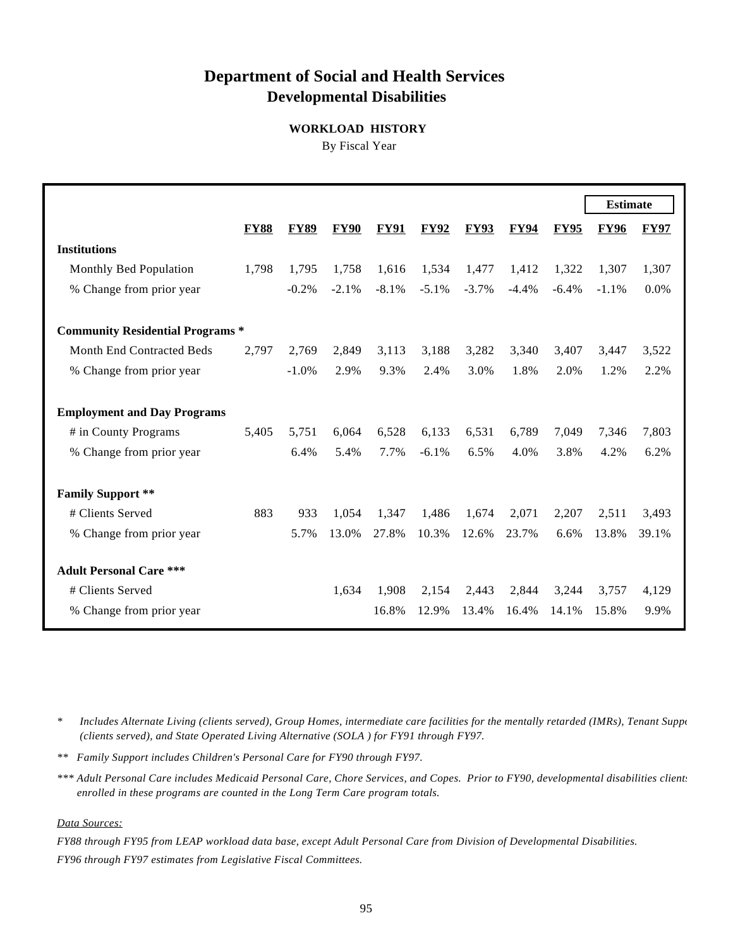# **Department of Social and Health Services Developmental Disabilities**

### **WORKLOAD HISTORY**

By Fiscal Year

|                                         |             |             |             |             |             |             |             |             | <b>Estimate</b> |             |
|-----------------------------------------|-------------|-------------|-------------|-------------|-------------|-------------|-------------|-------------|-----------------|-------------|
|                                         |             |             |             |             |             |             |             |             |                 |             |
|                                         | <b>FY88</b> | <b>FY89</b> | <b>FY90</b> | <b>FY91</b> | <b>FY92</b> | <b>FY93</b> | <b>FY94</b> | <b>FY95</b> | <b>FY96</b>     | <b>FY97</b> |
| <b>Institutions</b>                     |             |             |             |             |             |             |             |             |                 |             |
| Monthly Bed Population                  | 1,798       | 1,795       | 1,758       | 1,616       | 1,534       | 1,477       | 1,412       | 1,322       | 1,307           | 1,307       |
| % Change from prior year                |             | $-0.2%$     | $-2.1%$     | $-8.1%$     | $-5.1\%$    | $-3.7\%$    | $-4.4%$     | $-6.4%$     | $-1.1%$         | 0.0%        |
| <b>Community Residential Programs *</b> |             |             |             |             |             |             |             |             |                 |             |
| Month End Contracted Beds               | 2,797       | 2,769       | 2,849       | 3,113       | 3,188       | 3,282       | 3,340       | 3,407       | 3,447           | 3,522       |
| % Change from prior year                |             | $-1.0\%$    | 2.9%        | 9.3%        | 2.4%        | 3.0%        | 1.8%        | 2.0%        | 1.2%            | 2.2%        |
| <b>Employment and Day Programs</b>      |             |             |             |             |             |             |             |             |                 |             |
| # in County Programs                    | 5,405       | 5,751       | 6.064       | 6,528       | 6,133       | 6,531       | 6,789       | 7.049       | 7,346           | 7,803       |
| % Change from prior year                |             | 6.4%        | 5.4%        | 7.7%        | $-6.1%$     | 6.5%        | 4.0%        | 3.8%        | 4.2%            | 6.2%        |
| <b>Family Support **</b>                |             |             |             |             |             |             |             |             |                 |             |
| # Clients Served                        | 883         | 933         | 1,054       | 1,347       | 1,486       | 1,674       | 2,071       | 2,207       | 2,511           | 3,493       |
| % Change from prior year                |             | 5.7%        | 13.0%       | 27.8%       | 10.3%       | 12.6%       | 23.7%       | 6.6%        | 13.8%           | 39.1%       |
| <b>Adult Personal Care ***</b>          |             |             |             |             |             |             |             |             |                 |             |
| # Clients Served                        |             |             | 1,634       | 1,908       | 2,154       | 2,443       | 2,844       | 3,244       | 3,757           | 4,129       |
| % Change from prior year                |             |             |             | 16.8%       | 12.9%       | 13.4%       | 16.4%       | 14.1%       | 15.8%           | 9.9%        |

\* Includes Alternate Living (clients served), Group Homes, intermediate care facilities for the mentally retarded (IMRs), Tenant Supporties  *(clients served), and State Operated Living Alternative (SOLA ) for FY91 through FY97.*

*\*\* Family Support includes Children's Personal Care for FY90 through FY97.*

*\*\*\* Adult Personal Care includes Medicaid Personal Care, Chore Services, and Copes. Prior to FY90, developmental disabilities clients enrolled in these programs are counted in the Long Term Care program totals.*

#### *Data Sources:*

*FY88 through FY95 from LEAP workload data base, except Adult Personal Care from Division of Developmental Disabilities. FY96 through FY97 estimates from Legislative Fiscal Committees.*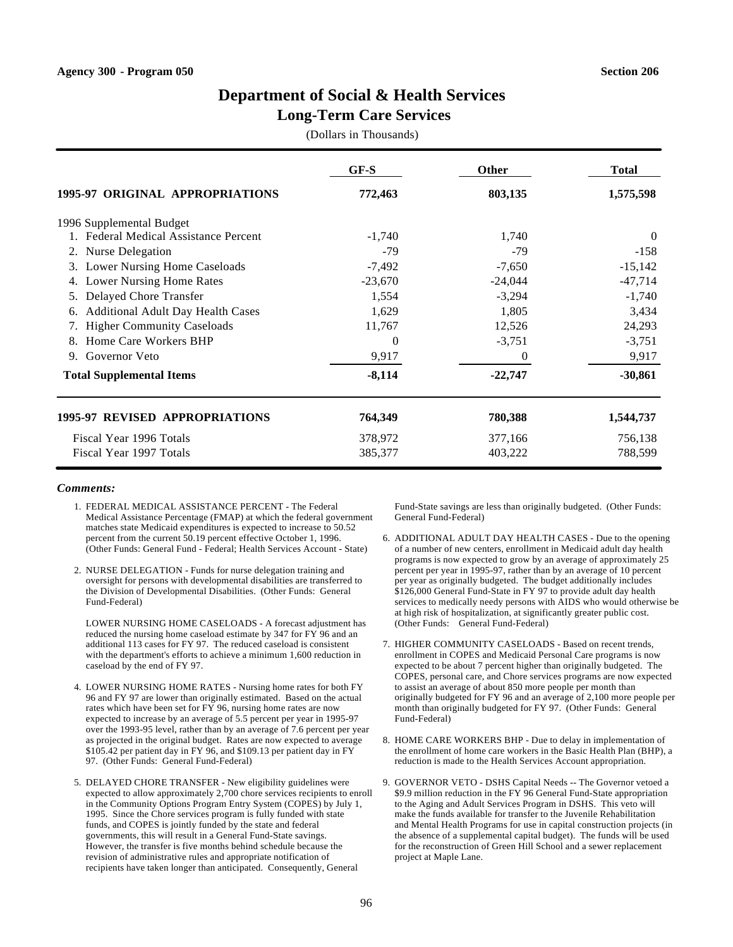### **Long-Term Care Services**

(Dollars in Thousands)

|                                                | $GF-S$    | <b>Other</b> | <b>Total</b> |
|------------------------------------------------|-----------|--------------|--------------|
| 1995-97 ORIGINAL APPROPRIATIONS                | 772,463   | 803,135      | 1,575,598    |
| 1996 Supplemental Budget                       |           |              |              |
| 1. Federal Medical Assistance Percent          | $-1,740$  | 1,740        | $\theta$     |
| Nurse Delegation<br>2.                         | $-79$     | $-79$        | $-158$       |
| <b>Lower Nursing Home Caseloads</b><br>3.      | $-7,492$  | $-7,650$     | $-15,142$    |
| Lower Nursing Home Rates<br>4.                 | $-23,670$ | $-24,044$    | $-47,714$    |
| Delayed Chore Transfer<br>5.                   | 1,554     | $-3,294$     | $-1,740$     |
| <b>Additional Adult Day Health Cases</b><br>6. | 1,629     | 1,805        | 3,434        |
| <b>Higher Community Caseloads</b><br>7.        | 11,767    | 12,526       | 24,293       |
| Home Care Workers BHP                          | $\Omega$  | $-3,751$     | $-3,751$     |
| 9. Governor Veto                               | 9,917     | 0            | 9,917        |
| <b>Total Supplemental Items</b>                | $-8,114$  | $-22,747$    | $-30,861$    |
| 1995-97 REVISED APPROPRIATIONS                 | 764,349   | 780,388      | 1,544,737    |
| Fiscal Year 1996 Totals                        | 378,972   | 377,166      | 756,138      |
| Fiscal Year 1997 Totals                        | 385,377   | 403,222      | 788,599      |

#### *Comments:*

- 1. FEDERAL MEDICAL ASSISTANCE PERCENT The Federal Medical Assistance Percentage (FMAP) at which the federal government matches state Medicaid expenditures is expected to increase to 50.52 percent from the current 50.19 percent effective October 1, 1996. (Other Funds: General Fund - Federal; Health Services Account - State)
- 2. NURSE DELEGATION Funds for nurse delegation training and oversight for persons with developmental disabilities are transferred to the Division of Developmental Disabilities. (Other Funds: General Fund-Federal)

LOWER NURSING HOME CASELOADS - A forecast adjustment has reduced the nursing home caseload estimate by 347 for FY 96 and an additional 113 cases for FY 97. The reduced caseload is consistent with the department's efforts to achieve a minimum 1,600 reduction in caseload by the end of FY 97.

- 4. LOWER NURSING HOME RATES Nursing home rates for both FY 96 and FY 97 are lower than originally estimated. Based on the actual rates which have been set for FY 96, nursing home rates are now expected to increase by an average of 5.5 percent per year in 1995-97 over the 1993-95 level, rather than by an average of 7.6 percent per year as projected in the original budget. Rates are now expected to average \$105.42 per patient day in FY 96, and \$109.13 per patient day in FY 97. (Other Funds: General Fund-Federal)
- 5. DELAYED CHORE TRANSFER New eligibility guidelines were expected to allow approximately 2,700 chore services recipients to enroll in the Community Options Program Entry System (COPES) by July 1, 1995. Since the Chore services program is fully funded with state funds, and COPES is jointly funded by the state and federal governments, this will result in a General Fund-State savings. However, the transfer is five months behind schedule because the revision of administrative rules and appropriate notification of recipients have taken longer than anticipated. Consequently, General

Fund-State savings are less than originally budgeted. (Other Funds: General Fund-Federal)

- 6. ADDITIONAL ADULT DAY HEALTH CASES Due to the opening of a number of new centers, enrollment in Medicaid adult day health programs is now expected to grow by an average of approximately 25 percent per year in 1995-97, rather than by an average of 10 percent per year as originally budgeted. The budget additionally includes \$126,000 General Fund-State in FY 97 to provide adult day health services to medically needy persons with AIDS who would otherwise be at high risk of hospitalization, at significantly greater public cost. (Other Funds: General Fund-Federal)
- 7. HIGHER COMMUNITY CASELOADS Based on recent trends, enrollment in COPES and Medicaid Personal Care programs is now expected to be about 7 percent higher than originally budgeted. The COPES, personal care, and Chore services programs are now expected to assist an average of about 850 more people per month than originally budgeted for FY 96 and an average of 2,100 more people per month than originally budgeted for FY 97. (Other Funds: General Fund-Federal)
- 8. HOME CARE WORKERS BHP Due to delay in implementation of the enrollment of home care workers in the Basic Health Plan (BHP), a reduction is made to the Health Services Account appropriation.
- 9. GOVERNOR VETO DSHS Capital Needs -- The Governor vetoed a \$9.9 million reduction in the FY 96 General Fund-State appropriation to the Aging and Adult Services Program in DSHS. This veto will make the funds available for transfer to the Juvenile Rehabilitation and Mental Health Programs for use in capital construction projects (in the absence of a supplemental capital budget). The funds will be used for the reconstruction of Green Hill School and a sewer replacement project at Maple Lane.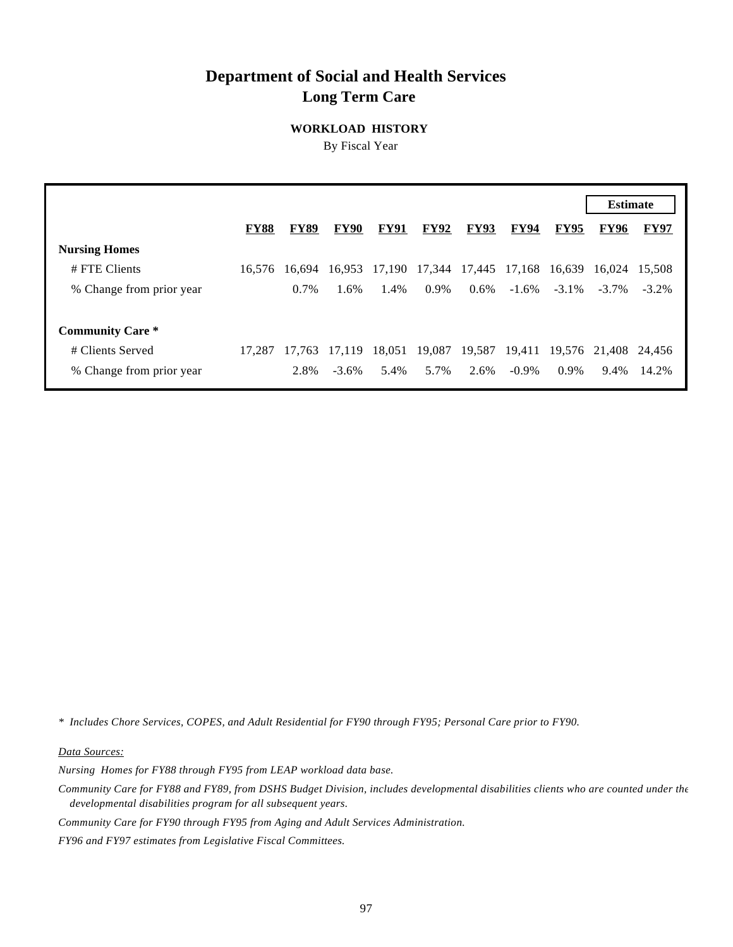# **Department of Social and Health Services Long Term Care**

**WORKLOAD HISTORY**

By Fiscal Year

|                          |             |             |             |             |               |             |             |             | <b>Estimate</b>      |             |
|--------------------------|-------------|-------------|-------------|-------------|---------------|-------------|-------------|-------------|----------------------|-------------|
|                          | <b>FY88</b> | <b>FY89</b> | <b>FY90</b> | <b>FY91</b> | <b>FY92</b>   | <b>FY93</b> | <b>FY94</b> | <b>FY95</b> | <b>FY96</b>          | <b>FY97</b> |
| <b>Nursing Homes</b>     |             |             |             |             |               |             |             |             |                      |             |
| # FTE Clients            | 16.576      | 16.694      | 16.953      | 17,190      | 17,344 17,445 |             | 17,168      |             | 16,639 16,024 15,508 |             |
| % Change from prior year |             | 0.7%        | 1.6%        | 1.4%        | 0.9%          | $0.6\%$     | $-1.6\%$    | $-3.1\%$    | $-3.7\%$             | $-3.2\%$    |
|                          |             |             |             |             |               |             |             |             |                      |             |
| <b>Community Care *</b>  |             |             |             |             |               |             |             |             |                      |             |
| # Clients Served         | 17.287      | 17.763      | 17.119      | 18,051      | 19,087        | 19,587      | 19,411      |             | 19,576 21,408 24,456 |             |
| % Change from prior year |             | 2.8%        | $-3.6\%$    | 5.4%        | 5.7%          | 2.6%        | $-0.9\%$    | $0.9\%$     | 9.4%                 | 14.2%       |

*\* Includes Chore Services, COPES, and Adult Residential for FY90 through FY95; Personal Care prior to FY90.*

*Data Sources:*

*Nursing Homes for FY88 through FY95 from LEAP workload data base.*

*Community Care for FY88 and FY89, from DSHS Budget Division, includes developmental disabilities clients who are counted under the developmental disabilities program for all subsequent years.*

*Community Care for FY90 through FY95 from Aging and Adult Services Administration.*

*FY96 and FY97 estimates from Legislative Fiscal Committees.*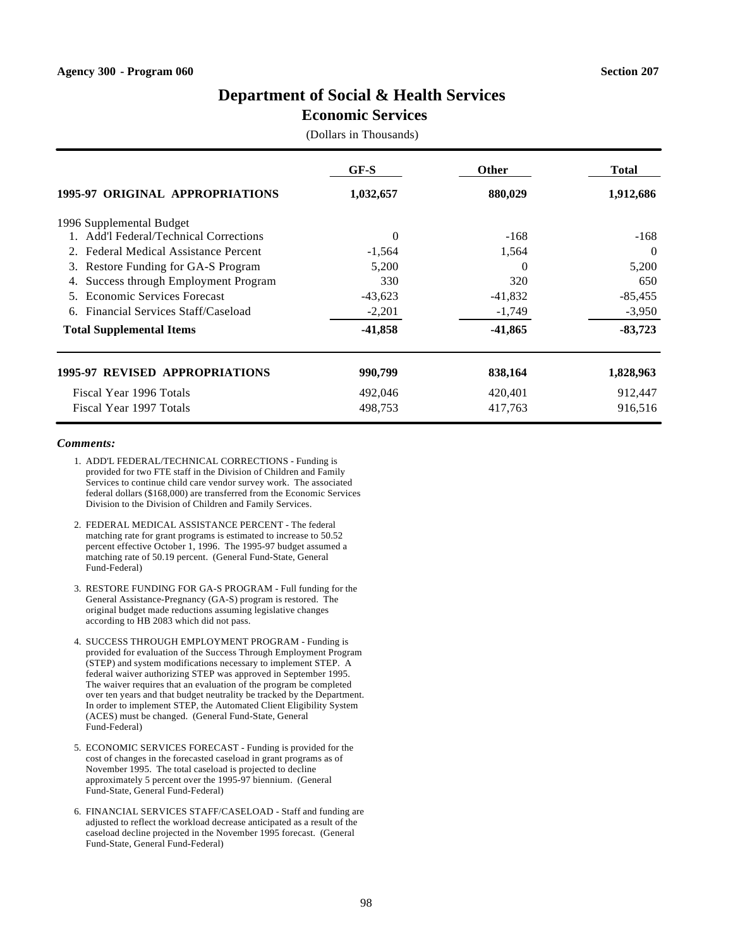# **Economic Services**

(Dollars in Thousands)

|                                          | GF-S      | <b>Other</b> | <b>Total</b> |
|------------------------------------------|-----------|--------------|--------------|
| <b>1995-97 ORIGINAL APPROPRIATIONS</b>   | 1,032,657 | 880,029      | 1,912,686    |
| 1996 Supplemental Budget                 |           |              |              |
| 1. Add'l Federal/Technical Corrections   | $\Omega$  | $-168$       | -168         |
| Federal Medical Assistance Percent<br>2. | $-1,564$  | 1,564        | $\Omega$     |
| Restore Funding for GA-S Program<br>3.   | 5,200     | 0            | 5,200        |
| Success through Employment Program<br>4. | 330       | 320          | 650          |
| Economic Services Forecast               | $-43,623$ | $-41,832$    | $-85,455$    |
| Financial Services Staff/Caseload<br>6.  | $-2,201$  | $-1,749$     | $-3,950$     |
| <b>Total Supplemental Items</b>          | $-41,858$ | $-41,865$    | $-83,723$    |
| <b>1995-97 REVISED APPROPRIATIONS</b>    | 990,799   | 838,164      | 1,828,963    |
| Fiscal Year 1996 Totals                  | 492,046   | 420,401      | 912,447      |
| Fiscal Year 1997 Totals                  | 498,753   | 417,763      | 916,516      |

- 1. ADD'L FEDERAL/TECHNICAL CORRECTIONS Funding is provided for two FTE staff in the Division of Children and Family Services to continue child care vendor survey work. The associated federal dollars (\$168,000) are transferred from the Economic Services Division to the Division of Children and Family Services.
- 2. FEDERAL MEDICAL ASSISTANCE PERCENT The federal matching rate for grant programs is estimated to increase to 50.52 percent effective October 1, 1996. The 1995-97 budget assumed a matching rate of 50.19 percent. (General Fund-State, General Fund-Federal)
- 3. RESTORE FUNDING FOR GA-S PROGRAM Full funding for the General Assistance-Pregnancy (GA-S) program is restored. The original budget made reductions assuming legislative changes according to HB 2083 which did not pass.
- 4. SUCCESS THROUGH EMPLOYMENT PROGRAM Funding is provided for evaluation of the Success Through Employment Program (STEP) and system modifications necessary to implement STEP. A federal waiver authorizing STEP was approved in September 1995. The waiver requires that an evaluation of the program be completed over ten years and that budget neutrality be tracked by the Department. In order to implement STEP, the Automated Client Eligibility System (ACES) must be changed. (General Fund-State, General Fund-Federal)
- 5. ECONOMIC SERVICES FORECAST Funding is provided for the cost of changes in the forecasted caseload in grant programs as of November 1995. The total caseload is projected to decline approximately 5 percent over the 1995-97 biennium. (General Fund-State, General Fund-Federal)
- 6. FINANCIAL SERVICES STAFF/CASELOAD Staff and funding are adjusted to reflect the workload decrease anticipated as a result of the caseload decline projected in the November 1995 forecast. (General Fund-State, General Fund-Federal)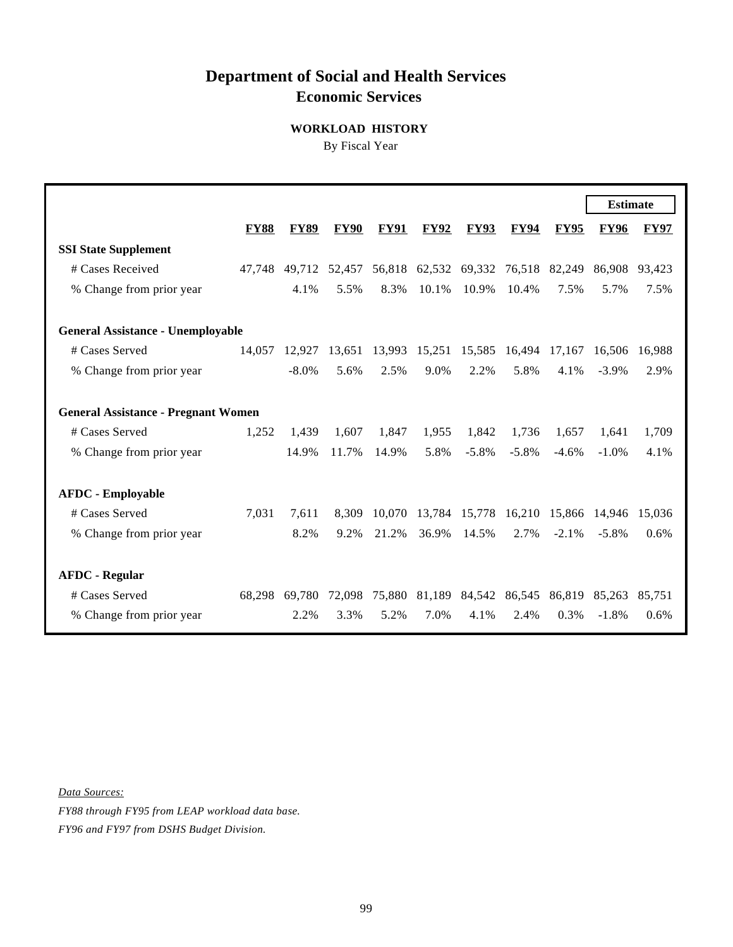# **Department of Social and Health Services Economic Services**

### **WORKLOAD HISTORY**

By Fiscal Year

|                                          |                                            |             |             |             |             |                             |             |             | <b>Estimate</b> |             |  |
|------------------------------------------|--------------------------------------------|-------------|-------------|-------------|-------------|-----------------------------|-------------|-------------|-----------------|-------------|--|
|                                          | <b>FY88</b>                                | <b>FY89</b> | <b>FY90</b> | <b>FY91</b> | <b>FY92</b> | <b>FY93</b>                 | <b>FY94</b> | <b>FY95</b> | <b>FY96</b>     | <b>FY97</b> |  |
| <b>SSI State Supplement</b>              |                                            |             |             |             |             |                             |             |             |                 |             |  |
| # Cases Received                         | 47.748                                     | 49.712      | 52,457      |             |             | 56,818 62,532 69,332 76,518 |             | 82,249      | 86,908          | 93,423      |  |
| % Change from prior year                 |                                            | 4.1%        | 5.5%        | 8.3%        | 10.1%       | 10.9%                       | 10.4%       | 7.5%        | 5.7%            | 7.5%        |  |
| <b>General Assistance - Unemployable</b> |                                            |             |             |             |             |                             |             |             |                 |             |  |
| # Cases Served                           | 14,057                                     | 12.927      | 13,651      | 13,993      | 15,251      | 15,585                      | 16,494      | 17,167      | 16,506          | 16.988      |  |
| % Change from prior year                 |                                            | $-8.0\%$    | 5.6%        | 2.5%        | 9.0%        | 2.2%                        | 5.8%        | 4.1%        | $-3.9\%$        | 2.9%        |  |
|                                          | <b>General Assistance - Pregnant Women</b> |             |             |             |             |                             |             |             |                 |             |  |
| # Cases Served                           | 1,252                                      | 1,439       | 1,607       | 1,847       | 1,955       | 1,842                       | 1,736       | 1,657       | 1,641           | 1,709       |  |
| % Change from prior year                 |                                            | 14.9%       | 11.7%       | 14.9%       | 5.8%        | $-5.8\%$                    | $-5.8%$     | $-4.6%$     | $-1.0\%$        | 4.1%        |  |
| <b>AFDC</b> - Employable                 |                                            |             |             |             |             |                             |             |             |                 |             |  |
| # Cases Served                           | 7,031                                      | 7.611       | 8,309       | 10,070      |             | 13,784 15,778               | 16,210      | 15,866      | 14.946          | 15,036      |  |
| % Change from prior year                 |                                            | 8.2%        | 9.2%        | 21.2%       | 36.9%       | 14.5%                       | 2.7%        | $-2.1\%$    | $-5.8\%$        | 0.6%        |  |
| <b>AFDC - Regular</b>                    |                                            |             |             |             |             |                             |             |             |                 |             |  |
| # Cases Served                           | 68.298                                     | 69.780      | 72,098      | 75,880      | 81,189      | 84,542                      | 86,545      | 86,819      | 85,263          | 85.751      |  |
| % Change from prior year                 |                                            | 2.2%        | 3.3%        | 5.2%        | 7.0%        | 4.1%                        | 2.4%        | 0.3%        | $-1.8%$         | 0.6%        |  |

*Data Sources:*

*FY88 through FY95 from LEAP workload data base. FY96 and FY97 from DSHS Budget Division.*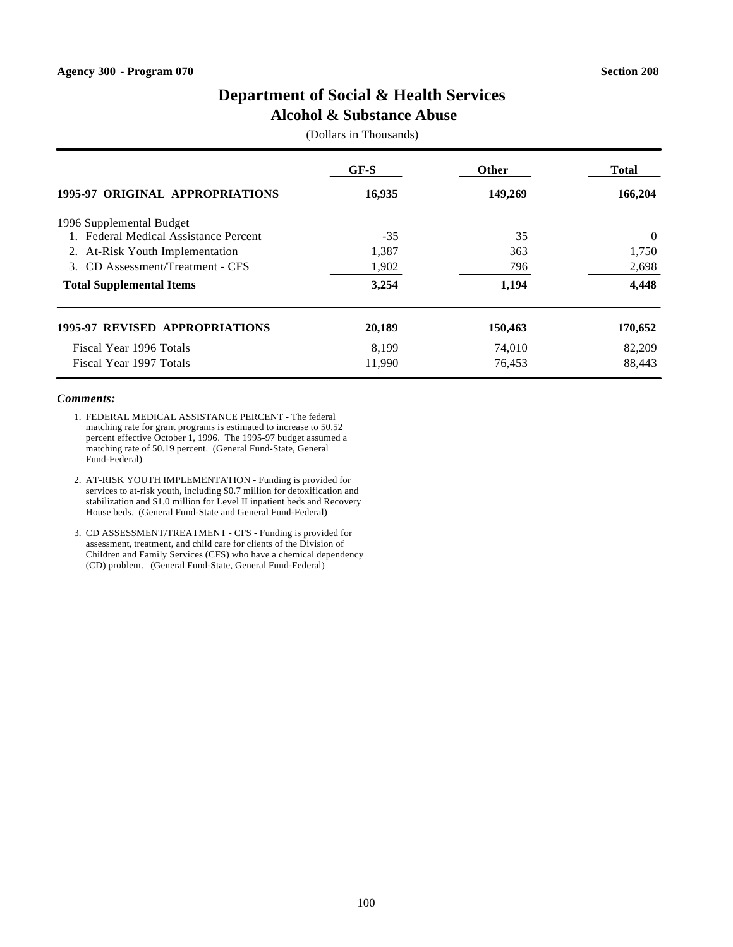### **Alcohol & Substance Abuse**

(Dollars in Thousands)

|                                        | GF-S   | <b>Other</b> | <b>Total</b> |
|----------------------------------------|--------|--------------|--------------|
| <b>1995-97 ORIGINAL APPROPRIATIONS</b> | 16,935 | 149,269      | 166,204      |
| 1996 Supplemental Budget               |        |              |              |
| 1. Federal Medical Assistance Percent  | $-35$  | 35           | $\theta$     |
| 2. At-Risk Youth Implementation        | 1,387  | 363          | 1,750        |
| 3. CD Assessment/Treatment - CFS       | 1,902  | 796          | 2,698        |
| <b>Total Supplemental Items</b>        | 3,254  | 1,194        | 4,448        |
| <b>1995-97 REVISED APPROPRIATIONS</b>  | 20,189 | 150,463      | 170,652      |
| Fiscal Year 1996 Totals                | 8.199  | 74,010       | 82,209       |
| Fiscal Year 1997 Totals                | 11,990 | 76,453       | 88.443       |

- 1. FEDERAL MEDICAL ASSISTANCE PERCENT The federal matching rate for grant programs is estimated to increase to 50.52 percent effective October 1, 1996. The 1995-97 budget assumed a matching rate of 50.19 percent. (General Fund-State, General Fund-Federal)
- 2. AT-RISK YOUTH IMPLEMENTATION Funding is provided for services to at-risk youth, including \$0.7 million for detoxification and stabilization and \$1.0 million for Level II inpatient beds and Recovery House beds. (General Fund-State and General Fund-Federal)
- 3. CD ASSESSMENT/TREATMENT CFS Funding is provided for assessment, treatment, and child care for clients of the Division of Children and Family Services (CFS) who have a chemical dependency (CD) problem. (General Fund-State, General Fund-Federal)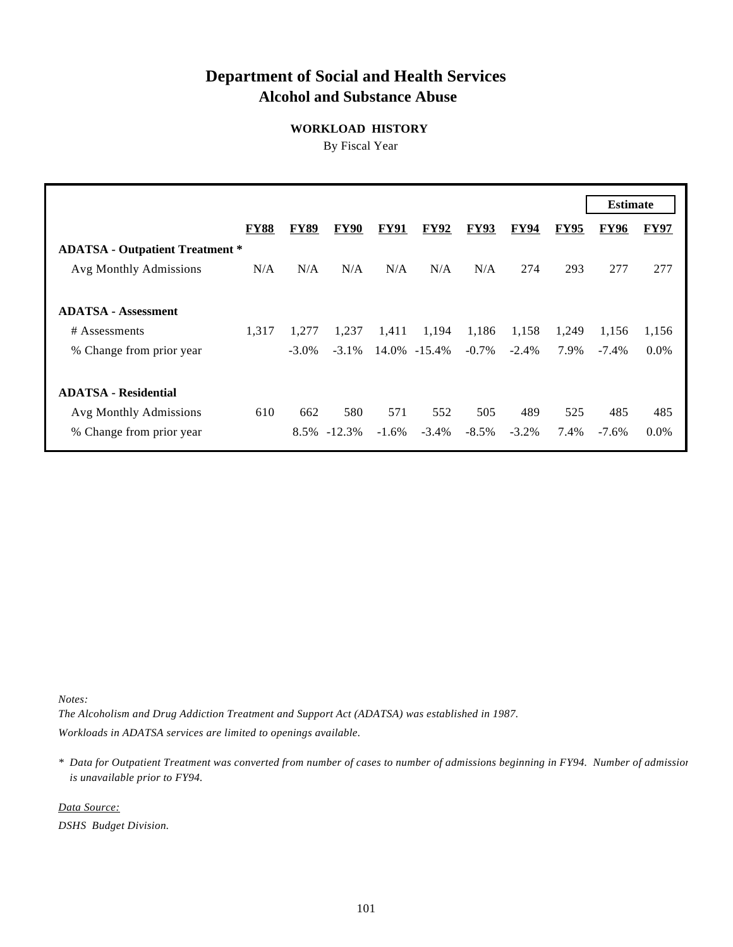# **Department of Social and Health Services Alcohol and Substance Abuse**

## **WORKLOAD HISTORY**

By Fiscal Year

|                                        |             |             |             |             |             |             |             |             | <b>Estimate</b> |             |
|----------------------------------------|-------------|-------------|-------------|-------------|-------------|-------------|-------------|-------------|-----------------|-------------|
|                                        | <b>FY88</b> | <b>FY89</b> | <b>FY90</b> | <b>FY91</b> | <b>FY92</b> | <b>FY93</b> | <b>FY94</b> | <b>FY95</b> | <b>FY96</b>     | <b>FY97</b> |
| <b>ADATSA - Outpatient Treatment *</b> |             |             |             |             |             |             |             |             |                 |             |
| Avg Monthly Admissions                 | N/A         | N/A         | N/A         | N/A         | N/A         | N/A         | 274         | 293         | 277             | 277         |
|                                        |             |             |             |             |             |             |             |             |                 |             |
| <b>ADATSA - Assessment</b>             |             |             |             |             |             |             |             |             |                 |             |
| # Assessments                          | 1.317       | 1.277       | 1,237       | 1,411       | 1,194       | 1,186       | 1,158       | 1,249       | 1,156           | 1,156       |
| % Change from prior year               |             | $-3.0\%$    | $-3.1%$     | 14.0%       | $-15.4%$    | $-0.7\%$    | $-2.4\%$    | 7.9%        | $-7.4\%$        | $0.0\%$     |
|                                        |             |             |             |             |             |             |             |             |                 |             |
| <b>ADATSA - Residential</b>            |             |             |             |             |             |             |             |             |                 |             |
| Avg Monthly Admissions                 | 610         | 662         | 580         | 571         | 552         | 505         | 489         | 525         | 485             | 485         |
| % Change from prior year               |             | 8.5%        | $-12.3%$    | $-1.6\%$    | $-3.4\%$    | $-8.5\%$    | $-3.2\%$    | 7.4%        | $-7.6\%$        | $0.0\%$     |

*Notes:*

*The Alcoholism and Drug Addiction Treatment and Support Act (ADATSA) was established in 1987. Workloads in ADATSA services are limited to openings available.*

*\* Data for Outpatient Treatment was converted from number of cases to number of admissions beginning in FY94. Number of admissions is unavailable prior to FY94.*

*Data Source:*

*DSHS Budget Division.*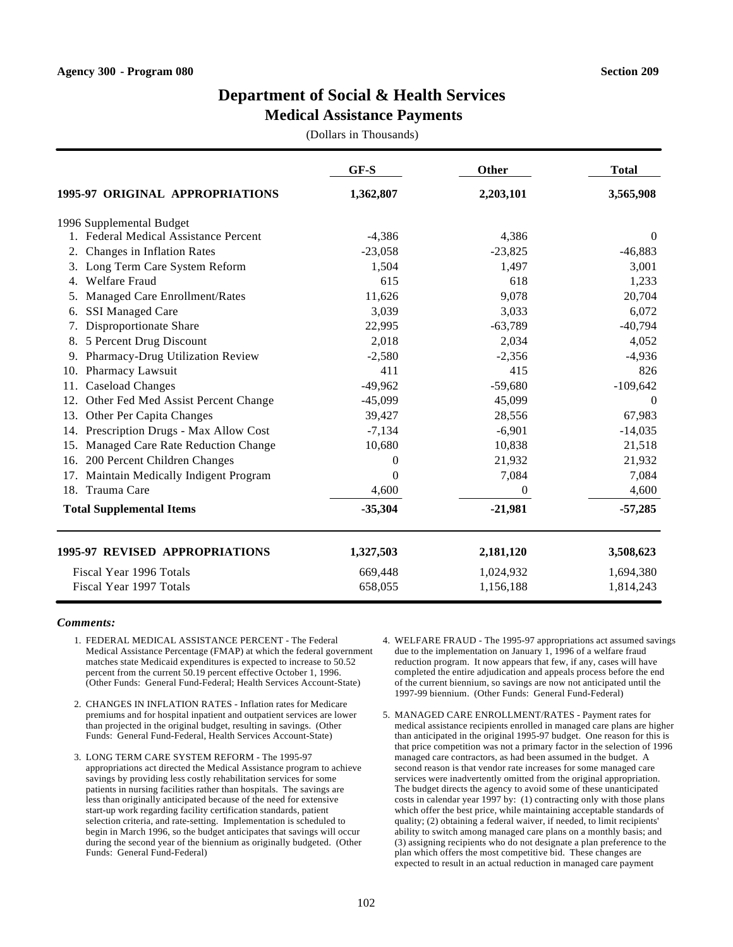### **Medical Assistance Payments**

(Dollars in Thousands)

|                                            | GF-S      | Other     | <b>Total</b> |
|--------------------------------------------|-----------|-----------|--------------|
| 1995-97 ORIGINAL APPROPRIATIONS            | 1,362,807 | 2,203,101 | 3,565,908    |
| 1996 Supplemental Budget                   |           |           |              |
| 1. Federal Medical Assistance Percent      | $-4,386$  | 4,386     | $\Omega$     |
| Changes in Inflation Rates<br>2.           | $-23,058$ | $-23,825$ | $-46,883$    |
| Long Term Care System Reform<br>3.         | 1,504     | 1,497     | 3,001        |
| <b>Welfare Fraud</b><br>4.                 | 615       | 618       | 1,233        |
| Managed Care Enrollment/Rates<br>5.        | 11,626    | 9,078     | 20,704       |
| <b>SSI Managed Care</b><br>6.              | 3,039     | 3,033     | 6,072        |
| Disproportionate Share                     | 22,995    | $-63,789$ | $-40,794$    |
| 5 Percent Drug Discount<br>8.              | 2,018     | 2,034     | 4,052        |
| Pharmacy-Drug Utilization Review<br>9.     | $-2,580$  | $-2,356$  | $-4,936$     |
| Pharmacy Lawsuit<br>10.                    | 411       | 415       | 826          |
| Caseload Changes<br>11.                    | $-49,962$ | $-59,680$ | $-109,642$   |
| Other Fed Med Assist Percent Change<br>12. | $-45,099$ | 45,099    | $\Omega$     |
| Other Per Capita Changes<br>13.            | 39,427    | 28,556    | 67,983       |
| Prescription Drugs - Max Allow Cost<br>14. | $-7,134$  | $-6,901$  | $-14,035$    |
| Managed Care Rate Reduction Change<br>15.  | 10,680    | 10,838    | 21,518       |
| 200 Percent Children Changes<br>16.        | $\Omega$  | 21,932    | 21,932       |
| Maintain Medically Indigent Program<br>17. | $\theta$  | 7,084     | 7,084        |
| Trauma Care<br>18.                         | 4,600     | 0         | 4,600        |
| <b>Total Supplemental Items</b>            | $-35,304$ | $-21,981$ | $-57,285$    |
| <b>1995-97 REVISED APPROPRIATIONS</b>      | 1,327,503 | 2,181,120 | 3,508,623    |
| Fiscal Year 1996 Totals                    | 669,448   | 1,024,932 | 1,694,380    |
| Fiscal Year 1997 Totals                    | 658,055   | 1,156,188 | 1,814,243    |

- 1. FEDERAL MEDICAL ASSISTANCE PERCENT The Federal Medical Assistance Percentage (FMAP) at which the federal government matches state Medicaid expenditures is expected to increase to 50.52 percent from the current 50.19 percent effective October 1, 1996. (Other Funds: General Fund-Federal; Health Services Account-State)
- 2. CHANGES IN INFLATION RATES Inflation rates for Medicare premiums and for hospital inpatient and outpatient services are lower than projected in the original budget, resulting in savings. (Other Funds: General Fund-Federal, Health Services Account-State)
- 3. LONG TERM CARE SYSTEM REFORM The 1995-97 appropriations act directed the Medical Assistance program to achieve savings by providing less costly rehabilitation services for some patients in nursing facilities rather than hospitals. The savings are less than originally anticipated because of the need for extensive start-up work regarding facility certification standards, patient selection criteria, and rate-setting. Implementation is scheduled to begin in March 1996, so the budget anticipates that savings will occur during the second year of the biennium as originally budgeted. (Other Funds: General Fund-Federal)
- 4. WELFARE FRAUD The 1995-97 appropriations act assumed savings due to the implementation on January 1, 1996 of a welfare fraud reduction program. It now appears that few, if any, cases will have completed the entire adjudication and appeals process before the end of the current biennium, so savings are now not anticipated until the 1997-99 biennium. (Other Funds: General Fund-Federal)
- 5. MANAGED CARE ENROLLMENT/RATES Payment rates for medical assistance recipients enrolled in managed care plans are higher than anticipated in the original 1995-97 budget. One reason for this is that price competition was not a primary factor in the selection of 1996 managed care contractors, as had been assumed in the budget. A second reason is that vendor rate increases for some managed care services were inadvertently omitted from the original appropriation. The budget directs the agency to avoid some of these unanticipated costs in calendar year 1997 by: (1) contracting only with those plans which offer the best price, while maintaining acceptable standards of quality; (2) obtaining a federal waiver, if needed, to limit recipients' ability to switch among managed care plans on a monthly basis; and (3) assigning recipients who do not designate a plan preference to the plan which offers the most competitive bid. These changes are expected to result in an actual reduction in managed care payment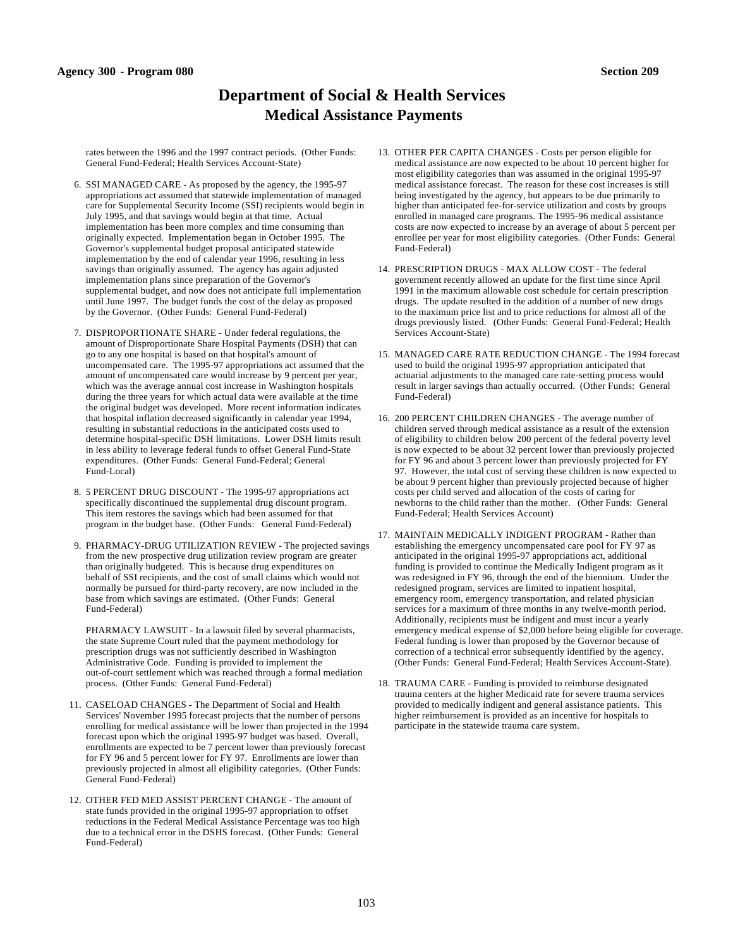# **Department of Social & Health Services Medical Assistance Payments**

rates between the 1996 and the 1997 contract periods. (Other Funds: General Fund-Federal; Health Services Account-State)

- 6. SSI MANAGED CARE As proposed by the agency, the 1995-97 appropriations act assumed that statewide implementation of managed care for Supplemental Security Income (SSI) recipients would begin in July 1995, and that savings would begin at that time. Actual implementation has been more complex and time consuming than originally expected. Implementation began in October 1995. The Governor's supplemental budget proposal anticipated statewide implementation by the end of calendar year 1996, resulting in less savings than originally assumed. The agency has again adjusted implementation plans since preparation of the Governor's supplemental budget, and now does not anticipate full implementation until June 1997. The budget funds the cost of the delay as proposed by the Governor. (Other Funds: General Fund-Federal)
- 7. DISPROPORTIONATE SHARE Under federal regulations, the amount of Disproportionate Share Hospital Payments (DSH) that can go to any one hospital is based on that hospital's amount of uncompensated care. The 1995-97 appropriations act assumed that the amount of uncompensated care would increase by 9 percent per year, which was the average annual cost increase in Washington hospitals during the three years for which actual data were available at the time the original budget was developed. More recent information indicates that hospital inflation decreased significantly in calendar year 1994, resulting in substantial reductions in the anticipated costs used to determine hospital-specific DSH limitations. Lower DSH limits result in less ability to leverage federal funds to offset General Fund-State expenditures. (Other Funds: General Fund-Federal; General Fund-Local)
- 8. 5 PERCENT DRUG DISCOUNT The 1995-97 appropriations act specifically discontinued the supplemental drug discount program. This item restores the savings which had been assumed for that program in the budget base. (Other Funds: General Fund-Federal)
- 9. PHARMACY-DRUG UTILIZATION REVIEW The projected savings from the new prospective drug utilization review program are greater than originally budgeted. This is because drug expenditures on behalf of SSI recipients, and the cost of small claims which would not normally be pursued for third-party recovery, are now included in the base from which savings are estimated. (Other Funds: General Fund-Federal)

PHARMACY LAWSUIT - In a lawsuit filed by several pharmacists, the state Supreme Court ruled that the payment methodology for prescription drugs was not sufficiently described in Washington Administrative Code. Funding is provided to implement the out-of-court settlement which was reached through a formal mediation process. (Other Funds: General Fund-Federal)

- 11. CASELOAD CHANGES The Department of Social and Health Services' November 1995 forecast projects that the number of persons enrolling for medical assistance will be lower than projected in the 1994 forecast upon which the original 1995-97 budget was based. Overall, enrollments are expected to be 7 percent lower than previously forecast for FY 96 and 5 percent lower for FY 97. Enrollments are lower than previously projected in almost all eligibility categories. (Other Funds: General Fund-Federal)
- 12. OTHER FED MED ASSIST PERCENT CHANGE The amount of state funds provided in the original 1995-97 appropriation to offset reductions in the Federal Medical Assistance Percentage was too high due to a technical error in the DSHS forecast. (Other Funds: General Fund-Federal)
- 13. OTHER PER CAPITA CHANGES Costs per person eligible for medical assistance are now expected to be about 10 percent higher for most eligibility categories than was assumed in the original 1995-97 medical assistance forecast. The reason for these cost increases is still being investigated by the agency, but appears to be due primarily to higher than anticipated fee-for-service utilization and costs by groups enrolled in managed care programs. The 1995-96 medical assistance costs are now expected to increase by an average of about 5 percent per enrollee per year for most eligibility categories. (Other Funds: General Fund-Federal)
- 14. PRESCRIPTION DRUGS MAX ALLOW COST The federal government recently allowed an update for the first time since April 1991 in the maximum allowable cost schedule for certain prescription drugs. The update resulted in the addition of a number of new drugs to the maximum price list and to price reductions for almost all of the drugs previously listed. (Other Funds: General Fund-Federal; Health Services Account-State)
- 15. MANAGED CARE RATE REDUCTION CHANGE The 1994 forecast used to build the original 1995-97 appropriation anticipated that actuarial adjustments to the managed care rate-setting process would result in larger savings than actually occurred. (Other Funds: General Fund-Federal)
- 16. 200 PERCENT CHILDREN CHANGES The average number of children served through medical assistance as a result of the extension of eligibility to children below 200 percent of the federal poverty level is now expected to be about 32 percent lower than previously projected for FY 96 and about 3 percent lower than previously projected for FY 97. However, the total cost of serving these children is now expected to be about 9 percent higher than previously projected because of higher costs per child served and allocation of the costs of caring for newborns to the child rather than the mother. (Other Funds: General Fund-Federal; Health Services Account)
- 17. MAINTAIN MEDICALLY INDIGENT PROGRAM Rather than establishing the emergency uncompensated care pool for FY 97 as anticipated in the original 1995-97 appropriations act, additional funding is provided to continue the Medically Indigent program as it was redesigned in FY 96, through the end of the biennium. Under the redesigned program, services are limited to inpatient hospital, emergency room, emergency transportation, and related physician services for a maximum of three months in any twelve-month period. Additionally, recipients must be indigent and must incur a yearly emergency medical expense of \$2,000 before being eligible for coverage. Federal funding is lower than proposed by the Governor because of correction of a technical error subsequently identified by the agency. (Other Funds: General Fund-Federal; Health Services Account-State).
- 18. TRAUMA CARE Funding is provided to reimburse designated trauma centers at the higher Medicaid rate for severe trauma services provided to medically indigent and general assistance patients. This higher reimbursement is provided as an incentive for hospitals to participate in the statewide trauma care system.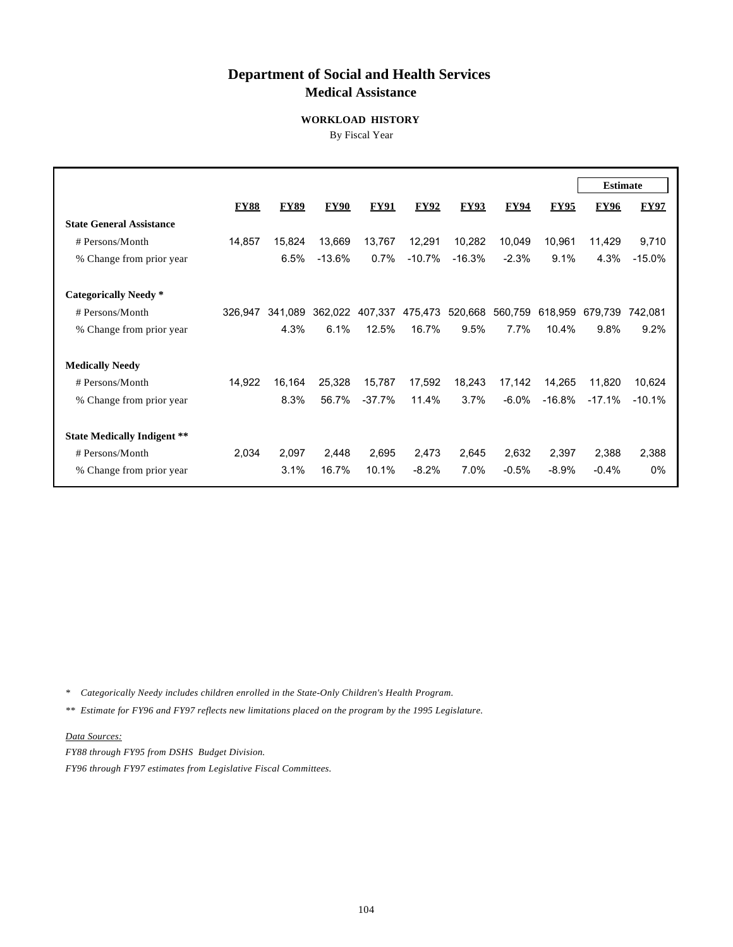# **Department of Social and Health Services Medical Assistance**

#### **WORKLOAD HISTORY**

By Fiscal Year

|                                    |             |             |             |             |             |             |             |             | <b>Estimate</b> |             |
|------------------------------------|-------------|-------------|-------------|-------------|-------------|-------------|-------------|-------------|-----------------|-------------|
|                                    | <b>FY88</b> | <b>FY89</b> | <b>FY90</b> | <b>FY91</b> | <b>FY92</b> | <b>FY93</b> | <b>FY94</b> | <b>FY95</b> | <b>FY96</b>     | <b>FY97</b> |
| <b>State General Assistance</b>    |             |             |             |             |             |             |             |             |                 |             |
| # Persons/Month                    | 14,857      | 15,824      | 13,669      | 13,767      | 12,291      | 10,282      | 10,049      | 10,961      | 11,429          | 9,710       |
| % Change from prior year           |             | 6.5%        | $-13.6%$    | 0.7%        | $-10.7%$    | $-16.3%$    | $-2.3%$     | 9.1%        | 4.3%            | $-15.0%$    |
|                                    |             |             |             |             |             |             |             |             |                 |             |
| <b>Categorically Needy</b> *       |             |             |             |             |             |             |             |             |                 |             |
| # Persons/Month                    | 326.947     | 341,089     | 362,022     | 407,337     | 475,473     | 520,668     | 560,759     | 618,959     | 679,739         | 742,081     |
| % Change from prior year           |             | 4.3%        | 6.1%        | 12.5%       | 16.7%       | 9.5%        | 7.7%        | 10.4%       | 9.8%            | 9.2%        |
| <b>Medically Needy</b>             |             |             |             |             |             |             |             |             |                 |             |
| # Persons/Month                    | 14,922      | 16,164      | 25,328      | 15,787      | 17,592      | 18,243      | 17,142      | 14,265      | 11,820          | 10,624      |
| % Change from prior year           |             | 8.3%        | 56.7%       | $-37.7\%$   | 11.4%       | 3.7%        | $-6.0\%$    | $-16.8%$    | $-17.1%$        | $-10.1%$    |
| <b>State Medically Indigent **</b> |             |             |             |             |             |             |             |             |                 |             |
| # Persons/Month                    | 2,034       | 2,097       | 2,448       | 2,695       | 2,473       | 2,645       | 2,632       | 2,397       | 2,388           | 2,388       |
| % Change from prior year           |             | 3.1%        | 16.7%       | 10.1%       | $-8.2%$     | 7.0%        | $-0.5%$     | $-8.9\%$    | $-0.4%$         | $0\%$       |

*\* Categorically Needy includes children enrolled in the State-Only Children's Health Program.*

*\*\* Estimate for FY96 and FY97 reflects new limitations placed on the program by the 1995 Legislature.* 

*Data Sources:*

*FY88 through FY95 from DSHS Budget Division. FY96 through FY97 estimates from Legislative Fiscal Committees.*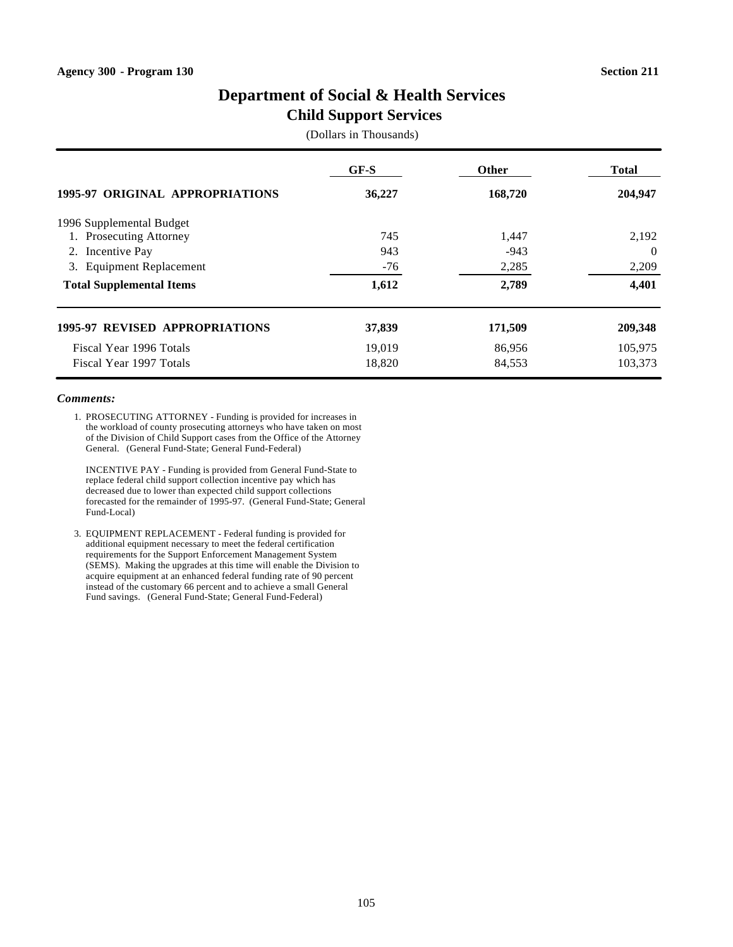# **Child Support Services**

(Dollars in Thousands)

|                                        | $GF-S$ | <b>Other</b> | <b>Total</b> |  |
|----------------------------------------|--------|--------------|--------------|--|
| <b>1995-97 ORIGINAL APPROPRIATIONS</b> | 36,227 | 168,720      | 204,947      |  |
| 1996 Supplemental Budget               |        |              |              |  |
| Prosecuting Attorney                   | 745    | 1,447        | 2,192        |  |
| Incentive Pay<br>2.                    | 943    | $-943$       | $\Omega$     |  |
| <b>Equipment Replacement</b><br>3.     | $-76$  | 2,285        | 2,209        |  |
| <b>Total Supplemental Items</b>        | 1,612  | 2,789        | 4,401        |  |
| <b>1995-97 REVISED APPROPRIATIONS</b>  | 37,839 | 171,509      | 209,348      |  |
| Fiscal Year 1996 Totals                | 19,019 | 86,956       | 105,975      |  |
| Fiscal Year 1997 Totals                | 18,820 | 84,553       | 103.373      |  |

#### *Comments:*

1. PROSECUTING ATTORNEY - Funding is provided for increases in the workload of county prosecuting attorneys who have taken on most of the Division of Child Support cases from the Office of the Attorney General. (General Fund-State; General Fund-Federal)

INCENTIVE PAY - Funding is provided from General Fund-State to replace federal child support collection incentive pay which has decreased due to lower than expected child support collections forecasted for the remainder of 1995-97. (General Fund-State; General Fund-Local)

3. EQUIPMENT REPLACEMENT - Federal funding is provided for additional equipment necessary to meet the federal certification requirements for the Support Enforcement Management System (SEMS). Making the upgrades at this time will enable the Division to acquire equipment at an enhanced federal funding rate of 90 percent instead of the customary 66 percent and to achieve a small General Fund savings. (General Fund-State; General Fund-Federal)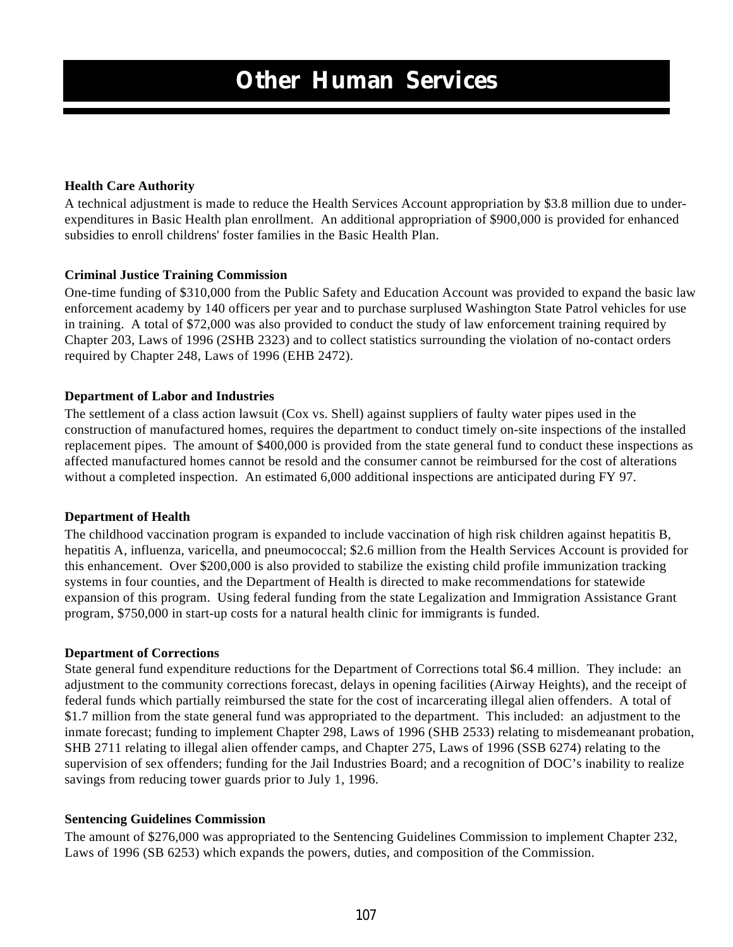# **Health Care Authority**

A technical adjustment is made to reduce the Health Services Account appropriation by \$3.8 million due to underexpenditures in Basic Health plan enrollment. An additional appropriation of \$900,000 is provided for enhanced subsidies to enroll childrens' foster families in the Basic Health Plan.

# **Criminal Justice Training Commission**

One-time funding of \$310,000 from the Public Safety and Education Account was provided to expand the basic law enforcement academy by 140 officers per year and to purchase surplused Washington State Patrol vehicles for use in training. A total of \$72,000 was also provided to conduct the study of law enforcement training required by Chapter 203, Laws of 1996 (2SHB 2323) and to collect statistics surrounding the violation of no-contact orders required by Chapter 248, Laws of 1996 (EHB 2472).

# **Department of Labor and Industries**

The settlement of a class action lawsuit (Cox vs. Shell) against suppliers of faulty water pipes used in the construction of manufactured homes, requires the department to conduct timely on-site inspections of the installed replacement pipes. The amount of \$400,000 is provided from the state general fund to conduct these inspections as affected manufactured homes cannot be resold and the consumer cannot be reimbursed for the cost of alterations without a completed inspection. An estimated 6,000 additional inspections are anticipated during FY 97.

### **Department of Health**

The childhood vaccination program is expanded to include vaccination of high risk children against hepatitis B, hepatitis A, influenza, varicella, and pneumococcal; \$2.6 million from the Health Services Account is provided for this enhancement. Over \$200,000 is also provided to stabilize the existing child profile immunization tracking systems in four counties, and the Department of Health is directed to make recommendations for statewide expansion of this program. Using federal funding from the state Legalization and Immigration Assistance Grant program, \$750,000 in start-up costs for a natural health clinic for immigrants is funded.

### **Department of Corrections**

State general fund expenditure reductions for the Department of Corrections total \$6.4 million. They include: an adjustment to the community corrections forecast, delays in opening facilities (Airway Heights), and the receipt of federal funds which partially reimbursed the state for the cost of incarcerating illegal alien offenders. A total of \$1.7 million from the state general fund was appropriated to the department. This included: an adjustment to the inmate forecast; funding to implement Chapter 298, Laws of 1996 (SHB 2533) relating to misdemeanant probation, SHB 2711 relating to illegal alien offender camps, and Chapter 275, Laws of 1996 (SSB 6274) relating to the supervision of sex offenders; funding for the Jail Industries Board; and a recognition of DOC's inability to realize savings from reducing tower guards prior to July 1, 1996.

### **Sentencing Guidelines Commission**

The amount of \$276,000 was appropriated to the Sentencing Guidelines Commission to implement Chapter 232, Laws of 1996 (SB 6253) which expands the powers, duties, and composition of the Commission.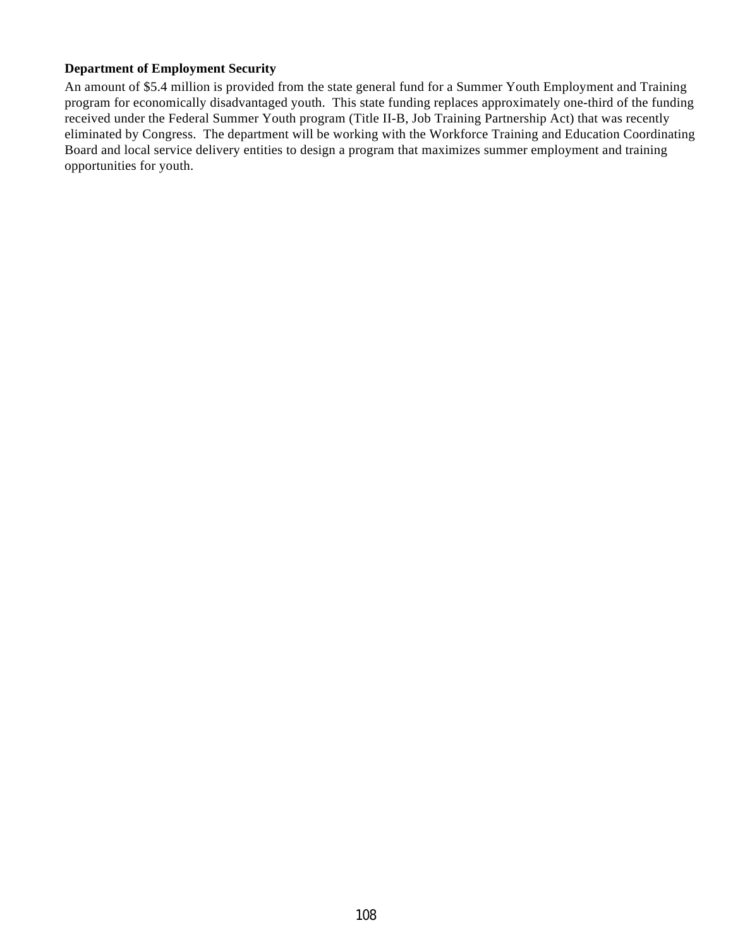# **Department of Employment Security**

An amount of \$5.4 million is provided from the state general fund for a Summer Youth Employment and Training program for economically disadvantaged youth. This state funding replaces approximately one-third of the funding received under the Federal Summer Youth program (Title II-B, Job Training Partnership Act) that was recently eliminated by Congress. The department will be working with the Workforce Training and Education Coordinating Board and local service delivery entities to design a program that maximizes summer employment and training opportunities for youth.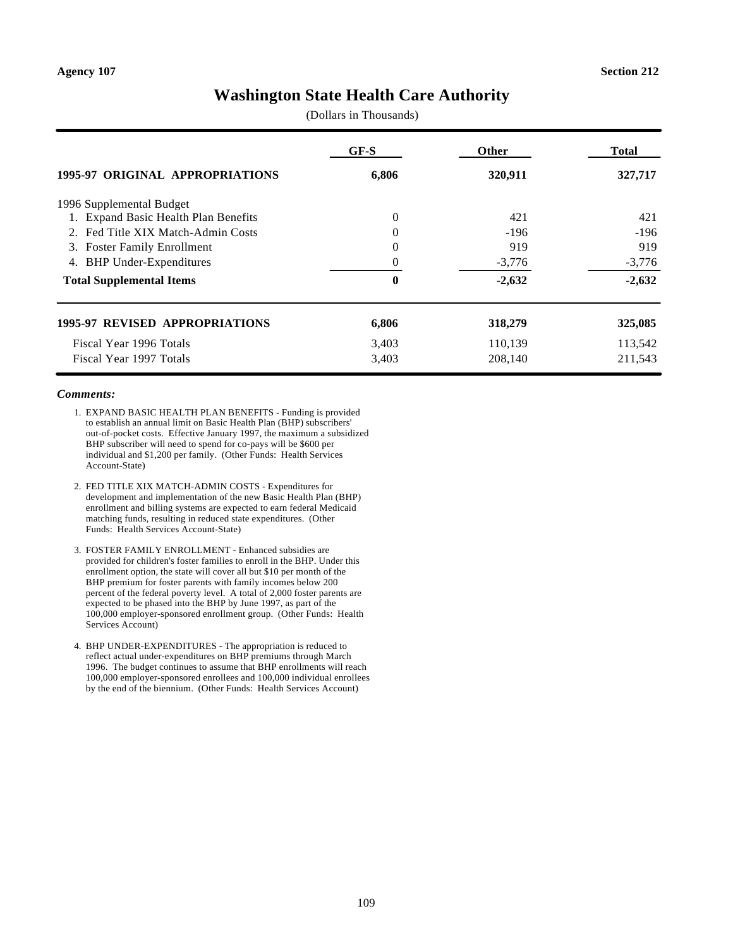# **Washington State Health Care Authority**

(Dollars in Thousands)

|                                       | GF-S     | Other    | Total    |
|---------------------------------------|----------|----------|----------|
| 1995-97 ORIGINAL APPROPRIATIONS       | 6,806    | 320,911  | 327,717  |
| 1996 Supplemental Budget              |          |          |          |
| 1. Expand Basic Health Plan Benefits  | 0        | 421      | 421      |
| Fed Title XIX Match-Admin Costs<br>2. | $\Omega$ | $-196$   | $-196$   |
| <b>Foster Family Enrollment</b><br>3. | $\Omega$ | 919      | 919      |
| <b>BHP</b> Under-Expenditures<br>4.   |          | $-3,776$ | $-3,776$ |
| <b>Total Supplemental Items</b>       | 0        | $-2,632$ | $-2,632$ |
| <b>1995-97 REVISED APPROPRIATIONS</b> | 6,806    | 318,279  | 325,085  |
| Fiscal Year 1996 Totals               | 3,403    | 110,139  | 113,542  |
| Fiscal Year 1997 Totals               | 3,403    | 208,140  | 211,543  |

- 1. EXPAND BASIC HEALTH PLAN BENEFITS Funding is provided to establish an annual limit on Basic Health Plan (BHP) subscribers' out-of-pocket costs. Effective January 1997, the maximum a subsidized BHP subscriber will need to spend for co-pays will be \$600 per individual and \$1,200 per family. (Other Funds: Health Services Account-State)
- 2. FED TITLE XIX MATCH-ADMIN COSTS Expenditures for development and implementation of the new Basic Health Plan (BHP) enrollment and billing systems are expected to earn federal Medicaid matching funds, resulting in reduced state expenditures. (Other Funds: Health Services Account-State)
- 3. FOSTER FAMILY ENROLLMENT Enhanced subsidies are provided for children's foster families to enroll in the BHP. Under this enrollment option, the state will cover all but \$10 per month of the BHP premium for foster parents with family incomes below 200 percent of the federal poverty level. A total of 2,000 foster parents are expected to be phased into the BHP by June 1997, as part of the 100,000 employer-sponsored enrollment group. (Other Funds: Health Services Account)
- 4. BHP UNDER-EXPENDITURES The appropriation is reduced to reflect actual under-expenditures on BHP premiums through March 1996. The budget continues to assume that BHP enrollments will reach 100,000 employer-sponsored enrollees and 100,000 individual enrollees by the end of the biennium. (Other Funds: Health Services Account)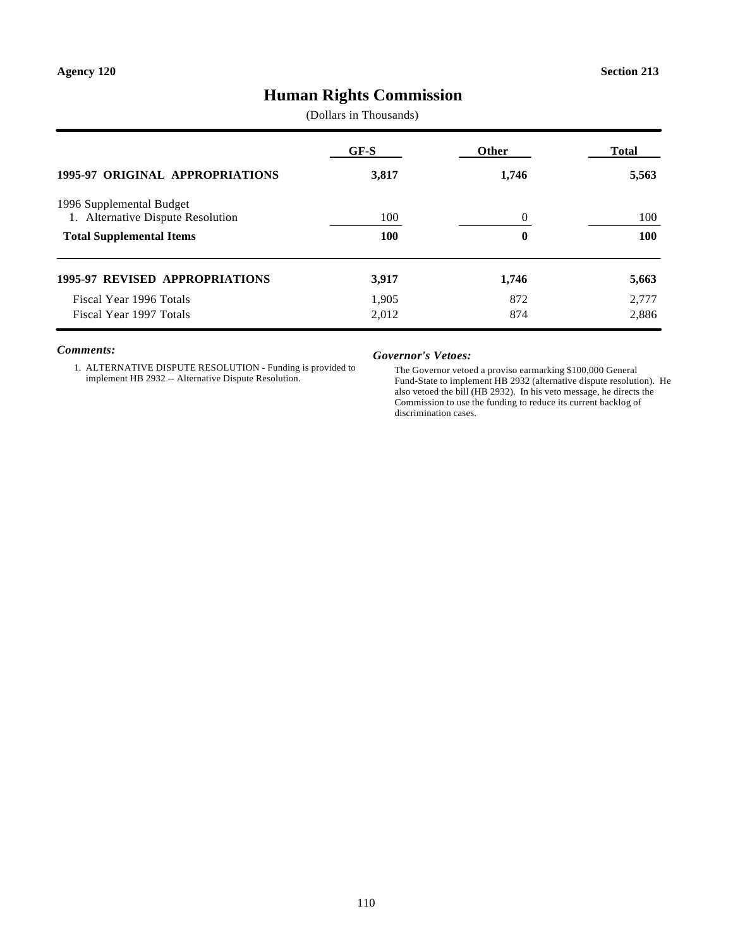# **Human Rights Commission**

(Dollars in Thousands)

| <b>1995-97 ORIGINAL APPROPRIATIONS</b> | GF-S<br>3,817 | <b>Other</b><br>1,746 | Total<br>5,563 |
|----------------------------------------|---------------|-----------------------|----------------|
|                                        |               |                       |                |
| <b>Total Supplemental Items</b>        | <b>100</b>    | $\boldsymbol{0}$      | <b>100</b>     |
| <b>1995-97 REVISED APPROPRIATIONS</b>  | 3,917         | 1,746                 | 5,663          |
| Fiscal Year 1996 Totals                | 1.905         | 872                   | 2,777          |
| Fiscal Year 1997 Totals                | 2,012         | 874                   | 2,886          |

#### *Comments:*

1. ALTERNATIVE DISPUTE RESOLUTION - Funding is provided to implement HB 2932 -- Alternative Dispute Resolution.

#### *Governor's Vetoes:*

The Governor vetoed a proviso earmarking \$100,000 General Fund-State to implement HB 2932 (alternative dispute resolution). He also vetoed the bill (HB 2932). In his veto message, he directs the Commission to use the funding to reduce its current backlog of discrimination cases.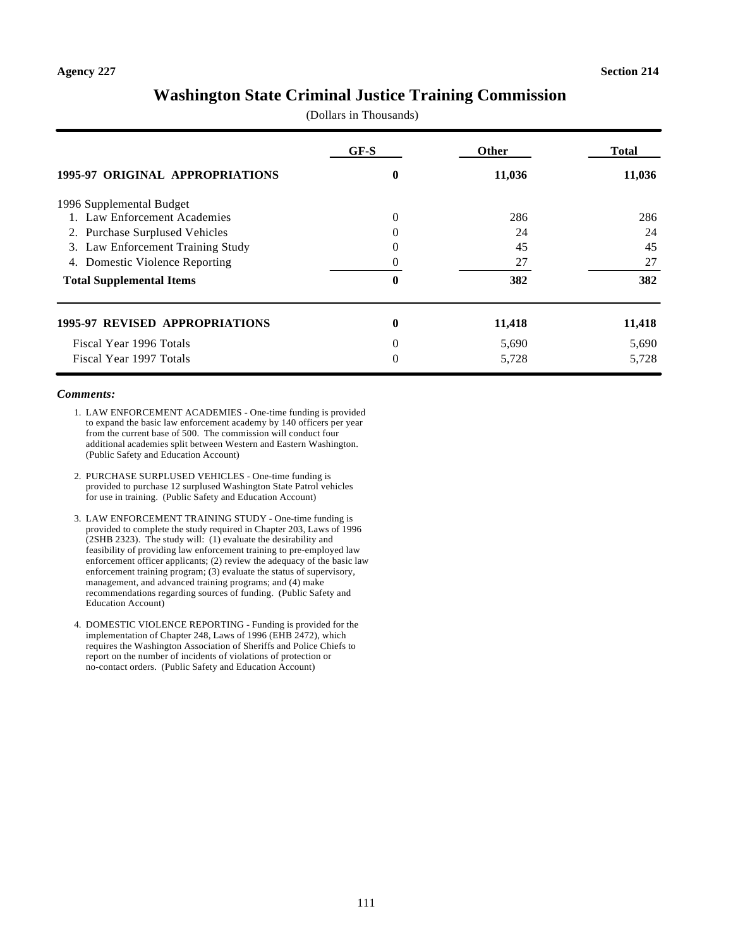# **Washington State Criminal Justice Training Commission**

(Dollars in Thousands)

|                                        | GF-S     | <b>Other</b> | Total  |
|----------------------------------------|----------|--------------|--------|
| <b>1995-97 ORIGINAL APPROPRIATIONS</b> | 0        | 11,036       | 11,036 |
| 1996 Supplemental Budget               |          |              |        |
| 1. Law Enforcement Academies           | $\Omega$ | 286          | 286    |
| 2. Purchase Surplused Vehicles         | $\Omega$ | 24           | 24     |
| Law Enforcement Training Study<br>3.   |          | 45           | 45     |
| Domestic Violence Reporting<br>4.      |          | 27           | 27     |
| <b>Total Supplemental Items</b>        | 0        | 382          | 382    |
| <b>1995-97 REVISED APPROPRIATIONS</b>  | 0        | 11,418       | 11,418 |
| Fiscal Year 1996 Totals                | $\Omega$ | 5,690        | 5,690  |
| Fiscal Year 1997 Totals                | $\Omega$ | 5,728        | 5,728  |

- 1. LAW ENFORCEMENT ACADEMIES One-time funding is provided to expand the basic law enforcement academy by 140 officers per year from the current base of 500. The commission will conduct four additional academies split between Western and Eastern Washington. (Public Safety and Education Account)
- 2. PURCHASE SURPLUSED VEHICLES One-time funding is provided to purchase 12 surplused Washington State Patrol vehicles for use in training. (Public Safety and Education Account)
- 3. LAW ENFORCEMENT TRAINING STUDY One-time funding is provided to complete the study required in Chapter 203, Laws of 1996 (2SHB 2323). The study will: (1) evaluate the desirability and feasibility of providing law enforcement training to pre-employed law enforcement officer applicants; (2) review the adequacy of the basic law enforcement training program; (3) evaluate the status of supervisory, management, and advanced training programs; and (4) make recommendations regarding sources of funding. (Public Safety and Education Account)
- 4. DOMESTIC VIOLENCE REPORTING Funding is provided for the implementation of Chapter 248, Laws of 1996 (EHB 2472), which requires the Washington Association of Sheriffs and Police Chiefs to report on the number of incidents of violations of protection or no-contact orders. (Public Safety and Education Account)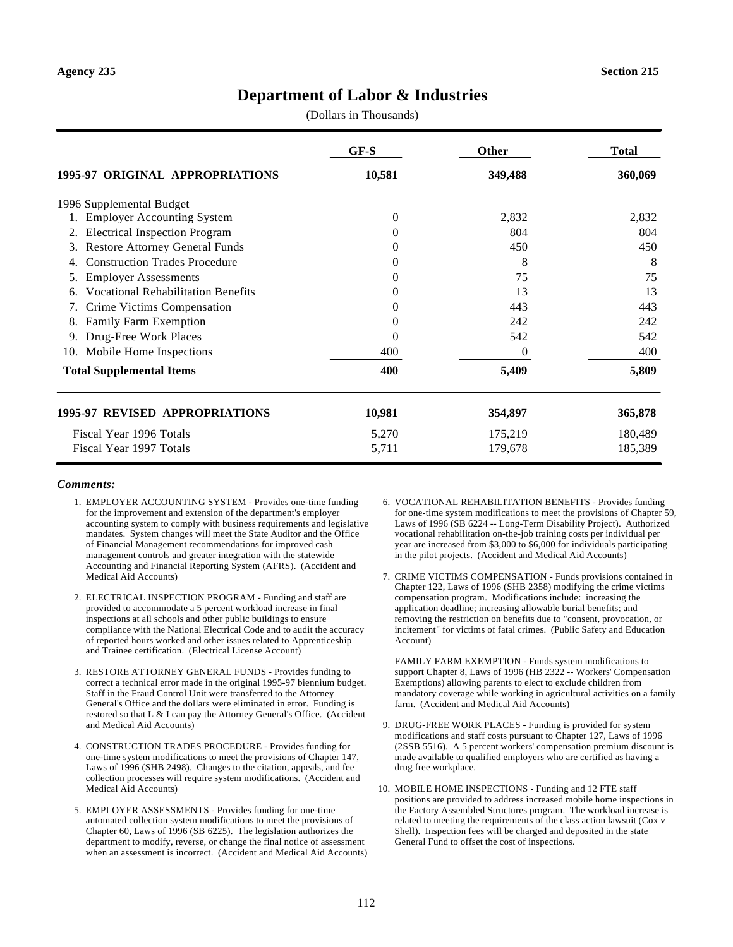# **Department of Labor & Industries**

(Dollars in Thousands)

|                                             | $GF-S$   | Other   | <b>Total</b> |
|---------------------------------------------|----------|---------|--------------|
| 1995-97 ORIGINAL APPROPRIATIONS             | 10,581   | 349,488 | 360,069      |
| 1996 Supplemental Budget                    |          |         |              |
| 1. Employer Accounting System               | 0        | 2,832   | 2,832        |
| <b>Electrical Inspection Program</b><br>2.  | 0        | 804     | 804          |
| <b>Restore Attorney General Funds</b><br>3. | 0        | 450     | 450          |
| <b>Construction Trades Procedure</b><br>4.  | $\Omega$ | 8       | 8            |
| <b>Employer Assessments</b><br>5.           | $\Omega$ | 75      | 75           |
| <b>Vocational Rehabilitation Benefits</b>   | $\Omega$ | 13      | 13           |
| Crime Victims Compensation                  | $\Omega$ | 443     | 443          |
| Family Farm Exemption<br>8.                 | $\Omega$ | 242     | 242          |
| Drug-Free Work Places<br>9.                 | 0        | 542     | 542          |
| Mobile Home Inspections<br>10.              | 400      | 0       | 400          |
| <b>Total Supplemental Items</b>             | 400      | 5,409   | 5,809        |
| 1995-97 REVISED APPROPRIATIONS              | 10,981   | 354,897 | 365,878      |
| Fiscal Year 1996 Totals                     | 5,270    | 175,219 | 180,489      |
| Fiscal Year 1997 Totals                     | 5,711    | 179,678 | 185,389      |

#### *Comments:*

- 1. EMPLOYER ACCOUNTING SYSTEM Provides one-time funding for the improvement and extension of the department's employer accounting system to comply with business requirements and legislative mandates. System changes will meet the State Auditor and the Office of Financial Management recommendations for improved cash management controls and greater integration with the statewide Accounting and Financial Reporting System (AFRS). (Accident and Medical Aid Accounts)
- 2. ELECTRICAL INSPECTION PROGRAM Funding and staff are provided to accommodate a 5 percent workload increase in final inspections at all schools and other public buildings to ensure compliance with the National Electrical Code and to audit the accuracy of reported hours worked and other issues related to Apprenticeship and Trainee certification. (Electrical License Account)
- 3. RESTORE ATTORNEY GENERAL FUNDS Provides funding to correct a technical error made in the original 1995-97 biennium budget. Staff in the Fraud Control Unit were transferred to the Attorney General's Office and the dollars were eliminated in error. Funding is restored so that L & I can pay the Attorney General's Office. (Accident and Medical Aid Accounts)
- 4. CONSTRUCTION TRADES PROCEDURE Provides funding for one-time system modifications to meet the provisions of Chapter 147, Laws of 1996 (SHB 2498). Changes to the citation, appeals, and fee collection processes will require system modifications. (Accident and Medical Aid Accounts)
- 5. EMPLOYER ASSESSMENTS Provides funding for one-time automated collection system modifications to meet the provisions of Chapter 60, Laws of 1996 (SB 6225). The legislation authorizes the department to modify, reverse, or change the final notice of assessment when an assessment is incorrect. (Accident and Medical Aid Accounts)
- 6. VOCATIONAL REHABILITATION BENEFITS Provides funding for one-time system modifications to meet the provisions of Chapter 59, Laws of 1996 (SB 6224 -- Long-Term Disability Project). Authorized vocational rehabilitation on-the-job training costs per individual per year are increased from \$3,000 to \$6,000 for individuals participating in the pilot projects. (Accident and Medical Aid Accounts)
- 7. CRIME VICTIMS COMPENSATION Funds provisions contained in Chapter 122, Laws of 1996 (SHB 2358) modifying the crime victims compensation program. Modifications include: increasing the application deadline; increasing allowable burial benefits; and removing the restriction on benefits due to "consent, provocation, or incitement" for victims of fatal crimes. (Public Safety and Education Account)

FAMILY FARM EXEMPTION - Funds system modifications to support Chapter 8, Laws of 1996 (HB 2322 -- Workers' Compensation Exemptions) allowing parents to elect to exclude children from mandatory coverage while working in agricultural activities on a family farm. (Accident and Medical Aid Accounts)

- 9. DRUG-FREE WORK PLACES Funding is provided for system modifications and staff costs pursuant to Chapter 127, Laws of 1996 (2SSB 5516). A 5 percent workers' compensation premium discount is made available to qualified employers who are certified as having a drug free workplace.
- 10. MOBILE HOME INSPECTIONS Funding and 12 FTE staff positions are provided to address increased mobile home inspections in the Factory Assembled Structures program. The workload increase is related to meeting the requirements of the class action lawsuit (Cox v Shell). Inspection fees will be charged and deposited in the state General Fund to offset the cost of inspections.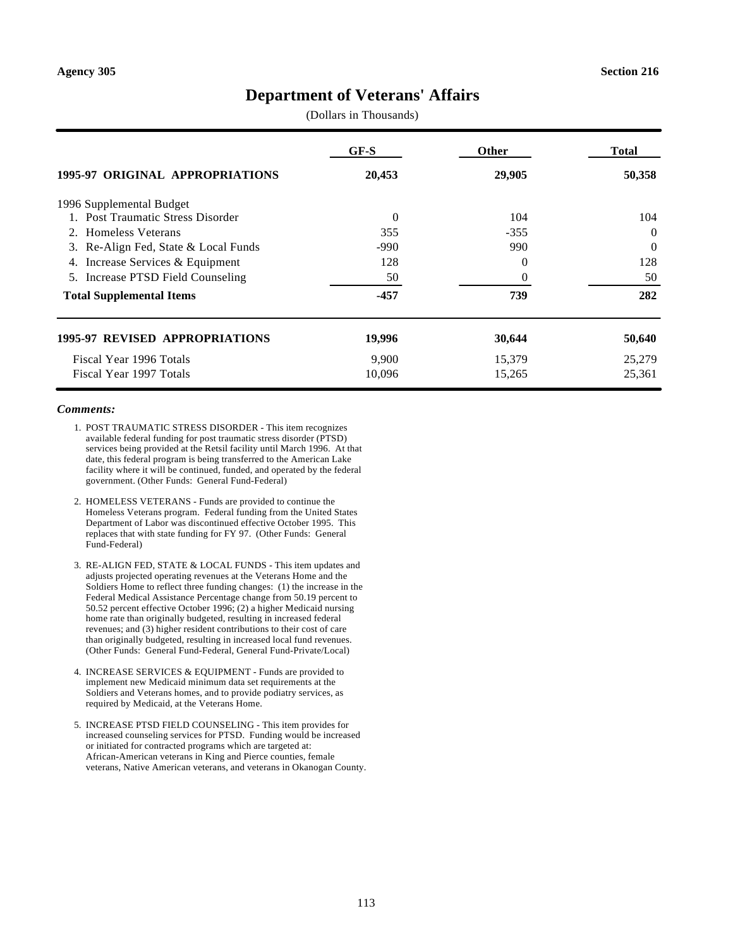# **Department of Veterans' Affairs**

(Dollars in Thousands)

|                                        | GF-S     | <b>Other</b> | Total    |
|----------------------------------------|----------|--------------|----------|
| <b>1995-97 ORIGINAL APPROPRIATIONS</b> | 20,453   | 29,905       | 50,358   |
| 1996 Supplemental Budget               |          |              |          |
| 1. Post Traumatic Stress Disorder      | $\Omega$ | 104          | 104      |
| 2. Homeless Veterans                   | 355      | $-355$       | $\Omega$ |
| 3. Re-Align Fed, State & Local Funds   | $-990$   | 990          | $\Omega$ |
| Increase Services & Equipment<br>4.    | 128      | 0            | 128      |
| 5. Increase PTSD Field Counseling      | 50       | 0            | 50       |
| <b>Total Supplemental Items</b>        | $-457$   | 739          | 282      |
| <b>1995-97 REVISED APPROPRIATIONS</b>  | 19,996   | 30,644       | 50,640   |
| Fiscal Year 1996 Totals                | 9,900    | 15,379       | 25,279   |
| Fiscal Year 1997 Totals                | 10,096   | 15,265       | 25,361   |

- 1. POST TRAUMATIC STRESS DISORDER This item recognizes available federal funding for post traumatic stress disorder (PTSD) services being provided at the Retsil facility until March 1996. At that date, this federal program is being transferred to the American Lake facility where it will be continued, funded, and operated by the federal government. (Other Funds: General Fund-Federal)
- 2. HOMELESS VETERANS Funds are provided to continue the Homeless Veterans program. Federal funding from the United States Department of Labor was discontinued effective October 1995. This replaces that with state funding for FY 97. (Other Funds: General Fund-Federal)
- 3. RE-ALIGN FED, STATE & LOCAL FUNDS This item updates and adjusts projected operating revenues at the Veterans Home and the Soldiers Home to reflect three funding changes: (1) the increase in the Federal Medical Assistance Percentage change from 50.19 percent to 50.52 percent effective October 1996; (2) a higher Medicaid nursing home rate than originally budgeted, resulting in increased federal revenues; and (3) higher resident contributions to their cost of care than originally budgeted, resulting in increased local fund revenues. (Other Funds: General Fund-Federal, General Fund-Private/Local)
- 4. INCREASE SERVICES & EQUIPMENT Funds are provided to implement new Medicaid minimum data set requirements at the Soldiers and Veterans homes, and to provide podiatry services, as required by Medicaid, at the Veterans Home.
- 5. INCREASE PTSD FIELD COUNSELING This item provides for increased counseling services for PTSD. Funding would be increased or initiated for contracted programs which are targeted at: African-American veterans in King and Pierce counties, female veterans, Native American veterans, and veterans in Okanogan County.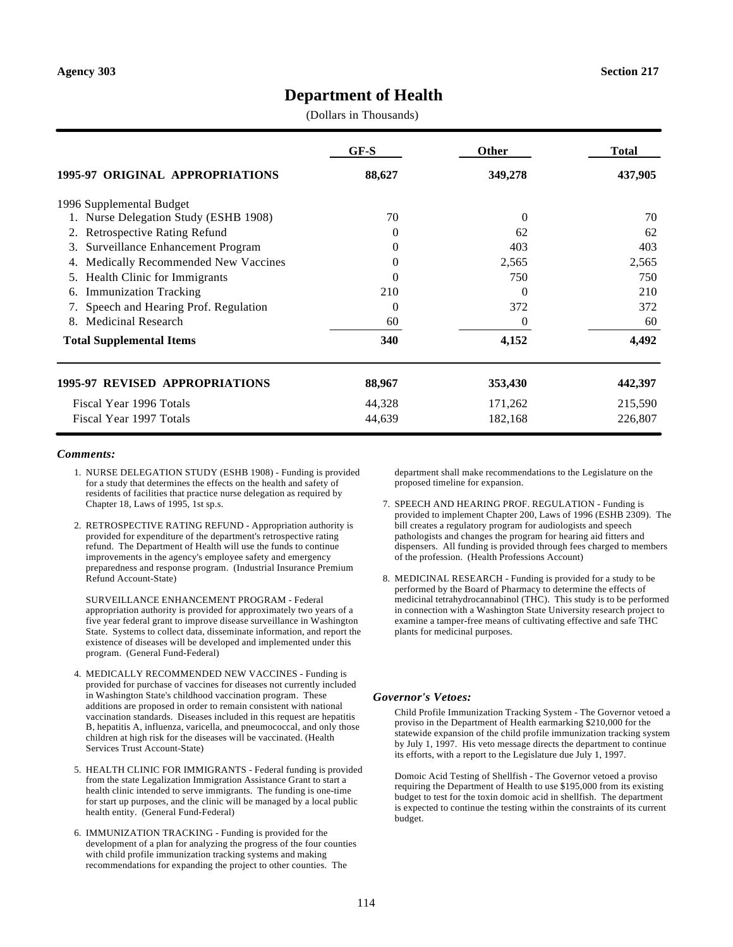# **Department of Health**

(Dollars in Thousands)

|                                          | $GF-S$   | <b>Other</b> | <b>Total</b> |
|------------------------------------------|----------|--------------|--------------|
| 1995-97 ORIGINAL APPROPRIATIONS          | 88,627   | 349,278      | 437,905      |
| 1996 Supplemental Budget                 |          |              |              |
| 1. Nurse Delegation Study (ESHB 1908)    | 70       | 0            | 70           |
| <b>Retrospective Rating Refund</b><br>2. | $\Omega$ | 62           | 62           |
| Surveillance Enhancement Program<br>3.   | $\Omega$ | 403          | 403          |
| Medically Recommended New Vaccines<br>4. | $\Omega$ | 2,565        | 2,565        |
| Health Clinic for Immigrants<br>5.       | $\Omega$ | 750          | 750          |
| <b>Immunization Tracking</b><br>6.       | 210      | 0            | 210          |
| 7. Speech and Hearing Prof. Regulation   | 0        | 372          | 372          |
| <b>Medicinal Research</b><br>8.          | 60       | $\Omega$     | 60           |
| <b>Total Supplemental Items</b>          | 340      | 4,152        | 4,492        |
| 1995-97 REVISED APPROPRIATIONS           | 88,967   | 353,430      | 442,397      |
| Fiscal Year 1996 Totals                  | 44,328   | 171,262      | 215,590      |
| Fiscal Year 1997 Totals                  | 44,639   | 182,168      | 226,807      |

#### *Comments:*

- 1. NURSE DELEGATION STUDY (ESHB 1908) Funding is provided for a study that determines the effects on the health and safety of residents of facilities that practice nurse delegation as required by Chapter 18, Laws of 1995, 1st sp.s.
- 2. RETROSPECTIVE RATING REFUND Appropriation authority is provided for expenditure of the department's retrospective rating refund. The Department of Health will use the funds to continue improvements in the agency's employee safety and emergency preparedness and response program. (Industrial Insurance Premium Refund Account-State)

SURVEILLANCE ENHANCEMENT PROGRAM - Federal appropriation authority is provided for approximately two years of a five year federal grant to improve disease surveillance in Washington State. Systems to collect data, disseminate information, and report the existence of diseases will be developed and implemented under this program. (General Fund-Federal)

- 4. MEDICALLY RECOMMENDED NEW VACCINES Funding is provided for purchase of vaccines for diseases not currently included in Washington State's childhood vaccination program. These additions are proposed in order to remain consistent with national vaccination standards. Diseases included in this request are hepatitis B, hepatitis A, influenza, varicella, and pneumococcal, and only those children at high risk for the diseases will be vaccinated. (Health Services Trust Account-State)
- 5. HEALTH CLINIC FOR IMMIGRANTS Federal funding is provided from the state Legalization Immigration Assistance Grant to start a health clinic intended to serve immigrants. The funding is one-time for start up purposes, and the clinic will be managed by a local public health entity. (General Fund-Federal)
- 6. IMMUNIZATION TRACKING Funding is provided for the development of a plan for analyzing the progress of the four counties with child profile immunization tracking systems and making recommendations for expanding the project to other counties. The

department shall make recommendations to the Legislature on the proposed timeline for expansion.

- 7. SPEECH AND HEARING PROF. REGULATION Funding is provided to implement Chapter 200, Laws of 1996 (ESHB 2309). The bill creates a regulatory program for audiologists and speech pathologists and changes the program for hearing aid fitters and dispensers. All funding is provided through fees charged to members of the profession. (Health Professions Account)
- 8. MEDICINAL RESEARCH Funding is provided for a study to be performed by the Board of Pharmacy to determine the effects of medicinal tetrahydrocannabinol (THC). This study is to be performed in connection with a Washington State University research project to examine a tamper-free means of cultivating effective and safe THC plants for medicinal purposes.

#### *Governor's Vetoes:*

Child Profile Immunization Tracking System - The Governor vetoed a proviso in the Department of Health earmarking \$210,000 for the statewide expansion of the child profile immunization tracking system by July 1, 1997. His veto message directs the department to continue its efforts, with a report to the Legislature due July 1, 1997.

Domoic Acid Testing of Shellfish - The Governor vetoed a proviso requiring the Department of Health to use \$195,000 from its existing budget to test for the toxin domoic acid in shellfish. The department is expected to continue the testing within the constraints of its current budget.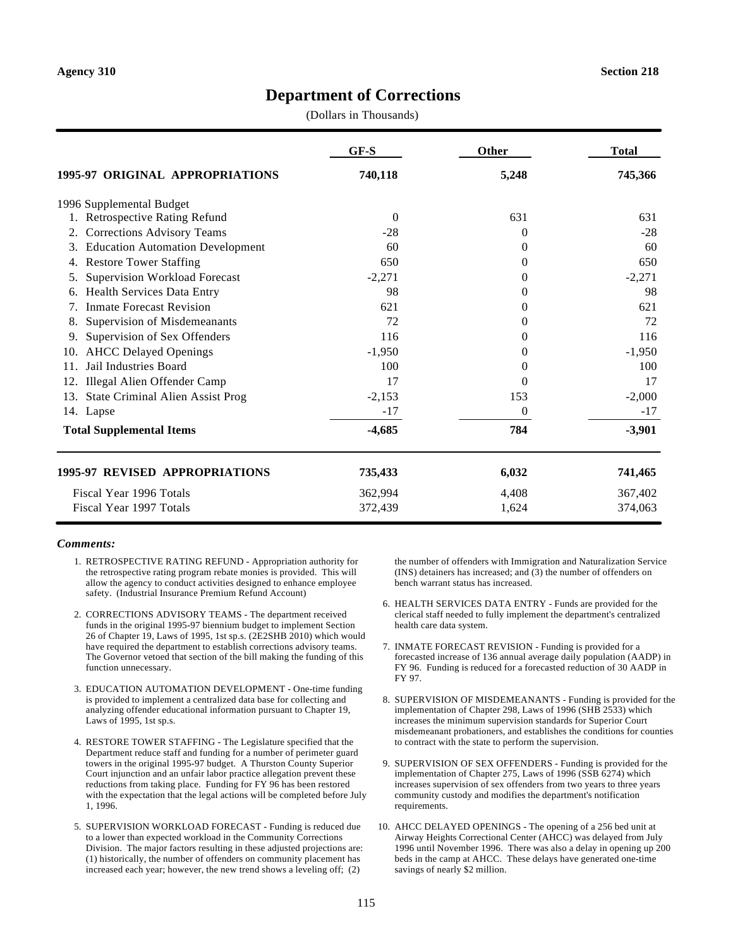## **Department of Corrections**

(Dollars in Thousands)

|                                                                              | GF-S     | Other          | <b>Total</b> |
|------------------------------------------------------------------------------|----------|----------------|--------------|
| <b>1995-97 ORIGINAL APPROPRIATIONS</b>                                       | 740,118  | 5,248          | 745,366      |
| 1996 Supplemental Budget                                                     |          |                |              |
| <b>Retrospective Rating Refund</b>                                           | $\Omega$ | 631            | 631          |
| <b>Corrections Advisory Teams</b><br>2.                                      | $-28$    | $\Omega$       | $-28$        |
| <b>Education Automation Development</b><br>3.                                | 60       | $\theta$       | 60           |
| <b>Restore Tower Staffing</b><br>4.                                          | 650      | $\Omega$       | 650          |
| <b>Supervision Workload Forecast</b><br>5.                                   | $-2,271$ | $\Omega$       | $-2,271$     |
| Health Services Data Entry<br>6.                                             | 98       | $\Omega$       | 98           |
| <b>Inmate Forecast Revision</b><br>$7_{\scriptscriptstyle{\ddot{\text{c}}}}$ | 621      | $\overline{0}$ | 621          |
| Supervision of Misdemeanants<br>8.                                           | 72       | 0              | 72           |
| Supervision of Sex Offenders<br>9.                                           | 116      | $\Omega$       | 116          |
| <b>AHCC Delayed Openings</b><br>10.                                          | $-1,950$ | 0              | $-1,950$     |
| Jail Industries Board<br>11.                                                 | 100      | $\Omega$       | 100          |
| Illegal Alien Offender Camp<br>12.                                           | 17       | $\Omega$       | 17           |
| <b>State Criminal Alien Assist Prog</b><br>13.                               | $-2,153$ | 153            | $-2,000$     |
| 14. Lapse                                                                    | $-17$    | $\Omega$       | $-17$        |
| <b>Total Supplemental Items</b>                                              | $-4,685$ | 784            | $-3,901$     |
| 1995-97 REVISED APPROPRIATIONS                                               | 735,433  | 6,032          | 741,465      |
| Fiscal Year 1996 Totals                                                      | 362,994  | 4,408          | 367,402      |
| Fiscal Year 1997 Totals                                                      | 372,439  | 1,624          | 374,063      |

#### *Comments:*

- 1. RETROSPECTIVE RATING REFUND Appropriation authority for the retrospective rating program rebate monies is provided. This will allow the agency to conduct activities designed to enhance employee safety. (Industrial Insurance Premium Refund Account)
- 2. CORRECTIONS ADVISORY TEAMS The department received funds in the original 1995-97 biennium budget to implement Section 26 of Chapter 19, Laws of 1995, 1st sp.s. (2E2SHB 2010) which would have required the department to establish corrections advisory teams. The Governor vetoed that section of the bill making the funding of this function unnecessary.
- 3. EDUCATION AUTOMATION DEVELOPMENT One-time funding is provided to implement a centralized data base for collecting and analyzing offender educational information pursuant to Chapter 19, Laws of 1995, 1st sp.s.
- 4. RESTORE TOWER STAFFING The Legislature specified that the Department reduce staff and funding for a number of perimeter guard towers in the original 1995-97 budget. A Thurston County Superior Court injunction and an unfair labor practice allegation prevent these reductions from taking place. Funding for FY 96 has been restored with the expectation that the legal actions will be completed before July 1, 1996.
- 5. SUPERVISION WORKLOAD FORECAST Funding is reduced due to a lower than expected workload in the Community Corrections Division. The major factors resulting in these adjusted projections are: (1) historically, the number of offenders on community placement has increased each year; however, the new trend shows a leveling off; (2)

the number of offenders with Immigration and Naturalization Service (INS) detainers has increased; and (3) the number of offenders on bench warrant status has increased.

- 6. HEALTH SERVICES DATA ENTRY Funds are provided for the clerical staff needed to fully implement the department's centralized health care data system.
- 7. INMATE FORECAST REVISION Funding is provided for a forecasted increase of 136 annual average daily population (AADP) in FY 96. Funding is reduced for a forecasted reduction of 30 AADP in FY 97.
- 8. SUPERVISION OF MISDEMEANANTS Funding is provided for the implementation of Chapter 298, Laws of 1996 (SHB 2533) which increases the minimum supervision standards for Superior Court misdemeanant probationers, and establishes the conditions for counties to contract with the state to perform the supervision.
- 9. SUPERVISION OF SEX OFFENDERS Funding is provided for the implementation of Chapter 275, Laws of 1996 (SSB 6274) which increases supervision of sex offenders from two years to three years community custody and modifies the department's notification requirements.
- 10. AHCC DELAYED OPENINGS The opening of a 256 bed unit at Airway Heights Correctional Center (AHCC) was delayed from July 1996 until November 1996. There was also a delay in opening up 200 beds in the camp at AHCC. These delays have generated one-time savings of nearly \$2 million.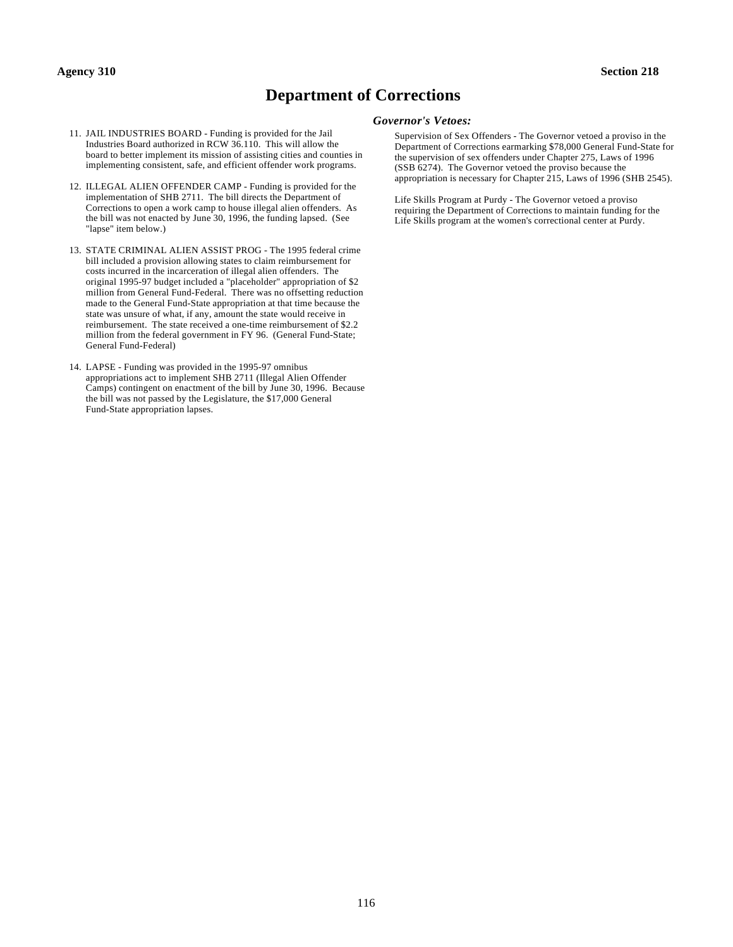#### **Agency 310 Section 218**

# **Department of Corrections**

- 11. JAIL INDUSTRIES BOARD Funding is provided for the Jail Industries Board authorized in RCW 36.110. This will allow the board to better implement its mission of assisting cities and counties in implementing consistent, safe, and efficient offender work programs.
- 12. ILLEGAL ALIEN OFFENDER CAMP Funding is provided for the implementation of SHB 2711. The bill directs the Department of Corrections to open a work camp to house illegal alien offenders. As the bill was not enacted by June 30, 1996, the funding lapsed. (See "lapse" item below.)
- 13. STATE CRIMINAL ALIEN ASSIST PROG The 1995 federal crime bill included a provision allowing states to claim reimbursement for costs incurred in the incarceration of illegal alien offenders. The original 1995-97 budget included a "placeholder" appropriation of \$2 million from General Fund-Federal. There was no offsetting reduction made to the General Fund-State appropriation at that time because the state was unsure of what, if any, amount the state would receive in reimbursement. The state received a one-time reimbursement of \$2.2 million from the federal government in FY 96. (General Fund-State; General Fund-Federal)
- 14. LAPSE Funding was provided in the 1995-97 omnibus appropriations act to implement SHB 2711 (Illegal Alien Offender Camps) contingent on enactment of the bill by June 30, 1996. Because the bill was not passed by the Legislature, the \$17,000 General Fund-State appropriation lapses.

#### *Governor's Vetoes:*

Supervision of Sex Offenders - The Governor vetoed a proviso in the Department of Corrections earmarking \$78,000 General Fund-State for the supervision of sex offenders under Chapter 275, Laws of 1996 (SSB 6274). The Governor vetoed the proviso because the appropriation is necessary for Chapter 215, Laws of 1996 (SHB 2545).

Life Skills Program at Purdy - The Governor vetoed a proviso requiring the Department of Corrections to maintain funding for the Life Skills program at the women's correctional center at Purdy.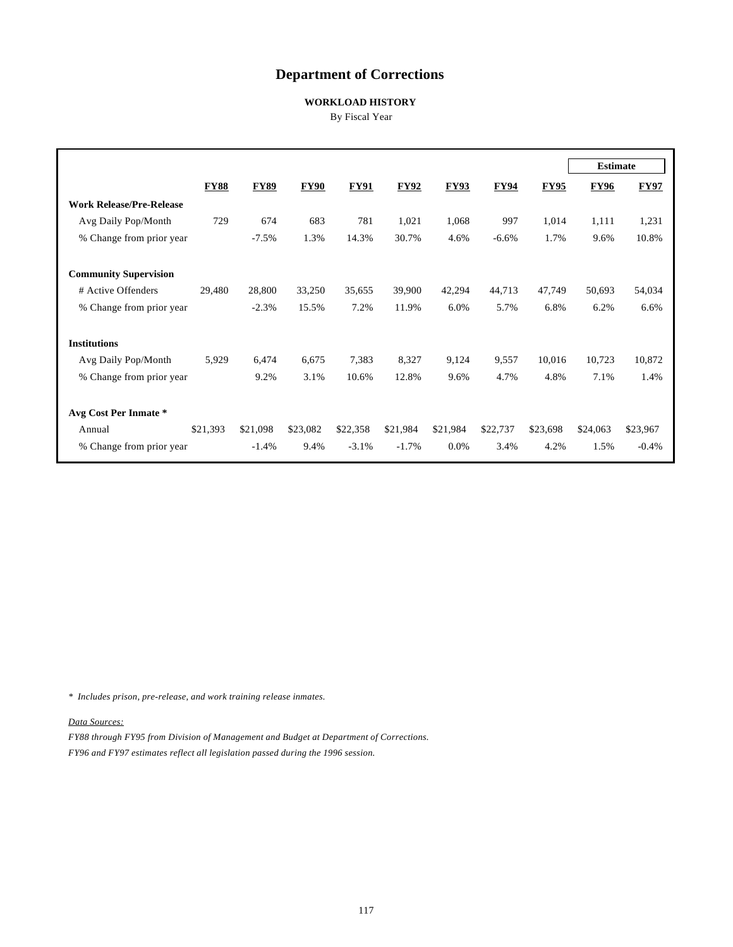# **Department of Corrections**

### **WORKLOAD HISTORY**

By Fiscal Year

|                                 |             |             |             |             |             |             |             |             | <b>Estimate</b> |             |
|---------------------------------|-------------|-------------|-------------|-------------|-------------|-------------|-------------|-------------|-----------------|-------------|
|                                 | <b>FY88</b> | <b>FY89</b> | <b>FY90</b> | <b>FY91</b> | <b>FY92</b> | <b>FY93</b> | <b>FY94</b> | <b>FY95</b> | <b>FY96</b>     | <b>FY97</b> |
| <b>Work Release/Pre-Release</b> |             |             |             |             |             |             |             |             |                 |             |
| Avg Daily Pop/Month             | 729         | 674         | 683         | 781         | 1,021       | 1,068       | 997         | 1,014       | 1,111           | 1,231       |
| % Change from prior year        |             | $-7.5%$     | 1.3%        | 14.3%       | 30.7%       | 4.6%        | $-6.6%$     | 1.7%        | 9.6%            | 10.8%       |
| <b>Community Supervision</b>    |             |             |             |             |             |             |             |             |                 |             |
|                                 |             |             |             |             |             |             |             |             |                 |             |
| # Active Offenders              | 29,480      | 28,800      | 33,250      | 35,655      | 39,900      | 42,294      | 44,713      | 47,749      | 50,693          | 54,034      |
| % Change from prior year        |             | $-2.3%$     | 15.5%       | 7.2%        | 11.9%       | 6.0%        | 5.7%        | 6.8%        | 6.2%            | 6.6%        |
| <b>Institutions</b>             |             |             |             |             |             |             |             |             |                 |             |
| Avg Daily Pop/Month             | 5,929       | 6,474       | 6,675       | 7,383       | 8,327       | 9,124       | 9,557       | 10,016      | 10,723          | 10,872      |
| % Change from prior year        |             | 9.2%        | 3.1%        | 10.6%       | 12.8%       | 9.6%        | 4.7%        | 4.8%        | 7.1%            | 1.4%        |
|                                 |             |             |             |             |             |             |             |             |                 |             |
| Avg Cost Per Inmate *           |             |             |             |             |             |             |             |             |                 |             |
| Annual                          | \$21,393    | \$21,098    | \$23,082    | \$22,358    | \$21,984    | \$21,984    | \$22,737    | \$23,698    | \$24,063        | \$23,967    |
| % Change from prior year        |             | $-1.4%$     | 9.4%        | $-3.1%$     | $-1.7\%$    | 0.0%        | 3.4%        | 4.2%        | 1.5%            | $-0.4%$     |

*\* Includes prison, pre-release, and work training release inmates.*

*Data Sources:*

*FY88 through FY95 from Division of Management and Budget at Department of Corrections. FY96 and FY97 estimates reflect all legislation passed during the 1996 session.*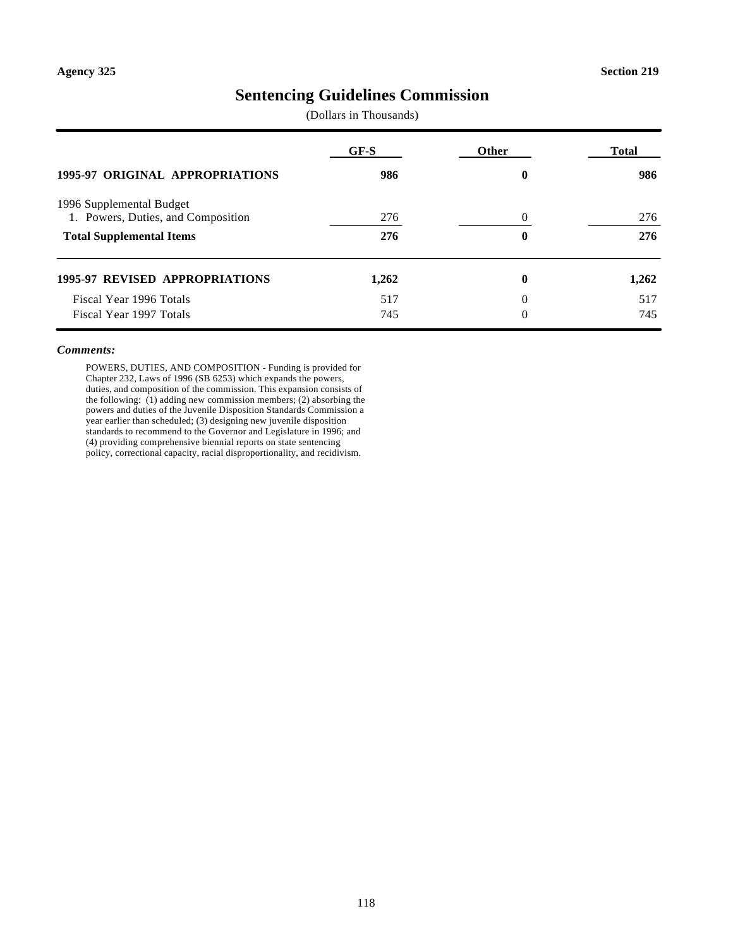# **Sentencing Guidelines Commission**

(Dollars in Thousands)

|                                                                | GF-S  | Other | <b>Total</b> |
|----------------------------------------------------------------|-------|-------|--------------|
| <b>1995-97 ORIGINAL APPROPRIATIONS</b>                         | 986   | 0     | 986          |
| 1996 Supplemental Budget<br>1. Powers, Duties, and Composition | 276   | 0     | 276          |
| <b>Total Supplemental Items</b>                                | 276   | 0     | 276          |
| <b>1995-97 REVISED APPROPRIATIONS</b>                          | 1,262 | 0     | 1,262        |
| Fiscal Year 1996 Totals                                        | 517   | 0     | 517          |
| Fiscal Year 1997 Totals                                        | 745   | 0     | 745          |

#### *Comments:*

POWERS, DUTIES, AND COMPOSITION - Funding is provided for Chapter 232, Laws of 1996 (SB 6253) which expands the powers, duties, and composition of the commission. This expansion consists of the following: (1) adding new commission members; (2) absorbing the powers and duties of the Juvenile Disposition Standards Commission a year earlier than scheduled; (3) designing new juvenile disposition standards to recommend to the Governor and Legislature in 1996; and (4) providing comprehensive biennial reports on state sentencing policy, correctional capacity, racial disproportionality, and recidivism.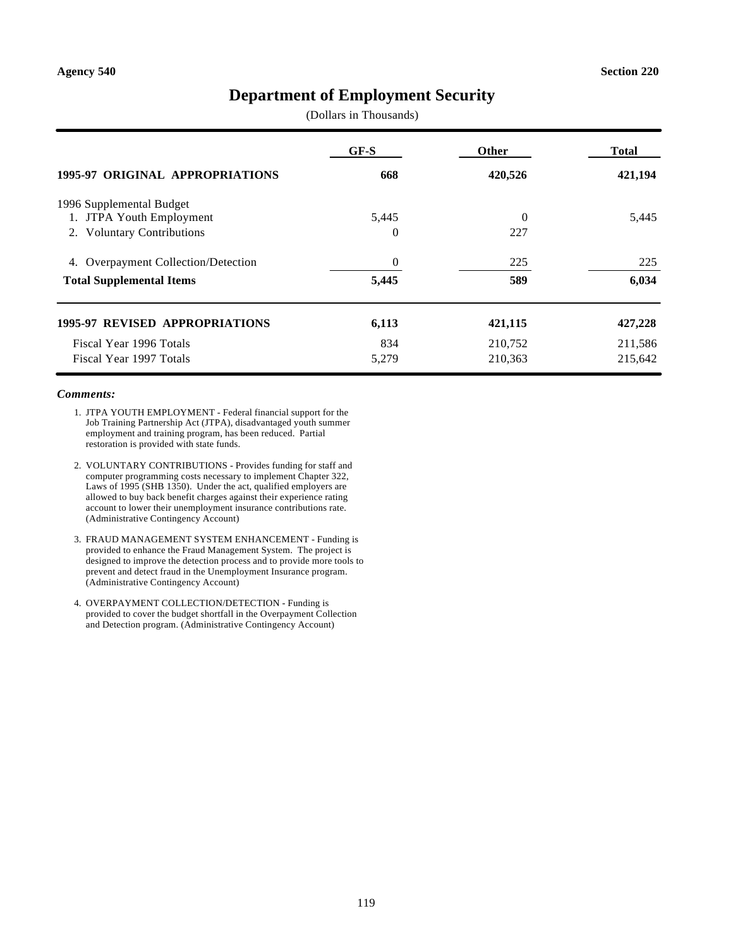# **Department of Employment Security**

(Dollars in Thousands)

|                                                                  | GF-S              | <b>Other</b>    | Total   |
|------------------------------------------------------------------|-------------------|-----------------|---------|
| <b>1995-97 ORIGINAL APPROPRIATIONS</b>                           | 668               | 420,526         | 421,194 |
| 1996 Supplemental Budget                                         |                   |                 |         |
| 1. JTPA Youth Employment<br><b>Voluntary Contributions</b><br>2. | 5,445<br>$\Omega$ | $\Omega$<br>227 | 5,445   |
| <b>Overpayment Collection/Detection</b><br>4.                    | $\theta$          | 225             | 225     |
| <b>Total Supplemental Items</b>                                  | 5,445             | 589             | 6,034   |
| <b>1995-97 REVISED APPROPRIATIONS</b>                            | 6,113             | 421,115         | 427,228 |
| Fiscal Year 1996 Totals                                          | 834               | 210,752         | 211,586 |
| Fiscal Year 1997 Totals                                          | 5,279             | 210,363         | 215,642 |

- 1. JTPA YOUTH EMPLOYMENT Federal financial support for the Job Training Partnership Act (JTPA), disadvantaged youth summer employment and training program, has been reduced. Partial restoration is provided with state funds.
- 2. VOLUNTARY CONTRIBUTIONS Provides funding for staff and computer programming costs necessary to implement Chapter 322, Laws of 1995 (SHB 1350). Under the act, qualified employers are allowed to buy back benefit charges against their experience rating account to lower their unemployment insurance contributions rate. (Administrative Contingency Account)
- 3. FRAUD MANAGEMENT SYSTEM ENHANCEMENT Funding is provided to enhance the Fraud Management System. The project is designed to improve the detection process and to provide more tools to prevent and detect fraud in the Unemployment Insurance program. (Administrative Contingency Account)
- 4. OVERPAYMENT COLLECTION/DETECTION Funding is provided to cover the budget shortfall in the Overpayment Collection and Detection program. (Administrative Contingency Account)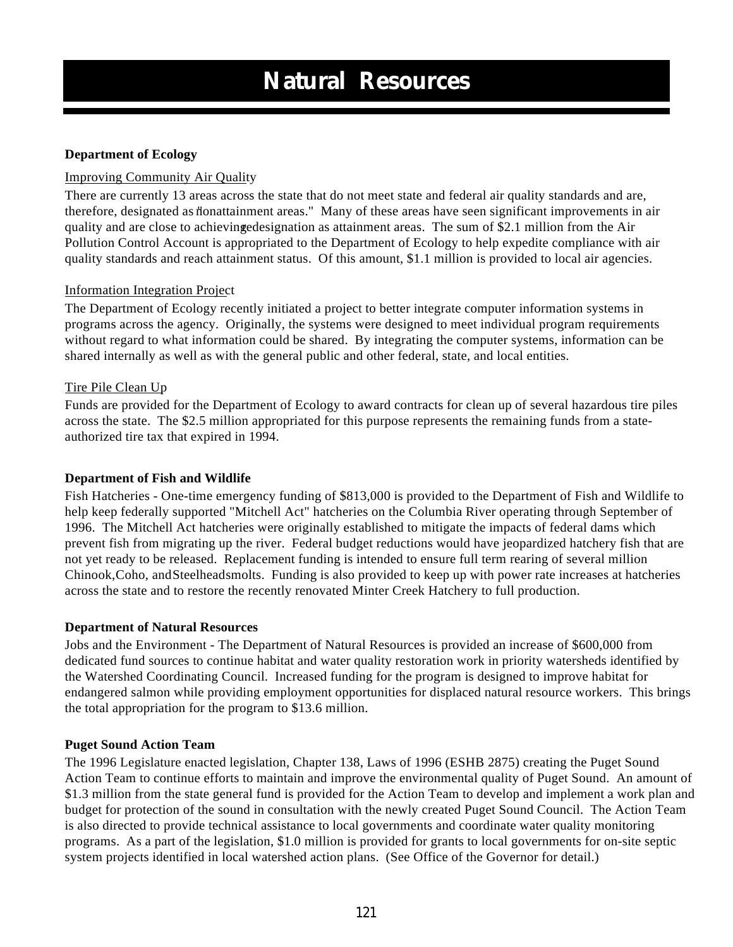### **Department of Ecology**

### Improving Community Air Quality

There are currently 13 areas across the state that do not meet state and federal air quality standards and are, therefore, designated as nonattainment areas." Many of these areas have seen significant improvements in air quality and are close to achieving edesignation as attainment areas. The sum of \$2.1 million from the Air Pollution Control Account is appropriated to the Department of Ecology to help expedite compliance with air quality standards and reach attainment status. Of this amount, \$1.1 million is provided to local air agencies.

### Information Integration Project

The Department of Ecology recently initiated a project to better integrate computer information systems in programs across the agency. Originally, the systems were designed to meet individual program requirements without regard to what information could be shared. By integrating the computer systems, information can be shared internally as well as with the general public and other federal, state, and local entities.

### Tire Pile Clean Up

Funds are provided for the Department of Ecology to award contracts for clean up of several hazardous tire piles across the state. The \$2.5 million appropriated for this purpose represents the remaining funds from a stateauthorized tire tax that expired in 1994.

### **Department of Fish and Wildlife**

Fish Hatcheries - One-time emergency funding of \$813,000 is provided to the Department of Fish and Wildlife to help keep federally supported "Mitchell Act" hatcheries on the Columbia River operating through September of 1996. The Mitchell Act hatcheries were originally established to mitigate the impacts of federal dams which prevent fish from migrating up the river. Federal budget reductions would have jeopardized hatchery fish that are not yet ready to be released. Replacement funding is intended to ensure full term rearing of several million Chinook, Coho, and Steelhead smolts. Funding is also provided to keep up with power rate increases at hatcheries across the state and to restore the recently renovated Minter Creek Hatchery to full production.

### **Department of Natural Resources**

Jobs and the Environment - The Department of Natural Resources is provided an increase of \$600,000 from dedicated fund sources to continue habitat and water quality restoration work in priority watersheds identified by the Watershed Coordinating Council. Increased funding for the program is designed to improve habitat for endangered salmon while providing employment opportunities for displaced natural resource workers. This brings the total appropriation for the program to \$13.6 million.

### **Puget Sound Action Team**

The 1996 Legislature enacted legislation, Chapter 138, Laws of 1996 (ESHB 2875) creating the Puget Sound Action Team to continue efforts to maintain and improve the environmental quality of Puget Sound. An amount of \$1.3 million from the state general fund is provided for the Action Team to develop and implement a work plan and budget for protection of the sound in consultation with the newly created Puget Sound Council. The Action Team is also directed to provide technical assistance to local governments and coordinate water quality monitoring programs. As a part of the legislation, \$1.0 million is provided for grants to local governments for on-site septic system projects identified in local watershed action plans. (See Office of the Governor for detail.)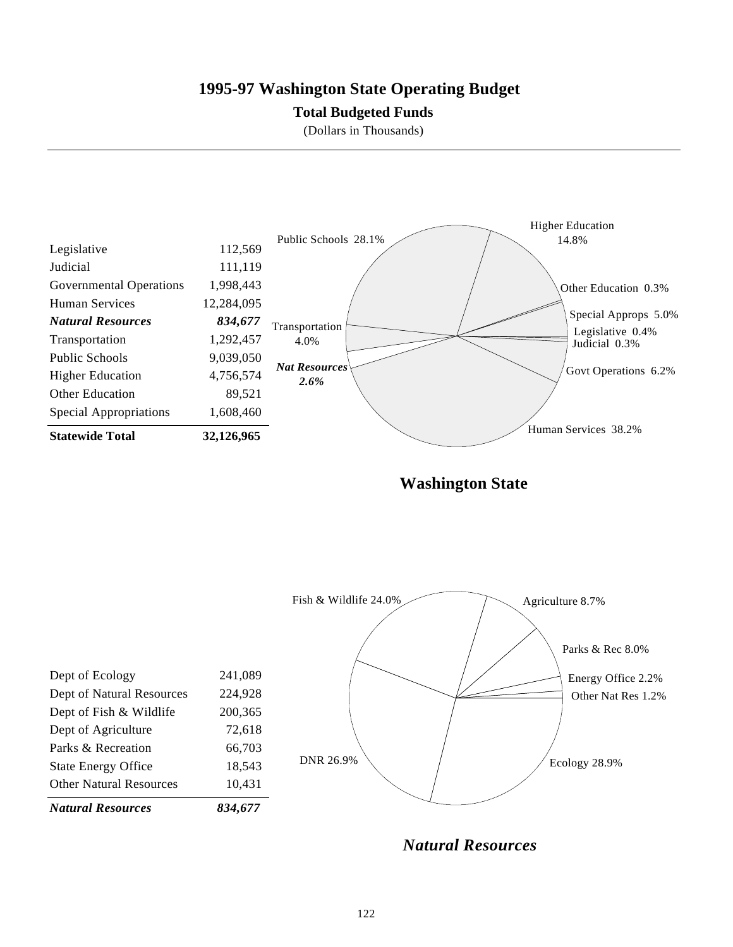# **1995-97 Washington State Operating Budget**

### **Total Budgeted Funds**

(Dollars in Thousands)



**Washington State**



*Natural Resources*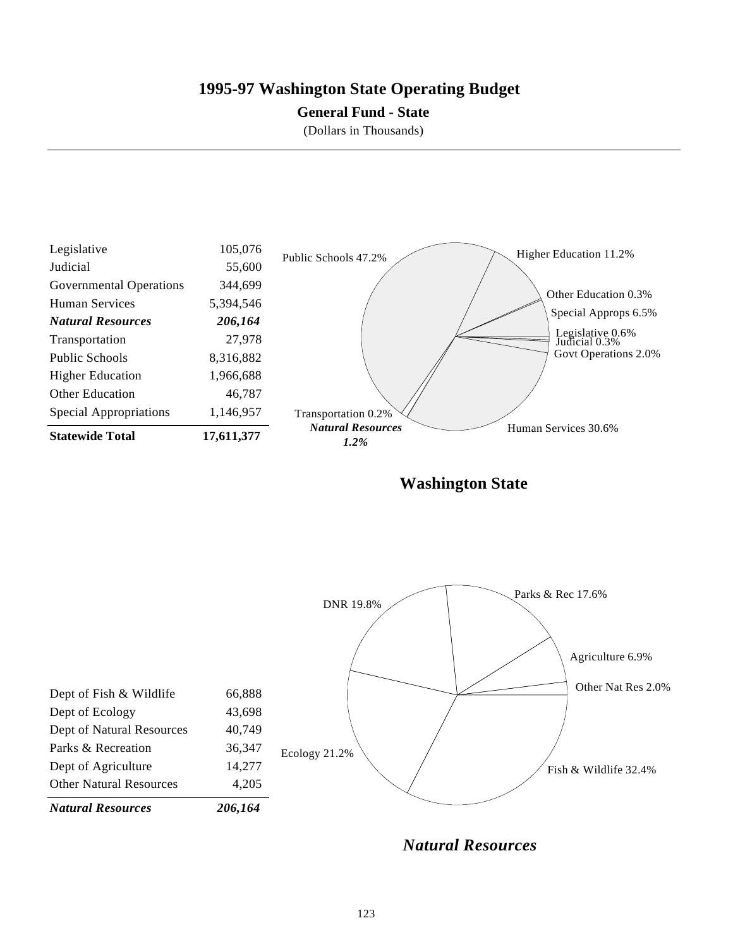# **1995-97 Washington State Operating Budget**

### **General Fund - State**

(Dollars in Thousands)



**Washington State**



*Natural Resources*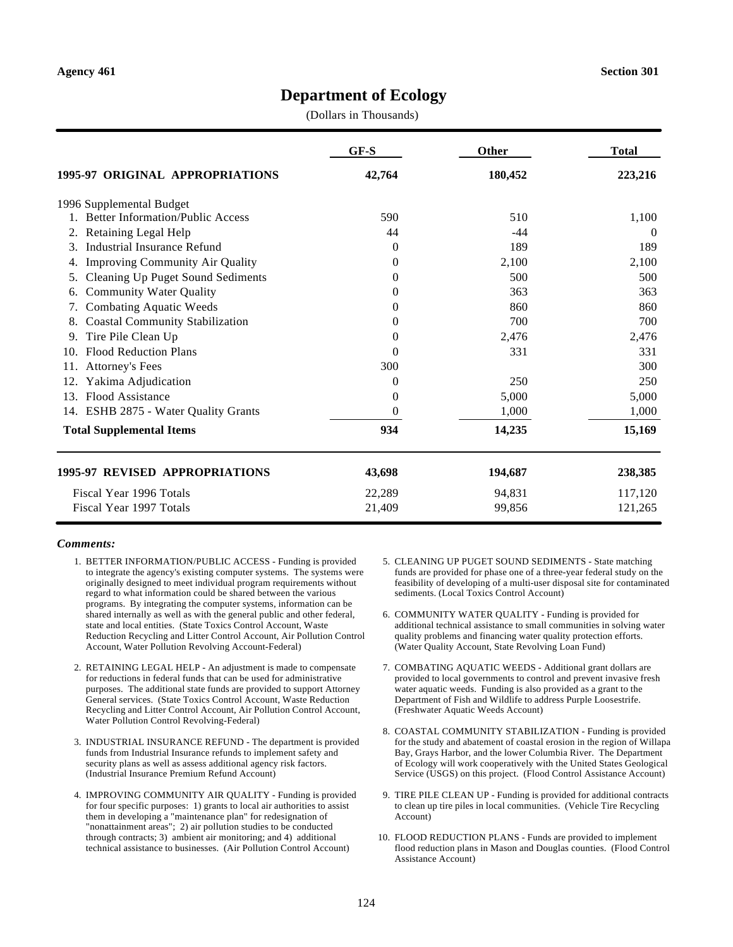# **Department of Ecology**

(Dollars in Thousands)

|                                                | GF-S           | Other   | <b>Total</b> |
|------------------------------------------------|----------------|---------|--------------|
| 1995-97 ORIGINAL APPROPRIATIONS                | 42,764         | 180,452 | 223,216      |
| 1996 Supplemental Budget                       |                |         |              |
| <b>Better Information/Public Access</b>        | 590            | 510     | 1,100        |
| Retaining Legal Help<br>2.                     | 44             | $-44$   | $\theta$     |
| Industrial Insurance Refund<br>$\mathcal{E}$   | $\overline{0}$ | 189     | 189          |
| <b>Improving Community Air Quality</b><br>4.   | $\Omega$       | 2,100   | 2,100        |
| <b>Cleaning Up Puget Sound Sediments</b><br>5. | $\Omega$       | 500     | 500          |
| <b>Community Water Quality</b><br>6.           | $\theta$       | 363     | 363          |
| <b>Combating Aquatic Weeds</b><br>7.           | 0              | 860     | 860          |
| <b>Coastal Community Stabilization</b><br>8.   | 0              | 700     | 700          |
| Tire Pile Clean Up<br>9.                       | 0              | 2,476   | 2,476        |
| <b>Flood Reduction Plans</b><br>10.            | $\Omega$       | 331     | 331          |
| <b>Attorney's Fees</b><br>11.                  | 300            |         | 300          |
| Yakima Adjudication<br>12.                     | 0              | 250     | 250          |
| Flood Assistance<br>13.                        | $\theta$       | 5,000   | 5,000        |
| 14. ESHB 2875 - Water Quality Grants           | $\Omega$       | 1,000   | 1,000        |
| <b>Total Supplemental Items</b>                | 934            | 14,235  | 15,169       |
| 1995-97 REVISED APPROPRIATIONS                 | 43,698         | 194,687 | 238,385      |
| Fiscal Year 1996 Totals                        | 22,289         | 94,831  | 117,120      |
| Fiscal Year 1997 Totals                        | 21,409         | 99,856  | 121,265      |

- 1. BETTER INFORMATION/PUBLIC ACCESS Funding is provided to integrate the agency's existing computer systems. The systems were originally designed to meet individual program requirements without regard to what information could be shared between the various programs. By integrating the computer systems, information can be shared internally as well as with the general public and other federal, state and local entities. (State Toxics Control Account, Waste Reduction Recycling and Litter Control Account, Air Pollution Control Account, Water Pollution Revolving Account-Federal)
- 2. RETAINING LEGAL HELP An adjustment is made to compensate for reductions in federal funds that can be used for administrative purposes. The additional state funds are provided to support Attorney General services. (State Toxics Control Account, Waste Reduction Recycling and Litter Control Account, Air Pollution Control Account, Water Pollution Control Revolving-Federal)
- 3. INDUSTRIAL INSURANCE REFUND The department is provided funds from Industrial Insurance refunds to implement safety and security plans as well as assess additional agency risk factors. (Industrial Insurance Premium Refund Account)
- 4. IMPROVING COMMUNITY AIR QUALITY Funding is provided for four specific purposes: 1) grants to local air authorities to assist them in developing a "maintenance plan" for redesignation of "nonattainment areas"; 2) air pollution studies to be conducted through contracts; 3) ambient air monitoring; and 4) additional technical assistance to businesses. (Air Pollution Control Account)
- 5. CLEANING UP PUGET SOUND SEDIMENTS State matching funds are provided for phase one of a three-year federal study on the feasibility of developing of a multi-user disposal site for contaminated sediments. (Local Toxics Control Account)
- 6. COMMUNITY WATER QUALITY Funding is provided for additional technical assistance to small communities in solving water quality problems and financing water quality protection efforts. (Water Quality Account, State Revolving Loan Fund)
- 7. COMBATING AQUATIC WEEDS Additional grant dollars are provided to local governments to control and prevent invasive fresh water aquatic weeds. Funding is also provided as a grant to the Department of Fish and Wildlife to address Purple Loosestrife. (Freshwater Aquatic Weeds Account)
- 8. COASTAL COMMUNITY STABILIZATION Funding is provided for the study and abatement of coastal erosion in the region of Willapa Bay, Grays Harbor, and the lower Columbia River. The Department of Ecology will work cooperatively with the United States Geological Service (USGS) on this project. (Flood Control Assistance Account)
- 9. TIRE PILE CLEAN UP Funding is provided for additional contracts to clean up tire piles in local communities. (Vehicle Tire Recycling Account)
- 10. FLOOD REDUCTION PLANS Funds are provided to implement flood reduction plans in Mason and Douglas counties. (Flood Control Assistance Account)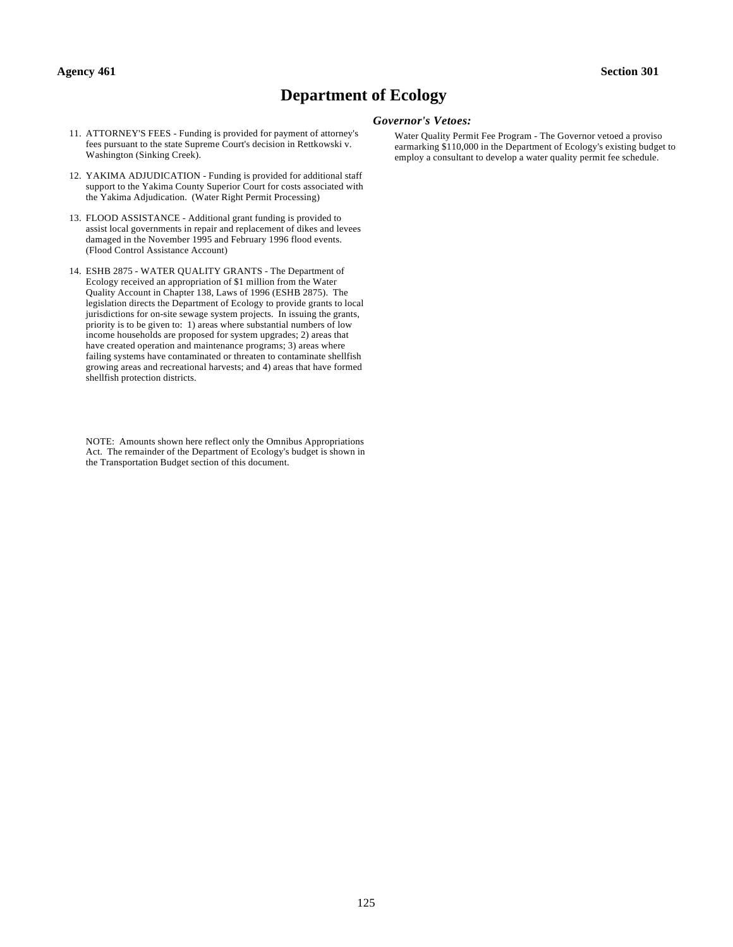#### **Agency 461 Section 301**

# **Department of Ecology**

- 11. ATTORNEY'S FEES Funding is provided for payment of attorney's fees pursuant to the state Supreme Court's decision in Rettkowski v. Washington (Sinking Creek).
- 12. YAKIMA ADJUDICATION Funding is provided for additional staff support to the Yakima County Superior Court for costs associated with the Yakima Adjudication. (Water Right Permit Processing)
- 13. FLOOD ASSISTANCE Additional grant funding is provided to assist local governments in repair and replacement of dikes and levees damaged in the November 1995 and February 1996 flood events. (Flood Control Assistance Account)
- 14. ESHB 2875 WATER QUALITY GRANTS The Department of Ecology received an appropriation of \$1 million from the Water Quality Account in Chapter 138, Laws of 1996 (ESHB 2875). The legislation directs the Department of Ecology to provide grants to local jurisdictions for on-site sewage system projects. In issuing the grants, priority is to be given to: 1) areas where substantial numbers of low income households are proposed for system upgrades; 2) areas that have created operation and maintenance programs; 3) areas where failing systems have contaminated or threaten to contaminate shellfish growing areas and recreational harvests; and 4) areas that have formed shellfish protection districts.

NOTE: Amounts shown here reflect only the Omnibus Appropriations Act. The remainder of the Department of Ecology's budget is shown in the Transportation Budget section of this document.

#### *Governor's Vetoes:*

Water Quality Permit Fee Program - The Governor vetoed a proviso earmarking \$110,000 in the Department of Ecology's existing budget to employ a consultant to develop a water quality permit fee schedule.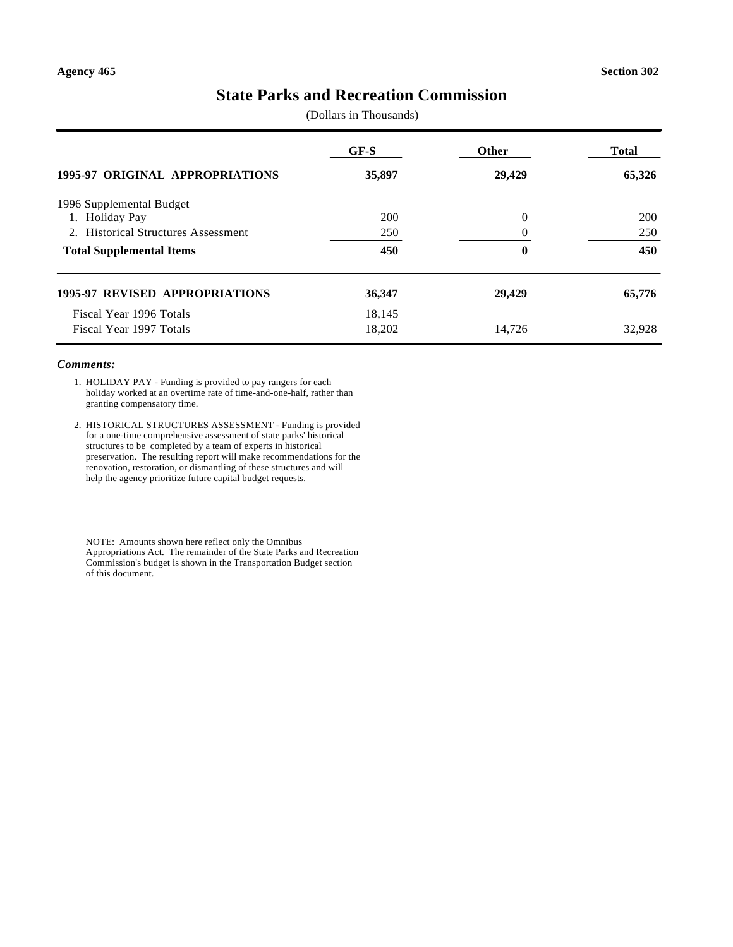# **State Parks and Recreation Commission**

(Dollars in Thousands)

|                                                    | GF-S   | <b>Other</b> | <b>Total</b> |
|----------------------------------------------------|--------|--------------|--------------|
| <b>1995-97 ORIGINAL APPROPRIATIONS</b>             | 35,897 | 29,429       | 65,326       |
| 1996 Supplemental Budget                           |        |              |              |
| <b>Holiday Pay</b><br>1.                           | 200    | $\Omega$     | 200          |
| <b>Historical Structures Assessment</b><br>$2^{+}$ | 250    | $\theta$     | 250          |
| <b>Total Supplemental Items</b>                    | 450    | $\bf{0}$     | 450          |
| <b>1995-97 REVISED APPROPRIATIONS</b>              | 36,347 | 29,429       | 65,776       |
| Fiscal Year 1996 Totals                            | 18,145 |              |              |
| Fiscal Year 1997 Totals                            | 18,202 | 14.726       | 32.928       |

#### *Comments:*

- 1. HOLIDAY PAY Funding is provided to pay rangers for each holiday worked at an overtime rate of time-and-one-half, rather than granting compensatory time.
- 2. HISTORICAL STRUCTURES ASSESSMENT Funding is provided for a one-time comprehensive assessment of state parks' historical structures to be completed by a team of experts in historical preservation. The resulting report will make recommendations for the renovation, restoration, or dismantling of these structures and will help the agency prioritize future capital budget requests.

NOTE: Amounts shown here reflect only the Omnibus Appropriations Act. The remainder of the State Parks and Recreation Commission's budget is shown in the Transportation Budget section of this document.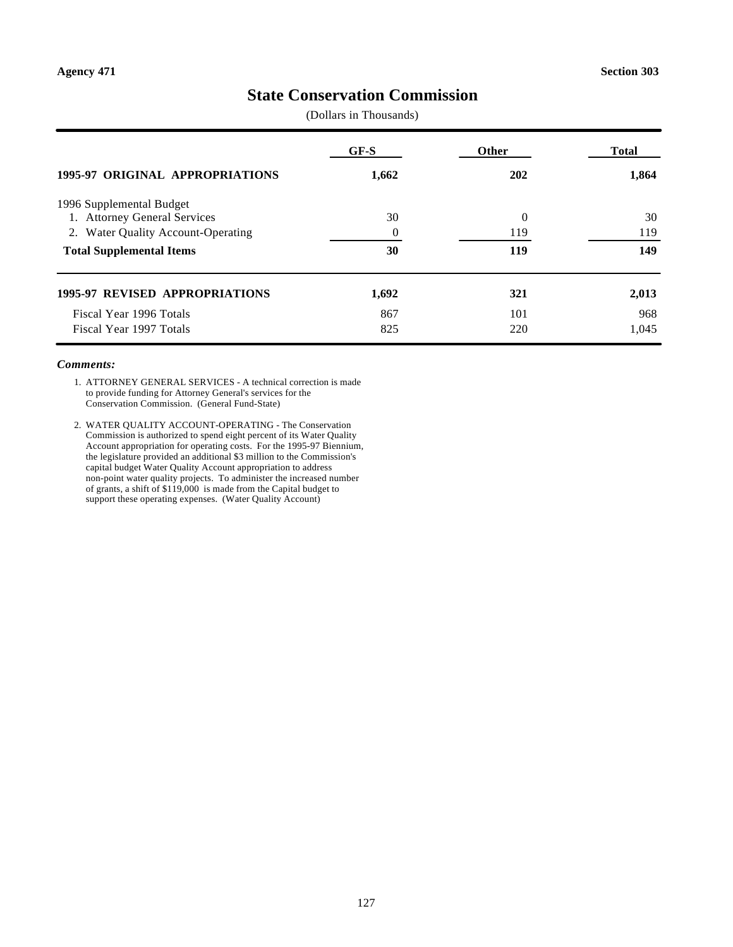# **State Conservation Commission**

(Dollars in Thousands)

|                                        | GF-S     | <b>Other</b> | <b>Total</b> |
|----------------------------------------|----------|--------------|--------------|
| <b>1995-97 ORIGINAL APPROPRIATIONS</b> | 1,662    | 202          | 1,864        |
| 1996 Supplemental Budget               |          |              |              |
| 1. Attorney General Services           | 30       | $\Omega$     | 30           |
| 2. Water Quality Account-Operating     | $\Omega$ | 119          | 119          |
| <b>Total Supplemental Items</b>        | 30       | 119          | 149          |
| <b>1995-97 REVISED APPROPRIATIONS</b>  | 1,692    | 321          | 2,013        |
| Fiscal Year 1996 Totals                | 867      | 101          | 968          |
| Fiscal Year 1997 Totals                | 825      | 220          | 1.045        |

#### *Comments:*

1. ATTORNEY GENERAL SERVICES - A technical correction is made to provide funding for Attorney General's services for the Conservation Commission. (General Fund-State)

2. WATER QUALITY ACCOUNT-OPERATING - The Conservation Commission is authorized to spend eight percent of its Water Quality Account appropriation for operating costs. For the 1995-97 Biennium, the legislature provided an additional \$3 million to the Commission's capital budget Water Quality Account appropriation to address non-point water quality projects. To administer the increased number of grants, a shift of \$119,000 is made from the Capital budget to support these operating expenses. (Water Quality Account)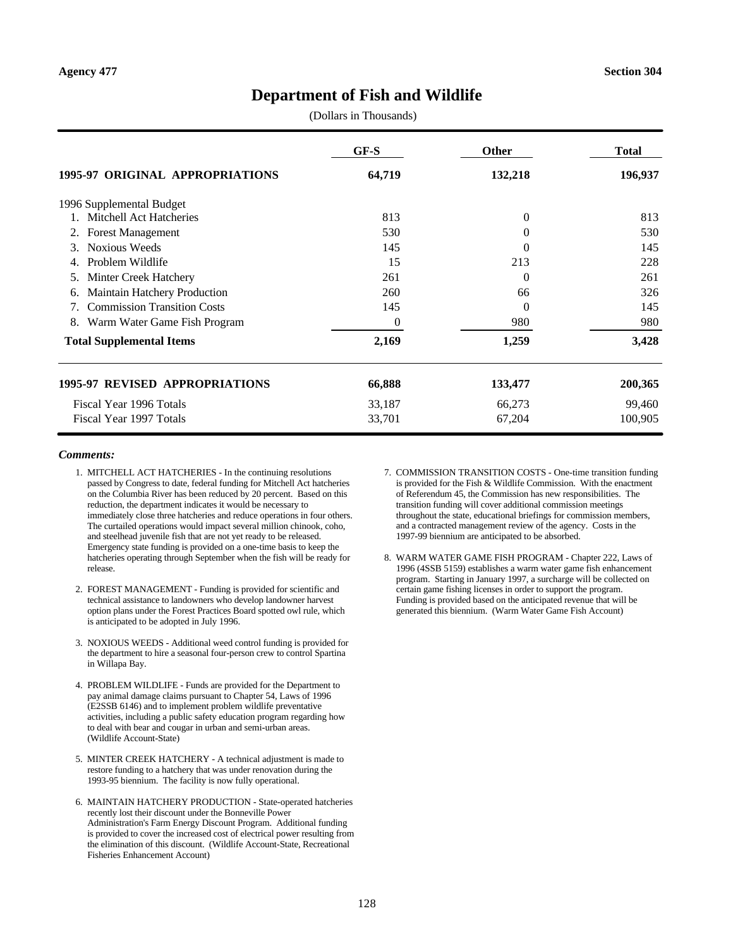# **Department of Fish and Wildlife**

(Dollars in Thousands)

|                                          | GF-S     | <b>Other</b> | <b>Total</b> |
|------------------------------------------|----------|--------------|--------------|
| 1995-97 ORIGINAL APPROPRIATIONS          | 64,719   | 132,218      | 196,937      |
| 1996 Supplemental Budget                 |          |              |              |
| 1. Mitchell Act Hatcheries               | 813      | $\theta$     | 813          |
| <b>Forest Management</b><br>2.           | 530      | $\Omega$     | 530          |
| <b>Noxious Weeds</b>                     | 145      | $\Omega$     | 145          |
| Problem Wildlife<br>4.                   | 15       | 213          | 228          |
| Minter Creek Hatchery<br>5.              | 261      | $\Omega$     | 261          |
| Maintain Hatchery Production<br>6.       | 260      | 66           | 326          |
| <b>Commission Transition Costs</b><br>7. | 145      | $\theta$     | 145          |
| Warm Water Game Fish Program<br>8.       | $\theta$ | 980          | 980          |
| <b>Total Supplemental Items</b>          | 2,169    | 1,259        | 3,428        |
| <b>1995-97 REVISED APPROPRIATIONS</b>    | 66,888   | 133,477      | 200,365      |
| Fiscal Year 1996 Totals                  | 33,187   | 66,273       | 99,460       |
| Fiscal Year 1997 Totals                  | 33,701   | 67,204       | 100,905      |

- 1. MITCHELL ACT HATCHERIES In the continuing resolutions passed by Congress to date, federal funding for Mitchell Act hatcheries on the Columbia River has been reduced by 20 percent. Based on this reduction, the department indicates it would be necessary to immediately close three hatcheries and reduce operations in four others. The curtailed operations would impact several million chinook, coho, and steelhead juvenile fish that are not yet ready to be released. Emergency state funding is provided on a one-time basis to keep the hatcheries operating through September when the fish will be ready for release.
- 2. FOREST MANAGEMENT Funding is provided for scientific and technical assistance to landowners who develop landowner harvest option plans under the Forest Practices Board spotted owl rule, which is anticipated to be adopted in July 1996.
- 3. NOXIOUS WEEDS Additional weed control funding is provided for the department to hire a seasonal four-person crew to control Spartina in Willapa Bay.
- 4. PROBLEM WILDLIFE Funds are provided for the Department to pay animal damage claims pursuant to Chapter 54, Laws of 1996 (E2SSB 6146) and to implement problem wildlife preventative activities, including a public safety education program regarding how to deal with bear and cougar in urban and semi-urban areas. (Wildlife Account-State)
- 5. MINTER CREEK HATCHERY A technical adjustment is made to restore funding to a hatchery that was under renovation during the 1993-95 biennium. The facility is now fully operational.
- 6. MAINTAIN HATCHERY PRODUCTION State-operated hatcheries recently lost their discount under the Bonneville Power Administration's Farm Energy Discount Program. Additional funding is provided to cover the increased cost of electrical power resulting from the elimination of this discount. (Wildlife Account-State, Recreational Fisheries Enhancement Account)
- 7. COMMISSION TRANSITION COSTS One-time transition funding is provided for the Fish & Wildlife Commission. With the enactment of Referendum 45, the Commission has new responsibilities. The transition funding will cover additional commission meetings throughout the state, educational briefings for commission members, and a contracted management review of the agency. Costs in the 1997-99 biennium are anticipated to be absorbed.
- 8. WARM WATER GAME FISH PROGRAM Chapter 222, Laws of 1996 (4SSB 5159) establishes a warm water game fish enhancement program. Starting in January 1997, a surcharge will be collected on certain game fishing licenses in order to support the program. Funding is provided based on the anticipated revenue that will be generated this biennium. (Warm Water Game Fish Account)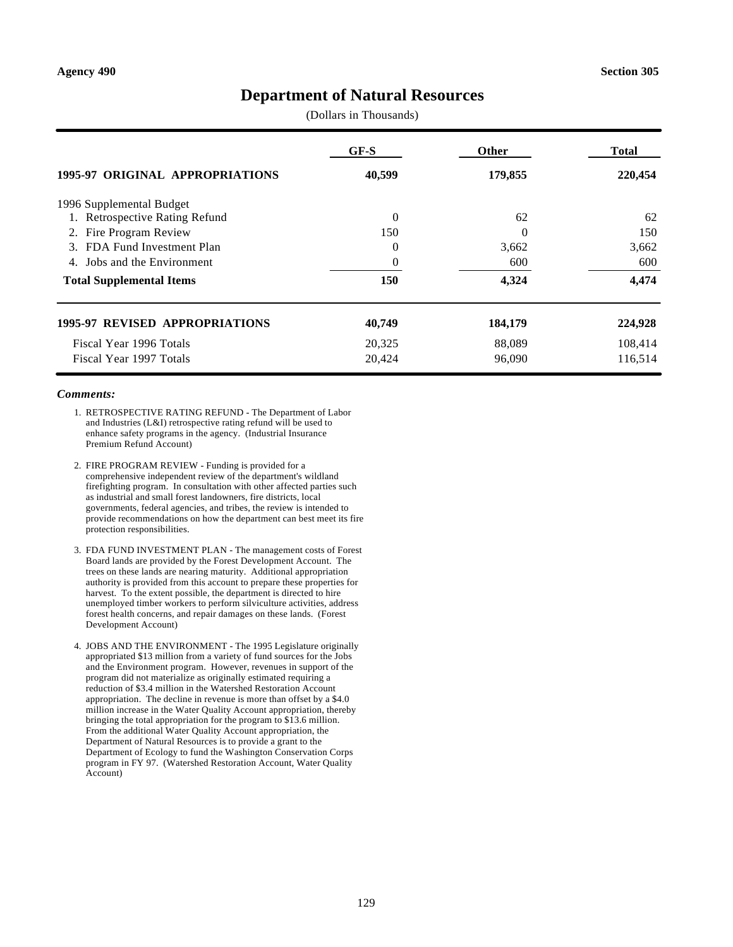# **Department of Natural Resources**

(Dollars in Thousands)

|                                          | GF-S     | <b>Other</b> | Total   |
|------------------------------------------|----------|--------------|---------|
| <b>1995-97 ORIGINAL APPROPRIATIONS</b>   | 40,599   | 179,855      | 220,454 |
| 1996 Supplemental Budget                 |          |              |         |
| <b>Retrospective Rating Refund</b><br>1. | $\Omega$ | 62           | 62      |
| Fire Program Review<br>2.                | 150      | 0            | 150     |
| FDA Fund Investment Plan<br>3.           | $\Omega$ | 3,662        | 3,662   |
| Jobs and the Environment<br>4.           | $\theta$ | 600          | 600     |
| <b>Total Supplemental Items</b>          | 150      | 4,324        | 4,474   |
| <b>1995-97 REVISED APPROPRIATIONS</b>    | 40,749   | 184,179      | 224,928 |
| Fiscal Year 1996 Totals                  | 20,325   | 88,089       | 108,414 |
| Fiscal Year 1997 Totals                  | 20,424   | 96,090       | 116,514 |

- 1. RETROSPECTIVE RATING REFUND The Department of Labor and Industries (L&I) retrospective rating refund will be used to enhance safety programs in the agency. (Industrial Insurance Premium Refund Account)
- 2. FIRE PROGRAM REVIEW Funding is provided for a comprehensive independent review of the department's wildland firefighting program. In consultation with other affected parties such as industrial and small forest landowners, fire districts, local governments, federal agencies, and tribes, the review is intended to provide recommendations on how the department can best meet its fire protection responsibilities.
- 3. FDA FUND INVESTMENT PLAN The management costs of Forest Board lands are provided by the Forest Development Account. The trees on these lands are nearing maturity. Additional appropriation authority is provided from this account to prepare these properties for harvest. To the extent possible, the department is directed to hire unemployed timber workers to perform silviculture activities, address forest health concerns, and repair damages on these lands. (Forest Development Account)
- 4. JOBS AND THE ENVIRONMENT The 1995 Legislature originally appropriated \$13 million from a variety of fund sources for the Jobs and the Environment program. However, revenues in support of the program did not materialize as originally estimated requiring a reduction of \$3.4 million in the Watershed Restoration Account appropriation. The decline in revenue is more than offset by a \$4.0 million increase in the Water Quality Account appropriation, thereby bringing the total appropriation for the program to \$13.6 million. From the additional Water Quality Account appropriation, the Department of Natural Resources is to provide a grant to the Department of Ecology to fund the Washington Conservation Corps program in FY 97. (Watershed Restoration Account, Water Quality Account)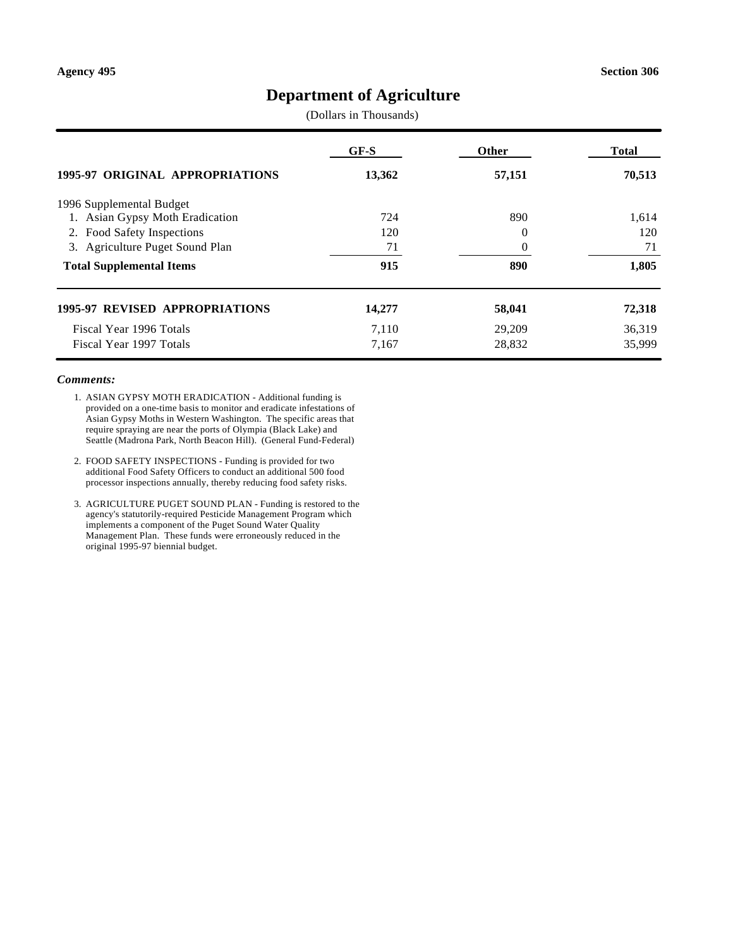# **Department of Agriculture**

(Dollars in Thousands)

|                                        | $GF-S$ | <b>Other</b> | <b>Total</b> |
|----------------------------------------|--------|--------------|--------------|
| <b>1995-97 ORIGINAL APPROPRIATIONS</b> | 13,362 | 57,151       | 70,513       |
| 1996 Supplemental Budget               |        |              |              |
| 1. Asian Gypsy Moth Eradication        | 724    | 890          | 1,614        |
| 2. Food Safety Inspections             | 120    | $\theta$     | 120          |
| 3. Agriculture Puget Sound Plan        | 71     | $\theta$     | 71           |
| <b>Total Supplemental Items</b>        | 915    | 890          | 1,805        |
| 1995-97 REVISED APPROPRIATIONS         | 14,277 | 58,041       | 72,318       |
| Fiscal Year 1996 Totals                | 7,110  | 29,209       | 36,319       |
| Fiscal Year 1997 Totals                | 7,167  | 28,832       | 35,999       |

- 1. ASIAN GYPSY MOTH ERADICATION Additional funding is provided on a one-time basis to monitor and eradicate infestations of Asian Gypsy Moths in Western Washington. The specific areas that require spraying are near the ports of Olympia (Black Lake) and Seattle (Madrona Park, North Beacon Hill). (General Fund-Federal)
- 2. FOOD SAFETY INSPECTIONS Funding is provided for two additional Food Safety Officers to conduct an additional 500 food processor inspections annually, thereby reducing food safety risks.
- 3. AGRICULTURE PUGET SOUND PLAN Funding is restored to the agency's statutorily-required Pesticide Management Program which implements a component of the Puget Sound Water Quality Management Plan. These funds were erroneously reduced in the original 1995-97 biennial budget.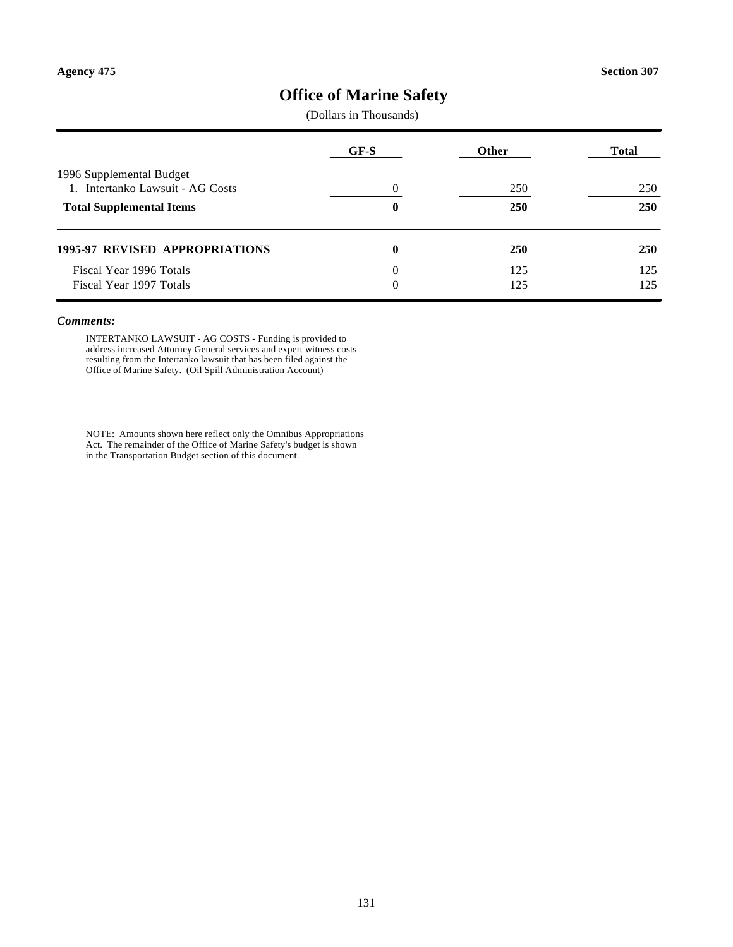# **Office of Marine Safety**

(Dollars in Thousands)

|                                                              | GF-S     | Other      | <b>Total</b> |  |
|--------------------------------------------------------------|----------|------------|--------------|--|
| 1996 Supplemental Budget<br>1. Intertanko Lawsuit - AG Costs |          | 250        | 250          |  |
| <b>Total Supplemental Items</b>                              | 0        | 250        | 250          |  |
| <b>1995-97 REVISED APPROPRIATIONS</b>                        | 0        | <b>250</b> | <b>250</b>   |  |
| Fiscal Year 1996 Totals                                      | $\Omega$ | 125        | 125          |  |
| Fiscal Year 1997 Totals                                      |          | 125        | 125          |  |

#### *Comments:*

INTERTANKO LAWSUIT - AG COSTS - Funding is provided to address increased Attorney General services and expert witness costs resulting from the Intertanko lawsuit that has been filed against the Office of Marine Safety. (Oil Spill Administration Account)

NOTE: Amounts shown here reflect only the Omnibus Appropriations Act. The remainder of the Office of Marine Safety's budget is shown in the Transportation Budget section of this document.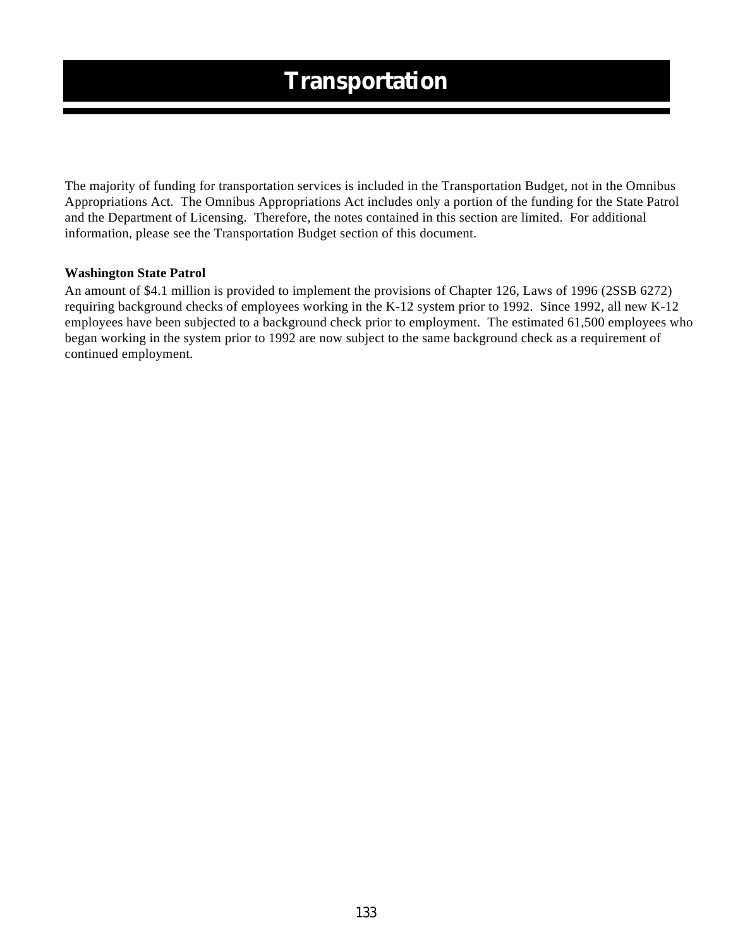The majority of funding for transportation services is included in the Transportation Budget, not in the Omnibus Appropriations Act. The Omnibus Appropriations Act includes only a portion of the funding for the State Patrol and the Department of Licensing. Therefore, the notes contained in this section are limited. For additional information, please see the Transportation Budget section of this document.

### **Washington State Patrol**

An amount of \$4.1 million is provided to implement the provisions of Chapter 126, Laws of 1996 (2SSB 6272) requiring background checks of employees working in the K-12 system prior to 1992. Since 1992, all new K-12 employees have been subjected to a background check prior to employment. The estimated 61,500 employees who began working in the system prior to 1992 are now subject to the same background check as a requirement of continued employment.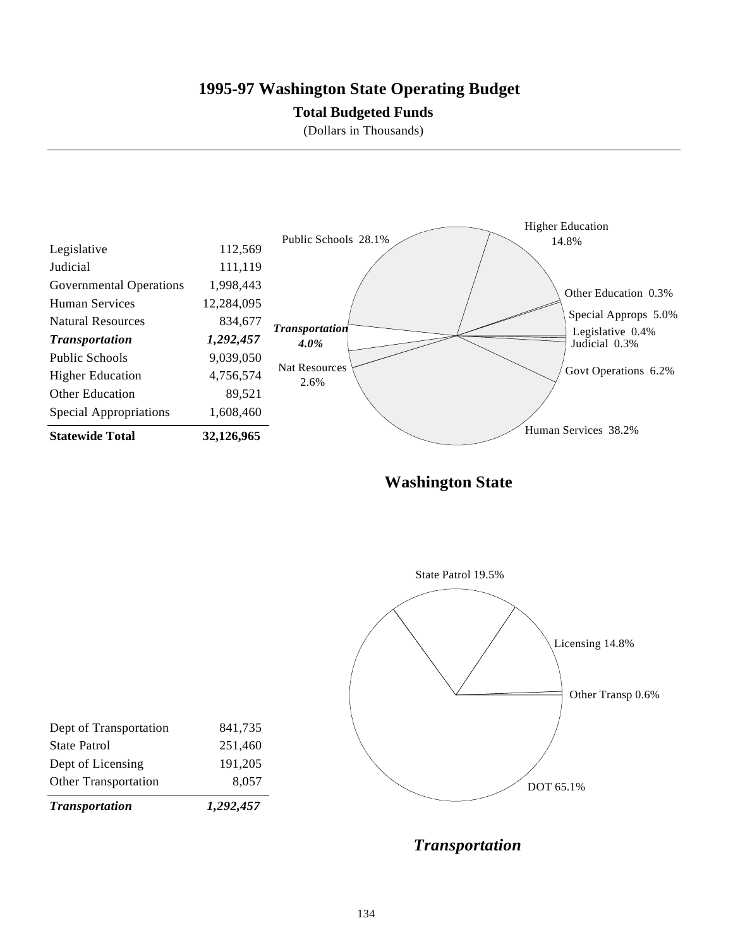# **1995-97 Washington State Operating Budget**

### **Total Budgeted Funds**

(Dollars in Thousands)



**Washington State**



*Transportation*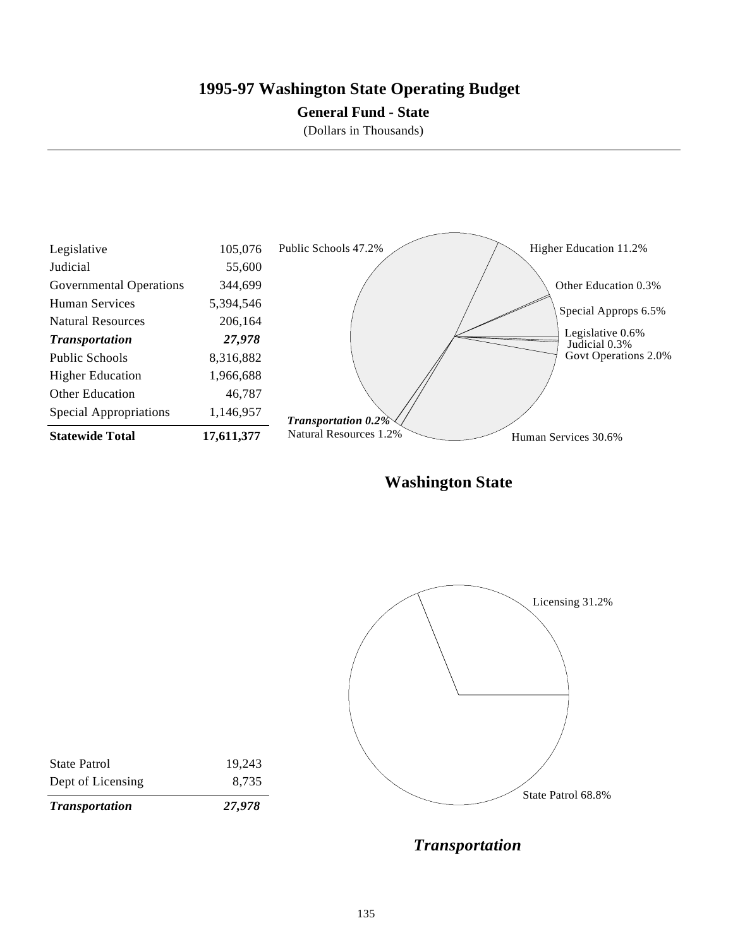# **1995-97 Washington State Operating Budget**

### **General Fund - State**

(Dollars in Thousands)



**Washington State**



*Transportation*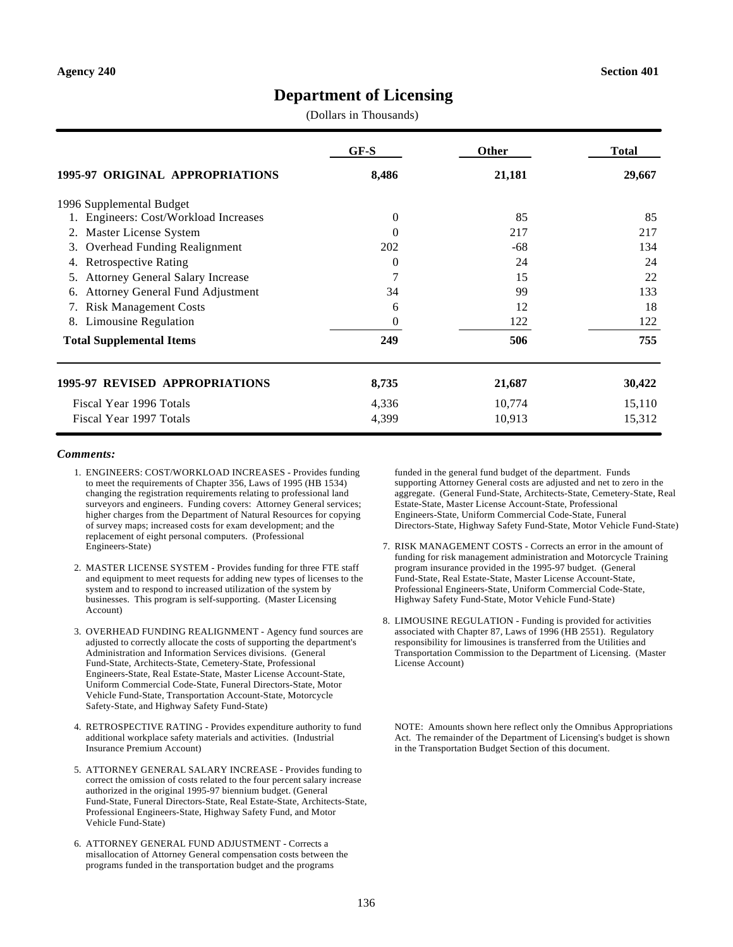# **Department of Licensing**

(Dollars in Thousands)

|                                               | $GF-S$   | Other  | <b>Total</b> |
|-----------------------------------------------|----------|--------|--------------|
| 1995-97 ORIGINAL APPROPRIATIONS               | 8,486    | 21,181 | 29,667       |
| 1996 Supplemental Budget                      |          |        |              |
| Engineers: Cost/Workload Increases            | $\theta$ | 85     | 85           |
| Master License System<br>2.                   | 0        | 217    | 217          |
| Overhead Funding Realignment<br>3.            | 202      | -68    | 134          |
| <b>Retrospective Rating</b><br>4.             | 0        | 24     | 24           |
| Attorney General Salary Increase<br>5.        | 7        | 15     | 22           |
| <b>Attorney General Fund Adjustment</b><br>6. | 34       | 99     | 133          |
| <b>Risk Management Costs</b><br>7.            | 6        | 12     | 18           |
| Limousine Regulation<br>8.                    | 0        | 122    | 122          |
| <b>Total Supplemental Items</b>               | 249      | 506    | 755          |
| 1995-97 REVISED APPROPRIATIONS                | 8,735    | 21,687 | 30,422       |
| Fiscal Year 1996 Totals                       | 4,336    | 10,774 | 15,110       |
| Fiscal Year 1997 Totals                       | 4,399    | 10,913 | 15,312       |

#### *Comments:*

- 1. ENGINEERS: COST/WORKLOAD INCREASES Provides funding to meet the requirements of Chapter 356, Laws of 1995 (HB 1534) changing the registration requirements relating to professional land surveyors and engineers. Funding covers: Attorney General services; higher charges from the Department of Natural Resources for copying of survey maps; increased costs for exam development; and the replacement of eight personal computers. (Professional Engineers-State)
- 2. MASTER LICENSE SYSTEM Provides funding for three FTE staff and equipment to meet requests for adding new types of licenses to the system and to respond to increased utilization of the system by businesses. This program is self-supporting. (Master Licensing Account)
- 3. OVERHEAD FUNDING REALIGNMENT Agency fund sources are adjusted to correctly allocate the costs of supporting the department's Administration and Information Services divisions. (General Fund-State, Architects-State, Cemetery-State, Professional Engineers-State, Real Estate-State, Master License Account-State, Uniform Commercial Code-State, Funeral Directors-State, Motor Vehicle Fund-State, Transportation Account-State, Motorcycle Safety-State, and Highway Safety Fund-State)
- 4. RETROSPECTIVE RATING Provides expenditure authority to fund additional workplace safety materials and activities. (Industrial Insurance Premium Account)
- 5. ATTORNEY GENERAL SALARY INCREASE Provides funding to correct the omission of costs related to the four percent salary increase authorized in the original 1995-97 biennium budget. (General Fund-State, Funeral Directors-State, Real Estate-State, Architects-State, Professional Engineers-State, Highway Safety Fund, and Motor Vehicle Fund-State)
- 6. ATTORNEY GENERAL FUND ADJUSTMENT Corrects a misallocation of Attorney General compensation costs between the programs funded in the transportation budget and the programs

funded in the general fund budget of the department. Funds supporting Attorney General costs are adjusted and net to zero in the aggregate. (General Fund-State, Architects-State, Cemetery-State, Real Estate-State, Master License Account-State, Professional Engineers-State, Uniform Commercial Code-State, Funeral Directors-State, Highway Safety Fund-State, Motor Vehicle Fund-State)

- 7. RISK MANAGEMENT COSTS Corrects an error in the amount of funding for risk management administration and Motorcycle Training program insurance provided in the 1995-97 budget. (General Fund-State, Real Estate-State, Master License Account-State, Professional Engineers-State, Uniform Commercial Code-State, Highway Safety Fund-State, Motor Vehicle Fund-State)
- 8. LIMOUSINE REGULATION Funding is provided for activities associated with Chapter 87, Laws of 1996 (HB 2551). Regulatory responsibility for limousines is transferred from the Utilities and Transportation Commission to the Department of Licensing. (Master License Account)

NOTE: Amounts shown here reflect only the Omnibus Appropriations Act. The remainder of the Department of Licensing's budget is shown in the Transportation Budget Section of this document.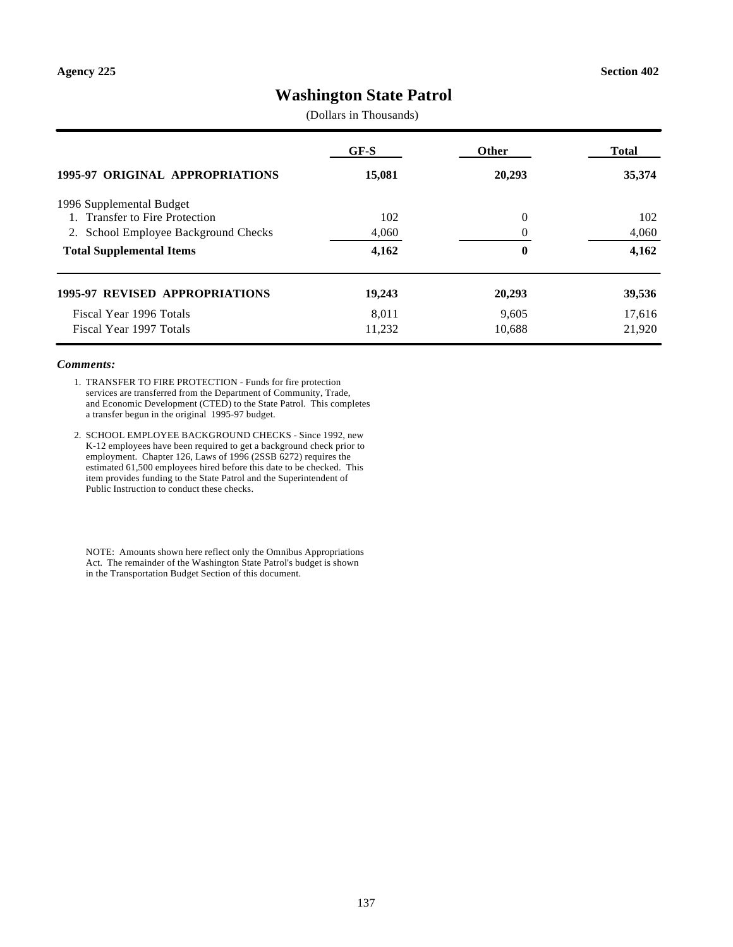# **Washington State Patrol**

(Dollars in Thousands)

|                                         | GF-S   | <b>Other</b> | <b>Total</b> |
|-----------------------------------------|--------|--------------|--------------|
| <b>1995-97 ORIGINAL APPROPRIATIONS</b>  | 15,081 | 20,293       | 35,374       |
| 1996 Supplemental Budget                |        |              |              |
| 1. Transfer to Fire Protection          | 102    | $\theta$     | 102          |
| School Employee Background Checks<br>2. | 4,060  | $\Omega$     | 4,060        |
| <b>Total Supplemental Items</b>         | 4,162  | $\bf{0}$     | 4,162        |
| <b>1995-97 REVISED APPROPRIATIONS</b>   | 19,243 | 20,293       | 39,536       |
| Fiscal Year 1996 Totals                 | 8.011  | 9.605        | 17,616       |
| Fiscal Year 1997 Totals                 | 11,232 | 10,688       | 21,920       |

#### *Comments:*

- 1. TRANSFER TO FIRE PROTECTION Funds for fire protection services are transferred from the Department of Community, Trade, and Economic Development (CTED) to the State Patrol. This completes a transfer begun in the original 1995-97 budget.
- 2. SCHOOL EMPLOYEE BACKGROUND CHECKS Since 1992, new K-12 employees have been required to get a background check prior to employment. Chapter 126, Laws of 1996 (2SSB 6272) requires the estimated 61,500 employees hired before this date to be checked. This item provides funding to the State Patrol and the Superintendent of Public Instruction to conduct these checks.

NOTE: Amounts shown here reflect only the Omnibus Appropriations Act. The remainder of the Washington State Patrol's budget is shown in the Transportation Budget Section of this document.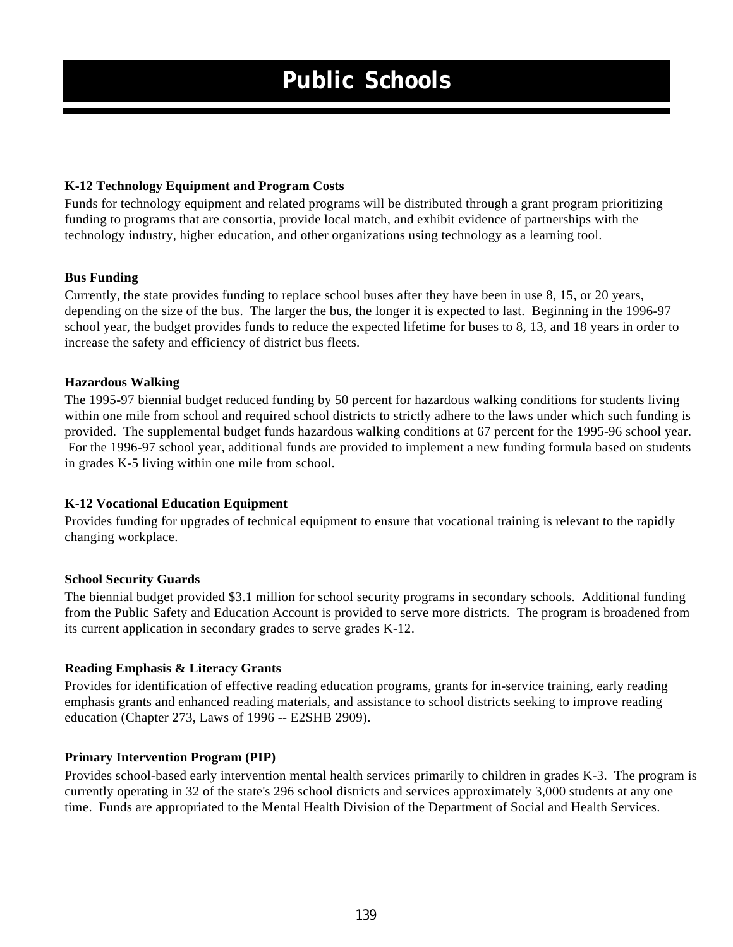### **K-12 Technology Equipment and Program Costs**

Funds for technology equipment and related programs will be distributed through a grant program prioritizing funding to programs that are consortia, provide local match, and exhibit evidence of partnerships with the technology industry, higher education, and other organizations using technology as a learning tool.

### **Bus Funding**

Currently, the state provides funding to replace school buses after they have been in use 8, 15, or 20 years, depending on the size of the bus. The larger the bus, the longer it is expected to last. Beginning in the 1996-97 school year, the budget provides funds to reduce the expected lifetime for buses to 8, 13, and 18 years in order to increase the safety and efficiency of district bus fleets.

### **Hazardous Walking**

The 1995-97 biennial budget reduced funding by 50 percent for hazardous walking conditions for students living within one mile from school and required school districts to strictly adhere to the laws under which such funding is provided. The supplemental budget funds hazardous walking conditions at 67 percent for the 1995-96 school year. For the 1996-97 school year, additional funds are provided to implement a new funding formula based on students in grades K-5 living within one mile from school.

### **K-12 Vocational Education Equipment**

Provides funding for upgrades of technical equipment to ensure that vocational training is relevant to the rapidly changing workplace.

### **School Security Guards**

The biennial budget provided \$3.1 million for school security programs in secondary schools. Additional funding from the Public Safety and Education Account is provided to serve more districts. The program is broadened from its current application in secondary grades to serve grades K-12.

### **Reading Emphasis & Literacy Grants**

Provides for identification of effective reading education programs, grants for in-service training, early reading emphasis grants and enhanced reading materials, and assistance to school districts seeking to improve reading education (Chapter 273, Laws of 1996 -- E2SHB 2909).

### **Primary Intervention Program (PIP)**

Provides school-based early intervention mental health services primarily to children in grades K-3. The program is currently operating in 32 of the state's 296 school districts and services approximately 3,000 students at any one time. Funds are appropriated to the Mental Health Division of the Department of Social and Health Services.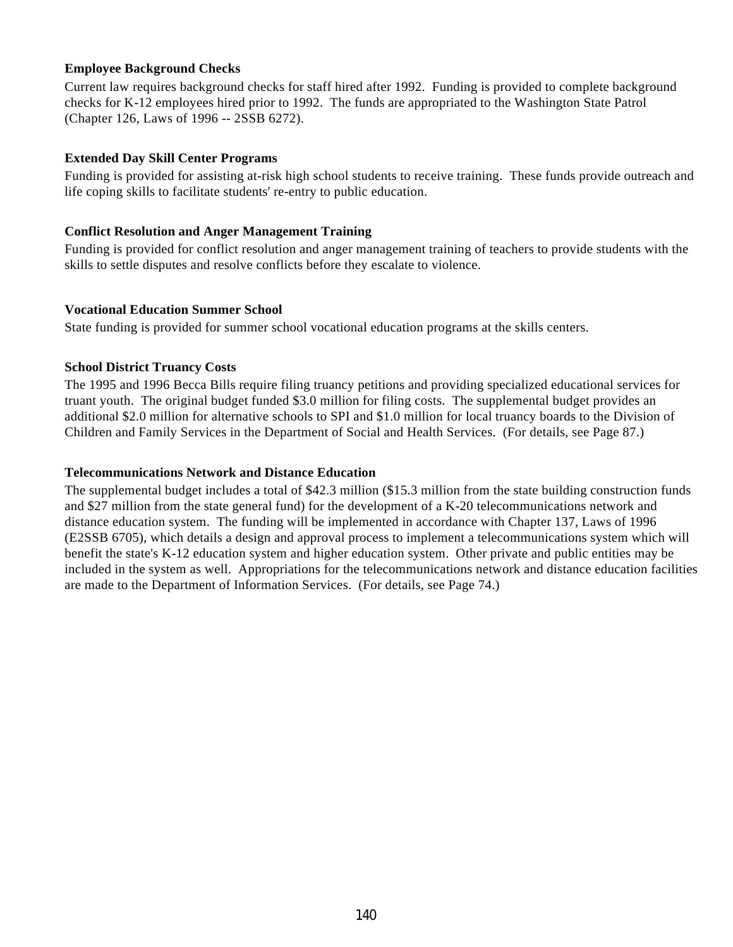### **Employee Background Checks**

Current law requires background checks for staff hired after 1992. Funding is provided to complete background checks for K-12 employees hired prior to 1992. The funds are appropriated to the Washington State Patrol (Chapter 126, Laws of 1996 -- 2SSB 6272).

### **Extended Day Skill Center Programs**

Funding is provided for assisting at-risk high school students to receive training. These funds provide outreach and life coping skills to facilitate students' re-entry to public education.

### **Conflict Resolution and Anger Management Training**

Funding is provided for conflict resolution and anger management training of teachers to provide students with the skills to settle disputes and resolve conflicts before they escalate to violence.

### **Vocational Education Summer School**

State funding is provided for summer school vocational education programs at the skills centers.

### **School District Truancy Costs**

The 1995 and 1996 Becca Bills require filing truancy petitions and providing specialized educational services for truant youth. The original budget funded \$3.0 million for filing costs. The supplemental budget provides an additional \$2.0 million for alternative schools to SPI and \$1.0 million for local truancy boards to the Division of Children and Family Services in the Department of Social and Health Services. (For details, see Page 87.)

### **Telecommunications Network and Distance Education**

The supplemental budget includes a total of \$42.3 million (\$15.3 million from the state building construction funds and \$27 million from the state general fund) for the development of a K-20 telecommunications network and distance education system. The funding will be implemented in accordance with Chapter 137, Laws of 1996 (E2SSB 6705), which details a design and approval process to implement a telecommunications system which will benefit the state's K-12 education system and higher education system. Other private and public entities may be included in the system as well. Appropriations for the telecommunications network and distance education facilities are made to the Department of Information Services. (For details, see Page 74.)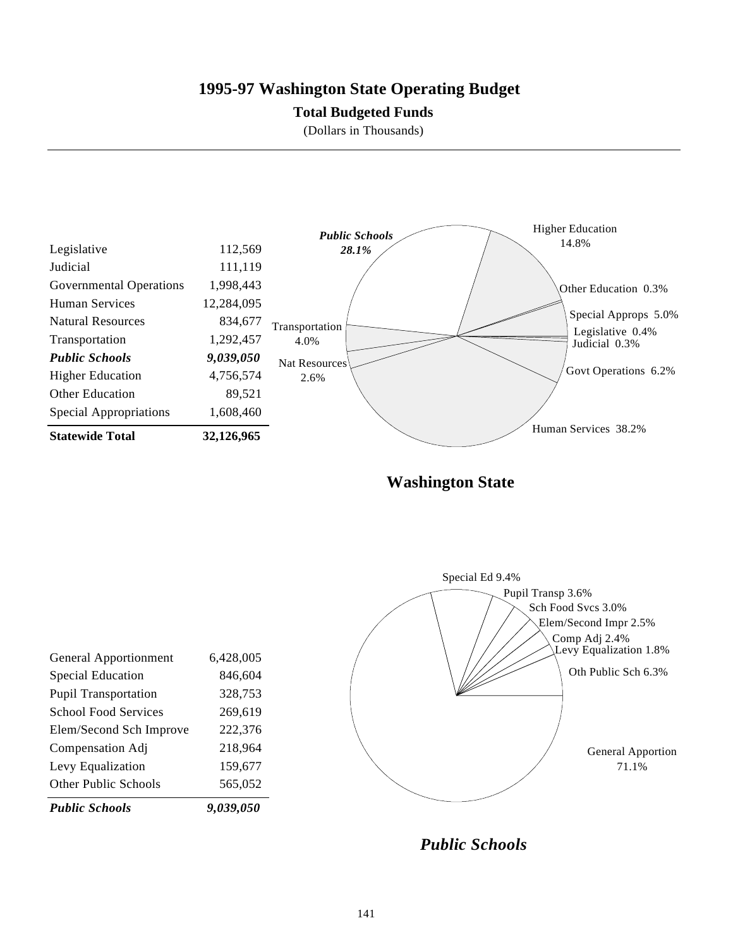# **1995-97 Washington State Operating Budget**

### **Total Budgeted Funds**

(Dollars in Thousands)



**Washington State**



*Public Schools*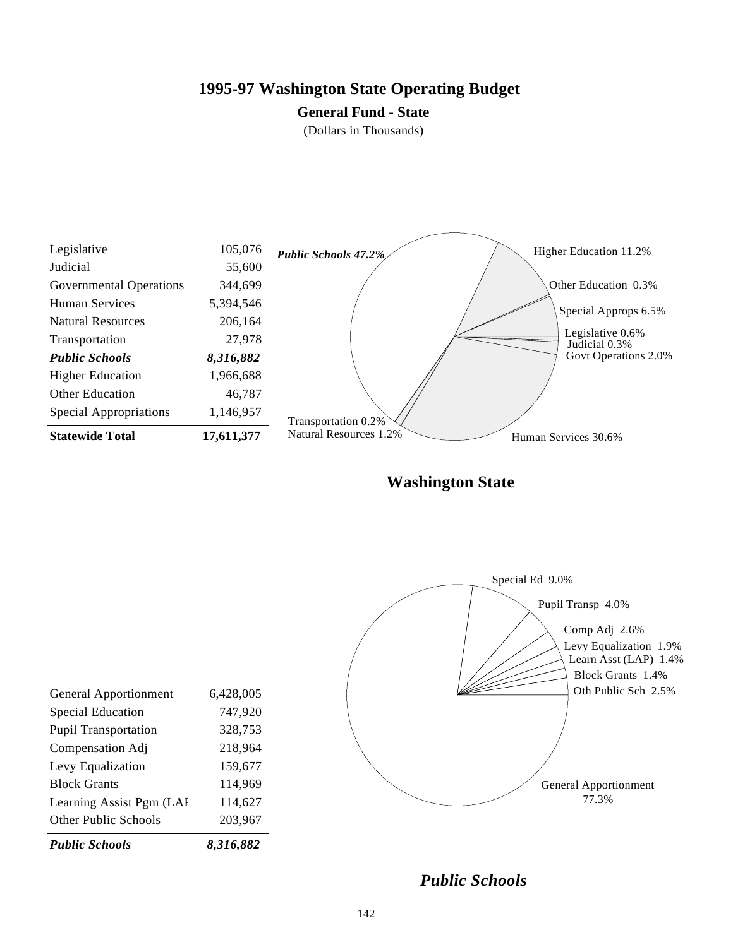# **1995-97 Washington State Operating Budget**

### **General Fund - State**

(Dollars in Thousands)



**Washington State**



*Public Schools*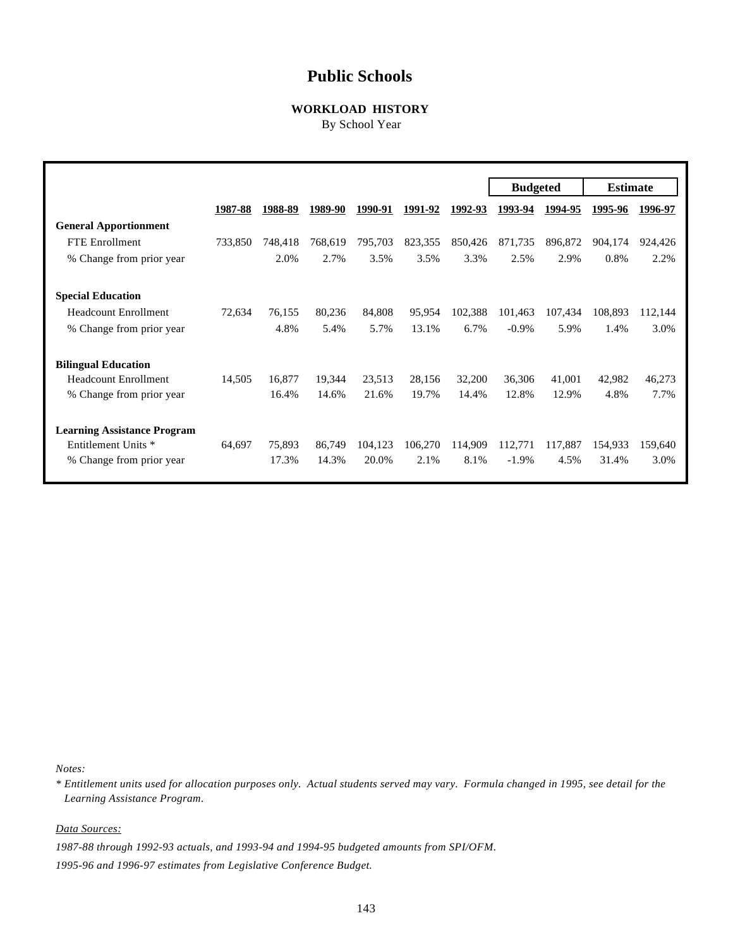# **Public Schools**

### **WORKLOAD HISTORY**

By School Year

|                                    |         |         |         |         |         |         | <b>Budgeted</b> |         | <b>Estimate</b> |         |
|------------------------------------|---------|---------|---------|---------|---------|---------|-----------------|---------|-----------------|---------|
|                                    | 1987-88 | 1988-89 | 1989-90 | 1990-91 | 1991-92 | 1992-93 | 1993-94         | 1994-95 | 1995-96         | 1996-97 |
| <b>General Apportionment</b>       |         |         |         |         |         |         |                 |         |                 |         |
| <b>FTE</b> Enrollment              | 733,850 | 748,418 | 768,619 | 795,703 | 823,355 | 850,426 | 871,735         | 896,872 | 904,174         | 924,426 |
| % Change from prior year           |         | 2.0%    | 2.7%    | 3.5%    | 3.5%    | 3.3%    | 2.5%            | 2.9%    | 0.8%            | 2.2%    |
| <b>Special Education</b>           |         |         |         |         |         |         |                 |         |                 |         |
| <b>Headcount Enrollment</b>        | 72,634  | 76,155  | 80,236  | 84,808  | 95,954  | 102,388 | 101,463         | 107,434 | 108,893         | 112,144 |
| % Change from prior year           |         | 4.8%    | 5.4%    | 5.7%    | 13.1%   | 6.7%    | $-0.9\%$        | 5.9%    | 1.4%            | 3.0%    |
| <b>Bilingual Education</b>         |         |         |         |         |         |         |                 |         |                 |         |
| <b>Headcount Enrollment</b>        | 14,505  | 16,877  | 19,344  | 23,513  | 28,156  | 32,200  | 36,306          | 41,001  | 42,982          | 46,273  |
| % Change from prior year           |         | 16.4%   | 14.6%   | 21.6%   | 19.7%   | 14.4%   | 12.8%           | 12.9%   | 4.8%            | 7.7%    |
| <b>Learning Assistance Program</b> |         |         |         |         |         |         |                 |         |                 |         |
| Entitlement Units *                | 64,697  | 75,893  | 86,749  | 104,123 | 106,270 | 114,909 | 112,771         | 117,887 | 154,933         | 159,640 |
| % Change from prior year           |         | 17.3%   | 14.3%   | 20.0%   | 2.1%    | 8.1%    | $-1.9\%$        | 4.5%    | 31.4%           | 3.0%    |

*Notes:*

*\* Entitlement units used for allocation purposes only. Actual students served may vary. Formula changed in 1995, see detail for the Learning Assistance Program.*

*Data Sources:*

*1987-88 through 1992-93 actuals, and 1993-94 and 1994-95 budgeted amounts from SPI/OFM.*

*1995-96 and 1996-97 estimates from Legislative Conference Budget.*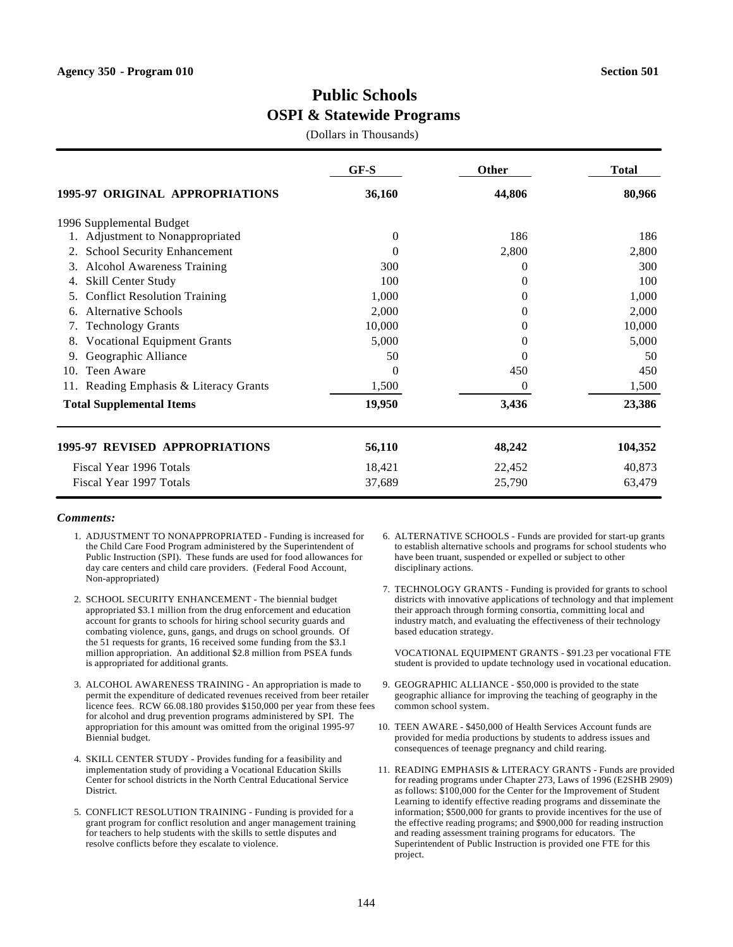# **Public Schools OSPI & Statewide Programs**

(Dollars in Thousands)

|                                           | $GF-S$   | Other    | <b>Total</b> |
|-------------------------------------------|----------|----------|--------------|
| 1995-97 ORIGINAL APPROPRIATIONS           | 36,160   | 44,806   | 80,966       |
| 1996 Supplemental Budget                  |          |          |              |
| Adjustment to Nonappropriated             | 0        | 186      | 186          |
| <b>School Security Enhancement</b><br>2.  | 0        | 2,800    | 2,800        |
| <b>Alcohol Awareness Training</b><br>3.   | 300      | 0        | 300          |
| Skill Center Study<br>4.                  | 100      | $\Omega$ | 100          |
| <b>Conflict Resolution Training</b><br>5. | 1,000    | $_{0}$   | 1,000        |
| <b>Alternative Schools</b><br>6.          | 2,000    | 0        | 2,000        |
| <b>Technology Grants</b><br>7.            | 10,000   | $\Omega$ | 10,000       |
| <b>Vocational Equipment Grants</b><br>8.  | 5,000    | $\Omega$ | 5,000        |
| Geographic Alliance<br>9.                 | 50       | 0        | 50           |
| Teen Aware<br>10.                         | $\theta$ | 450      | 450          |
| Reading Emphasis & Literacy Grants<br>11. | 1,500    | $\Omega$ | 1,500        |
| <b>Total Supplemental Items</b>           | 19,950   | 3,436    | 23,386       |
| 1995-97 REVISED APPROPRIATIONS            | 56,110   | 48,242   | 104,352      |
| Fiscal Year 1996 Totals                   | 18,421   | 22,452   | 40,873       |
| Fiscal Year 1997 Totals                   | 37,689   | 25,790   | 63,479       |

#### *Comments:*

- 1. ADJUSTMENT TO NONAPPROPRIATED Funding is increased for the Child Care Food Program administered by the Superintendent of Public Instruction (SPI). These funds are used for food allowances for day care centers and child care providers. (Federal Food Account, Non-appropriated)
- 2. SCHOOL SECURITY ENHANCEMENT The biennial budget appropriated \$3.1 million from the drug enforcement and education account for grants to schools for hiring school security guards and combating violence, guns, gangs, and drugs on school grounds. Of the 51 requests for grants, 16 received some funding from the \$3.1 million appropriation. An additional \$2.8 million from PSEA funds is appropriated for additional grants.
- 3. ALCOHOL AWARENESS TRAINING An appropriation is made to permit the expenditure of dedicated revenues received from beer retailer licence fees. RCW 66.08.180 provides \$150,000 per year from these fees for alcohol and drug prevention programs administered by SPI. The appropriation for this amount was omitted from the original 1995-97 Biennial budget.
- 4. SKILL CENTER STUDY Provides funding for a feasibility and implementation study of providing a Vocational Education Skills Center for school districts in the North Central Educational Service District.
- 5. CONFLICT RESOLUTION TRAINING Funding is provided for a grant program for conflict resolution and anger management training for teachers to help students with the skills to settle disputes and resolve conflicts before they escalate to violence.
- 6. ALTERNATIVE SCHOOLS Funds are provided for start-up grants to establish alternative schools and programs for school students who have been truant, suspended or expelled or subject to other disciplinary actions.
- 7. TECHNOLOGY GRANTS Funding is provided for grants to school districts with innovative applications of technology and that implement their approach through forming consortia, committing local and industry match, and evaluating the effectiveness of their technology based education strategy.

VOCATIONAL EQUIPMENT GRANTS - \$91.23 per vocational FTE student is provided to update technology used in vocational education.

- 9. GEOGRAPHIC ALLIANCE \$50,000 is provided to the state geographic alliance for improving the teaching of geography in the common school system.
- 10. TEEN AWARE \$450,000 of Health Services Account funds are provided for media productions by students to address issues and consequences of teenage pregnancy and child rearing.
- 11. READING EMPHASIS & LITERACY GRANTS Funds are provided for reading programs under Chapter 273, Laws of 1996 (E2SHB 2909) as follows: \$100,000 for the Center for the Improvement of Student Learning to identify effective reading programs and disseminate the information; \$500,000 for grants to provide incentives for the use of the effective reading programs; and \$900,000 for reading instruction and reading assessment training programs for educators. The Superintendent of Public Instruction is provided one FTE for this project.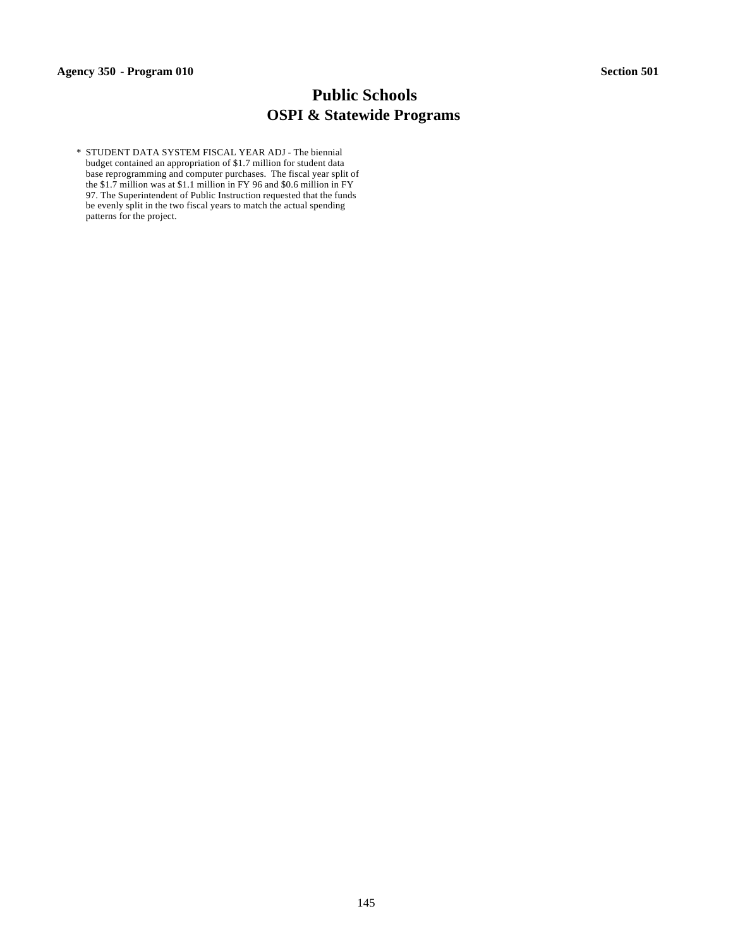# **Public Schools OSPI & Statewide Programs**

 \* STUDENT DATA SYSTEM FISCAL YEAR ADJ - The biennial budget contained an appropriation of \$1.7 million for student data base reprogramming and computer purchases. The fiscal year split of the \$1.7 million was at \$1.1 million in FY 96 and \$0.6 million in FY 97. The Superintendent of Public Instruction requested that the funds be evenly split in the two fiscal years to match the actual spending patterns for the project.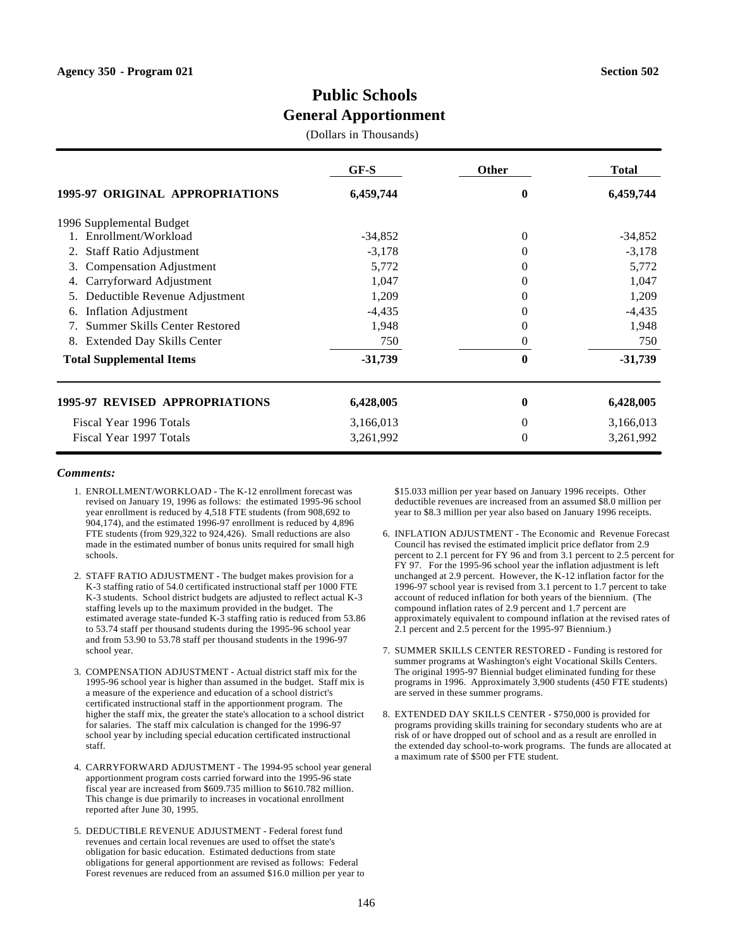(Dollars in Thousands)

|                                                                   | $GF-S$    | <b>Other</b> | <b>Total</b> |
|-------------------------------------------------------------------|-----------|--------------|--------------|
| 1995-97 ORIGINAL APPROPRIATIONS                                   | 6,459,744 | 0            | 6,459,744    |
| 1996 Supplemental Budget                                          |           |              |              |
| Enrollment/Workload                                               | $-34,852$ | 0            | $-34,852$    |
| <b>Staff Ratio Adjustment</b><br>2.                               | $-3,178$  | $\Omega$     | $-3,178$     |
| Compensation Adjustment<br>3.                                     | 5,772     | 0            | 5,772        |
| Carryforward Adjustment<br>4.                                     | 1,047     | $\Omega$     | 1,047        |
| Deductible Revenue Adjustment<br>5.                               | 1,209     | 0            | 1,209        |
| <b>Inflation Adjustment</b><br>6.                                 | $-4,435$  | $\Omega$     | $-4,435$     |
| Summer Skills Center Restored<br>$7_{\scriptscriptstyle{\ddots}}$ | 1,948     | 0            | 1,948        |
| <b>Extended Day Skills Center</b><br>8.                           | 750       | 0            | 750          |
| <b>Total Supplemental Items</b>                                   | $-31,739$ | 0            | $-31,739$    |
| 1995-97 REVISED APPROPRIATIONS                                    | 6,428,005 | 0            | 6,428,005    |
| Fiscal Year 1996 Totals                                           | 3,166,013 | 0            | 3,166,013    |
| Fiscal Year 1997 Totals                                           | 3,261,992 | 0            | 3,261,992    |

#### *Comments:*

- 1. ENROLLMENT/WORKLOAD The K-12 enrollment forecast was revised on January 19, 1996 as follows: the estimated 1995-96 school year enrollment is reduced by 4,518 FTE students (from 908,692 to 904,174), and the estimated 1996-97 enrollment is reduced by 4,896 FTE students (from 929,322 to 924,426). Small reductions are also made in the estimated number of bonus units required for small high schools.
- 2. STAFF RATIO ADJUSTMENT The budget makes provision for a K-3 staffing ratio of 54.0 certificated instructional staff per 1000 FTE K-3 students. School district budgets are adjusted to reflect actual K-3 staffing levels up to the maximum provided in the budget. The estimated average state-funded K-3 staffing ratio is reduced from 53.86 to 53.74 staff per thousand students during the 1995-96 school year and from 53.90 to 53.78 staff per thousand students in the 1996-97 school year.
- 3. COMPENSATION ADJUSTMENT Actual district staff mix for the 1995-96 school year is higher than assumed in the budget. Staff mix is a measure of the experience and education of a school district's certificated instructional staff in the apportionment program. The higher the staff mix, the greater the state's allocation to a school district for salaries. The staff mix calculation is changed for the 1996-97 school year by including special education certificated instructional staff.
- 4. CARRYFORWARD ADJUSTMENT The 1994-95 school year general apportionment program costs carried forward into the 1995-96 state fiscal year are increased from \$609.735 million to \$610.782 million. This change is due primarily to increases in vocational enrollment reported after June 30, 1995.
- 5. DEDUCTIBLE REVENUE ADJUSTMENT Federal forest fund revenues and certain local revenues are used to offset the state's obligation for basic education. Estimated deductions from state obligations for general apportionment are revised as follows: Federal Forest revenues are reduced from an assumed \$16.0 million per year to

\$15.033 million per year based on January 1996 receipts. Other deductible revenues are increased from an assumed \$8.0 million per year to \$8.3 million per year also based on January 1996 receipts.

- 6. INFLATION ADJUSTMENT The Economic and Revenue Forecast Council has revised the estimated implicit price deflator from 2.9 percent to 2.1 percent for FY 96 and from 3.1 percent to 2.5 percent for FY 97. For the 1995-96 school year the inflation adjustment is left unchanged at 2.9 percent. However, the K-12 inflation factor for the 1996-97 school year is revised from 3.1 percent to 1.7 percent to take account of reduced inflation for both years of the biennium. (The compound inflation rates of 2.9 percent and 1.7 percent are approximately equivalent to compound inflation at the revised rates of 2.1 percent and 2.5 percent for the 1995-97 Biennium.)
- 7. SUMMER SKILLS CENTER RESTORED Funding is restored for summer programs at Washington's eight Vocational Skills Centers. The original 1995-97 Biennial budget eliminated funding for these programs in 1996. Approximately 3,900 students (450 FTE students) are served in these summer programs.
- 8. EXTENDED DAY SKILLS CENTER \$750,000 is provided for programs providing skills training for secondary students who are at risk of or have dropped out of school and as a result are enrolled in the extended day school-to-work programs. The funds are allocated at a maximum rate of \$500 per FTE student.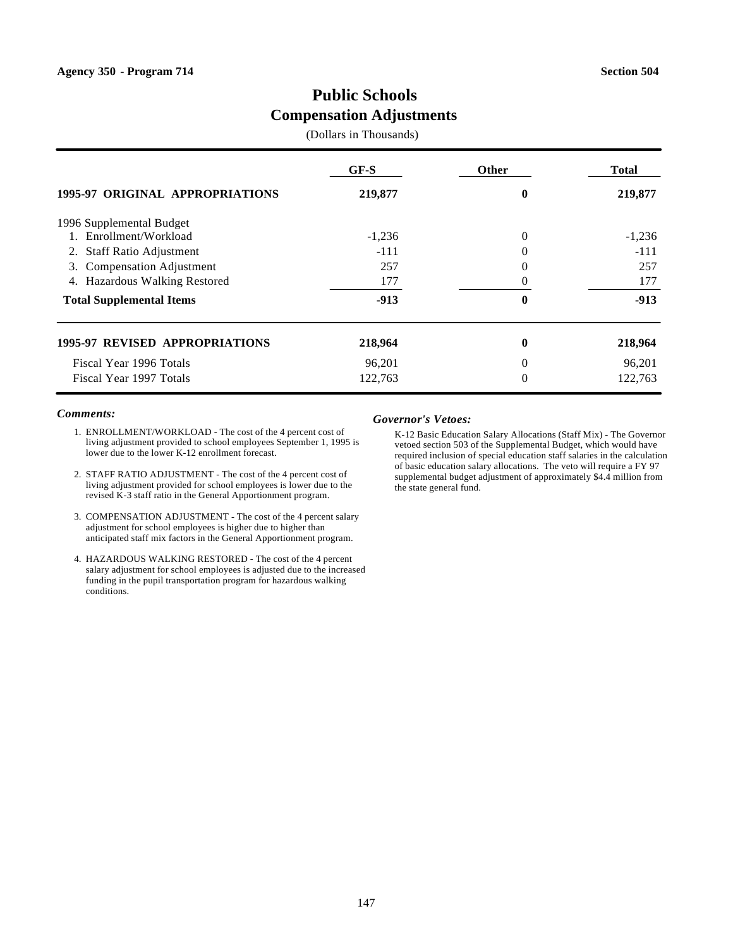# **Public Schools Compensation Adjustments**

(Dollars in Thousands)

|                                       | GF-S     | <b>Other</b> | Total    |
|---------------------------------------|----------|--------------|----------|
| 1995-97 ORIGINAL APPROPRIATIONS       | 219,877  | 0            | 219,877  |
| 1996 Supplemental Budget              |          |              |          |
| 1. Enrollment/Workload                | $-1,236$ | 0            | $-1,236$ |
| <b>Staff Ratio Adjustment</b><br>2.   | $-111$   |              | $-111$   |
| <b>Compensation Adjustment</b><br>3.  | 257      | 0            | 257      |
| 4. Hazardous Walking Restored         | 177      |              | 177      |
| <b>Total Supplemental Items</b>       | $-913$   | 0            | $-913$   |
| <b>1995-97 REVISED APPROPRIATIONS</b> | 218,964  | 0            | 218,964  |
| Fiscal Year 1996 Totals               | 96,201   | 0            | 96,201   |
| Fiscal Year 1997 Totals               | 122,763  | 0            | 122.763  |

### *Comments:*

- 1. ENROLLMENT/WORKLOAD The cost of the 4 percent cost of living adjustment provided to school employees September 1, 1995 is lower due to the lower K-12 enrollment forecast.
- 2. STAFF RATIO ADJUSTMENT The cost of the 4 percent cost of living adjustment provided for school employees is lower due to the revised K-3 staff ratio in the General Apportionment program.
- 3. COMPENSATION ADJUSTMENT The cost of the 4 percent salary adjustment for school employees is higher due to higher than anticipated staff mix factors in the General Apportionment program.
- 4. HAZARDOUS WALKING RESTORED The cost of the 4 percent salary adjustment for school employees is adjusted due to the increased funding in the pupil transportation program for hazardous walking conditions.

#### *Governor's Vetoes:*

K-12 Basic Education Salary Allocations (Staff Mix) - The Governor vetoed section 503 of the Supplemental Budget, which would have required inclusion of special education staff salaries in the calculation of basic education salary allocations. The veto will require a FY 97 supplemental budget adjustment of approximately \$4.4 million from the state general fund.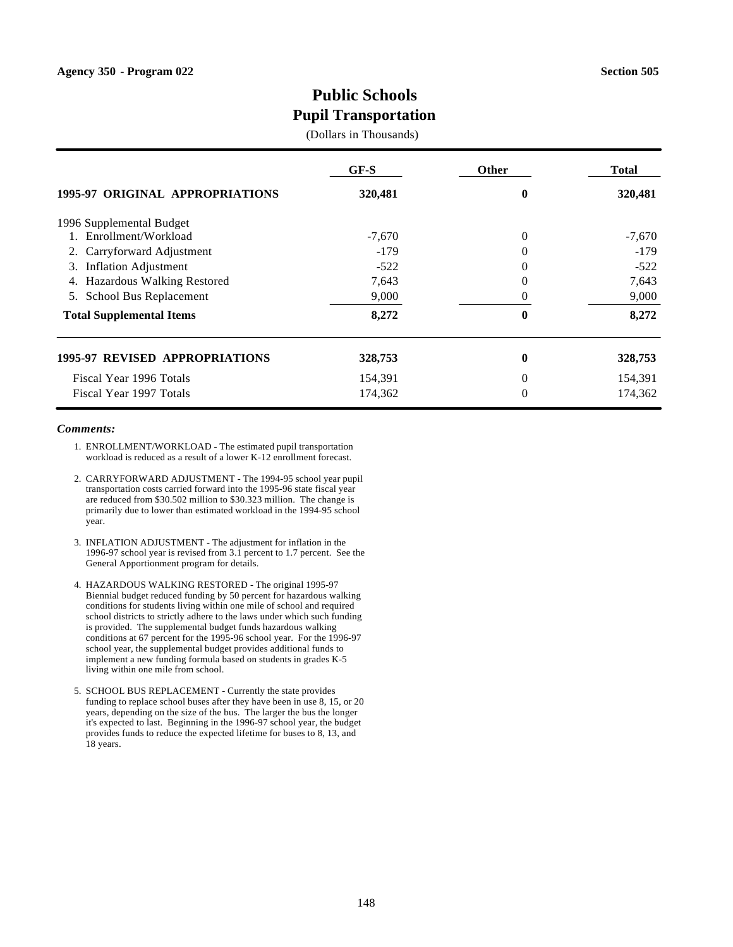# **Public Schools Pupil Transportation**

### (Dollars in Thousands)

|                                       | $GF-S$   | <b>Other</b>   | Total    |
|---------------------------------------|----------|----------------|----------|
| 1995-97 ORIGINAL APPROPRIATIONS       | 320,481  | $\bf{0}$       | 320,481  |
| 1996 Supplemental Budget              |          |                |          |
| 1. Enrollment/Workload                | $-7,670$ | $\overline{0}$ | $-7,670$ |
| Carryforward Adjustment<br>2.         | $-179$   | 0              | $-179$   |
| <b>Inflation Adjustment</b><br>3.     | $-522$   | 0              | $-522$   |
| Hazardous Walking Restored<br>4.      | 7,643    | $\Omega$       | 7,643    |
| School Bus Replacement<br>5.          | 9,000    | $_{0}$         | 9,000    |
| <b>Total Supplemental Items</b>       | 8,272    | 0              | 8,272    |
| <b>1995-97 REVISED APPROPRIATIONS</b> | 328,753  | 0              | 328,753  |
| Fiscal Year 1996 Totals               | 154,391  | 0              | 154,391  |
| Fiscal Year 1997 Totals               | 174,362  | $\theta$       | 174,362  |

- 1. ENROLLMENT/WORKLOAD The estimated pupil transportation workload is reduced as a result of a lower K-12 enrollment forecast.
- 2. CARRYFORWARD ADJUSTMENT The 1994-95 school year pupil transportation costs carried forward into the 1995-96 state fiscal year are reduced from \$30.502 million to \$30.323 million. The change is primarily due to lower than estimated workload in the 1994-95 school year.
- 3. INFLATION ADJUSTMENT The adjustment for inflation in the 1996-97 school year is revised from 3.1 percent to 1.7 percent. See the General Apportionment program for details.
- 4. HAZARDOUS WALKING RESTORED The original 1995-97 Biennial budget reduced funding by 50 percent for hazardous walking conditions for students living within one mile of school and required school districts to strictly adhere to the laws under which such funding is provided. The supplemental budget funds hazardous walking conditions at 67 percent for the 1995-96 school year. For the 1996-97 school year, the supplemental budget provides additional funds to implement a new funding formula based on students in grades K-5 living within one mile from school.
- 5. SCHOOL BUS REPLACEMENT Currently the state provides funding to replace school buses after they have been in use 8, 15, or 20 years, depending on the size of the bus. The larger the bus the longer it's expected to last. Beginning in the 1996-97 school year, the budget provides funds to reduce the expected lifetime for buses to 8, 13, and 18 years.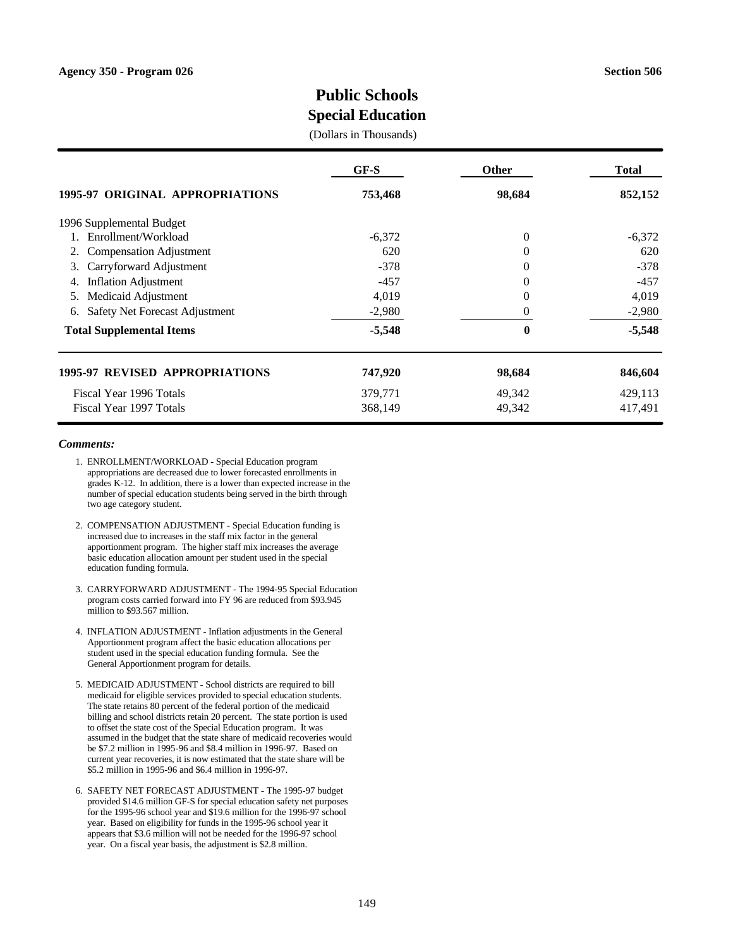# **Public Schools**

# **Special Education**

(Dollars in Thousands)

|                                       | $GF-S$   | <b>Other</b>   | <b>Total</b> |
|---------------------------------------|----------|----------------|--------------|
| 1995-97 ORIGINAL APPROPRIATIONS       | 753,468  | 98,684         | 852,152      |
| 1996 Supplemental Budget              |          |                |              |
| 1. Enrollment/Workload                | $-6,372$ | $\overline{0}$ | $-6,372$     |
| <b>Compensation Adjustment</b><br>2.  | 620      | 0              | 620          |
| Carryforward Adjustment<br>3.         | $-378$   | $\theta$       | $-378$       |
| <b>Inflation Adjustment</b><br>4.     | $-457$   | 0              | $-457$       |
| Medicaid Adjustment<br>5.             | 4,019    | 0              | 4,019        |
| Safety Net Forecast Adjustment<br>6.  | $-2,980$ | 0              | $-2,980$     |
| <b>Total Supplemental Items</b>       | $-5,548$ | $\bf{0}$       | $-5,548$     |
| <b>1995-97 REVISED APPROPRIATIONS</b> | 747,920  | 98,684         | 846,604      |
| Fiscal Year 1996 Totals               | 379,771  | 49,342         | 429,113      |
| Fiscal Year 1997 Totals               | 368,149  | 49,342         | 417,491      |

- 1. ENROLLMENT/WORKLOAD Special Education program appropriations are decreased due to lower forecasted enrollments in grades K-12. In addition, there is a lower than expected increase in the number of special education students being served in the birth through two age category student.
- 2. COMPENSATION ADJUSTMENT Special Education funding is increased due to increases in the staff mix factor in the general apportionment program. The higher staff mix increases the average basic education allocation amount per student used in the special education funding formula.
- 3. CARRYFORWARD ADJUSTMENT The 1994-95 Special Education program costs carried forward into FY 96 are reduced from \$93.945 million to \$93.567 million.
- 4. INFLATION ADJUSTMENT Inflation adjustments in the General Apportionment program affect the basic education allocations per student used in the special education funding formula. See the General Apportionment program for details.
- 5. MEDICAID ADJUSTMENT School districts are required to bill medicaid for eligible services provided to special education students. The state retains 80 percent of the federal portion of the medicaid billing and school districts retain 20 percent. The state portion is used to offset the state cost of the Special Education program. It was assumed in the budget that the state share of medicaid recoveries would be \$7.2 million in 1995-96 and \$8.4 million in 1996-97. Based on current year recoveries, it is now estimated that the state share will be \$5.2 million in 1995-96 and \$6.4 million in 1996-97.
- 6. SAFETY NET FORECAST ADJUSTMENT The 1995-97 budget provided \$14.6 million GF-S for special education safety net purposes for the 1995-96 school year and \$19.6 million for the 1996-97 school year. Based on eligibility for funds in the 1995-96 school year it appears that \$3.6 million will not be needed for the 1996-97 school year. On a fiscal year basis, the adjustment is \$2.8 million.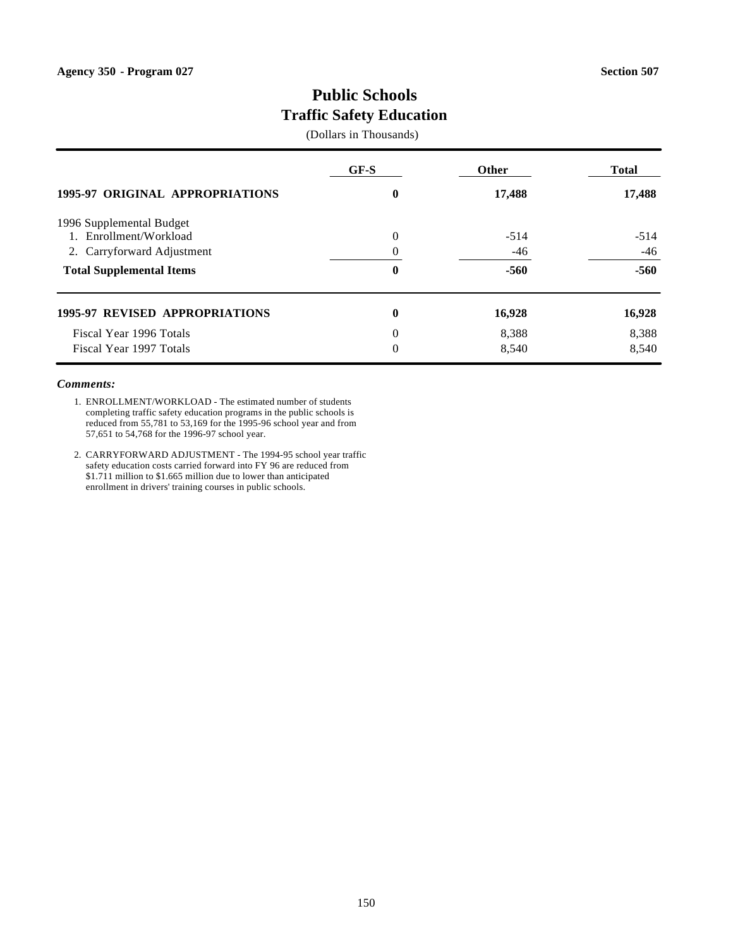# **Public Schools Traffic Safety Education**

(Dollars in Thousands)

|                                        | $GF-S$   | <b>Other</b> | <b>Total</b> |
|----------------------------------------|----------|--------------|--------------|
| <b>1995-97 ORIGINAL APPROPRIATIONS</b> | 0        | 17,488       | 17,488       |
| 1996 Supplemental Budget               |          |              |              |
| 1. Enrollment/Workload                 | $\Omega$ | $-514$       | $-514$       |
| 2. Carryforward Adjustment             |          | $-46$        | $-46$        |
| <b>Total Supplemental Items</b>        | 0        | $-560$       | $-560$       |
| 1995-97 REVISED APPROPRIATIONS         | $\bf{0}$ | 16,928       | 16,928       |
| Fiscal Year 1996 Totals                | $\Omega$ | 8,388        | 8,388        |
| Fiscal Year 1997 Totals                | $\Omega$ | 8,540        | 8,540        |

- 1. ENROLLMENT/WORKLOAD The estimated number of students completing traffic safety education programs in the public schools is reduced from 55,781 to 53,169 for the 1995-96 school year and from 57,651 to 54,768 for the 1996-97 school year.
- 2. CARRYFORWARD ADJUSTMENT The 1994-95 school year traffic safety education costs carried forward into FY 96 are reduced from \$1.711 million to \$1.665 million due to lower than anticipated enrollment in drivers' training courses in public schools.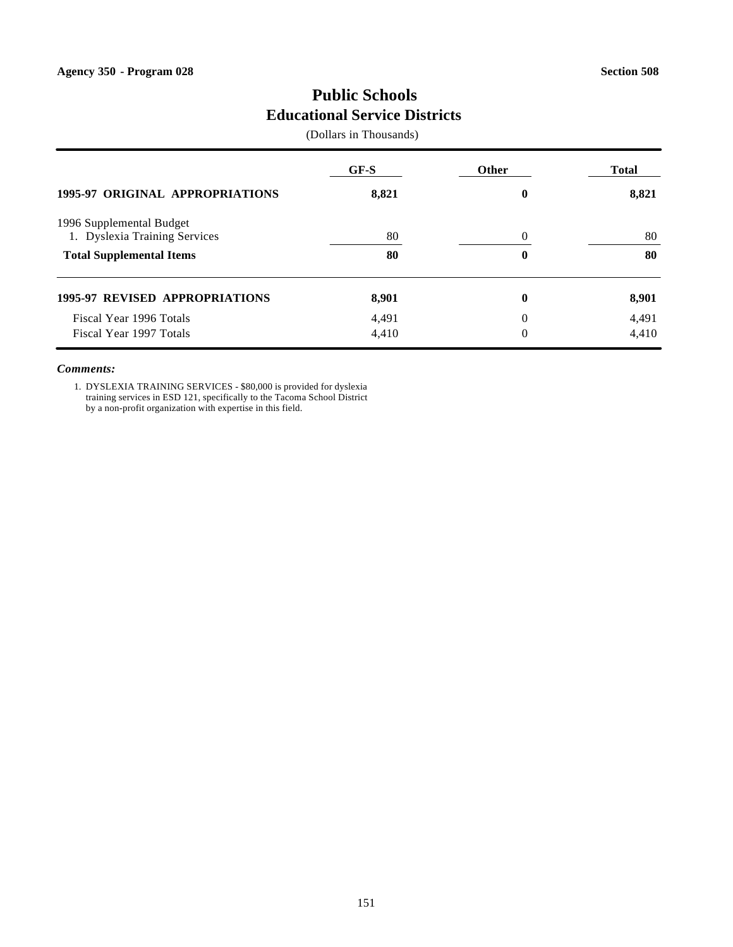# **Public Schools Educational Service Districts**

(Dollars in Thousands)

|                                                           | GF-S  | Other    | Total |
|-----------------------------------------------------------|-------|----------|-------|
| <b>1995-97 ORIGINAL APPROPRIATIONS</b>                    | 8,821 | $\bf{0}$ | 8,821 |
| 1996 Supplemental Budget<br>1. Dyslexia Training Services | 80    | $\Omega$ | 80    |
| <b>Total Supplemental Items</b>                           | 80    | $\bf{0}$ | 80    |
| <b>1995-97 REVISED APPROPRIATIONS</b>                     | 8,901 | $\bf{0}$ | 8,901 |
| Fiscal Year 1996 Totals                                   | 4,491 | $\Omega$ | 4,491 |
| Fiscal Year 1997 Totals                                   | 4,410 | $\theta$ | 4,410 |

#### *Comments:*

1. DYSLEXIA TRAINING SERVICES - \$80,000 is provided for dyslexia training services in ESD 121, specifically to the Tacoma School District by a non-profit organization with expertise in this field.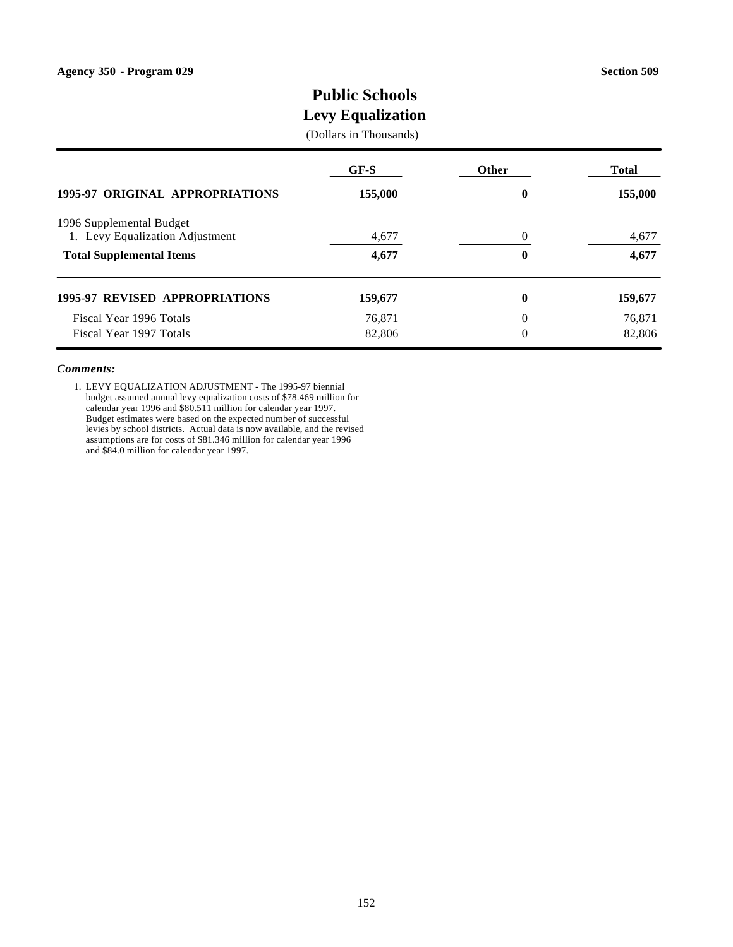# **Public Schools**

# **Levy Equalization**

### (Dollars in Thousands)

|                                                             | GF-S    | <b>Other</b> | <b>Total</b> |
|-------------------------------------------------------------|---------|--------------|--------------|
| <b>1995-97 ORIGINAL APPROPRIATIONS</b>                      | 155,000 | $\bf{0}$     | 155,000      |
| 1996 Supplemental Budget<br>1. Levy Equalization Adjustment | 4,677   | 0            | 4,677        |
| <b>Total Supplemental Items</b>                             | 4,677   | 0            | 4,677        |
| <b>1995-97 REVISED APPROPRIATIONS</b>                       | 159,677 | $\bf{0}$     | 159,677      |
| Fiscal Year 1996 Totals                                     | 76,871  | $\Omega$     | 76,871       |
| Fiscal Year 1997 Totals                                     | 82,806  | 0            | 82,806       |

#### *Comments:*

1. LEVY EQUALIZATION ADJUSTMENT - The 1995-97 biennial budget assumed annual levy equalization costs of \$78.469 million for calendar year 1996 and \$80.511 million for calendar year 1997. Budget estimates were based on the expected number of successful levies by school districts. Actual data is now available, and the revised assumptions are for costs of \$81.346 million for calendar year 1996 and \$84.0 million for calendar year 1997.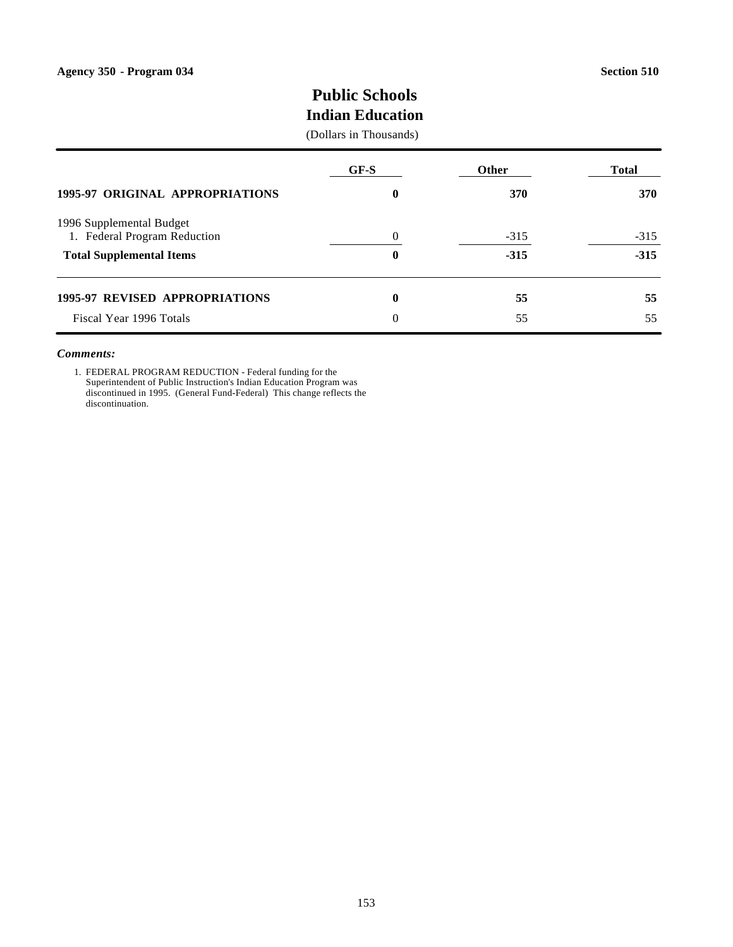# **Public Schools**

# **Indian Education**

### (Dollars in Thousands)

|                                        | GF-S     | <b>Other</b> | Total  |
|----------------------------------------|----------|--------------|--------|
| <b>1995-97 ORIGINAL APPROPRIATIONS</b> | 0        | 370          | 370    |
| 1996 Supplemental Budget               |          |              |        |
| 1. Federal Program Reduction           | $\Omega$ | $-315$       | $-315$ |
| <b>Total Supplemental Items</b>        | 0        | $-315$       | $-315$ |
| <b>1995-97 REVISED APPROPRIATIONS</b>  | $\bf{0}$ | 55           | 55     |
| Fiscal Year 1996 Totals                | $\theta$ | 55           | 55     |

#### *Comments:*

1. FEDERAL PROGRAM REDUCTION - Federal funding for the Superintendent of Public Instruction's Indian Education Program was discontinued in 1995. (General Fund-Federal) This change reflects the discontinuation.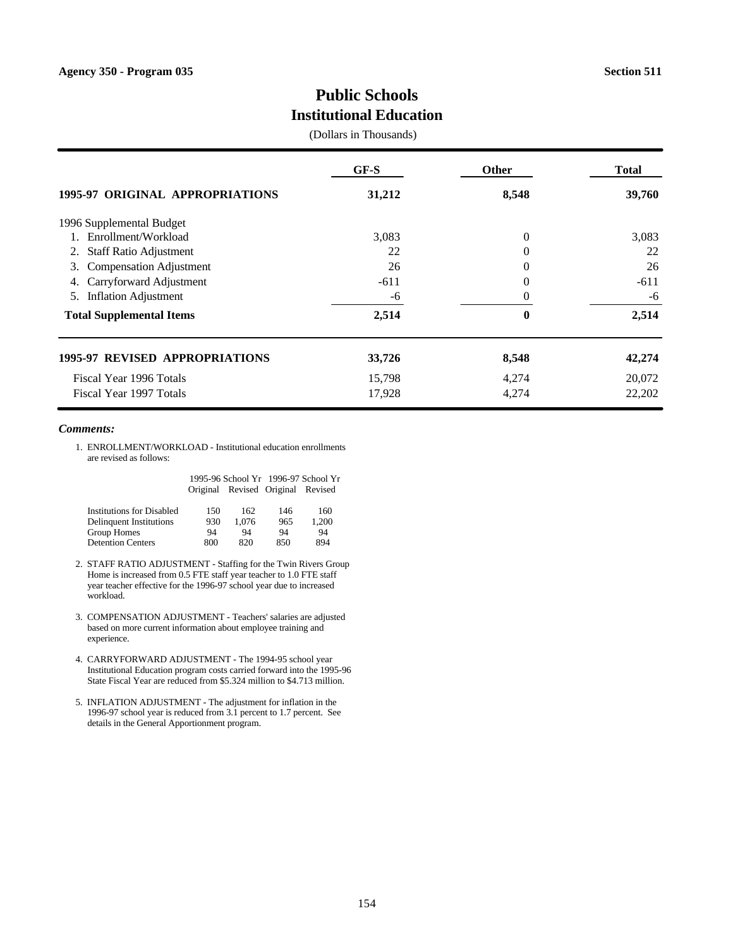# **Public Schools Institutional Education**

(Dollars in Thousands)

|                                       | $GF-S$ | <b>Other</b>   | <b>Total</b> |
|---------------------------------------|--------|----------------|--------------|
| 1995-97 ORIGINAL APPROPRIATIONS       | 31,212 | 8,548          | 39,760       |
| 1996 Supplemental Budget              |        |                |              |
| 1. Enrollment/Workload                | 3,083  | $\overline{0}$ | 3,083        |
| <b>Staff Ratio Adjustment</b><br>2.   | 22     | $\overline{0}$ | 22           |
| <b>Compensation Adjustment</b><br>3.  | 26     | $\theta$       | 26           |
| Carryforward Adjustment<br>4.         | $-611$ | 0              | $-611$       |
| <b>Inflation Adjustment</b><br>5.     | -6     | 0              | -6           |
| <b>Total Supplemental Items</b>       | 2,514  | $\bf{0}$       | 2,514        |
| <b>1995-97 REVISED APPROPRIATIONS</b> | 33,726 | 8,548          | 42,274       |
| Fiscal Year 1996 Totals               | 15,798 | 4,274          | 20,072       |
| Fiscal Year 1997 Totals               | 17,928 | 4,274          | 22,202       |

#### *Comments:*

Detention Centers

1. ENROLLMENT/WORKLOAD - Institutional education enrollments are revised as follows:

|                                  |     |                                   |     | 1995-96 School Yr 1996-97 School Yr |
|----------------------------------|-----|-----------------------------------|-----|-------------------------------------|
|                                  |     | Original Revised Original Revised |     |                                     |
| <b>Institutions for Disabled</b> | 150 | 162.                              | 146 | 160                                 |
| <b>Delinquent Institutions</b>   | 930 | 1.076                             | 965 | 1.200                               |
| Group Homes                      | 94  | 94                                | 94  | 94                                  |

2. STAFF RATIO ADJUSTMENT - Staffing for the Twin Rivers Group Home is increased from 0.5 FTE staff year teacher to 1.0 FTE staff year teacher effective for the 1996-97 school year due to increased workload.

Group Homes 94 94 94 94<br>Detention Centers 800 820 850 894

- 3. COMPENSATION ADJUSTMENT Teachers' salaries are adjusted based on more current information about employee training and experience.
- 4. CARRYFORWARD ADJUSTMENT The 1994-95 school year Institutional Education program costs carried forward into the 1995-96 State Fiscal Year are reduced from \$5.324 million to \$4.713 million.
- 5. INFLATION ADJUSTMENT The adjustment for inflation in the 1996-97 school year is reduced from 3.1 percent to 1.7 percent. See details in the General Apportionment program.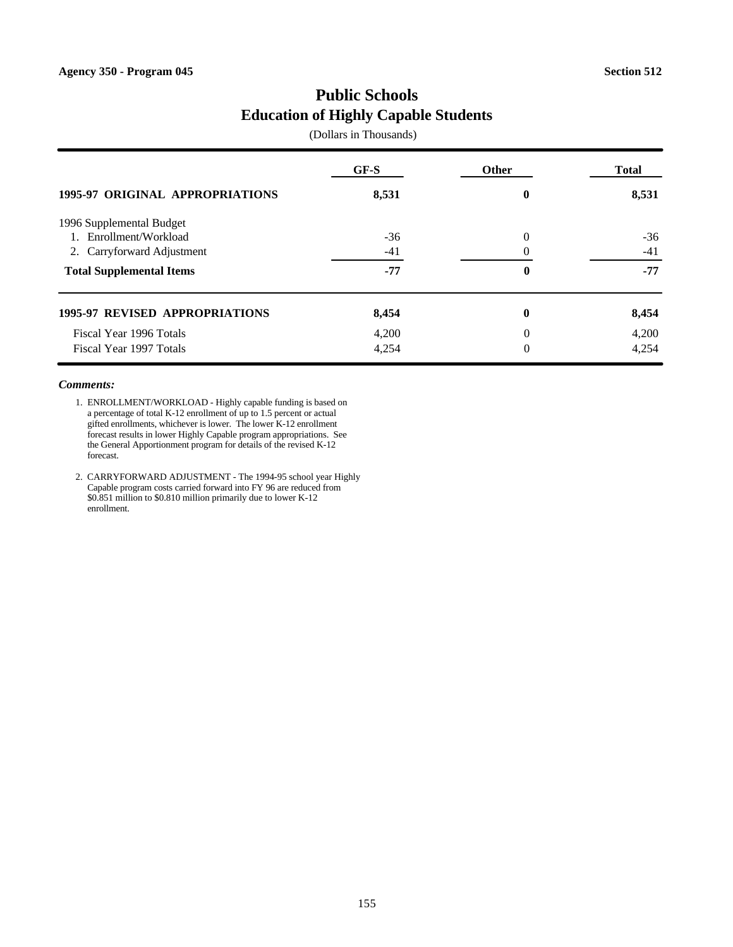# **Public Schools Education of Highly Capable Students**

(Dollars in Thousands)

| <b>1995-97 ORIGINAL APPROPRIATIONS</b> | $GF-S$ | <b>Other</b>     | <b>Total</b> |
|----------------------------------------|--------|------------------|--------------|
|                                        | 8,531  | $\boldsymbol{0}$ | 8,531        |
| 1996 Supplemental Budget               |        |                  |              |
| 1. Enrollment/Workload                 | $-36$  | $\Omega$         | $-36$        |
| 2. Carryforward Adjustment             | $-41$  |                  | $-41$        |
| <b>Total Supplemental Items</b>        | $-77$  | $\mathbf{0}$     | $-77$        |
| <b>1995-97 REVISED APPROPRIATIONS</b>  | 8,454  | $\boldsymbol{0}$ | 8,454        |
| Fiscal Year 1996 Totals                | 4,200  | $\Omega$         | 4,200        |
| Fiscal Year 1997 Totals                | 4,254  | $\overline{0}$   | 4,254        |

- 1. ENROLLMENT/WORKLOAD Highly capable funding is based on a percentage of total K-12 enrollment of up to 1.5 percent or actual gifted enrollments, whichever is lower. The lower K-12 enrollment forecast results in lower Highly Capable program appropriations. See the General Apportionment program for details of the revised K-12 forecast.
- 2. CARRYFORWARD ADJUSTMENT The 1994-95 school year Highly Capable program costs carried forward into FY 96 are reduced from \$0.851 million to \$0.810 million primarily due to lower K-12 enrollment.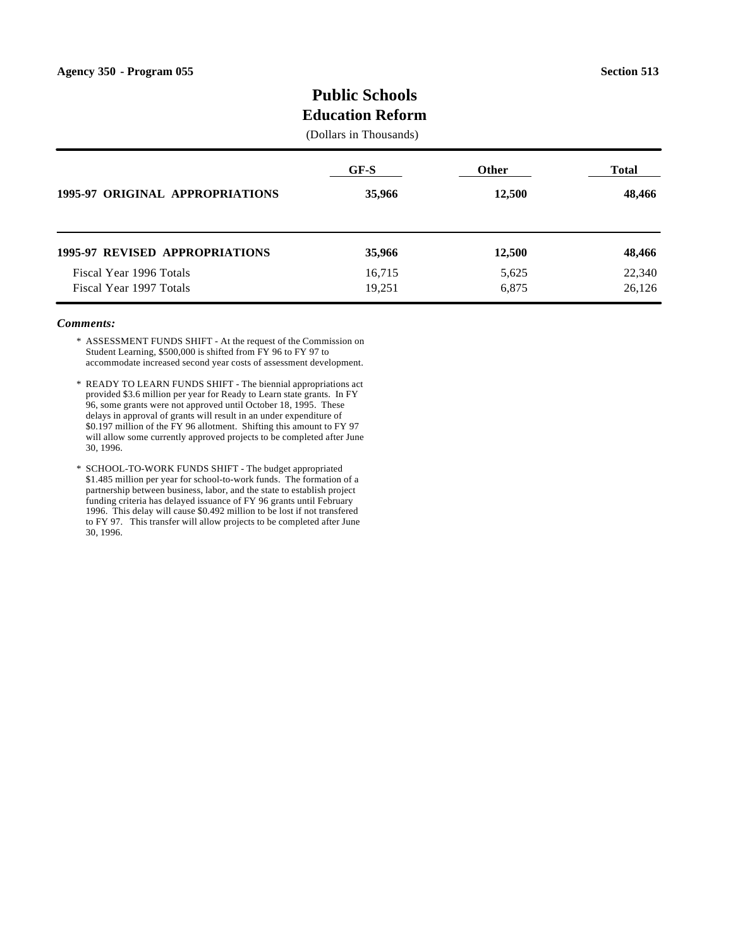## **Public Schools Education Reform**

## (Dollars in Thousands)

| <b>1995-97 ORIGINAL APPROPRIATIONS</b> | GF-S   | <b>Other</b> | <b>Total</b> |
|----------------------------------------|--------|--------------|--------------|
|                                        | 35,966 | 12,500       | 48,466       |
| <b>1995-97 REVISED APPROPRIATIONS</b>  | 35,966 | 12,500       | 48,466       |
| Fiscal Year 1996 Totals                | 16,715 | 5,625        | 22,340       |
| Fiscal Year 1997 Totals                | 19,251 | 6,875        | 26,126       |

- \* ASSESSMENT FUNDS SHIFT At the request of the Commission on Student Learning, \$500,000 is shifted from FY 96 to FY 97 to accommodate increased second year costs of assessment development.
- \* READY TO LEARN FUNDS SHIFT The biennial appropriations act provided \$3.6 million per year for Ready to Learn state grants. In FY 96, some grants were not approved until October 18, 1995. These delays in approval of grants will result in an under expenditure of \$0.197 million of the FY 96 allotment. Shifting this amount to FY 97 will allow some currently approved projects to be completed after June 30, 1996.
- \* SCHOOL-TO-WORK FUNDS SHIFT The budget appropriated \$1.485 million per year for school-to-work funds. The formation of a partnership between business, labor, and the state to establish project funding criteria has delayed issuance of FY 96 grants until February 1996. This delay will cause \$0.492 million to be lost if not transfered to FY 97. This transfer will allow projects to be completed after June 30, 1996.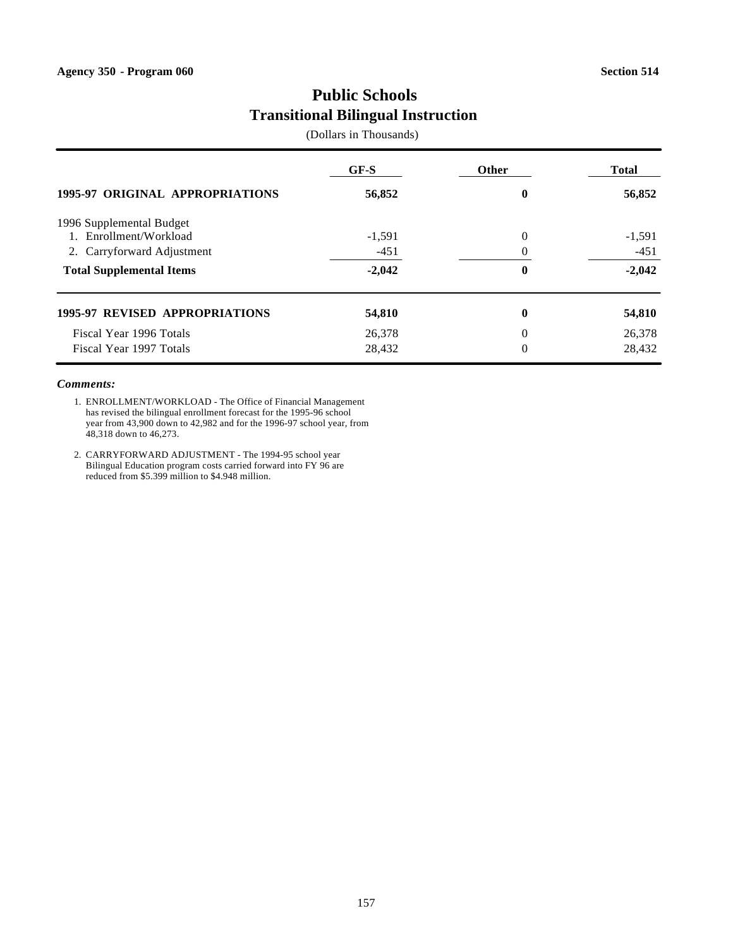# **Public Schools Transitional Bilingual Instruction**

(Dollars in Thousands)

|                                        | $GF-S$   | <b>Other</b>     | <b>Total</b> |
|----------------------------------------|----------|------------------|--------------|
| <b>1995-97 ORIGINAL APPROPRIATIONS</b> | 56,852   | $\boldsymbol{0}$ | 56,852       |
| 1996 Supplemental Budget               |          |                  |              |
| 1. Enrollment/Workload                 | $-1,591$ | $\Omega$         | $-1,591$     |
| 2. Carryforward Adjustment             | $-451$   |                  | $-451$       |
| <b>Total Supplemental Items</b>        | $-2,042$ | $\bf{0}$         | $-2,042$     |
| <b>1995-97 REVISED APPROPRIATIONS</b>  | 54,810   | $\boldsymbol{0}$ | 54,810       |
| Fiscal Year 1996 Totals                | 26,378   | $\theta$         | 26,378       |
| Fiscal Year 1997 Totals                | 28,432   | $\theta$         | 28,432       |

#### *Comments:*

1. ENROLLMENT/WORKLOAD - The Office of Financial Management has revised the bilingual enrollment forecast for the 1995-96 school year from 43,900 down to 42,982 and for the 1996-97 school year, from 48,318 down to 46,273.

2. CARRYFORWARD ADJUSTMENT - The 1994-95 school year Bilingual Education program costs carried forward into FY 96 are reduced from \$5.399 million to \$4.948 million.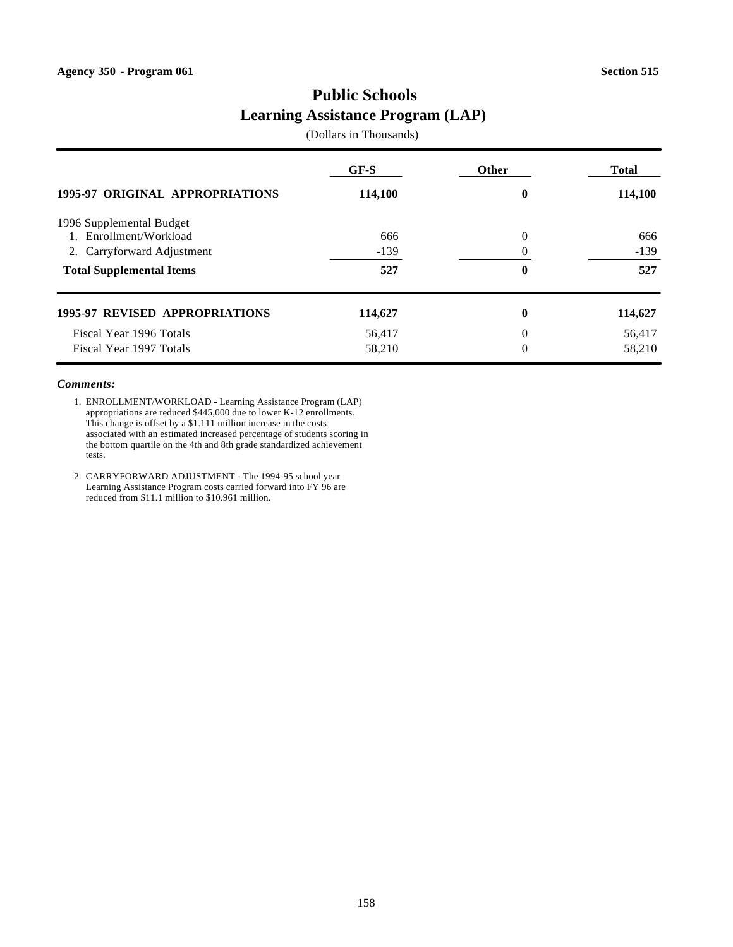# **Public Schools Learning Assistance Program (LAP)**

(Dollars in Thousands)

|                                       | GF-S    | Other            | <b>Total</b> |
|---------------------------------------|---------|------------------|--------------|
| 1995-97 ORIGINAL APPROPRIATIONS       | 114,100 | $\bf{0}$         | 114,100      |
| 1996 Supplemental Budget              |         |                  |              |
| 1. Enrollment/Workload                | 666     | $\theta$         | 666          |
| 2. Carryforward Adjustment            | $-139$  |                  | $-139$       |
| <b>Total Supplemental Items</b>       | 527     | $\bf{0}$         | 527          |
| <b>1995-97 REVISED APPROPRIATIONS</b> | 114,627 | $\boldsymbol{0}$ | 114,627      |
| Fiscal Year 1996 Totals               | 56,417  | $\theta$         | 56,417       |
| Fiscal Year 1997 Totals               | 58,210  | $\theta$         | 58,210       |

- 1. ENROLLMENT/WORKLOAD Learning Assistance Program (LAP) appropriations are reduced \$445,000 due to lower K-12 enrollments. This change is offset by a \$1.111 million increase in the costs associated with an estimated increased percentage of students scoring in the bottom quartile on the 4th and 8th grade standardized achievement tests.
- 2. CARRYFORWARD ADJUSTMENT The 1994-95 school year Learning Assistance Program costs carried forward into FY 96 are reduced from \$11.1 million to \$10.961 million.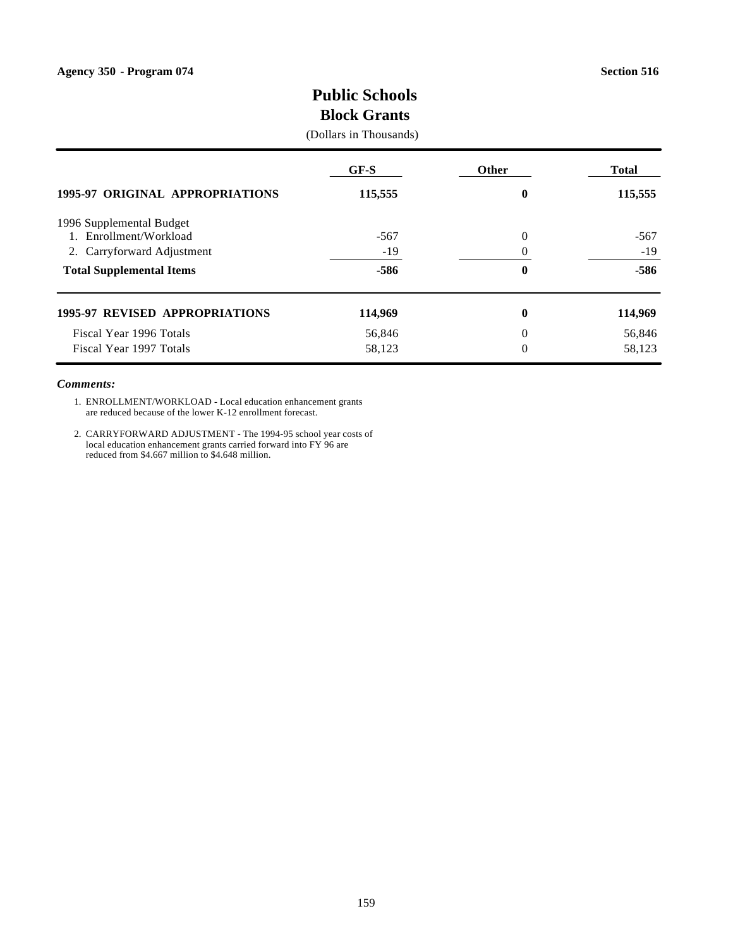# **Public Schools Block Grants**

#### (Dollars in Thousands)

|                                       | GF-S    | Other          | <b>Total</b> |
|---------------------------------------|---------|----------------|--------------|
| 1995-97 ORIGINAL APPROPRIATIONS       | 115,555 | $\bf{0}$       | 115,555      |
| 1996 Supplemental Budget              |         |                |              |
| Enrollment/Workload                   | $-567$  | $\Omega$       | $-567$       |
| 2. Carryforward Adjustment            | $-19$   |                | $-19$        |
| <b>Total Supplemental Items</b>       | $-586$  | $\bf{0}$       | $-586$       |
| <b>1995-97 REVISED APPROPRIATIONS</b> | 114,969 | $\bf{0}$       | 114,969      |
| Fiscal Year 1996 Totals               | 56,846  | $\Omega$       | 56,846       |
| Fiscal Year 1997 Totals               | 58,123  | $\overline{0}$ | 58,123       |

#### *Comments:*

1. ENROLLMENT/WORKLOAD - Local education enhancement grants are reduced because of the lower K-12 enrollment forecast.

2. CARRYFORWARD ADJUSTMENT - The 1994-95 school year costs of local education enhancement grants carried forward into FY 96 are reduced from \$4.667 million to \$4.648 million.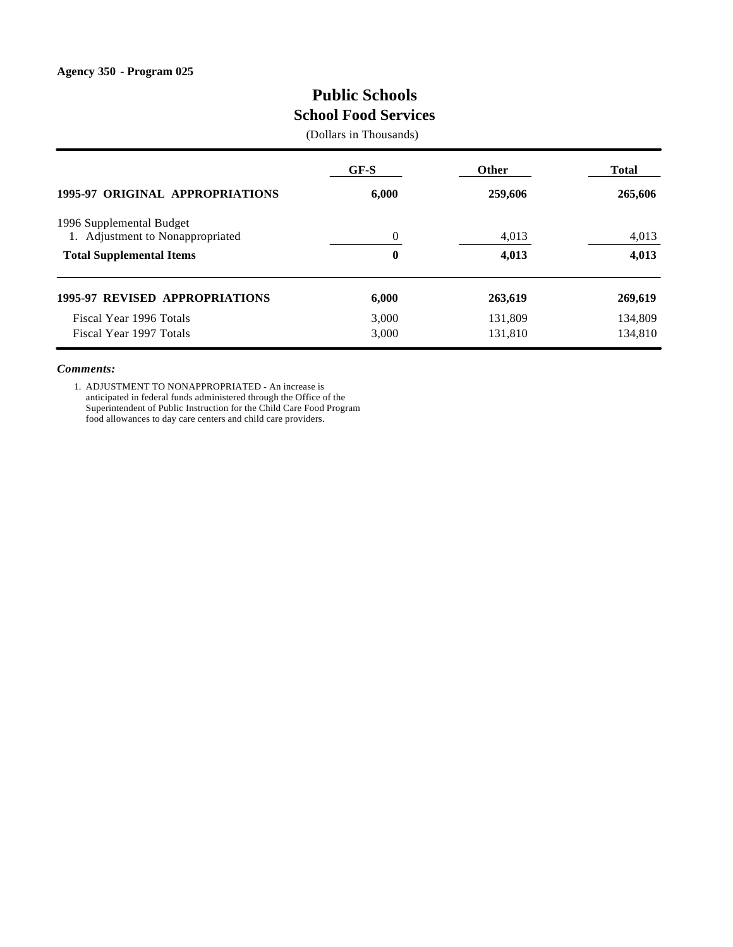# **Public Schools School Food Services**

(Dollars in Thousands)

|                                                              | $GF-S$   | <b>Other</b> | <b>Total</b> |
|--------------------------------------------------------------|----------|--------------|--------------|
| <b>1995-97 ORIGINAL APPROPRIATIONS</b>                       | 6,000    | 259,606      | 265,606      |
| 1996 Supplemental Budget<br>1. Adjustment to Nonappropriated | $\Omega$ | 4,013        | 4,013        |
| <b>Total Supplemental Items</b>                              | $\bf{0}$ | 4,013        | 4,013        |
| <b>1995-97 REVISED APPROPRIATIONS</b>                        | 6,000    | 263,619      | 269,619      |
| Fiscal Year 1996 Totals                                      | 3,000    | 131,809      | 134,809      |
| Fiscal Year 1997 Totals                                      | 3,000    | 131,810      | 134,810      |

#### *Comments:*

1. ADJUSTMENT TO NONAPPROPRIATED - An increase is anticipated in federal funds administered through the Office of the Superintendent of Public Instruction for the Child Care Food Program food allowances to day care centers and child care providers.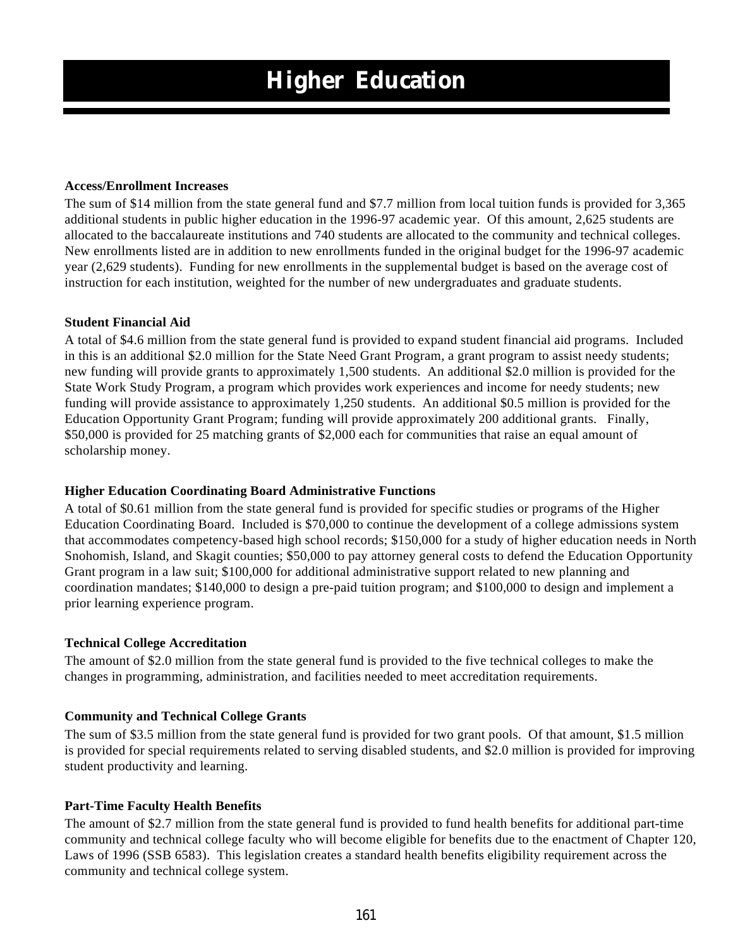#### **Access/Enrollment Increases**

The sum of \$14 million from the state general fund and \$7.7 million from local tuition funds is provided for 3,365 additional students in public higher education in the 1996-97 academic year. Of this amount, 2,625 students are allocated to the baccalaureate institutions and 740 students are allocated to the community and technical colleges. New enrollments listed are in addition to new enrollments funded in the original budget for the 1996-97 academic year (2,629 students). Funding for new enrollments in the supplemental budget is based on the average cost of instruction for each institution, weighted for the number of new undergraduates and graduate students.

#### **Student Financial Aid**

A total of \$4.6 million from the state general fund is provided to expand student financial aid programs. Included in this is an additional \$2.0 million for the State Need Grant Program, a grant program to assist needy students; new funding will provide grants to approximately 1,500 students. An additional \$2.0 million is provided for the State Work Study Program, a program which provides work experiences and income for needy students; new funding will provide assistance to approximately 1,250 students. An additional \$0.5 million is provided for the Education Opportunity Grant Program; funding will provide approximately 200 additional grants. Finally, \$50,000 is provided for 25 matching grants of \$2,000 each for communities that raise an equal amount of scholarship money.

### **Higher Education Coordinating Board Administrative Functions**

A total of \$0.61 million from the state general fund is provided for specific studies or programs of the Higher Education Coordinating Board. Included is \$70,000 to continue the development of a college admissions system that accommodates competency-based high school records; \$150,000 for a study of higher education needs in North Snohomish, Island, and Skagit counties; \$50,000 to pay attorney general costs to defend the Education Opportunity Grant program in a law suit; \$100,000 for additional administrative support related to new planning and coordination mandates; \$140,000 to design a pre-paid tuition program; and \$100,000 to design and implement a prior learning experience program.

### **Technical College Accreditation**

The amount of \$2.0 million from the state general fund is provided to the five technical colleges to make the changes in programming, administration, and facilities needed to meet accreditation requirements.

#### **Community and Technical College Grants**

The sum of \$3.5 million from the state general fund is provided for two grant pools. Of that amount, \$1.5 million is provided for special requirements related to serving disabled students, and \$2.0 million is provided for improving student productivity and learning.

### **Part-Time Faculty Health Benefits**

The amount of \$2.7 million from the state general fund is provided to fund health benefits for additional part-time community and technical college faculty who will become eligible for benefits due to the enactment of Chapter 120, Laws of 1996 (SSB 6583). This legislation creates a standard health benefits eligibility requirement across the community and technical college system.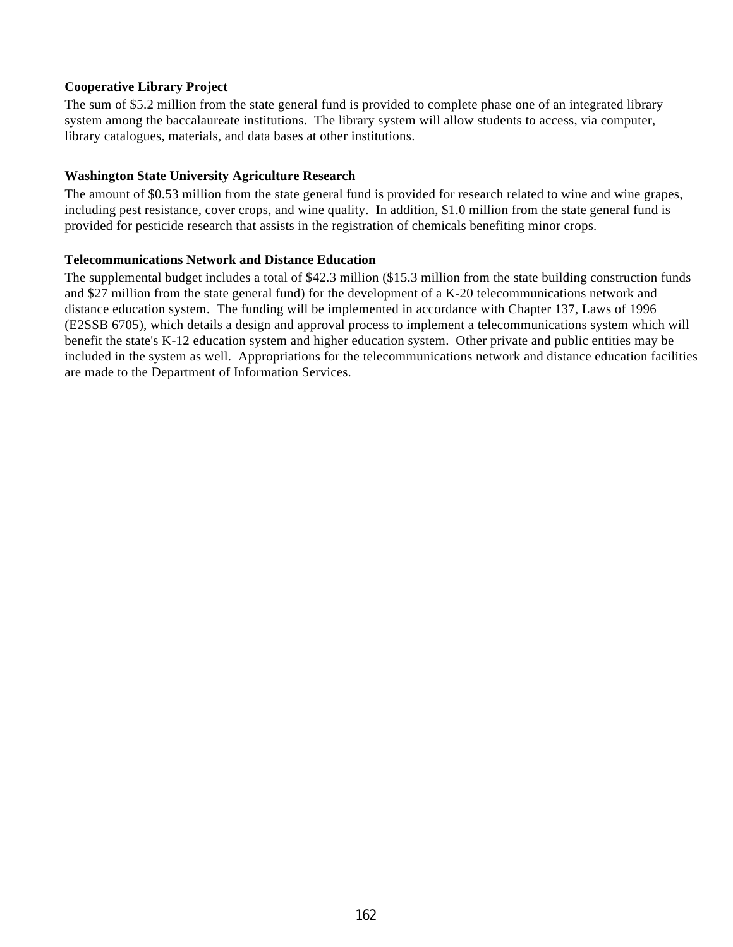### **Cooperative Library Project**

The sum of \$5.2 million from the state general fund is provided to complete phase one of an integrated library system among the baccalaureate institutions. The library system will allow students to access, via computer, library catalogues, materials, and data bases at other institutions.

### **Washington State University Agriculture Research**

The amount of \$0.53 million from the state general fund is provided for research related to wine and wine grapes, including pest resistance, cover crops, and wine quality. In addition, \$1.0 million from the state general fund is provided for pesticide research that assists in the registration of chemicals benefiting minor crops.

### **Telecommunications Network and Distance Education**

The supplemental budget includes a total of \$42.3 million (\$15.3 million from the state building construction funds and \$27 million from the state general fund) for the development of a K-20 telecommunications network and distance education system. The funding will be implemented in accordance with Chapter 137, Laws of 1996 (E2SSB 6705), which details a design and approval process to implement a telecommunications system which will benefit the state's K-12 education system and higher education system. Other private and public entities may be included in the system as well. Appropriations for the telecommunications network and distance education facilities are made to the Department of Information Services.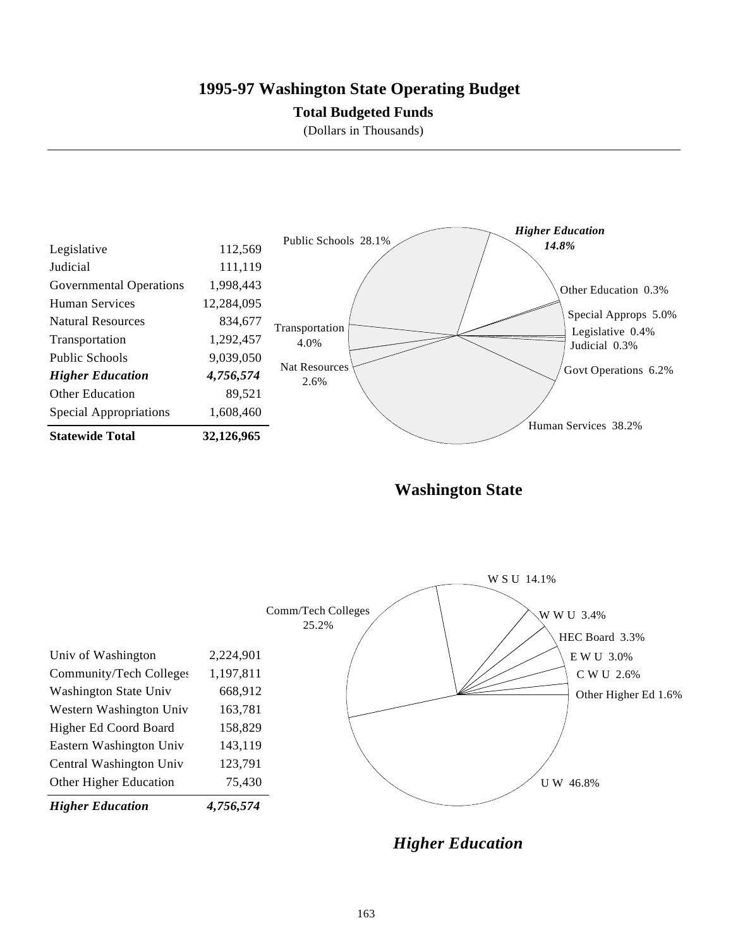## **1995-97 Washington State Operating Budget**

### **Total Budgeted Funds**

(Dollars in Thousands)



**Washington State**



*Higher Education*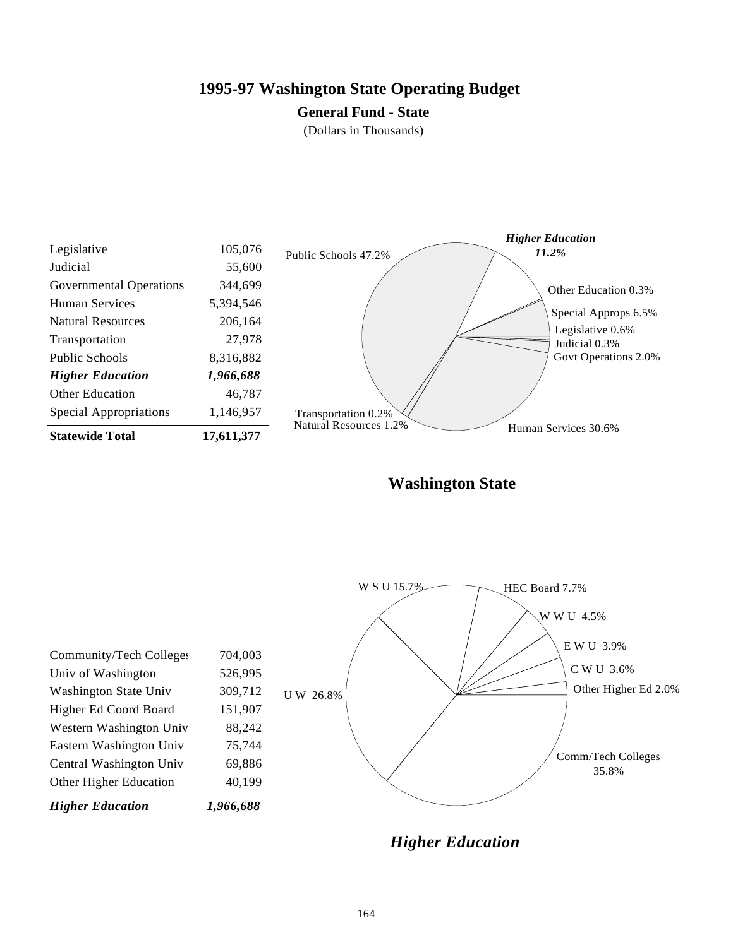## **1995-97 Washington State Operating Budget**

### **General Fund - State**

(Dollars in Thousands)



**Washington State**



*Higher Education*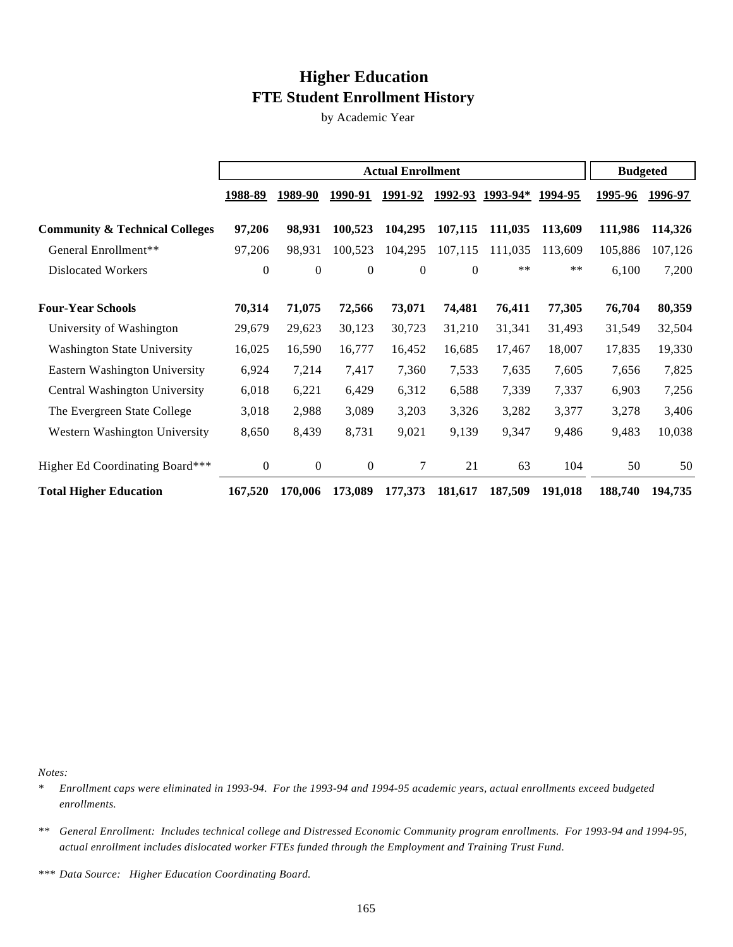# **Higher Education FTE Student Enrollment History**

by Academic Year

|                                           | <b>Actual Enrollment</b> |                  |                  | <b>Budgeted</b>  |                  |                  |                |                |         |
|-------------------------------------------|--------------------------|------------------|------------------|------------------|------------------|------------------|----------------|----------------|---------|
|                                           | 1988-89                  | 1989-90          | 1990-91          | <u>1991-92</u>   |                  | 1992-93 1993-94* | <u>1994-95</u> | <u>1995-96</u> | 1996-97 |
| <b>Community &amp; Technical Colleges</b> | 97,206                   | 98,931           | 100,523          | 104,295          | 107,115          | 111,035          | 113,609        | 111,986        | 114,326 |
| General Enrollment**                      | 97,206                   | 98,931           | 100,523          | 104,295          | 107,115          | 111,035          | 113,609        | 105,886        | 107,126 |
| <b>Dislocated Workers</b>                 | $\theta$                 | $\mathbf{0}$     | $\boldsymbol{0}$ | $\boldsymbol{0}$ | $\boldsymbol{0}$ | $***$            | $***$          | 6,100          | 7,200   |
| <b>Four-Year Schools</b>                  | 70,314                   | 71,075           | 72,566           | 73,071           | 74,481           | 76,411           | 77,305         | 76,704         | 80,359  |
| University of Washington                  | 29,679                   | 29,623           | 30,123           | 30,723           | 31,210           | 31,341           | 31,493         | 31,549         | 32,504  |
| <b>Washington State University</b>        | 16,025                   | 16,590           | 16,777           | 16,452           | 16,685           | 17,467           | 18,007         | 17,835         | 19,330  |
| Eastern Washington University             | 6,924                    | 7,214            | 7,417            | 7,360            | 7,533            | 7,635            | 7,605          | 7,656          | 7,825   |
| <b>Central Washington University</b>      | 6,018                    | 6,221            | 6,429            | 6,312            | 6,588            | 7,339            | 7,337          | 6,903          | 7,256   |
| The Evergreen State College               | 3,018                    | 2,988            | 3,089            | 3,203            | 3,326            | 3,282            | 3,377          | 3,278          | 3,406   |
| Western Washington University             | 8,650                    | 8,439            | 8,731            | 9,021            | 9,139            | 9,347            | 9,486          | 9,483          | 10,038  |
| Higher Ed Coordinating Board***           | $\overline{0}$           | $\boldsymbol{0}$ | $\boldsymbol{0}$ | 7                | 21               | 63               | 104            | 50             | 50      |
| <b>Total Higher Education</b>             | 167,520                  | 170,006          | 173,089          | 177,373          | 181,617          | 187,509          | 191,018        | 188,740        | 194,735 |

*Notes:*

*\* Enrollment caps were eliminated in 1993-94. For the 1993-94 and 1994-95 academic years, actual enrollments exceed budgeted enrollments.*

*\*\* General Enrollment: Includes technical college and Distressed Economic Community program enrollments. For 1993-94 and 1994-95, actual enrollment includes dislocated worker FTEs funded through the Employment and Training Trust Fund.*

*\*\*\* Data Source: Higher Education Coordinating Board.*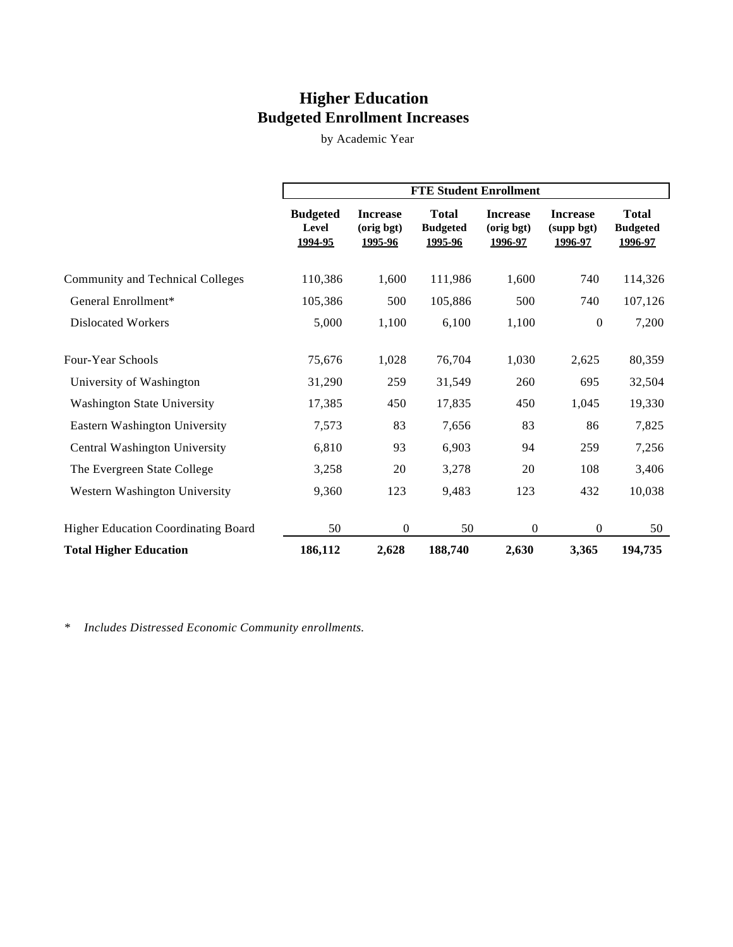# **Higher Education Budgeted Enrollment Increases**

by Academic Year

|                                            | <b>FTE Student Enrollment</b>       |                                          |                                            |                                          |                                          |                                            |
|--------------------------------------------|-------------------------------------|------------------------------------------|--------------------------------------------|------------------------------------------|------------------------------------------|--------------------------------------------|
|                                            | <b>Budgeted</b><br>Level<br>1994-95 | <b>Increase</b><br>(orig bgt)<br>1995-96 | <b>Total</b><br><b>Budgeted</b><br>1995-96 | <b>Increase</b><br>(orig bgt)<br>1996-97 | <b>Increase</b><br>(supp bgt)<br>1996-97 | <b>Total</b><br><b>Budgeted</b><br>1996-97 |
| <b>Community and Technical Colleges</b>    | 110,386                             | 1,600                                    | 111,986                                    | 1,600                                    | 740                                      | 114,326                                    |
| General Enrollment*                        | 105,386                             | 500                                      | 105,886                                    | 500                                      | 740                                      | 107,126                                    |
| <b>Dislocated Workers</b>                  | 5,000                               | 1,100                                    | 6,100                                      | 1,100                                    | $\boldsymbol{0}$                         | 7,200                                      |
| Four-Year Schools                          | 75,676                              | 1,028                                    | 76,704                                     | 1,030                                    | 2,625                                    | 80,359                                     |
| University of Washington                   | 31,290                              | 259                                      | 31,549                                     | 260                                      | 695                                      | 32,504                                     |
| <b>Washington State University</b>         | 17,385                              | 450                                      | 17,835                                     | 450                                      | 1,045                                    | 19,330                                     |
| Eastern Washington University              | 7,573                               | 83                                       | 7,656                                      | 83                                       | 86                                       | 7,825                                      |
| Central Washington University              | 6,810                               | 93                                       | 6,903                                      | 94                                       | 259                                      | 7,256                                      |
| The Evergreen State College                | 3,258                               | 20                                       | 3,278                                      | 20                                       | 108                                      | 3,406                                      |
| Western Washington University              | 9,360                               | 123                                      | 9,483                                      | 123                                      | 432                                      | 10,038                                     |
| <b>Higher Education Coordinating Board</b> | 50                                  | $\boldsymbol{0}$                         | 50                                         | $\boldsymbol{0}$                         | $\overline{0}$                           | 50                                         |
| <b>Total Higher Education</b>              | 186,112                             | 2,628                                    | 188,740                                    | 2,630                                    | 3,365                                    | 194,735                                    |

*\* Includes Distressed Economic Community enrollments.*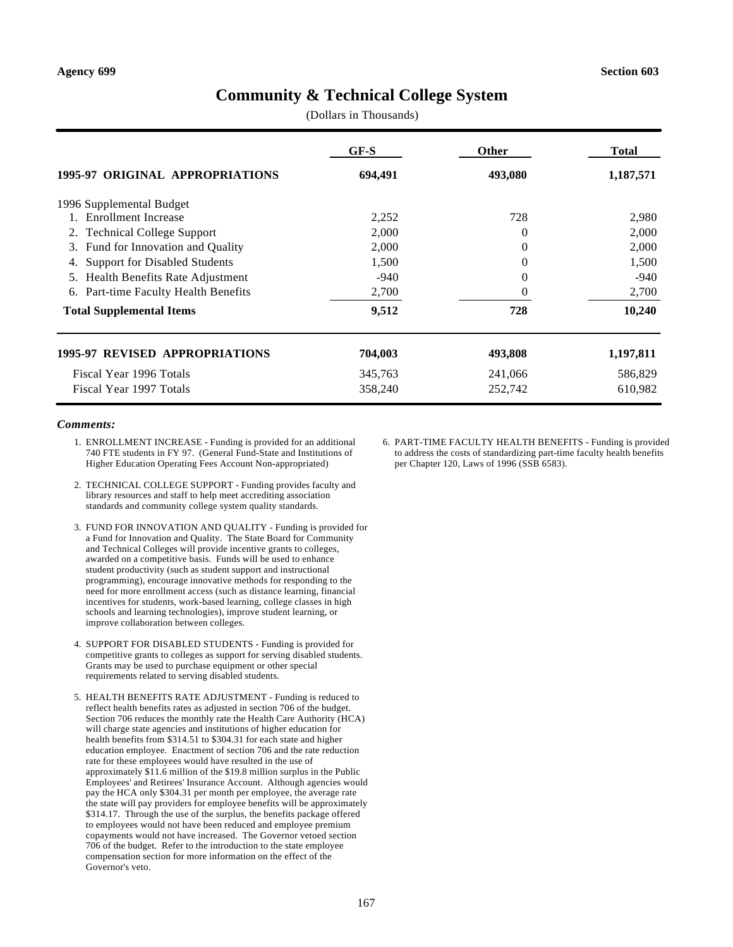# **Community & Technical College System**

(Dollars in Thousands)

|                                            | GF-S    | Other    | <b>Total</b> |
|--------------------------------------------|---------|----------|--------------|
| 1995-97 ORIGINAL APPROPRIATIONS            | 694,491 | 493,080  | 1,187,571    |
| 1996 Supplemental Budget                   |         |          |              |
| <b>Enrollment Increase</b>                 | 2,252   | 728      | 2,980        |
| <b>Technical College Support</b><br>2.     | 2,000   | $\theta$ | 2,000        |
| Fund for Innovation and Quality<br>3.      | 2,000   | 0        | 2,000        |
| <b>Support for Disabled Students</b><br>4. | 1,500   | 0        | 1,500        |
| Health Benefits Rate Adjustment<br>5.      | -940    | 0        | -940         |
| Part-time Faculty Health Benefits<br>6.    | 2,700   | 0        | 2,700        |
| <b>Total Supplemental Items</b>            | 9,512   | 728      | 10,240       |
| <b>1995-97 REVISED APPROPRIATIONS</b>      | 704,003 | 493,808  | 1,197,811    |
| Fiscal Year 1996 Totals                    | 345,763 | 241,066  | 586,829      |
| Fiscal Year 1997 Totals                    | 358,240 | 252,742  | 610,982      |

#### *Comments:*

- 1. ENROLLMENT INCREASE Funding is provided for an additional 740 FTE students in FY 97. (General Fund-State and Institutions of Higher Education Operating Fees Account Non-appropriated)
- 2. TECHNICAL COLLEGE SUPPORT Funding provides faculty and library resources and staff to help meet accrediting association standards and community college system quality standards.
- 3. FUND FOR INNOVATION AND QUALITY Funding is provided for a Fund for Innovation and Quality. The State Board for Community and Technical Colleges will provide incentive grants to colleges, awarded on a competitive basis. Funds will be used to enhance student productivity (such as student support and instructional programming), encourage innovative methods for responding to the need for more enrollment access (such as distance learning, financial incentives for students, work-based learning, college classes in high schools and learning technologies), improve student learning, or improve collaboration between colleges.
- 4. SUPPORT FOR DISABLED STUDENTS Funding is provided for competitive grants to colleges as support for serving disabled students. Grants may be used to purchase equipment or other special requirements related to serving disabled students.
- 5. HEALTH BENEFITS RATE ADJUSTMENT Funding is reduced to reflect health benefits rates as adjusted in section 706 of the budget. Section 706 reduces the monthly rate the Health Care Authority (HCA) will charge state agencies and institutions of higher education for health benefits from \$314.51 to \$304.31 for each state and higher education employee. Enactment of section 706 and the rate reduction rate for these employees would have resulted in the use of approximately \$11.6 million of the \$19.8 million surplus in the Public Employees' and Retirees' Insurance Account. Although agencies would pay the HCA only \$304.31 per month per employee, the average rate the state will pay providers for employee benefits will be approximately \$314.17. Through the use of the surplus, the benefits package offered to employees would not have been reduced and employee premium copayments would not have increased. The Governor vetoed section 706 of the budget. Refer to the introduction to the state employee compensation section for more information on the effect of the Governor's veto.

6. PART-TIME FACULTY HEALTH BENEFITS - Funding is provided to address the costs of standardizing part-time faculty health benefits per Chapter 120, Laws of 1996 (SSB 6583).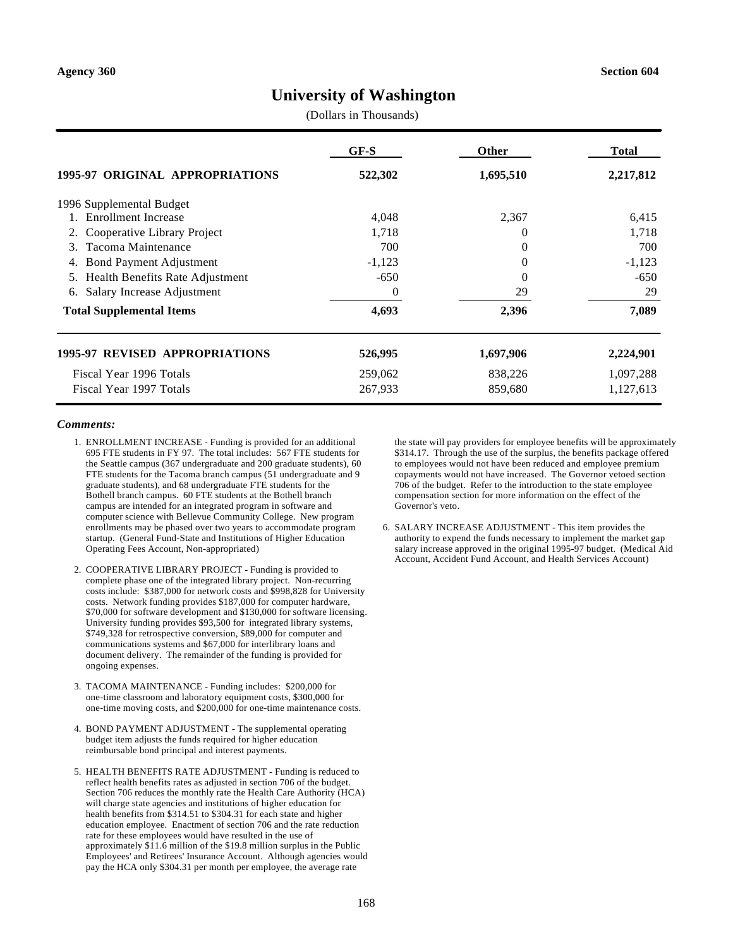## **University of Washington**

(Dollars in Thousands)

|                                       | GF-S     | <b>Other</b> | Total     |
|---------------------------------------|----------|--------------|-----------|
| 1995-97 ORIGINAL APPROPRIATIONS       | 522,302  | 1,695,510    | 2,217,812 |
| 1996 Supplemental Budget              |          |              |           |
| <b>Enrollment Increase</b>            | 4,048    | 2,367        | 6,415     |
| Cooperative Library Project<br>2.     | 1,718    | 0            | 1,718     |
| Tacoma Maintenance<br>3.              | 700      | 0            | 700       |
| <b>Bond Payment Adjustment</b><br>4.  | $-1,123$ | 0            | $-1,123$  |
| Health Benefits Rate Adjustment<br>5. | $-650$   | 0            | $-650$    |
| Salary Increase Adjustment<br>6.      | $\theta$ | 29           | 29        |
| <b>Total Supplemental Items</b>       | 4,693    | 2,396        | 7,089     |
| <b>1995-97 REVISED APPROPRIATIONS</b> | 526,995  | 1,697,906    | 2,224,901 |
| Fiscal Year 1996 Totals               | 259,062  | 838,226      | 1,097,288 |
| Fiscal Year 1997 Totals               | 267,933  | 859,680      | 1,127,613 |

#### *Comments:*

- 1. ENROLLMENT INCREASE Funding is provided for an additional 695 FTE students in FY 97. The total includes: 567 FTE students for the Seattle campus (367 undergraduate and 200 graduate students), 60 FTE students for the Tacoma branch campus (51 undergraduate and 9 graduate students), and 68 undergraduate FTE students for the Bothell branch campus. 60 FTE students at the Bothell branch campus are intended for an integrated program in software and computer science with Bellevue Community College. New program enrollments may be phased over two years to accommodate program startup. (General Fund-State and Institutions of Higher Education Operating Fees Account, Non-appropriated)
- 2. COOPERATIVE LIBRARY PROJECT Funding is provided to complete phase one of the integrated library project. Non-recurring costs include: \$387,000 for network costs and \$998,828 for University costs. Network funding provides \$187,000 for computer hardware, \$70,000 for software development and \$130,000 for software licensing. University funding provides \$93,500 for integrated library systems, \$749,328 for retrospective conversion, \$89,000 for computer and communications systems and \$67,000 for interlibrary loans and document delivery. The remainder of the funding is provided for ongoing expenses.
- 3. TACOMA MAINTENANCE Funding includes: \$200,000 for one-time classroom and laboratory equipment costs, \$300,000 for one-time moving costs, and \$200,000 for one-time maintenance costs.
- 4. BOND PAYMENT ADJUSTMENT The supplemental operating budget item adjusts the funds required for higher education reimbursable bond principal and interest payments.
- 5. HEALTH BENEFITS RATE ADJUSTMENT Funding is reduced to reflect health benefits rates as adjusted in section 706 of the budget. Section 706 reduces the monthly rate the Health Care Authority (HCA) will charge state agencies and institutions of higher education for health benefits from \$314.51 to \$304.31 for each state and higher education employee. Enactment of section 706 and the rate reduction rate for these employees would have resulted in the use of approximately \$11.6 million of the \$19.8 million surplus in the Public Employees' and Retirees' Insurance Account. Although agencies would pay the HCA only \$304.31 per month per employee, the average rate

the state will pay providers for employee benefits will be approximately \$314.17. Through the use of the surplus, the benefits package offered to employees would not have been reduced and employee premium copayments would not have increased. The Governor vetoed section 706 of the budget. Refer to the introduction to the state employee compensation section for more information on the effect of the Governor's veto.

6. SALARY INCREASE ADJUSTMENT - This item provides the authority to expend the funds necessary to implement the market gap salary increase approved in the original 1995-97 budget. (Medical Aid Account, Accident Fund Account, and Health Services Account)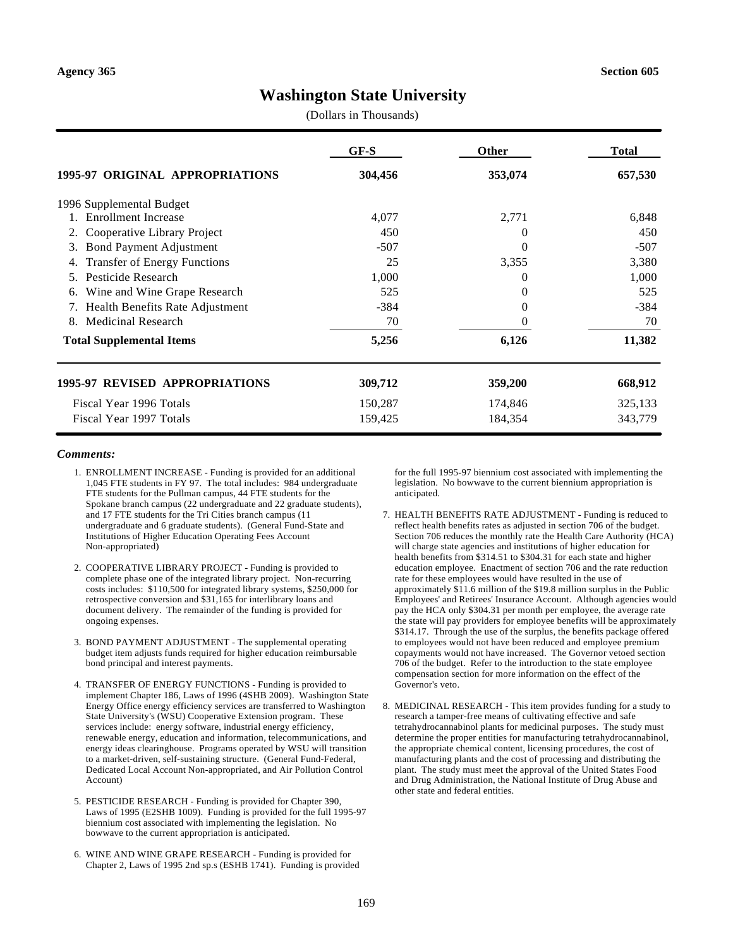# **Washington State University**

(Dollars in Thousands)

|                                           | GF-S    | Other   | <b>Total</b> |
|-------------------------------------------|---------|---------|--------------|
| 1995-97 ORIGINAL APPROPRIATIONS           | 304,456 | 353,074 | 657,530      |
| 1996 Supplemental Budget                  |         |         |              |
| <b>Enrollment Increase</b>                | 4,077   | 2,771   | 6,848        |
| Cooperative Library Project<br>2.         | 450     | 0       | 450          |
| <b>Bond Payment Adjustment</b><br>3.      | $-507$  | 0       | $-507$       |
| <b>Transfer of Energy Functions</b><br>4. | 25      | 3,355   | 3,380        |
| Pesticide Research<br>5.                  | 1,000   | 0       | 1,000        |
| Wine and Wine Grape Research<br>6.        | 525     | 0       | 525          |
| Health Benefits Rate Adjustment           | $-384$  | 0       | $-384$       |
| Medicinal Research<br>8.                  | 70      | 0       | 70           |
| <b>Total Supplemental Items</b>           | 5,256   | 6,126   | 11,382       |
| <b>1995-97 REVISED APPROPRIATIONS</b>     | 309,712 | 359,200 | 668,912      |
| Fiscal Year 1996 Totals                   | 150,287 | 174,846 | 325,133      |
| Fiscal Year 1997 Totals                   | 159,425 | 184,354 | 343,779      |

#### *Comments:*

- 1. ENROLLMENT INCREASE Funding is provided for an additional 1,045 FTE students in FY 97. The total includes: 984 undergraduate FTE students for the Pullman campus, 44 FTE students for the Spokane branch campus (22 undergraduate and 22 graduate students), and 17 FTE students for the Tri Cities branch campus (11 undergraduate and 6 graduate students). (General Fund-State and Institutions of Higher Education Operating Fees Account Non-appropriated)
- 2. COOPERATIVE LIBRARY PROJECT Funding is provided to complete phase one of the integrated library project. Non-recurring costs includes: \$110,500 for integrated library systems, \$250,000 for retrospective conversion and \$31,165 for interlibrary loans and document delivery. The remainder of the funding is provided for ongoing expenses.
- 3. BOND PAYMENT ADJUSTMENT The supplemental operating budget item adjusts funds required for higher education reimbursable bond principal and interest payments.
- 4. TRANSFER OF ENERGY FUNCTIONS Funding is provided to implement Chapter 186, Laws of 1996 (4SHB 2009). Washington State Energy Office energy efficiency services are transferred to Washington State University's (WSU) Cooperative Extension program. These services include: energy software, industrial energy efficiency, renewable energy, education and information, telecommunications, and energy ideas clearinghouse. Programs operated by WSU will transition to a market-driven, self-sustaining structure. (General Fund-Federal, Dedicated Local Account Non-appropriated, and Air Pollution Control Account)
- 5. PESTICIDE RESEARCH Funding is provided for Chapter 390, Laws of 1995 (E2SHB 1009). Funding is provided for the full 1995-97 biennium cost associated with implementing the legislation. No bowwave to the current appropriation is anticipated.
- 6. WINE AND WINE GRAPE RESEARCH Funding is provided for Chapter 2, Laws of 1995 2nd sp.s (ESHB 1741). Funding is provided

for the full 1995-97 biennium cost associated with implementing the legislation. No bowwave to the current biennium appropriation is anticipated.

- 7. HEALTH BENEFITS RATE ADJUSTMENT Funding is reduced to reflect health benefits rates as adjusted in section 706 of the budget. Section 706 reduces the monthly rate the Health Care Authority (HCA) will charge state agencies and institutions of higher education for health benefits from \$314.51 to \$304.31 for each state and higher education employee. Enactment of section 706 and the rate reduction rate for these employees would have resulted in the use of approximately \$11.6 million of the \$19.8 million surplus in the Public Employees' and Retirees' Insurance Account. Although agencies would pay the HCA only \$304.31 per month per employee, the average rate the state will pay providers for employee benefits will be approximately \$314.17. Through the use of the surplus, the benefits package offered to employees would not have been reduced and employee premium copayments would not have increased. The Governor vetoed section 706 of the budget. Refer to the introduction to the state employee compensation section for more information on the effect of the Governor's veto.
- 8. MEDICINAL RESEARCH This item provides funding for a study to research a tamper-free means of cultivating effective and safe tetrahydrocannabinol plants for medicinal purposes. The study must determine the proper entities for manufacturing tetrahydrocannabinol, the appropriate chemical content, licensing procedures, the cost of manufacturing plants and the cost of processing and distributing the plant. The study must meet the approval of the United States Food and Drug Administration, the National Institute of Drug Abuse and other state and federal entities.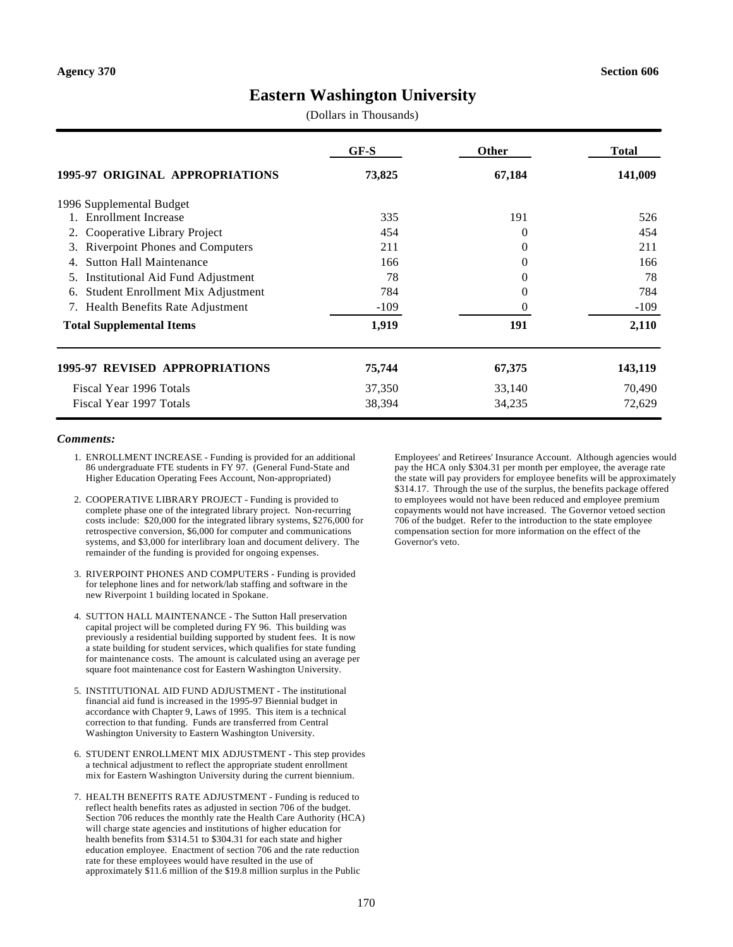## **Eastern Washington University**

(Dollars in Thousands)

|                                                | $GF-S$ | <b>Other</b> | <b>Total</b> |
|------------------------------------------------|--------|--------------|--------------|
| 1995-97 ORIGINAL APPROPRIATIONS                | 73,825 | 67,184       | 141,009      |
| 1996 Supplemental Budget                       |        |              |              |
| 1. Enrollment Increase                         | 335    | 191          | 526          |
| Cooperative Library Project<br>2.              | 454    | 0            | 454          |
| <b>Riverpoint Phones and Computers</b><br>3.   | 211    | 0            | 211          |
| <b>Sutton Hall Maintenance</b>                 | 166    | 0            | 166          |
| <b>Institutional Aid Fund Adjustment</b><br>5. | 78     | 0            | 78           |
| Student Enrollment Mix Adjustment<br>6.        | 784    | 0            | 784          |
| Health Benefits Rate Adjustment                | $-109$ | $\Omega$     | $-109$       |
| <b>Total Supplemental Items</b>                | 1,919  | 191          | 2,110        |
| <b>1995-97 REVISED APPROPRIATIONS</b>          | 75,744 | 67,375       | 143,119      |
| Fiscal Year 1996 Totals                        | 37,350 | 33,140       | 70,490       |
| Fiscal Year 1997 Totals                        | 38,394 | 34,235       | 72,629       |

#### *Comments:*

- 1. ENROLLMENT INCREASE Funding is provided for an additional 86 undergraduate FTE students in FY 97. (General Fund-State and Higher Education Operating Fees Account, Non-appropriated)
- 2. COOPERATIVE LIBRARY PROJECT Funding is provided to complete phase one of the integrated library project. Non-recurring costs include: \$20,000 for the integrated library systems, \$276,000 for retrospective conversion, \$6,000 for computer and communications systems, and \$3,000 for interlibrary loan and document delivery. The remainder of the funding is provided for ongoing expenses.
- 3. RIVERPOINT PHONES AND COMPUTERS Funding is provided for telephone lines and for network/lab staffing and software in the new Riverpoint 1 building located in Spokane.
- 4. SUTTON HALL MAINTENANCE The Sutton Hall preservation capital project will be completed during FY 96. This building was previously a residential building supported by student fees. It is now a state building for student services, which qualifies for state funding for maintenance costs. The amount is calculated using an average per square foot maintenance cost for Eastern Washington University.
- 5. INSTITUTIONAL AID FUND ADJUSTMENT The institutional financial aid fund is increased in the 1995-97 Biennial budget in accordance with Chapter 9, Laws of 1995. This item is a technical correction to that funding. Funds are transferred from Central Washington University to Eastern Washington University.
- 6. STUDENT ENROLLMENT MIX ADJUSTMENT This step provides a technical adjustment to reflect the appropriate student enrollment mix for Eastern Washington University during the current biennium.
- 7. HEALTH BENEFITS RATE ADJUSTMENT Funding is reduced to reflect health benefits rates as adjusted in section 706 of the budget. Section 706 reduces the monthly rate the Health Care Authority (HCA) will charge state agencies and institutions of higher education for health benefits from \$314.51 to \$304.31 for each state and higher education employee. Enactment of section 706 and the rate reduction rate for these employees would have resulted in the use of approximately \$11.6 million of the \$19.8 million surplus in the Public

Employees' and Retirees' Insurance Account. Although agencies would pay the HCA only \$304.31 per month per employee, the average rate the state will pay providers for employee benefits will be approximately \$314.17. Through the use of the surplus, the benefits package offered to employees would not have been reduced and employee premium copayments would not have increased. The Governor vetoed section 706 of the budget. Refer to the introduction to the state employee compensation section for more information on the effect of the Governor's veto.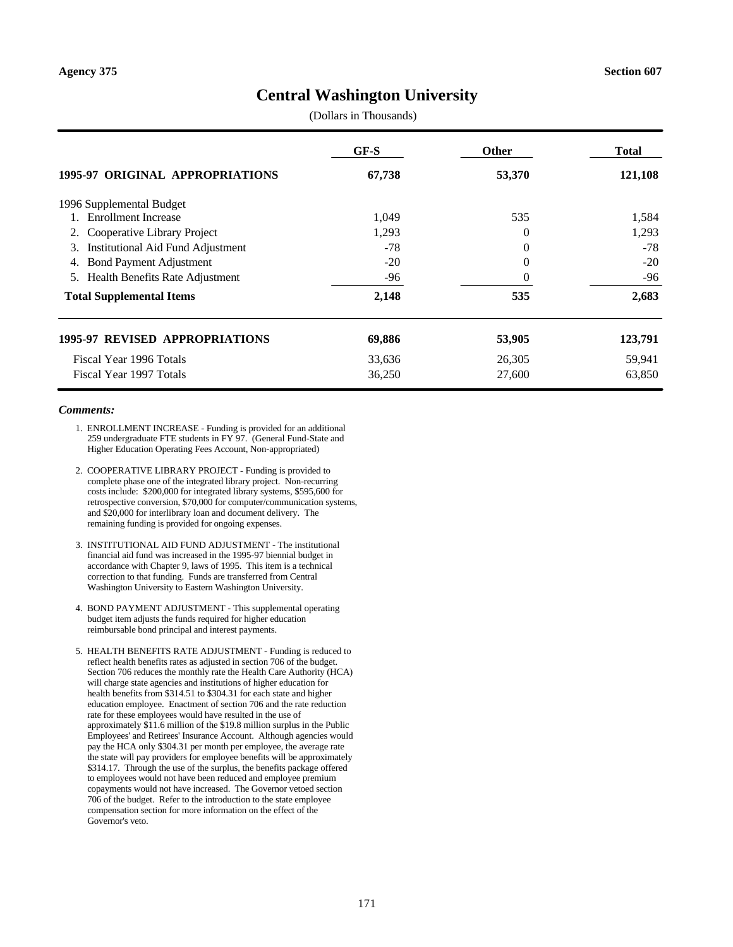## **Central Washington University**

(Dollars in Thousands)

|                                                | GF-S   | <b>Other</b> | Total   |
|------------------------------------------------|--------|--------------|---------|
| 1995-97 ORIGINAL APPROPRIATIONS                | 67,738 | 53,370       | 121,108 |
| 1996 Supplemental Budget                       |        |              |         |
| 1. Enrollment Increase                         | 1,049  | 535          | 1,584   |
| 2. Cooperative Library Project                 | 1,293  | $\Omega$     | 1,293   |
| <b>Institutional Aid Fund Adjustment</b><br>3. | $-78$  | $\Omega$     | $-78$   |
| <b>Bond Payment Adjustment</b><br>4.           | $-20$  | $\Omega$     | $-20$   |
| Health Benefits Rate Adjustment<br>5.          | -96    | $\theta$     | -96     |
| <b>Total Supplemental Items</b>                | 2,148  | 535          | 2,683   |
| <b>1995-97 REVISED APPROPRIATIONS</b>          | 69,886 | 53,905       | 123,791 |
| Fiscal Year 1996 Totals                        | 33,636 | 26,305       | 59,941  |
| Fiscal Year 1997 Totals                        | 36,250 | 27,600       | 63,850  |

- 1. ENROLLMENT INCREASE Funding is provided for an additional 259 undergraduate FTE students in FY 97. (General Fund-State and Higher Education Operating Fees Account, Non-appropriated)
- 2. COOPERATIVE LIBRARY PROJECT Funding is provided to complete phase one of the integrated library project. Non-recurring costs include: \$200,000 for integrated library systems, \$595,600 for retrospective conversion, \$70,000 for computer/communication systems, and \$20,000 for interlibrary loan and document delivery. The remaining funding is provided for ongoing expenses.
- 3. INSTITUTIONAL AID FUND ADJUSTMENT The institutional financial aid fund was increased in the 1995-97 biennial budget in accordance with Chapter 9, laws of 1995. This item is a technical correction to that funding. Funds are transferred from Central Washington University to Eastern Washington University.
- 4. BOND PAYMENT ADJUSTMENT This supplemental operating budget item adjusts the funds required for higher education reimbursable bond principal and interest payments.
- 5. HEALTH BENEFITS RATE ADJUSTMENT Funding is reduced to reflect health benefits rates as adjusted in section 706 of the budget. Section 706 reduces the monthly rate the Health Care Authority (HCA) will charge state agencies and institutions of higher education for health benefits from \$314.51 to \$304.31 for each state and higher education employee. Enactment of section 706 and the rate reduction rate for these employees would have resulted in the use of approximately \$11.6 million of the \$19.8 million surplus in the Public Employees' and Retirees' Insurance Account. Although agencies would pay the HCA only \$304.31 per month per employee, the average rate the state will pay providers for employee benefits will be approximately \$314.17. Through the use of the surplus, the benefits package offered to employees would not have been reduced and employee premium copayments would not have increased. The Governor vetoed section 706 of the budget. Refer to the introduction to the state employee compensation section for more information on the effect of the Governor's veto.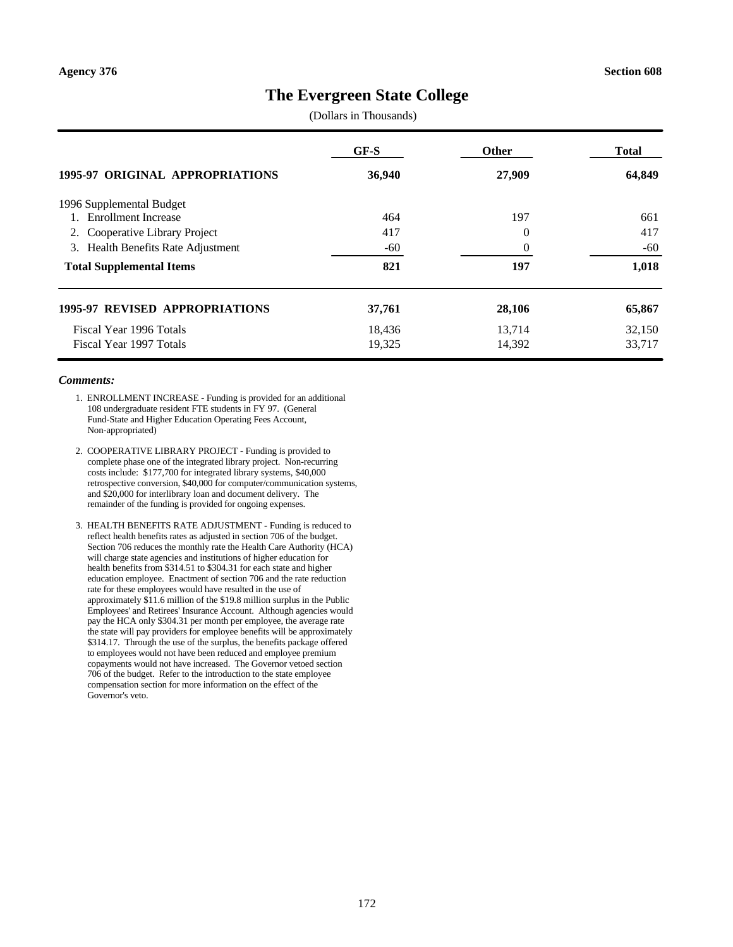## **The Evergreen State College**

(Dollars in Thousands)

|                                       | GF-S   | <b>Other</b> | <b>Total</b> |
|---------------------------------------|--------|--------------|--------------|
| 1995-97 ORIGINAL APPROPRIATIONS       | 36,940 | 27,909       | 64,849       |
| 1996 Supplemental Budget              |        |              |              |
| 1. Enrollment Increase                | 464    | 197          | 661          |
| 2. Cooperative Library Project        | 417    | $\theta$     | 417          |
| 3. Health Benefits Rate Adjustment    | $-60$  | $\theta$     | $-60$        |
| <b>Total Supplemental Items</b>       | 821    | 197          | 1,018        |
| <b>1995-97 REVISED APPROPRIATIONS</b> | 37,761 | 28,106       | 65,867       |
| Fiscal Year 1996 Totals               | 18,436 | 13,714       | 32,150       |
| Fiscal Year 1997 Totals               | 19,325 | 14,392       | 33.717       |

- 1. ENROLLMENT INCREASE Funding is provided for an additional 108 undergraduate resident FTE students in FY 97. (General Fund-State and Higher Education Operating Fees Account, Non-appropriated)
- 2. COOPERATIVE LIBRARY PROJECT Funding is provided to complete phase one of the integrated library project. Non-recurring costs include: \$177,700 for integrated library systems, \$40,000 retrospective conversion, \$40,000 for computer/communication systems, and \$20,000 for interlibrary loan and document delivery. The remainder of the funding is provided for ongoing expenses.
- 3. HEALTH BENEFITS RATE ADJUSTMENT Funding is reduced to reflect health benefits rates as adjusted in section 706 of the budget. Section 706 reduces the monthly rate the Health Care Authority (HCA) will charge state agencies and institutions of higher education for health benefits from \$314.51 to \$304.31 for each state and higher education employee. Enactment of section 706 and the rate reduction rate for these employees would have resulted in the use of approximately \$11.6 million of the \$19.8 million surplus in the Public Employees' and Retirees' Insurance Account. Although agencies would pay the HCA only \$304.31 per month per employee, the average rate the state will pay providers for employee benefits will be approximately \$314.17. Through the use of the surplus, the benefits package offered to employees would not have been reduced and employee premium copayments would not have increased. The Governor vetoed section 706 of the budget. Refer to the introduction to the state employee compensation section for more information on the effect of the Governor's veto.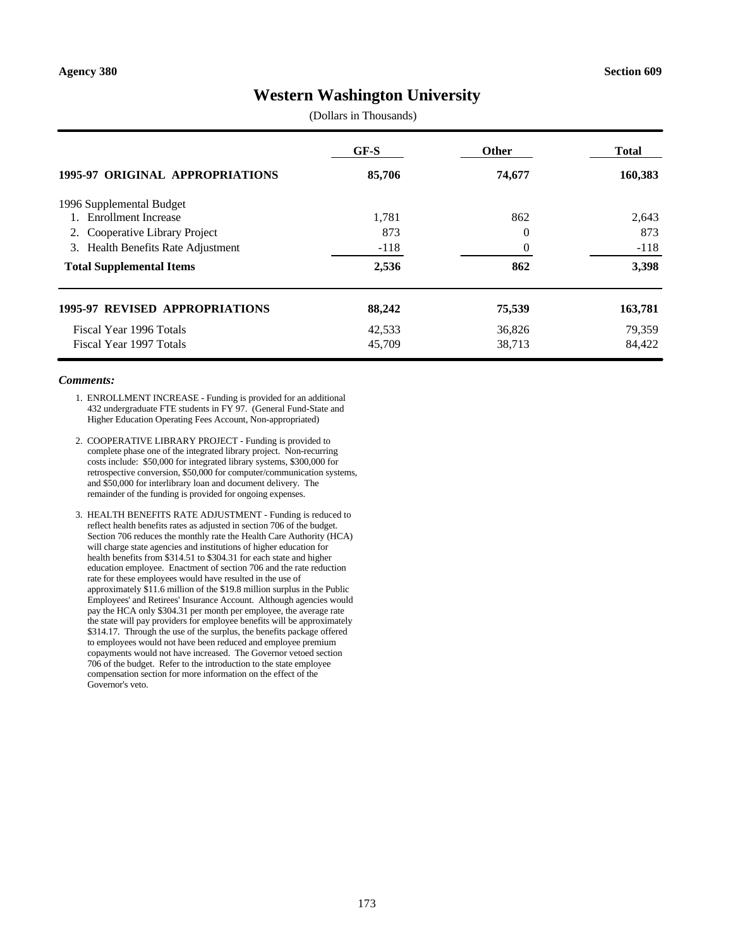# **Western Washington University**

(Dollars in Thousands)

|                                       | $GF-S$ | <b>Other</b> | <b>Total</b> |
|---------------------------------------|--------|--------------|--------------|
| 1995-97 ORIGINAL APPROPRIATIONS       | 85,706 | 74,677       | 160,383      |
| 1996 Supplemental Budget              |        |              |              |
| <b>Enrollment Increase</b>            | 1,781  | 862          | 2,643        |
| 2. Cooperative Library Project        | 873    | $\theta$     | 873          |
| 3. Health Benefits Rate Adjustment    | $-118$ | $\theta$     | $-118$       |
| <b>Total Supplemental Items</b>       | 2,536  | 862          | 3,398        |
| <b>1995-97 REVISED APPROPRIATIONS</b> | 88,242 | 75,539       | 163,781      |
| Fiscal Year 1996 Totals               | 42,533 | 36,826       | 79,359       |
| Fiscal Year 1997 Totals               | 45,709 | 38,713       | 84.422       |

- 1. ENROLLMENT INCREASE Funding is provided for an additional 432 undergraduate FTE students in FY 97. (General Fund-State and Higher Education Operating Fees Account, Non-appropriated)
- 2. COOPERATIVE LIBRARY PROJECT Funding is provided to complete phase one of the integrated library project. Non-recurring costs include: \$50,000 for integrated library systems, \$300,000 for retrospective conversion, \$50,000 for computer/communication systems, and \$50,000 for interlibrary loan and document delivery. The remainder of the funding is provided for ongoing expenses.
- 3. HEALTH BENEFITS RATE ADJUSTMENT Funding is reduced to reflect health benefits rates as adjusted in section 706 of the budget. Section 706 reduces the monthly rate the Health Care Authority (HCA) will charge state agencies and institutions of higher education for health benefits from \$314.51 to \$304.31 for each state and higher education employee. Enactment of section 706 and the rate reduction rate for these employees would have resulted in the use of approximately \$11.6 million of the \$19.8 million surplus in the Public Employees' and Retirees' Insurance Account. Although agencies would pay the HCA only \$304.31 per month per employee, the average rate the state will pay providers for employee benefits will be approximately \$314.17. Through the use of the surplus, the benefits package offered to employees would not have been reduced and employee premium copayments would not have increased. The Governor vetoed section 706 of the budget. Refer to the introduction to the state employee compensation section for more information on the effect of the Governor's veto.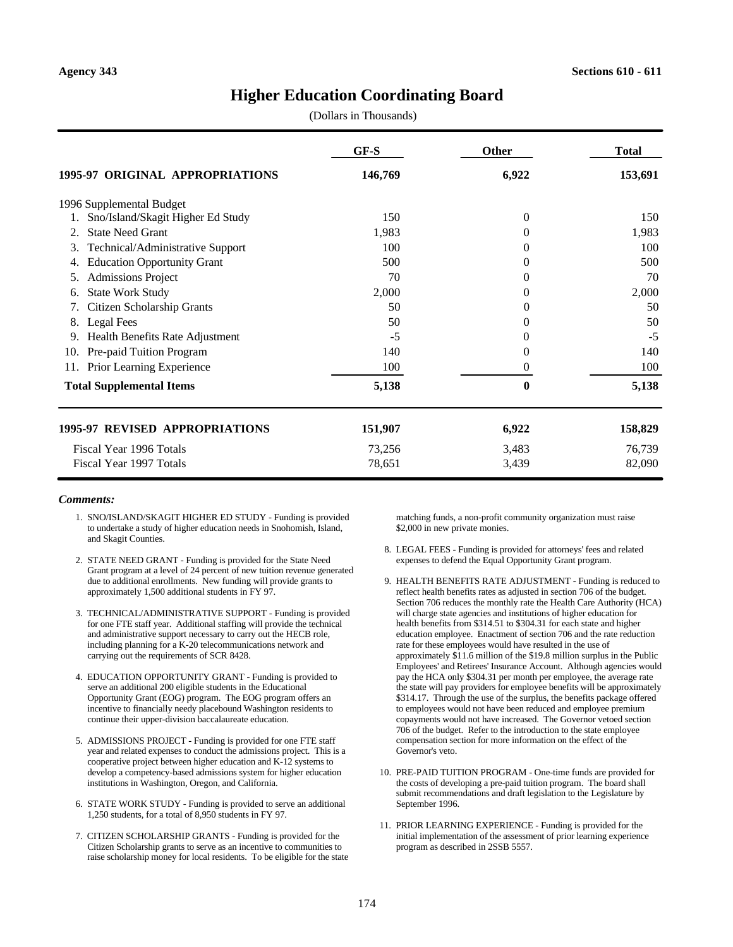## **Higher Education Coordinating Board**

(Dollars in Thousands)

|                                        | $GF-S$  | <b>Other</b> | <b>Total</b> |
|----------------------------------------|---------|--------------|--------------|
| 1995-97 ORIGINAL APPROPRIATIONS        | 146,769 | 6,922        | 153,691      |
| 1996 Supplemental Budget               |         |              |              |
| Sno/Island/Skagit Higher Ed Study      | 150     | $\theta$     | 150          |
| <b>State Need Grant</b>                | 1,983   | $\Omega$     | 1,983        |
| Technical/Administrative Support<br>3. | 100     | $\Omega$     | 100          |
| <b>Education Opportunity Grant</b>     | 500     | 0            | 500          |
| <b>Admissions Project</b><br>5.        | 70      | $\theta$     | 70           |
| <b>State Work Study</b><br>6.          | 2,000   | $\Omega$     | 2,000        |
| Citizen Scholarship Grants             | 50      | $\Omega$     | 50           |
| <b>Legal Fees</b><br>8.                | 50      | $\Omega$     | 50           |
| Health Benefits Rate Adjustment<br>9.  | $-5$    | 0            | $-5$         |
| Pre-paid Tuition Program<br>10.        | 140     | $\Omega$     | 140          |
| Prior Learning Experience<br>11.       | 100     | $\theta$     | 100          |
| <b>Total Supplemental Items</b>        | 5,138   | $\mathbf{0}$ | 5,138        |
| <b>1995-97 REVISED APPROPRIATIONS</b>  | 151,907 | 6,922        | 158,829      |
| Fiscal Year 1996 Totals                | 73,256  | 3,483        | 76,739       |
| Fiscal Year 1997 Totals                | 78,651  | 3,439        | 82,090       |

#### *Comments:*

- 1. SNO/ISLAND/SKAGIT HIGHER ED STUDY Funding is provided to undertake a study of higher education needs in Snohomish, Island, and Skagit Counties.
- 2. STATE NEED GRANT Funding is provided for the State Need Grant program at a level of 24 percent of new tuition revenue generated due to additional enrollments. New funding will provide grants to approximately 1,500 additional students in FY 97.
- 3. TECHNICAL/ADMINISTRATIVE SUPPORT Funding is provided for one FTE staff year. Additional staffing will provide the technical and administrative support necessary to carry out the HECB role, including planning for a K-20 telecommunications network and carrying out the requirements of SCR 8428.
- 4. EDUCATION OPPORTUNITY GRANT Funding is provided to serve an additional 200 eligible students in the Educational Opportunity Grant (EOG) program. The EOG program offers an incentive to financially needy placebound Washington residents to continue their upper-division baccalaureate education.
- 5. ADMISSIONS PROJECT Funding is provided for one FTE staff year and related expenses to conduct the admissions project. This is a cooperative project between higher education and K-12 systems to develop a competency-based admissions system for higher education institutions in Washington, Oregon, and California.
- 6. STATE WORK STUDY Funding is provided to serve an additional 1,250 students, for a total of 8,950 students in FY 97.
- 7. CITIZEN SCHOLARSHIP GRANTS Funding is provided for the Citizen Scholarship grants to serve as an incentive to communities to raise scholarship money for local residents. To be eligible for the state

matching funds, a non-profit community organization must raise \$2,000 in new private monies.

- 8. LEGAL FEES Funding is provided for attorneys' fees and related expenses to defend the Equal Opportunity Grant program.
- 9. HEALTH BENEFITS RATE ADJUSTMENT Funding is reduced to reflect health benefits rates as adjusted in section 706 of the budget. Section 706 reduces the monthly rate the Health Care Authority (HCA) will charge state agencies and institutions of higher education for health benefits from \$314.51 to \$304.31 for each state and higher education employee. Enactment of section 706 and the rate reduction rate for these employees would have resulted in the use of approximately \$11.6 million of the \$19.8 million surplus in the Public Employees' and Retirees' Insurance Account. Although agencies would pay the HCA only \$304.31 per month per employee, the average rate the state will pay providers for employee benefits will be approximately \$314.17. Through the use of the surplus, the benefits package offered to employees would not have been reduced and employee premium copayments would not have increased. The Governor vetoed section 706 of the budget. Refer to the introduction to the state employee compensation section for more information on the effect of the Governor's veto.
- 10. PRE-PAID TUITION PROGRAM One-time funds are provided for the costs of developing a pre-paid tuition program. The board shall submit recommendations and draft legislation to the Legislature by September 1996.
- 11. PRIOR LEARNING EXPERIENCE Funding is provided for the initial implementation of the assessment of prior learning experience program as described in 2SSB 5557.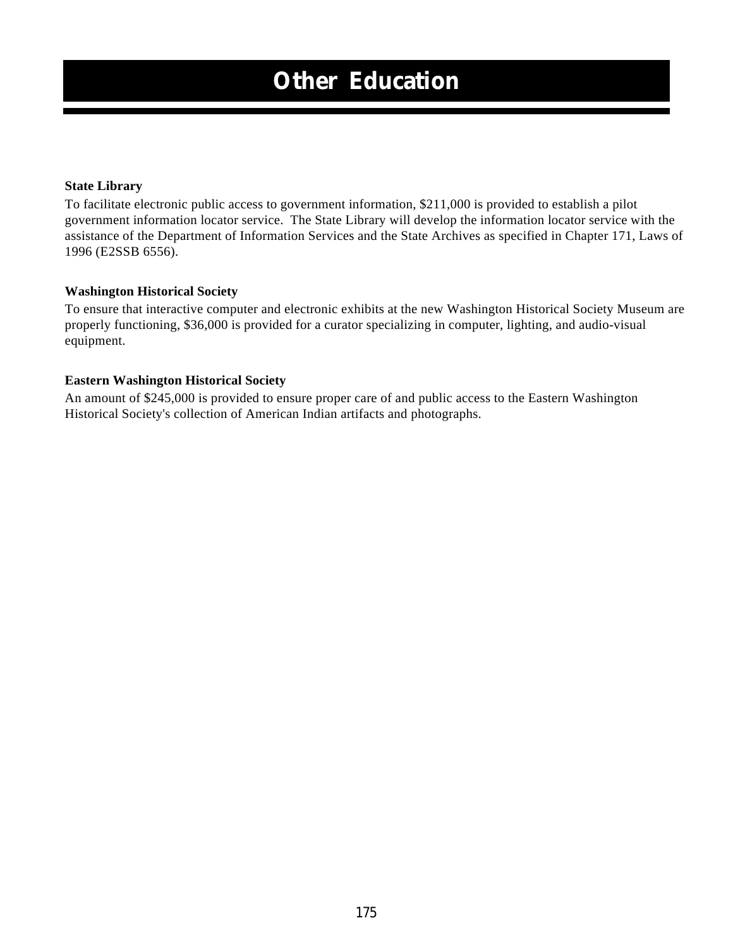### **State Library**

To facilitate electronic public access to government information, \$211,000 is provided to establish a pilot government information locator service. The State Library will develop the information locator service with the assistance of the Department of Information Services and the State Archives as specified in Chapter 171, Laws of 1996 (E2SSB 6556).

### **Washington Historical Society**

To ensure that interactive computer and electronic exhibits at the new Washington Historical Society Museum are properly functioning, \$36,000 is provided for a curator specializing in computer, lighting, and audio-visual equipment.

### **Eastern Washington Historical Society**

An amount of \$245,000 is provided to ensure proper care of and public access to the Eastern Washington Historical Society's collection of American Indian artifacts and photographs.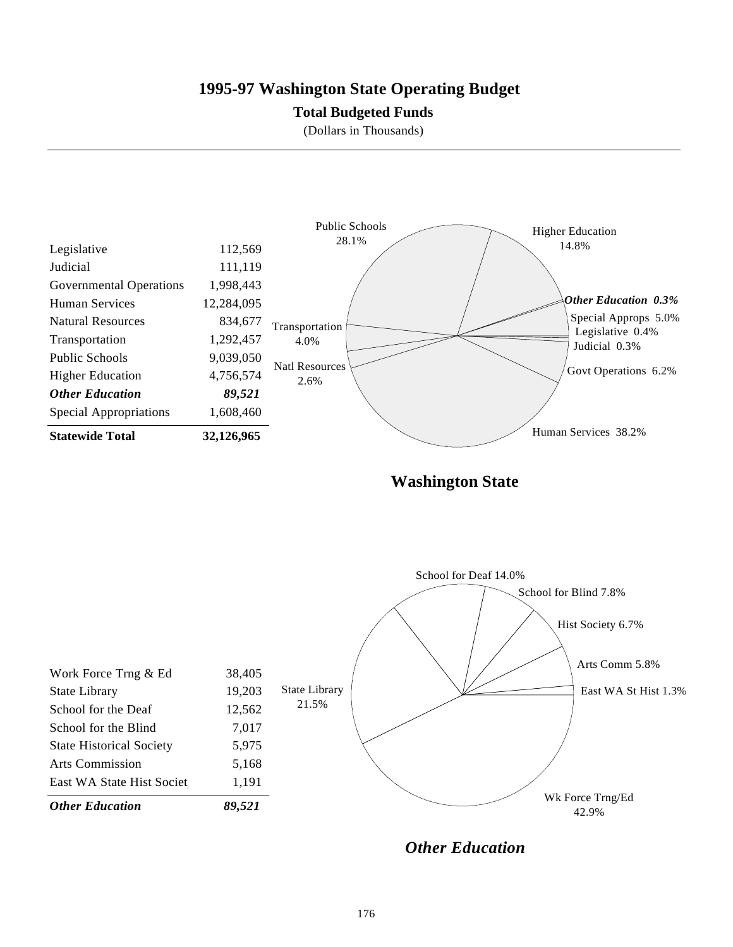### **1995-97 Washington State Operating Budget**

### **Total Budgeted Funds**

(Dollars in Thousands)



**Washington State**



*Other Education*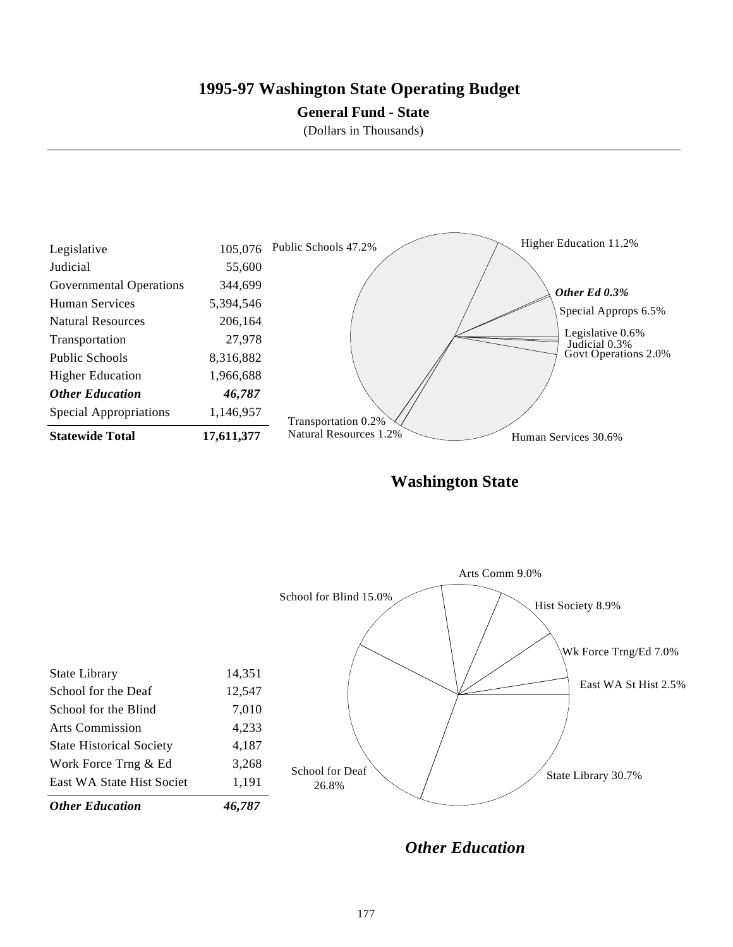## **1995-97 Washington State Operating Budget**

### **General Fund - State**

(Dollars in Thousands)



**Washington State**



*Other Education*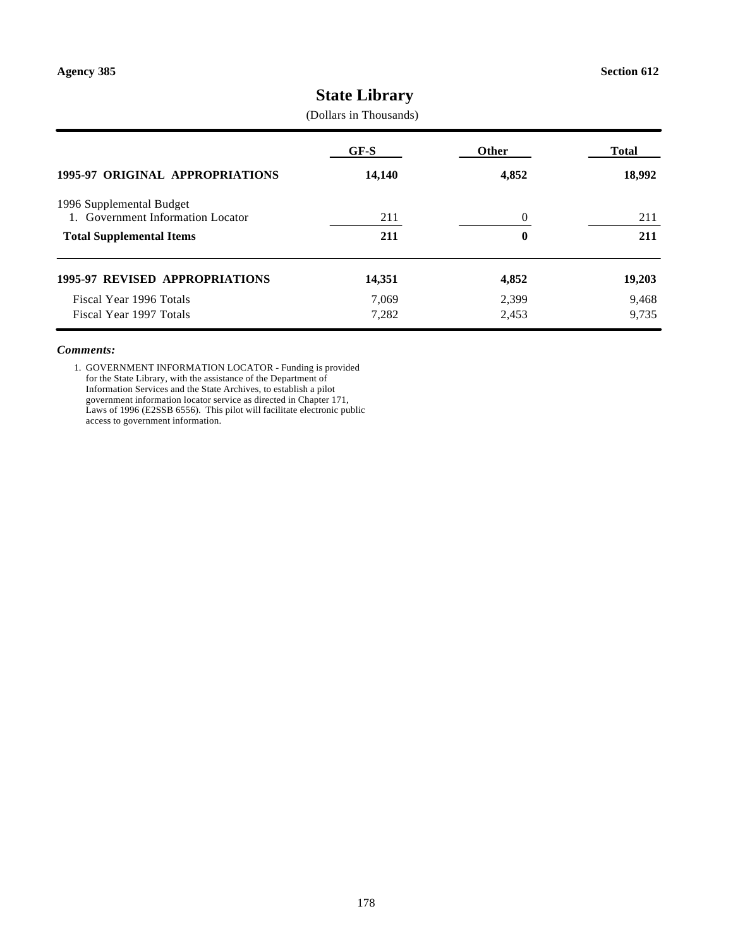# **State Library**

(Dollars in Thousands)

|                                                               | GF-S   | Other            | <b>Total</b> |
|---------------------------------------------------------------|--------|------------------|--------------|
| <b>1995-97 ORIGINAL APPROPRIATIONS</b>                        | 14,140 | 4,852            | 18,992       |
| 1996 Supplemental Budget<br>1. Government Information Locator | 211    | $\overline{0}$   | 211          |
| <b>Total Supplemental Items</b>                               | 211    | $\boldsymbol{0}$ | 211          |
| <b>1995-97 REVISED APPROPRIATIONS</b>                         | 14,351 | 4,852            | 19,203       |
| Fiscal Year 1996 Totals                                       | 7.069  | 2,399            | 9,468        |
| Fiscal Year 1997 Totals                                       | 7,282  | 2,453            | 9,735        |

#### *Comments:*

1. GOVERNMENT INFORMATION LOCATOR - Funding is provided for the State Library, with the assistance of the Department of Information Services and the State Archives, to establish a pilot government information locator service as directed in Chapter 171, Laws of 1996 (E2SSB 6556). This pilot will facilitate electronic public access to government information.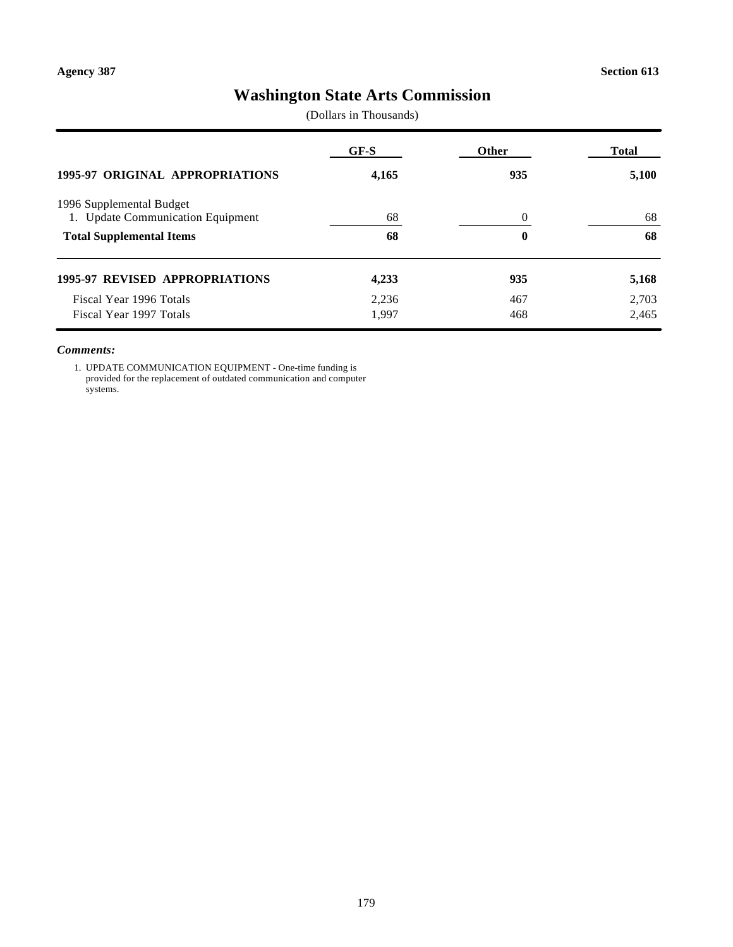# **Washington State Arts Commission**

(Dollars in Thousands)

|                                                               | GF-S  | Other    | <b>Total</b> |
|---------------------------------------------------------------|-------|----------|--------------|
| <b>1995-97 ORIGINAL APPROPRIATIONS</b>                        | 4,165 | 935      | 5,100        |
| 1996 Supplemental Budget<br>1. Update Communication Equipment | 68    | $\theta$ | 68           |
| <b>Total Supplemental Items</b>                               | 68    | 0        | 68           |
| <b>1995-97 REVISED APPROPRIATIONS</b>                         | 4,233 | 935      | 5,168        |
| Fiscal Year 1996 Totals                                       | 2.236 | 467      | 2,703        |
| Fiscal Year 1997 Totals                                       | 1,997 | 468      | 2,465        |

#### *Comments:*

1. UPDATE COMMUNICATION EQUIPMENT - One-time funding is provided for the replacement of outdated communication and computer systems.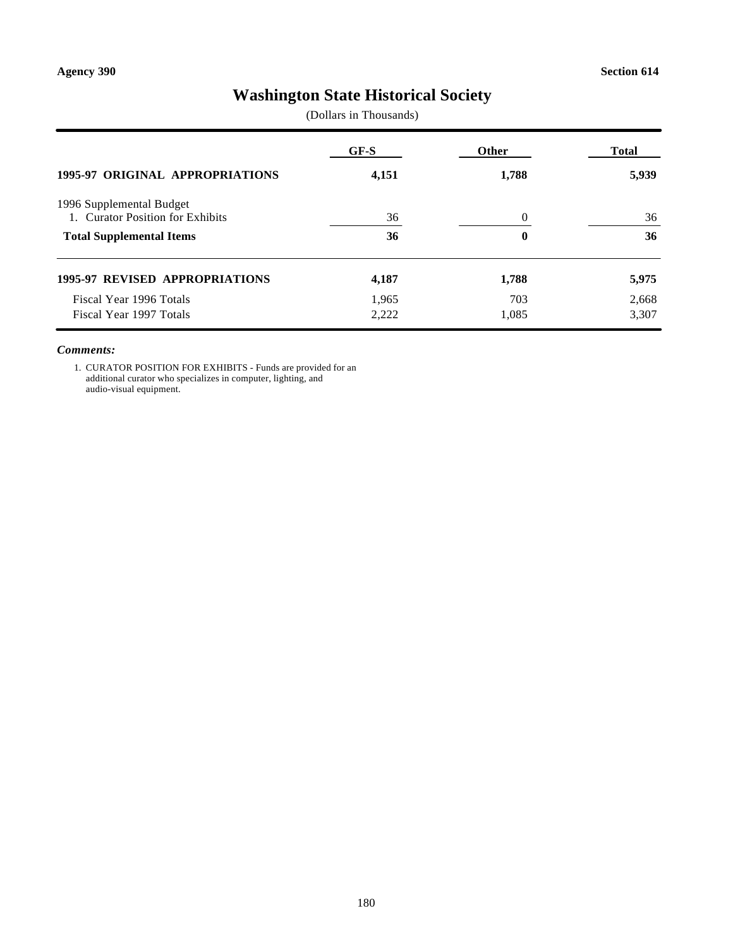# **Washington State Historical Society**

(Dollars in Thousands)

| <b>1995-97 ORIGINAL APPROPRIATIONS</b> | GF-S<br>4,151 | Other<br>1,788 | Total<br>5,939 |
|----------------------------------------|---------------|----------------|----------------|
|                                        |               |                |                |
| <b>Total Supplemental Items</b>        | 36            | 0              | 36             |
| <b>1995-97 REVISED APPROPRIATIONS</b>  | 4,187         | 1,788          | 5,975          |
| Fiscal Year 1996 Totals                | 1,965         | 703            | 2,668          |
| Fiscal Year 1997 Totals                | 2,222         | 1,085          | 3,307          |

#### *Comments:*

1. CURATOR POSITION FOR EXHIBITS - Funds are provided for an additional curator who specializes in computer, lighting, and audio-visual equipment.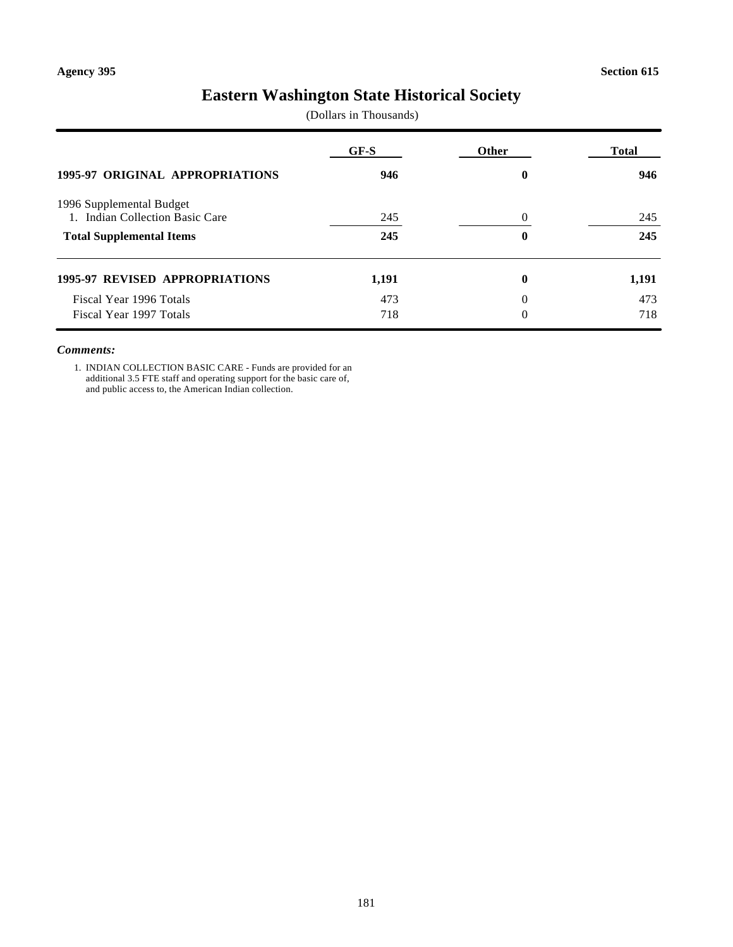# **Eastern Washington State Historical Society**

(Dollars in Thousands)

|                                                             | GF-S  | Other | <b>Total</b> |
|-------------------------------------------------------------|-------|-------|--------------|
| 1995-97 ORIGINAL APPROPRIATIONS                             | 946   | 0     | 946          |
| 1996 Supplemental Budget<br>1. Indian Collection Basic Care | 245   | 0     | 245          |
| <b>Total Supplemental Items</b>                             | 245   | 0     | 245          |
| <b>1995-97 REVISED APPROPRIATIONS</b>                       | 1,191 | 0     | 1,191        |
| Fiscal Year 1996 Totals                                     | 473   | 0     | 473          |
| Fiscal Year 1997 Totals                                     | 718   | 0     | 718          |

#### *Comments:*

1. INDIAN COLLECTION BASIC CARE - Funds are provided for an additional 3.5 FTE staff and operating support for the basic care of, and public access to, the American Indian collection.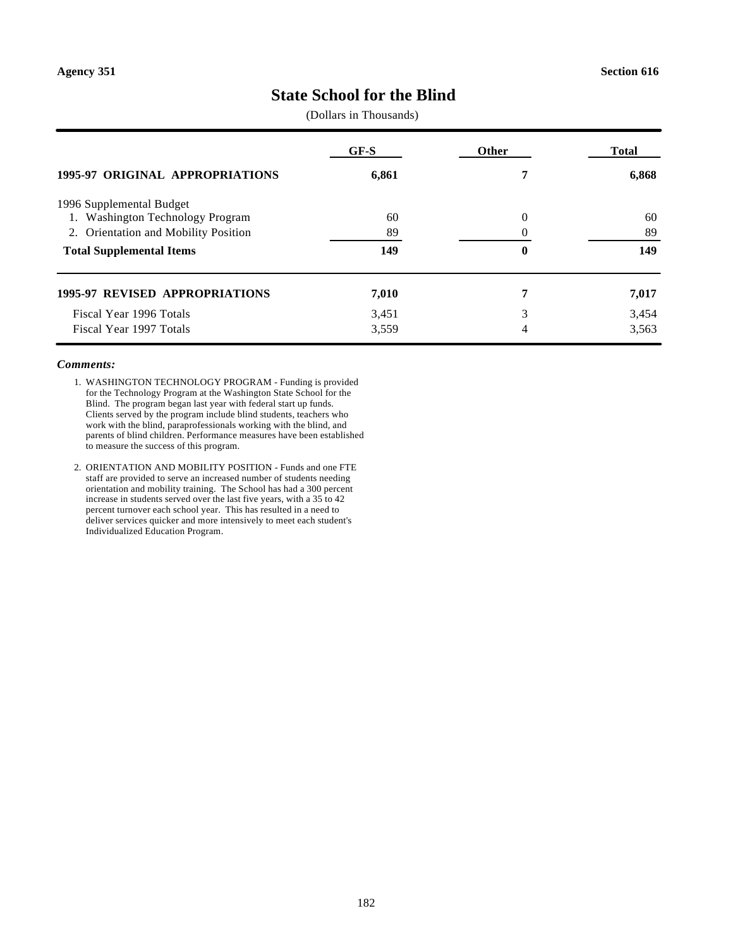# **State School for the Blind**

(Dollars in Thousands)

| <b>1995-97 ORIGINAL APPROPRIATIONS</b>     | GF-S<br>6,861 | <b>Other</b> | <b>Total</b><br>6,868 |
|--------------------------------------------|---------------|--------------|-----------------------|
|                                            |               |              |                       |
| <b>Washington Technology Program</b><br>1. | 60            | $\Omega$     | 60                    |
| 2. Orientation and Mobility Position       | 89            |              | 89                    |
| <b>Total Supplemental Items</b>            | 149           | $\bf{0}$     | 149                   |
| <b>1995-97 REVISED APPROPRIATIONS</b>      | 7,010         | 7            | 7,017                 |
| Fiscal Year 1996 Totals                    | 3,451         | 3            | 3,454                 |
| Fiscal Year 1997 Totals                    | 3,559         | 4            | 3,563                 |

- 1. WASHINGTON TECHNOLOGY PROGRAM Funding is provided for the Technology Program at the Washington State School for the Blind. The program began last year with federal start up funds. Clients served by the program include blind students, teachers who work with the blind, paraprofessionals working with the blind, and parents of blind children. Performance measures have been established to measure the success of this program.
- 2. ORIENTATION AND MOBILITY POSITION Funds and one FTE staff are provided to serve an increased number of students needing orientation and mobility training. The School has had a 300 percent increase in students served over the last five years, with a 35 to 42 percent turnover each school year. This has resulted in a need to deliver services quicker and more intensively to meet each student's Individualized Education Program.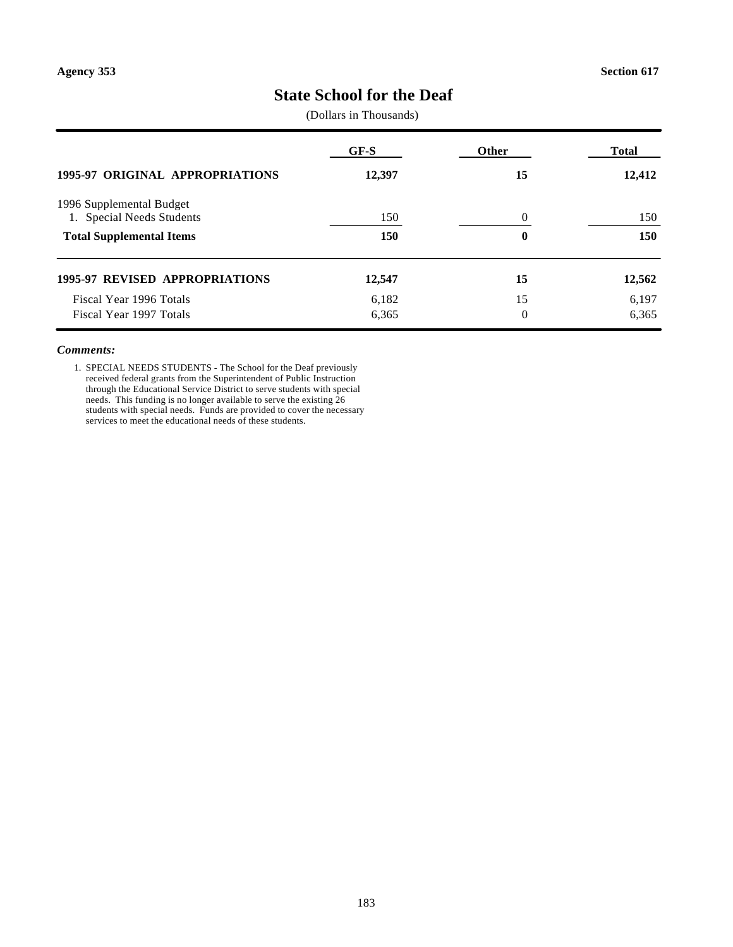# **State School for the Deaf**

(Dollars in Thousands)

|                                                       | GF-S   | Other          | Total  |
|-------------------------------------------------------|--------|----------------|--------|
| <b>1995-97 ORIGINAL APPROPRIATIONS</b>                | 12,397 | 15             | 12,412 |
| 1996 Supplemental Budget<br>1. Special Needs Students | 150    | $\theta$       | 150    |
| <b>Total Supplemental Items</b>                       | 150    | 0              | 150    |
| <b>1995-97 REVISED APPROPRIATIONS</b>                 | 12,547 | 15             | 12,562 |
| Fiscal Year 1996 Totals                               | 6,182  | 15             | 6,197  |
| Fiscal Year 1997 Totals                               | 6,365  | $\overline{0}$ | 6.365  |

#### *Comments:*

1. SPECIAL NEEDS STUDENTS - The School for the Deaf previously received federal grants from the Superintendent of Public Instruction through the Educational Service District to serve students with special needs. This funding is no longer available to serve the existing 26 students with special needs. Funds are provided to cover the necessary services to meet the educational needs of these students.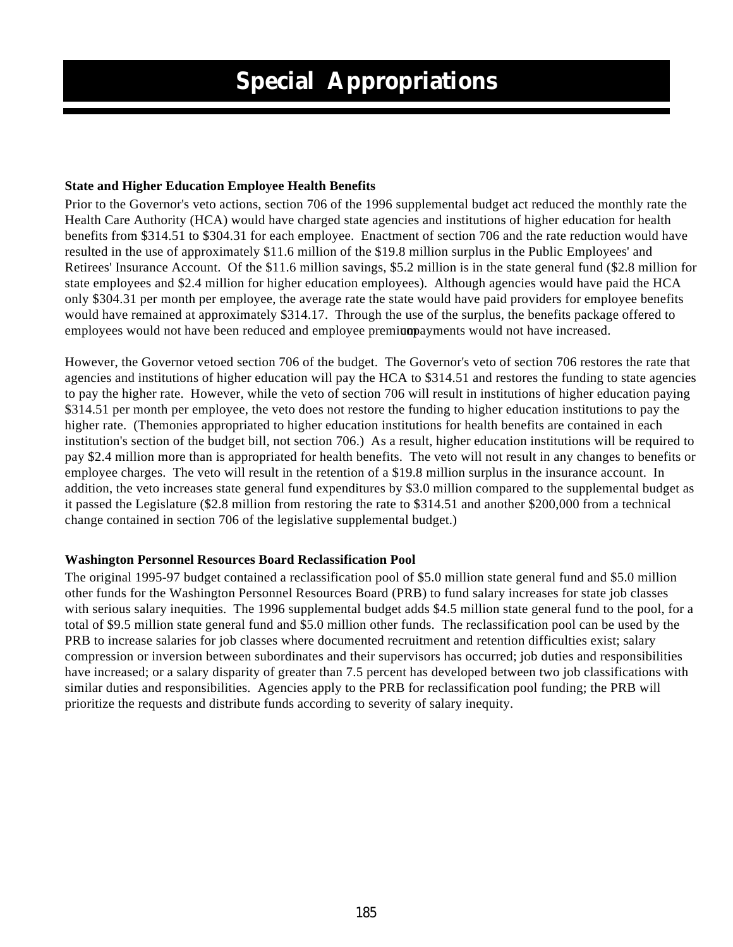### **State and Higher Education Employee Health Benefits**

Prior to the Governor's veto actions, section 706 of the 1996 supplemental budget act reduced the monthly rate the Health Care Authority (HCA) would have charged state agencies and institutions of higher education for health benefits from \$314.51 to \$304.31 for each employee. Enactment of section 706 and the rate reduction would have resulted in the use of approximately \$11.6 million of the \$19.8 million surplus in the Public Employees' and Retirees' Insurance Account. Of the \$11.6 million savings, \$5.2 million is in the state general fund (\$2.8 million for state employees and \$2.4 million for higher education employees). Although agencies would have paid the HCA only \$304.31 per month per employee, the average rate the state would have paid providers for employee benefits would have remained at approximately \$314.17. Through the use of the surplus, the benefits package offered to employees would not have been reduced and employee premivation provided not have increased.

However, the Governor vetoed section 706 of the budget. The Governor's veto of section 706 restores the rate that agencies and institutions of higher education will pay the HCA to \$314.51 and restores the funding to state agencies to pay the higher rate. However, while the veto of section 706 will result in institutions of higher education paying \$314.51 per month per employee, the veto does not restore the funding to higher education institutions to pay the higher rate. (The monies appropriated to higher education institutions for health benefits are contained in each institution's section of the budget bill, not section 706.) As a result, higher education institutions will be required to pay \$2.4 million more than is appropriated for health benefits. The veto will not result in any changes to benefits or employee charges. The veto will result in the retention of a \$19.8 million surplus in the insurance account. In addition, the veto increases state general fund expenditures by \$3.0 million compared to the supplemental budget as it passed the Legislature (\$2.8 million from restoring the rate to \$314.51 and another \$200,000 from a technical change contained in section 706 of the legislative supplemental budget.)

### **Washington Personnel Resources Board Reclassification Pool**

The original 1995-97 budget contained a reclassification pool of \$5.0 million state general fund and \$5.0 million other funds for the Washington Personnel Resources Board (PRB) to fund salary increases for state job classes with serious salary inequities. The 1996 supplemental budget adds \$4.5 million state general fund to the pool, for a total of \$9.5 million state general fund and \$5.0 million other funds. The reclassification pool can be used by the PRB to increase salaries for job classes where documented recruitment and retention difficulties exist; salary compression or inversion between subordinates and their supervisors has occurred; job duties and responsibilities have increased; or a salary disparity of greater than 7.5 percent has developed between two job classifications with similar duties and responsibilities. Agencies apply to the PRB for reclassification pool funding; the PRB will prioritize the requests and distribute funds according to severity of salary inequity.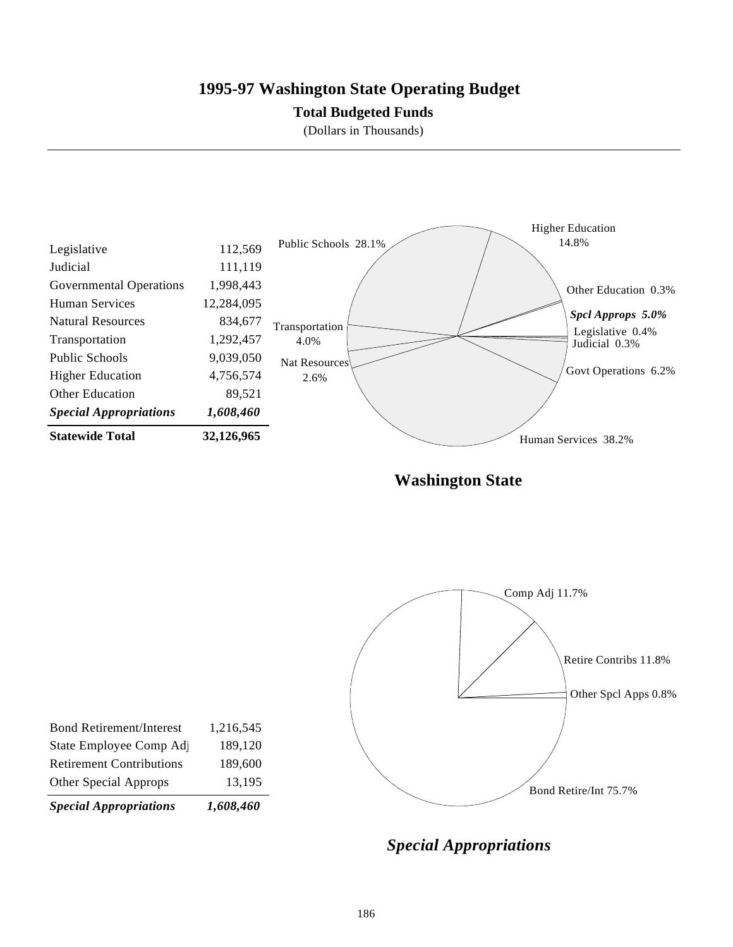## **1995-97 Washington State Operating Budget**

### **Total Budgeted Funds**

(Dollars in Thousands)



**Washington State**



*Special Appropriations*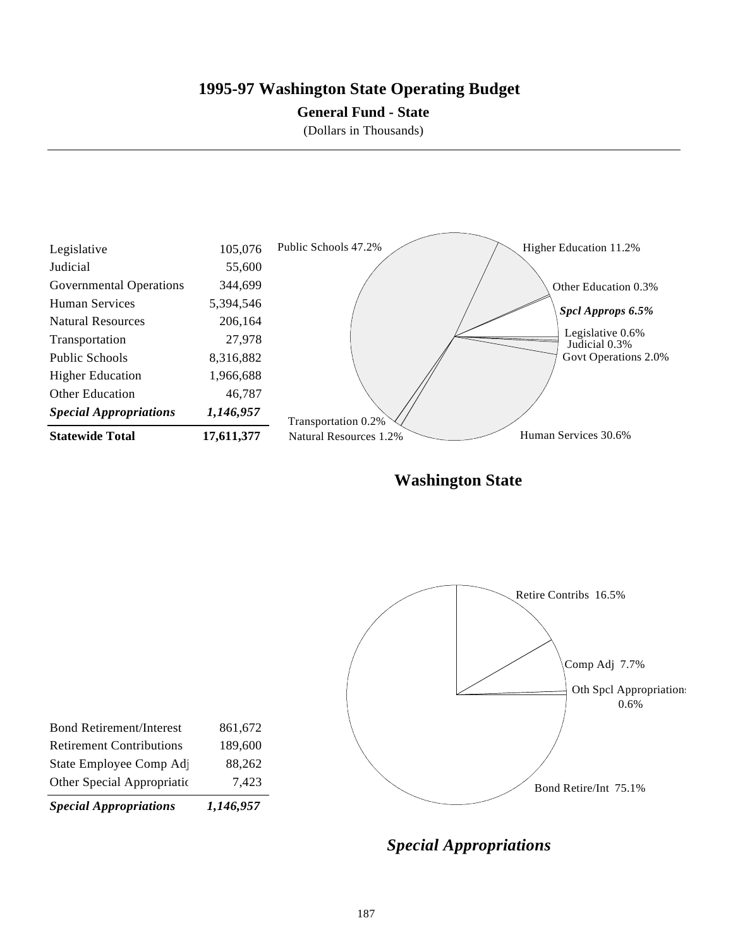### **1995-97 Washington State Operating Budget**

#### **General Fund - State**

(Dollars in Thousands)



**Washington State**



*Special Appropriations*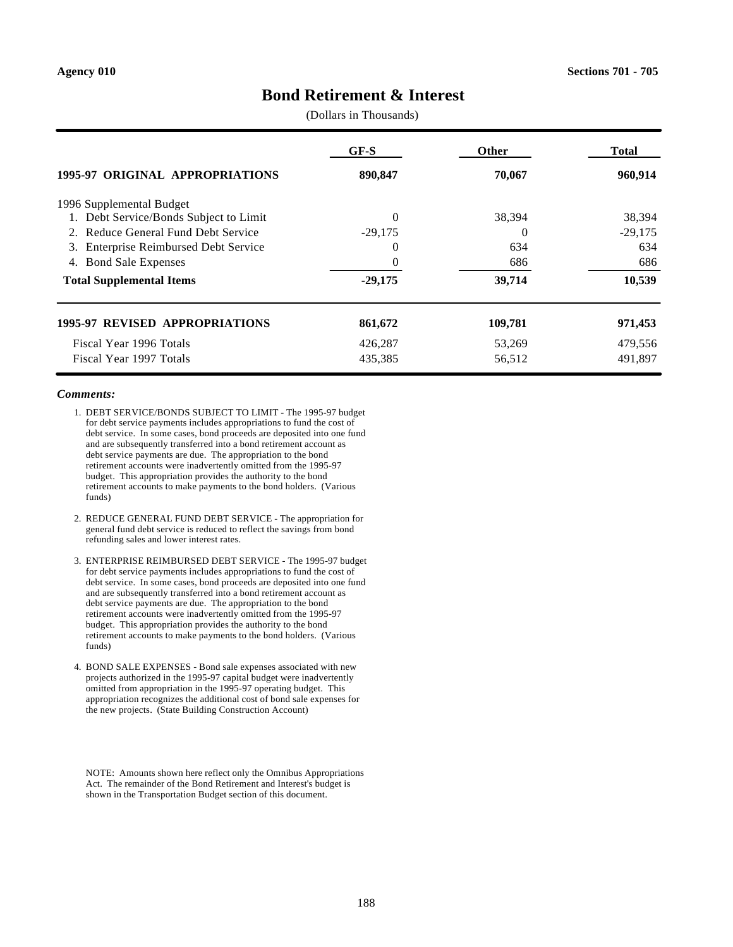### **Bond Retirement & Interest**

(Dollars in Thousands)

|                                                 | GF-S      | Other    | Total     |
|-------------------------------------------------|-----------|----------|-----------|
| <b>1995-97 ORIGINAL APPROPRIATIONS</b>          | 890,847   | 70,067   | 960,914   |
| 1996 Supplemental Budget                        |           |          |           |
| Debt Service/Bonds Subject to Limit<br>1.       | $\Omega$  | 38,394   | 38,394    |
| 2. Reduce General Fund Debt Service             | $-29,175$ | $\theta$ | $-29,175$ |
| <b>Enterprise Reimbursed Debt Service</b><br>3. | $\Omega$  | 634      | 634       |
| <b>Bond Sale Expenses</b><br>4.                 | $\theta$  | 686      | 686       |
| <b>Total Supplemental Items</b>                 | $-29,175$ | 39,714   | 10,539    |
| <b>1995-97 REVISED APPROPRIATIONS</b>           | 861,672   | 109,781  | 971,453   |
| Fiscal Year 1996 Totals                         | 426,287   | 53,269   | 479,556   |
| Fiscal Year 1997 Totals                         | 435,385   | 56,512   | 491.897   |

#### *Comments:*

- 1. DEBT SERVICE/BONDS SUBJECT TO LIMIT The 1995-97 budget for debt service payments includes appropriations to fund the cost of debt service. In some cases, bond proceeds are deposited into one fund and are subsequently transferred into a bond retirement account as debt service payments are due. The appropriation to the bond retirement accounts were inadvertently omitted from the 1995-97 budget. This appropriation provides the authority to the bond retirement accounts to make payments to the bond holders. (Various funds)
- 2. REDUCE GENERAL FUND DEBT SERVICE The appropriation for general fund debt service is reduced to reflect the savings from bond refunding sales and lower interest rates.
- 3. ENTERPRISE REIMBURSED DEBT SERVICE The 1995-97 budget for debt service payments includes appropriations to fund the cost of debt service. In some cases, bond proceeds are deposited into one fund and are subsequently transferred into a bond retirement account as debt service payments are due. The appropriation to the bond retirement accounts were inadvertently omitted from the 1995-97 budget. This appropriation provides the authority to the bond retirement accounts to make payments to the bond holders. (Various funds)
- 4. BOND SALE EXPENSES Bond sale expenses associated with new projects authorized in the 1995-97 capital budget were inadvertently omitted from appropriation in the 1995-97 operating budget. This appropriation recognizes the additional cost of bond sale expenses for the new projects. (State Building Construction Account)

NOTE: Amounts shown here reflect only the Omnibus Appropriations Act. The remainder of the Bond Retirement and Interest's budget is shown in the Transportation Budget section of this document.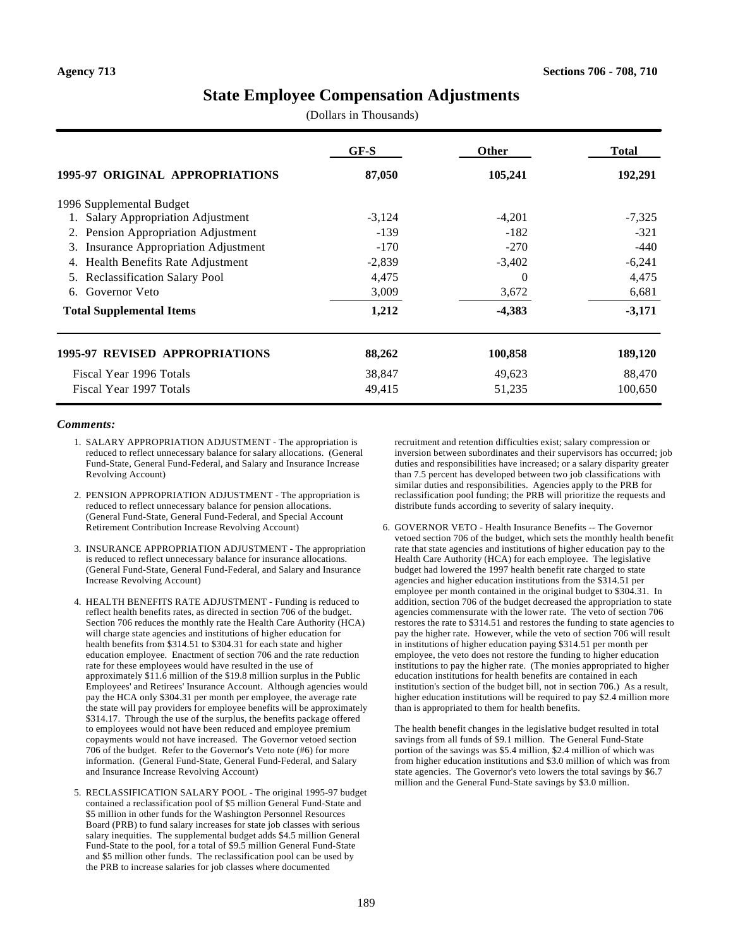#### **State Employee Compensation Adjustments**

(Dollars in Thousands)

|                                                 | $GF-S$   | <b>Other</b> | <b>Total</b> |
|-------------------------------------------------|----------|--------------|--------------|
| 1995-97 ORIGINAL APPROPRIATIONS                 | 87,050   | 105,241      | 192,291      |
| 1996 Supplemental Budget                        |          |              |              |
| 1. Salary Appropriation Adjustment              | $-3,124$ | $-4,201$     | $-7,325$     |
| Pension Appropriation Adjustment<br>2.          | $-139$   | $-182$       | $-321$       |
| <b>Insurance Appropriation Adjustment</b><br>3. | $-170$   | $-270$       | $-440$       |
| Health Benefits Rate Adjustment<br>4.           | $-2,839$ | $-3,402$     | $-6,241$     |
| <b>Reclassification Salary Pool</b><br>5.       | 4,475    | $\Omega$     | 4,475        |
| Governor Veto<br>6.                             | 3,009    | 3,672        | 6,681        |
| <b>Total Supplemental Items</b>                 | 1,212    | $-4,383$     | $-3,171$     |
| <b>1995-97 REVISED APPROPRIATIONS</b>           | 88,262   | 100,858      | 189,120      |
| Fiscal Year 1996 Totals                         | 38,847   | 49,623       | 88,470       |
| Fiscal Year 1997 Totals                         | 49,415   | 51,235       | 100,650      |

#### *Comments:*

- 1. SALARY APPROPRIATION ADJUSTMENT The appropriation is reduced to reflect unnecessary balance for salary allocations. (General Fund-State, General Fund-Federal, and Salary and Insurance Increase Revolving Account)
- 2. PENSION APPROPRIATION ADJUSTMENT The appropriation is reduced to reflect unnecessary balance for pension allocations. (General Fund-State, General Fund-Federal, and Special Account Retirement Contribution Increase Revolving Account)
- 3. INSURANCE APPROPRIATION ADJUSTMENT The appropriation is reduced to reflect unnecessary balance for insurance allocations. (General Fund-State, General Fund-Federal, and Salary and Insurance Increase Revolving Account)
- 4. HEALTH BENEFITS RATE ADJUSTMENT Funding is reduced to reflect health benefits rates, as directed in section 706 of the budget. Section 706 reduces the monthly rate the Health Care Authority (HCA) will charge state agencies and institutions of higher education for health benefits from \$314.51 to \$304.31 for each state and higher education employee. Enactment of section 706 and the rate reduction rate for these employees would have resulted in the use of approximately \$11.6 million of the \$19.8 million surplus in the Public Employees' and Retirees' Insurance Account. Although agencies would pay the HCA only \$304.31 per month per employee, the average rate the state will pay providers for employee benefits will be approximately \$314.17. Through the use of the surplus, the benefits package offered to employees would not have been reduced and employee premium copayments would not have increased. The Governor vetoed section 706 of the budget. Refer to the Governor's Veto note (#6) for more information. (General Fund-State, General Fund-Federal, and Salary and Insurance Increase Revolving Account)
- 5. RECLASSIFICATION SALARY POOL The original 1995-97 budget contained a reclassification pool of \$5 million General Fund-State and \$5 million in other funds for the Washington Personnel Resources Board (PRB) to fund salary increases for state job classes with serious salary inequities. The supplemental budget adds \$4.5 million General Fund-State to the pool, for a total of \$9.5 million General Fund-State and \$5 million other funds. The reclassification pool can be used by the PRB to increase salaries for job classes where documented

recruitment and retention difficulties exist; salary compression or inversion between subordinates and their supervisors has occurred; job duties and responsibilities have increased; or a salary disparity greater than 7.5 percent has developed between two job classifications with similar duties and responsibilities. Agencies apply to the PRB for reclassification pool funding; the PRB will prioritize the requests and distribute funds according to severity of salary inequity.

6. GOVERNOR VETO - Health Insurance Benefits -- The Governor vetoed section 706 of the budget, which sets the monthly health benefit rate that state agencies and institutions of higher education pay to the Health Care Authority (HCA) for each employee. The legislative budget had lowered the 1997 health benefit rate charged to state agencies and higher education institutions from the \$314.51 per employee per month contained in the original budget to \$304.31. In addition, section 706 of the budget decreased the appropriation to state agencies commensurate with the lower rate. The veto of section 706 restores the rate to \$314.51 and restores the funding to state agencies to pay the higher rate. However, while the veto of section 706 will result in institutions of higher education paying \$314.51 per month per employee, the veto does not restore the funding to higher education institutions to pay the higher rate. (The monies appropriated to higher education institutions for health benefits are contained in each institution's section of the budget bill, not in section 706.) As a result, higher education institutions will be required to pay \$2.4 million more than is appropriated to them for health benefits.

The health benefit changes in the legislative budget resulted in total savings from all funds of \$9.1 million. The General Fund-State portion of the savings was \$5.4 million, \$2.4 million of which was from higher education institutions and \$3.0 million of which was from state agencies. The Governor's veto lowers the total savings by \$6.7 million and the General Fund-State savings by \$3.0 million.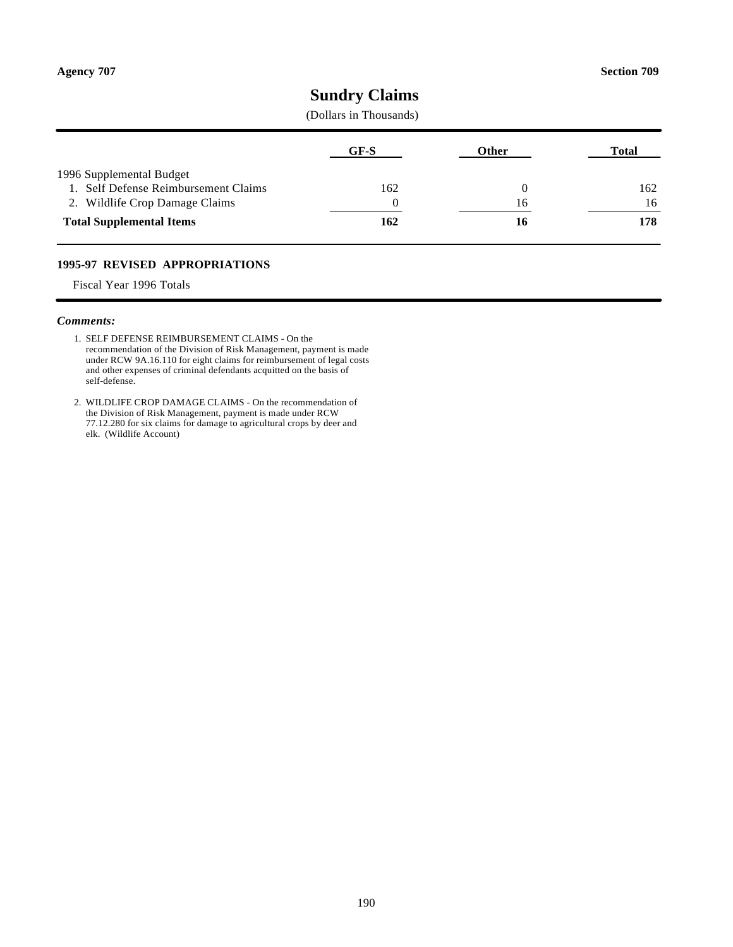### **Sundry Claims**

#### (Dollars in Thousands)

|                                                                  | GF-S | Other | Total |
|------------------------------------------------------------------|------|-------|-------|
| 1996 Supplemental Budget<br>1. Self Defense Reimbursement Claims | 162  |       | 162   |
| 2. Wildlife Crop Damage Claims                                   |      | 16    | 16    |
| <b>Total Supplemental Items</b>                                  | 162  | 16    | 178   |

#### **1995-97 REVISED APPROPRIATIONS**

Fiscal Year 1996 Totals

#### *Comments:*

- 1. SELF DEFENSE REIMBURSEMENT CLAIMS On the recommendation of the Division of Risk Management, payment is made under RCW 9A.16.110 for eight claims for reimbursement of legal costs and other expenses of criminal defendants acquitted on the basis of self-defense.
- 2. WILDLIFE CROP DAMAGE CLAIMS On the recommendation of the Division of Risk Management, payment is made under RCW 77.12.280 for six claims for damage to agricultural crops by deer and elk. (Wildlife Account)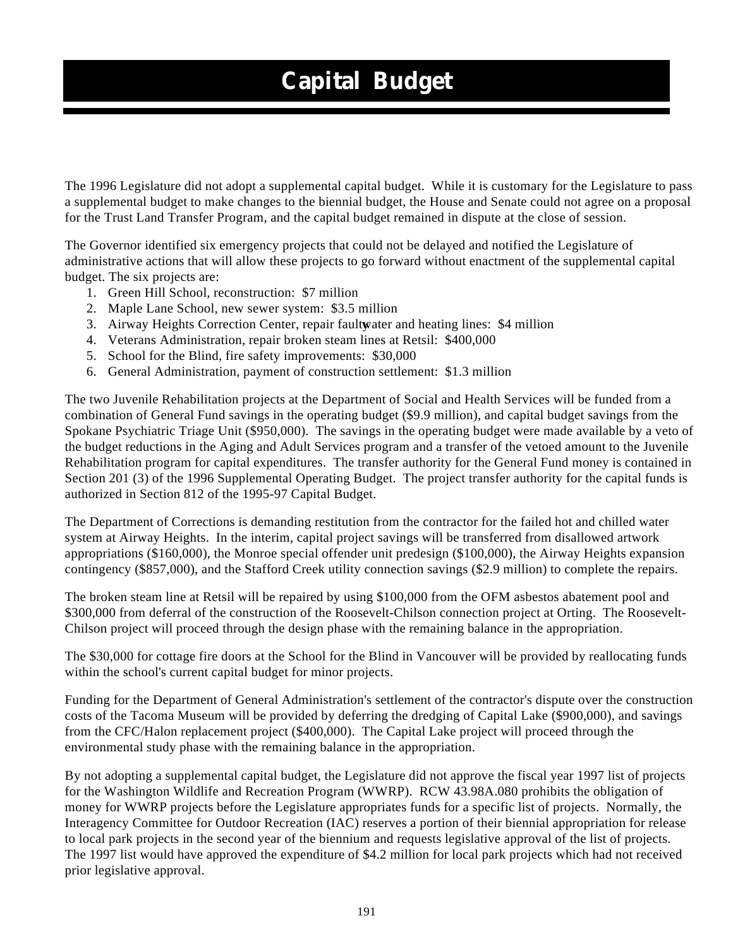# **Capital Budget**

The 1996 Legislature did not adopt a supplemental capital budget. While it is customary for the Legislature to pass a supplemental budget to make changes to the biennial budget, the House and Senate could not agree on a proposal for the Trust Land Transfer Program, and the capital budget remained in dispute at the close of session.

The Governor identified six emergency projects that could not be delayed and notified the Legislature of administrative actions that will allow these projects to go forward without enactment of the supplemental capital budget. The six projects are:

- 1. Green Hill School, reconstruction: \$7 million
- 2. Maple Lane School, new sewer system: \$3.5 million
- 3. Airway Heights Correction Center, repair faulty water and heating lines: \$4 million
- 4. Veterans Administration, repair broken steam lines at Retsil: \$400,000
- 5. School for the Blind, fire safety improvements: \$30,000
- 6. General Administration, payment of construction settlement: \$1.3 million

The two Juvenile Rehabilitation projects at the Department of Social and Health Services will be funded from a combination of General Fund savings in the operating budget (\$9.9 million), and capital budget savings from the Spokane Psychiatric Triage Unit (\$950,000). The savings in the operating budget were made available by a veto of the budget reductions in the Aging and Adult Services program and a transfer of the vetoed amount to the Juvenile Rehabilitation program for capital expenditures. The transfer authority for the General Fund money is contained in Section 201 (3) of the 1996 Supplemental Operating Budget. The project transfer authority for the capital funds is authorized in Section 812 of the 1995-97 Capital Budget.

The Department of Corrections is demanding restitution from the contractor for the failed hot and chilled water system at Airway Heights. In the interim, capital project savings will be transferred from disallowed artwork appropriations (\$160,000), the Monroe special offender unit predesign (\$100,000), the Airway Heights expansion contingency (\$857,000), and the Stafford Creek utility connection savings (\$2.9 million) to complete the repairs.

The broken steam line at Retsil will be repaired by using \$100,000 from the OFM asbestos abatement pool and \$300,000 from deferral of the construction of the Roosevelt-Chilson connection project at Orting. The Roosevelt-Chilson project will proceed through the design phase with the remaining balance in the appropriation.

The \$30,000 for cottage fire doors at the School for the Blind in Vancouver will be provided by reallocating funds within the school's current capital budget for minor projects.

Funding for the Department of General Administration's settlement of the contractor's dispute over the construction costs of the Tacoma Museum will be provided by deferring the dredging of Capital Lake (\$900,000), and savings from the CFC/Halon replacement project (\$400,000). The Capital Lake project will proceed through the environmental study phase with the remaining balance in the appropriation.

By not adopting a supplemental capital budget, the Legislature did not approve the fiscal year 1997 list of projects for the Washington Wildlife and Recreation Program (WWRP). RCW 43.98A.080 prohibits the obligation of money for WWRP projects before the Legislature appropriates funds for a specific list of projects. Normally, the Interagency Committee for Outdoor Recreation (IAC) reserves a portion of their biennial appropriation for release to local park projects in the second year of the biennium and requests legislative approval of the list of projects. The 1997 list would have approved the expenditure of \$4.2 million for local park projects which had not received prior legislative approval.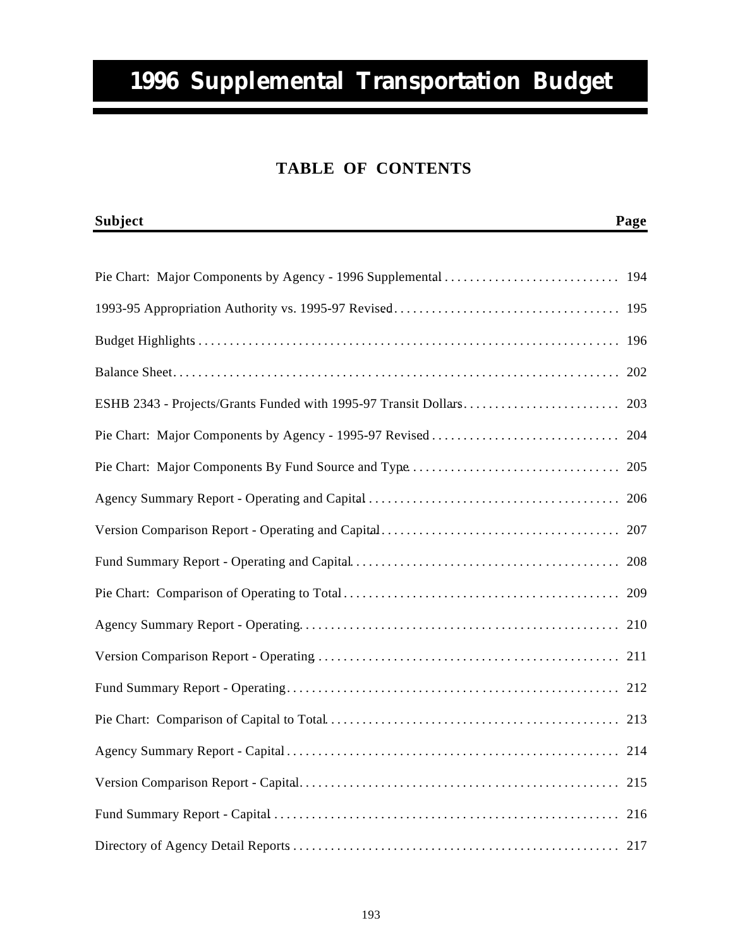# **1996 Supplemental Transportation Budget**

## **TABLE OF CONTENTS**

| <b>Subject</b> | Page |
|----------------|------|
|                |      |
|                |      |
|                |      |
|                |      |
|                |      |
|                |      |
|                |      |
|                |      |
|                |      |
|                |      |
|                |      |
|                |      |
|                |      |
|                |      |
|                |      |
|                |      |
|                |      |
|                | 215  |
|                | 216  |
|                |      |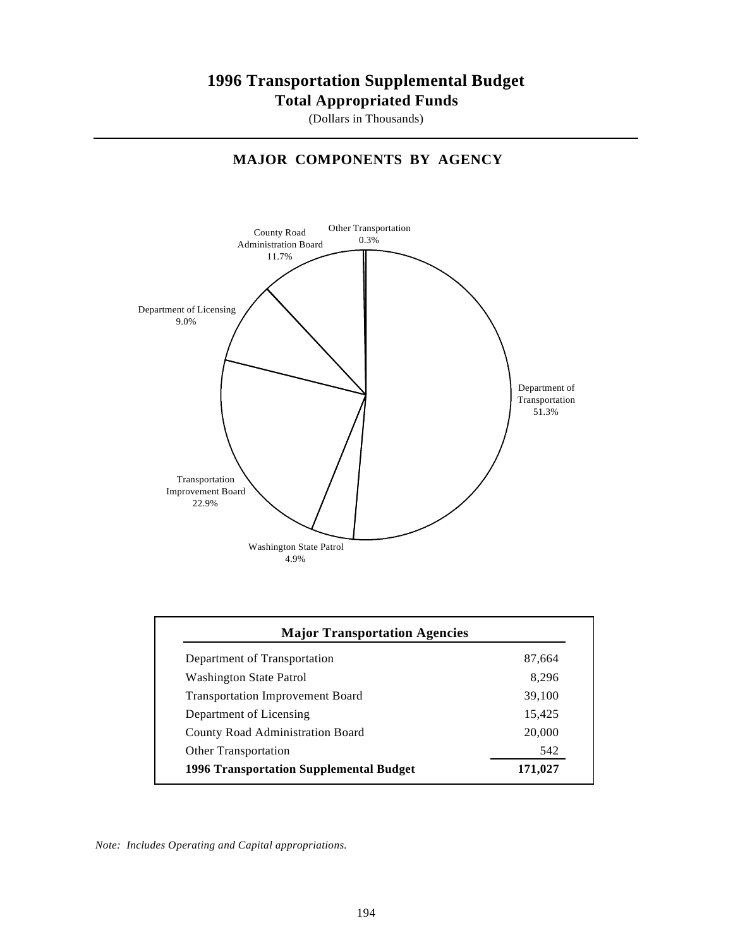### **1996 Transportation Supplemental Budget Total Appropriated Funds**

(Dollars in Thousands)

#### **MAJOR COMPONENTS BY AGENCY**



| Department of Transportation                   | 87,664  |
|------------------------------------------------|---------|
| <b>Washington State Patrol</b>                 | 8.296   |
| <b>Transportation Improvement Board</b>        | 39,100  |
| Department of Licensing                        | 15,425  |
| <b>County Road Administration Board</b>        | 20,000  |
| <b>Other Transportation</b>                    | 542     |
| <b>1996 Transportation Supplemental Budget</b> | 171.027 |

*Note: Includes Operating and Capital appropriations.*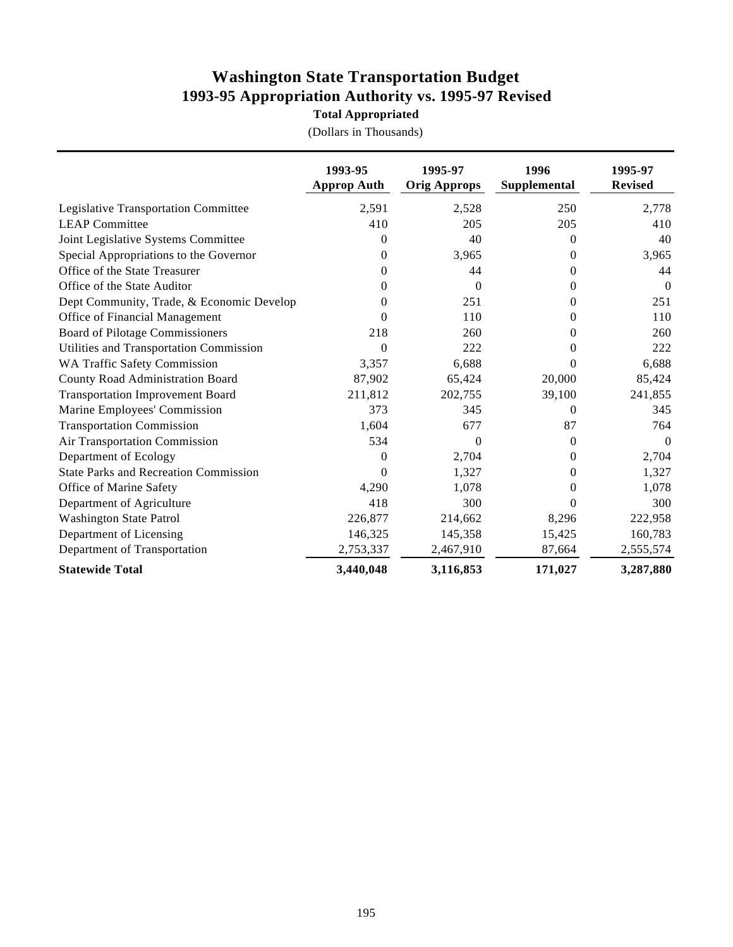### **Washington State Transportation Budget 1993-95 Appropriation Authority vs. 1995-97 Revised**

**Total Appropriated**

|                                              | 1993-95<br><b>Approp Auth</b> | 1995-97<br><b>Orig Approps</b> | 1996<br>Supplemental | 1995-97<br><b>Revised</b> |
|----------------------------------------------|-------------------------------|--------------------------------|----------------------|---------------------------|
| Legislative Transportation Committee         | 2,591                         | 2,528                          | 250                  | 2,778                     |
| <b>LEAP Committee</b>                        | 410                           | 205                            | 205                  | 410                       |
| Joint Legislative Systems Committee          | $\Omega$                      | 40                             | $\mathbf{0}$         | 40                        |
| Special Appropriations to the Governor       | 0                             | 3,965                          | 0                    | 3,965                     |
| Office of the State Treasurer                | 0                             | 44                             | $\Omega$             | 44                        |
| Office of the State Auditor                  | $\Omega$                      | $\Omega$                       | 0                    | $\Omega$                  |
| Dept Community, Trade, & Economic Develop    | 0                             | 251                            | $\mathbf{0}$         | 251                       |
| Office of Financial Management               | 0                             | 110                            | $\Omega$             | 110                       |
| <b>Board of Pilotage Commissioners</b>       | 218                           | 260                            | $\Omega$             | 260                       |
| Utilities and Transportation Commission      | $\theta$                      | 222                            | $\theta$             | 222                       |
| <b>WA Traffic Safety Commission</b>          | 3,357                         | 6,688                          | 0                    | 6,688                     |
| County Road Administration Board             | 87,902                        | 65,424                         | 20,000               | 85,424                    |
| <b>Transportation Improvement Board</b>      | 211,812                       | 202,755                        | 39,100               | 241,855                   |
| Marine Employees' Commission                 | 373                           | 345                            | $\theta$             | 345                       |
| <b>Transportation Commission</b>             | 1,604                         | 677                            | 87                   | 764                       |
| Air Transportation Commission                | 534                           | $\Omega$                       | $\Omega$             | $\Omega$                  |
| Department of Ecology                        | $\theta$                      | 2,704                          | $\Omega$             | 2,704                     |
| <b>State Parks and Recreation Commission</b> | $\overline{0}$                | 1,327                          | $\mathbf{0}$         | 1,327                     |
| Office of Marine Safety                      | 4,290                         | 1,078                          | $\theta$             | 1,078                     |
| Department of Agriculture                    | 418                           | 300                            | $\Omega$             | 300                       |
| <b>Washington State Patrol</b>               | 226,877                       | 214,662                        | 8,296                | 222,958                   |
| Department of Licensing                      | 146,325                       | 145,358                        | 15,425               | 160,783                   |
| Department of Transportation                 | 2,753,337                     | 2,467,910                      | 87,664               | 2,555,574                 |
| <b>Statewide Total</b>                       | 3,440,048                     | 3,116,853                      | 171,027              | 3,287,880                 |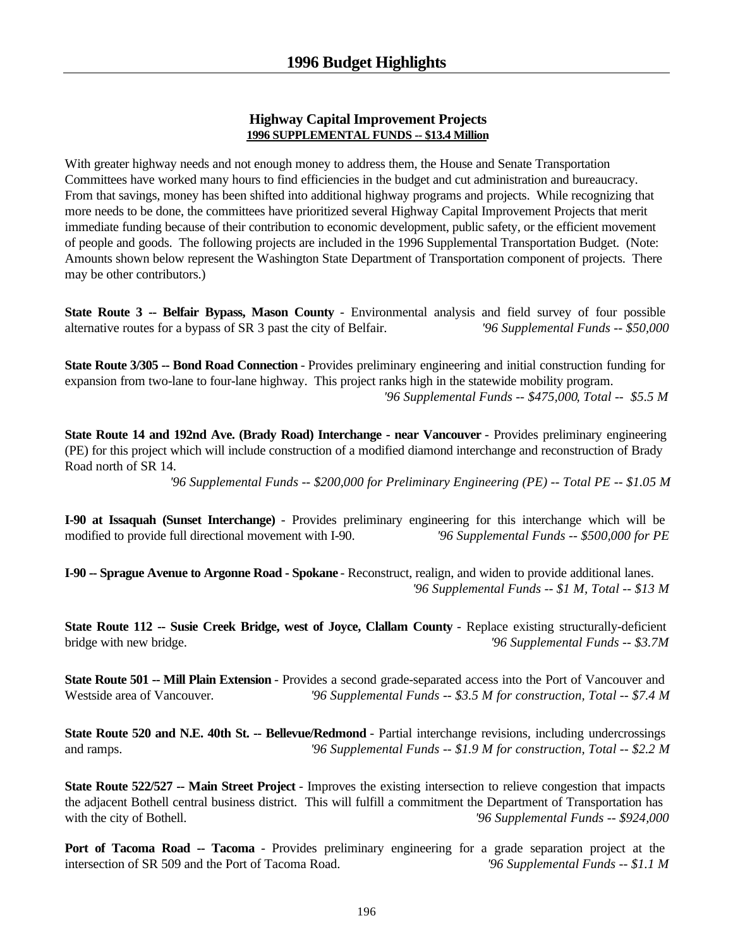#### **Highway Capital Improvement Projects 1996 SUPPLEMENTAL FUNDS -- \$13.4 Million**

With greater highway needs and not enough money to address them, the House and Senate Transportation Committees have worked many hours to find efficiencies in the budget and cut administration and bureaucracy. From that savings, money has been shifted into additional highway programs and projects. While recognizing that more needs to be done, the committees have prioritized several Highway Capital Improvement Projects that merit immediate funding because of their contribution to economic development, public safety, or the efficient movement of people and goods. The following projects are included in the 1996 Supplemental Transportation Budget. (Note: Amounts shown below represent the Washington State Department of Transportation component of projects. There may be other contributors.)

**State Route 3 -- Belfair Bypass, Mason County** - Environmental analysis and field survey of four possible alternative routes for a bypass of SR 3 past the city of Belfair. *'96 Supplemental Funds -- \$50,000*

**State Route 3/305 -- Bond Road Connection** - Provides preliminary engineering and initial construction funding for expansion from two-lane to four-lane highway. This project ranks high in the statewide mobility program. *'96 Supplemental Funds -- \$475,000, Total -- \$5.5 M*

**State Route 14 and 192nd Ave. (Brady Road) Interchange - near Vancouver** - Provides preliminary engineering (PE) for this project which will include construction of a modified diamond interchange and reconstruction of Brady Road north of SR 14.

*'96 Supplemental Funds -- \$200,000 for Preliminary Engineering (PE) -- Total PE -- \$1.05 M*

**I-90 at Issaquah (Sunset Interchange)** - Provides preliminary engineering for this interchange which will be modified to provide full directional movement with I-90. *'96 Supplemental Funds -- \$500,000 for PE*

**I-90 -- Sprague Avenue to Argonne Road - Spokane** - Reconstruct, realign, and widen to provide additional lanes. *'96 Supplemental Funds -- \$1 M, Total -- \$13 M*

**State Route 112 -- Susie Creek Bridge, west of Joyce, Clallam County - Replace existing structurally-deficient** bridge with new bridge. *'96 Supplemental Funds -- \$3.7M*

**State Route 501 -- Mill Plain Extension** - Provides a second grade-separated access into the Port of Vancouver and Westside area of Vancouver. *'96 Supplemental Funds -- \$3.5 M for construction, Total -- \$7.4 M*

**State Route 520 and N.E. 40th St. -- Bellevue/Redmond** - Partial interchange revisions, including undercrossings and ramps. *'96 Supplemental Funds -- \$1.9 M for construction, Total -- \$2.2 M*

**State Route 522/527 -- Main Street Project** - Improves the existing intersection to relieve congestion that impacts the adjacent Bothell central business district. This will fulfill a commitment the Department of Transportation has with the city of Bothell. *(a)* Supplemental Funds -- \$924,000 *(96 Supplemental Funds -- \$924,000*)

Port of Tacoma Road -- Tacoma - Provides preliminary engineering for a grade separation project at the intersection of SR 509 and the Port of Tacoma Road. *'96 Supplemental Funds -- \$1.1 M*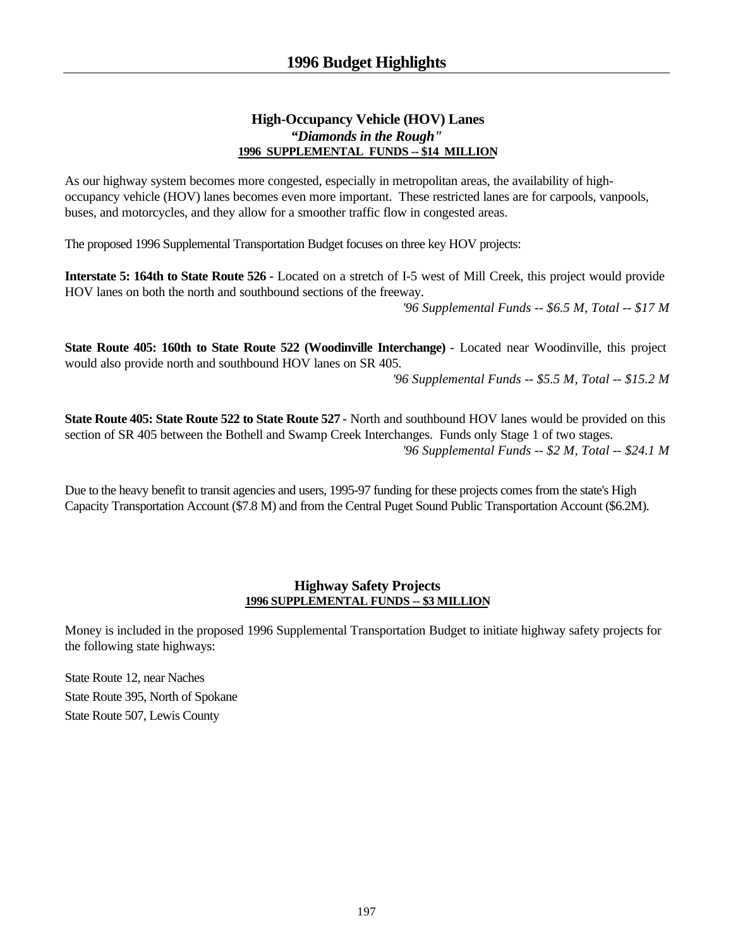#### **High-Occupancy Vehicle (HOV) Lanes** *"Diamonds in the Rough"* **1996 SUPPLEMENTAL FUNDS -- \$14 MILLION**

As our highway system becomes more congested, especially in metropolitan areas, the availability of highoccupancy vehicle (HOV) lanes becomes even more important. These restricted lanes are for carpools, vanpools, buses, and motorcycles, and they allow for a smoother traffic flow in congested areas.

The proposed 1996 Supplemental Transportation Budget focuses on three key HOV projects:

**Interstate 5: 164th to State Route 526** - Located on a stretch of I-5 west of Mill Creek, this project would provide HOV lanes on both the north and southbound sections of the freeway. *'96 Supplemental Funds -- \$6.5 M, Total -- \$17 M*

**State Route 405: 160th to State Route 522 (Woodinville Interchange)** - Located near Woodinville, this project would also provide north and southbound HOV lanes on SR 405.

*'96 Supplemental Funds -- \$5.5 M, Total -- \$15.2 M*

**State Route 405: State Route 522 to State Route 527** - North and southbound HOV lanes would be provided on this section of SR 405 between the Bothell and Swamp Creek Interchanges. Funds only Stage 1 of two stages. *'96 Supplemental Funds -- \$2 M, Total -- \$24.1 M*

Due to the heavy benefit to transit agencies and users, 1995-97 funding for these projects comes from the state's High Capacity Transportation Account (\$7.8 M) and from the Central Puget Sound Public Transportation Account (\$6.2M).

#### **Highway Safety Projects 1996 SUPPLEMENTAL FUNDS -- \$3 MILLION**

Money is included in the proposed 1996 Supplemental Transportation Budget to initiate highway safety projects for the following state highways:

State Route 12, near Naches State Route 395, North of Spokane State Route 507, Lewis County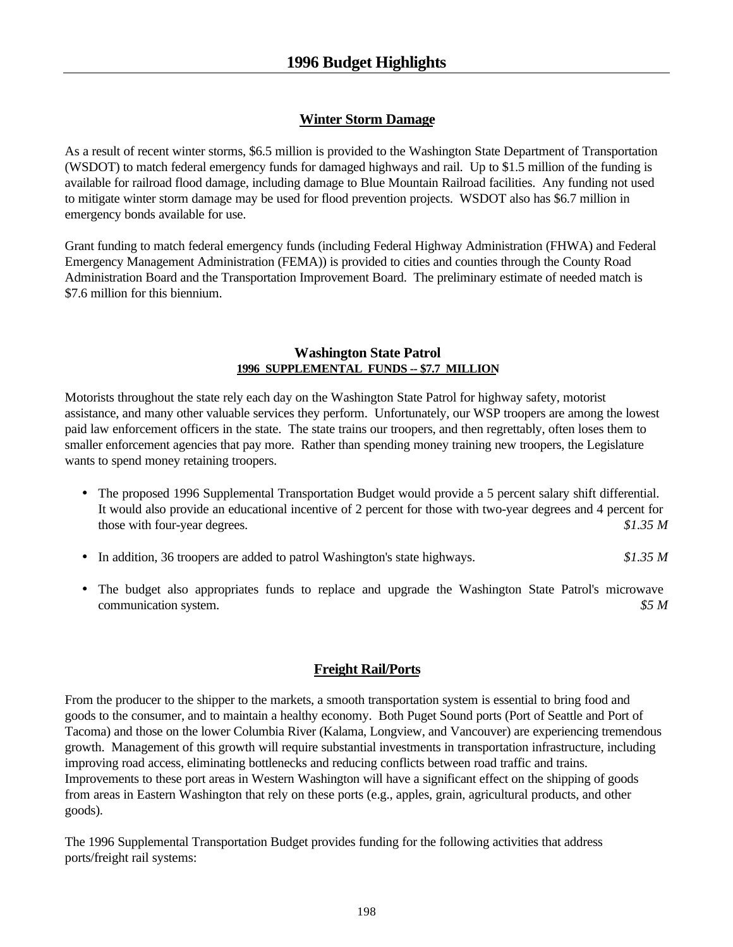#### **Winter Storm Damage**

As a result of recent winter storms, \$6.5 million is provided to the Washington State Department of Transportation (WSDOT) to match federal emergency funds for damaged highways and rail. Up to \$1.5 million of the funding is available for railroad flood damage, including damage to Blue Mountain Railroad facilities. Any funding not used to mitigate winter storm damage may be used for flood prevention projects. WSDOT also has \$6.7 million in emergency bonds available for use.

Grant funding to match federal emergency funds (including Federal Highway Administration (FHWA) and Federal Emergency Management Administration (FEMA)) is provided to cities and counties through the County Road Administration Board and the Transportation Improvement Board. The preliminary estimate of needed match is \$7.6 million for this biennium.

#### **Washington State Patrol 1996 SUPPLEMENTAL FUNDS -- \$7.7 MILLION**

Motorists throughout the state rely each day on the Washington State Patrol for highway safety, motorist assistance, and many other valuable services they perform. Unfortunately, our WSP troopers are among the lowest paid law enforcement officers in the state. The state trains our troopers, and then regrettably, often loses them to smaller enforcement agencies that pay more. Rather than spending money training new troopers, the Legislature wants to spend money retaining troopers.

- The proposed 1996 Supplemental Transportation Budget would provide a 5 percent salary shift differential. It would also provide an educational incentive of 2 percent for those with two-year degrees and 4 percent for those with four-year degrees. *\$1.35 M*
- In addition, 36 troopers are added to patrol Washington's state highways. *\$1.35 M*
- The budget also appropriates funds to replace and upgrade the Washington State Patrol's microwave communication system. *\$5 M*

#### **Freight Rail/Ports**

From the producer to the shipper to the markets, a smooth transportation system is essential to bring food and goods to the consumer, and to maintain a healthy economy. Both Puget Sound ports (Port of Seattle and Port of Tacoma) and those on the lower Columbia River (Kalama, Longview, and Vancouver) are experiencing tremendous growth. Management of this growth will require substantial investments in transportation infrastructure, including improving road access, eliminating bottlenecks and reducing conflicts between road traffic and trains. Improvements to these port areas in Western Washington will have a significant effect on the shipping of goods from areas in Eastern Washington that rely on these ports (e.g., apples, grain, agricultural products, and other goods).

The 1996 Supplemental Transportation Budget provides funding for the following activities that address ports/freight rail systems: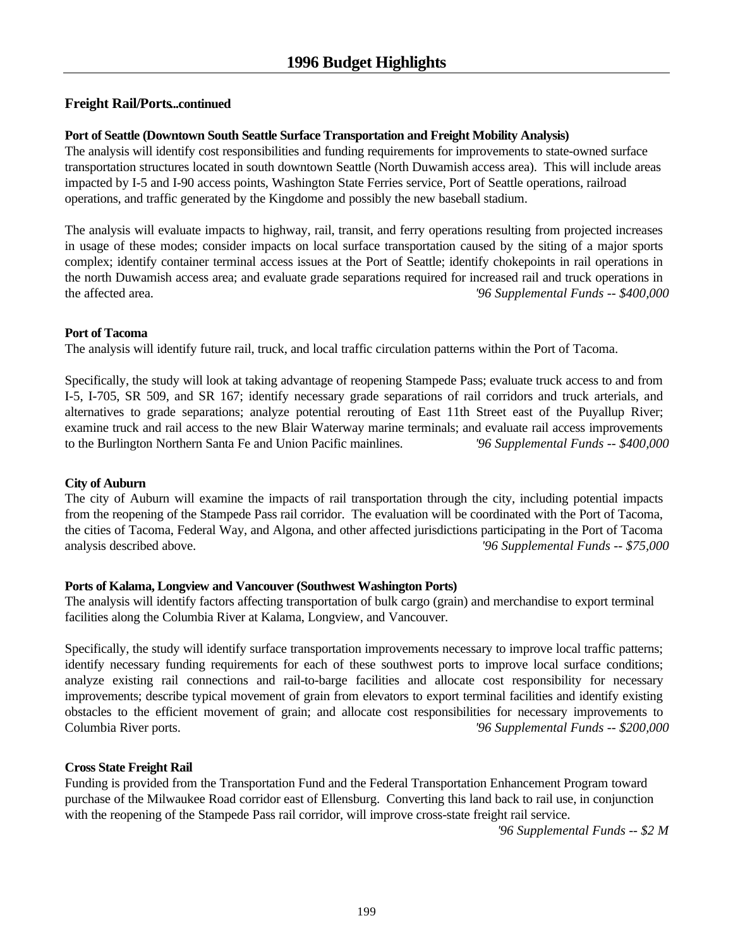#### **Freight Rail/Ports...continued**

#### **Port of Seattle (Downtown South Seattle Surface Transportation and Freight Mobility Analysis)**

The analysis will identify cost responsibilities and funding requirements for improvements to state-owned surface transportation structures located in south downtown Seattle (North Duwamish access area). This will include areas impacted by I-5 and I-90 access points, Washington State Ferries service, Port of Seattle operations, railroad operations, and traffic generated by the Kingdome and possibly the new baseball stadium.

The analysis will evaluate impacts to highway, rail, transit, and ferry operations resulting from projected increases in usage of these modes; consider impacts on local surface transportation caused by the siting of a major sports complex; identify container terminal access issues at the Port of Seattle; identify chokepoints in rail operations in the north Duwamish access area; and evaluate grade separations required for increased rail and truck operations in the affected area. *'96 Supplemental Funds -- \$400,000*

#### **Port of Tacoma**

The analysis will identify future rail, truck, and local traffic circulation patterns within the Port of Tacoma.

Specifically, the study will look at taking advantage of reopening Stampede Pass; evaluate truck access to and from I-5, I-705, SR 509, and SR 167; identify necessary grade separations of rail corridors and truck arterials, and alternatives to grade separations; analyze potential rerouting of East 11th Street east of the Puyallup River; examine truck and rail access to the new Blair Waterway marine terminals; and evaluate rail access improvements to the Burlington Northern Santa Fe and Union Pacific mainlines. *'96 Supplemental Funds -- \$400,000*

#### **City of Auburn**

The city of Auburn will examine the impacts of rail transportation through the city, including potential impacts from the reopening of the Stampede Pass rail corridor. The evaluation will be coordinated with the Port of Tacoma, the cities of Tacoma, Federal Way, and Algona, and other affected jurisdictions participating in the Port of Tacoma analysis described above. *'96 Supplemental Funds -- \$75,000*

#### **Ports of Kalama, Longview and Vancouver (Southwest Washington Ports)**

The analysis will identify factors affecting transportation of bulk cargo (grain) and merchandise to export terminal facilities along the Columbia River at Kalama, Longview, and Vancouver.

Specifically, the study will identify surface transportation improvements necessary to improve local traffic patterns; identify necessary funding requirements for each of these southwest ports to improve local surface conditions; analyze existing rail connections and rail-to-barge facilities and allocate cost responsibility for necessary improvements; describe typical movement of grain from elevators to export terminal facilities and identify existing obstacles to the efficient movement of grain; and allocate cost responsibilities for necessary improvements to Columbia River ports. *'96 Supplemental Funds -- \$200,000*

#### **Cross State Freight Rail**

Funding is provided from the Transportation Fund and the Federal Transportation Enhancement Program toward purchase of the Milwaukee Road corridor east of Ellensburg. Converting this land back to rail use, in conjunction with the reopening of the Stampede Pass rail corridor, will improve cross-state freight rail service.

*'96 Supplemental Funds -- \$2 M*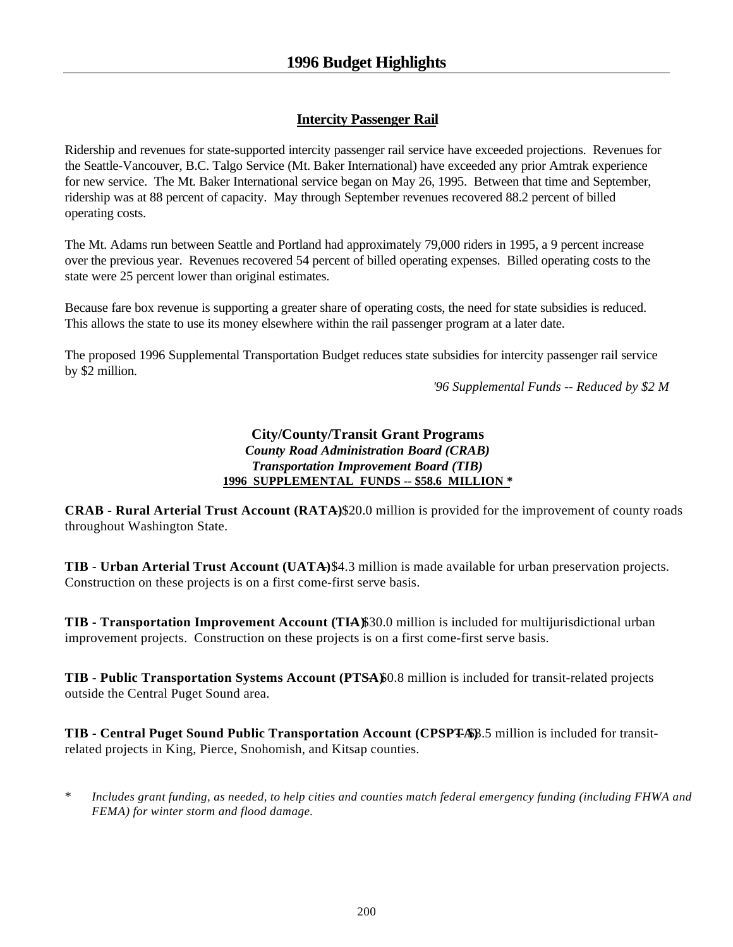### **Intercity Passenger Rail**

Ridership and revenues for state-supported intercity passenger rail service have exceeded projections. Revenues for the Seattle-Vancouver, B.C. Talgo Service (Mt. Baker International) have exceeded any prior Amtrak experience for new service. The Mt. Baker International service began on May 26, 1995. Between that time and September, ridership was at 88 percent of capacity. May through September revenues recovered 88.2 percent of billed operating costs.

The Mt. Adams run between Seattle and Portland had approximately 79,000 riders in 1995, a 9 percent increase over the previous year. Revenues recovered 54 percent of billed operating expenses. Billed operating costs to the state were 25 percent lower than original estimates.

Because fare box revenue is supporting a greater share of operating costs, the need for state subsidies is reduced. This allows the state to use its money elsewhere within the rail passenger program at a later date.

The proposed 1996 Supplemental Transportation Budget reduces state subsidies for intercity passenger rail service by \$2 million.

*'96 Supplemental Funds -- Reduced by \$2 M*

#### **City/County/Transit Grant Programs** *County Road Administration Board (CRAB) Transportation Improvement Board (TIB)* **1996 SUPPLEMENTAL FUNDS -- \$58.6 MILLION \***

**CRAB - Rural Arterial Trust Account (RATA)** \$20.0 million is provided for the improvement of county roads throughout Washington State.

**TIB - Urban Arterial Trust Account (UATA)** \$4.3 million is made available for urban preservation projects. Construction on these projects is on a first come-first serve basis.

**TIB - Transportation Improvement Account (TIA)\$30.0 million is included for multijurisdictional urban** improvement projects. Construction on these projects is on a first come-first serve basis.

**TIB - Public Transportation Systems Account (PTSA)** 6.8 million is included for transit-related projects outside the Central Puget Sound area.

**TIB - Central Puget Sound Public Transportation Account (CPSPTA)**  $\beta$ .5 million is included for transitrelated projects in King, Pierce, Snohomish, and Kitsap counties.

\* *Includes grant funding, as needed, to help cities and counties match federal emergency funding (including FHWA and FEMA) for winter storm and flood damage.*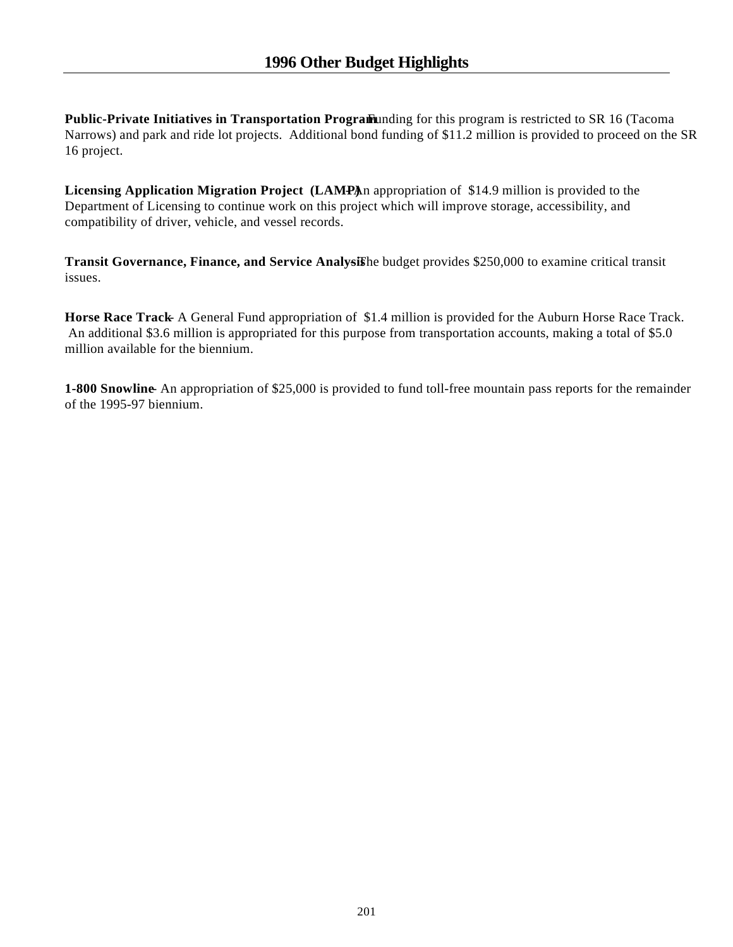**Public-Private Initiatives in Transportation Program and** *Funding* for this program is restricted to SR 16 (Tacoma Narrows) and park and ride lot projects. Additional bond funding of \$11.2 million is provided to proceed on the SR 16 project.

Licensing Application Migration Project (LAMPAn appropriation of \$14.9 million is provided to the Department of Licensing to continue work on this project which will improve storage, accessibility, and compatibility of driver, vehicle, and vessel records.

**Transit Governance, Finance, and Service Analysishe budget provides \$250,000 to examine critical transit** issues.

**Horse Race Track** A General Fund appropriation of \$1.4 million is provided for the Auburn Horse Race Track. An additional \$3.6 million is appropriated for this purpose from transportation accounts, making a total of \$5.0 million available for the biennium.

**1-800 Snowline** An appropriation of \$25,000 is provided to fund toll-free mountain pass reports for the remainder of the 1995-97 biennium.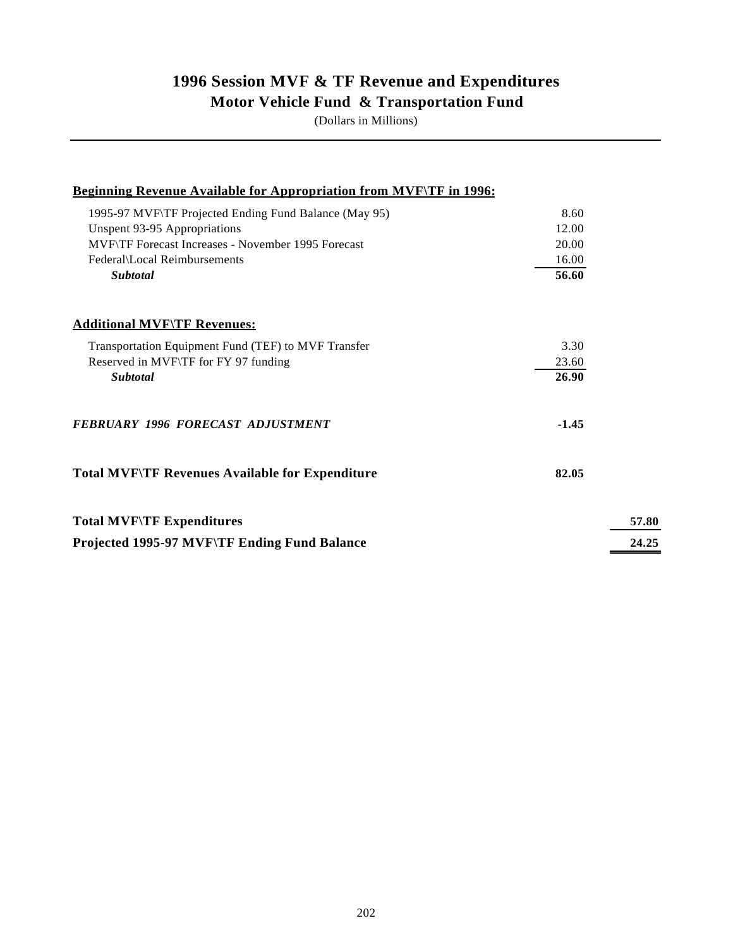### **1996 Session MVF & TF Revenue and Expenditures Motor Vehicle Fund & Transportation Fund**

(Dollars in Millions)

| <b>Beginning Revenue Available for Appropriation from MVF\TF in 1996:</b> |         |
|---------------------------------------------------------------------------|---------|
| 1995-97 MVF\TF Projected Ending Fund Balance (May 95)                     | 8.60    |
| Unspent 93-95 Appropriations                                              | 12.00   |
| MVF\TF Forecast Increases - November 1995 Forecast                        | 20.00   |
| Federal\Local Reimbursements                                              | 16.00   |
| Subtotal                                                                  | 56.60   |
| <b>Additional MVF\TF Revenues:</b>                                        |         |
| Transportation Equipment Fund (TEF) to MVF Transfer                       | 3.30    |
| Reserved in MVF\TF for FY 97 funding                                      | 23.60   |
| <b>Subtotal</b>                                                           | 26.90   |
| <b>FEBRUARY 1996 FORECAST ADJUSTMENT</b>                                  | $-1.45$ |
| <b>Total MVF\TF Revenues Available for Expenditure</b>                    | 82.05   |
| <b>Total MVF\TF Expenditures</b>                                          | 57.80   |
| Projected 1995-97 MVF\TF Ending Fund Balance                              | 24.25   |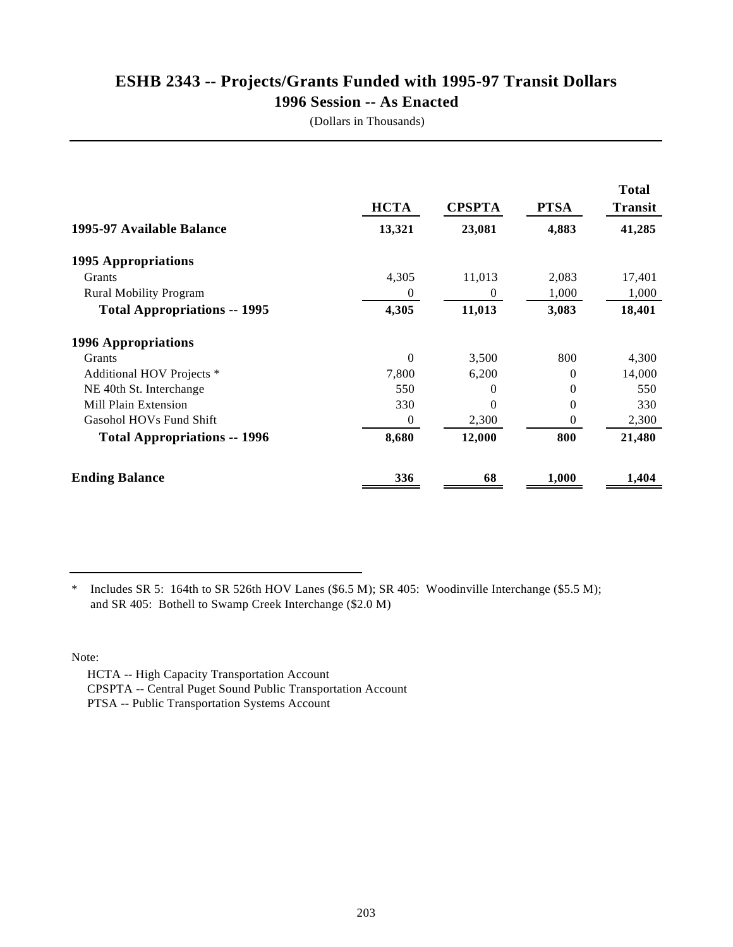### **ESHB 2343 -- Projects/Grants Funded with 1995-97 Transit Dollars 1996 Session -- As Enacted**

(Dollars in Thousands)

|                                     | <b>HCTA</b> | <b>CPSPTA</b> | <b>PTSA</b> | <b>Total</b><br><b>Transit</b> |
|-------------------------------------|-------------|---------------|-------------|--------------------------------|
| 1995-97 Available Balance           | 13,321      | 23,081        | 4,883       | 41,285                         |
| 1995 Appropriations                 |             |               |             |                                |
| Grants                              | 4,305       | 11,013        | 2,083       | 17,401                         |
| <b>Rural Mobility Program</b>       | 0           | $\Omega$      | 1,000       | 1,000                          |
| <b>Total Appropriations -- 1995</b> | 4,305       | 11,013        | 3,083       | 18,401                         |
| <b>1996 Appropriations</b>          |             |               |             |                                |
| Grants                              | $\theta$    | 3,500         | 800         | 4,300                          |
| Additional HOV Projects *           | 7,800       | 6,200         | $\Omega$    | 14,000                         |
| NE 40th St. Interchange             | 550         | $\Omega$      | $\Omega$    | 550                            |
| Mill Plain Extension                | 330         | $\Omega$      | $\theta$    | 330                            |
| Gasohol HOVs Fund Shift             | $\theta$    | 2,300         | 0           | 2,300                          |
| <b>Total Appropriations -- 1996</b> | 8,680       | 12,000        | 800         | 21,480                         |
| <b>Ending Balance</b>               | 336         | 68            | 1,000       | 1,404                          |

\* Includes SR 5: 164th to SR 526th HOV Lanes (\$6.5 M); SR 405: Woodinville Interchange (\$5.5 M); and SR 405: Bothell to Swamp Creek Interchange (\$2.0 M)

Note:

 HCTA -- High Capacity Transportation Account CPSPTA -- Central Puget Sound Public Transportation Account PTSA -- Public Transportation Systems Account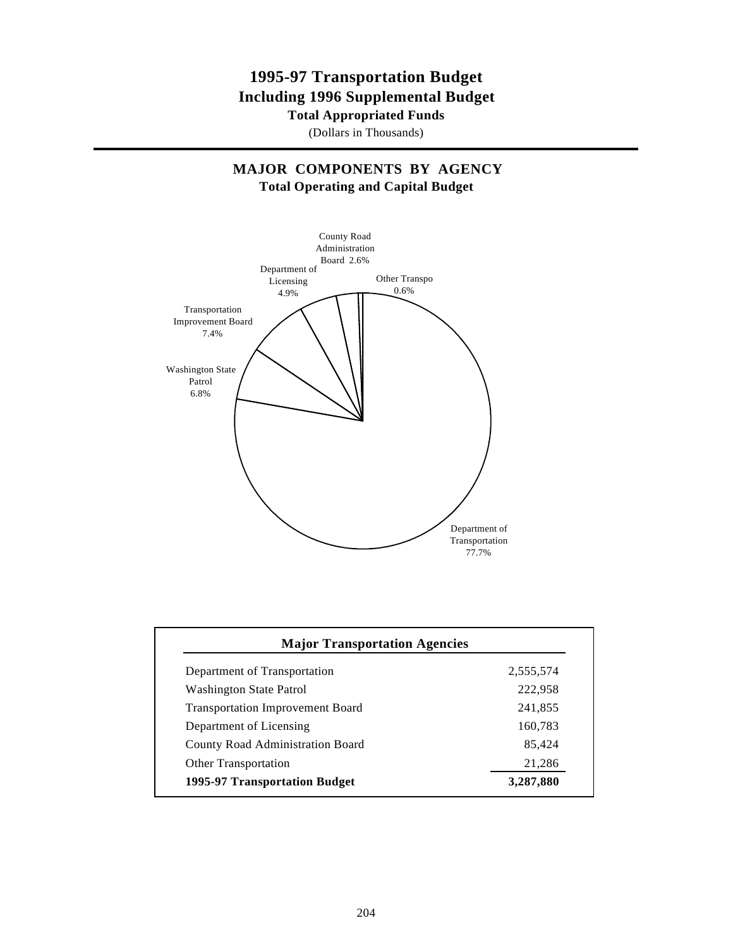### **1995-97 Transportation Budget Including 1996 Supplemental Budget**

**Total Appropriated Funds**

(Dollars in Thousands)

#### **MAJOR COMPONENTS BY AGENCY Total Operating and Capital Budget**



| Department of Transportation            | 2,555,574 |
|-----------------------------------------|-----------|
| <b>Washington State Patrol</b>          | 222,958   |
| <b>Transportation Improvement Board</b> | 241,855   |
| Department of Licensing                 | 160,783   |
| <b>County Road Administration Board</b> | 85,424    |
| <b>Other Transportation</b>             | 21,286    |
| 1995-97 Transportation Budget           | 3,287,880 |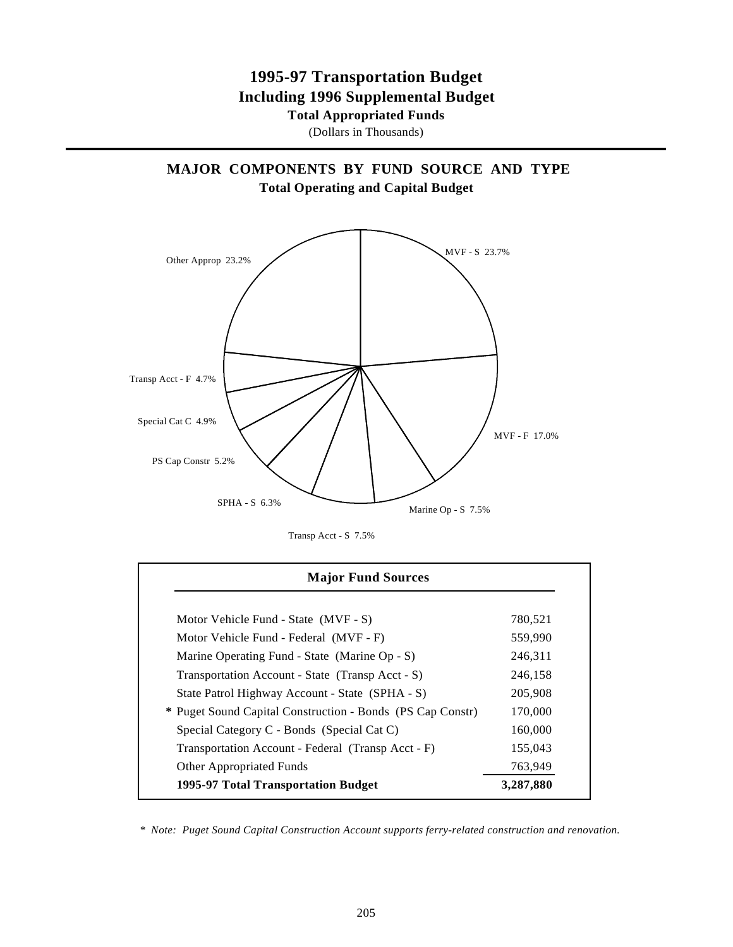### **1995-97 Transportation Budget Including 1996 Supplemental Budget**

**Total Appropriated Funds**

(Dollars in Thousands)

**MAJOR COMPONENTS BY FUND SOURCE AND TYPE Total Operating and Capital Budget**



Transp Acct - S 7.5%

| <b>Major Fund Sources</b>                                  |           |
|------------------------------------------------------------|-----------|
|                                                            |           |
| Motor Vehicle Fund - State (MVF - S)                       | 780,521   |
| Motor Vehicle Fund - Federal (MVF - F)                     | 559,990   |
| Marine Operating Fund - State (Marine Op - S)              | 246,311   |
| Transportation Account - State (Transp Acct - S)           | 246,158   |
| State Patrol Highway Account - State (SPHA - S)            | 205,908   |
| * Puget Sound Capital Construction - Bonds (PS Cap Constr) | 170,000   |
| Special Category C - Bonds (Special Cat C)                 | 160,000   |
| Transportation Account - Federal (Transp Acct - F)         | 155,043   |
| <b>Other Appropriated Funds</b>                            | 763,949   |
| 1995-97 Total Transportation Budget                        | 3,287,880 |

 *\* Note: Puget Sound Capital Construction Account supports ferry-related construction and renovation.*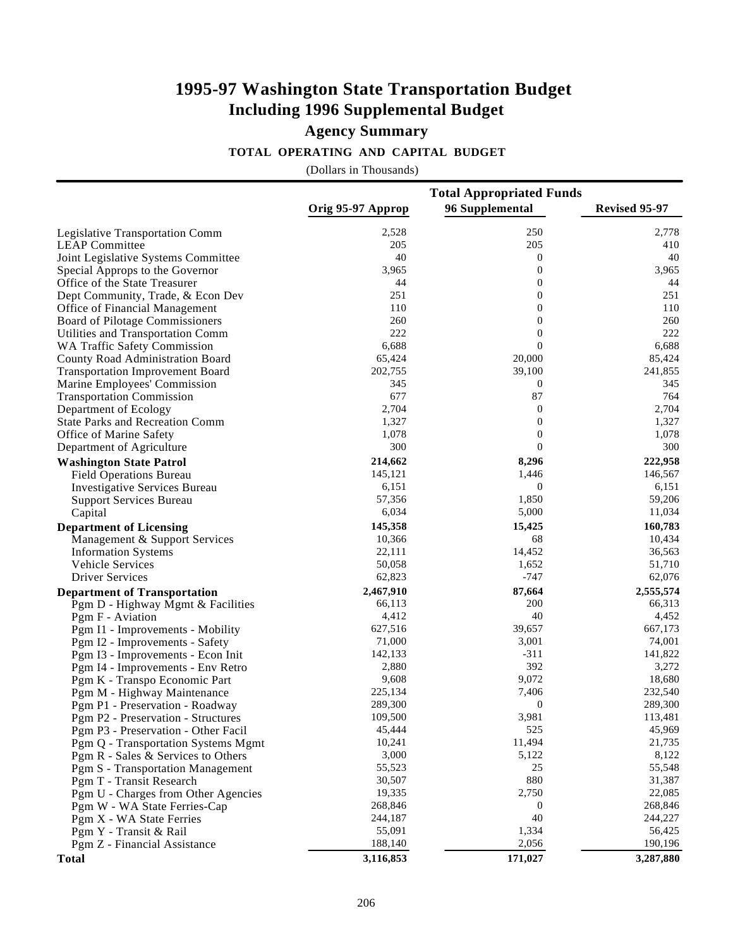#### **TOTAL OPERATING AND CAPITAL BUDGET**

|                                         | <b>Total Appropriated Funds</b> |                  |               |  |
|-----------------------------------------|---------------------------------|------------------|---------------|--|
|                                         | Orig 95-97 Approp               | 96 Supplemental  | Revised 95-97 |  |
| Legislative Transportation Comm         | 2,528                           | 250              | 2,778         |  |
| <b>LEAP Committee</b>                   | 205                             | 205              | 410           |  |
| Joint Legislative Systems Committee     | 40                              | $\bf{0}$         | 40            |  |
| Special Approps to the Governor         | 3,965                           | $\boldsymbol{0}$ | 3,965         |  |
| Office of the State Treasurer           | 44                              | $\boldsymbol{0}$ | 44            |  |
| Dept Community, Trade, & Econ Dev       | 251                             | $\boldsymbol{0}$ | 251           |  |
| Office of Financial Management          | 110                             | $\boldsymbol{0}$ | 110           |  |
| Board of Pilotage Commissioners         | 260                             | $\boldsymbol{0}$ | 260           |  |
| Utilities and Transportation Comm       | 222                             | $\boldsymbol{0}$ | 222           |  |
| WA Traffic Safety Commission            | 6,688                           | $\mathbf{0}$     | 6,688         |  |
| County Road Administration Board        | 65,424                          | 20,000           | 85,424        |  |
| <b>Transportation Improvement Board</b> | 202,755                         | 39,100           | 241,855       |  |
| Marine Employees' Commission            | 345                             | $\bf{0}$         | 345           |  |
| <b>Transportation Commission</b>        | 677                             | 87               | 764           |  |
| Department of Ecology                   | 2,704                           | $\bf{0}$         | 2,704         |  |
| <b>State Parks and Recreation Comm</b>  | 1,327                           | $\boldsymbol{0}$ | 1,327         |  |
| Office of Marine Safety                 | 1,078                           | $\boldsymbol{0}$ | 1,078         |  |
| Department of Agriculture               | 300                             | $\mathbf{0}$     | 300           |  |
| <b>Washington State Patrol</b>          | 214,662                         | 8,296            | 222,958       |  |
| <b>Field Operations Bureau</b>          | 145,121                         | 1,446            | 146,567       |  |
| <b>Investigative Services Bureau</b>    | 6,151                           | $\bf{0}$         | 6,151         |  |
| Support Services Bureau                 | 57,356                          | 1,850            | 59,206        |  |
| Capital                                 | 6,034                           | 5,000            | 11,034        |  |
| <b>Department of Licensing</b>          | 145,358                         | 15,425           | 160,783       |  |
| Management & Support Services           | 10,366                          | 68               | 10,434        |  |
| <b>Information Systems</b>              | 22,111                          | 14,452           | 36,563        |  |
| Vehicle Services                        | 50,058                          | 1,652            | 51,710        |  |
| <b>Driver Services</b>                  | 62,823                          | $-747$           | 62,076        |  |
| <b>Department of Transportation</b>     | 2,467,910                       | 87,664           | 2,555,574     |  |
| Pgm D - Highway Mgmt & Facilities       | 66,113                          | 200              | 66,313        |  |
| Pgm F - Aviation                        | 4,412                           | 40               | 4,452         |  |
| Pgm I1 - Improvements - Mobility        | 627,516                         | 39,657           | 667,173       |  |
| Pgm I2 - Improvements - Safety          | 71,000                          | 3,001            | 74,001        |  |
| Pgm I3 - Improvements - Econ Init       | 142,133                         | $-311$           | 141,822       |  |
| Pgm I4 - Improvements - Env Retro       | 2,880                           | 392              | 3,272         |  |
| Pgm K - Transpo Economic Part           | 9,608                           | 9,072            | 18,680        |  |
| Pgm M - Highway Maintenance             | 225,134                         | 7,406            | 232,540       |  |
| Pgm P1 - Preservation - Roadway         | 289,300                         | $\bf{0}$         | 289,300       |  |
| Pgm P2 - Preservation - Structures      | 109,500                         | 3,981            | 113,481       |  |
| Pgm P3 - Preservation - Other Facil     | 45,444                          | 525              | 45,969        |  |
| Pgm Q - Transportation Systems Mgmt     | 10,241                          | 11,494           | 21,735        |  |
| Pgm R - Sales & Services to Others      | 3,000                           | 5,122            | 8,122         |  |
| Pgm S - Transportation Management       | 55,523                          | 25               | 55,548        |  |
| Pgm T - Transit Research                | 30,507                          | 880              | 31,387        |  |
| Pgm U - Charges from Other Agencies     | 19,335                          | 2,750            | 22,085        |  |
| Pgm W - WA State Ferries-Cap            | 268,846                         | $\boldsymbol{0}$ | 268,846       |  |
| Pgm X - WA State Ferries                | 244,187                         | 40               | 244,227       |  |
| Pgm Y - Transit & Rail                  | 55,091                          | 1,334            | 56,425        |  |
| Pgm Z - Financial Assistance            | 188,140                         | 2,056            | 190,196       |  |
| <b>Total</b>                            | 3,116,853                       | 171,027          | 3,287,880     |  |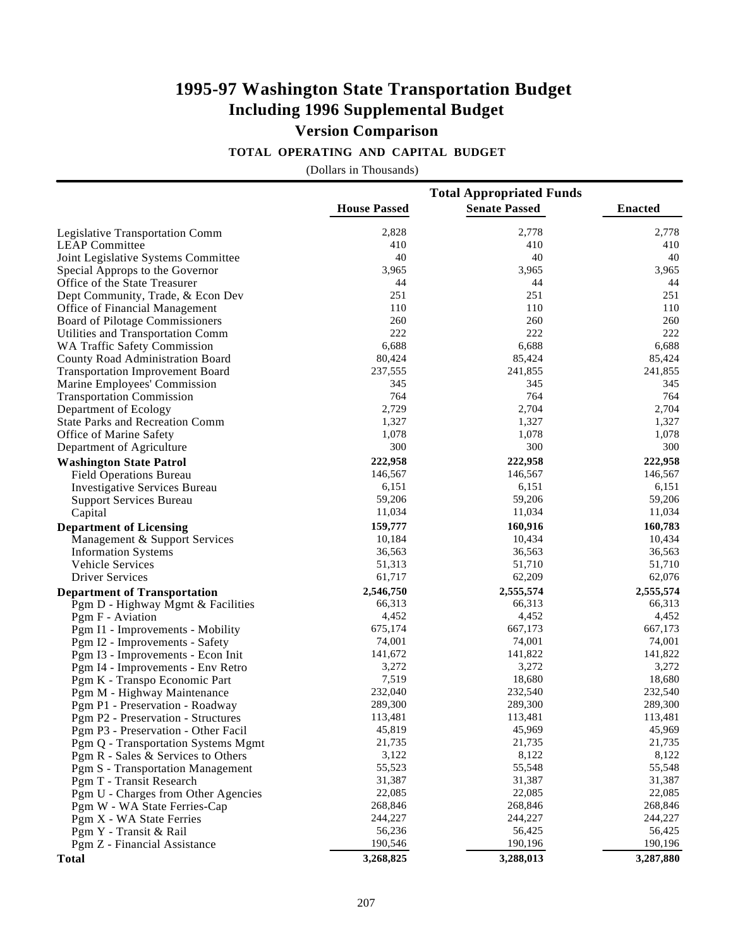### **1995-97 Washington State Transportation Budget Including 1996 Supplemental Budget Version Comparison**

#### **TOTAL OPERATING AND CAPITAL BUDGET**

|                                         | <b>Total Appropriated Funds</b> |                      |                |  |
|-----------------------------------------|---------------------------------|----------------------|----------------|--|
|                                         | <b>House Passed</b>             | <b>Senate Passed</b> | <b>Enacted</b> |  |
| Legislative Transportation Comm         | 2,828                           | 2,778                | 2,778          |  |
| <b>LEAP Committee</b>                   | 410                             | 410                  | 410            |  |
| Joint Legislative Systems Committee     | 40                              | 40                   | 40             |  |
| Special Approps to the Governor         | 3,965                           | 3,965                | 3,965          |  |
| Office of the State Treasurer           | 44                              | 44                   | 44             |  |
| Dept Community, Trade, & Econ Dev       | 251                             | 251                  | 251            |  |
| Office of Financial Management          | 110                             | 110                  | 110            |  |
| Board of Pilotage Commissioners         | 260                             | 260                  | 260            |  |
| Utilities and Transportation Comm       | 222                             | 222                  | 222            |  |
| WA Traffic Safety Commission            | 6,688                           | 6,688                | 6,688          |  |
| County Road Administration Board        | 80,424                          | 85,424               | 85,424         |  |
| <b>Transportation Improvement Board</b> | 237,555                         | 241,855              | 241,855        |  |
| Marine Employees' Commission            | 345                             | 345                  | 345            |  |
| <b>Transportation Commission</b>        | 764                             | 764                  | 764            |  |
| Department of Ecology                   | 2,729                           | 2,704                | 2,704          |  |
| <b>State Parks and Recreation Comm</b>  | 1,327                           | 1,327                | 1,327          |  |
| Office of Marine Safety                 | 1,078                           | 1,078                | 1,078          |  |
| Department of Agriculture               | 300                             | 300                  | 300            |  |
| <b>Washington State Patrol</b>          | 222,958                         | 222,958              | 222,958        |  |
| <b>Field Operations Bureau</b>          | 146,567                         | 146,567              | 146,567        |  |
| <b>Investigative Services Bureau</b>    | 6,151                           | 6,151                | 6,151          |  |
| <b>Support Services Bureau</b>          | 59,206                          | 59,206               | 59,206         |  |
| Capital                                 | 11,034                          | 11,034               | 11,034         |  |
| <b>Department of Licensing</b>          | 159,777                         | 160,916              | 160,783        |  |
| Management & Support Services           | 10,184                          | 10,434               | 10,434         |  |
| <b>Information Systems</b>              | 36,563                          | 36,563               | 36,563         |  |
| Vehicle Services                        | 51,313                          | 51,710               | 51,710         |  |
| <b>Driver Services</b>                  | 61,717                          | 62,209               | 62,076         |  |
| <b>Department of Transportation</b>     | 2,546,750                       | 2,555,574            | 2,555,574      |  |
| Pgm D - Highway Mgmt & Facilities       | 66,313                          | 66,313               | 66,313         |  |
| Pgm F - Aviation                        | 4,452                           | 4,452                | 4,452          |  |
| Pgm I1 - Improvements - Mobility        | 675,174                         | 667,173              | 667,173        |  |
| Pgm I2 - Improvements - Safety          | 74,001                          | 74,001               | 74,001         |  |
| Pgm I3 - Improvements - Econ Init       | 141,672                         | 141,822              | 141,822        |  |
| Pgm I4 - Improvements - Env Retro       | 3,272                           | 3,272                | 3,272          |  |
| Pgm K - Transpo Economic Part           | 7,519                           | 18,680               | 18,680         |  |
| Pgm M - Highway Maintenance             | 232,040                         | 232,540              | 232,540        |  |
| Pgm P1 - Preservation - Roadway         | 289,300                         | 289,300              | 289,300        |  |
| Pgm P2 - Preservation - Structures      | 113,481                         | 113,481              | 113,481        |  |
| Pgm P3 - Preservation - Other Facil     | 45,819                          | 45,969               | 45,969         |  |
| Pgm Q - Transportation Systems Mgmt     | 21,735                          | 21,735               | 21,735         |  |
| Pgm R - Sales & Services to Others      | 3,122                           | 8,122                | 8,122          |  |
| Pgm S - Transportation Management       | 55,523                          | 55,548               | 55,548         |  |
| Pgm T - Transit Research                | 31,387                          | 31,387               | 31,387         |  |
| Pgm U - Charges from Other Agencies     | 22,085                          | 22,085               | 22,085         |  |
| Pgm W - WA State Ferries-Cap            | 268,846                         | 268,846              | 268,846        |  |
| Pgm X - WA State Ferries                | 244,227                         | 244,227              | 244,227        |  |
| Pgm Y - Transit & Rail                  | 56,236                          | 56,425               | 56,425         |  |
| Pgm Z - Financial Assistance            | 190,546                         | 190,196              | 190,196        |  |
| <b>Total</b>                            | 3,268,825                       | 3,288,013            | 3,287,880      |  |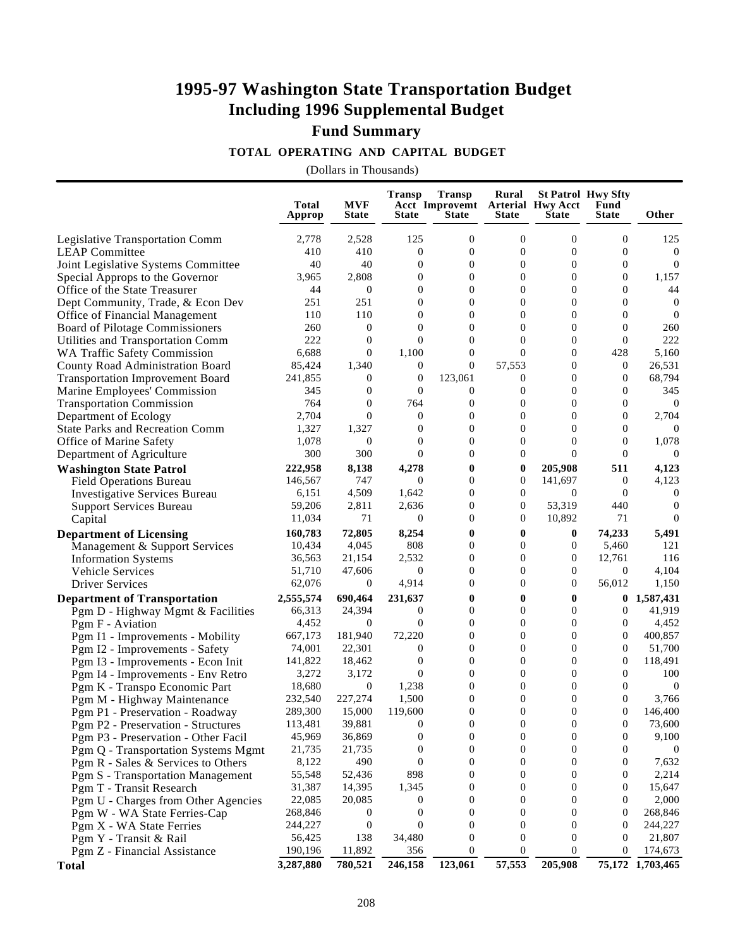## **Fund Summary**

#### **TOTAL OPERATING AND CAPITAL BUDGET**

|                                              | Total<br>Approp      | <b>MVF</b><br><b>State</b> | <b>Transp</b><br><b>State</b> | <b>Transp</b><br>Acct Improvemt Arterial Hwy Acct<br><b>State</b> | Rural<br><b>State</b> | <b>State</b>        | <b>St Patrol Hwy Sfty</b><br>Fund<br><b>State</b> | Other                       |
|----------------------------------------------|----------------------|----------------------------|-------------------------------|-------------------------------------------------------------------|-----------------------|---------------------|---------------------------------------------------|-----------------------------|
| Legislative Transportation Comm              | 2,778                | 2,528                      | 125                           | $\mathbf{0}$                                                      | $\mathbf{0}$          | $\mathbf{0}$        | $\mathbf{0}$                                      | 125                         |
| <b>LEAP Committee</b>                        | 410                  | 410                        | $\mathbf{0}$                  | $\boldsymbol{0}$                                                  | $\boldsymbol{0}$      | $\boldsymbol{0}$    | $\boldsymbol{0}$                                  | $\overline{0}$              |
| Joint Legislative Systems Committee          | 40                   | 40                         | $\mathbf{0}$                  | $\mathbf{0}$                                                      | $\overline{0}$        | $\overline{0}$      | $\mathbf{0}$                                      | $\overline{0}$              |
| Special Approps to the Governor              | 3,965                | 2,808                      | $\overline{0}$                | $\overline{0}$                                                    | $\overline{0}$        | $\overline{0}$      | $\mathbf{0}$                                      | 1,157                       |
| Office of the State Treasurer                | 44                   | $\boldsymbol{0}$           | $\mathbf{0}$                  | $\mathbf{0}$                                                      | $\overline{0}$        | $\overline{0}$      | $\mathbf{0}$                                      | 44                          |
| Dept Community, Trade, & Econ Dev            | 251                  | 251                        | $\boldsymbol{0}$              | $\mathbf{0}$                                                      | $\boldsymbol{0}$      | $\boldsymbol{0}$    | $\mathbf{0}$                                      | $\boldsymbol{0}$            |
| Office of Financial Management               | 110                  | 110                        | $\overline{0}$                | $\mathbf{0}$                                                      | $\overline{0}$        | $\overline{0}$      | $\mathbf{0}$                                      | $\overline{0}$              |
| Board of Pilotage Commissioners              | 260                  | $\boldsymbol{0}$           | $\theta$                      | $\theta$                                                          | $\overline{0}$        | $\overline{0}$      | $\mathbf{0}$                                      | 260                         |
| Utilities and Transportation Comm            | 222                  | $\overline{0}$             | $\theta$                      | $\Omega$                                                          | $\theta$              | $\Omega$            | $\Omega$                                          | 222                         |
| <b>WA Traffic Safety Commission</b>          | 6,688                | $\overline{0}$             | 1,100                         | $\boldsymbol{0}$                                                  | $\theta$              | $\mathbf{0}$        | 428                                               | 5,160                       |
| County Road Administration Board             | 85,424               | 1,340                      | $\boldsymbol{0}$              | $\mathbf{0}$                                                      | 57,553                | $\overline{0}$      | $\mathbf{0}$                                      | 26,531                      |
| <b>Transportation Improvement Board</b>      | 241,855              | $\mathbf{0}$               | $\boldsymbol{0}$              | 123,061                                                           | 0                     | $\overline{0}$      | $\theta$                                          | 68,794                      |
| Marine Employees' Commission                 | 345                  | $\overline{0}$             | $\theta$                      | $\mathbf{0}$                                                      | $\overline{0}$        | $\Omega$            | $\Omega$                                          | 345                         |
| <b>Transportation Commission</b>             | 764                  | $\overline{0}$             | 764                           | $\boldsymbol{0}$                                                  | $\boldsymbol{0}$      | $\overline{0}$      | $\mathbf{0}$                                      | $\bf{0}$                    |
| Department of Ecology                        | 2,704                | $\mathbf{0}$               | $\boldsymbol{0}$              | $\boldsymbol{0}$                                                  | $\boldsymbol{0}$      | $\overline{0}$      | $\mathbf{0}$                                      | 2,704                       |
| <b>State Parks and Recreation Comm</b>       | 1,327                | 1,327                      | $\boldsymbol{0}$              | $\overline{0}$                                                    | $\overline{0}$        | $\overline{0}$      | $\overline{0}$                                    | $\overline{0}$              |
| Office of Marine Safety                      | 1,078                | $\boldsymbol{0}$           | $\theta$                      | $\Omega$                                                          | $\overline{0}$        | $\Omega$            | $\Omega$                                          | 1,078                       |
| Department of Agriculture                    | 300                  | 300                        | $\overline{0}$                | $\mathbf{0}$                                                      | $\overline{0}$        | $\Omega$            | $\Omega$                                          | $\overline{0}$              |
| <b>Washington State Patrol</b>               | 222,958              | 8,138                      | 4,278                         | $\bf{0}$                                                          | 0                     | 205,908             | 511                                               | 4,123                       |
| <b>Field Operations Bureau</b>               | 146,567              | 747                        | $\theta$                      | $\overline{0}$                                                    | 0                     | 141,697             | $\boldsymbol{0}$                                  | 4,123                       |
| <b>Investigative Services Bureau</b>         | 6,151                | 4,509                      | 1,642                         | $\overline{0}$                                                    | $\overline{0}$        | $\overline{0}$      | $\mathbf{0}$                                      | $\bf{0}$                    |
| <b>Support Services Bureau</b>               | 59,206               | 2,811                      | 2,636                         | $\theta$                                                          | $\overline{0}$        | 53,319              | 440                                               | $\boldsymbol{0}$            |
| Capital                                      | 11,034               | 71                         | $\theta$                      | $\mathbf{0}$                                                      | $\overline{0}$        | 10,892              | 71                                                | $\overline{0}$              |
| <b>Department of Licensing</b>               | 160,783              | 72,805                     | 8,254                         | $\bf{0}$                                                          | 0                     | $\bf{0}$            | 74,233                                            | 5,491                       |
| Management & Support Services                | 10,434               | 4,045                      | 808                           | $\mathbf{0}$                                                      | $\overline{0}$        | 0                   | 5,460                                             | 121                         |
| <b>Information Systems</b>                   | 36,563               | 21,154                     | 2,532                         | $\mathbf{0}$                                                      | $\overline{0}$        | $\overline{0}$      | 12,761                                            | 116                         |
| Vehicle Services                             | 51,710               | 47,606                     | $\boldsymbol{0}$              | $\overline{0}$                                                    | $\overline{0}$        | $\mathbf{0}$        | $\mathbf{0}$                                      | 4,104                       |
| <b>Driver Services</b>                       | 62,076               | $\theta$                   | 4,914                         | $\mathbf{0}$                                                      | $\overline{0}$        | $\mathbf{0}$        | 56,012                                            | 1,150                       |
| <b>Department of Transportation</b>          | 2,555,574            | 690,464                    | 231,637                       | $\mathbf{0}$                                                      | $\bf{0}$              | $\mathbf{0}$        | $\bf{0}$                                          | 1,587,431                   |
| Pgm D - Highway Mgmt & Facilities            | 66,313               | 24,394                     | 0                             | $\mathbf{0}$                                                      | $\overline{0}$        | $\boldsymbol{0}$    | $\overline{0}$                                    | 41,919                      |
| Pgm F - Aviation                             | 4,452                | $\overline{0}$             | $\overline{0}$                | $\overline{0}$                                                    | $\overline{0}$        | $\mathbf{0}$        | $\mathbf{0}$                                      | 4,452                       |
| Pgm I1 - Improvements - Mobility             | 667,173              | 181,940                    | 72,220                        | $\theta$                                                          | $\overline{0}$        | $\mathbf{0}$        | $\Omega$                                          | 400,857                     |
| Pgm I2 - Improvements - Safety               | 74,001               | 22,301                     | $\overline{0}$                | $\Omega$                                                          | $\theta$              | $\Omega$            | $\Omega$                                          | 51,700                      |
| Pgm I3 - Improvements - Econ Init            | 141,822              | 18,462                     | $\boldsymbol{0}$              | $\mathbf{0}$                                                      | $\boldsymbol{0}$      | $\boldsymbol{0}$    | $\mathbf{0}$                                      | 118,491                     |
| Pgm I4 - Improvements - Env Retro            | 3,272                | 3,172                      | $\theta$                      | $\mathbf{0}$                                                      | $\overline{0}$        | $\overline{0}$      | $\mathbf{0}$                                      | 100                         |
| Pgm K - Transpo Economic Part                | 18,680               | $\bf{0}$                   | 1,238                         | $\overline{0}$                                                    | $\boldsymbol{0}$      | $\overline{0}$      | $\mathbf{0}$                                      | $\boldsymbol{0}$            |
| Pgm M - Highway Maintenance                  | 232,540              | 227,274                    | 1,500                         | $\mathbf{0}$                                                      | $\overline{0}$        | $\overline{0}$      | $\mathbf{0}$                                      | 3,766                       |
| Pgm P1 - Preservation - Roadway              | 289,300              | 15,000                     | 119,600                       | $\boldsymbol{0}$                                                  | $\boldsymbol{0}$      | $\boldsymbol{0}$    | $\mathbf{0}$                                      | 146,400                     |
| Pgm P2 - Preservation - Structures           | 113,481              | 39,881                     | $\boldsymbol{0}$              | $\boldsymbol{0}$                                                  | $\boldsymbol{0}$      | $\boldsymbol{0}$    | $\boldsymbol{0}$                                  | 73,600                      |
| Pgm P3 - Preservation - Other Facil          | 45,969               | 36,869                     | 0                             | $\boldsymbol{0}$                                                  | $\boldsymbol{0}$      | $\boldsymbol{0}$    | $\boldsymbol{0}$                                  | 9,100                       |
| Pgm Q - Transportation Systems Mgmt          | 21,735               | 21,735                     | 0                             | $\boldsymbol{0}$                                                  | $\mathbf{0}$          | $\overline{0}$      | $\theta$                                          | $\theta$                    |
| Pgm R - Sales & Services to Others           | 8,122                | 490                        | 0                             | $\boldsymbol{0}$                                                  | 0                     | $\overline{0}$      | $\bf{0}$                                          | 7,632                       |
| Pgm S - Transportation Management            | 55,548               | 52,436                     | 898                           | $\mathbf{0}$                                                      | 0                     | $\boldsymbol{0}$    | $\bf{0}$                                          | 2,214                       |
| Pgm T - Transit Research                     | 31,387               | 14,395                     | 1,345                         | 0                                                                 | 0                     | $\boldsymbol{0}$    | $\bf{0}$                                          | 15,647                      |
| Pgm U - Charges from Other Agencies          | 22,085               | 20,085                     | 0                             | $\boldsymbol{0}$                                                  | 0                     | $\overline{0}$      | $\bf{0}$                                          | 2,000                       |
| Pgm W - WA State Ferries-Cap                 | 268,846              | $\theta$                   | 0                             | $\overline{0}$                                                    | $\mathbf{0}$          | $\overline{0}$      | $\bf{0}$                                          | 268,846                     |
| Pgm X - WA State Ferries                     | 244,227              | $\boldsymbol{0}$           | $\boldsymbol{0}$              | $\boldsymbol{0}$                                                  | 0                     | $\boldsymbol{0}$    | $\overline{0}$                                    | 244,227                     |
| Pgm Y - Transit & Rail                       | 56,425               | 138                        | 34,480                        | $\overline{0}$                                                    | $\mathbf{0}$          | $\overline{0}$      | $\overline{0}$                                    | 21,807                      |
| Pgm Z - Financial Assistance<br><b>Total</b> | 190,196<br>3,287,880 | 11,892<br>780,521          | 356<br>246,158                | $\mathbf{0}$<br>123,061                                           | 0<br>57,553           | $\Omega$<br>205,908 | $\overline{0}$                                    | 174,673<br>75,172 1,703,465 |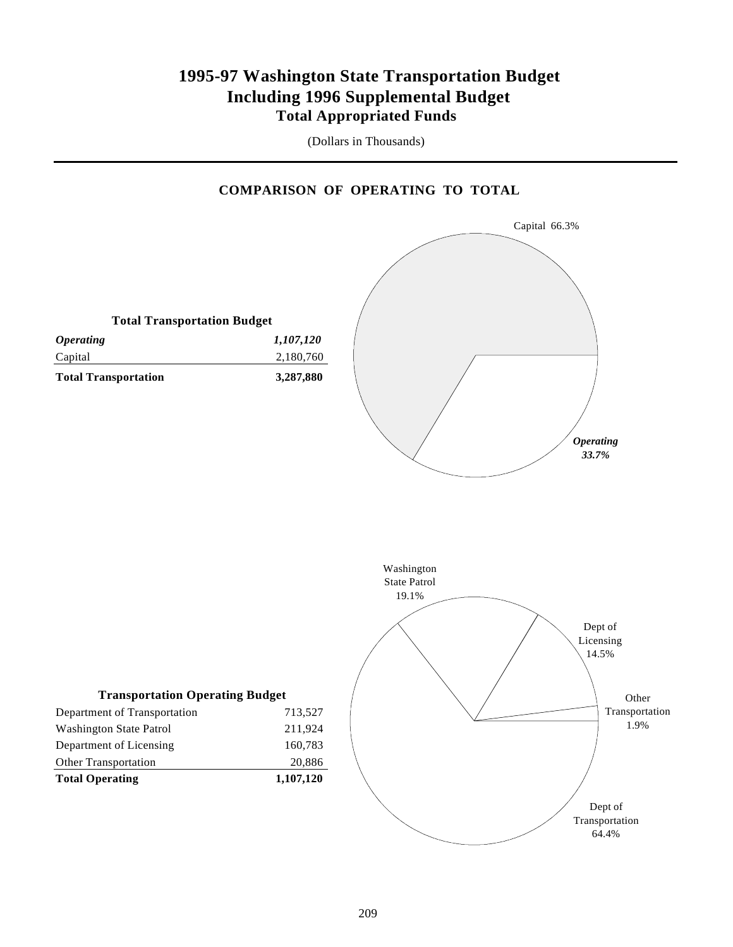### **1995-97 Washington State Transportation Budget Including 1996 Supplemental Budget Total Appropriated Funds**

(Dollars in Thousands)

#### **COMPARISON OF OPERATING TO TOTAL**

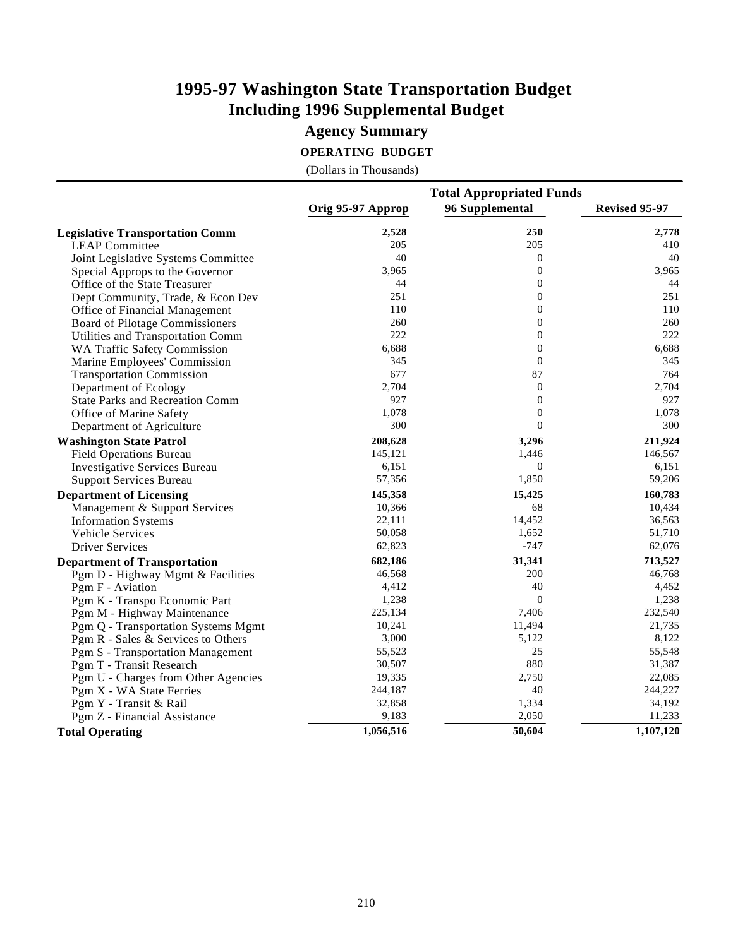### **Agency Summary**

**OPERATING BUDGET**

|                                        | <b>Total Appropriated Funds</b> |                  |               |  |  |
|----------------------------------------|---------------------------------|------------------|---------------|--|--|
|                                        | Orig 95-97 Approp               | 96 Supplemental  | Revised 95-97 |  |  |
| <b>Legislative Transportation Comm</b> | 2,528                           | 250              | 2,778         |  |  |
| <b>LEAP Committee</b>                  | 205                             | 205              | 410           |  |  |
| Joint Legislative Systems Committee    | 40                              | $\boldsymbol{0}$ | 40            |  |  |
| Special Approps to the Governor        | 3,965                           | $\Omega$         | 3,965         |  |  |
| Office of the State Treasurer          | 44                              | $\boldsymbol{0}$ | 44            |  |  |
| Dept Community, Trade, & Econ Dev      | 251                             | $\boldsymbol{0}$ | 251           |  |  |
| Office of Financial Management         | 110                             | $\boldsymbol{0}$ | 110           |  |  |
| <b>Board of Pilotage Commissioners</b> | 260                             | $\overline{0}$   | 260           |  |  |
| Utilities and Transportation Comm      | 222                             | $\boldsymbol{0}$ | 222           |  |  |
| WA Traffic Safety Commission           | 6,688                           | $\boldsymbol{0}$ | 6,688         |  |  |
| Marine Employees' Commission           | 345                             | $\overline{0}$   | 345           |  |  |
| <b>Transportation Commission</b>       | 677                             | 87               | 764           |  |  |
| Department of Ecology                  | 2,704                           | $\boldsymbol{0}$ | 2,704         |  |  |
| <b>State Parks and Recreation Comm</b> | 927                             | $\boldsymbol{0}$ | 927           |  |  |
| Office of Marine Safety                | 1,078                           | $\overline{0}$   | 1,078         |  |  |
| Department of Agriculture              | 300                             | $\theta$         | 300           |  |  |
| <b>Washington State Patrol</b>         | 208,628                         | 3,296            | 211,924       |  |  |
| <b>Field Operations Bureau</b>         | 145,121                         | 1,446            | 146,567       |  |  |
| <b>Investigative Services Bureau</b>   | 6,151                           | $\mathbf{0}$     | 6,151         |  |  |
| <b>Support Services Bureau</b>         | 57,356                          | 1,850            | 59,206        |  |  |
| <b>Department of Licensing</b>         | 145,358                         | 15,425           | 160,783       |  |  |
| Management & Support Services          | 10,366                          | 68               | 10,434        |  |  |
| <b>Information Systems</b>             | 22,111                          | 14,452           | 36,563        |  |  |
| Vehicle Services                       | 50,058                          | 1,652            | 51,710        |  |  |
| <b>Driver Services</b>                 | 62,823                          | $-747$           | 62,076        |  |  |
| <b>Department of Transportation</b>    | 682,186                         | 31,341           | 713,527       |  |  |
| Pgm D - Highway Mgmt & Facilities      | 46,568                          | 200              | 46,768        |  |  |
| Pgm F - Aviation                       | 4,412                           | 40               | 4,452         |  |  |
| Pgm K - Transpo Economic Part          | 1,238                           | $\mathbf{0}$     | 1,238         |  |  |
| Pgm M - Highway Maintenance            | 225,134                         | 7,406            | 232,540       |  |  |
| Pgm Q - Transportation Systems Mgmt    | 10,241                          | 11,494           | 21,735        |  |  |
| Pgm R - Sales & Services to Others     | 3,000                           | 5,122            | 8,122         |  |  |
| Pgm S - Transportation Management      | 55,523                          | 25               | 55,548        |  |  |
| Pgm T - Transit Research               | 30,507                          | 880              | 31,387        |  |  |
| Pgm U - Charges from Other Agencies    | 19,335                          | 2,750            | 22,085        |  |  |
| Pgm X - WA State Ferries               | 244,187                         | 40               | 244,227       |  |  |
| Pgm Y - Transit & Rail                 | 32,858                          | 1,334            | 34,192        |  |  |
| Pgm Z - Financial Assistance           | 9,183                           | 2,050            | 11,233        |  |  |
| <b>Total Operating</b>                 | 1,056,516                       | 50,604           | 1,107,120     |  |  |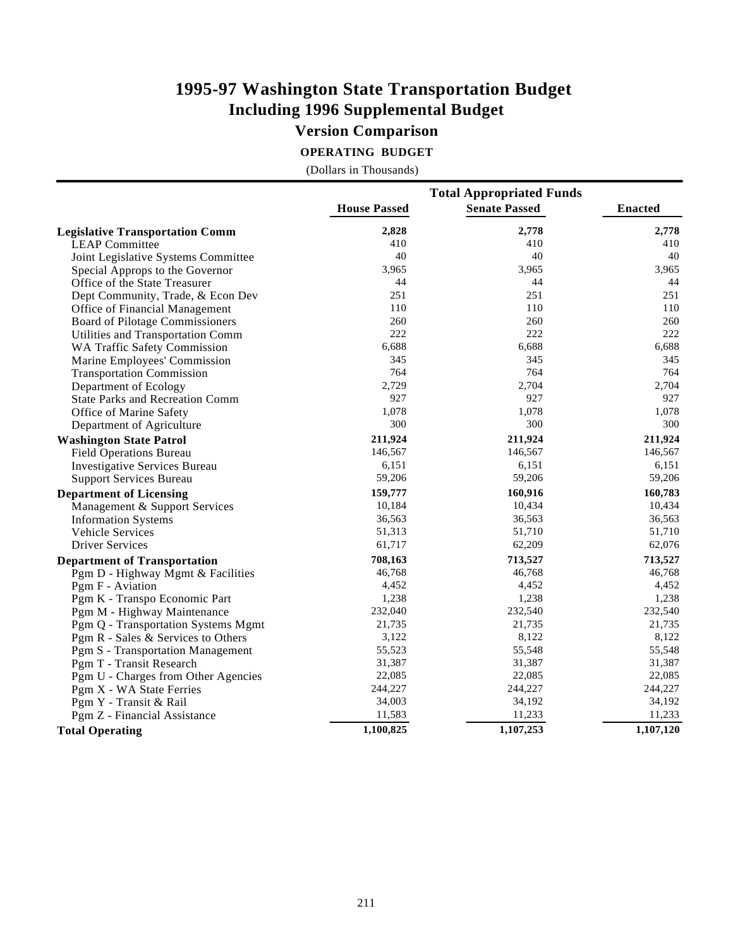### **Version Comparison**

**OPERATING BUDGET**

|                                        | <b>Total Appropriated Funds</b> |                      |                |  |  |
|----------------------------------------|---------------------------------|----------------------|----------------|--|--|
|                                        | <b>House Passed</b>             | <b>Senate Passed</b> | <b>Enacted</b> |  |  |
| <b>Legislative Transportation Comm</b> | 2,828                           | 2,778                | 2,778          |  |  |
| <b>LEAP Committee</b>                  | 410                             | 410                  | 410            |  |  |
| Joint Legislative Systems Committee    | 40                              | 40                   | 40             |  |  |
| Special Approps to the Governor        | 3,965                           | 3,965                | 3,965          |  |  |
| Office of the State Treasurer          | 44                              | 44                   | 44             |  |  |
| Dept Community, Trade, & Econ Dev      | 251                             | 251                  | 251            |  |  |
| Office of Financial Management         | 110                             | 110                  | 110            |  |  |
| Board of Pilotage Commissioners        | 260                             | 260                  | 260            |  |  |
| Utilities and Transportation Comm      | 222                             | 222                  | 222            |  |  |
| WA Traffic Safety Commission           | 6,688                           | 6,688                | 6,688          |  |  |
| Marine Employees' Commission           | 345                             | 345                  | 345            |  |  |
| <b>Transportation Commission</b>       | 764                             | 764                  | 764            |  |  |
| Department of Ecology                  | 2,729                           | 2,704                | 2,704          |  |  |
| <b>State Parks and Recreation Comm</b> | 927                             | 927                  | 927            |  |  |
| Office of Marine Safety                | 1,078                           | 1,078                | 1,078          |  |  |
| Department of Agriculture              | 300                             | 300                  | 300            |  |  |
| <b>Washington State Patrol</b>         | 211,924                         | 211,924              | 211,924        |  |  |
| <b>Field Operations Bureau</b>         | 146,567                         | 146,567              | 146,567        |  |  |
| <b>Investigative Services Bureau</b>   | 6,151                           | 6,151                | 6,151          |  |  |
| <b>Support Services Bureau</b>         | 59,206                          | 59,206               | 59,206         |  |  |
| <b>Department of Licensing</b>         | 159,777                         | 160,916              | 160,783        |  |  |
| Management & Support Services          | 10,184                          | 10,434               | 10,434         |  |  |
| <b>Information Systems</b>             | 36,563                          | 36,563               | 36,563         |  |  |
| <b>Vehicle Services</b>                | 51,313                          | 51,710               | 51,710         |  |  |
| <b>Driver Services</b>                 | 61,717                          | 62,209               | 62,076         |  |  |
|                                        | 708,163                         |                      | 713,527        |  |  |
| <b>Department of Transportation</b>    | 46,768                          | 713,527<br>46,768    | 46,768         |  |  |
| Pgm D - Highway Mgmt & Facilities      |                                 |                      |                |  |  |
| Pgm F - Aviation                       | 4,452                           | 4,452                | 4,452          |  |  |
| Pgm K - Transpo Economic Part          | 1,238                           | 1,238                | 1,238          |  |  |
| Pgm M - Highway Maintenance            | 232,040                         | 232,540              | 232,540        |  |  |
| Pgm Q - Transportation Systems Mgmt    | 21,735                          | 21,735               | 21,735         |  |  |
| Pgm R - Sales & Services to Others     | 3,122                           | 8,122                | 8,122          |  |  |
| Pgm S - Transportation Management      | 55,523                          | 55,548               | 55,548         |  |  |
| Pgm T - Transit Research               | 31,387                          | 31,387               | 31,387         |  |  |
| Pgm U - Charges from Other Agencies    | 22,085                          | 22,085               | 22,085         |  |  |
| Pgm X - WA State Ferries               | 244,227                         | 244,227              | 244,227        |  |  |
| Pgm Y - Transit & Rail                 | 34,003                          | 34,192               | 34,192         |  |  |
| Pgm Z - Financial Assistance           | 11,583                          | 11,233               | 11,233         |  |  |
| <b>Total Operating</b>                 | 1,100,825                       | 1,107,253            | 1,107,120      |  |  |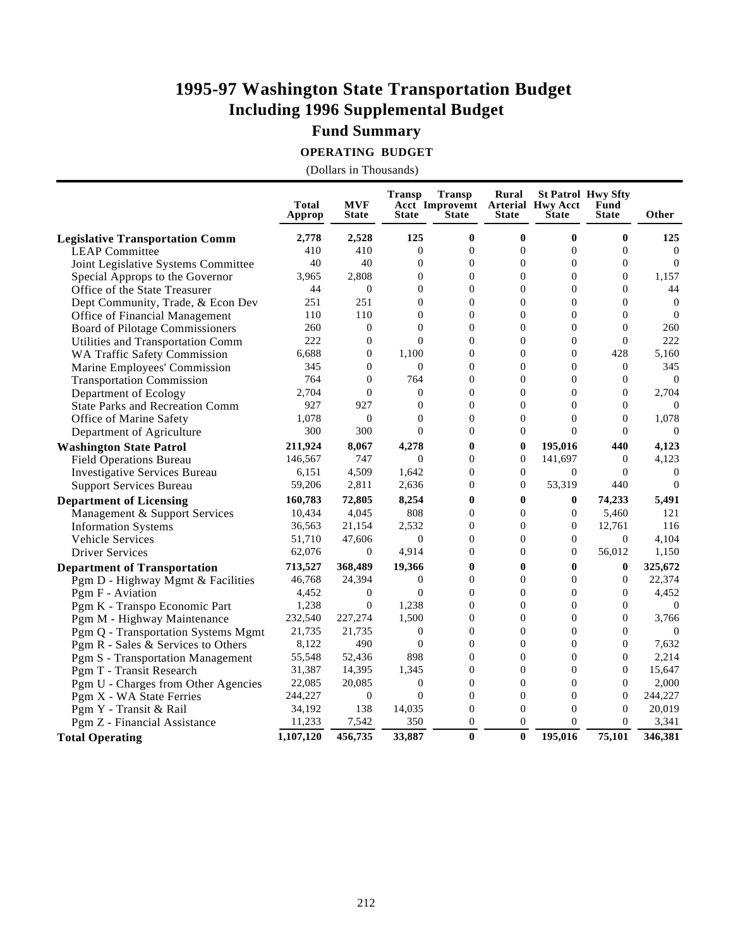### **Fund Summary**

**OPERATING BUDGET**

|                                        | <b>Total</b><br>Approp | <b>MVF</b><br><b>State</b> | <b>Transp</b><br><b>State</b> | <b>Transp</b><br>Acct Improvemt Arterial Hwy Acct<br><b>State</b> | Rural<br><b>State</b> | <b>St Patrol Hwy Sfty</b><br><b>State</b> | Fund<br><b>State</b> | Other          |
|----------------------------------------|------------------------|----------------------------|-------------------------------|-------------------------------------------------------------------|-----------------------|-------------------------------------------|----------------------|----------------|
| <b>Legislative Transportation Comm</b> | 2,778                  | 2,528                      | 125                           | $\bf{0}$                                                          | $\mathbf{0}$          | $\mathbf{0}$                              | $\mathbf{0}$         | 125            |
| <b>LEAP Committee</b>                  | 410                    | 410                        | $\overline{0}$                | $\overline{0}$                                                    | $\mathbf{0}$          | $\Omega$                                  | $\Omega$             | $\Omega$       |
| Joint Legislative Systems Committee    | 40                     | 40                         | $\overline{0}$                | $\overline{0}$                                                    | $\mathbf{0}$          | $\overline{0}$                            | $\overline{0}$       | $\Omega$       |
| Special Approps to the Governor        | 3.965                  | 2.808                      | $\overline{0}$                | $\Omega$                                                          | $\mathbf{0}$          | $\overline{0}$                            | $\Omega$             | 1,157          |
| Office of the State Treasurer          | 44                     | $\overline{0}$             | $\Omega$                      | $\Omega$                                                          | $\theta$              | $\Omega$                                  | $\Omega$             | 44             |
| Dept Community, Trade, & Econ Dev      | 251                    | 251                        | $\overline{0}$                | $\Omega$                                                          | $\mathbf{0}$          | $\overline{0}$                            | $\Omega$             | $\overline{0}$ |
| Office of Financial Management         | 110                    | 110                        | $\overline{0}$                | $\overline{0}$                                                    | $\mathbf{0}$          | $\overline{0}$                            | $\overline{0}$       | $\overline{0}$ |
| Board of Pilotage Commissioners        | 260                    | $\mathbf{0}$               | $\theta$                      | $\theta$                                                          | $\mathbf{0}$          | $\overline{0}$                            | $\mathbf{0}$         | 260            |
| Utilities and Transportation Comm      | 222                    | $\overline{0}$             | $\theta$                      | $\Omega$                                                          | $\theta$              | $\overline{0}$                            | $\Omega$             | 222            |
| <b>WA Traffic Safety Commission</b>    | 6,688                  | $\overline{0}$             | 1,100                         | $\overline{0}$                                                    | $\mathbf{0}$          | $\overline{0}$                            | 428                  | 5,160          |
| Marine Employees' Commission           | 345                    | $\overline{0}$             | $\overline{0}$                | $\overline{0}$                                                    | $\mathbf{0}$          | $\overline{0}$                            | $\mathbf{0}$         | 345            |
| <b>Transportation Commission</b>       | 764                    | $\theta$                   | 764                           | $\theta$                                                          | $\mathbf{0}$          | $\mathbf{0}$                              | $\Omega$             | $\theta$       |
| Department of Ecology                  | 2,704                  | $\theta$                   | $\overline{0}$                | $\theta$                                                          | $\theta$              | $\Omega$                                  | $\Omega$             | 2,704          |
| <b>State Parks and Recreation Comm</b> | 927                    | 927                        | $\overline{0}$                | $\mathbf{0}$                                                      | $\mathbf{0}$          | $\overline{0}$                            | $\mathbf{0}$         | $\Omega$       |
| Office of Marine Safety                | 1,078                  | $\overline{0}$             | $\theta$                      | $\theta$                                                          | $\mathbf{0}$          | $\overline{0}$                            | $\Omega$             | 1,078          |
| Department of Agriculture              | 300                    | 300                        | $\theta$                      | $\theta$                                                          | $\overline{0}$        | $\theta$                                  | $\Omega$             | $\theta$       |
| <b>Washington State Patrol</b>         | 211,924                | 8,067                      | 4,278                         | $\bf{0}$                                                          | $\bf{0}$              | 195,016                                   | 440                  | 4,123          |
| <b>Field Operations Bureau</b>         | 146,567                | 747                        | $\theta$                      | $\Omega$                                                          | $\mathbf{0}$          | 141,697                                   | $\Omega$             | 4,123          |
| <b>Investigative Services Bureau</b>   | 6,151                  | 4,509                      | 1,642                         | $\overline{0}$                                                    | $\mathbf{0}$          | $\overline{0}$                            | $\theta$             | $\overline{0}$ |
| <b>Support Services Bureau</b>         | 59,206                 | 2,811                      | 2,636                         | $\overline{0}$                                                    | $\theta$              | 53,319                                    | 440                  | $\overline{0}$ |
| <b>Department of Licensing</b>         | 160,783                | 72,805                     | 8,254                         | $\bf{0}$                                                          | $\mathbf{0}$          | $\bf{0}$                                  | 74,233               | 5,491          |
| Management & Support Services          | 10,434                 | 4,045                      | 808                           | $\theta$                                                          | $\mathbf{0}$          | $\overline{0}$                            | 5,460                | 121            |
| <b>Information Systems</b>             | 36,563                 | 21,154                     | 2,532                         | $\Omega$                                                          | $\theta$              | $\overline{0}$                            | 12,761               | 116            |
| <b>Vehicle Services</b>                | 51,710                 | 47,606                     | $\mathbf{0}$                  | $\overline{0}$                                                    | $\mathbf{0}$          | $\overline{0}$                            | $\Omega$             | 4,104          |
| <b>Driver Services</b>                 | 62,076                 | $\overline{0}$             | 4,914                         | $\theta$                                                          | $\theta$              | $\Omega$                                  | 56,012               | 1,150          |
| <b>Department of Transportation</b>    | 713,527                | 368,489                    | 19,366                        | $\bf{0}$                                                          | $\bf{0}$              | $\mathbf{0}$                              | $\mathbf{0}$         | 325,672        |
| Pgm D - Highway Mgmt & Facilities      | 46,768                 | 24,394                     | $\overline{0}$                | $\Omega$                                                          | $\theta$              | $\overline{0}$                            | $\Omega$             | 22,374         |
| Pgm F - Aviation                       | 4,452                  | $\theta$                   | $\Omega$                      | $\Omega$                                                          | $\theta$              | $\Omega$                                  | $\Omega$             | 4,452          |
| Pgm K - Transpo Economic Part          | 1,238                  | $\overline{0}$             | 1,238                         | $\overline{0}$                                                    | $\overline{0}$        | $\overline{0}$                            | $\Omega$             | $\theta$       |
| Pgm M - Highway Maintenance            | 232,540                | 227,274                    | 1,500                         | $\Omega$                                                          | $\overline{0}$        | $\overline{0}$                            | $\Omega$             | 3,766          |
| Pgm Q - Transportation Systems Mgmt    | 21,735                 | 21,735                     | $\mathbf{0}$                  | $\Omega$                                                          | $\overline{0}$        | $\overline{0}$                            | $\Omega$             | $\Omega$       |
| Pgm R - Sales & Services to Others     | 8,122                  | 490                        | $\mathbf{0}$                  | $\Omega$                                                          | $\overline{0}$        | $\overline{0}$                            | $\Omega$             | 7,632          |
| Pgm S - Transportation Management      | 55,548                 | 52,436                     | 898                           | $\overline{0}$                                                    | $\overline{0}$        | $\overline{0}$                            | $\mathbf{0}$         | 2,214          |
| Pgm T - Transit Research               | 31,387                 | 14,395                     | 1,345                         | $\overline{0}$                                                    | $\overline{0}$        | $\overline{0}$                            | $\Omega$             | 15,647         |
| Pgm U - Charges from Other Agencies    | 22,085                 | 20,085                     | $\overline{0}$                | $\theta$                                                          | $\overline{0}$        | $\overline{0}$                            | $\Omega$             | 2,000          |
| Pgm X - WA State Ferries               | 244,227                | $\boldsymbol{0}$           | $\overline{0}$                | $\overline{0}$                                                    | $\overline{0}$        | $\overline{0}$                            | $\Omega$             | 244,227        |
| Pgm Y - Transit & Rail                 | 34,192                 | 138                        | 14,035                        | $\overline{0}$                                                    | $\overline{0}$        | $\overline{0}$                            | $\overline{0}$       | 20,019         |
| Pgm Z - Financial Assistance           | 11,233                 | 7,542                      | 350                           | $\overline{0}$                                                    | $\overline{0}$        | $\Omega$                                  | $\mathbf{0}$         | 3,341          |
| <b>Total Operating</b>                 | 1,107,120              | 456,735                    | 33,887                        | $\bf{0}$                                                          | $\bf{0}$              | 195,016                                   | 75,101               | 346,381        |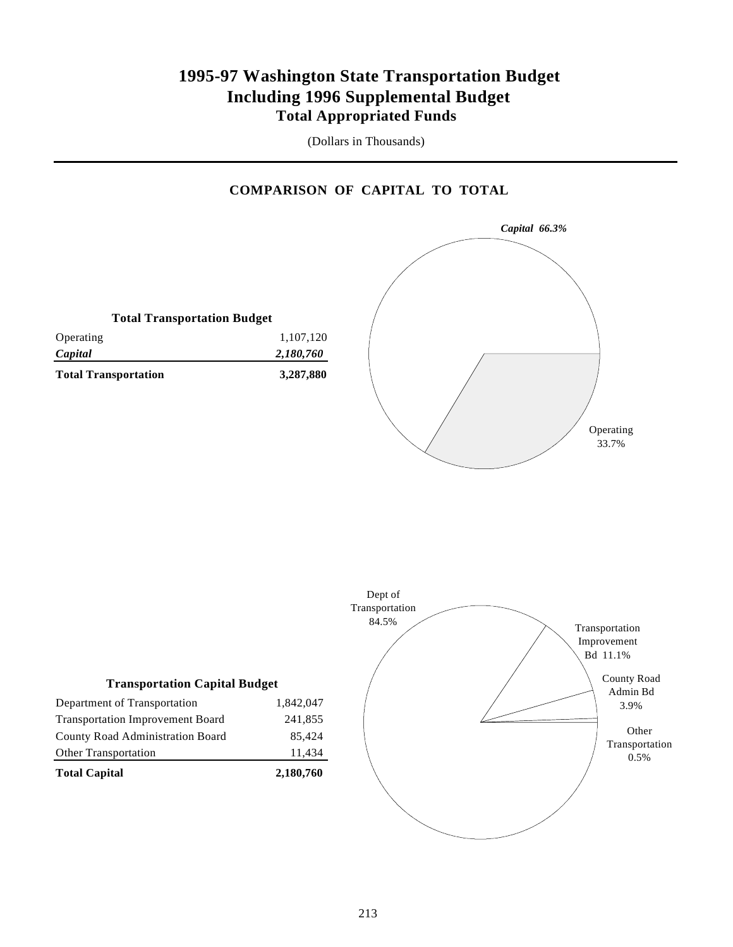### **1995-97 Washington State Transportation Budget Including 1996 Supplemental Budget Total Appropriated Funds**

(Dollars in Thousands)

#### **COMPARISON OF CAPITAL TO TOTAL**

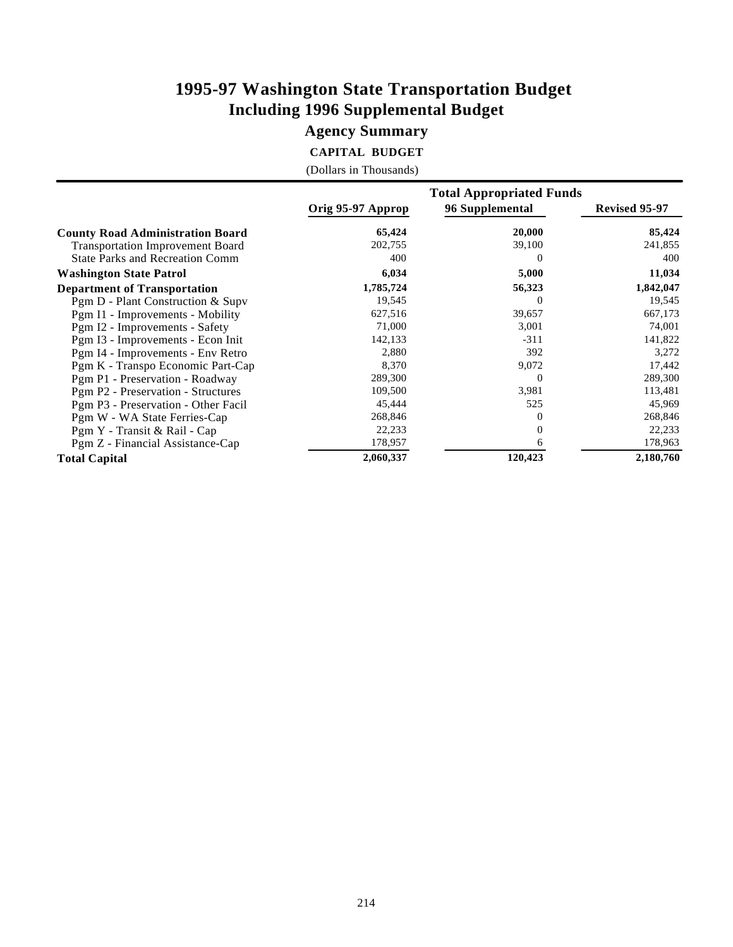### **Agency Summary**

**CAPITAL BUDGET**

|  | (Dollars in Thousands) |
|--|------------------------|
|--|------------------------|

|                                         |                   | <b>Total Appropriated Funds</b> |               |
|-----------------------------------------|-------------------|---------------------------------|---------------|
|                                         | Orig 95-97 Approp | 96 Supplemental                 | Revised 95-97 |
| <b>County Road Administration Board</b> | 65,424            | 20,000                          | 85,424        |
| <b>Transportation Improvement Board</b> | 202,755           | 39,100                          | 241,855       |
| <b>State Parks and Recreation Comm</b>  | 400               | $\theta$                        | 400           |
| <b>Washington State Patrol</b>          | 6,034             | 5,000                           | 11,034        |
| <b>Department of Transportation</b>     | 1,785,724         | 56,323                          | 1,842,047     |
| Pgm D - Plant Construction & Supv       | 19,545            | $\theta$                        | 19,545        |
| Pgm I1 - Improvements - Mobility        | 627,516           | 39,657                          | 667,173       |
| Pgm I2 - Improvements - Safety          | 71,000            | 3,001                           | 74,001        |
| Pgm I3 - Improvements - Econ Init       | 142,133           | $-311$                          | 141,822       |
| Pgm I4 - Improvements - Env Retro       | 2,880             | 392                             | 3,272         |
| Pgm K - Transpo Economic Part-Cap       | 8,370             | 9,072                           | 17,442        |
| Pgm P1 - Preservation - Roadway         | 289,300           | $\theta$                        | 289,300       |
| Pgm P2 - Preservation - Structures      | 109,500           | 3,981                           | 113,481       |
| Pgm P3 - Preservation - Other Facil     | 45,444            | 525                             | 45,969        |
| Pgm W - WA State Ferries-Cap            | 268,846           | $\theta$                        | 268,846       |
| Pgm Y - Transit & Rail - Cap            | 22,233            | $\Omega$                        | 22,233        |
| Pgm Z - Financial Assistance-Cap        | 178,957           | 6                               | 178,963       |
| <b>Total Capital</b>                    | 2,060,337         | 120,423                         | 2,180,760     |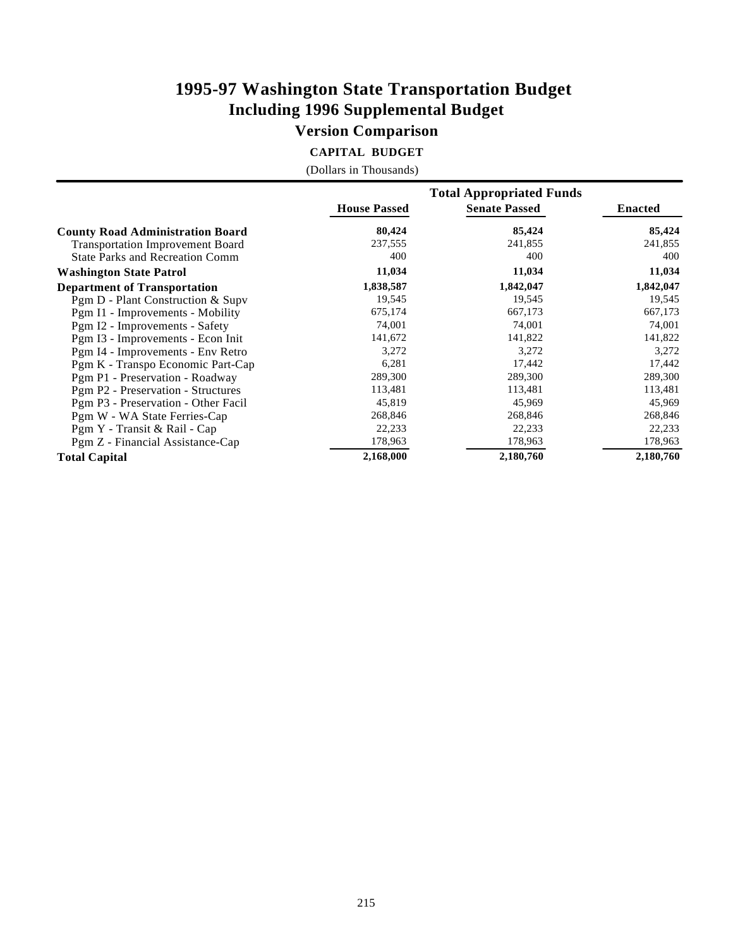### **Version Comparison**

**CAPITAL BUDGET**

|  |  | (Dollars in Thousands) |
|--|--|------------------------|
|--|--|------------------------|

|                                         |                     | <b>Total Appropriated Funds</b> |                |
|-----------------------------------------|---------------------|---------------------------------|----------------|
|                                         | <b>House Passed</b> | <b>Senate Passed</b>            | <b>Enacted</b> |
| <b>County Road Administration Board</b> | 80,424              | 85,424                          | 85,424         |
| <b>Transportation Improvement Board</b> | 237,555             | 241,855                         | 241,855        |
| <b>State Parks and Recreation Comm</b>  | 400                 | 400                             | 400            |
| <b>Washington State Patrol</b>          | 11,034              | 11,034                          | 11,034         |
| <b>Department of Transportation</b>     | 1,838,587           | 1,842,047                       | 1,842,047      |
| Pgm D - Plant Construction & Supv       | 19,545              | 19,545                          | 19,545         |
| Pgm I1 - Improvements - Mobility        | 675,174             | 667,173                         | 667,173        |
| Pgm I2 - Improvements - Safety          | 74,001              | 74,001                          | 74,001         |
| Pgm I3 - Improvements - Econ Init       | 141,672             | 141,822                         | 141,822        |
| Pgm I4 - Improvements - Env Retro       | 3,272               | 3,272                           | 3,272          |
| Pgm K - Transpo Economic Part-Cap       | 6,281               | 17,442                          | 17,442         |
| Pgm P1 - Preservation - Roadway         | 289,300             | 289,300                         | 289,300        |
| Pgm P2 - Preservation - Structures      | 113,481             | 113,481                         | 113,481        |
| Pgm P3 - Preservation - Other Facil     | 45,819              | 45,969                          | 45,969         |
| Pgm W - WA State Ferries-Cap            | 268,846             | 268,846                         | 268,846        |
| Pgm Y - Transit & Rail - Cap            | 22,233              | 22,233                          | 22,233         |
| Pgm Z - Financial Assistance-Cap        | 178,963             | 178,963                         | 178,963        |
| <b>Total Capital</b>                    | 2,168,000           | 2,180,760                       | 2,180,760      |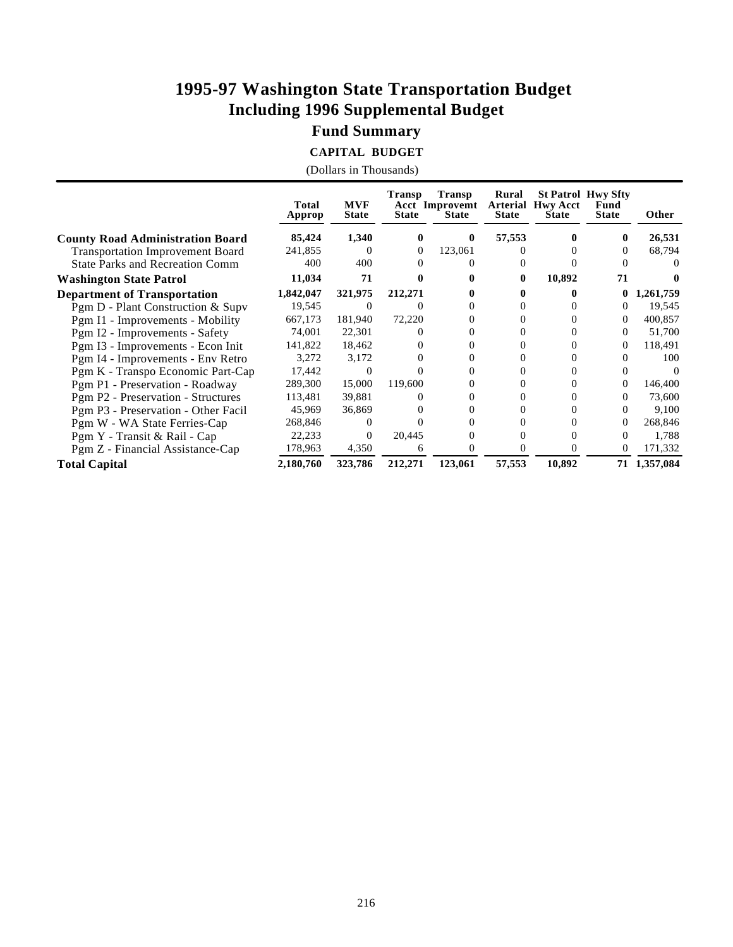### **Fund Summary**

**CAPITAL BUDGET**

|                                         | Total<br>Approp | <b>MVF</b><br><b>State</b> | <b>Transp</b><br><b>State</b> | <b>Transp</b><br><b>Acct Improvemt</b><br><b>State</b> | Rural<br><b>Arterial</b><br><b>State</b> | <b>Hwy Acct</b><br><b>State</b> | <b>St Patrol Hwy Sfty</b><br>Fund<br><b>State</b> | Other     |
|-----------------------------------------|-----------------|----------------------------|-------------------------------|--------------------------------------------------------|------------------------------------------|---------------------------------|---------------------------------------------------|-----------|
| <b>County Road Administration Board</b> | 85,424          | 1,340                      | 0                             | $\bf{0}$                                               | 57,553                                   |                                 | 0                                                 | 26,531    |
| <b>Transportation Improvement Board</b> | 241,855         | $\theta$                   | $\Omega$                      | 123,061                                                |                                          |                                 |                                                   | 68,794    |
| <b>State Parks and Recreation Comm</b>  | 400             | 400                        |                               |                                                        |                                          |                                 |                                                   |           |
| <b>Washington State Patrol</b>          | 11,034          | 71                         |                               |                                                        | 0                                        | 10,892                          | 71                                                |           |
| <b>Department of Transportation</b>     | 1,842,047       | 321,975                    | 212,271                       |                                                        |                                          |                                 | 0                                                 | 1,261,759 |
| Pgm D - Plant Construction & Supv       | 19,545          | $\theta$                   |                               |                                                        |                                          |                                 | $^{(1)}$                                          | 19,545    |
| Pgm I1 - Improvements - Mobility        | 667,173         | 181,940                    | 72,220                        |                                                        |                                          |                                 | 0                                                 | 400,857   |
| Pgm I2 - Improvements - Safety          | 74,001          | 22,301                     |                               |                                                        |                                          |                                 | $^{(1)}$                                          | 51,700    |
| Pgm I3 - Improvements - Econ Init       | 141,822         | 18,462                     |                               |                                                        |                                          |                                 | 0                                                 | 118,491   |
| Pgm I4 - Improvements - Env Retro       | 3,272           | 3,172                      |                               |                                                        |                                          |                                 |                                                   | 100       |
| Pgm K - Transpo Economic Part-Cap       | 17,442          | $\Omega$                   |                               |                                                        |                                          |                                 |                                                   |           |
| Pgm P1 - Preservation - Roadway         | 289,300         | 15,000                     | 119,600                       |                                                        |                                          |                                 | $^{(1)}$                                          | 146,400   |
| Pgm P2 - Preservation - Structures      | 113,481         | 39,881                     |                               |                                                        |                                          |                                 |                                                   | 73,600    |
| Pgm P3 - Preservation - Other Facil     | 45,969          | 36,869                     |                               |                                                        |                                          |                                 | 0                                                 | 9,100     |
| Pgm W - WA State Ferries-Cap            | 268,846         | $\theta$                   |                               |                                                        |                                          |                                 | $^{(1)}$                                          | 268,846   |
| Pgm Y - Transit & Rail - Cap            | 22,233          | $\Omega$                   | 20,445                        |                                                        |                                          |                                 | $^{(1)}$                                          | 1,788     |
| Pgm Z - Financial Assistance-Cap        | 178,963         | 4,350                      | 6                             |                                                        |                                          |                                 | $^{(1)}$                                          | 171,332   |
| <b>Total Capital</b>                    | 2,180,760       | 323,786                    | 212,271                       | 123,061                                                | 57,553                                   | 10,892                          | 71                                                | 1,357,084 |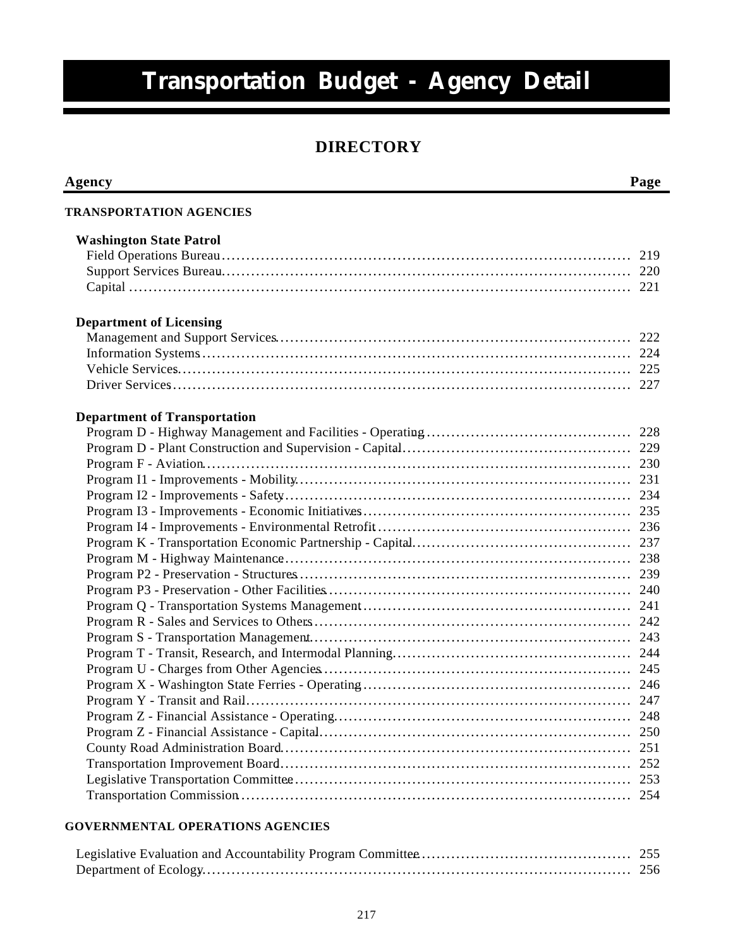# **Transportation Budget - Agency Detail**

### **DIRECTORY**

| Agency                              | Page |
|-------------------------------------|------|
| <b>TRANSPORTATION AGENCIES</b>      |      |
| <b>Washington State Patrol</b>      |      |
|                                     |      |
|                                     |      |
|                                     |      |
|                                     |      |
| <b>Department of Licensing</b>      |      |
|                                     |      |
|                                     |      |
|                                     |      |
|                                     |      |
| <b>Department of Transportation</b> |      |
|                                     |      |
|                                     |      |
|                                     |      |
|                                     |      |
|                                     |      |
|                                     |      |
|                                     |      |
|                                     |      |
|                                     |      |
|                                     |      |
|                                     |      |
|                                     |      |
|                                     |      |
|                                     |      |
|                                     |      |
|                                     |      |
|                                     |      |
|                                     |      |
|                                     | 248  |
|                                     | 250  |
|                                     | 251  |
|                                     | 252  |
|                                     | 253  |
|                                     | 254  |
|                                     |      |

#### **GOVERNMENTAL OPERATIONS AGENCIES**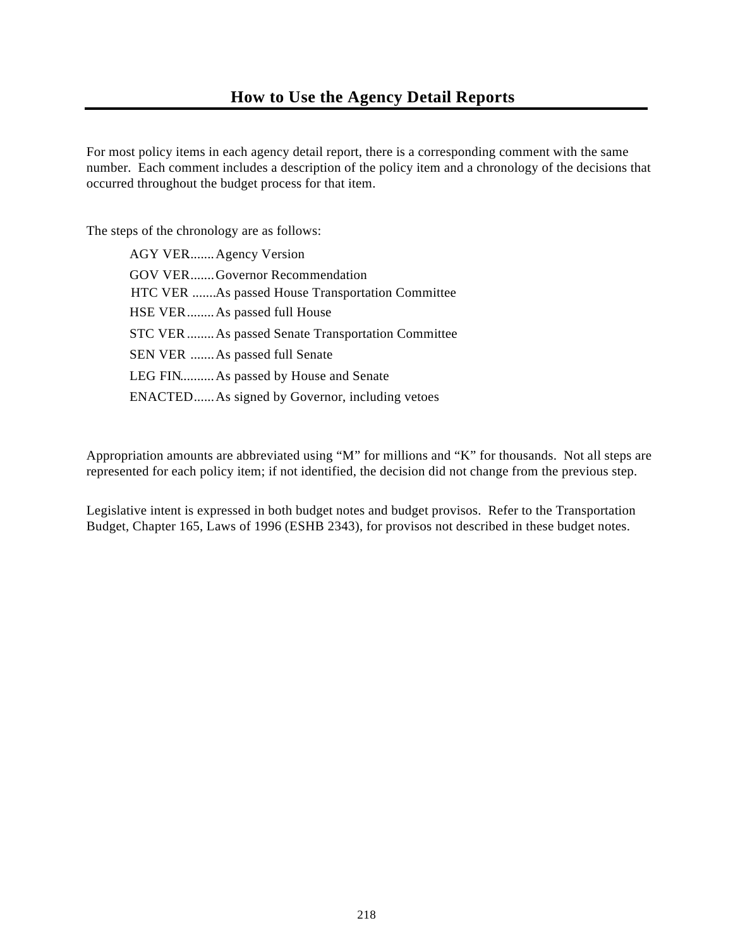For most policy items in each agency detail report, there is a corresponding comment with the same number. Each comment includes a description of the policy item and a chronology of the decisions that occurred throughout the budget process for that item.

The steps of the chronology are as follows:

| AGY VER Agency Version                             |
|----------------------------------------------------|
| GOV VERGovernor Recommendation                     |
| HTC VER As passed House Transportation Committee   |
| HSE VER As passed full House                       |
| STC VER  As passed Senate Transportation Committee |
| SEN VER  As passed full Senate                     |
| LEG FIN As passed by House and Senate              |
| ENACTED As signed by Governor, including vetoes    |

Appropriation amounts are abbreviated using "M" for millions and "K" for thousands. Not all steps are represented for each policy item; if not identified, the decision did not change from the previous step.

Legislative intent is expressed in both budget notes and budget provisos. Refer to the Transportation Budget, Chapter 165, Laws of 1996 (ESHB 2343), for provisos not described in these budget notes.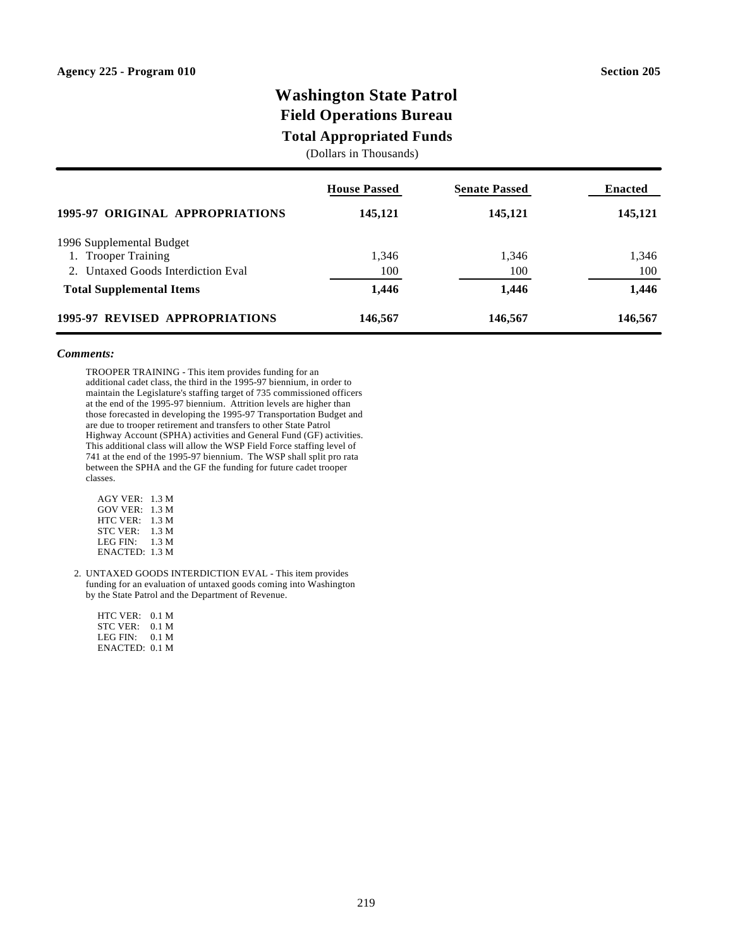### **Washington State Patrol Field Operations Bureau**

### **Total Appropriated Funds**

(Dollars in Thousands)

|                                    | <b>House Passed</b> | <b>Senate Passed</b> | <b>Enacted</b> |
|------------------------------------|---------------------|----------------------|----------------|
| 1995-97 ORIGINAL APPROPRIATIONS    | 145,121             | 145,121              | 145,121        |
| 1996 Supplemental Budget           |                     |                      |                |
| 1. Trooper Training                | 1.346               | 1,346                | 1,346          |
| 2. Untaxed Goods Interdiction Eval | 100                 | 100                  | 100            |
| <b>Total Supplemental Items</b>    | 1,446               | 1,446                | 1,446          |
| 1995-97 REVISED APPROPRIATIONS     | 146,567             | 146,567              | 146,567        |

#### *Comments:*

TROOPER TRAINING - This item provides funding for an additional cadet class, the third in the 1995-97 biennium, in order to maintain the Legislature's staffing target of 735 commissioned officers at the end of the 1995-97 biennium. Attrition levels are higher than those forecasted in developing the 1995-97 Transportation Budget and are due to trooper retirement and transfers to other State Patrol Highway Account (SPHA) activities and General Fund (GF) activities. This additional class will allow the WSP Field Force staffing level of 741 at the end of the 1995-97 biennium. The WSP shall split pro rata between the SPHA and the GF the funding for future cadet trooper classes.

| AGY VER:<br><b>GOV VER:</b> | 1.3 M<br>1.3 M |
|-----------------------------|----------------|
| HTC VER:                    | 1.3 M          |
| <b>STC VER:</b>             | 1.3 M          |
| LEG FIN:                    | 1.3 M          |
| ENACTED: 1.3 M              |                |

2. UNTAXED GOODS INTERDICTION EVAL - This item provides funding for an evaluation of untaxed goods coming into Washington by the State Patrol and the Department of Revenue.

| HTC VER:       | 0.1 M |
|----------------|-------|
| STC VER: .     | 0.1 M |
| LEG FIN:       | 0.1 M |
| ENACTED: 0.1 M |       |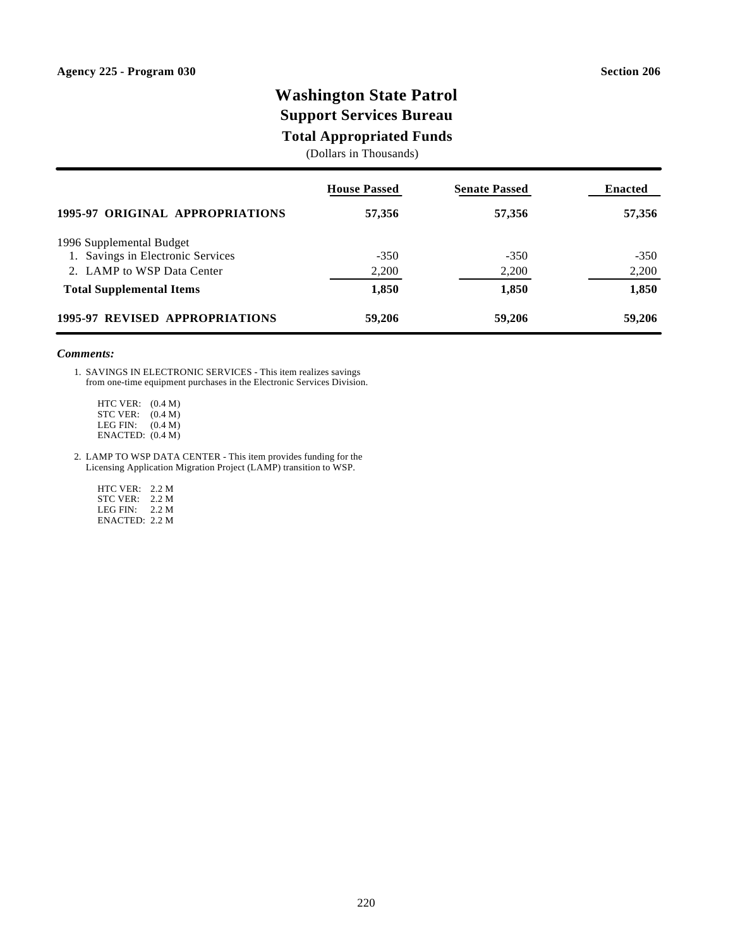### **Washington State Patrol Support Services Bureau**

### **Total Appropriated Funds**

(Dollars in Thousands)

|                                   | <b>House Passed</b> | <b>Senate Passed</b> | <b>Enacted</b> |
|-----------------------------------|---------------------|----------------------|----------------|
| 1995-97 ORIGINAL APPROPRIATIONS   | 57,356              | 57,356               | 57,356         |
| 1996 Supplemental Budget          |                     |                      |                |
| 1. Savings in Electronic Services | $-350$              | $-350$               | $-350$         |
| 2. LAMP to WSP Data Center        | 2,200               | 2,200                | 2,200          |
| <b>Total Supplemental Items</b>   | 1,850               | 1,850                | 1,850          |
| 1995-97 REVISED APPROPRIATIONS    | 59,206              | 59,206               | 59,206         |

#### *Comments:*

1. SAVINGS IN ELECTRONIC SERVICES - This item realizes savings from one-time equipment purchases in the Electronic Services Division.

 HTC VER: (0.4 M) STC VER: (0.4 M) LEG FIN: (0.4 M) ENACTED: (0.4 M)

2. LAMP TO WSP DATA CENTER - This item provides funding for the Licensing Application Migration Project (LAMP) transition to WSP.

 HTC VER: 2.2 M STC VER: 2.2 M LEG FIN: 2.2 M ENACTED: 2.2 M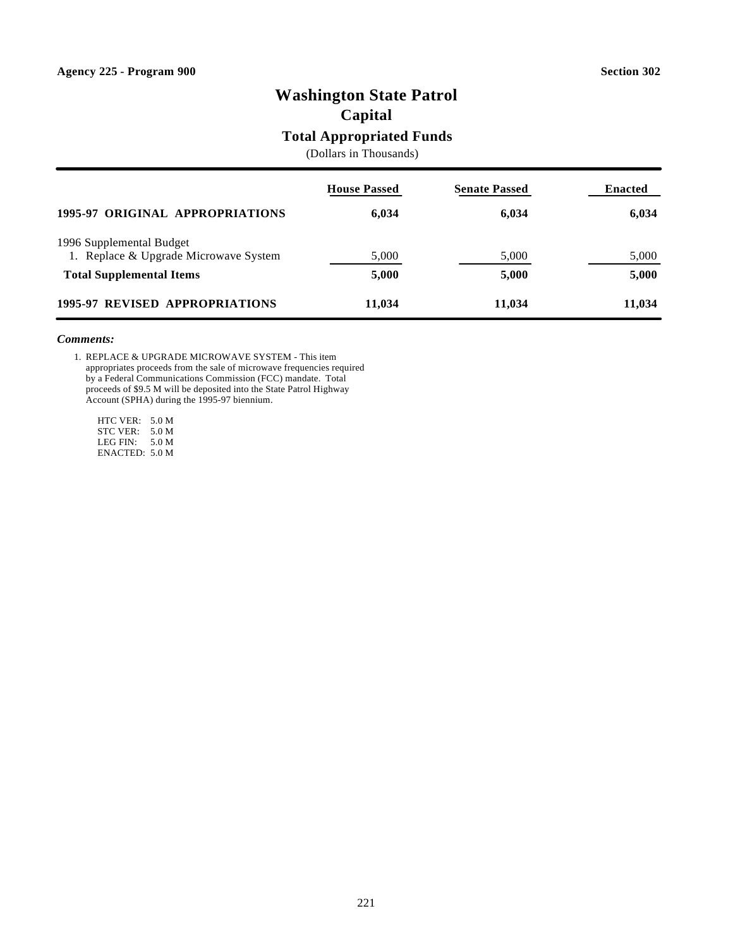# **Washington State Patrol**

**Capital**

### **Total Appropriated Funds**

(Dollars in Thousands)

|                                       | <b>House Passed</b> | <b>Senate Passed</b> | <b>Enacted</b> |
|---------------------------------------|---------------------|----------------------|----------------|
| 1995-97 ORIGINAL APPROPRIATIONS       | 6,034               | 6,034                | 6,034          |
| 1996 Supplemental Budget              |                     |                      |                |
| 1. Replace & Upgrade Microwave System | 5,000               | 5,000                | 5,000          |
| <b>Total Supplemental Items</b>       | 5,000               | 5,000                | 5,000          |
| 1995-97 REVISED APPROPRIATIONS        | 11,034              | 11,034               | 11,034         |

#### *Comments:*

1. REPLACE & UPGRADE MICROWAVE SYSTEM - This item appropriates proceeds from the sale of microwave frequencies required by a Federal Communications Commission (FCC) mandate. Total proceeds of \$9.5 M will be deposited into the State Patrol Highway Account (SPHA) during the 1995-97 biennium.

 HTC VER: 5.0 M STC VER: 5.0 M LEG FIN: 5.0 M ENACTED: 5.0 M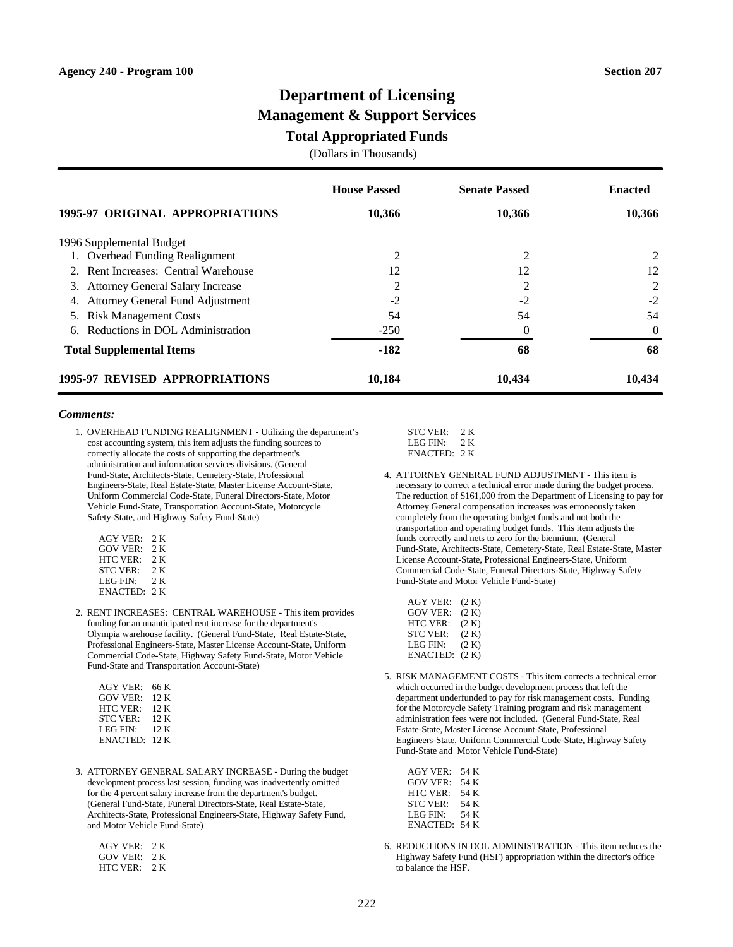### **Department of Licensing Management & Support Services**

#### **Total Appropriated Funds**

(Dollars in Thousands)

|                                        | <b>House Passed</b> | <b>Senate Passed</b> | <b>Enacted</b> |
|----------------------------------------|---------------------|----------------------|----------------|
| 1995-97 ORIGINAL APPROPRIATIONS        | 10,366              | 10,366               | 10,366         |
| 1996 Supplemental Budget               |                     |                      |                |
| 1. Overhead Funding Realignment        | 2                   | 2                    | 2              |
| 2. Rent Increases: Central Warehouse   | 12                  | 12                   | 12             |
| 3. Attorney General Salary Increase    | 2                   | 2                    | 2              |
| Attorney General Fund Adjustment<br>4. | $-2$                | $-2$                 | $-2$           |
| <b>Risk Management Costs</b><br>5.     | 54                  | 54                   | 54             |
| Reductions in DOL Administration<br>6. | $-250$              | $\Omega$             | $\theta$       |
| <b>Total Supplemental Items</b>        | $-182$              | 68                   | 68             |
| <b>1995-97 REVISED APPROPRIATIONS</b>  | 10,184              | 10,434               | 10,434         |

#### *Comments:*

1. OVERHEAD FUNDING REALIGNMENT - Utilizing the department's cost accounting system, this item adjusts the funding sources to correctly allocate the costs of supporting the department's administration and information services divisions. (General Fund-State, Architects-State, Cemetery-State, Professional Engineers-State, Real Estate-State, Master License Account-State, Uniform Commercial Code-State, Funeral Directors-State, Motor Vehicle Fund-State, Transportation Account-State, Motorcycle Safety-State, and Highway Safety Fund-State)

| AGY VER:        | 2 K  |
|-----------------|------|
| <b>GOV VER</b>  | 2 K  |
| <b>HTC VER:</b> | 2 K  |
| <b>STC VER:</b> | 2 K  |
| LEG FIN:        | 2 K  |
| ENACTED:        | 2. K |

2. RENT INCREASES: CENTRAL WAREHOUSE - This item provides funding for an unanticipated rent increase for the department's Olympia warehouse facility. (General Fund-State, Real Estate-State, Professional Engineers-State, Master License Account-State, Uniform Commercial Code-State, Highway Safety Fund-State, Motor Vehicle Fund-State and Transportation Account-State)

| <b>AGY VER:</b> | 66 K |
|-----------------|------|
| GOV VER:        | 12 K |
| HTC VER:        | 12 K |
| <b>STC VER:</b> | 12 K |
| LEG FIN:        | 12 K |
| ENACTED: 12 K   |      |

3. ATTORNEY GENERAL SALARY INCREASE - During the budget development process last session, funding was inadvertently omitted for the 4 percent salary increase from the department's budget. (General Fund-State, Funeral Directors-State, Real Estate-State, Architects-State, Professional Engineers-State, Highway Safety Fund, and Motor Vehicle Fund-State)

| $AGY$ VER $\cdot$ | 2 K  |
|-------------------|------|
| GOV VER·          | 2 K  |
| HTC VER.          | 2. K |

| <b>STC VER:</b>      | 2. K |
|----------------------|------|
| LEG FIN <sup>.</sup> | 2 K  |
| ENACTED: 2K          |      |

4. ATTORNEY GENERAL FUND ADJUSTMENT - This item is necessary to correct a technical error made during the budget process. The reduction of \$161,000 from the Department of Licensing to pay for Attorney General compensation increases was erroneously taken completely from the operating budget funds and not both the transportation and operating budget funds. This item adjusts the funds correctly and nets to zero for the biennium. (General Fund-State, Architects-State, Cemetery-State, Real Estate-State, Master License Account-State, Professional Engineers-State, Uniform Commercial Code-State, Funeral Directors-State, Highway Safety Fund-State and Motor Vehicle Fund-State)

| <b>AGY VER:</b> | (2 K) |
|-----------------|-------|
| <b>GOV VER:</b> | (2 K) |
| <b>HTC VER:</b> | (2 K) |
| <b>STC VER:</b> | (2 K) |
| <b>LEG FIN:</b> | (2 K) |
| ENACTED:        | (2 K) |
|                 |       |

5. RISK MANAGEMENT COSTS - This item corrects a technical error which occurred in the budget development process that left the department underfunded to pay for risk management costs. Funding for the Motorcycle Safety Training program and risk management administration fees were not included. (General Fund-State, Real Estate-State, Master License Account-State, Professional Engineers-State, Uniform Commercial Code-State, Highway Safety Fund-State and Motor Vehicle Fund-State)

| <b>AGY VER:</b> | 54 K |
|-----------------|------|
| GOV VER:        | 54 K |
| <b>HTC VER:</b> | 54 K |
| <b>STC VER:</b> | 54 K |
| LEG FIN:        | 54 K |
| ENACTED:        | 54 K |

6. REDUCTIONS IN DOL ADMINISTRATION - This item reduces the Highway Safety Fund (HSF) appropriation within the director's office to balance the HSF.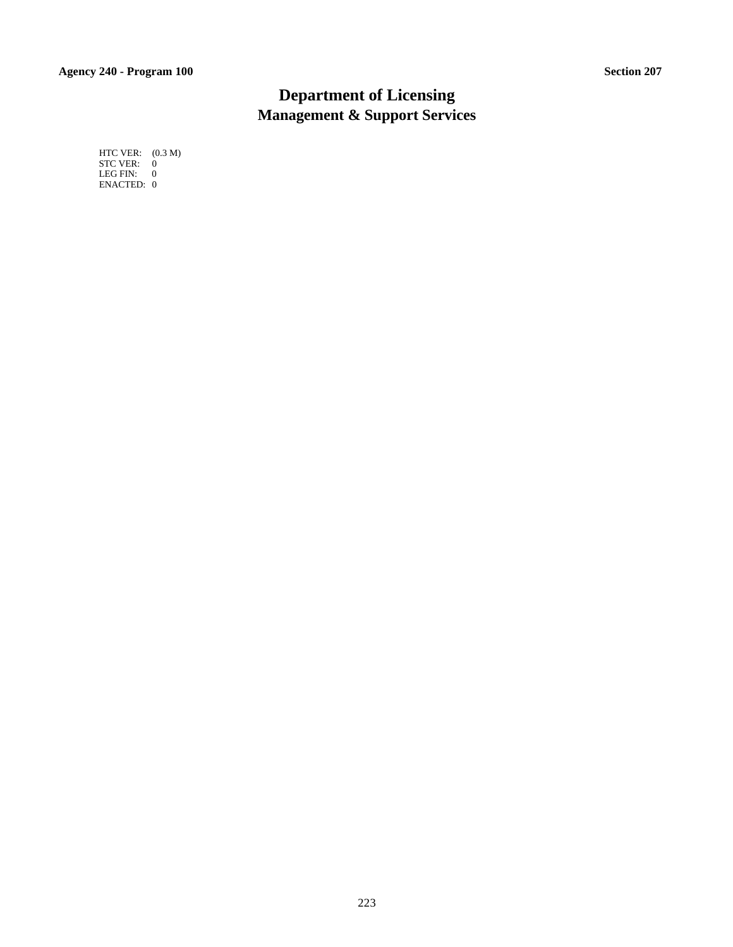### **Department of Licensing Management & Support Services**

 HTC VER: (0.3 M) STC VER: 0 LEG FIN: 0 ENACTED: 0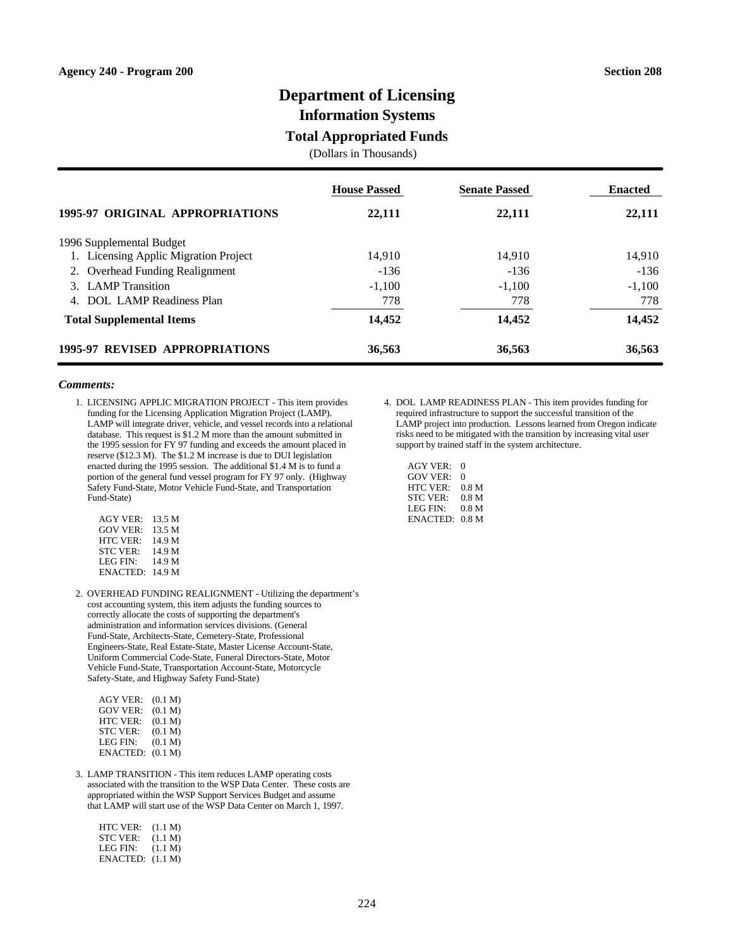### **Department of Licensing**

**Information Systems**

### **Total Appropriated Funds**

(Dollars in Thousands)

|                                           | <b>House Passed</b> | <b>Senate Passed</b> | <b>Enacted</b> |
|-------------------------------------------|---------------------|----------------------|----------------|
| 1995-97 ORIGINAL APPROPRIATIONS           | 22,111              | 22,111               | 22,111         |
| 1996 Supplemental Budget                  |                     |                      |                |
| 1. Licensing Applic Migration Project     | 14.910              | 14.910               | 14,910         |
| 2. Overhead Funding Realignment           | $-136$              | $-136$               | $-136$         |
| 3. LAMP Transition                        | $-1.100$            | $-1.100$             | $-1,100$       |
| DOL LAMP Readiness Plan<br>$\overline{4}$ | 778                 | 778                  | 778            |
| <b>Total Supplemental Items</b>           | 14,452              | 14,452               | 14,452         |
| <b>1995-97 REVISED APPROPRIATIONS</b>     | 36,563              | 36,563               | 36,563         |

#### *Comments:*

1. LICENSING APPLIC MIGRATION PROJECT - This item provides funding for the Licensing Application Migration Project (LAMP). LAMP will integrate driver, vehicle, and vessel records into a relational database. This request is \$1.2 M more than the amount submitted in the 1995 session for FY 97 funding and exceeds the amount placed in reserve (\$12.3 M). The \$1.2 M increase is due to DUI legislation enacted during the 1995 session. The additional \$1.4 M is to fund a portion of the general fund vessel program for FY 97 only. (Highway Safety Fund-State, Motor Vehicle Fund-State, and Transportation Fund-State)

| $AGY$ VER:      | 13.5 M |
|-----------------|--------|
| <b>GOV VER:</b> | 13.5 M |
| <b>HTC VER:</b> | 14.9 M |
| <b>STC VER:</b> | 14.9 M |
| LEG FIN:        | 14.9 M |
| ENACTED: 14.9 M |        |

2. OVERHEAD FUNDING REALIGNMENT - Utilizing the department's cost accounting system, this item adjusts the funding sources to correctly allocate the costs of supporting the department's administration and information services divisions. (General Fund-State, Architects-State, Cemetery-State, Professional Engineers-State, Real Estate-State, Master License Account-State, Uniform Commercial Code-State, Funeral Directors-State, Motor Vehicle Fund-State, Transportation Account-State, Motorcycle Safety-State, and Highway Safety Fund-State)

| <b>AGY VER:</b> | (0.1 M) |
|-----------------|---------|
| <b>GOV VER:</b> | (0.1 M) |
| HTC VER:        | (0.1 M) |
| <b>STC VER:</b> | (0.1 M) |
| LEG FIN:        | (0.1 M) |
| <b>ENACTED:</b> | (0.1 M) |

3. LAMP TRANSITION - This item reduces LAMP operating costs associated with the transition to the WSP Data Center. These costs are appropriated within the WSP Support Services Budget and assume that LAMP will start use of the WSP Data Center on March 1, 1997.

| HTC VER:         | (1.1 M) |
|------------------|---------|
| <b>STC VER:</b>  | (1.1 M) |
| LEG FIN:         | (1.1 M) |
| ENACTER: (1.1 M) |         |
|                  |         |

- 4. DOL LAMP READINESS PLAN This item provides funding for required infrastructure to support the successful transition of the LAMP project into production. Lessons learned from Oregon indicate risks need to be mitigated with the transition by increasing vital user support by trained staff in the system architecture.
	- AGY VER: 0 GOV VER: 0 HTC VER: 0.8 M<br>STC VER: 0.8 M STC VER: 0.8 M<br>LEG FIN: 0.8 M LEG FIN: ENACTED: 0.8 M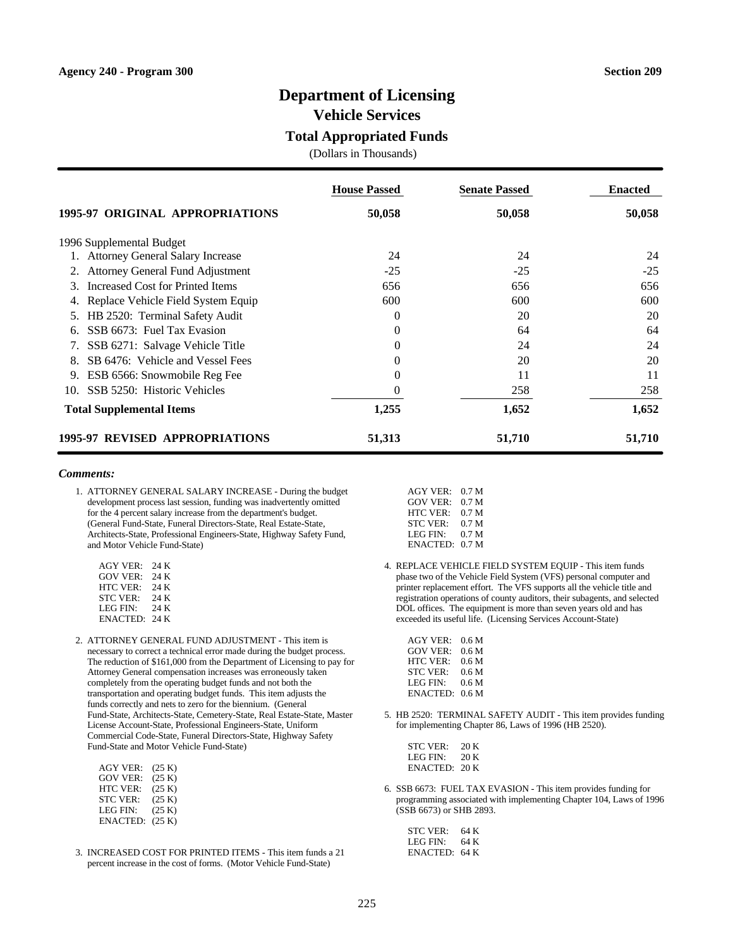### **Department of Licensing**

**Vehicle Services**

### **Total Appropriated Funds**

(Dollars in Thousands)

|                                          | <b>House Passed</b> | <b>Senate Passed</b> | <b>Enacted</b> |
|------------------------------------------|---------------------|----------------------|----------------|
| <b>1995-97 ORIGINAL APPROPRIATIONS</b>   | 50,058              | 50,058               | 50,058         |
| 1996 Supplemental Budget                 |                     |                      |                |
| <b>Attorney General Salary Increase</b>  | 24                  | 24                   | 24             |
| Attorney General Fund Adjustment         | $-25$               | $-25$                | $-25$          |
| Increased Cost for Printed Items<br>3    | 656                 | 656                  | 656            |
| Replace Vehicle Field System Equip<br>4. | 600                 | 600                  | 600            |
| HB 2520: Terminal Safety Audit           | $\Omega$            | 20                   | 20             |
| SSB 6673: Fuel Tax Evasion<br>6.         | 0                   | 64                   | 64             |
| SSB 6271: Salvage Vehicle Title<br>7.    | $\Omega$            | 24                   | 24             |
| SB 6476: Vehicle and Vessel Fees<br>8.   | $\Omega$            | 20                   | 20             |
| ESB 6566: Snowmobile Reg Fee<br>9.       | 0                   | 11                   | 11             |
| SSB 5250: Historic Vehicles<br>10.       | $\Omega$            | 258                  | 258            |
| <b>Total Supplemental Items</b>          | 1,255               | 1,652                | 1,652          |
| <b>1995-97 REVISED APPROPRIATIONS</b>    | 51,313              | 51,710               | 51,710         |

#### *Comments:*

1. ATTORNEY GENERAL SALARY INCREASE - During the budget development process last session, funding was inadvertently omitted for the 4 percent salary increase from the department's budget. (General Fund-State, Funeral Directors-State, Real Estate-State, Architects-State, Professional Engineers-State, Highway Safety Fund, and Motor Vehicle Fund-State)

| $AGY$ VER:      | 24 K |
|-----------------|------|
| GOV VER:        | 24 K |
| <b>HTC VER:</b> | 24 K |
| <b>STC VER:</b> | 24 K |
| LEG FIN:        | 24 K |
| ENACTED:        | 24 K |

2. ATTORNEY GENERAL FUND ADJUSTMENT - This item is necessary to correct a technical error made during the budget process. The reduction of \$161,000 from the Department of Licensing to pay for Attorney General compensation increases was erroneously taken completely from the operating budget funds and not both the transportation and operating budget funds. This item adjusts the funds correctly and nets to zero for the biennium. (General Fund-State, Architects-State, Cemetery-State, Real Estate-State, Master License Account-State, Professional Engineers-State, Uniform Commercial Code-State, Funeral Directors-State, Highway Safety Fund-State and Motor Vehicle Fund-State)

| <b>AGY VER:</b> | (25 K) |
|-----------------|--------|
| <b>GOV VER:</b> | (25 K) |
| HTC VER:        | (25 K) |
| <b>STC VER:</b> | (25 K) |
| LEG FIN:        | (25 K) |
| <b>ENACTED:</b> | (25 K) |

3. INCREASED COST FOR PRINTED ITEMS - This item funds a 21 percent increase in the cost of forms. (Motor Vehicle Fund-State)

| $AGY$ VER:      | 0.7 <sub>M</sub> |
|-----------------|------------------|
| GOV VER:        | 0.7 <sub>M</sub> |
| HTC VER:        | 0.7 <sub>M</sub> |
| <b>STC VER:</b> | 0.7 <sub>M</sub> |
| LEG FIN:        | 0.7 <sub>M</sub> |
| <b>ENACTED:</b> | 0.7 <sub>M</sub> |

4. REPLACE VEHICLE FIELD SYSTEM EQUIP - This item funds phase two of the Vehicle Field System (VFS) personal computer and printer replacement effort. The VFS supports all the vehicle title and registration operations of county auditors, their subagents, and selected DOL offices. The equipment is more than seven years old and has exceeded its useful life. (Licensing Services Account-State)

| $AGY$ VER:      | 0.6 M            |
|-----------------|------------------|
| <b>GOV VER:</b> | 0.6 <sub>M</sub> |
| <b>HTC VER:</b> | 0.6 <sub>M</sub> |
| <b>STC VER:</b> | 0.6 M            |
| LEG FIN:        | 0.6 M            |
| ENACTED:        | 0.6 <sub>M</sub> |

5. HB 2520: TERMINAL SAFETY AUDIT - This item provides funding for implementing Chapter 86, Laws of 1996 (HB 2520).

| STC VER ·            | 20 K |
|----------------------|------|
| LEG FIN <sup>.</sup> | 20 K |
| ENACTED: 20 K        |      |

6. SSB 6673: FUEL TAX EVASION - This item provides funding for programming associated with implementing Chapter 104, Laws of 1996 (SSB 6673) or SHB 2893.

| STC VER:      | 64 K |
|---------------|------|
| LEG FIN:      | 64 K |
| ENACTED: 64 K |      |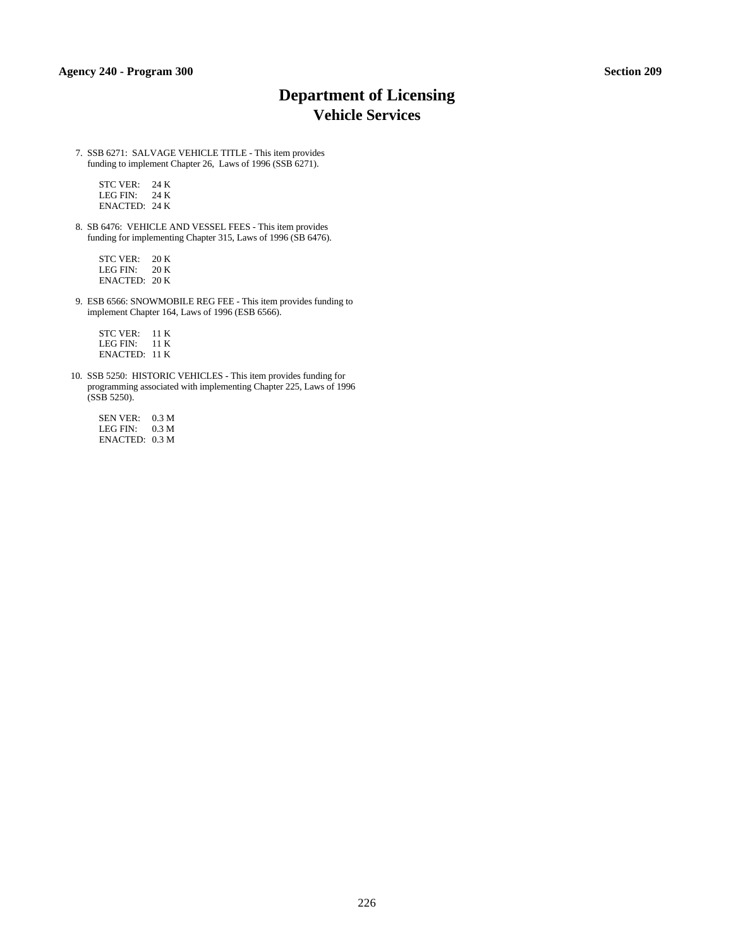# **Department of Licensing Vehicle Services**

7. SSB 6271: SALVAGE VEHICLE TITLE - This item provides funding to implement Chapter 26, Laws of 1996 (SSB 6271).

 STC VER: 24 K LEG FIN: 24 K ENACTED: 24 K

8. SB 6476: VEHICLE AND VESSEL FEES - This item provides funding for implementing Chapter 315, Laws of 1996 (SB 6476).

 STC VER: 20 K LEG FIN: 20 K ENACTED: 20 K

9. ESB 6566: SNOWMOBILE REG FEE - This item provides funding to implement Chapter 164, Laws of 1996 (ESB 6566).

 STC VER: 11 K LEG FIN: 11 K ENACTED: 11 K

10. SSB 5250: HISTORIC VEHICLES - This item provides funding for programming associated with implementing Chapter 225, Laws of 1996 (SSB 5250).

 SEN VER: 0.3 M LEG FIN: 0.3 M ENACTED: 0.3 M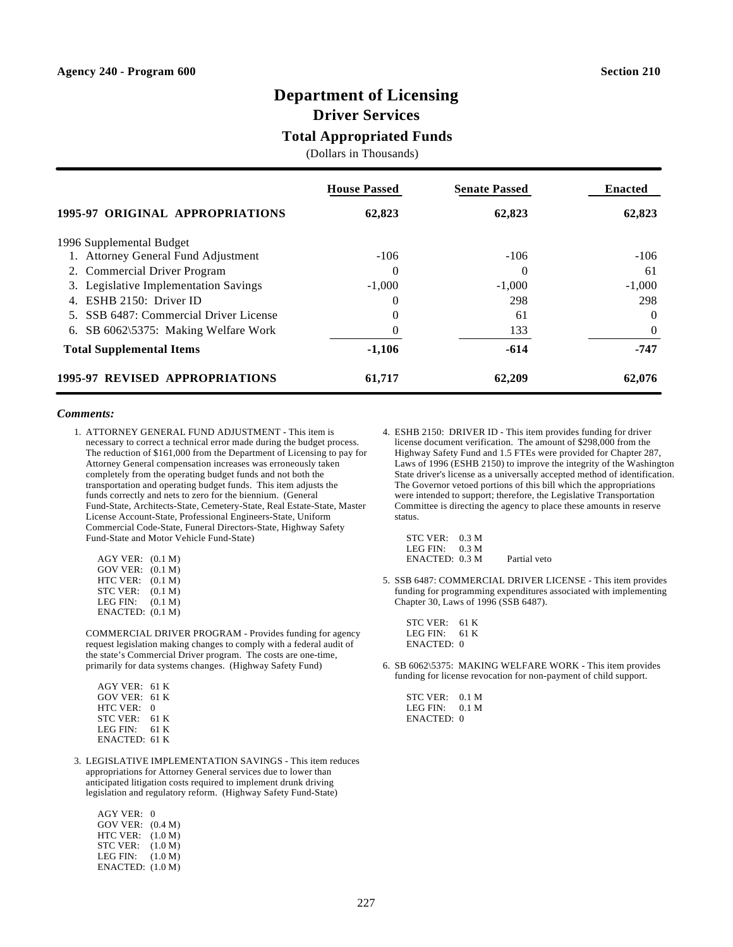### **Department of Licensing**

**Driver Services**

### **Total Appropriated Funds**

(Dollars in Thousands)

|                                        | <b>House Passed</b> | <b>Senate Passed</b> | <b>Enacted</b> |
|----------------------------------------|---------------------|----------------------|----------------|
| 1995-97 ORIGINAL APPROPRIATIONS        | 62,823              | 62,823               | 62,823         |
| 1996 Supplemental Budget               |                     |                      |                |
| 1. Attorney General Fund Adjustment    | $-106$              | $-106$               | $-106$         |
| 2. Commercial Driver Program           | $\theta$            | $\theta$             | 61             |
| 3. Legislative Implementation Savings  | $-1,000$            | $-1,000$             | $-1,000$       |
| 4. ESHB 2150: Driver ID                | $\theta$            | 298                  | 298            |
| 5. SSB 6487: Commercial Driver License | $\Omega$            | 61                   | $\Omega$       |
| 6. SB 6062\5375: Making Welfare Work   | 0                   | 133                  | $\theta$       |
| <b>Total Supplemental Items</b>        | $-1,106$            | $-614$               | -747           |
| 1995-97 REVISED APPROPRIATIONS         | 61,717              | 62,209               | 62,076         |

### *Comments:*

1. ATTORNEY GENERAL FUND ADJUSTMENT - This item is necessary to correct a technical error made during the budget process. The reduction of \$161,000 from the Department of Licensing to pay for Attorney General compensation increases was erroneously taken completely from the operating budget funds and not both the transportation and operating budget funds. This item adjusts the funds correctly and nets to zero for the biennium. (General Fund-State, Architects-State, Cemetery-State, Real Estate-State, Master License Account-State, Professional Engineers-State, Uniform Commercial Code-State, Funeral Directors-State, Highway Safety Fund-State and Motor Vehicle Fund-State)

| AGY VER:        | (0.1 M) |
|-----------------|---------|
| <b>GOV VER:</b> | (0.1 M) |
| <b>HTC VER:</b> | (0.1 M) |
| <b>STC VER:</b> | (0.1 M) |
| LEG FIN:        | (0.1 M) |
| ENACTED:        | (0.1 M) |

COMMERCIAL DRIVER PROGRAM - Provides funding for agency request legislation making changes to comply with a federal audit of the state's Commercial Driver program. The costs are one-time, primarily for data systems changes. (Highway Safety Fund)

 AGY VER: 61 K GOV VER: 61 K HTC VER: 0 STC VER: 61 K LEG FIN: 61 K ENACTED: 61 K

3. LEGISLATIVE IMPLEMENTATION SAVINGS - This item reduces appropriations for Attorney General services due to lower than anticipated litigation costs required to implement drunk driving legislation and regulatory reform. (Highway Safety Fund-State)

| <b>AGY VER:</b>    | 0       |
|--------------------|---------|
| <b>GOV VER:</b>    | (0.4 M) |
| HTC VER:           | (1.0 M) |
| <b>STC VER:</b>    | (1.0 M) |
| LEG FIN:           | (1.0 M) |
| ENACTED: $(1.0 M)$ |         |
|                    |         |

4. ESHB 2150: DRIVER ID - This item provides funding for driver license document verification. The amount of \$298,000 from the Highway Safety Fund and 1.5 FTEs were provided for Chapter 287, Laws of 1996 (ESHB 2150) to improve the integrity of the Washington State driver's license as a universally accepted method of identification. The Governor vetoed portions of this bill which the appropriations were intended to support; therefore, the Legislative Transportation Committee is directing the agency to place these amounts in reserve status.

| STC VER: 0.3 M    |              |
|-------------------|--------------|
| LEG FIN: $0.3 M$  |              |
| $ENACTER$ : 0.3 M | Partial veto |

5. SSB 6487: COMMERCIAL DRIVER LICENSE - This item provides funding for programming expenditures associated with implementing Chapter 30, Laws of 1996 (SSB 6487).

| STC VER:             | 61 K |
|----------------------|------|
| LEG FIN <sup>.</sup> | 61 K |
| ENACTED: 0           |      |

6. SB 6062\5375: MAKING WELFARE WORK - This item provides funding for license revocation for non-payment of child support.

 STC VER: 0.1 M LEG FIN: 0.1 M ENACTED: 0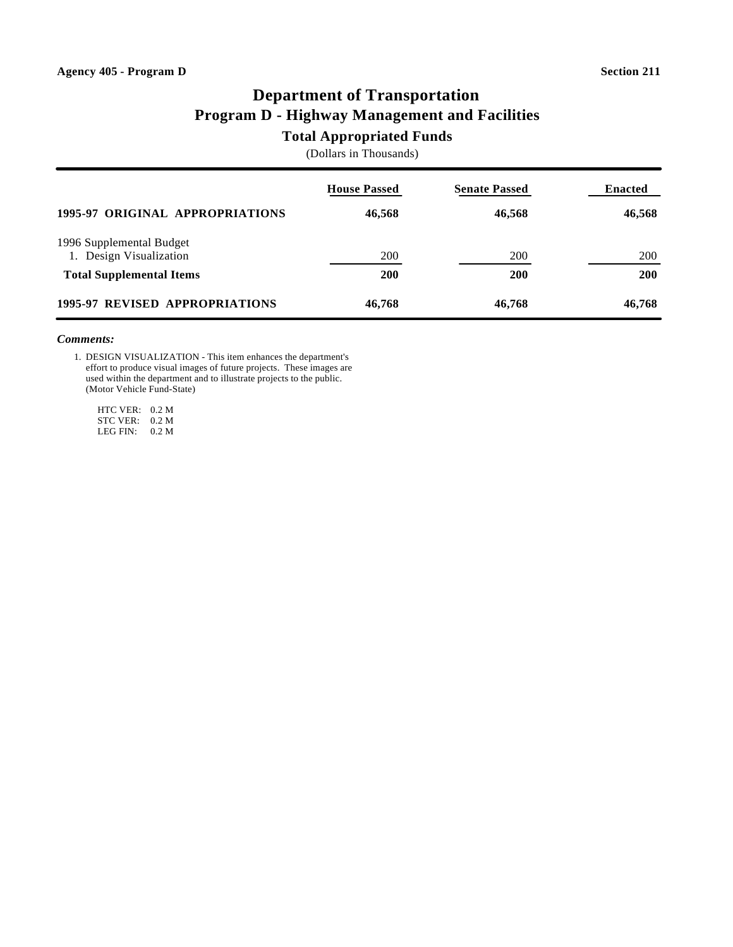# **Department of Transportation Program D - Highway Management and Facilities**

### **Total Appropriated Funds**

(Dollars in Thousands)

|                                                     | <b>House Passed</b> | <b>Senate Passed</b> | <b>Enacted</b> |
|-----------------------------------------------------|---------------------|----------------------|----------------|
| 1995-97 ORIGINAL APPROPRIATIONS                     | 46,568              | 46,568               | 46,568         |
| 1996 Supplemental Budget<br>1. Design Visualization | <b>200</b>          | 200                  | <b>200</b>     |
| <b>Total Supplemental Items</b>                     | <b>200</b>          | <b>200</b>           | <b>200</b>     |
| 1995-97 REVISED APPROPRIATIONS                      | 46,768              | 46,768               | 46,768         |

### *Comments:*

1. DESIGN VISUALIZATION - This item enhances the department's effort to produce visual images of future projects. These images are used within the department and to illustrate projects to the public. (Motor Vehicle Fund-State)

 HTC VER: 0.2 M STC VER: 0.2 M LEG FIN: 0.2 M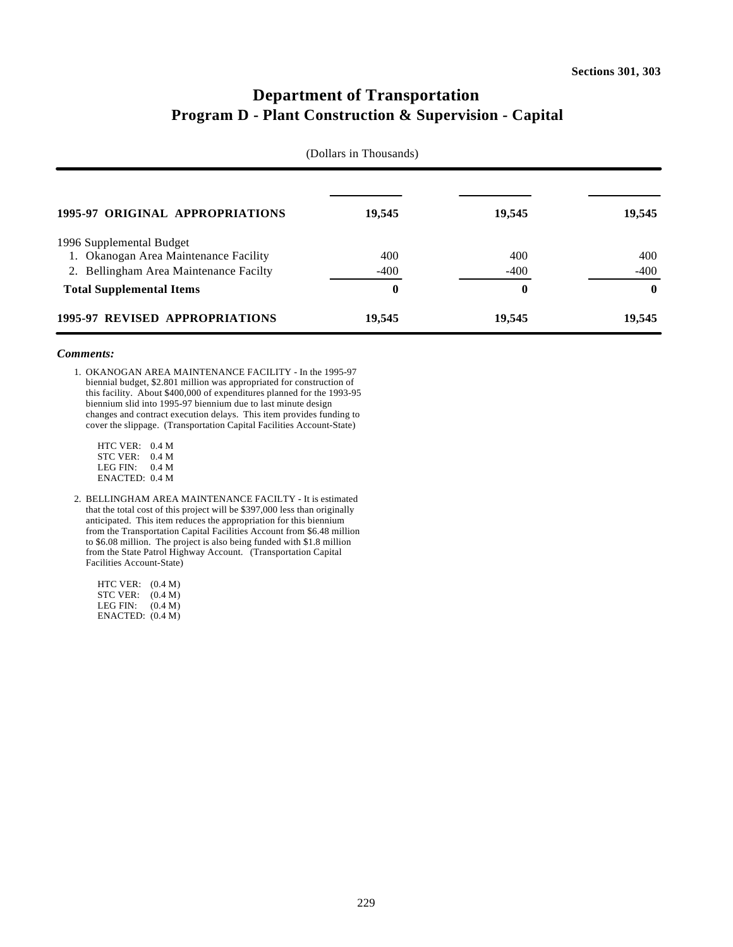# **Department of Transportation Program D - Plant Construction & Supervision - Capital**

| (Dollars in Thousands)                 |        |          |          |
|----------------------------------------|--------|----------|----------|
| 1995-97 ORIGINAL APPROPRIATIONS        | 19,545 | 19,545   | 19,545   |
| 1996 Supplemental Budget               |        |          |          |
| 1. Okanogan Area Maintenance Facility  | 400    | 400      | 400      |
| 2. Bellingham Area Maintenance Facilty | $-400$ | $-400$   | $-400$   |
| <b>Total Supplemental Items</b>        | 0      | $\bf{0}$ | $\bf{0}$ |
| 1995-97 REVISED APPROPRIATIONS         | 19,545 | 19,545   | 19,545   |

#### *Comments:*

1. OKANOGAN AREA MAINTENANCE FACILITY - In the 1995-97 biennial budget, \$2.801 million was appropriated for construction of this facility. About \$400,000 of expenditures planned for the 1993-95 biennium slid into 1995-97 biennium due to last minute design changes and contract execution delays. This item provides funding to cover the slippage. (Transportation Capital Facilities Account-State)

 HTC VER: 0.4 M STC VER: 0.4 M LEG FIN: 0.4 M ENACTED: 0.4 M

2. BELLINGHAM AREA MAINTENANCE FACILTY - It is estimated that the total cost of this project will be \$397,000 less than originally anticipated. This item reduces the appropriation for this biennium from the Transportation Capital Facilities Account from \$6.48 million to \$6.08 million. The project is also being funded with \$1.8 million from the State Patrol Highway Account. (Transportation Capital Facilities Account-State)

 HTC VER: (0.4 M) STC VER: (0.4 M) LEG FIN: (0.4 M) ENACTED: (0.4 M)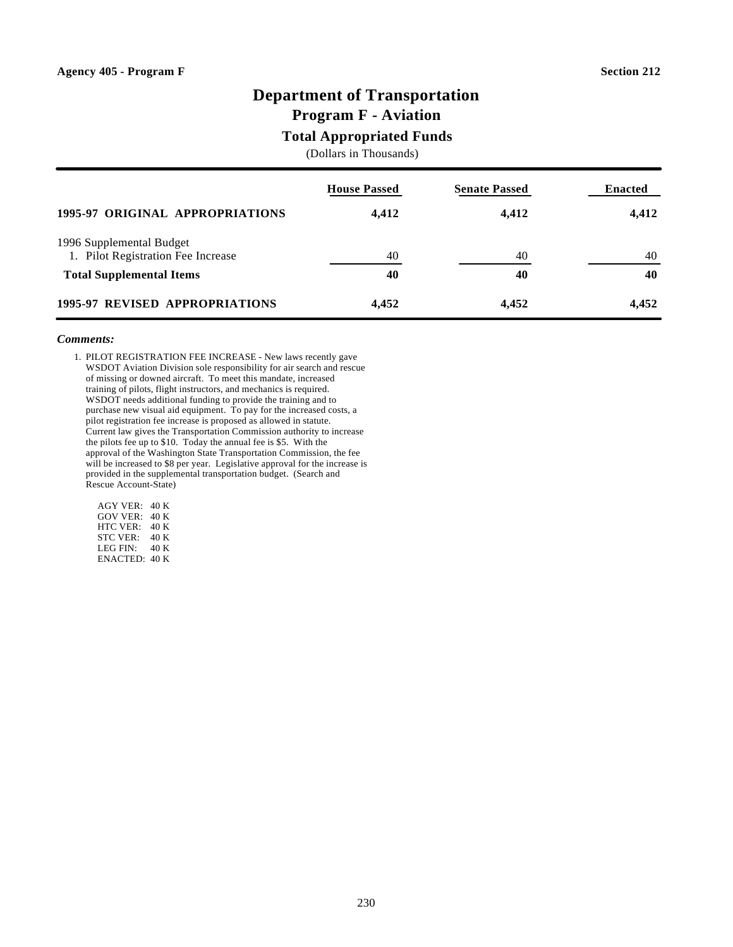# **Department of Transportation**

### **Program F - Aviation**

### **Total Appropriated Funds**

(Dollars in Thousands)

|                                                                | <b>House Passed</b> | <b>Senate Passed</b> | <b>Enacted</b> |
|----------------------------------------------------------------|---------------------|----------------------|----------------|
| 1995-97 ORIGINAL APPROPRIATIONS                                | 4,412               | 4,412                | 4,412          |
| 1996 Supplemental Budget<br>1. Pilot Registration Fee Increase | 40                  | 40                   | 40             |
| <b>Total Supplemental Items</b>                                | 40                  | 40                   | 40             |
| 1995-97 REVISED APPROPRIATIONS                                 | 4,452               | 4,452                | 4,452          |

### *Comments:*

1. PILOT REGISTRATION FEE INCREASE - New laws recently gave WSDOT Aviation Division sole responsibility for air search and rescue of missing or downed aircraft. To meet this mandate, increased training of pilots, flight instructors, and mechanics is required. WSDOT needs additional funding to provide the training and to purchase new visual aid equipment. To pay for the increased costs, a pilot registration fee increase is proposed as allowed in statute. Current law gives the Transportation Commission authority to increase the pilots fee up to \$10. Today the annual fee is \$5. With the approval of the Washington State Transportation Commission, the fee will be increased to \$8 per year. Legislative approval for the increase is provided in the supplemental transportation budget. (Search and Rescue Account-State)

 AGY VER: 40 K GOV VER: 40 K HTC VER: 40 K STC VER: 40 K LEG FIN: 40 K ENACTED: 40 K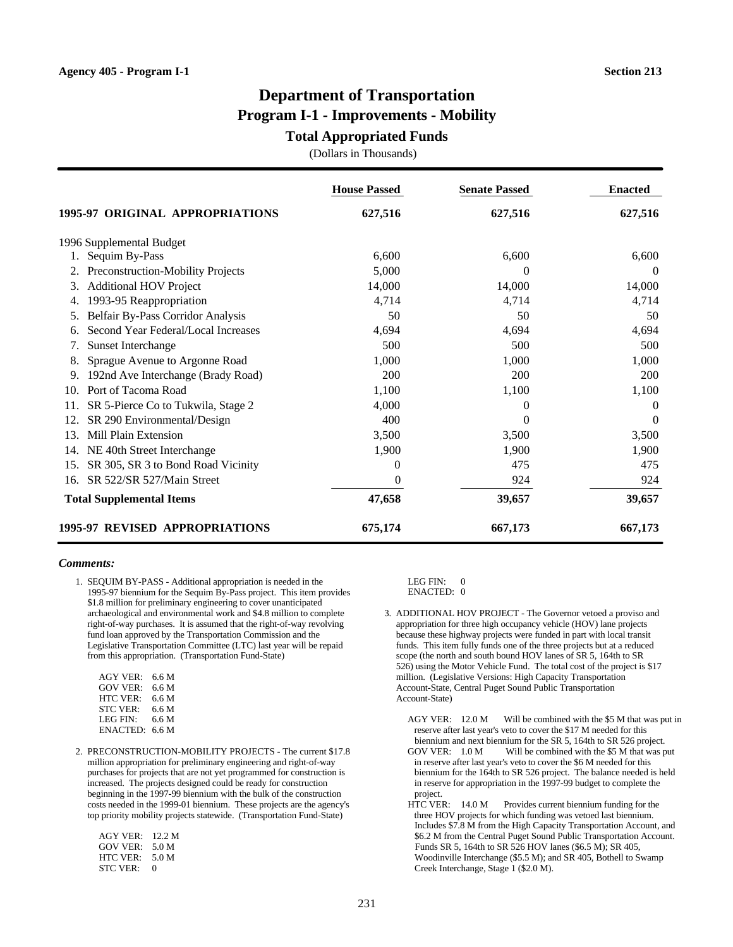# **Department of Transportation Program I-1 - Improvements - Mobility**

### **Total Appropriated Funds**

(Dollars in Thousands)

|                                           | <b>House Passed</b> | <b>Senate Passed</b> | <b>Enacted</b> |
|-------------------------------------------|---------------------|----------------------|----------------|
| 1995-97 ORIGINAL APPROPRIATIONS           | 627,516             | 627,516              | 627,516        |
| 1996 Supplemental Budget                  |                     |                      |                |
| Sequim By-Pass                            | 6,600               | 6,600                | 6,600          |
| Preconstruction-Mobility Projects<br>2.   | 5,000               | $\Omega$             | $\theta$       |
| <b>Additional HOV Project</b><br>3.       | 14,000              | 14,000               | 14,000         |
| 1993-95 Reappropriation<br>4.             | 4,714               | 4,714                | 4,714          |
| Belfair By-Pass Corridor Analysis<br>5.   | 50                  | 50                   | 50             |
| Second Year Federal/Local Increases       | 4,694               | 4,694                | 4,694          |
| Sunset Interchange                        | 500                 | 500                  | 500            |
| Sprague Avenue to Argonne Road            | 1,000               | 1,000                | 1,000          |
| 192nd Ave Interchange (Brady Road)<br>9.  | 200                 | 200                  | 200            |
| Port of Tacoma Road<br>10.                | 1,100               | 1,100                | 1,100          |
| SR 5-Pierce Co to Tukwila, Stage 2<br>11. | 4,000               | $\Omega$             | $\Omega$       |
| SR 290 Environmental/Design<br>12.        | 400                 | $\Omega$             | $\Omega$       |
| Mill Plain Extension<br>13.               | 3,500               | 3,500                | 3,500          |
| NE 40th Street Interchange<br>14.         | 1,900               | 1,900                | 1,900          |
| SR 305, SR 3 to Bond Road Vicinity<br>15. | $\Omega$            | 475                  | 475            |
| SR 522/SR 527/Main Street<br>16.          | $\Omega$            | 924                  | 924            |
| <b>Total Supplemental Items</b>           | 47,658              | 39,657               | 39,657         |
| 1995-97 REVISED APPROPRIATIONS            | 675,174             | 667,173              | 667,173        |

#### *Comments:*

1. SEQUIM BY-PASS - Additional appropriation is needed in the 1995-97 biennium for the Sequim By-Pass project. This item provides \$1.8 million for preliminary engineering to cover unanticipated archaeological and environmental work and \$4.8 million to complete right-of-way purchases. It is assumed that the right-of-way revolving fund loan approved by the Transportation Commission and the Legislative Transportation Committee (LTC) last year will be repaid from this appropriation. (Transportation Fund-State)

| 6.6 M |
|-------|
| 6.6 M |
| 6.6 M |
| 6.6 M |
| 6.6 M |
| 6.6 M |
|       |

2. PRECONSTRUCTION-MOBILITY PROJECTS - The current \$17.8 million appropriation for preliminary engineering and right-of-way purchases for projects that are not yet programmed for construction is increased. The projects designed could be ready for construction beginning in the 1997-99 biennium with the bulk of the construction costs needed in the 1999-01 biennium. These projects are the agency's top priority mobility projects statewide. (Transportation Fund-State)

| AGY VER: | 12.2 M |
|----------|--------|
| GOV VER: | 5.0 M  |
| HTC VER: | 5.0 M  |
| STC VER: | 0      |
|          |        |

LEG FIN: 0

ENACTED: 0

3. ADDITIONAL HOV PROJECT - The Governor vetoed a proviso and appropriation for three high occupancy vehicle (HOV) lane projects because these highway projects were funded in part with local transit funds. This item fully funds one of the three projects but at a reduced scope (the north and south bound HOV lanes of SR 5, 164th to SR 526) using the Motor Vehicle Fund. The total cost of the project is \$17 million. (Legislative Versions: High Capacity Transportation Account-State, Central Puget Sound Public Transportation Account-State)

AGY VER: 12.0 M Will be combined with the \$5 M that was put in reserve after last year's veto to cover the \$17 M needed for this biennium and next biennium for the SR 5, 164th to SR 526 project.

- GOV VER:  $1.0 \text{ M}$  Will be combined with the \$5 M that was put in reserve after last year's veto to cover the \$6 M needed for this biennium for the 164th to SR 526 project. The balance needed is held in reserve for appropriation in the 1997-99 budget to complete the project.
- HTC VER: 14.0 M Provides current biennium funding for the three HOV projects for which funding was vetoed last biennium. Includes \$7.8 M from the High Capacity Transportation Account, and \$6.2 M from the Central Puget Sound Public Transportation Account. Funds SR 5, 164th to SR 526 HOV lanes (\$6.5 M); SR 405, Woodinville Interchange (\$5.5 M); and SR 405, Bothell to Swamp Creek Interchange, Stage 1 (\$2.0 M).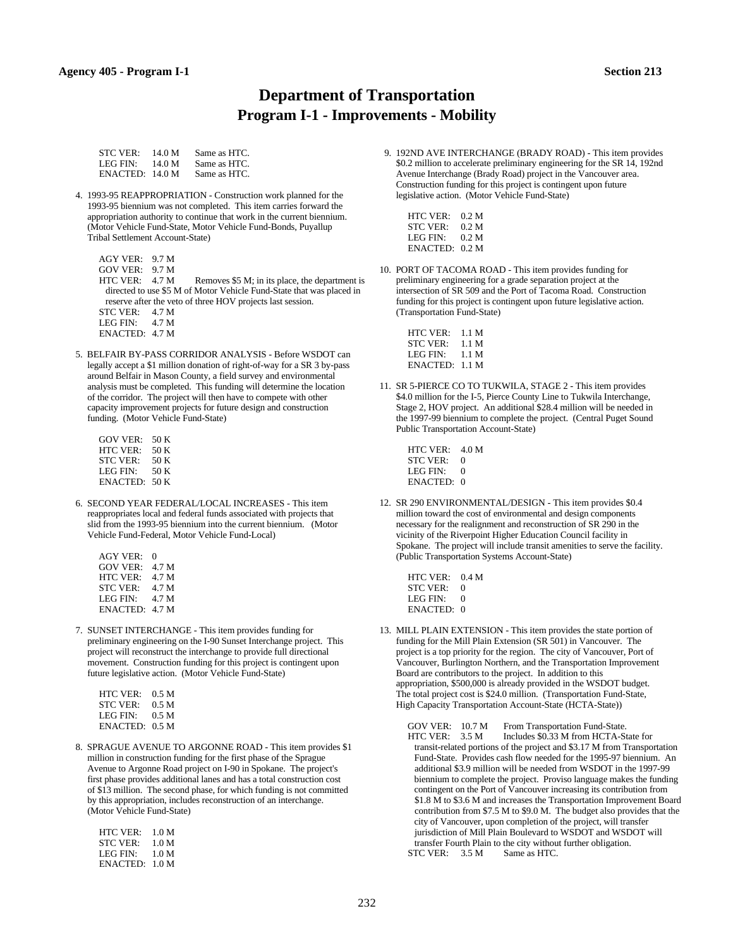### **Department of Transportation Program I-1 - Improvements - Mobility**

| <b>STC VER:</b> | 14.0 M | Same as HTC. |
|-----------------|--------|--------------|
| LEG FIN:        | 14.0 M | Same as HTC. |
| ENACTER: 14.0 M |        | Same as HTC. |

4. 1993-95 REAPPROPRIATION - Construction work planned for the 1993-95 biennium was not completed. This item carries forward the appropriation authority to continue that work in the current biennium. (Motor Vehicle Fund-State, Motor Vehicle Fund-Bonds, Puyallup Tribal Settlement Account-State)

 AGY VER: 9.7 M GOV VER: 9.7 M

- HTC VER: 4.7 M Removes \$5 M; in its place, the department is directed to use \$5 M of Motor Vehicle Fund-State that was placed in reserve after the veto of three HOV projects last session.
- STC VER: 4.7 M<br>LEG FIN: 4.7 M LEG FIN: ENACTED: 4.7 M
- 5. BELFAIR BY-PASS CORRIDOR ANALYSIS Before WSDOT can legally accept a \$1 million donation of right-of-way for a SR 3 by-pass around Belfair in Mason County, a field survey and environmental analysis must be completed. This funding will determine the location of the corridor. The project will then have to compete with other capacity improvement projects for future design and construction funding. (Motor Vehicle Fund-State)
	- GOV VER: 50 K HTC VER: 50 K<br>STC VER: 50 K STC VER: 50 K<br>LEG FIN: 50 K LEG FIN: ENACTED: 50 K
- 6. SECOND YEAR FEDERAL/LOCAL INCREASES This item reappropriates local and federal funds associated with projects that slid from the 1993-95 biennium into the current biennium. (Motor Vehicle Fund-Federal, Motor Vehicle Fund-Local)

 $AGY VER: 0$  GOV VER: 4.7 M HTC VER: 4.7 M STC VER: 4.7 M LEG FIN: 4.7 M ENACTED: 4.7 M

7. SUNSET INTERCHANGE - This item provides funding for preliminary engineering on the I-90 Sunset Interchange project. This project will reconstruct the interchange to provide full directional movement. Construction funding for this project is contingent upon future legislative action. (Motor Vehicle Fund-State)

| HTC VER:       | 0.5 M            |
|----------------|------------------|
| STC VER:       | 0.5 M            |
| LEG FIN:       | 0.5 <sub>M</sub> |
| ENACTED: 0.5 M |                  |

8. SPRAGUE AVENUE TO ARGONNE ROAD - This item provides \$1 million in construction funding for the first phase of the Sprague Avenue to Argonne Road project on I-90 in Spokane. The project's first phase provides additional lanes and has a total construction cost of \$13 million. The second phase, for which funding is not committed by this appropriation, includes reconstruction of an interchange. (Motor Vehicle Fund-State)

| 1.0 M          |
|----------------|
| 1.0 M          |
| 1.0 M          |
| ENACTED: 1.0 M |
|                |

9. 192ND AVE INTERCHANGE (BRADY ROAD) - This item provides \$0.2 million to accelerate preliminary engineering for the SR 14, 192nd Avenue Interchange (Brady Road) project in the Vancouver area. Construction funding for this project is contingent upon future legislative action. (Motor Vehicle Fund-State)

| HTC VER:        | 0.2 <sub>M</sub> |
|-----------------|------------------|
| <b>STC VER:</b> | 0.2 M            |
| LEG FIN:        | 0.2 M            |
| ENACTED: 0.2 M  |                  |

10. PORT OF TACOMA ROAD - This item provides funding for preliminary engineering for a grade separation project at the intersection of SR 509 and the Port of Tacoma Road. Construction funding for this project is contingent upon future legislative action. (Transportation Fund-State)

| HTC VER:       | 1.1 M |
|----------------|-------|
| STC VER:       | 1.1 M |
| LEG FIN:       | 1.1 M |
| ENACTED: 1.1 M |       |

- 11. SR 5-PIERCE CO TO TUKWILA, STAGE 2 This item provides \$4.0 million for the I-5, Pierce County Line to Tukwila Interchange, Stage 2, HOV project. An additional \$28.4 million will be needed in the 1997-99 biennium to complete the project. (Central Puget Sound Public Transportation Account-State)
	- HTC VER: 4.0 M STC VER: 0 LEG FIN: 0 ENACTED: 0
- 12. SR 290 ENVIRONMENTAL/DESIGN This item provides \$0.4 million toward the cost of environmental and design components necessary for the realignment and reconstruction of SR 290 in the vicinity of the Riverpoint Higher Education Council facility in Spokane. The project will include transit amenities to serve the facility. (Public Transportation Systems Account-State)

| HTC VER:      | 0.4 <sub>M</sub> |
|---------------|------------------|
| STC VER:      | 0                |
| LEG FIN:      | 0                |
| $ENACTER$ : 0 |                  |

- 13. MILL PLAIN EXTENSION This item provides the state portion of funding for the Mill Plain Extension (SR 501) in Vancouver. The project is a top priority for the region. The city of Vancouver, Port of Vancouver, Burlington Northern, and the Transportation Improvement Board are contributors to the project. In addition to this appropriation, \$500,000 is already provided in the WSDOT budget. The total project cost is \$24.0 million. (Transportation Fund-State, High Capacity Transportation Account-State (HCTA-State))
	- GOV VER: 10.7 M From Transportation Fund-State.<br>HTC VER: 3.5 M Includes \$0.33 M from HCTA-St Includes \$0.33 M from HCTA-State for transit-related portions of the project and \$3.17 M from Transportation Fund-State. Provides cash flow needed for the 1995-97 biennium. An additional \$3.9 million will be needed from WSDOT in the 1997-99 biennium to complete the project. Proviso language makes the funding contingent on the Port of Vancouver increasing its contribution from \$1.8 M to \$3.6 M and increases the Transportation Improvement Board contribution from \$7.5 M to \$9.0 M. The budget also provides that the city of Vancouver, upon completion of the project, will transfer jurisdiction of Mill Plain Boulevard to WSDOT and WSDOT will transfer Fourth Plain to the city without further obligation. STC VER: 3.5 M Same as HTC.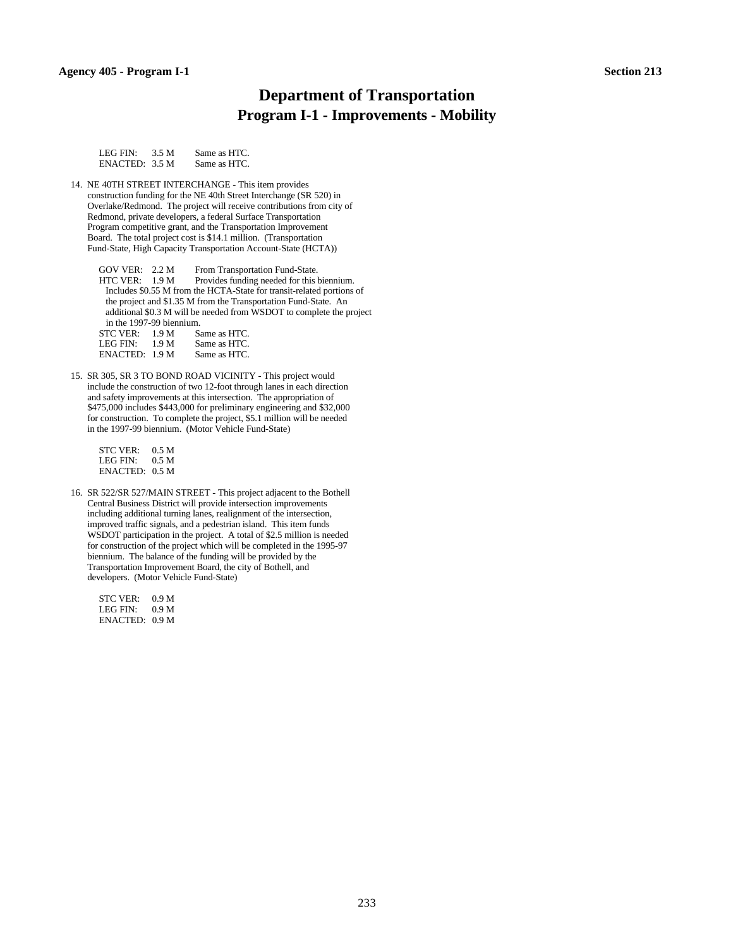### **Department of Transportation Program I-1 - Improvements - Mobility**

| LEG FIN:       | 3.5 M | Same as HTC. |
|----------------|-------|--------------|
| ENACTER: 3.5 M |       | Same as HTC. |

14. NE 40TH STREET INTERCHANGE - This item provides construction funding for the NE 40th Street Interchange (SR 520) in Overlake/Redmond. The project will receive contributions from city of Redmond, private developers, a federal Surface Transportation Program competitive grant, and the Transportation Improvement Board. The total project cost is \$14.1 million. (Transportation Fund-State, High Capacity Transportation Account-State (HCTA))

GOV VER: 2.2 M From Transportation Fund-State. HTC VER: 1.9 M Provides funding needed for this biennium. Includes \$0.55 M from the HCTA-State for transit-related portions of the project and \$1.35 M from the Transportation Fund-State. An additional \$0.3 M will be needed from WSDOT to complete the project in the 1997-99 biennium.

| <b>STC VER:</b> | 1.9 <sub>M</sub> | Same as HTC. |
|-----------------|------------------|--------------|
| LEG FIN:        | 1.9 <sub>M</sub> | Same as HTC. |
| ENACTER: 1.9 M  |                  | Same as HTC. |

15. SR 305, SR 3 TO BOND ROAD VICINITY - This project would include the construction of two 12-foot through lanes in each direction and safety improvements at this intersection. The appropriation of \$475,000 includes \$443,000 for preliminary engineering and \$32,000 for construction. To complete the project, \$5.1 million will be needed in the 1997-99 biennium. (Motor Vehicle Fund-State)

STC VER: 0.5 M<br>LEG FIN: 0.5 M LEG FIN: ENACTED: 0.5 M

16. SR 522/SR 527/MAIN STREET - This project adjacent to the Bothell Central Business District will provide intersection improvements including additional turning lanes, realignment of the intersection, improved traffic signals, and a pedestrian island. This item funds WSDOT participation in the project. A total of \$2.5 million is needed for construction of the project which will be completed in the 1995-97 biennium. The balance of the funding will be provided by the Transportation Improvement Board, the city of Bothell, and developers. (Motor Vehicle Fund-State)

 STC VER: 0.9 M LEG FIN: 0.9 M ENACTED: 0.9 M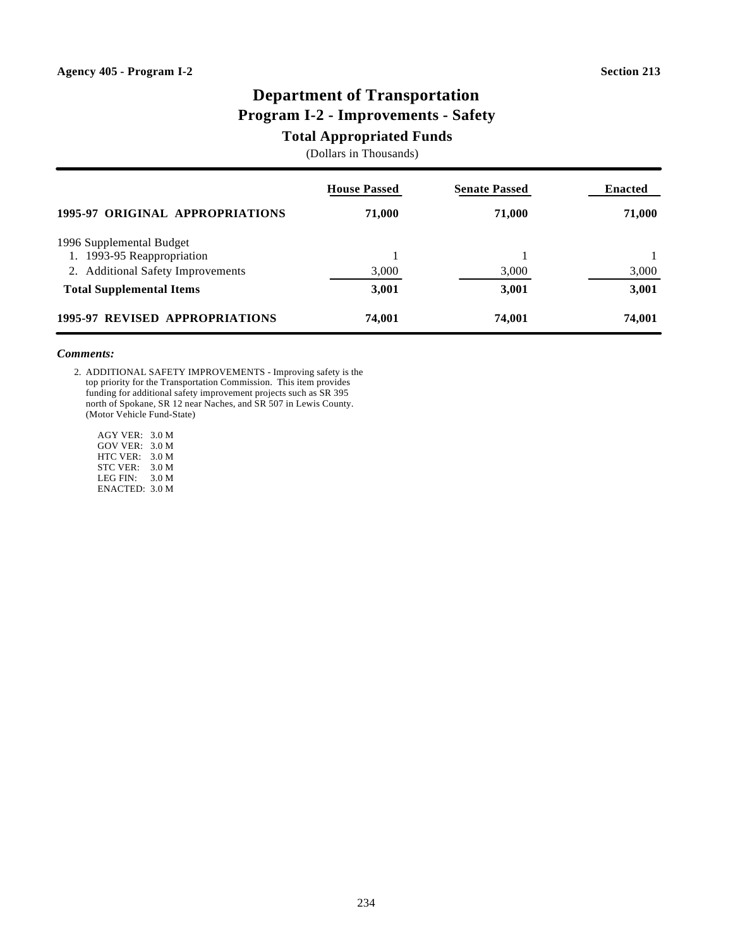# **Department of Transportation Program I-2 - Improvements - Safety**

### **Total Appropriated Funds**

(Dollars in Thousands)

|                                   | <b>House Passed</b> | <b>Senate Passed</b> | <b>Enacted</b> |
|-----------------------------------|---------------------|----------------------|----------------|
| 1995-97 ORIGINAL APPROPRIATIONS   | 71,000              | 71,000               | 71,000         |
| 1996 Supplemental Budget          |                     |                      |                |
| 1. 1993-95 Reappropriation        |                     |                      |                |
| 2. Additional Safety Improvements | 3,000               | 3,000                | 3,000          |
| <b>Total Supplemental Items</b>   | 3,001               | 3,001                | 3,001          |
| 1995-97 REVISED APPROPRIATIONS    | 74,001              | 74,001               | 74,001         |

#### *Comments:*

2. ADDITIONAL SAFETY IMPROVEMENTS - Improving safety is the top priority for the Transportation Commission. This item provides funding for additional safety improvement projects such as SR 395 north of Spokane, SR 12 near Naches, and SR 507 in Lewis County. (Motor Vehicle Fund-State)

 AGY VER: 3.0 M GOV VER: 3.0 M HTC VER: 3.0 M STC VER: 3.0 M LEG FIN: 3.0 M ENACTED: 3.0 M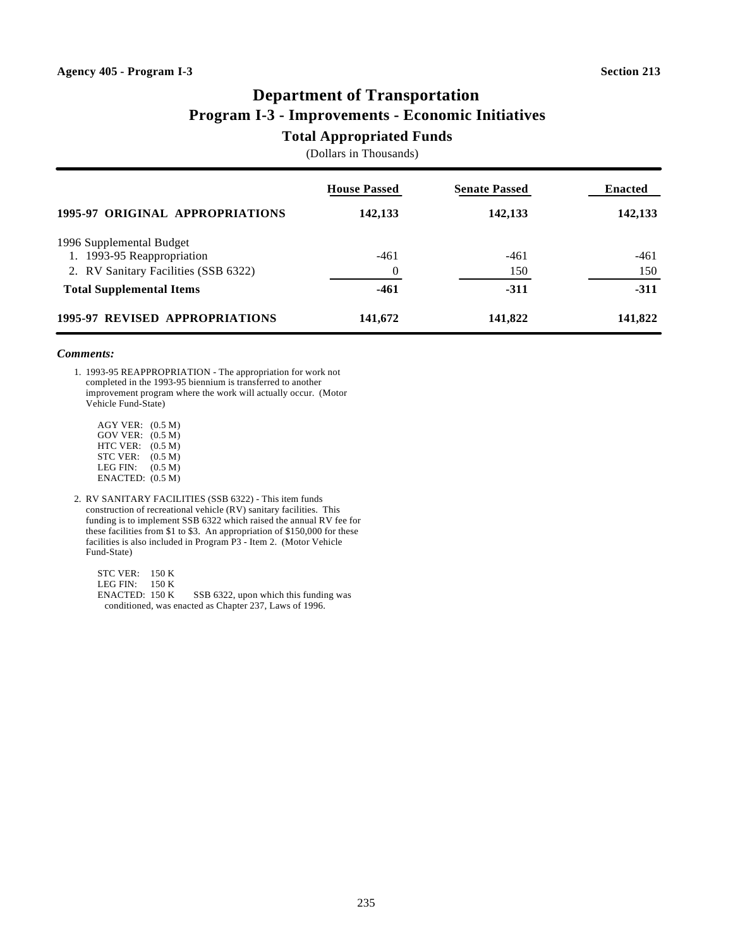# **Department of Transportation Program I-3 - Improvements - Economic Initiatives**

### **Total Appropriated Funds**

(Dollars in Thousands)

|                                      | <b>House Passed</b> | <b>Senate Passed</b> | <b>Enacted</b> |
|--------------------------------------|---------------------|----------------------|----------------|
| 1995-97 ORIGINAL APPROPRIATIONS      | 142,133             | 142,133              | 142,133        |
| 1996 Supplemental Budget             |                     |                      |                |
| 1. 1993-95 Reappropriation           | $-461$              | $-461$               | $-461$         |
| 2. RV Sanitary Facilities (SSB 6322) | $\Omega$            | 150                  | 150            |
| <b>Total Supplemental Items</b>      | -461                | $-311$               | $-311$         |
| 1995-97 REVISED APPROPRIATIONS       | 141,672             | 141,822              | 141,822        |

#### *Comments:*

1. 1993-95 REAPPROPRIATION - The appropriation for work not completed in the 1993-95 biennium is transferred to another improvement program where the work will actually occur. (Motor Vehicle Fund-State)

 AGY VER: (0.5 M) GOV VER: (0.5 M) HTC VER:  $(0.5 M)$  STC VER: (0.5 M) LEG FIN:  $(0.5 M)$ ENACTED: (0.5 M)

2. RV SANITARY FACILITIES (SSB 6322) - This item funds construction of recreational vehicle (RV) sanitary facilities. This funding is to implement SSB 6322 which raised the annual RV fee for these facilities from \$1 to \$3. An appropriation of \$150,000 for these facilities is also included in Program P3 - Item 2. (Motor Vehicle Fund-State)

 STC VER: 150 K LEG FIN: 150 K<br>ENACTED: 150 K SSB 6322, upon which this funding was conditioned, was enacted as Chapter 237, Laws of 1996.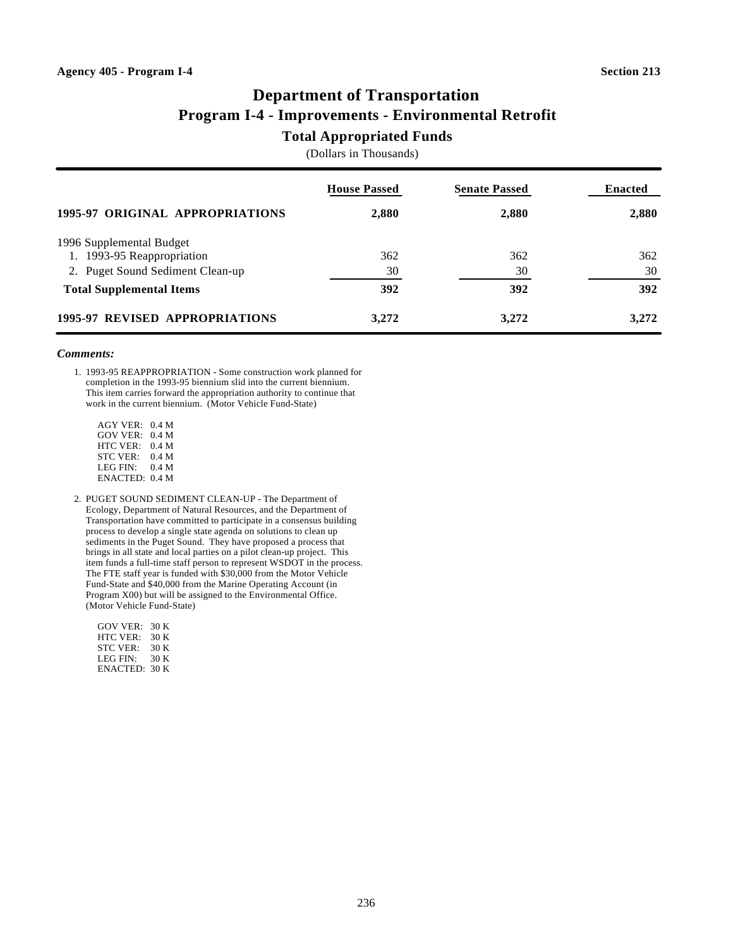# **Department of Transportation Program I-4 - Improvements - Environmental Retrofit**

### **Total Appropriated Funds**

(Dollars in Thousands)

|                                  | <b>House Passed</b> | <b>Senate Passed</b> | <b>Enacted</b> |
|----------------------------------|---------------------|----------------------|----------------|
| 1995-97 ORIGINAL APPROPRIATIONS  | 2,880               | 2,880                | 2,880          |
| 1996 Supplemental Budget         |                     |                      |                |
| 1. 1993-95 Reappropriation       | 362                 | 362                  | 362            |
| 2. Puget Sound Sediment Clean-up | 30                  | 30                   | 30             |
| <b>Total Supplemental Items</b>  | 392                 | 392                  | 392            |
| 1995-97 REVISED APPROPRIATIONS   | 3,272               | 3,272                | 3,272          |

#### *Comments:*

1. 1993-95 REAPPROPRIATION - Some construction work planned for completion in the 1993-95 biennium slid into the current biennium. This item carries forward the appropriation authority to continue that work in the current biennium. (Motor Vehicle Fund-State)

- AGY VER: 0.4 M GOV VER: 0.4 M HTC VER: 0.4 M STC VER: 0.4 M LEG FIN: 0.4 M ENACTED: 0.4 M
- 2. PUGET SOUND SEDIMENT CLEAN-UP The Department of Ecology, Department of Natural Resources, and the Department of Transportation have committed to participate in a consensus building process to develop a single state agenda on solutions to clean up sediments in the Puget Sound. They have proposed a process that brings in all state and local parties on a pilot clean-up project. This item funds a full-time staff person to represent WSDOT in the process. The FTE staff year is funded with \$30,000 from the Motor Vehicle Fund-State and \$40,000 from the Marine Operating Account (in Program X00) but will be assigned to the Environmental Office. (Motor Vehicle Fund-State)

| GOV VER:         | 30 K |
|------------------|------|
| HTC VER:         | 30 K |
| <b>STC VER:</b>  | 30 K |
| LEG FIN:         | 30 K |
| $ENACTER$ : 30 K |      |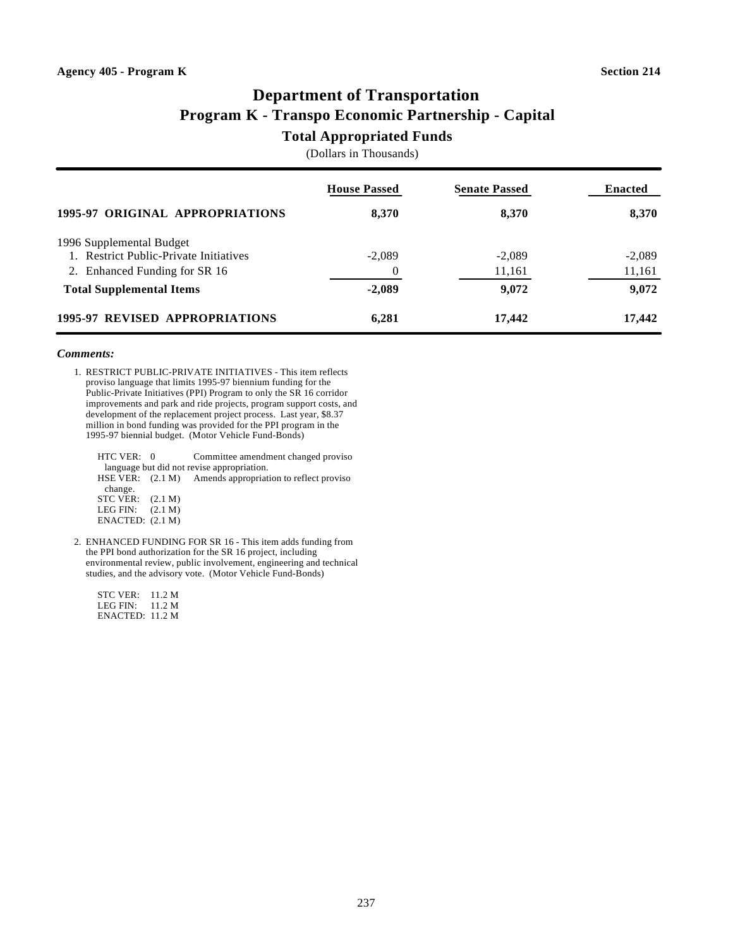# **Department of Transportation Program K - Transpo Economic Partnership - Capital**

### **Total Appropriated Funds**

(Dollars in Thousands)

|                                        | <b>House Passed</b> | <b>Senate Passed</b> | <b>Enacted</b> |
|----------------------------------------|---------------------|----------------------|----------------|
| 1995-97 ORIGINAL APPROPRIATIONS        | 8,370               | 8,370                | 8,370          |
| 1996 Supplemental Budget               |                     |                      |                |
| 1. Restrict Public-Private Initiatives | $-2,089$            | $-2,089$             | $-2,089$       |
| 2. Enhanced Funding for SR 16          |                     | 11,161               | 11,161         |
| <b>Total Supplemental Items</b>        | $-2,089$            | 9,072                | 9,072          |
| 1995-97 REVISED APPROPRIATIONS         | 6,281               | 17,442               | 17,442         |

#### *Comments:*

1. RESTRICT PUBLIC-PRIVATE INITIATIVES - This item reflects proviso language that limits 1995-97 biennium funding for the Public-Private Initiatives (PPI) Program to only the SR 16 corridor improvements and park and ride projects, program support costs, and development of the replacement project process. Last year, \$8.37 million in bond funding was provided for the PPI program in the 1995-97 biennial budget. (Motor Vehicle Fund-Bonds)

| Committee amendment changed proviso                                        |
|----------------------------------------------------------------------------|
| language but did not revise appropriation.                                 |
| HSE VER: (2.1 M) Amends appropriation to reflect proviso                   |
|                                                                            |
|                                                                            |
|                                                                            |
|                                                                            |
| HTC VER: 0<br>STC VER: $(2.1 M)$<br>LEG FIN: $(2.1 M)$<br>ENACTER: (2.1 M) |

2. ENHANCED FUNDING FOR SR 16 - This item adds funding from the PPI bond authorization for the SR 16 project, including environmental review, public involvement, engineering and technical studies, and the advisory vote. (Motor Vehicle Fund-Bonds)

| STC VER ·       | 11.2 M |
|-----------------|--------|
| LEG FIN:        | 11.2 M |
| ENACTED: 11.2 M |        |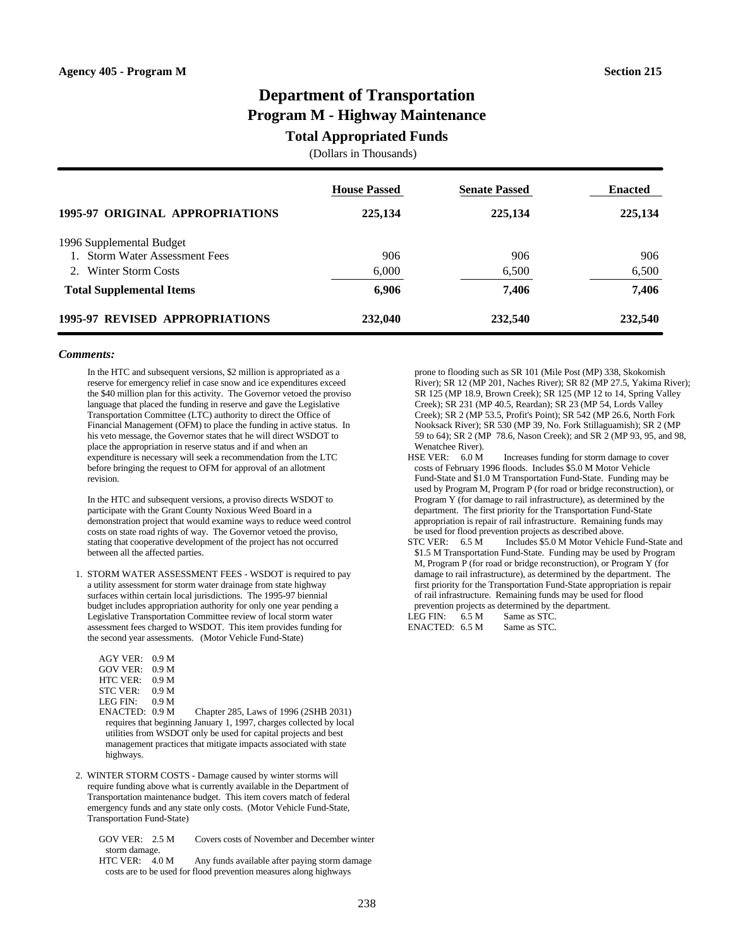# **Department of Transportation Program M - Highway Maintenance**

### **Total Appropriated Funds**

(Dollars in Thousands)

|                                       | <b>House Passed</b> | <b>Senate Passed</b> | <b>Enacted</b> |
|---------------------------------------|---------------------|----------------------|----------------|
| 1995-97 ORIGINAL APPROPRIATIONS       | 225,134             | 225,134              | 225,134        |
| 1996 Supplemental Budget              |                     |                      |                |
| 1. Storm Water Assessment Fees        | 906                 | 906                  | 906            |
| Winter Storm Costs                    | 6,000               | 6,500                | 6,500          |
| <b>Total Supplemental Items</b>       | 6,906               | 7,406                | 7,406          |
| <b>1995-97 REVISED APPROPRIATIONS</b> | 232,040             | 232,540              | 232,540        |

#### *Comments:*

In the HTC and subsequent versions, \$2 million is appropriated as a reserve for emergency relief in case snow and ice expenditures exceed the \$40 million plan for this activity. The Governor vetoed the proviso language that placed the funding in reserve and gave the Legislative Transportation Committee (LTC) authority to direct the Office of Financial Management (OFM) to place the funding in active status. In his veto message, the Governor states that he will direct WSDOT to place the appropriation in reserve status and if and when an expenditure is necessary will seek a recommendation from the LTC before bringing the request to OFM for approval of an allotment revision.

In the HTC and subsequent versions, a proviso directs WSDOT to participate with the Grant County Noxious Weed Board in a demonstration project that would examine ways to reduce weed control costs on state road rights of way. The Governor vetoed the proviso, stating that cooperative development of the project has not occurred between all the affected parties.

- 1. STORM WATER ASSESSMENT FEES WSDOT is required to pay a utility assessment for storm water drainage from state highway surfaces within certain local jurisdictions. The 1995-97 biennial budget includes appropriation authority for only one year pending a Legislative Transportation Committee review of local storm water assessment fees charged to WSDOT. This item provides funding for the second year assessments. (Motor Vehicle Fund-State)
	- AGY VER: 0.9 M GOV VER: 0.9 M HTC VER: 0.9 M<br>STC VER: 0.9 M STC VER: 0.9 M<br>LEG FIN: 0.9 M LEG FIN $\cdot$
	- ENACTED: 0.9 M Chapter 285, Laws of 1996 (2SHB 2031) requires that beginning January 1, 1997, charges collected by local utilities from WSDOT only be used for capital projects and best management practices that mitigate impacts associated with state highways.
- 2. WINTER STORM COSTS Damage caused by winter storms will require funding above what is currently available in the Department of Transportation maintenance budget. This item covers match of federal emergency funds and any state only costs. (Motor Vehicle Fund-State, Transportation Fund-State)

 GOV VER: 2.5 M Covers costs of November and December winter storm damage.<br>HTC VER: 4.0 M

Any funds available after paying storm damage costs are to be used for flood prevention measures along highways

 prone to flooding such as SR 101 (Mile Post (MP) 338, Skokomish River); SR 12 (MP 201, Naches River); SR 82 (MP 27.5, Yakima River); SR 125 (MP 18.9, Brown Creek); SR 125 (MP 12 to 14, Spring Valley Creek); SR 231 (MP 40.5, Reardan); SR 23 (MP 54, Lords Valley Creek); SR 2 (MP 53.5, Profit's Point); SR 542 (MP 26.6, North Fork Nooksack River); SR 530 (MP 39, No. Fork Stillaguamish); SR 2 (MP 59 to 64); SR 2 (MP 78.6, Nason Creek); and SR 2 (MP 93, 95, and 98, Wenatchee River).

- HSE VER: 6.0 M Increases funding for storm damage to cover costs of February 1996 floods. Includes \$5.0 M Motor Vehicle Fund-State and \$1.0 M Transportation Fund-State. Funding may be used by Program M, Program P (for road or bridge reconstruction), or Program Y (for damage to rail infrastructure), as determined by the department. The first priority for the Transportation Fund-State appropriation is repair of rail infrastructure. Remaining funds may be used for flood prevention projects as described above.
- STC VER: 6.5 M Includes \$5.0 M Motor Vehicle Fund-State and \$1.5 M Transportation Fund-State. Funding may be used by Program M, Program P (for road or bridge reconstruction), or Program Y (for damage to rail infrastructure), as determined by the department. The first priority for the Transportation Fund-State appropriation is repair of rail infrastructure. Remaining funds may be used for flood prevention projects as determined by the department. LEG FIN:  $6.5 M$  Same as STC.

ENACTED: 6.5 M Same as STC.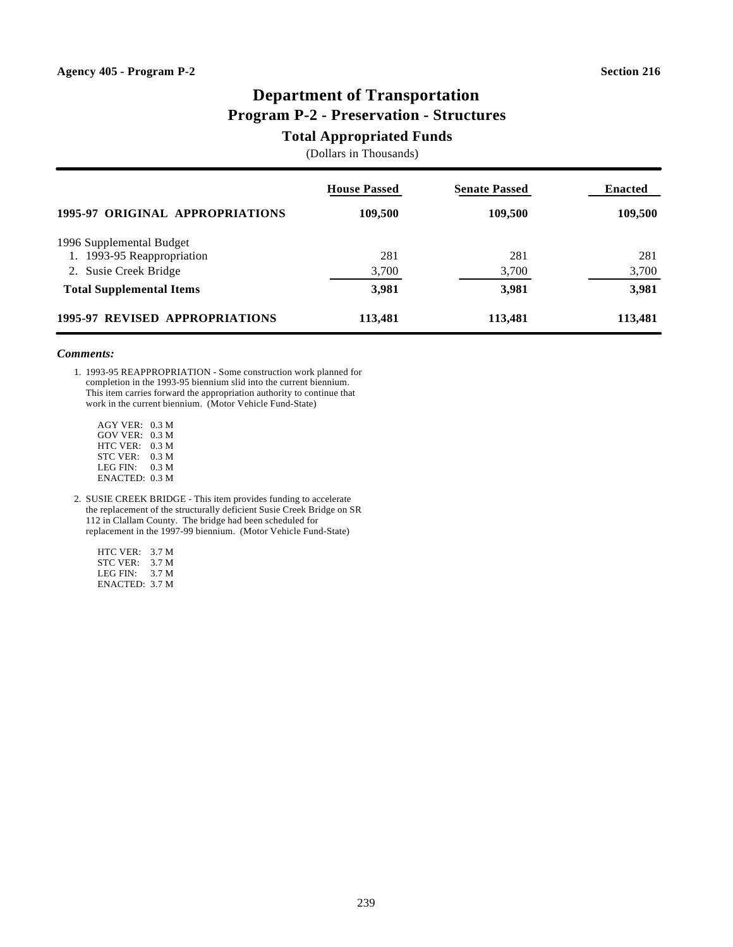# **Department of Transportation Program P-2 - Preservation - Structures**

### **Total Appropriated Funds**

(Dollars in Thousands)

|                                 | <b>House Passed</b> | <b>Senate Passed</b> | <b>Enacted</b> |
|---------------------------------|---------------------|----------------------|----------------|
| 1995-97 ORIGINAL APPROPRIATIONS | 109,500             | 109,500              | 109,500        |
| 1996 Supplemental Budget        |                     |                      |                |
| 1. 1993-95 Reappropriation      | 281                 | 281                  | 281            |
| 2. Susie Creek Bridge           | 3,700               | 3,700                | 3,700          |
| <b>Total Supplemental Items</b> | 3,981               | 3,981                | 3,981          |
| 1995-97 REVISED APPROPRIATIONS  | 113,481             | 113,481              | 113,481        |

### *Comments:*

1. 1993-95 REAPPROPRIATION - Some construction work planned for completion in the 1993-95 biennium slid into the current biennium. This item carries forward the appropriation authority to continue that work in the current biennium. (Motor Vehicle Fund-State)

 AGY VER: 0.3 M GOV VER: 0.3 M HTC VER: 0.3 M STC VER: 0.3 M LEG FIN: 0.3 M ENACTED: 0.3 M

2. SUSIE CREEK BRIDGE - This item provides funding to accelerate the replacement of the structurally deficient Susie Creek Bridge on SR 112 in Clallam County. The bridge had been scheduled for replacement in the 1997-99 biennium. (Motor Vehicle Fund-State)

 HTC VER: 3.7 M STC VER: 3.7 M LEG FIN: 3.7 M ENACTED: 3.7 M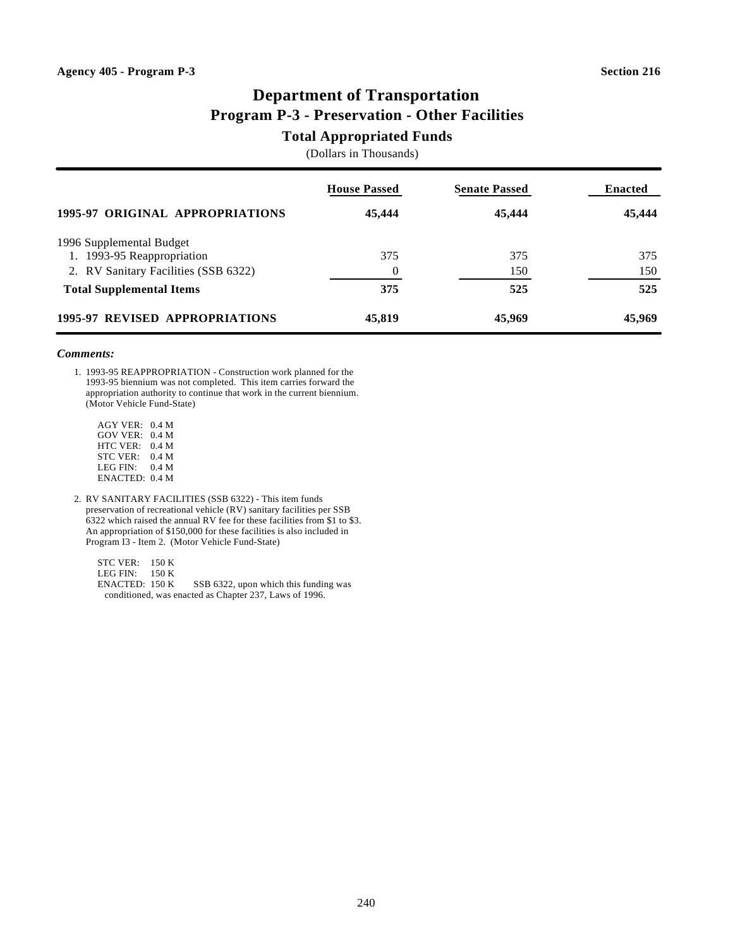# **Department of Transportation Program P-3 - Preservation - Other Facilities**

### **Total Appropriated Funds**

(Dollars in Thousands)

|                                      | <b>House Passed</b> | <b>Senate Passed</b> | <b>Enacted</b> |
|--------------------------------------|---------------------|----------------------|----------------|
| 1995-97 ORIGINAL APPROPRIATIONS      | 45,444              | 45,444               | 45,444         |
| 1996 Supplemental Budget             |                     |                      |                |
| 1. 1993-95 Reappropriation           | 375                 | 375                  | 375            |
| 2. RV Sanitary Facilities (SSB 6322) |                     | 150                  | 150            |
| <b>Total Supplemental Items</b>      | 375                 | 525                  | 525            |
| 1995-97 REVISED APPROPRIATIONS       | 45,819              | 45,969               | 45,969         |

#### *Comments:*

1. 1993-95 REAPPROPRIATION - Construction work planned for the 1993-95 biennium was not completed. This item carries forward the appropriation authority to continue that work in the current biennium. (Motor Vehicle Fund-State)

- AGY VER: 0.4 M GOV VER: 0.4 M HTC VER: 0.4 M STC VER: 0.4 M LEG FIN: 0.4 M ENACTED: 0.4 M
- 2. RV SANITARY FACILITIES (SSB 6322) This item funds preservation of recreational vehicle (RV) sanitary facilities per SSB 6322 which raised the annual RV fee for these facilities from \$1 to \$3. An appropriation of \$150,000 for these facilities is also included in Program I3 - Item 2. (Motor Vehicle Fund-State)

 STC VER: 150 K LEG FIN: 150 K<br>ENACTED: 150 K SSB 6322, upon which this funding was conditioned, was enacted as Chapter 237, Laws of 1996.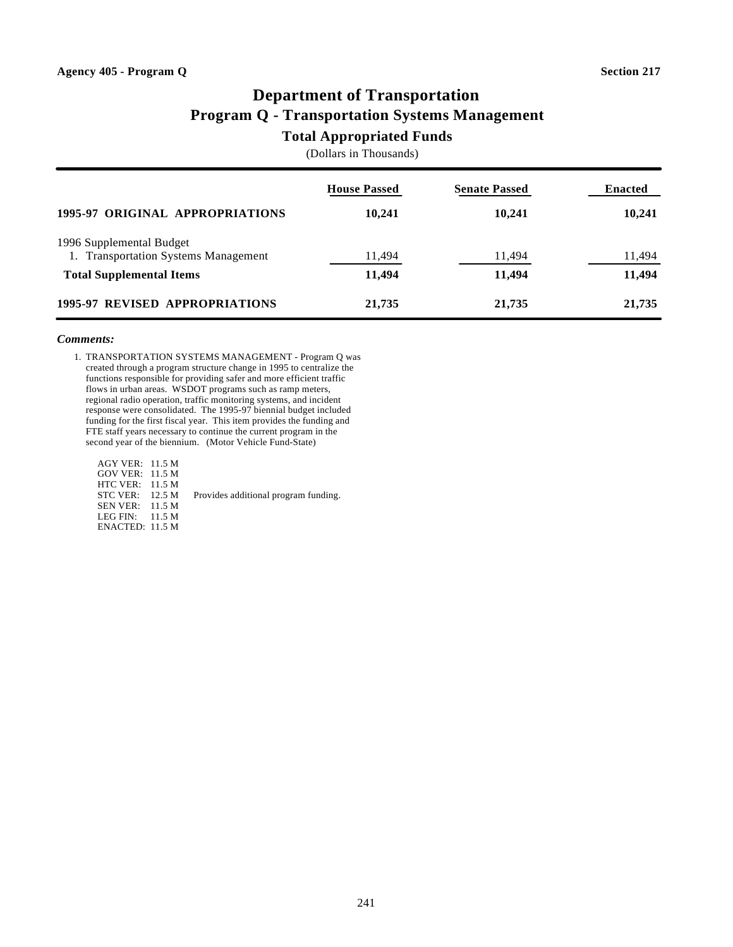# **Department of Transportation Program Q - Transportation Systems Management**

# **Total Appropriated Funds**

(Dollars in Thousands)

|                                                                  | <b>House Passed</b> | <b>Senate Passed</b> | <b>Enacted</b> |
|------------------------------------------------------------------|---------------------|----------------------|----------------|
| 1995-97 ORIGINAL APPROPRIATIONS                                  | 10,241              | 10,241               | 10,241         |
| 1996 Supplemental Budget<br>1. Transportation Systems Management | 11,494              | 11,494               | 11,494         |
| <b>Total Supplemental Items</b>                                  | 11,494              | 11,494               | 11,494         |
| 1995-97 REVISED APPROPRIATIONS                                   | 21,735              | 21,735               | 21,735         |

### *Comments:*

1. TRANSPORTATION SYSTEMS MANAGEMENT - Program Q was created through a program structure change in 1995 to centralize the functions responsible for providing safer and more efficient traffic flows in urban areas. WSDOT programs such as ramp meters, regional radio operation, traffic monitoring systems, and incident response were consolidated. The 1995-97 biennial budget included funding for the first fiscal year. This item provides the funding and FTE staff years necessary to continue the current program in the second year of the biennium. (Motor Vehicle Fund-State)

| $GOV$ VER: 11.5 M<br>HTC VER: $11.5 M$<br>STC VER: $12.5 M$<br>$SEN$ VER: 11.5 M<br>LEG FIN: $11.5 M$<br>ENACTED: 11.5 M |  | $AGY$ VER: 11.5 M |  | Provides additional program funding. |
|--------------------------------------------------------------------------------------------------------------------------|--|-------------------|--|--------------------------------------|
|--------------------------------------------------------------------------------------------------------------------------|--|-------------------|--|--------------------------------------|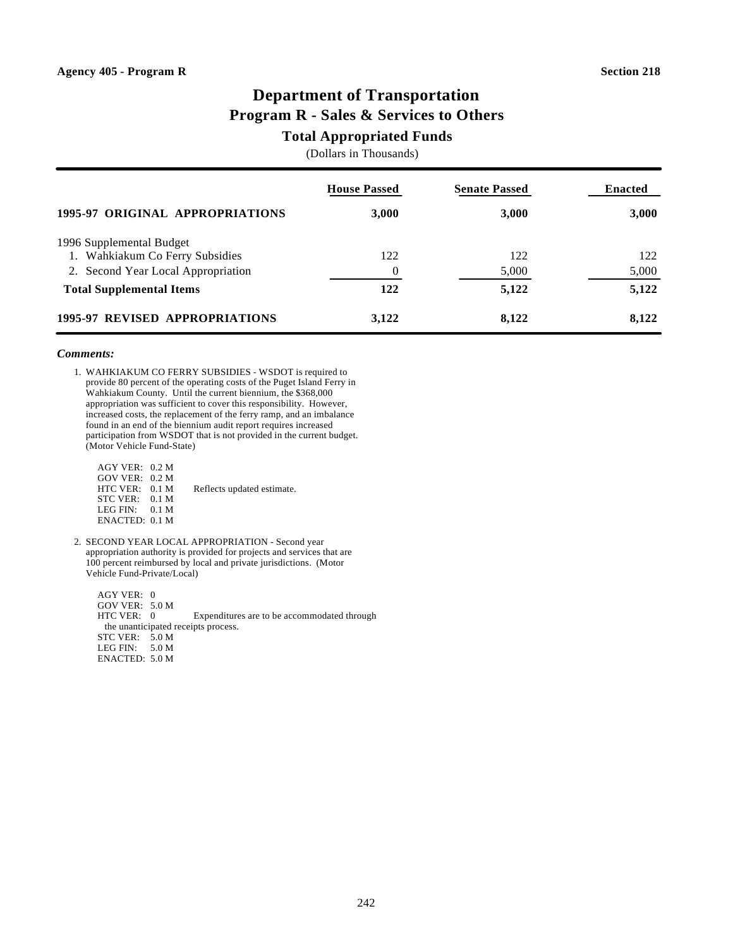### **Department of Transportation Program R - Sales & Services to Others**

### **Total Appropriated Funds**

(Dollars in Thousands)

|                                    | <b>House Passed</b> | <b>Senate Passed</b> | <b>Enacted</b> |
|------------------------------------|---------------------|----------------------|----------------|
| 1995-97 ORIGINAL APPROPRIATIONS    | 3,000               | 3,000                | 3,000          |
| 1996 Supplemental Budget           |                     |                      |                |
| 1. Wahkiakum Co Ferry Subsidies    | 122                 | 122                  | 122            |
| 2. Second Year Local Appropriation | $\theta$            | 5,000                | 5,000          |
| <b>Total Supplemental Items</b>    | 122                 | 5,122                | 5,122          |
| 1995-97 REVISED APPROPRIATIONS     | 3,122               | 8,122                | 8,122          |

### *Comments:*

1. WAHKIAKUM CO FERRY SUBSIDIES - WSDOT is required to provide 80 percent of the operating costs of the Puget Island Ferry in Wahkiakum County. Until the current biennium, the \$368,000 appropriation was sufficient to cover this responsibility. However, increased costs, the replacement of the ferry ramp, and an imbalance found in an end of the biennium audit report requires increased participation from WSDOT that is not provided in the current budget. (Motor Vehicle Fund-State)

| $AGY$ VER: 0.2 M<br>$GOV$ VER: 0.2 M |                            |
|--------------------------------------|----------------------------|
| HTC VER: 0.1 M                       | Reflects updated estimate. |
| STC VER: 0.1 M                       |                            |
| LEG FIN: $0.1 M$                     |                            |
| ENACTED: 0.1 M                       |                            |

2. SECOND YEAR LOCAL APPROPRIATION - Second year appropriation authority is provided for projects and services that are 100 percent reimbursed by local and private jurisdictions. (Motor Vehicle Fund-Private/Local)

 AGY VER: 0 GOV VER: 5.0 M<br>HTC VER: 0 Expenditures are to be accommodated through the unanticipated receipts process. STC VER: 5.0 M LEG FIN: 5.0 M ENACTED: 5.0 M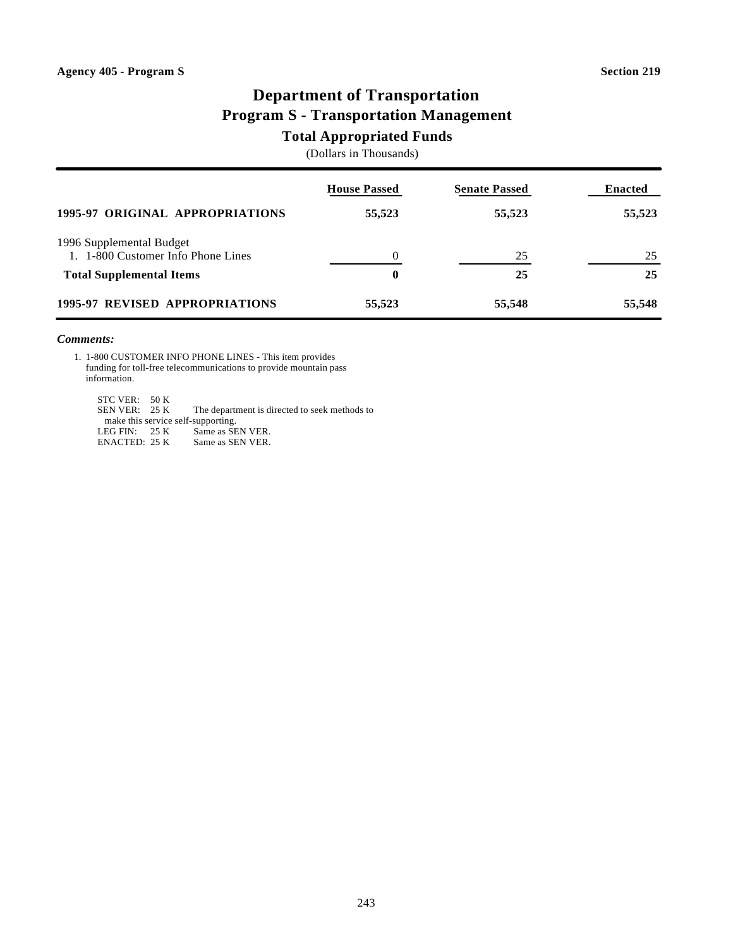# **Department of Transportation Program S - Transportation Management**

### **Total Appropriated Funds**

(Dollars in Thousands)

|                                                                | <b>House Passed</b> | <b>Senate Passed</b> | <b>Enacted</b> |
|----------------------------------------------------------------|---------------------|----------------------|----------------|
| 1995-97 ORIGINAL APPROPRIATIONS                                | 55,523              | 55,523               | 55,523         |
| 1996 Supplemental Budget<br>1. 1-800 Customer Info Phone Lines |                     | 25                   | 25             |
| <b>Total Supplemental Items</b>                                | $\bf{0}$            | 25                   | 25             |
| <b>1995-97 REVISED APPROPRIATIONS</b>                          | 55,523              | 55,548               | 55,548         |

### *Comments:*

1. 1-800 CUSTOMER INFO PHONE LINES - This item provides funding for toll-free telecommunications to provide mountain pass information.

STC VER: 50 K<br>SEN VER: 25 K The department is directed to seek methods to make this service self-supporting.<br>LEG FIN: 25 K Same as SEN VER. LEG FIN: 25 K<br>ENACTED: 25 K Same as SEN VER.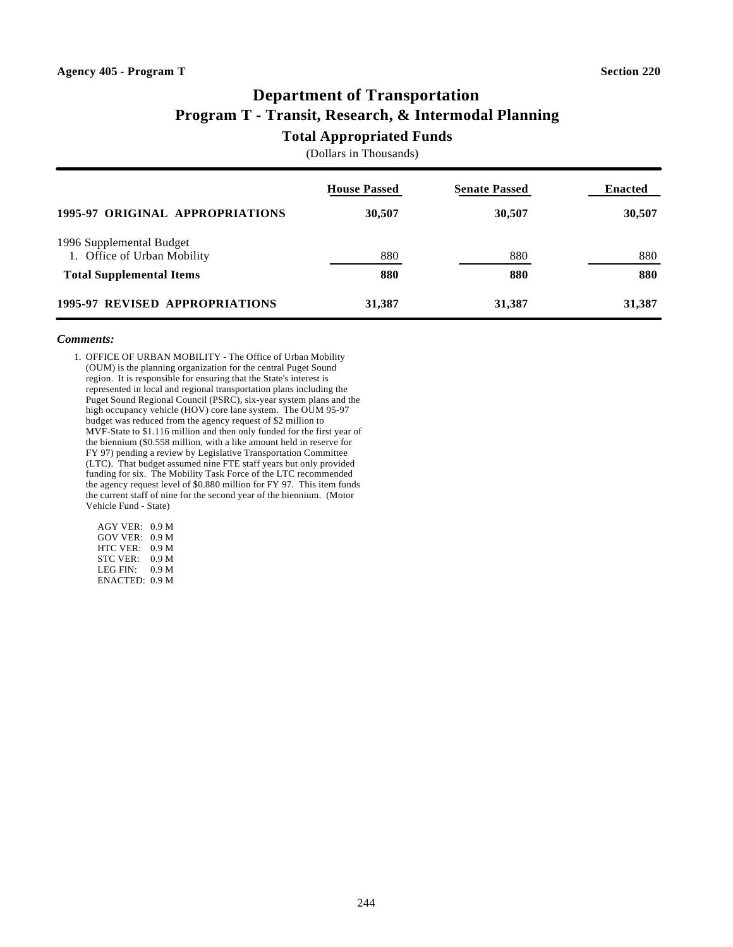# **Department of Transportation Program T - Transit, Research, & Intermodal Planning**

### **Total Appropriated Funds**

(Dollars in Thousands)

|                                                         | <b>House Passed</b> | <b>Senate Passed</b> | <b>Enacted</b> |
|---------------------------------------------------------|---------------------|----------------------|----------------|
| 1995-97 ORIGINAL APPROPRIATIONS                         | 30,507              | 30,507               | 30,507         |
| 1996 Supplemental Budget<br>1. Office of Urban Mobility | 880                 | 880                  | 880            |
| <b>Total Supplemental Items</b>                         | 880                 | 880                  | 880            |
| 1995-97 REVISED APPROPRIATIONS                          | 31,387              | 31,387               | 31,387         |

### *Comments:*

1. OFFICE OF URBAN MOBILITY - The Office of Urban Mobility (OUM) is the planning organization for the central Puget Sound region. It is responsible for ensuring that the State's interest is represented in local and regional transportation plans including the Puget Sound Regional Council (PSRC), six-year system plans and the high occupancy vehicle (HOV) core lane system. The OUM 95-97 budget was reduced from the agency request of \$2 million to MVF-State to \$1.116 million and then only funded for the first year of the biennium (\$0.558 million, with a like amount held in reserve for FY 97) pending a review by Legislative Transportation Committee (LTC). That budget assumed nine FTE staff years but only provided funding for six. The Mobility Task Force of the LTC recommended the agency request level of \$0.880 million for FY 97. This item funds the current staff of nine for the second year of the biennium. (Motor Vehicle Fund - State)

 AGY VER: 0.9 M GOV VER: 0.9 M HTC VER: 0.9 M STC VER: 0.9 M LEG FIN: 0.9 M ENACTED: 0.9 M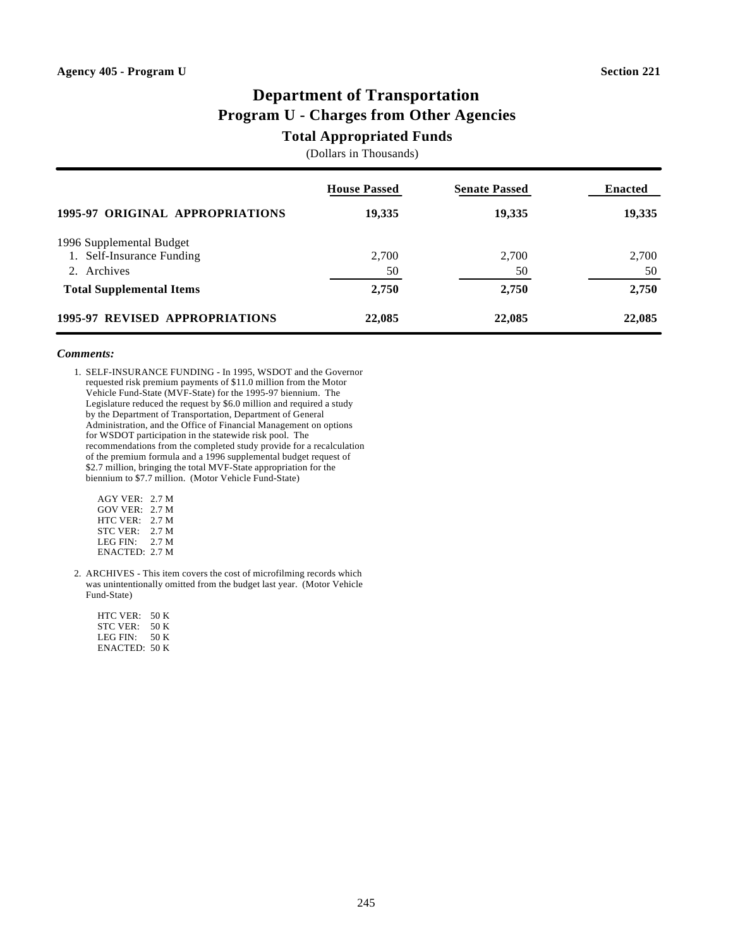# **Department of Transportation Program U - Charges from Other Agencies**

### **Total Appropriated Funds**

(Dollars in Thousands)

|                                 | <b>House Passed</b> | <b>Senate Passed</b> | <b>Enacted</b> |
|---------------------------------|---------------------|----------------------|----------------|
| 1995-97 ORIGINAL APPROPRIATIONS | 19,335              | 19,335               | 19,335         |
| 1996 Supplemental Budget        |                     |                      |                |
| 1. Self-Insurance Funding       | 2,700               | 2,700                | 2,700          |
| 2. Archives                     | 50                  | 50                   | 50             |
| <b>Total Supplemental Items</b> | 2,750               | 2,750                | 2,750          |
| 1995-97 REVISED APPROPRIATIONS  | 22,085              | 22,085               | 22,085         |

### *Comments:*

1. SELF-INSURANCE FUNDING - In 1995, WSDOT and the Governor requested risk premium payments of \$11.0 million from the Motor Vehicle Fund-State (MVF-State) for the 1995-97 biennium. The Legislature reduced the request by \$6.0 million and required a study by the Department of Transportation, Department of General Administration, and the Office of Financial Management on options for WSDOT participation in the statewide risk pool. The recommendations from the completed study provide for a recalculation of the premium formula and a 1996 supplemental budget request of \$2.7 million, bringing the total MVF-State appropriation for the biennium to \$7.7 million. (Motor Vehicle Fund-State)

| <b>AGY VER:</b> | 2.7 M |
|-----------------|-------|
| GOV VER:        | 2.7 M |
| HTC VER:        | 2.7 M |
| <b>STC VER:</b> | 2.7 M |
| LEG FIN:        | 2.7 M |
| ENACTED: 2.7 M  |       |

2. ARCHIVES - This item covers the cost of microfilming records which was unintentionally omitted from the budget last year. (Motor Vehicle Fund-State)

| HTC VER.      | 50 K |
|---------------|------|
| STC VER:      | 50 K |
| LEG FIN:      | 50 K |
| ENACTED: 50 K |      |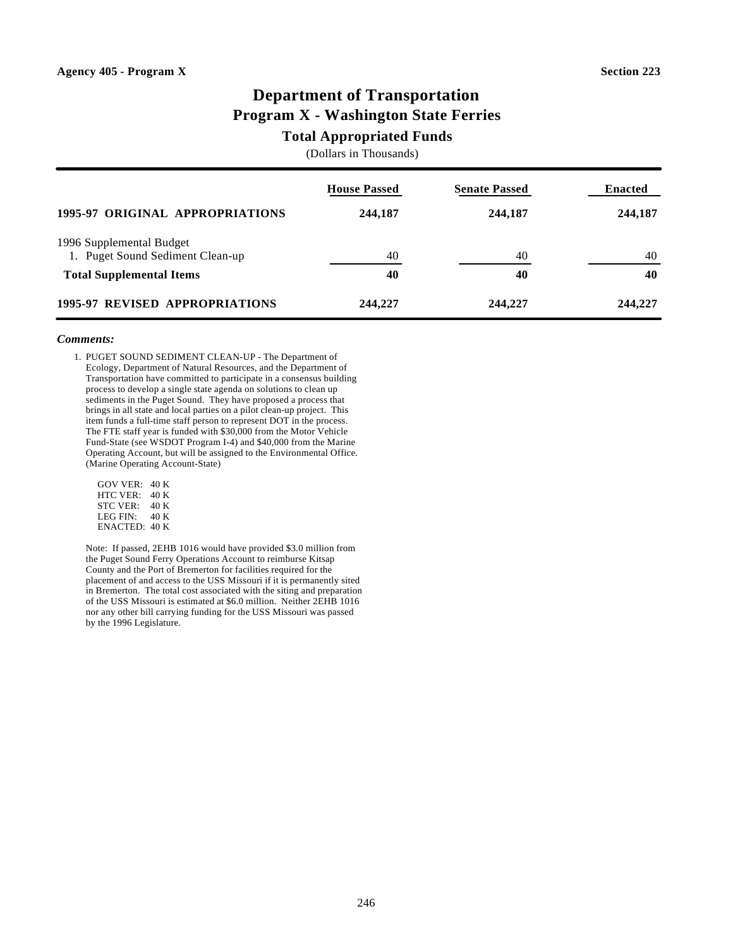# **Department of Transportation Program X - Washington State Ferries**

### **Total Appropriated Funds**

(Dollars in Thousands)

|                                                              | <b>House Passed</b> | <b>Senate Passed</b> | <b>Enacted</b> |
|--------------------------------------------------------------|---------------------|----------------------|----------------|
| 1995-97 ORIGINAL APPROPRIATIONS                              | 244,187             | 244,187              | 244,187        |
| 1996 Supplemental Budget<br>1. Puget Sound Sediment Clean-up | 40                  | 40                   | 40             |
| <b>Total Supplemental Items</b>                              | 40                  | 40                   | 40             |
| 1995-97 REVISED APPROPRIATIONS                               | 244,227             | 244,227              | 244,227        |

#### *Comments:*

1. PUGET SOUND SEDIMENT CLEAN-UP - The Department of Ecology, Department of Natural Resources, and the Department of Transportation have committed to participate in a consensus building process to develop a single state agenda on solutions to clean up sediments in the Puget Sound. They have proposed a process that brings in all state and local parties on a pilot clean-up project. This item funds a full-time staff person to represent DOT in the process. The FTE staff year is funded with \$30,000 from the Motor Vehicle Fund-State (see WSDOT Program I-4) and \$40,000 from the Marine Operating Account, but will be assigned to the Environmental Office. (Marine Operating Account-State)

| GOV VER:      | 40 K |
|---------------|------|
| HTC VER:      | 40 K |
| STC VER:      | 40 K |
| LEG FIN:      | 40 K |
| ENACTED: 40 K |      |

Note: If passed, 2EHB 1016 would have provided \$3.0 million from the Puget Sound Ferry Operations Account to reimburse Kitsap County and the Port of Bremerton for facilities required for the placement of and access to the USS Missouri if it is permanently sited in Bremerton. The total cost associated with the siting and preparation of the USS Missouri is estimated at \$6.0 million. Neither 2EHB 1016 nor any other bill carrying funding for the USS Missouri was passed by the 1996 Legislature.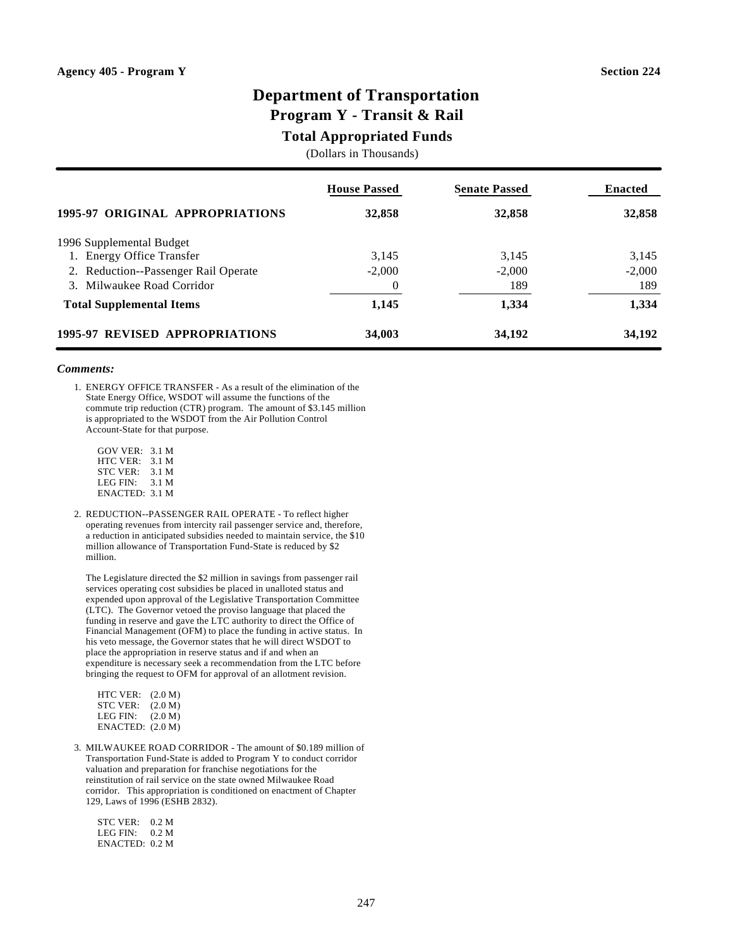# **Department of Transportation**

# **Program Y - Transit & Rail**

### **Total Appropriated Funds**

(Dollars in Thousands)

|                                      | <b>House Passed</b> | <b>Senate Passed</b> | <b>Enacted</b> |
|--------------------------------------|---------------------|----------------------|----------------|
| 1995-97 ORIGINAL APPROPRIATIONS      | 32,858              | 32,858               | 32,858         |
| 1996 Supplemental Budget             |                     |                      |                |
| 1. Energy Office Transfer            | 3,145               | 3,145                | 3,145          |
| 2. Reduction--Passenger Rail Operate | $-2,000$            | $-2,000$             | $-2,000$       |
| 3. Milwaukee Road Corridor           |                     | 189                  | 189            |
| <b>Total Supplemental Items</b>      | 1,145               | 1,334                | 1,334          |
| 1995-97 REVISED APPROPRIATIONS       | 34,003              | 34,192               | 34,192         |

#### *Comments:*

1. ENERGY OFFICE TRANSFER - As a result of the elimination of the State Energy Office, WSDOT will assume the functions of the commute trip reduction (CTR) program. The amount of \$3.145 million is appropriated to the WSDOT from the Air Pollution Control Account-State for that purpose.

 GOV VER: 3.1 M HTC VER: 3.1 M STC VER: 3.1 M LEG FIN: 3.1 M ENACTED: 3.1 M

2. REDUCTION--PASSENGER RAIL OPERATE - To reflect higher operating revenues from intercity rail passenger service and, therefore, a reduction in anticipated subsidies needed to maintain service, the \$10 million allowance of Transportation Fund-State is reduced by \$2 million.

The Legislature directed the \$2 million in savings from passenger rail services operating cost subsidies be placed in unalloted status and expended upon approval of the Legislative Transportation Committee (LTC). The Governor vetoed the proviso language that placed the funding in reserve and gave the LTC authority to direct the Office of Financial Management (OFM) to place the funding in active status. In his veto message, the Governor states that he will direct WSDOT to place the appropriation in reserve status and if and when an expenditure is necessary seek a recommendation from the LTC before bringing the request to OFM for approval of an allotment revision.

| HTC VER:         | (2.0 M) |
|------------------|---------|
| STC VER:         | (2.0 M) |
| LEG FIN:         | (2.0 M) |
| ENACTED: (2.0 M) |         |

3. MILWAUKEE ROAD CORRIDOR - The amount of \$0.189 million of Transportation Fund-State is added to Program Y to conduct corridor valuation and preparation for franchise negotiations for the reinstitution of rail service on the state owned Milwaukee Road corridor. This appropriation is conditioned on enactment of Chapter 129, Laws of 1996 (ESHB 2832).

 STC VER: 0.2 M LEG FIN: 0.2 M ENACTED: 0.2 M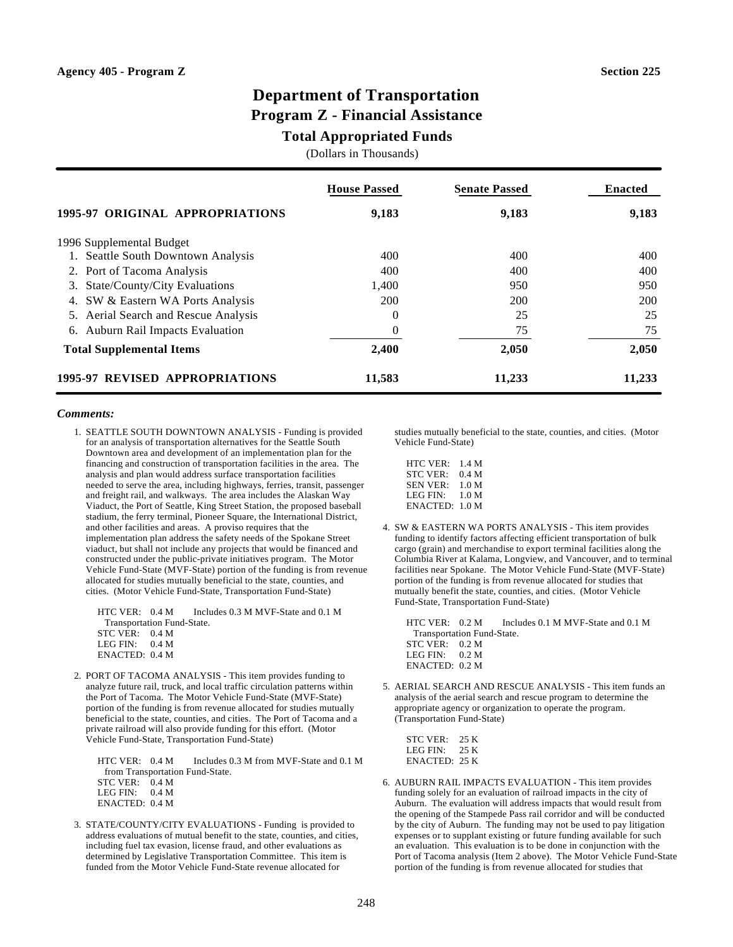### **Department of Transportation Program Z - Financial Assistance**

### **Total Appropriated Funds**

(Dollars in Thousands)

|                                      | <b>House Passed</b> | <b>Senate Passed</b> | <b>Enacted</b> |
|--------------------------------------|---------------------|----------------------|----------------|
| 1995-97 ORIGINAL APPROPRIATIONS      | 9,183               | 9,183                | 9,183          |
| 1996 Supplemental Budget             |                     |                      |                |
| 1. Seattle South Downtown Analysis   | 400                 | 400                  | 400            |
| 2. Port of Tacoma Analysis           | 400                 | 400                  | 400            |
| 3. State/County/City Evaluations     | 1.400               | 950                  | 950            |
| 4. SW & Eastern WA Ports Analysis    | 200                 | 200                  | 200            |
| 5. Aerial Search and Rescue Analysis | 0                   | 25                   | 25             |
| 6. Auburn Rail Impacts Evaluation    | 0                   | 75                   | 75             |
| <b>Total Supplemental Items</b>      | 2,400               | 2,050                | 2,050          |
| 1995-97 REVISED APPROPRIATIONS       | 11,583              | 11,233               | 11,233         |

#### *Comments:*

1. SEATTLE SOUTH DOWNTOWN ANALYSIS - Funding is provided for an analysis of transportation alternatives for the Seattle South Downtown area and development of an implementation plan for the financing and construction of transportation facilities in the area. The analysis and plan would address surface transportation facilities needed to serve the area, including highways, ferries, transit, passenger and freight rail, and walkways. The area includes the Alaskan Way Viaduct, the Port of Seattle, King Street Station, the proposed baseball stadium, the ferry terminal, Pioneer Square, the International District, and other facilities and areas. A proviso requires that the implementation plan address the safety needs of the Spokane Street viaduct, but shall not include any projects that would be financed and constructed under the public-private initiatives program. The Motor Vehicle Fund-State (MVF-State) portion of the funding is from revenue allocated for studies mutually beneficial to the state, counties, and cities. (Motor Vehicle Fund-State, Transportation Fund-State)

HTC VER:  $0.4 M$  Includes 0.3 M MVF-State and 0.1 M Transportation Fund-State.

| STC VER:          | 0.4 M |
|-------------------|-------|
| LEG FIN:          | 0.4 M |
| $ENACTER$ : 0.4 M |       |

2. PORT OF TACOMA ANALYSIS - This item provides funding to analyze future rail, truck, and local traffic circulation patterns within the Port of Tacoma. The Motor Vehicle Fund-State (MVF-State) portion of the funding is from revenue allocated for studies mutually beneficial to the state, counties, and cities. The Port of Tacoma and a private railroad will also provide funding for this effort. (Motor Vehicle Fund-State, Transportation Fund-State)

|                  | $\text{HTC VER:} \quad 0.4 \text{ M} \quad \text{Includes } 0.3 \text{ M from MVF-State and } 0.1 \text{ M}$ |
|------------------|--------------------------------------------------------------------------------------------------------------|
|                  | from Transportation Fund-State.                                                                              |
| STC VER: 0.4 M   |                                                                                                              |
| LEG FIN: $0.4 M$ |                                                                                                              |
| ENACTED: 0.4 M   |                                                                                                              |
|                  |                                                                                                              |

3. STATE/COUNTY/CITY EVALUATIONS - Funding is provided to address evaluations of mutual benefit to the state, counties, and cities, including fuel tax evasion, license fraud, and other evaluations as determined by Legislative Transportation Committee. This item is funded from the Motor Vehicle Fund-State revenue allocated for

studies mutually beneficial to the state, counties, and cities. (Motor Vehicle Fund-State)

| HTC VER:          | 1.4 M |
|-------------------|-------|
| STC VER:          | 0.4 M |
| $SEN$ VER $\cdot$ | 1.0 M |
| LEG FIN:          | 1.0 M |
| $ENACTER$ : 1.0 M |       |

4. SW & EASTERN WA PORTS ANALYSIS - This item provides funding to identify factors affecting efficient transportation of bulk cargo (grain) and merchandise to export terminal facilities along the Columbia River at Kalama, Longview, and Vancouver, and to terminal facilities near Spokane. The Motor Vehicle Fund-State (MVF-State) portion of the funding is from revenue allocated for studies that mutually benefit the state, counties, and cities. (Motor Vehicle Fund-State, Transportation Fund-State)

HTC VER:  $0.2 M$  Includes 0.1 M MVF-State and 0.1 M Transportation Fund-State. STC VER: 0.2 M LEG FIN: 0.2 M ENACTED: 0.2 M

5. AERIAL SEARCH AND RESCUE ANALYSIS - This item funds an analysis of the aerial search and rescue program to determine the appropriate agency or organization to operate the program. (Transportation Fund-State)

| STC VER:             | 25 K |
|----------------------|------|
| LEG FIN <sup>.</sup> | 25 K |
| ENACTED: 25 K        |      |

6. AUBURN RAIL IMPACTS EVALUATION - This item provides funding solely for an evaluation of railroad impacts in the city of Auburn. The evaluation will address impacts that would result from the opening of the Stampede Pass rail corridor and will be conducted by the city of Auburn. The funding may not be used to pay litigation expenses or to supplant existing or future funding available for such an evaluation. This evaluation is to be done in conjunction with the Port of Tacoma analysis (Item 2 above). The Motor Vehicle Fund-State portion of the funding is from revenue allocated for studies that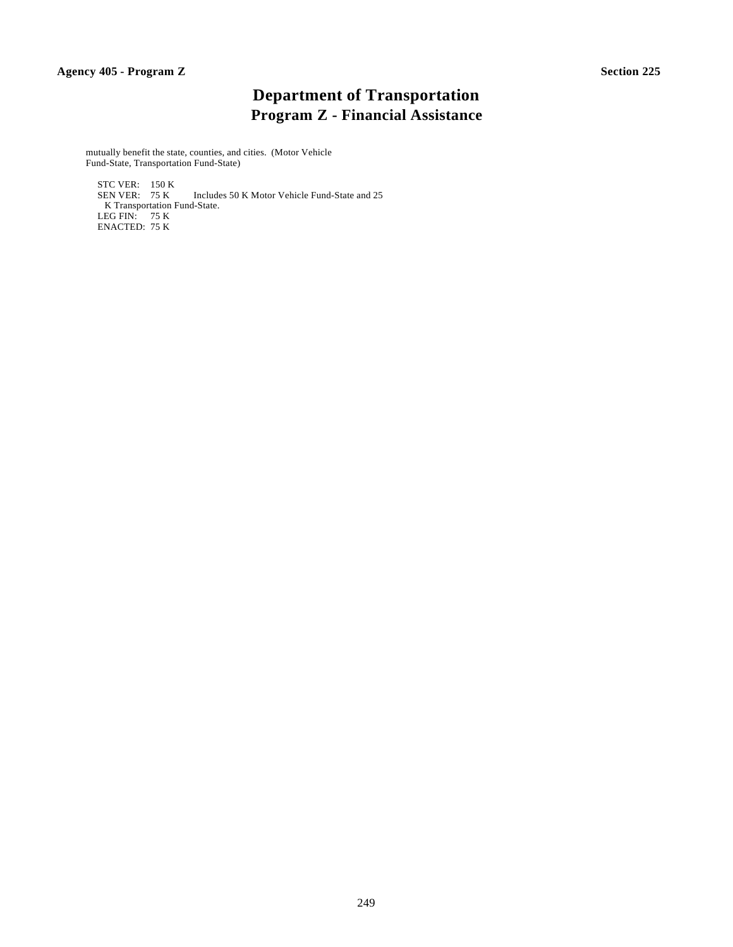# **Department of Transportation Program Z - Financial Assistance**

mutually benefit the state, counties, and cities. (Motor Vehicle Fund-State, Transportation Fund-State)

STC VER: 150 K<br>SEN VER: 75 K Includes 50 K Motor Vehicle Fund-State and 25 K Transportation Fund-State. LEG FIN: 75 K ENACTED: 75 K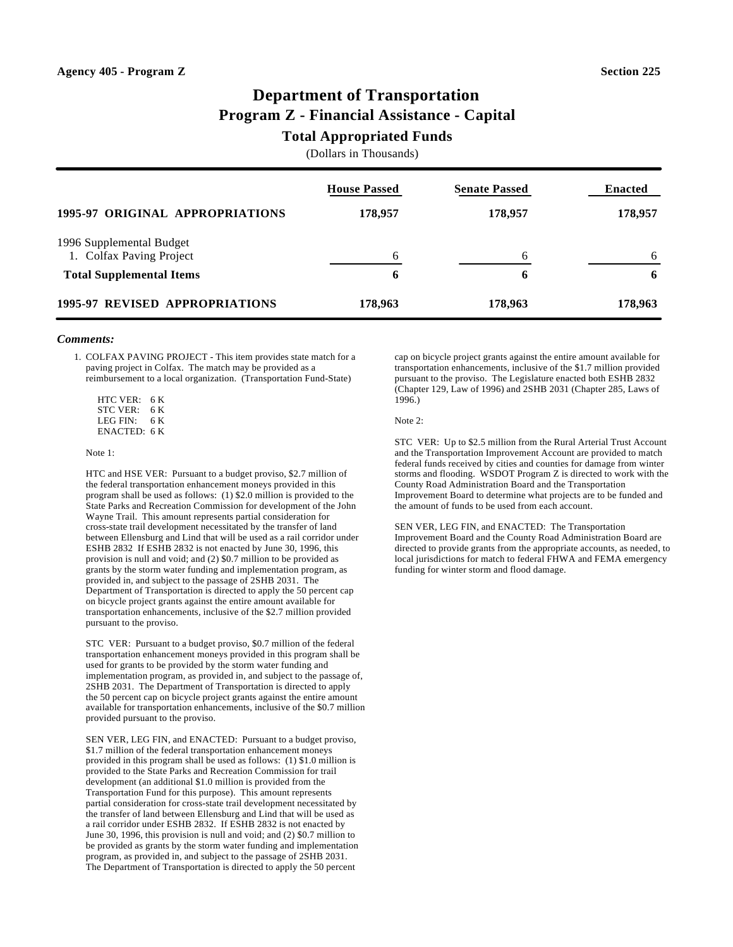# **Department of Transportation Program Z - Financial Assistance - Capital**

### **Total Appropriated Funds**

(Dollars in Thousands)

|                                                      | <b>House Passed</b> | <b>Senate Passed</b> | <b>Enacted</b> |
|------------------------------------------------------|---------------------|----------------------|----------------|
| 1995-97 ORIGINAL APPROPRIATIONS                      | 178,957             | 178,957              | 178,957        |
| 1996 Supplemental Budget<br>1. Colfax Paving Project | 6                   | 6                    | 6              |
| <b>Total Supplemental Items</b>                      | 6                   | 6                    | 6              |
| 1995-97 REVISED APPROPRIATIONS                       | 178,963             | 178,963              | 178,963        |

#### *Comments:*

1. COLFAX PAVING PROJECT - This item provides state match for a paving project in Colfax. The match may be provided as a reimbursement to a local organization. (Transportation Fund-State)

 HTC VER: 6 K STC VER: 6 K LEG FIN: 6 K ENACTED: 6 K

#### Note 1:

HTC and HSE VER: Pursuant to a budget proviso, \$2.7 million of the federal transportation enhancement moneys provided in this program shall be used as follows: (1) \$2.0 million is provided to the State Parks and Recreation Commission for development of the John Wayne Trail. This amount represents partial consideration for cross-state trail development necessitated by the transfer of land between Ellensburg and Lind that will be used as a rail corridor under ESHB 2832 If ESHB 2832 is not enacted by June 30, 1996, this provision is null and void; and (2) \$0.7 million to be provided as grants by the storm water funding and implementation program, as provided in, and subject to the passage of 2SHB 2031. The Department of Transportation is directed to apply the 50 percent cap on bicycle project grants against the entire amount available for transportation enhancements, inclusive of the \$2.7 million provided pursuant to the proviso.

STC VER: Pursuant to a budget proviso, \$0.7 million of the federal transportation enhancement moneys provided in this program shall be used for grants to be provided by the storm water funding and implementation program, as provided in, and subject to the passage of, 2SHB 2031. The Department of Transportation is directed to apply the 50 percent cap on bicycle project grants against the entire amount available for transportation enhancements, inclusive of the \$0.7 million provided pursuant to the proviso.

SEN VER, LEG FIN, and ENACTED: Pursuant to a budget proviso, \$1.7 million of the federal transportation enhancement moneys provided in this program shall be used as follows: (1) \$1.0 million is provided to the State Parks and Recreation Commission for trail development (an additional \$1.0 million is provided from the Transportation Fund for this purpose). This amount represents partial consideration for cross-state trail development necessitated by the transfer of land between Ellensburg and Lind that will be used as a rail corridor under ESHB 2832. If ESHB 2832 is not enacted by June 30, 1996, this provision is null and void; and (2) \$0.7 million to be provided as grants by the storm water funding and implementation program, as provided in, and subject to the passage of 2SHB 2031. The Department of Transportation is directed to apply the 50 percent

cap on bicycle project grants against the entire amount available for transportation enhancements, inclusive of the \$1.7 million provided pursuant to the proviso. The Legislature enacted both ESHB 2832 (Chapter 129, Law of 1996) and 2SHB 2031 (Chapter 285, Laws of 1996.)

#### Note 2:

STC VER: Up to \$2.5 million from the Rural Arterial Trust Account and the Transportation Improvement Account are provided to match federal funds received by cities and counties for damage from winter storms and flooding. WSDOT Program Z is directed to work with the County Road Administration Board and the Transportation Improvement Board to determine what projects are to be funded and the amount of funds to be used from each account.

SEN VER, LEG FIN, and ENACTED: The Transportation Improvement Board and the County Road Administration Board are directed to provide grants from the appropriate accounts, as needed, to local jurisdictions for match to federal FHWA and FEMA emergency funding for winter storm and flood damage.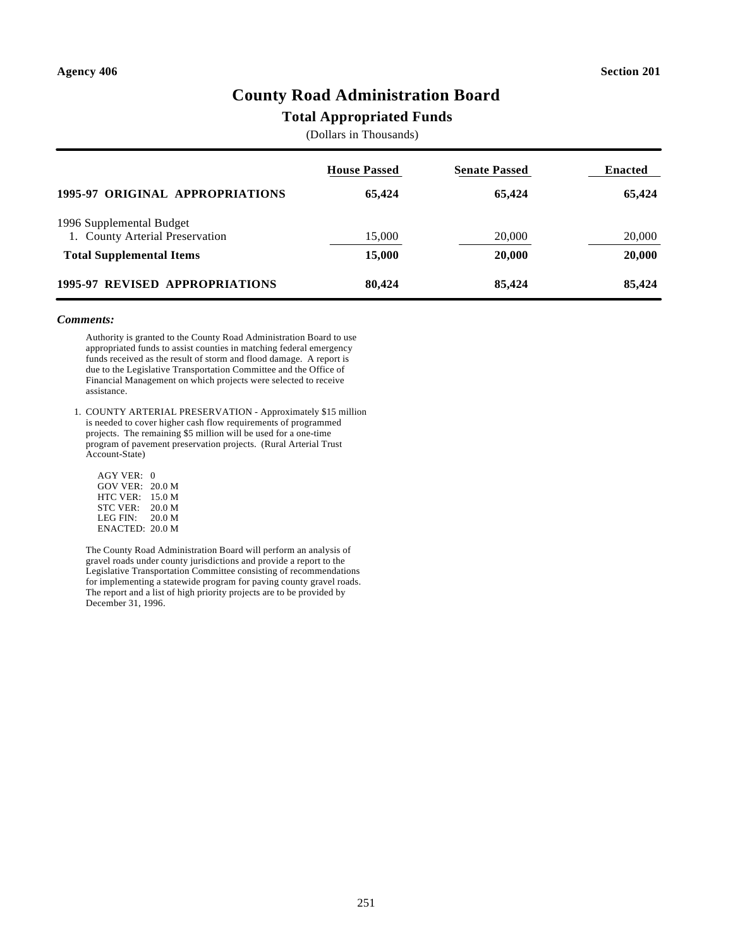# **County Road Administration Board**

### **Total Appropriated Funds**

(Dollars in Thousands)

|                                                             | <b>House Passed</b> | <b>Senate Passed</b> | <b>Enacted</b> |
|-------------------------------------------------------------|---------------------|----------------------|----------------|
| 1995-97 ORIGINAL APPROPRIATIONS                             | 65.424              | 65.424               | 65,424         |
| 1996 Supplemental Budget<br>1. County Arterial Preservation | 15,000              | 20,000               | 20,000         |
| <b>Total Supplemental Items</b>                             | 15,000              | 20,000               | 20,000         |
| <b>1995-97 REVISED APPROPRIATIONS</b>                       | 80,424              | 85,424               | 85,424         |

#### *Comments:*

Authority is granted to the County Road Administration Board to use appropriated funds to assist counties in matching federal emergency funds received as the result of storm and flood damage. A report is due to the Legislative Transportation Committee and the Office of Financial Management on which projects were selected to receive assistance.

1. COUNTY ARTERIAL PRESERVATION - Approximately \$15 million is needed to cover higher cash flow requirements of programmed projects. The remaining \$5 million will be used for a one-time program of pavement preservation projects. (Rural Arterial Trust Account-State)

| <b>AGY VER:</b>    | 0      |
|--------------------|--------|
| <b>GOV VER:</b>    | 20.0 M |
| HTC VER:           | 15.0 M |
| <b>STC VER:</b>    | 20.0 M |
| LEG FIN:           | 20.0 M |
| $ENACTER$ : 20.0 M |        |

The County Road Administration Board will perform an analysis of gravel roads under county jurisdictions and provide a report to the Legislative Transportation Committee consisting of recommendations for implementing a statewide program for paving county gravel roads. The report and a list of high priority projects are to be provided by December 31, 1996.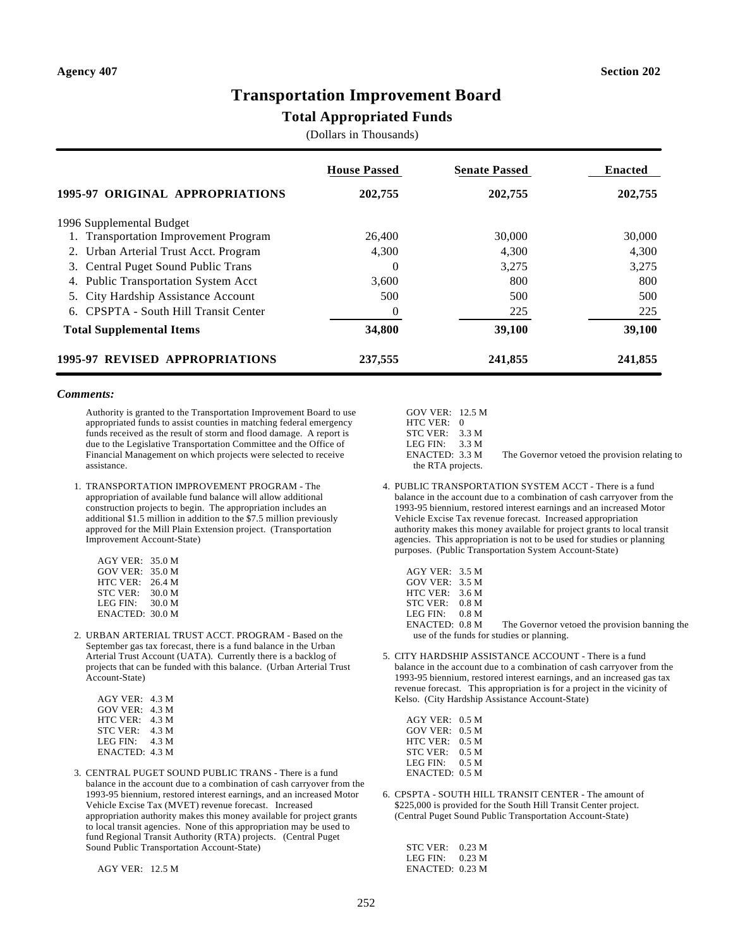### **Transportation Improvement Board**

### **Total Appropriated Funds**

(Dollars in Thousands)

|                                           | <b>House Passed</b> | <b>Senate Passed</b> | <b>Enacted</b> |
|-------------------------------------------|---------------------|----------------------|----------------|
| 1995-97 ORIGINAL APPROPRIATIONS           | 202,755             | 202,755              | 202,755        |
| 1996 Supplemental Budget                  |                     |                      |                |
| <b>Transportation Improvement Program</b> | 26,400              | 30,000               | 30,000         |
| 2. Urban Arterial Trust Acct. Program     | 4,300               | 4,300                | 4,300          |
| 3. Central Puget Sound Public Trans       | $\Omega$            | 3,275                | 3,275          |
| 4. Public Transportation System Acct      | 3,600               | 800                  | 800            |
| City Hardship Assistance Account<br>5.    | 500                 | 500                  | 500            |
| CPSPTA - South Hill Transit Center<br>6.  | 0                   | 225                  | 225            |
| <b>Total Supplemental Items</b>           | 34,800              | 39,100               | 39,100         |
| 1995-97 REVISED APPROPRIATIONS            | 237,555             | 241,855              | 241,855        |

#### *Comments:*

Authority is granted to the Transportation Improvement Board to use appropriated funds to assist counties in matching federal emergency funds received as the result of storm and flood damage. A report is due to the Legislative Transportation Committee and the Office of Financial Management on which projects were selected to receive assistance.

1. TRANSPORTATION IMPROVEMENT PROGRAM - The appropriation of available fund balance will allow additional construction projects to begin. The appropriation includes an additional \$1.5 million in addition to the \$7.5 million previously approved for the Mill Plain Extension project. (Transportation Improvement Account-State)

| $AGY$ VER:      | 35.0 M |
|-----------------|--------|
| <b>GOV VER:</b> | 35.0 M |
| $HTC$ VER:      | 26.4 M |
| <b>STC VER:</b> | 30.0 M |
| <b>LEG FIN:</b> | 30.0 M |
| ENACTED:        | 30.0 M |

2. URBAN ARTERIAL TRUST ACCT. PROGRAM - Based on the September gas tax forecast, there is a fund balance in the Urban Arterial Trust Account (UATA). Currently there is a backlog of projects that can be funded with this balance. (Urban Arterial Trust Account-State)

| AGY VER:        | 4.3 M |
|-----------------|-------|
| <b>GOV VER:</b> | 4.3 M |
| <b>HTC VER:</b> | 4.3 M |
| <b>STC VER:</b> | 4.3 M |
| LEG FIN:        | 4.3 M |
| ENACTED: 4.3 M  |       |

3. CENTRAL PUGET SOUND PUBLIC TRANS - There is a fund balance in the account due to a combination of cash carryover from the 1993-95 biennium, restored interest earnings, and an increased Motor Vehicle Excise Tax (MVET) revenue forecast. Increased appropriation authority makes this money available for project grants to local transit agencies. None of this appropriation may be used to fund Regional Transit Authority (RTA) projects. (Central Puget Sound Public Transportation Account-State)

AGY VER: 12.5 M

| $GOV$ VER: 12.5 M |       |
|-------------------|-------|
| HTC VER:          | 0     |
| STC VER:          | 3.3 M |
| LEG FIN:          | 3.3 M |
| $ENACTER$ : 3.3 M |       |
| the DTA projects  |       |

The Governor vetoed the provision relating to the RTA projects.

- 4. PUBLIC TRANSPORTATION SYSTEM ACCT There is a fund balance in the account due to a combination of cash carryover from the 1993-95 biennium, restored interest earnings and an increased Motor Vehicle Excise Tax revenue forecast. Increased appropriation authority makes this money available for project grants to local transit agencies. This appropriation is not to be used for studies or planning purposes. (Public Transportation System Account-State)
	- AGY VER: 3.5 M GOV VER: 3.5 M HTC VER: 3.6 M STC VER: 0.8 M LEG FIN: 0.8 M<br>ENACTED: 0.8 M The Governor vetoed the provision banning the use of the funds for studies or planning.
- 5. CITY HARDSHIP ASSISTANCE ACCOUNT There is a fund balance in the account due to a combination of cash carryover from the 1993-95 biennium, restored interest earnings, and an increased gas tax revenue forecast. This appropriation is for a project in the vicinity of Kelso. (City Hardship Assistance Account-State)

| $AGY$ VER: 0.5 M |                  |
|------------------|------------------|
| GOV VER:         | 0.5 <sub>M</sub> |
| HTC VER:         | 0.5 <sub>M</sub> |
| STC VER:         | 0.5 <sub>M</sub> |
| LEG FIN:         | 0.5 <sub>M</sub> |
| ENACTED: 0.5 M   |                  |

6. CPSPTA - SOUTH HILL TRANSIT CENTER - The amount of \$225,000 is provided for the South Hill Transit Center project. (Central Puget Sound Public Transportation Account-State)

| STC VER ·            | 0.23 M |
|----------------------|--------|
| LEG FIN <sup>.</sup> | 0.23 M |
| ENACTED: 0.23 M      |        |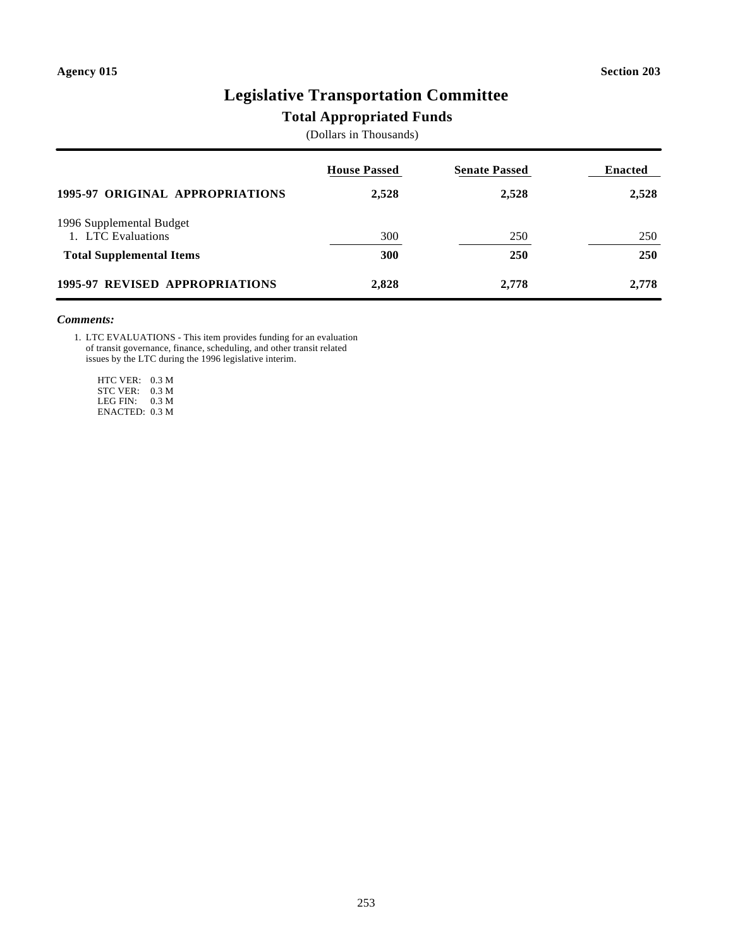# **Legislative Transportation Committee**

### **Total Appropriated Funds**

(Dollars in Thousands)

|                                                | <b>House Passed</b> | <b>Senate Passed</b> | <b>Enacted</b> |
|------------------------------------------------|---------------------|----------------------|----------------|
| 1995-97 ORIGINAL APPROPRIATIONS                | 2,528               | 2,528                | 2,528          |
| 1996 Supplemental Budget<br>1. LTC Evaluations | 300                 | 250                  | 250            |
| <b>Total Supplemental Items</b>                | 300                 | <b>250</b>           | <b>250</b>     |
| <b>1995-97 REVISED APPROPRIATIONS</b>          | 2,828               | 2,778                | 2,778          |

#### *Comments:*

1. LTC EVALUATIONS - This item provides funding for an evaluation of transit governance, finance, scheduling, and other transit related issues by the LTC during the 1996 legislative interim.

 HTC VER: 0.3 M STC VER: 0.3 M LEG FIN: 0.3 M ENACTED: 0.3 M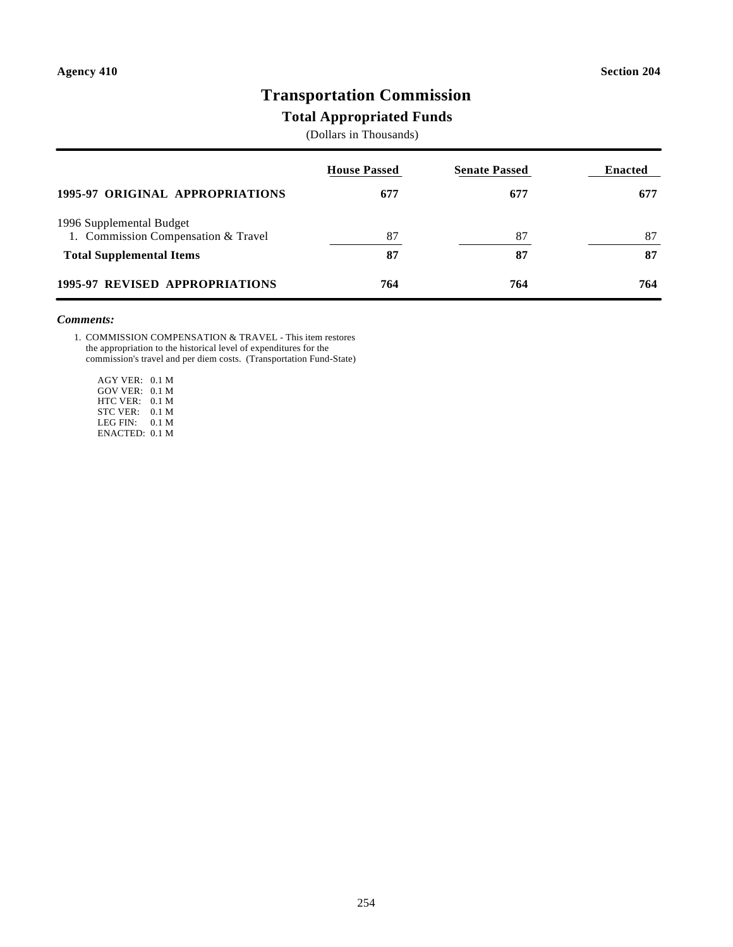# **Transportation Commission**

### **Total Appropriated Funds**

(Dollars in Thousands)

|                                                                 | <b>House Passed</b> | <b>Senate Passed</b> | <b>Enacted</b> |
|-----------------------------------------------------------------|---------------------|----------------------|----------------|
| <b>1995-97 ORIGINAL APPROPRIATIONS</b>                          | 677                 | 677                  | 677            |
| 1996 Supplemental Budget<br>1. Commission Compensation & Travel | 87                  | 87                   | 87             |
| <b>Total Supplemental Items</b>                                 | 87                  | 87                   | 87             |
| <b>1995-97 REVISED APPROPRIATIONS</b>                           | 764                 | 764                  | 764            |

### *Comments:*

1. COMMISSION COMPENSATION & TRAVEL - This item restores the appropriation to the historical level of expenditures for the commission's travel and per diem costs. (Transportation Fund-State)

 AGY VER: 0.1 M GOV VER: 0.1 M HTC VER: 0.1 M STC VER: 0.1 M LEG FIN: 0.1 M ENACTED: 0.1 M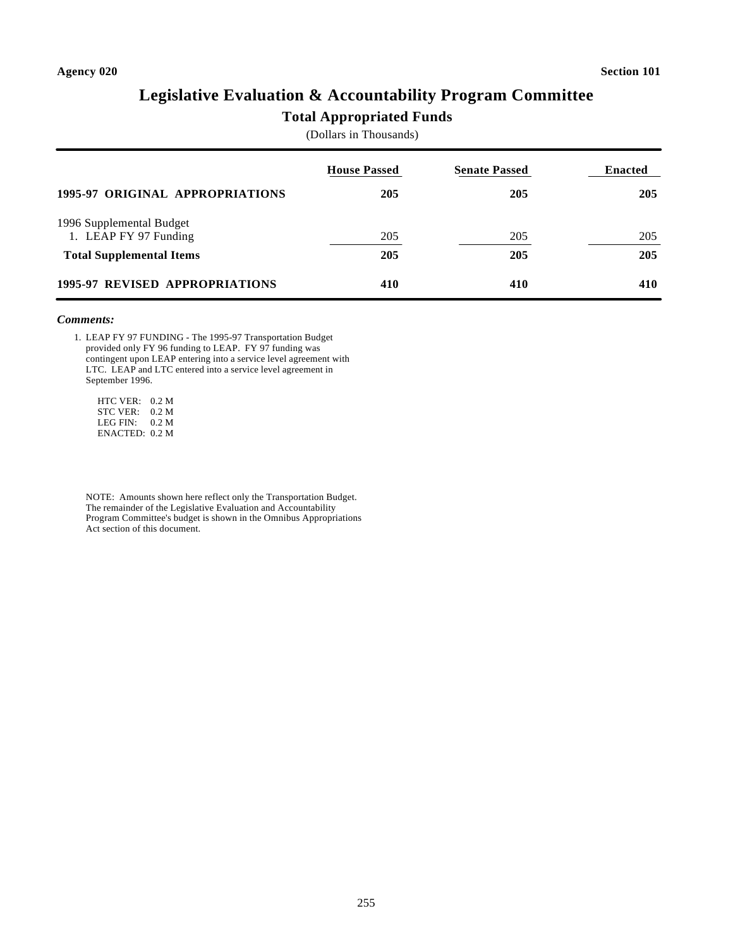# **Legislative Evaluation & Accountability Program Committee**

### **Total Appropriated Funds**

(Dollars in Thousands)

|                                                   | <b>House Passed</b> | <b>Senate Passed</b> | <b>Enacted</b> |
|---------------------------------------------------|---------------------|----------------------|----------------|
| <b>1995-97 ORIGINAL APPROPRIATIONS</b>            | 205                 | 205                  | 205            |
| 1996 Supplemental Budget<br>1. LEAP FY 97 Funding | 205                 | 205                  | 205            |
| <b>Total Supplemental Items</b>                   | 205                 | 205                  | 205            |
| 1995-97 REVISED APPROPRIATIONS                    | 410                 | 410                  | 410            |

#### *Comments:*

1. LEAP FY 97 FUNDING - The 1995-97 Transportation Budget provided only FY 96 funding to LEAP. FY 97 funding was contingent upon LEAP entering into a service level agreement with LTC. LEAP and LTC entered into a service level agreement in September 1996.

 HTC VER: 0.2 M STC VER: 0.2 M LEG FIN: 0.2 M ENACTED: 0.2 M

NOTE: Amounts shown here reflect only the Transportation Budget. The remainder of the Legislative Evaluation and Accountability Program Committee's budget is shown in the Omnibus Appropriations Act section of this document.